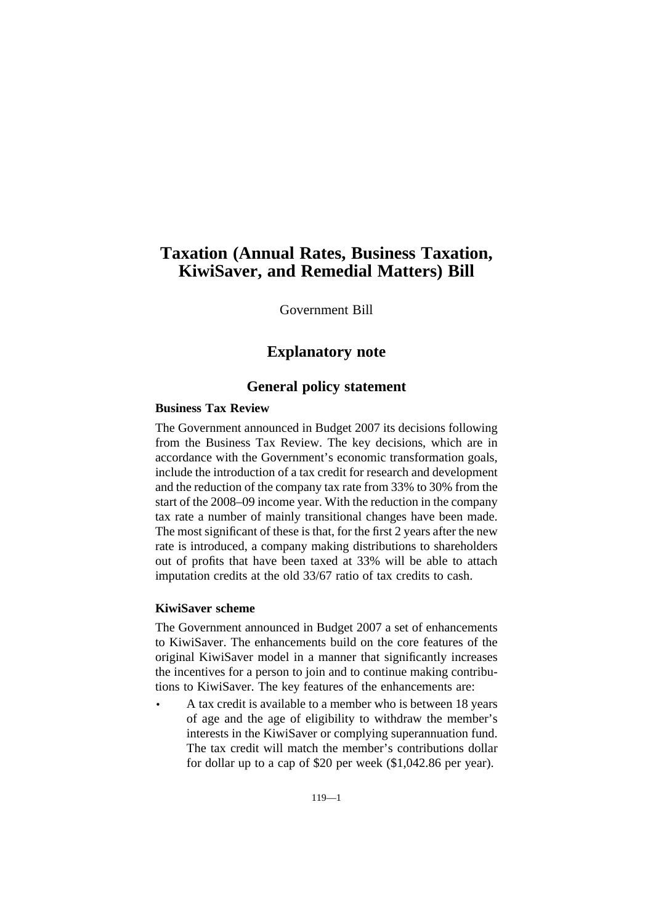# **Taxation (Annual Rates, Business Taxation, KiwiSaver, and Remedial Matters) Bill**

Government Bill

# **Explanatory note**

# **General policy statement**

### **Business Tax Review**

The Government announced in Budget 2007 its decisions following from the Business Tax Review. The key decisions, which are in accordance with the Government's economic transformation goals, include the introduction of a tax credit for research and development and the reduction of the company tax rate from 33% to 30% from the start of the 2008–09 income year. With the reduction in the company tax rate a number of mainly transitional changes have been made. The most significant of these is that, for the first 2 years after the new rate is introduced, a company making distributions to shareholders out of profits that have been taxed at 33% will be able to attach imputation credits at the old 33/67 ratio of tax credits to cash.

# **KiwiSaver scheme**

The Government announced in Budget 2007 a set of enhancements to KiwiSaver. The enhancements build on the core features of the original KiwiSaver model in a manner that significantly increases the incentives for a person to join and to continue making contributions to KiwiSaver. The key features of the enhancements are:

• A tax credit is available to a member who is between 18 years of age and the age of eligibility to withdraw the member's interests in the KiwiSaver or complying superannuation fund. The tax credit will match the member's contributions dollar for dollar up to a cap of \$20 per week (\$1,042.86 per year).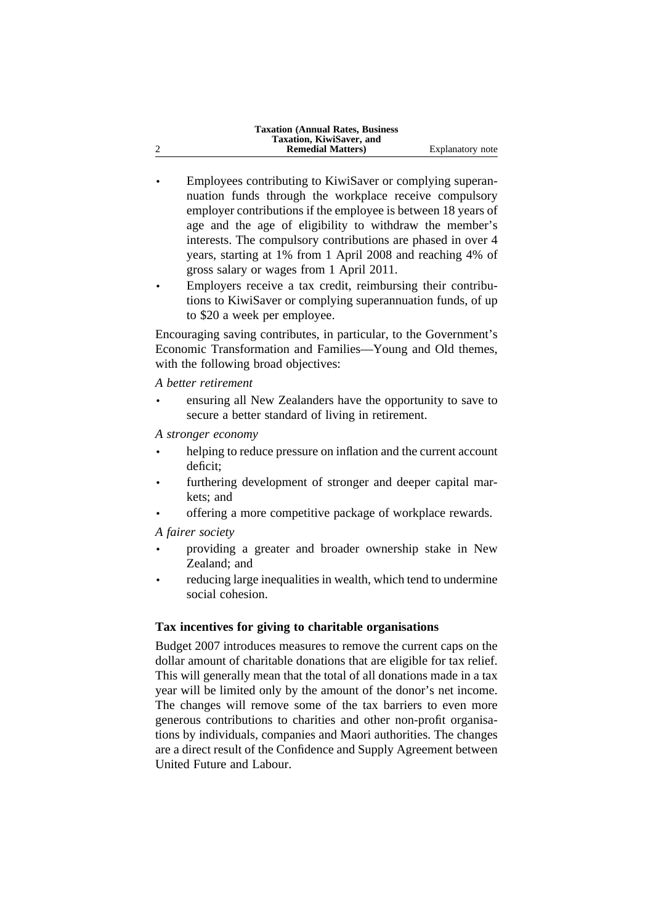| <b>Taxation (Annual Rates, Business)</b> |                  |
|------------------------------------------|------------------|
| Taxation, KiwiSaver, and                 |                  |
| <b>Remedial Matters</b> )                | Explanatory note |

- Employees contributing to KiwiSaver or complying superannuation funds through the workplace receive compulsory employer contributions if the employee is between 18 years of age and the age of eligibility to withdraw the member's interests. The compulsory contributions are phased in over 4 years, starting at 1% from 1 April 2008 and reaching 4% of gross salary or wages from 1 April 2011.
- Employers receive a tax credit, reimbursing their contributions to KiwiSaver or complying superannuation funds, of up to \$20 a week per employee.

Encouraging saving contributes, in particular, to the Government's Economic Transformation and Families—Young and Old themes, with the following broad objectives:

*A better retirement*

• ensuring all New Zealanders have the opportunity to save to secure a better standard of living in retirement.

*A stronger economy*

- helping to reduce pressure on inflation and the current account deficit;
- furthering development of stronger and deeper capital markets; and
- offering a more competitive package of workplace rewards.

*A fairer society*

- providing a greater and broader ownership stake in New Zealand; and
- reducing large inequalities in wealth, which tend to undermine social cohesion.

# **Tax incentives for giving to charitable organisations**

Budget 2007 introduces measures to remove the current caps on the dollar amount of charitable donations that are eligible for tax relief. This will generally mean that the total of all donations made in a tax year will be limited only by the amount of the donor's net income. The changes will remove some of the tax barriers to even more generous contributions to charities and other non-profit organisations by individuals, companies and Maori authorities. The changes are a direct result of the Confidence and Supply Agreement between United Future and Labour.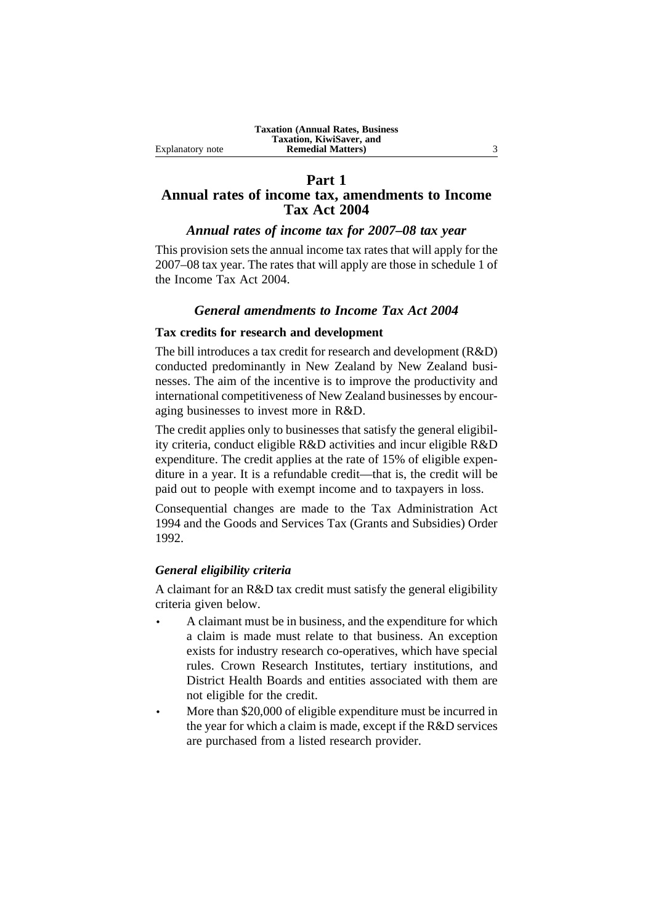### **Part 1 Annual rates of income tax, amendments to Income Tax Act 2004**

### *Annual rates of income tax for 2007–08 tax year*

This provision sets the annual income tax rates that will apply for the 2007–08 tax year. The rates that will apply are those in schedule 1 of the Income Tax Act 2004.

# *General amendments to Income Tax Act 2004*

### **Tax credits for research and development**

The bill introduces a tax credit for research and development (R&D) conducted predominantly in New Zealand by New Zealand businesses. The aim of the incentive is to improve the productivity and international competitiveness of New Zealand businesses by encouraging businesses to invest more in R&D.

The credit applies only to businesses that satisfy the general eligibility criteria, conduct eligible R&D activities and incur eligible R&D expenditure. The credit applies at the rate of 15% of eligible expenditure in a year. It is a refundable credit—that is, the credit will be paid out to people with exempt income and to taxpayers in loss.

Consequential changes are made to the Tax Administration Act 1994 and the Goods and Services Tax (Grants and Subsidies) Order 1992.

### *General eligibility criteria*

A claimant for an R&D tax credit must satisfy the general eligibility criteria given below.

- A claimant must be in business, and the expenditure for which a claim is made must relate to that business. An exception exists for industry research co-operatives, which have special rules. Crown Research Institutes, tertiary institutions, and District Health Boards and entities associated with them are not eligible for the credit.
- More than \$20,000 of eligible expenditure must be incurred in the year for which a claim is made, except if the R&D services are purchased from a listed research provider.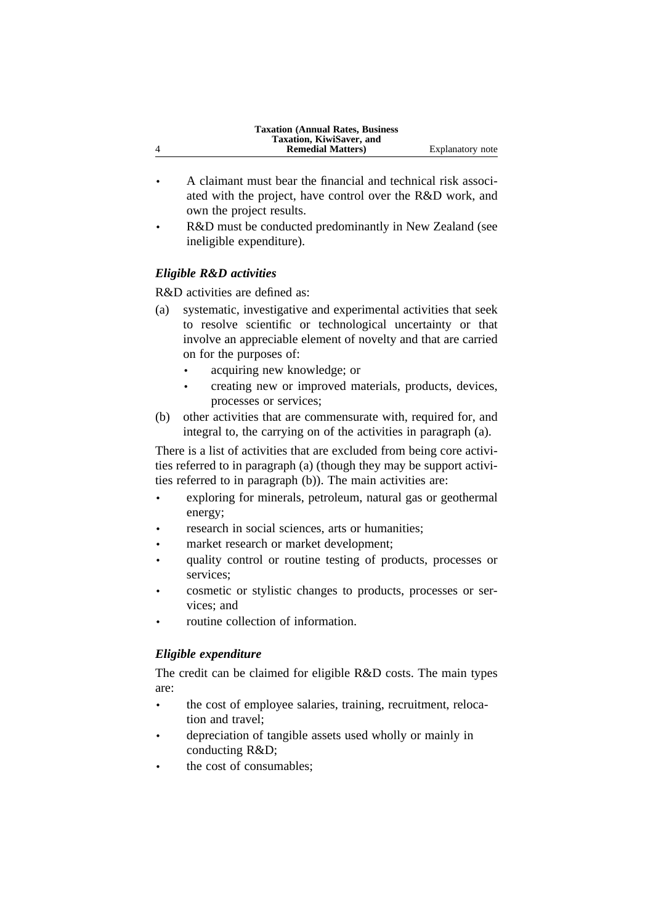| <b>Taxation (Annual Rates, Business)</b><br>Taxation, KiwiSaver, and |                  |
|----------------------------------------------------------------------|------------------|
| <b>Remedial Matters</b> )                                            | Explanatory note |
|                                                                      |                  |

- A claimant must bear the financial and technical risk associated with the project, have control over the R&D work, and own the project results.
- R&D must be conducted predominantly in New Zealand (see ineligible expenditure).

# *Eligible R&D activities*

R&D activities are defined as:

- (a) systematic, investigative and experimental activities that seek to resolve scientific or technological uncertainty or that involve an appreciable element of novelty and that are carried on for the purposes of:
	- acquiring new knowledge; or
	- creating new or improved materials, products, devices, processes or services;
- (b) other activities that are commensurate with, required for, and integral to, the carrying on of the activities in paragraph (a).

There is a list of activities that are excluded from being core activities referred to in paragraph (a) (though they may be support activities referred to in paragraph (b)). The main activities are:

- exploring for minerals, petroleum, natural gas or geothermal energy;
- research in social sciences, arts or humanities;
- market research or market development;
- quality control or routine testing of products, processes or services;
- cosmetic or stylistic changes to products, processes or services; and
- routine collection of information.

# *Eligible expenditure*

The credit can be claimed for eligible R&D costs. The main types are:

- the cost of employee salaries, training, recruitment, relocation and travel;
- depreciation of tangible assets used wholly or mainly in conducting R&D;
- the cost of consumables: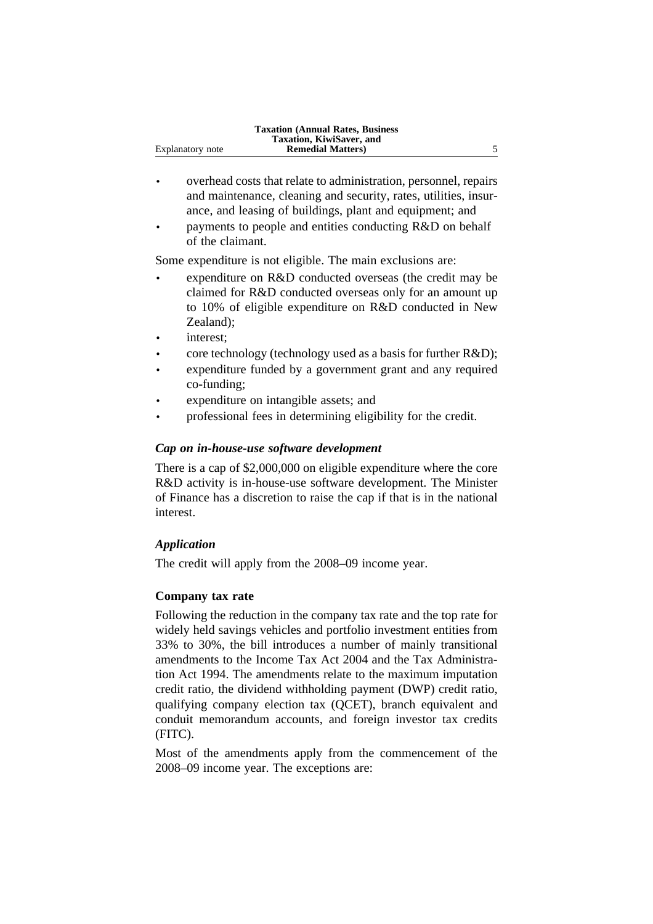- overhead costs that relate to administration, personnel, repairs and maintenance, cleaning and security, rates, utilities, insurance, and leasing of buildings, plant and equipment; and
- payments to people and entities conducting R&D on behalf of the claimant.

Some expenditure is not eligible. The main exclusions are:

- expenditure on R&D conducted overseas (the credit may be claimed for R&D conducted overseas only for an amount up to 10% of eligible expenditure on R&D conducted in New Zealand);
- interest;
- core technology (technology used as a basis for further R&D);
- expenditure funded by a government grant and any required co-funding;
- expenditure on intangible assets; and
- professional fees in determining eligibility for the credit.

#### *Cap on in-house-use software development*

There is a cap of \$2,000,000 on eligible expenditure where the core R&D activity is in-house-use software development. The Minister of Finance has a discretion to raise the cap if that is in the national interest.

#### *Application*

The credit will apply from the 2008–09 income year.

#### **Company tax rate**

Following the reduction in the company tax rate and the top rate for widely held savings vehicles and portfolio investment entities from 33% to 30%, the bill introduces a number of mainly transitional amendments to the Income Tax Act 2004 and the Tax Administration Act 1994. The amendments relate to the maximum imputation credit ratio, the dividend withholding payment (DWP) credit ratio, qualifying company election tax (QCET), branch equivalent and conduit memorandum accounts, and foreign investor tax credits (FITC).

Most of the amendments apply from the commencement of the 2008–09 income year. The exceptions are: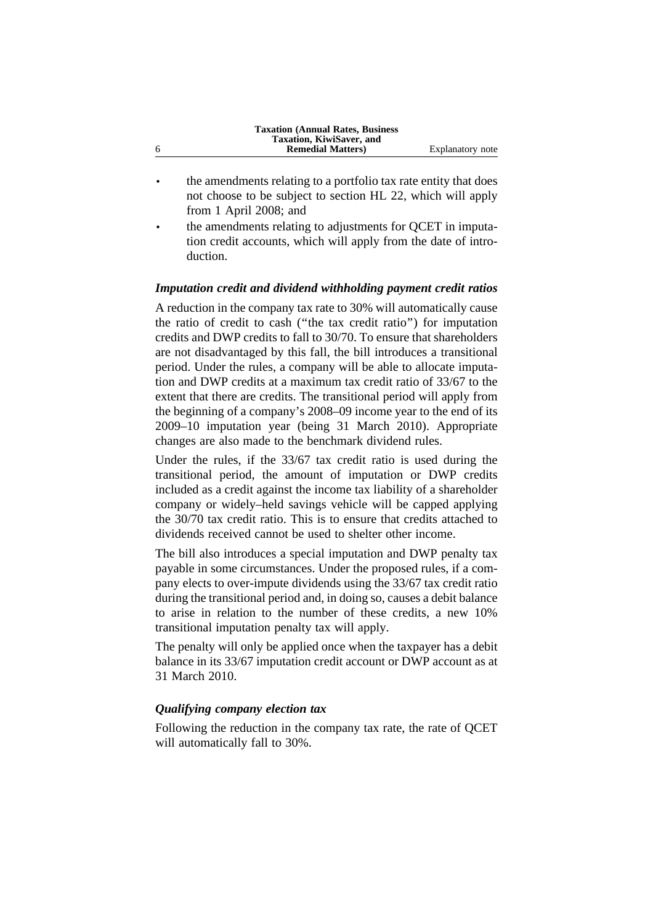|   | <b>Taxation (Annual Rates, Business)</b> |                  |
|---|------------------------------------------|------------------|
|   | Taxation, KiwiSaver, and                 |                  |
| 6 | <b>Remedial Matters</b> )                | Explanatory note |

- the amendments relating to a portfolio tax rate entity that does not choose to be subject to section HL 22, which will apply from 1 April 2008; and
- the amendments relating to adjustments for QCET in imputation credit accounts, which will apply from the date of introduction.

#### *Imputation credit and dividend withholding payment credit ratios*

A reduction in the company tax rate to 30% will automatically cause the ratio of credit to cash (''the tax credit ratio'') for imputation credits and DWP credits to fall to 30/70. To ensure that shareholders are not disadvantaged by this fall, the bill introduces a transitional period. Under the rules, a company will be able to allocate imputation and DWP credits at a maximum tax credit ratio of 33/67 to the extent that there are credits. The transitional period will apply from the beginning of a company's 2008–09 income year to the end of its 2009–10 imputation year (being 31 March 2010). Appropriate changes are also made to the benchmark dividend rules.

Under the rules, if the 33/67 tax credit ratio is used during the transitional period, the amount of imputation or DWP credits included as a credit against the income tax liability of a shareholder company or widely–held savings vehicle will be capped applying the 30/70 tax credit ratio. This is to ensure that credits attached to dividends received cannot be used to shelter other income.

The bill also introduces a special imputation and DWP penalty tax payable in some circumstances. Under the proposed rules, if a company elects to over-impute dividends using the 33/67 tax credit ratio during the transitional period and, in doing so, causes a debit balance to arise in relation to the number of these credits, a new 10% transitional imputation penalty tax will apply.

The penalty will only be applied once when the taxpayer has a debit balance in its 33/67 imputation credit account or DWP account as at 31 March 2010.

#### *Qualifying company election tax*

Following the reduction in the company tax rate, the rate of QCET will automatically fall to 30%.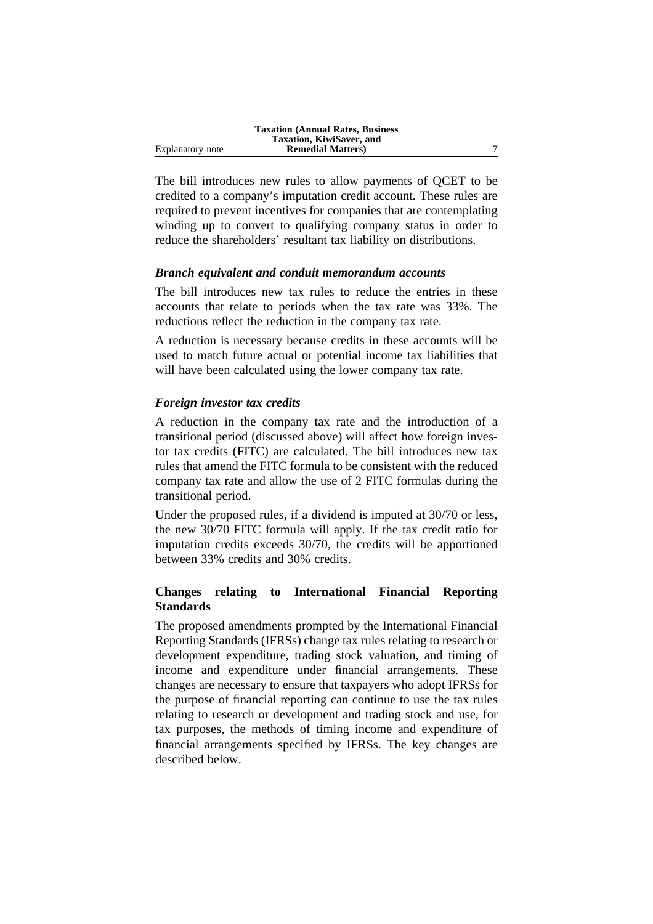|                  | <b>Taxation (Annual Rates, Business)</b> |  |
|------------------|------------------------------------------|--|
|                  | Taxation, KiwiSaver, and                 |  |
| Explanatory note | <b>Remedial Matters</b> )                |  |

The bill introduces new rules to allow payments of QCET to be credited to a company's imputation credit account. These rules are required to prevent incentives for companies that are contemplating winding up to convert to qualifying company status in order to reduce the shareholders' resultant tax liability on distributions.

### *Branch equivalent and conduit memorandum accounts*

The bill introduces new tax rules to reduce the entries in these accounts that relate to periods when the tax rate was 33%. The reductions reflect the reduction in the company tax rate.

A reduction is necessary because credits in these accounts will be used to match future actual or potential income tax liabilities that will have been calculated using the lower company tax rate.

#### *Foreign investor tax credits*

A reduction in the company tax rate and the introduction of a transitional period (discussed above) will affect how foreign investor tax credits (FITC) are calculated. The bill introduces new tax rules that amend the FITC formula to be consistent with the reduced company tax rate and allow the use of 2 FITC formulas during the transitional period.

Under the proposed rules, if a dividend is imputed at 30/70 or less, the new 30/70 FITC formula will apply. If the tax credit ratio for imputation credits exceeds 30/70, the credits will be apportioned between 33% credits and 30% credits.

### **Changes relating to International Financial Reporting Standards**

The proposed amendments prompted by the International Financial Reporting Standards (IFRSs) change tax rules relating to research or development expenditure, trading stock valuation, and timing of income and expenditure under financial arrangements. These changes are necessary to ensure that taxpayers who adopt IFRSs for the purpose of financial reporting can continue to use the tax rules relating to research or development and trading stock and use, for tax purposes, the methods of timing income and expenditure of financial arrangements specified by IFRSs. The key changes are described below.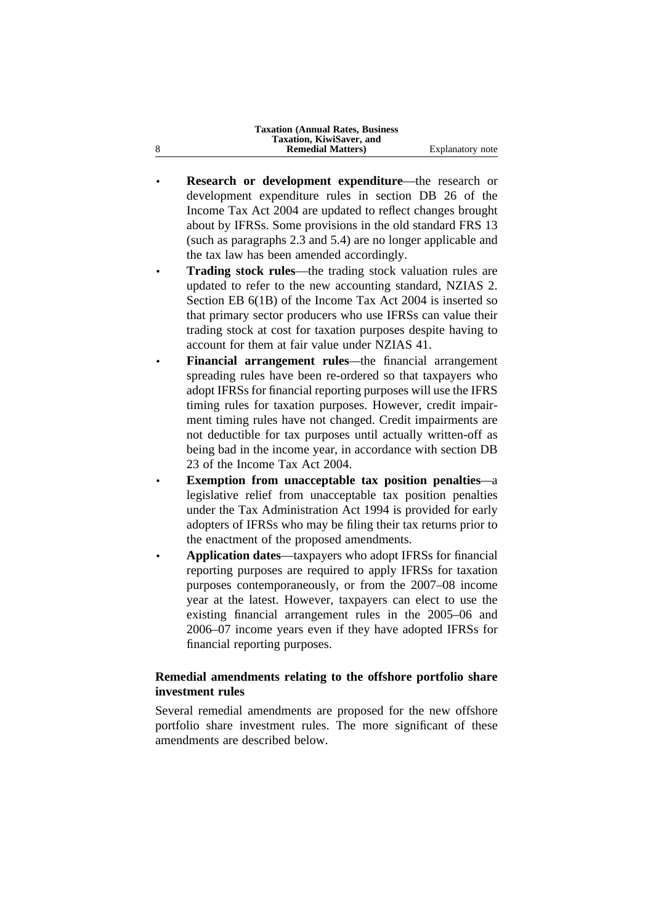**Taxation (Annual Rates, Business Taxation, KiwiSaver, and** 8 **Remedial Matters**) Explanatory note

- **Research or development expenditure—the research or** development expenditure rules in section DB 26 of the Income Tax Act 2004 are updated to reflect changes brought about by IFRSs. Some provisions in the old standard FRS 13 (such as paragraphs 2.3 and 5.4) are no longer applicable and the tax law has been amended accordingly.
- **Trading stock rules**—the trading stock valuation rules are updated to refer to the new accounting standard, NZIAS 2. Section EB 6(1B) of the Income Tax Act 2004 is inserted so that primary sector producers who use IFRSs can value their trading stock at cost for taxation purposes despite having to account for them at fair value under NZIAS 41.
- **Financial arrangement rules***—*the financial arrangement spreading rules have been re-ordered so that taxpayers who adopt IFRSs for financial reporting purposes will use the IFRS timing rules for taxation purposes. However, credit impairment timing rules have not changed. Credit impairments are not deductible for tax purposes until actually written-off as being bad in the income year, in accordance with section DB 23 of the Income Tax Act 2004.
- **Exemption from unacceptable tax position penalties***—*a legislative relief from unacceptable tax position penalties under the Tax Administration Act 1994 is provided for early adopters of IFRSs who may be filing their tax returns prior to the enactment of the proposed amendments.
- **Application dates**—taxpayers who adopt IFRSs for financial reporting purposes are required to apply IFRSs for taxation purposes contemporaneously, or from the 2007–08 income year at the latest. However, taxpayers can elect to use the existing financial arrangement rules in the 2005–06 and 2006–07 income years even if they have adopted IFRSs for financial reporting purposes.

# **Remedial amendments relating to the offshore portfolio share investment rules**

Several remedial amendments are proposed for the new offshore portfolio share investment rules. The more significant of these amendments are described below.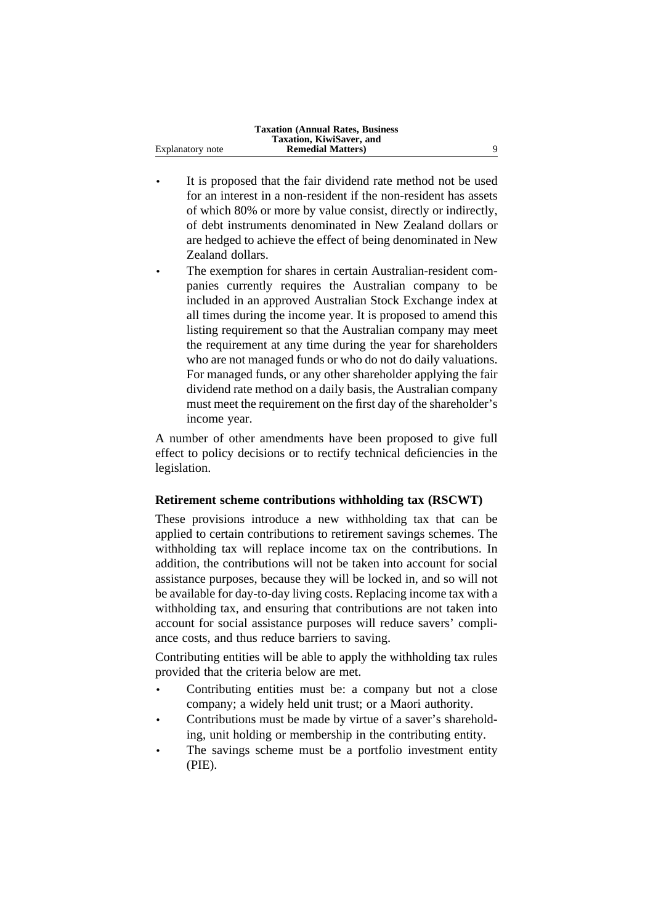|                  | <b>Taxation (Annual Rates, Business)</b> |  |
|------------------|------------------------------------------|--|
|                  | Taxation, KiwiSaver, and                 |  |
| Explanatory note | <b>Remedial Matters</b> )                |  |

- It is proposed that the fair dividend rate method not be used for an interest in a non-resident if the non-resident has assets of which 80% or more by value consist, directly or indirectly, of debt instruments denominated in New Zealand dollars or are hedged to achieve the effect of being denominated in New Zealand dollars.
- The exemption for shares in certain Australian-resident companies currently requires the Australian company to be included in an approved Australian Stock Exchange index at all times during the income year. It is proposed to amend this listing requirement so that the Australian company may meet the requirement at any time during the year for shareholders who are not managed funds or who do not do daily valuations. For managed funds, or any other shareholder applying the fair dividend rate method on a daily basis, the Australian company must meet the requirement on the first day of the shareholder's income year.

A number of other amendments have been proposed to give full effect to policy decisions or to rectify technical deficiencies in the legislation.

### **Retirement scheme contributions withholding tax (RSCWT)**

These provisions introduce a new withholding tax that can be applied to certain contributions to retirement savings schemes. The withholding tax will replace income tax on the contributions. In addition, the contributions will not be taken into account for social assistance purposes, because they will be locked in, and so will not be available for day-to-day living costs. Replacing income tax with a withholding tax, and ensuring that contributions are not taken into account for social assistance purposes will reduce savers' compliance costs, and thus reduce barriers to saving.

Contributing entities will be able to apply the withholding tax rules provided that the criteria below are met.

- Contributing entities must be: a company but not a close company; a widely held unit trust; or a Maori authority.
- Contributions must be made by virtue of a saver's shareholding, unit holding or membership in the contributing entity.
- The savings scheme must be a portfolio investment entity (PIE).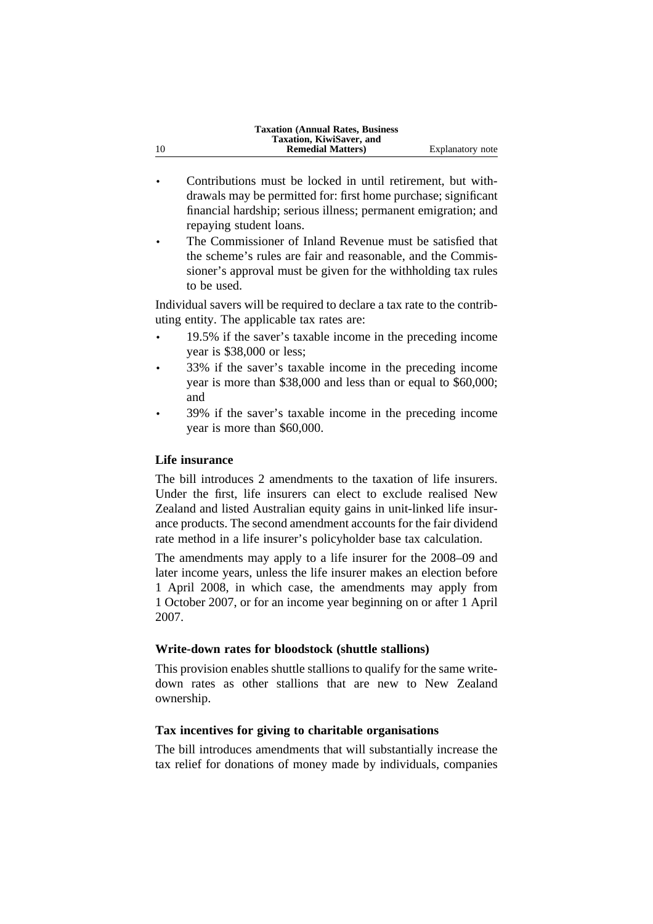|    | <b>Taxation (Annual Rates, Business)</b> |                  |
|----|------------------------------------------|------------------|
|    | Taxation, KiwiSaver, and                 |                  |
| 10 | <b>Remedial Matters</b> )                | Explanatory note |
|    |                                          |                  |

- Contributions must be locked in until retirement, but withdrawals may be permitted for: first home purchase; significant financial hardship; serious illness; permanent emigration; and repaying student loans.
- The Commissioner of Inland Revenue must be satisfied that the scheme's rules are fair and reasonable, and the Commissioner's approval must be given for the withholding tax rules to be used.

Individual savers will be required to declare a tax rate to the contributing entity. The applicable tax rates are:

- 19.5% if the saver's taxable income in the preceding income year is \$38,000 or less;
- 33% if the saver's taxable income in the preceding income year is more than \$38,000 and less than or equal to \$60,000; and
- 39% if the saver's taxable income in the preceding income year is more than \$60,000.

### **Life insurance**

The bill introduces 2 amendments to the taxation of life insurers. Under the first, life insurers can elect to exclude realised New Zealand and listed Australian equity gains in unit-linked life insurance products. The second amendment accounts for the fair dividend rate method in a life insurer's policyholder base tax calculation.

The amendments may apply to a life insurer for the 2008–09 and later income years, unless the life insurer makes an election before 1 April 2008, in which case, the amendments may apply from 1 October 2007, or for an income year beginning on or after 1 April 2007.

### **Write-down rates for bloodstock (shuttle stallions)**

This provision enables shuttle stallions to qualify for the same writedown rates as other stallions that are new to New Zealand ownership.

# **Tax incentives for giving to charitable organisations**

The bill introduces amendments that will substantially increase the tax relief for donations of money made by individuals, companies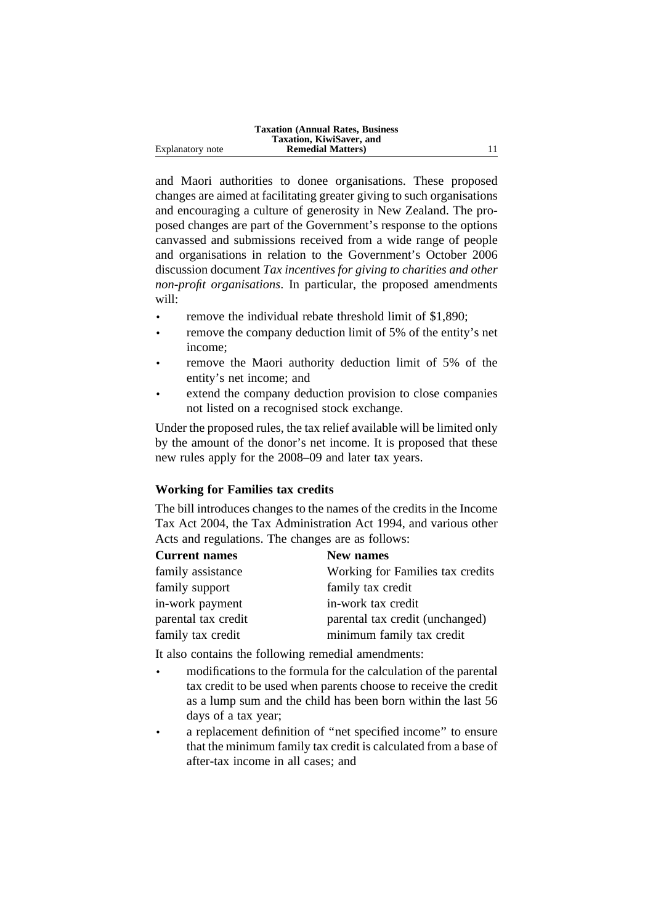|                  | <b>Taxation (Annual Rates, Business)</b> |  |
|------------------|------------------------------------------|--|
|                  | Taxation, KiwiSaver, and                 |  |
| Explanatory note | <b>Remedial Matters</b> )                |  |

and Maori authorities to donee organisations. These proposed changes are aimed at facilitating greater giving to such organisations and encouraging a culture of generosity in New Zealand. The proposed changes are part of the Government's response to the options canvassed and submissions received from a wide range of people and organisations in relation to the Government's October 2006 discussion document *Tax incentives for giving to charities and other non-profit organisations*. In particular, the proposed amendments will:

- remove the individual rebate threshold limit of \$1,890;
- remove the company deduction limit of 5% of the entity's net income;
- remove the Maori authority deduction limit of 5% of the entity's net income; and
- extend the company deduction provision to close companies not listed on a recognised stock exchange.

Under the proposed rules, the tax relief available will be limited only by the amount of the donor's net income. It is proposed that these new rules apply for the 2008–09 and later tax years.

### **Working for Families tax credits**

The bill introduces changes to the names of the credits in the Income Tax Act 2004, the Tax Administration Act 1994, and various other Acts and regulations. The changes are as follows:

| <b>Current names</b> | <b>New names</b>                 |
|----------------------|----------------------------------|
| family assistance    | Working for Families tax credits |
| family support       | family tax credit                |
| in-work payment      | in-work tax credit               |
| parental tax credit  | parental tax credit (unchanged)  |
| family tax credit    | minimum family tax credit        |

It also contains the following remedial amendments:

- modifications to the formula for the calculation of the parental tax credit to be used when parents choose to receive the credit as a lump sum and the child has been born within the last 56 days of a tax year;
- a replacement definition of ''net specified income'' to ensure that the minimum family tax credit is calculated from a base of after-tax income in all cases; and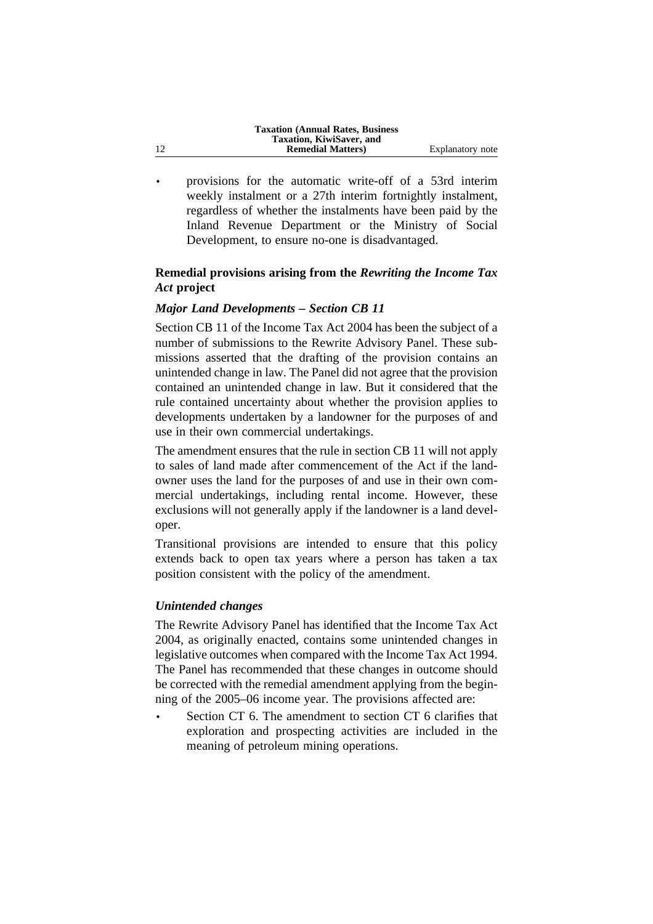|    | <b>Taxation (Annual Rates, Business)</b> |                  |
|----|------------------------------------------|------------------|
|    | Taxation, KiwiSaver, and                 |                  |
| 12 | <b>Remedial Matters</b> )                | Explanatory note |

• provisions for the automatic write-off of a 53rd interim weekly instalment or a 27th interim fortnightly instalment, regardless of whether the instalments have been paid by the Inland Revenue Department or the Ministry of Social Development, to ensure no-one is disadvantaged.

# **Remedial provisions arising from the** *Rewriting the Income Tax Act* **project**

### *Major Land Developments – Section CB 11*

Section CB 11 of the Income Tax Act 2004 has been the subject of a number of submissions to the Rewrite Advisory Panel. These submissions asserted that the drafting of the provision contains an unintended change in law. The Panel did not agree that the provision contained an unintended change in law. But it considered that the rule contained uncertainty about whether the provision applies to developments undertaken by a landowner for the purposes of and use in their own commercial undertakings.

The amendment ensures that the rule in section CB 11 will not apply to sales of land made after commencement of the Act if the landowner uses the land for the purposes of and use in their own commercial undertakings, including rental income. However, these exclusions will not generally apply if the landowner is a land developer.

Transitional provisions are intended to ensure that this policy extends back to open tax years where a person has taken a tax position consistent with the policy of the amendment.

#### *Unintended changes*

The Rewrite Advisory Panel has identified that the Income Tax Act 2004, as originally enacted, contains some unintended changes in legislative outcomes when compared with the Income Tax Act 1994. The Panel has recommended that these changes in outcome should be corrected with the remedial amendment applying from the beginning of the 2005–06 income year. The provisions affected are:

Section CT 6. The amendment to section CT 6 clarifies that exploration and prospecting activities are included in the meaning of petroleum mining operations.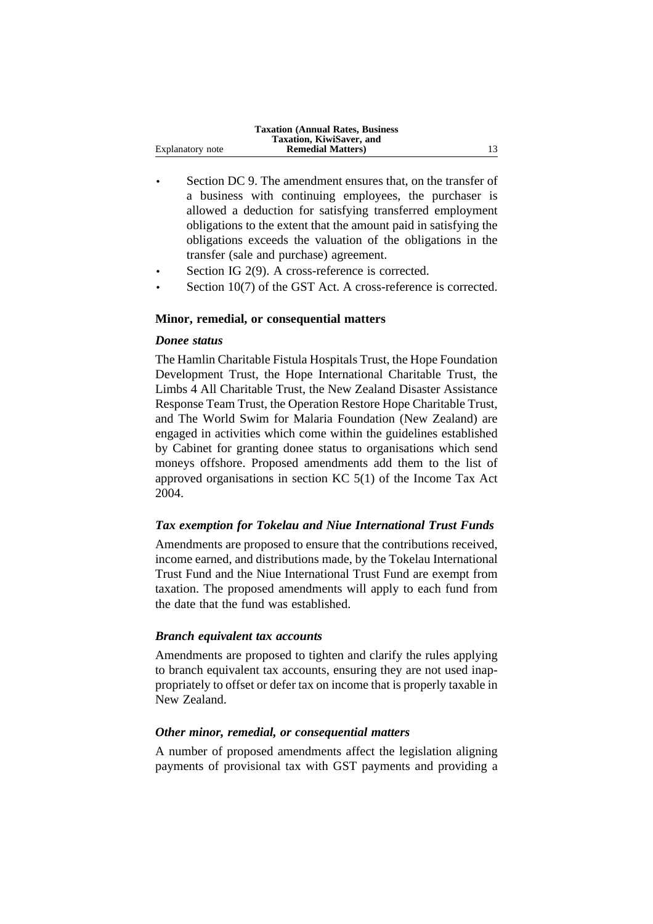|                  | <b>Taxation (Annual Rates, Business)</b> |    |
|------------------|------------------------------------------|----|
|                  | Taxation, KiwiSaver, and                 |    |
| Explanatory note | <b>Remedial Matters</b> )                | 13 |

- Section DC 9. The amendment ensures that, on the transfer of a business with continuing employees, the purchaser is allowed a deduction for satisfying transferred employment obligations to the extent that the amount paid in satisfying the obligations exceeds the valuation of the obligations in the transfer (sale and purchase) agreement.
- Section IG 2(9). A cross-reference is corrected.
- Section 10(7) of the GST Act. A cross-reference is corrected.

#### **Minor, remedial, or consequential matters**

#### *Donee status*

The Hamlin Charitable Fistula Hospitals Trust, the Hope Foundation Development Trust, the Hope International Charitable Trust, the Limbs 4 All Charitable Trust, the New Zealand Disaster Assistance Response Team Trust, the Operation Restore Hope Charitable Trust, and The World Swim for Malaria Foundation (New Zealand) are engaged in activities which come within the guidelines established by Cabinet for granting donee status to organisations which send moneys offshore. Proposed amendments add them to the list of approved organisations in section KC 5(1) of the Income Tax Act 2004.

#### *Tax exemption for Tokelau and Niue International Trust Funds*

Amendments are proposed to ensure that the contributions received, income earned, and distributions made, by the Tokelau International Trust Fund and the Niue International Trust Fund are exempt from taxation. The proposed amendments will apply to each fund from the date that the fund was established.

#### *Branch equivalent tax accounts*

Amendments are proposed to tighten and clarify the rules applying to branch equivalent tax accounts, ensuring they are not used inappropriately to offset or defer tax on income that is properly taxable in New Zealand.

### *Other minor, remedial, or consequential matters*

A number of proposed amendments affect the legislation aligning payments of provisional tax with GST payments and providing a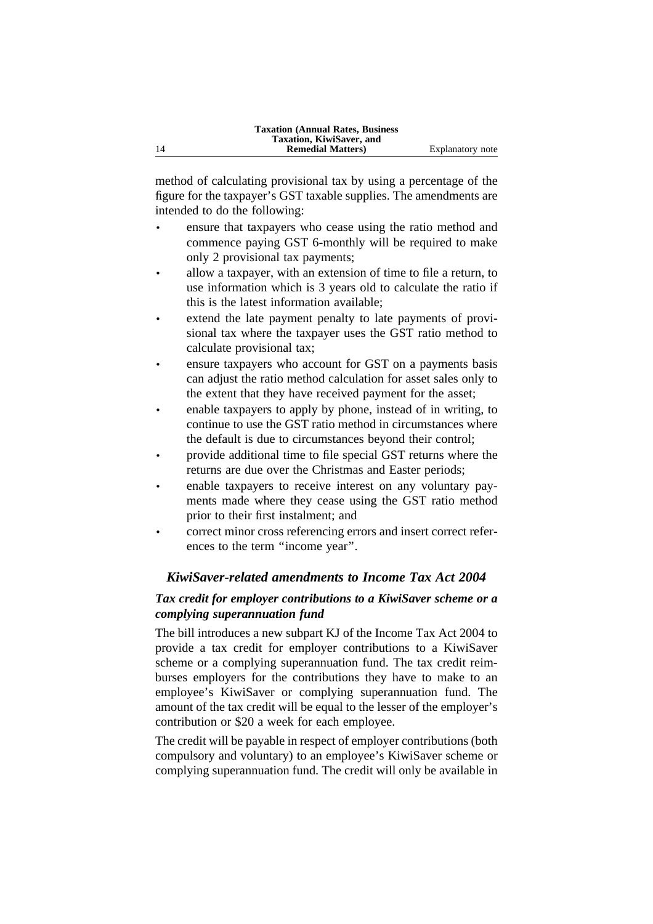method of calculating provisional tax by using a percentage of the figure for the taxpayer's GST taxable supplies. The amendments are intended to do the following:

- ensure that taxpayers who cease using the ratio method and commence paying GST 6-monthly will be required to make only 2 provisional tax payments;
- allow a taxpayer, with an extension of time to file a return, to use information which is 3 years old to calculate the ratio if this is the latest information available;
- extend the late payment penalty to late payments of provisional tax where the taxpayer uses the GST ratio method to calculate provisional tax;
- ensure taxpayers who account for GST on a payments basis can adjust the ratio method calculation for asset sales only to the extent that they have received payment for the asset;
- enable taxpayers to apply by phone, instead of in writing, to continue to use the GST ratio method in circumstances where the default is due to circumstances beyond their control;
- provide additional time to file special GST returns where the returns are due over the Christmas and Easter periods;
- enable taxpayers to receive interest on any voluntary payments made where they cease using the GST ratio method prior to their first instalment; and
- correct minor cross referencing errors and insert correct references to the term ''income year''.

# *KiwiSaver-related amendments to Income Tax Act 2004*

# *Tax credit for employer contributions to a KiwiSaver scheme or a complying superannuation fund*

The bill introduces a new subpart KJ of the Income Tax Act 2004 to provide a tax credit for employer contributions to a KiwiSaver scheme or a complying superannuation fund. The tax credit reimburses employers for the contributions they have to make to an employee's KiwiSaver or complying superannuation fund. The amount of the tax credit will be equal to the lesser of the employer's contribution or \$20 a week for each employee.

The credit will be payable in respect of employer contributions (both compulsory and voluntary) to an employee's KiwiSaver scheme or complying superannuation fund. The credit will only be available in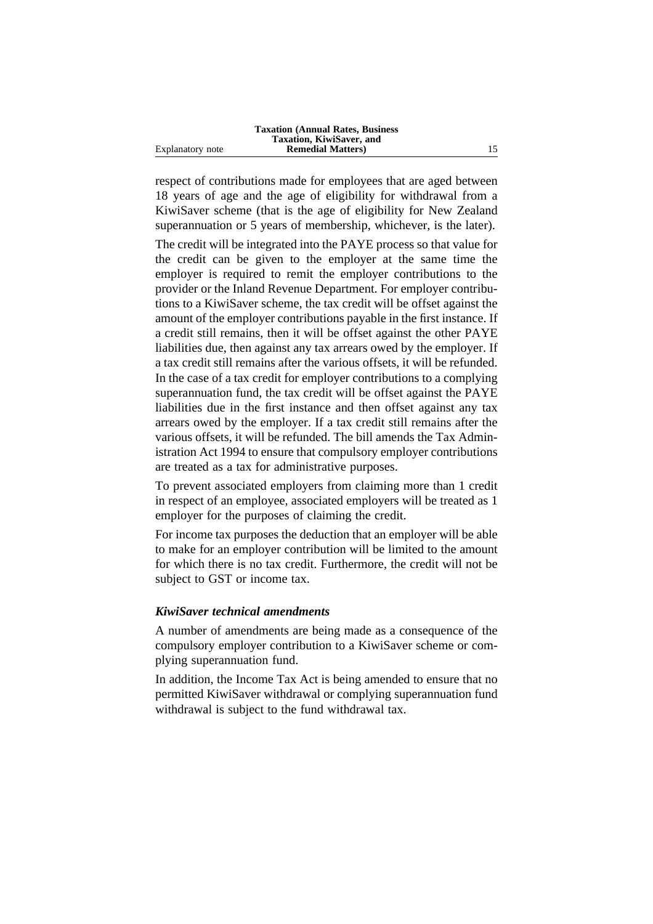|                  | <b>Taxation (Annual Rates, Business)</b> |  |
|------------------|------------------------------------------|--|
|                  | Taxation, KiwiSaver, and                 |  |
| Explanatory note | <b>Remedial Matters</b> )                |  |

respect of contributions made for employees that are aged between 18 years of age and the age of eligibility for withdrawal from a KiwiSaver scheme (that is the age of eligibility for New Zealand superannuation or 5 years of membership, whichever, is the later).

The credit will be integrated into the PAYE process so that value for the credit can be given to the employer at the same time the employer is required to remit the employer contributions to the provider or the Inland Revenue Department. For employer contributions to a KiwiSaver scheme, the tax credit will be offset against the amount of the employer contributions payable in the first instance. If a credit still remains, then it will be offset against the other PAYE liabilities due, then against any tax arrears owed by the employer. If a tax credit still remains after the various offsets, it will be refunded. In the case of a tax credit for employer contributions to a complying superannuation fund, the tax credit will be offset against the PAYE liabilities due in the first instance and then offset against any tax arrears owed by the employer. If a tax credit still remains after the various offsets, it will be refunded. The bill amends the Tax Administration Act 1994 to ensure that compulsory employer contributions are treated as a tax for administrative purposes.

To prevent associated employers from claiming more than 1 credit in respect of an employee, associated employers will be treated as 1 employer for the purposes of claiming the credit.

For income tax purposes the deduction that an employer will be able to make for an employer contribution will be limited to the amount for which there is no tax credit. Furthermore, the credit will not be subject to GST or income tax.

#### *KiwiSaver technical amendments*

A number of amendments are being made as a consequence of the compulsory employer contribution to a KiwiSaver scheme or complying superannuation fund.

In addition, the Income Tax Act is being amended to ensure that no permitted KiwiSaver withdrawal or complying superannuation fund withdrawal is subject to the fund withdrawal tax.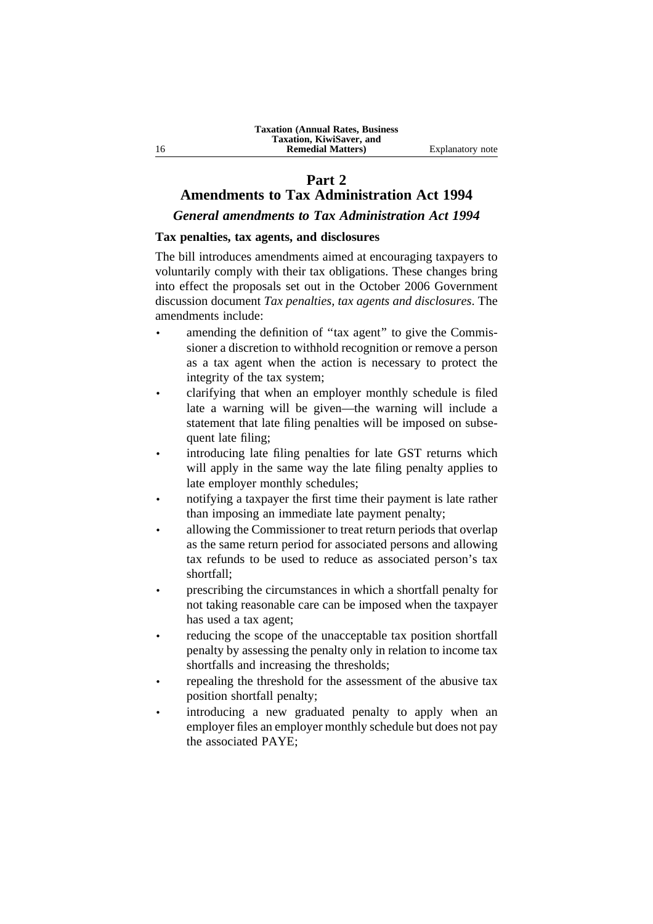# **Part 2**

# **Amendments to Tax Administration Act 1994**

*General amendments to Tax Administration Act 1994*

### **Tax penalties, tax agents, and disclosures**

The bill introduces amendments aimed at encouraging taxpayers to voluntarily comply with their tax obligations. These changes bring into effect the proposals set out in the October 2006 Government discussion document *Tax penalties, tax agents and disclosures*. The amendments include:

- amending the definition of "tax agent" to give the Commissioner a discretion to withhold recognition or remove a person as a tax agent when the action is necessary to protect the integrity of the tax system;
- clarifying that when an employer monthly schedule is filed late a warning will be given—the warning will include a statement that late filing penalties will be imposed on subsequent late filing;
- introducing late filing penalties for late GST returns which will apply in the same way the late filing penalty applies to late employer monthly schedules;
- notifying a taxpayer the first time their payment is late rather than imposing an immediate late payment penalty;
- allowing the Commissioner to treat return periods that overlap as the same return period for associated persons and allowing tax refunds to be used to reduce as associated person's tax shortfall;
- prescribing the circumstances in which a shortfall penalty for not taking reasonable care can be imposed when the taxpayer has used a tax agent;
- reducing the scope of the unacceptable tax position shortfall penalty by assessing the penalty only in relation to income tax shortfalls and increasing the thresholds;
- repealing the threshold for the assessment of the abusive tax position shortfall penalty;
- introducing a new graduated penalty to apply when an employer files an employer monthly schedule but does not pay the associated PAYE;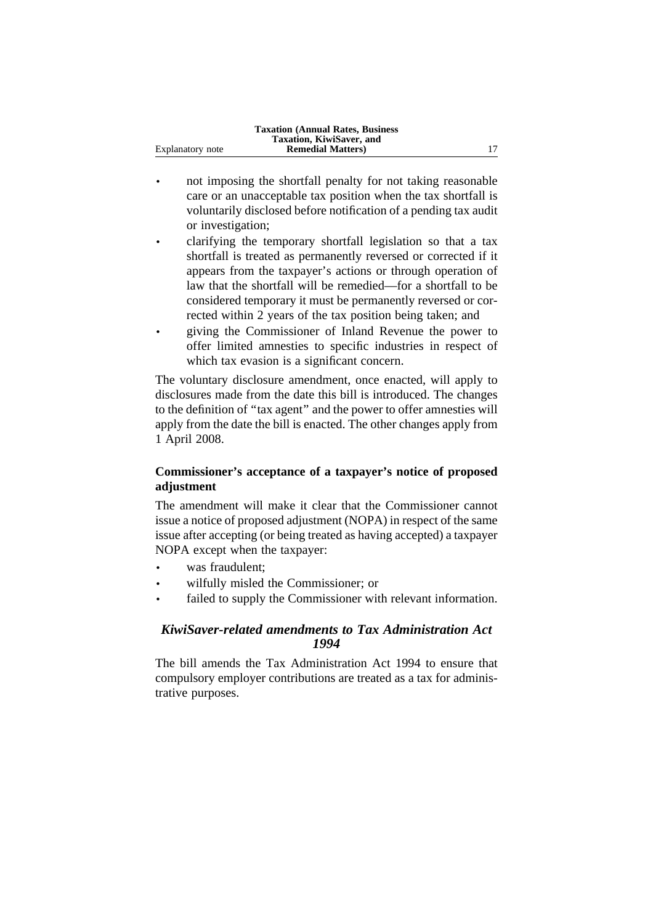|                  | <b>Taxation (Annual Rates, Business)</b> |  |
|------------------|------------------------------------------|--|
|                  | Taxation, KiwiSaver, and                 |  |
| Explanatory note | <b>Remedial Matters</b> )                |  |

- not imposing the shortfall penalty for not taking reasonable care or an unacceptable tax position when the tax shortfall is voluntarily disclosed before notification of a pending tax audit or investigation;
- clarifying the temporary shortfall legislation so that a tax shortfall is treated as permanently reversed or corrected if it appears from the taxpayer's actions or through operation of law that the shortfall will be remedied—for a shortfall to be considered temporary it must be permanently reversed or corrected within 2 years of the tax position being taken; and
- giving the Commissioner of Inland Revenue the power to offer limited amnesties to specific industries in respect of which tax evasion is a significant concern.

The voluntary disclosure amendment, once enacted, will apply to disclosures made from the date this bill is introduced. The changes to the definition of ''tax agent'' and the power to offer amnesties will apply from the date the bill is enacted. The other changes apply from 1 April 2008.

# **Commissioner's acceptance of a taxpayer's notice of proposed adjustment**

The amendment will make it clear that the Commissioner cannot issue a notice of proposed adjustment (NOPA) in respect of the same issue after accepting (or being treated as having accepted) a taxpayer NOPA except when the taxpayer:

- was fraudulent:
- wilfully misled the Commissioner; or
- failed to supply the Commissioner with relevant information.

# *KiwiSaver-related amendments to Tax Administration Act 1994*

The bill amends the Tax Administration Act 1994 to ensure that compulsory employer contributions are treated as a tax for administrative purposes.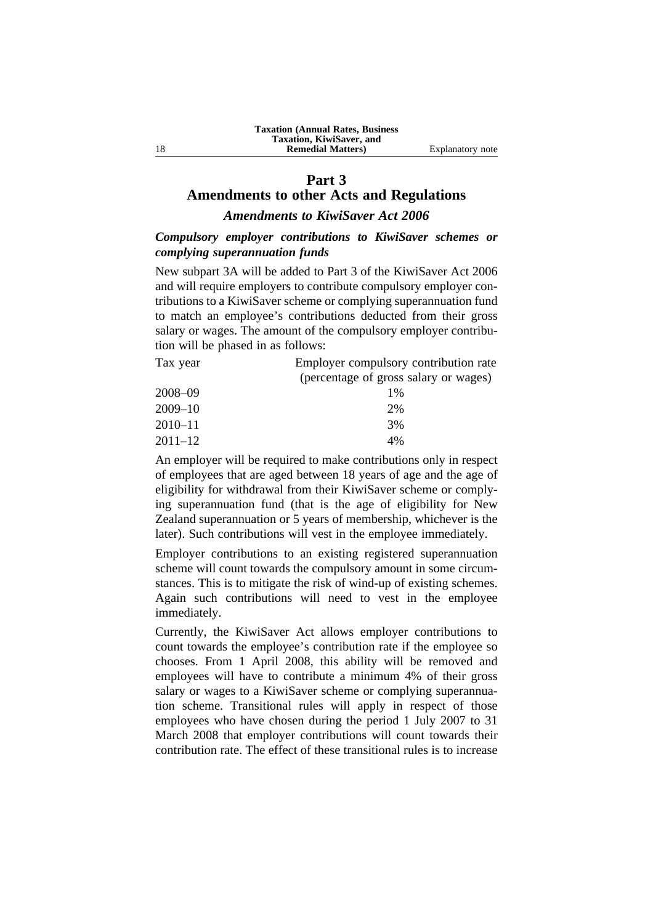### **Part 3**

# **Amendments to other Acts and Regulations**

# *Amendments to KiwiSaver Act 2006*

# *Compulsory employer contributions to KiwiSaver schemes or complying superannuation funds*

New subpart 3A will be added to Part 3 of the KiwiSaver Act 2006 and will require employers to contribute compulsory employer contributions to a KiwiSaver scheme or complying superannuation fund to match an employee's contributions deducted from their gross salary or wages. The amount of the compulsory employer contribution will be phased in as follows:

| Tax year | Employer compulsory contribution rate |
|----------|---------------------------------------|
|          | (percentage of gross salary or wages) |
| -------- |                                       |

| $1\%$ |
|-------|
| 2%    |
| 3%    |
| 4%    |
|       |

An employer will be required to make contributions only in respect of employees that are aged between 18 years of age and the age of eligibility for withdrawal from their KiwiSaver scheme or complying superannuation fund (that is the age of eligibility for New Zealand superannuation or 5 years of membership, whichever is the later). Such contributions will vest in the employee immediately.

Employer contributions to an existing registered superannuation scheme will count towards the compulsory amount in some circumstances. This is to mitigate the risk of wind-up of existing schemes. Again such contributions will need to vest in the employee immediately.

Currently, the KiwiSaver Act allows employer contributions to count towards the employee's contribution rate if the employee so chooses. From 1 April 2008, this ability will be removed and employees will have to contribute a minimum 4% of their gross salary or wages to a KiwiSaver scheme or complying superannuation scheme. Transitional rules will apply in respect of those employees who have chosen during the period 1 July 2007 to 31 March 2008 that employer contributions will count towards their contribution rate. The effect of these transitional rules is to increase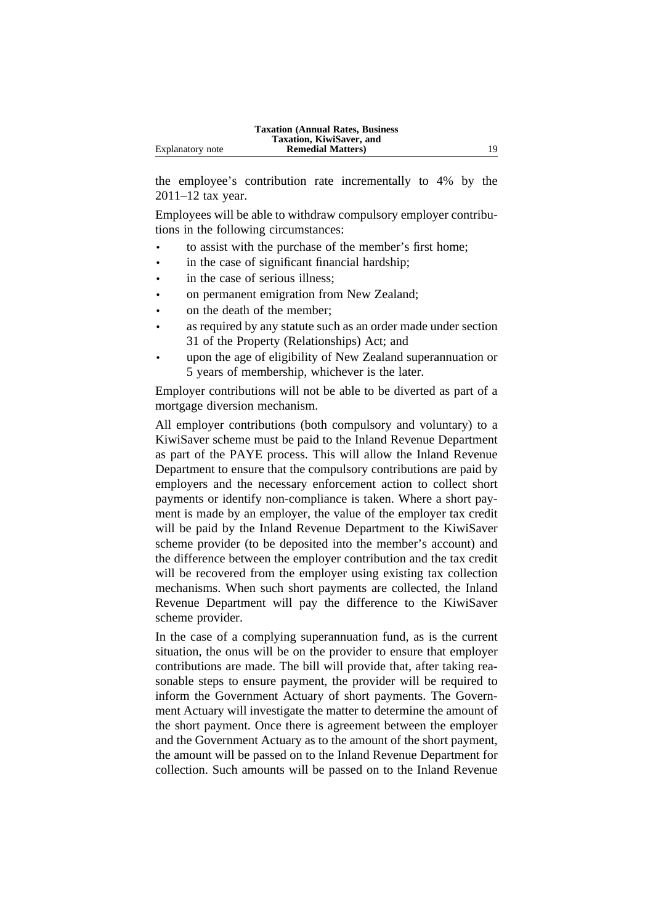the employee's contribution rate incrementally to 4% by the 2011–12 tax year.

Employees will be able to withdraw compulsory employer contributions in the following circumstances:

- to assist with the purchase of the member's first home;
- in the case of significant financial hardship;
- in the case of serious illness;
- on permanent emigration from New Zealand;
- on the death of the member;
- as required by any statute such as an order made under section 31 of the Property (Relationships) Act; and
- upon the age of eligibility of New Zealand superannuation or 5 years of membership, whichever is the later.

Employer contributions will not be able to be diverted as part of a mortgage diversion mechanism.

All employer contributions (both compulsory and voluntary) to a KiwiSaver scheme must be paid to the Inland Revenue Department as part of the PAYE process. This will allow the Inland Revenue Department to ensure that the compulsory contributions are paid by employers and the necessary enforcement action to collect short payments or identify non-compliance is taken. Where a short payment is made by an employer, the value of the employer tax credit will be paid by the Inland Revenue Department to the KiwiSaver scheme provider (to be deposited into the member's account) and the difference between the employer contribution and the tax credit will be recovered from the employer using existing tax collection mechanisms. When such short payments are collected, the Inland Revenue Department will pay the difference to the KiwiSaver scheme provider.

In the case of a complying superannuation fund, as is the current situation, the onus will be on the provider to ensure that employer contributions are made. The bill will provide that, after taking reasonable steps to ensure payment, the provider will be required to inform the Government Actuary of short payments. The Government Actuary will investigate the matter to determine the amount of the short payment. Once there is agreement between the employer and the Government Actuary as to the amount of the short payment, the amount will be passed on to the Inland Revenue Department for collection. Such amounts will be passed on to the Inland Revenue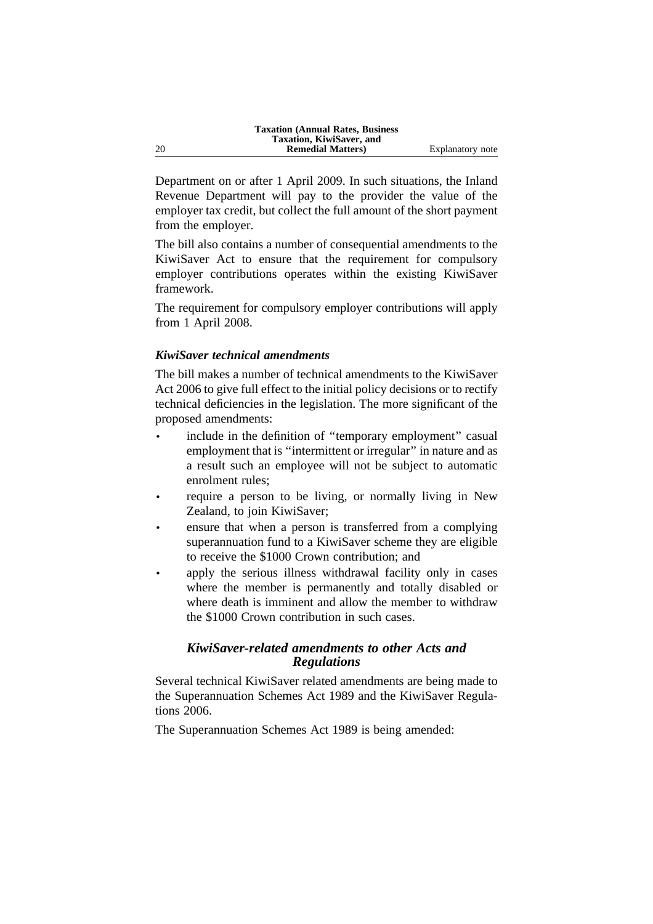Department on or after 1 April 2009. In such situations, the Inland Revenue Department will pay to the provider the value of the employer tax credit, but collect the full amount of the short payment from the employer.

The bill also contains a number of consequential amendments to the KiwiSaver Act to ensure that the requirement for compulsory employer contributions operates within the existing KiwiSaver framework.

The requirement for compulsory employer contributions will apply from 1 April 2008.

# *KiwiSaver technical amendments*

The bill makes a number of technical amendments to the KiwiSaver Act 2006 to give full effect to the initial policy decisions or to rectify technical deficiencies in the legislation. The more significant of the proposed amendments:

- include in the definition of "temporary employment" casual employment that is ''intermittent or irregular'' in nature and as a result such an employee will not be subject to automatic enrolment rules;
- require a person to be living, or normally living in New Zealand, to join KiwiSaver;
- ensure that when a person is transferred from a complying superannuation fund to a KiwiSaver scheme they are eligible to receive the \$1000 Crown contribution; and
- apply the serious illness withdrawal facility only in cases where the member is permanently and totally disabled or where death is imminent and allow the member to withdraw the \$1000 Crown contribution in such cases.

# *KiwiSaver-related amendments to other Acts and Regulations*

Several technical KiwiSaver related amendments are being made to the Superannuation Schemes Act 1989 and the KiwiSaver Regulations 2006.

The Superannuation Schemes Act 1989 is being amended: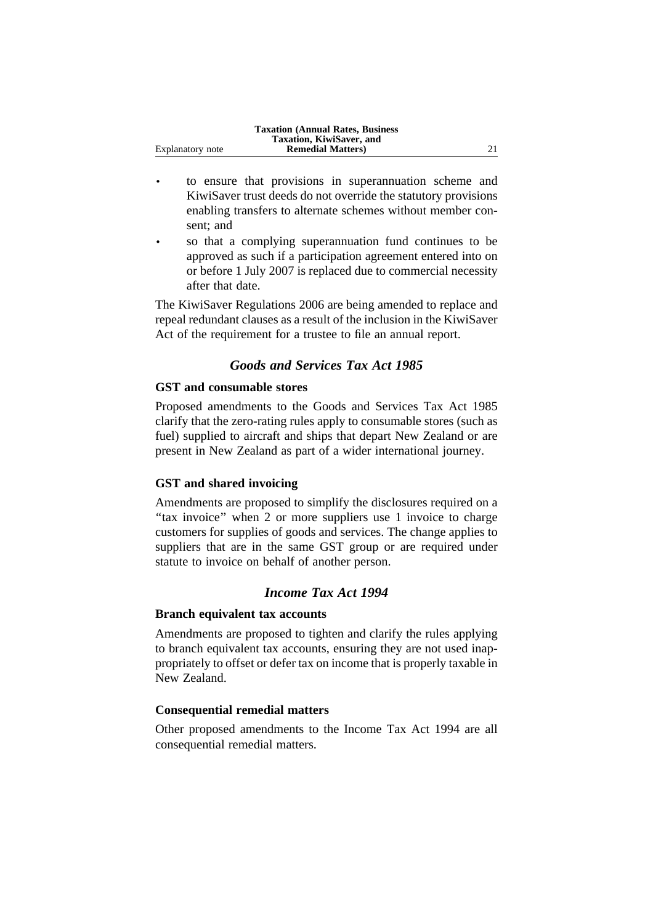|                  | <b>Taxation (Annual Rates, Business)</b> |  |
|------------------|------------------------------------------|--|
|                  | Taxation, KiwiSaver, and                 |  |
| Explanatory note | <b>Remedial Matters</b> )                |  |

- to ensure that provisions in superannuation scheme and KiwiSaver trust deeds do not override the statutory provisions enabling transfers to alternate schemes without member consent; and
- so that a complying superannuation fund continues to be approved as such if a participation agreement entered into on or before 1 July 2007 is replaced due to commercial necessity after that date.

The KiwiSaver Regulations 2006 are being amended to replace and repeal redundant clauses as a result of the inclusion in the KiwiSaver Act of the requirement for a trustee to file an annual report.

# *Goods and Services Tax Act 1985*

### **GST and consumable stores**

Proposed amendments to the Goods and Services Tax Act 1985 clarify that the zero-rating rules apply to consumable stores (such as fuel) supplied to aircraft and ships that depart New Zealand or are present in New Zealand as part of a wider international journey.

#### **GST and shared invoicing**

Amendments are proposed to simplify the disclosures required on a "tax invoice" when 2 or more suppliers use 1 invoice to charge customers for supplies of goods and services. The change applies to suppliers that are in the same GST group or are required under statute to invoice on behalf of another person.

# *Income Tax Act 1994*

#### **Branch equivalent tax accounts**

Amendments are proposed to tighten and clarify the rules applying to branch equivalent tax accounts, ensuring they are not used inappropriately to offset or defer tax on income that is properly taxable in New Zealand.

### **Consequential remedial matters**

Other proposed amendments to the Income Tax Act 1994 are all consequential remedial matters.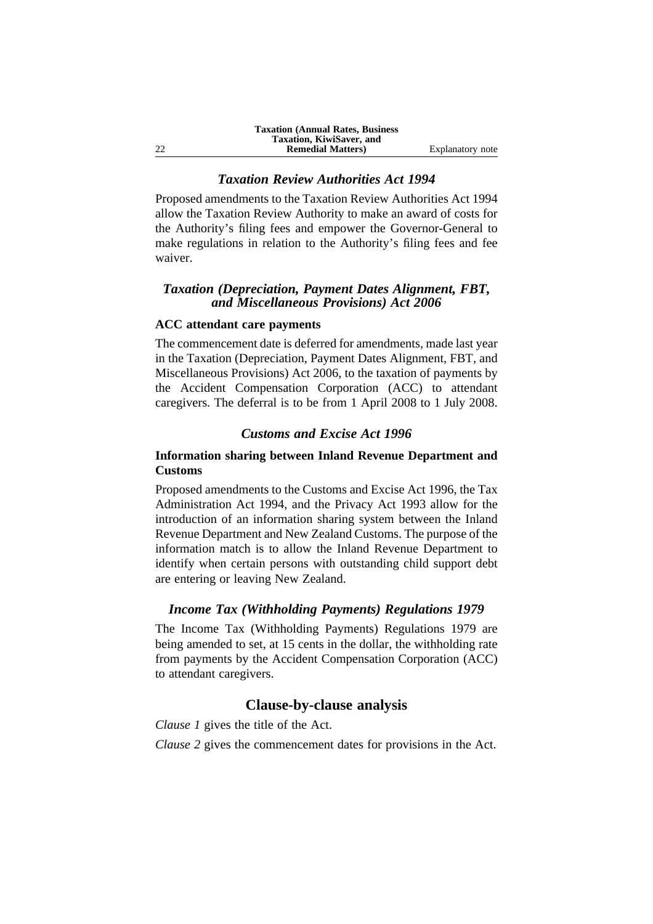### *Taxation Review Authorities Act 1994*

Proposed amendments to the Taxation Review Authorities Act 1994 allow the Taxation Review Authority to make an award of costs for the Authority's filing fees and empower the Governor-General to make regulations in relation to the Authority's filing fees and fee waiver.

### *Taxation (Depreciation, Payment Dates Alignment, FBT, and Miscellaneous Provisions) Act 2006*

### **ACC attendant care payments**

The commencement date is deferred for amendments, made last year in the Taxation (Depreciation, Payment Dates Alignment, FBT, and Miscellaneous Provisions) Act 2006, to the taxation of payments by the Accident Compensation Corporation (ACC) to attendant caregivers. The deferral is to be from 1 April 2008 to 1 July 2008.

# *Customs and Excise Act 1996*

# **Information sharing between Inland Revenue Department and Customs**

Proposed amendments to the Customs and Excise Act 1996, the Tax Administration Act 1994, and the Privacy Act 1993 allow for the introduction of an information sharing system between the Inland Revenue Department and New Zealand Customs. The purpose of the information match is to allow the Inland Revenue Department to identify when certain persons with outstanding child support debt are entering or leaving New Zealand.

### *Income Tax (Withholding Payments) Regulations 1979*

The Income Tax (Withholding Payments) Regulations 1979 are being amended to set, at 15 cents in the dollar, the withholding rate from payments by the Accident Compensation Corporation (ACC) to attendant caregivers.

# **Clause-by-clause analysis**

*Clause 1* gives the title of the Act.

*Clause 2* gives the commencement dates for provisions in the Act.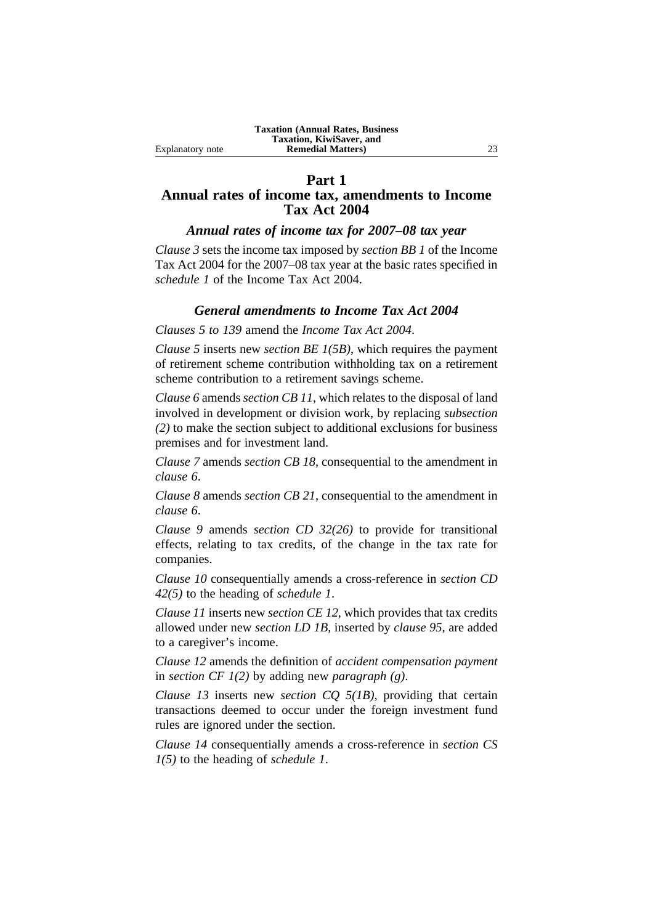### **Part 1 Annual rates of income tax, amendments to Income Tax Act 2004**

# *Annual rates of income tax for 2007–08 tax year*

*Clause 3* sets the income tax imposed by *section BB 1* of the Income Tax Act 2004 for the 2007–08 tax year at the basic rates specified in *schedule 1* of the Income Tax Act 2004.

# *General amendments to Income Tax Act 2004*

*Clauses 5 to 139* amend the *Income Tax Act 2004*.

*Clause 5* inserts new *section BE 1(5B)*, which requires the payment of retirement scheme contribution withholding tax on a retirement scheme contribution to a retirement savings scheme.

*Clause 6* amends *section CB 11*, which relates to the disposal of land involved in development or division work, by replacing *subsection (2)* to make the section subject to additional exclusions for business premises and for investment land.

*Clause 7* amends *section CB 18*, consequential to the amendment in *clause 6*.

*Clause 8* amends *section CB 21*, consequential to the amendment in *clause 6*.

*Clause 9* amends *section CD 32(26)* to provide for transitional effects, relating to tax credits, of the change in the tax rate for companies.

*Clause 10* consequentially amends a cross-reference in *section CD 42(5)* to the heading of *schedule 1*.

*Clause 11* inserts new *section CE 12*, which provides that tax credits allowed under new *section LD 1B*, inserted by *clause 95*, are added to a caregiver's income.

*Clause 12* amends the definition of *accident compensation payment* in *section CF 1(2)* by adding new *paragraph (g)*.

*Clause 13* inserts new *section CQ 5(1B)*, providing that certain transactions deemed to occur under the foreign investment fund rules are ignored under the section.

*Clause 14* consequentially amends a cross-reference in *section CS 1(5)* to the heading of *schedule 1*.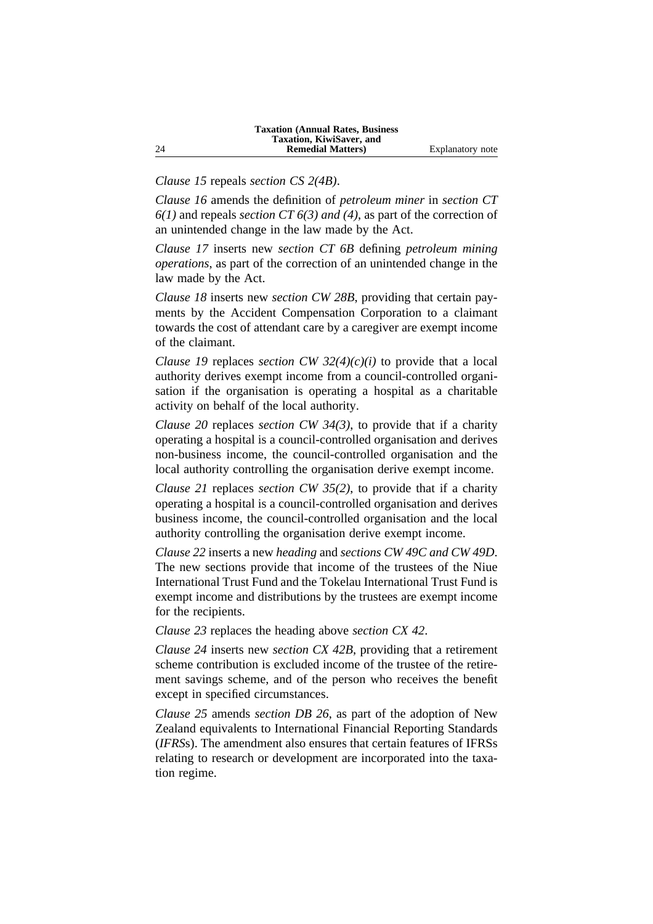*Clause 15* repeals *section CS 2(4B)*.

*Clause 16* amends the definition of *petroleum miner* in *section CT 6(1)* and repeals *section CT 6(3) and (4)*, as part of the correction of an unintended change in the law made by the Act.

*Clause 17* inserts new *section CT 6B* defining *petroleum mining operations*, as part of the correction of an unintended change in the law made by the Act.

*Clause 18* inserts new *section CW 28B*, providing that certain payments by the Accident Compensation Corporation to a claimant towards the cost of attendant care by a caregiver are exempt income of the claimant.

*Clause 19* replaces *section CW 32(4)(c)(i)* to provide that a local authority derives exempt income from a council-controlled organisation if the organisation is operating a hospital as a charitable activity on behalf of the local authority.

*Clause 20* replaces *section CW 34(3)*, to provide that if a charity operating a hospital is a council-controlled organisation and derives non-business income, the council-controlled organisation and the local authority controlling the organisation derive exempt income.

*Clause 21* replaces *section CW 35(2)*, to provide that if a charity operating a hospital is a council-controlled organisation and derives business income, the council-controlled organisation and the local authority controlling the organisation derive exempt income.

*Clause 22* inserts a new *heading* and *sections CW 49C and CW 49D*. The new sections provide that income of the trustees of the Niue International Trust Fund and the Tokelau International Trust Fund is exempt income and distributions by the trustees are exempt income for the recipients.

*Clause 23* replaces the heading above *section CX 42*.

*Clause 24* inserts new *section CX 42B*, providing that a retirement scheme contribution is excluded income of the trustee of the retirement savings scheme, and of the person who receives the benefit except in specified circumstances.

*Clause 25* amends *section DB 26*, as part of the adoption of New Zealand equivalents to International Financial Reporting Standards (*IFRS*s). The amendment also ensures that certain features of IFRSs relating to research or development are incorporated into the taxation regime.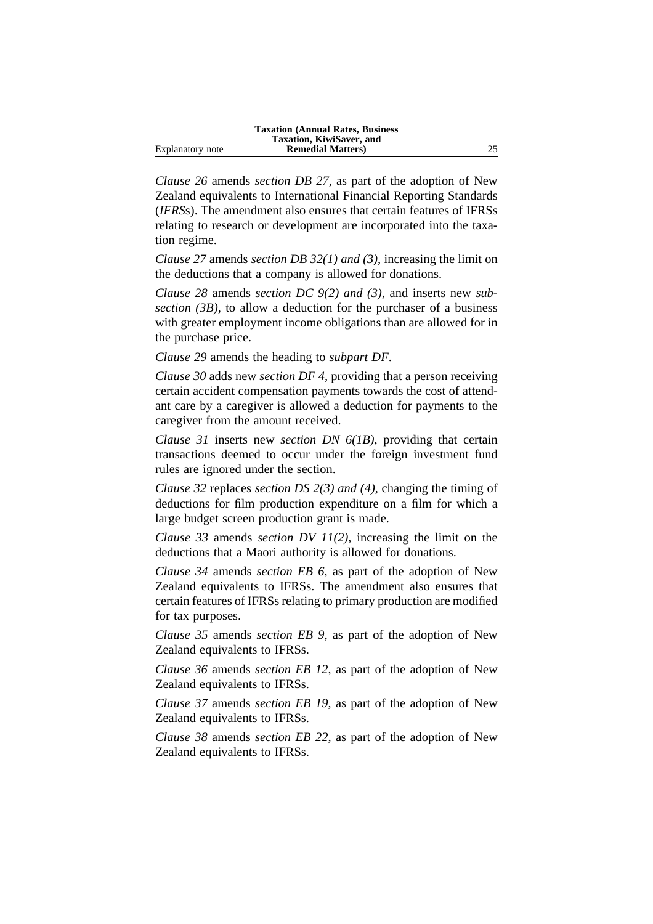|                  | <b>Taxation (Annual Rates, Business)</b> |    |
|------------------|------------------------------------------|----|
|                  | Taxation, KiwiSaver, and                 |    |
| Explanatory note | <b>Remedial Matters</b> )                | 25 |

*Clause 26* amends *section DB 27*, as part of the adoption of New Zealand equivalents to International Financial Reporting Standards (*IFRS*s). The amendment also ensures that certain features of IFRSs relating to research or development are incorporated into the taxation regime.

*Clause 27* amends *section DB 32(1) and (3)*, increasing the limit on the deductions that a company is allowed for donations.

*Clause 28* amends *section DC 9(2) and (3)*, and inserts new *subsection (3B)*, to allow a deduction for the purchaser of a business with greater employment income obligations than are allowed for in the purchase price.

*Clause 29* amends the heading to *subpart DF*.

*Clause 30* adds new *section DF 4*, providing that a person receiving certain accident compensation payments towards the cost of attendant care by a caregiver is allowed a deduction for payments to the caregiver from the amount received.

*Clause 31* inserts new *section DN 6(1B)*, providing that certain transactions deemed to occur under the foreign investment fund rules are ignored under the section.

*Clause 32* replaces *section DS 2(3) and (4)*, changing the timing of deductions for film production expenditure on a film for which a large budget screen production grant is made.

*Clause 33* amends *section DV 11(2)*, increasing the limit on the deductions that a Maori authority is allowed for donations.

*Clause 34* amends *section EB 6*, as part of the adoption of New Zealand equivalents to IFRSs. The amendment also ensures that certain features of IFRSs relating to primary production are modified for tax purposes.

*Clause 35* amends *section EB 9*, as part of the adoption of New Zealand equivalents to IFRSs.

*Clause 36* amends *section EB 12*, as part of the adoption of New Zealand equivalents to IFRSs.

*Clause 37* amends *section EB 19*, as part of the adoption of New Zealand equivalents to IFRSs.

*Clause 38* amends *section EB 22*, as part of the adoption of New Zealand equivalents to IFRSs.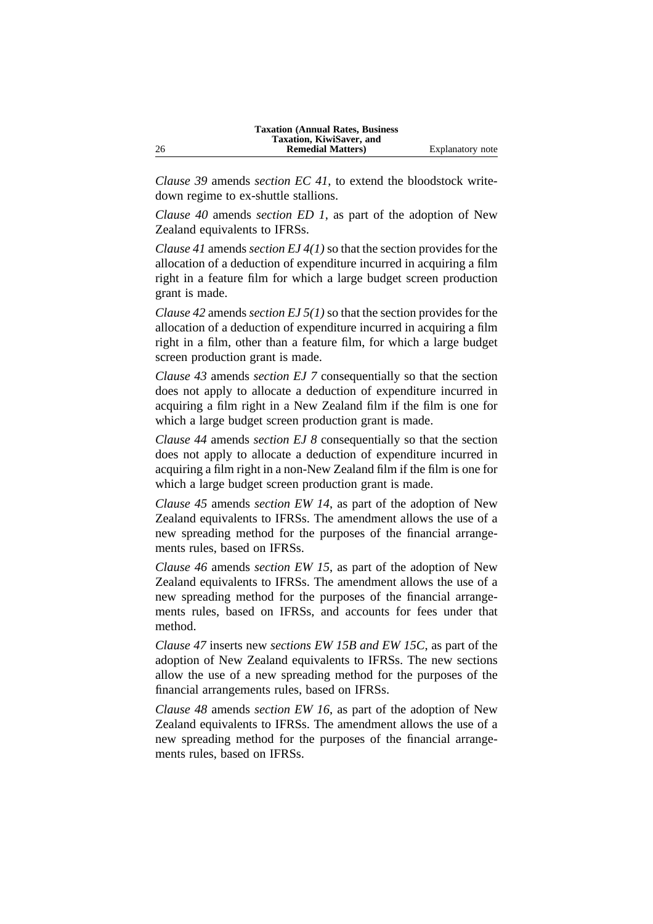*Clause 39* amends *section EC 41*, to extend the bloodstock writedown regime to ex-shuttle stallions.

*Clause 40* amends *section ED 1*, as part of the adoption of New Zealand equivalents to IFRSs.

*Clause 41* amends *section EJ 4(1)* so that the section provides for the allocation of a deduction of expenditure incurred in acquiring a film right in a feature film for which a large budget screen production grant is made.

*Clause 42* amends *section EJ 5(1)* so that the section provides for the allocation of a deduction of expenditure incurred in acquiring a film right in a film, other than a feature film, for which a large budget screen production grant is made.

*Clause 43* amends *section EJ 7* consequentially so that the section does not apply to allocate a deduction of expenditure incurred in acquiring a film right in a New Zealand film if the film is one for which a large budget screen production grant is made.

*Clause 44* amends *section EJ 8* consequentially so that the section does not apply to allocate a deduction of expenditure incurred in acquiring a film right in a non-New Zealand film if the film is one for which a large budget screen production grant is made.

*Clause 45* amends *section EW 14*, as part of the adoption of New Zealand equivalents to IFRSs. The amendment allows the use of a new spreading method for the purposes of the financial arrangements rules, based on IFRSs.

*Clause 46* amends *section EW 15*, as part of the adoption of New Zealand equivalents to IFRSs. The amendment allows the use of a new spreading method for the purposes of the financial arrangements rules, based on IFRSs, and accounts for fees under that method.

*Clause 47* inserts new *sections EW 15B and EW 15C*, as part of the adoption of New Zealand equivalents to IFRSs. The new sections allow the use of a new spreading method for the purposes of the financial arrangements rules, based on IFRSs.

*Clause 48* amends *section EW 16*, as part of the adoption of New Zealand equivalents to IFRSs. The amendment allows the use of a new spreading method for the purposes of the financial arrangements rules, based on IFRSs.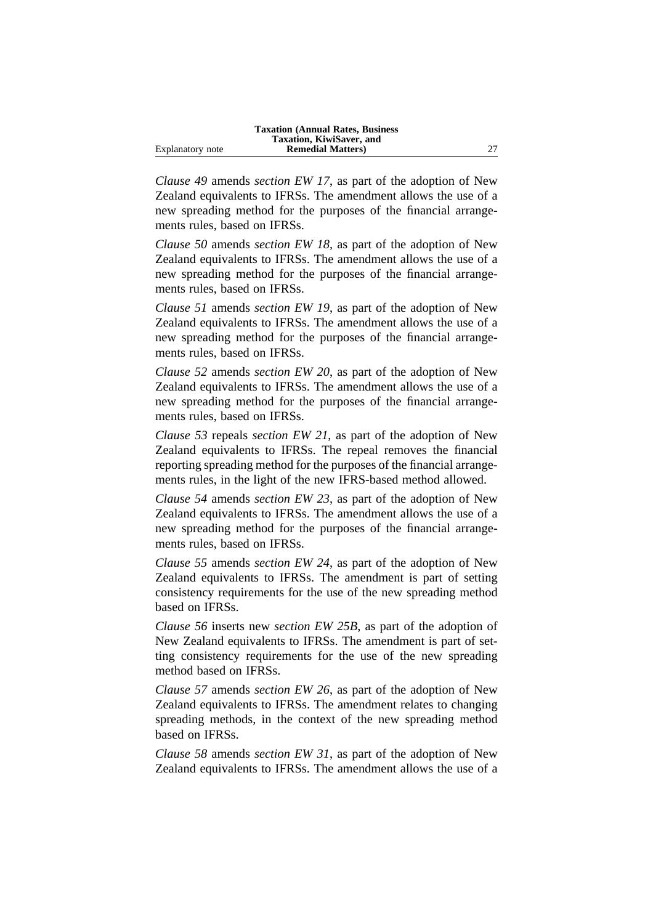|                  | <b>Taxation (Annual Rates, Business)</b> |    |
|------------------|------------------------------------------|----|
|                  | Taxation, KiwiSaver, and                 |    |
| Explanatory note | <b>Remedial Matters</b> )                | 27 |

*Clause 49* amends *section EW 17*, as part of the adoption of New Zealand equivalents to IFRSs. The amendment allows the use of a new spreading method for the purposes of the financial arrangements rules, based on IFRSs.

*Clause 50* amends *section EW 18*, as part of the adoption of New Zealand equivalents to IFRSs. The amendment allows the use of a new spreading method for the purposes of the financial arrangements rules, based on IFRSs.

*Clause 51* amends *section EW 19*, as part of the adoption of New Zealand equivalents to IFRSs. The amendment allows the use of a new spreading method for the purposes of the financial arrangements rules, based on IFRSs.

*Clause 52* amends *section EW 20*, as part of the adoption of New Zealand equivalents to IFRSs. The amendment allows the use of a new spreading method for the purposes of the financial arrangements rules, based on IFRSs.

*Clause 53* repeals *section EW 21*, as part of the adoption of New Zealand equivalents to IFRSs. The repeal removes the financial reporting spreading method for the purposes of the financial arrangements rules, in the light of the new IFRS-based method allowed.

*Clause 54* amends *section EW 23*, as part of the adoption of New Zealand equivalents to IFRSs. The amendment allows the use of a new spreading method for the purposes of the financial arrangements rules, based on IFRSs.

*Clause 55* amends *section EW 24*, as part of the adoption of New Zealand equivalents to IFRSs. The amendment is part of setting consistency requirements for the use of the new spreading method based on IFRSs.

*Clause 56* inserts new *section EW 25B*, as part of the adoption of New Zealand equivalents to IFRSs. The amendment is part of setting consistency requirements for the use of the new spreading method based on IFRSs.

*Clause 57* amends *section EW 26*, as part of the adoption of New Zealand equivalents to IFRSs. The amendment relates to changing spreading methods, in the context of the new spreading method based on IFRSs.

*Clause 58* amends *section EW 31*, as part of the adoption of New Zealand equivalents to IFRSs. The amendment allows the use of a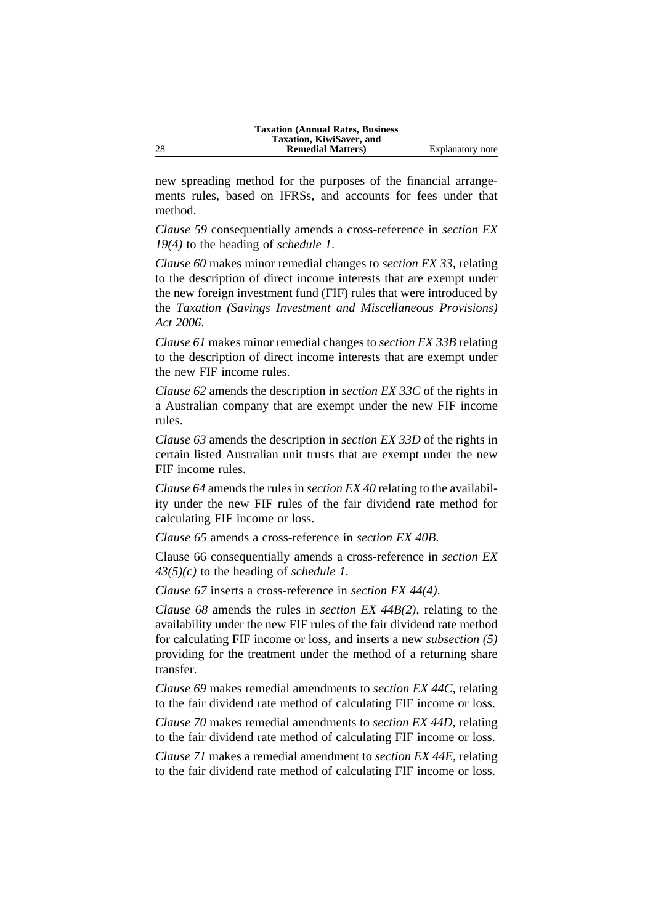new spreading method for the purposes of the financial arrangements rules, based on IFRSs, and accounts for fees under that method.

*Clause 59* consequentially amends a cross-reference in *section EX 19(4)* to the heading of *schedule 1*.

*Clause 60* makes minor remedial changes to *section EX 33*, relating to the description of direct income interests that are exempt under the new foreign investment fund (FIF) rules that were introduced by the *Taxation (Savings Investment and Miscellaneous Provisions) Act 2006*.

*Clause 61* makes minor remedial changes to *section EX 33B* relating to the description of direct income interests that are exempt under the new FIF income rules.

*Clause 62* amends the description in *section EX 33C* of the rights in a Australian company that are exempt under the new FIF income rules.

*Clause 63* amends the description in *section EX 33D* of the rights in certain listed Australian unit trusts that are exempt under the new FIF income rules.

*Clause 64* amends the rules in *section EX 40* relating to the availability under the new FIF rules of the fair dividend rate method for calculating FIF income or loss.

*Clause 65* amends a cross-reference in *section EX 40B*.

Clause 66 consequentially amends a cross-reference in *section EX 43(5)(c)* to the heading of *schedule 1*.

*Clause 67* inserts a cross-reference in *section EX 44(4)*.

*Clause 68* amends the rules in *section EX 44B(2)*, relating to the availability under the new FIF rules of the fair dividend rate method for calculating FIF income or loss, and inserts a new *subsection (5)* providing for the treatment under the method of a returning share transfer.

*Clause 69* makes remedial amendments to *section EX 44C*, relating to the fair dividend rate method of calculating FIF income or loss.

*Clause 70* makes remedial amendments to *section EX 44D*, relating to the fair dividend rate method of calculating FIF income or loss.

*Clause 71* makes a remedial amendment to *section EX 44E*, relating to the fair dividend rate method of calculating FIF income or loss.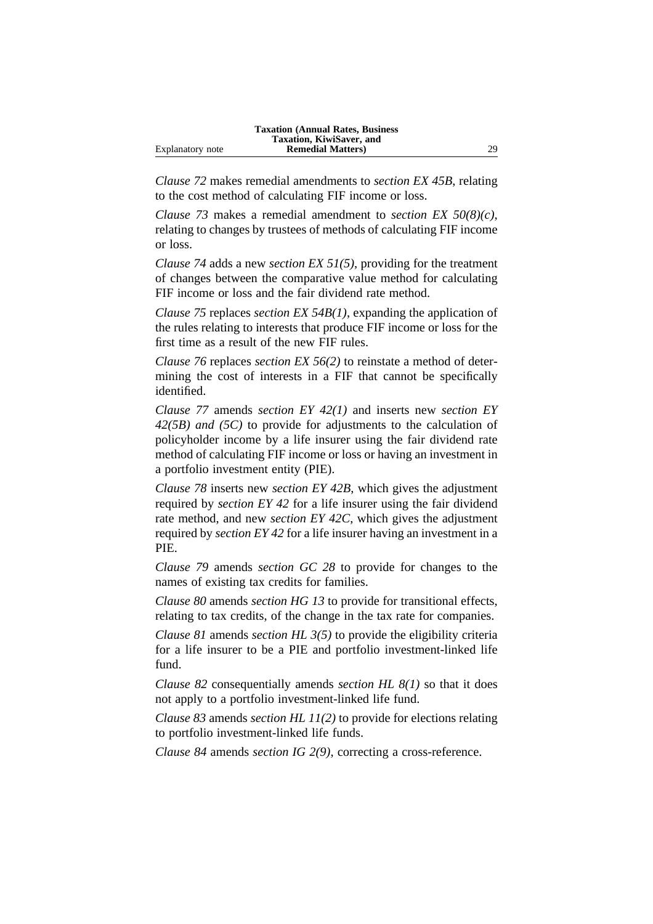|                  | <b>Taxation (Annual Rates, Business)</b> |    |
|------------------|------------------------------------------|----|
|                  | Taxation, KiwiSaver, and                 |    |
| Explanatory note | <b>Remedial Matters</b> )                | 29 |

*Clause 72* makes remedial amendments to *section EX 45B*, relating to the cost method of calculating FIF income or loss.

*Clause 73* makes a remedial amendment to *section EX 50(8)(c)*, relating to changes by trustees of methods of calculating FIF income or loss.

*Clause 74* adds a new *section EX 51(5)*, providing for the treatment of changes between the comparative value method for calculating FIF income or loss and the fair dividend rate method.

*Clause 75* replaces *section EX 54B(1)*, expanding the application of the rules relating to interests that produce FIF income or loss for the first time as a result of the new FIF rules.

*Clause 76* replaces *section EX 56(2)* to reinstate a method of determining the cost of interests in a FIF that cannot be specifically identified.

*Clause 77* amends *section EY 42(1)* and inserts new *section EY 42(5B) and (5C)* to provide for adjustments to the calculation of policyholder income by a life insurer using the fair dividend rate method of calculating FIF income or loss or having an investment in a portfolio investment entity (PIE).

*Clause 78* inserts new *section EY 42B*, which gives the adjustment required by *section EY 42* for a life insurer using the fair dividend rate method, and new *section EY 42C*, which gives the adjustment required by *section EY 42* for a life insurer having an investment in a PIE.

*Clause 79* amends *section GC 28* to provide for changes to the names of existing tax credits for families.

*Clause 80* amends *section HG 13* to provide for transitional effects, relating to tax credits, of the change in the tax rate for companies.

*Clause 81* amends *section HL 3(5)* to provide the eligibility criteria for a life insurer to be a PIE and portfolio investment-linked life fund.

*Clause 82* consequentially amends *section HL 8(1)* so that it does not apply to a portfolio investment-linked life fund.

*Clause 83* amends *section HL 11(2)* to provide for elections relating to portfolio investment-linked life funds.

*Clause 84* amends *section IG 2(9)*, correcting a cross-reference.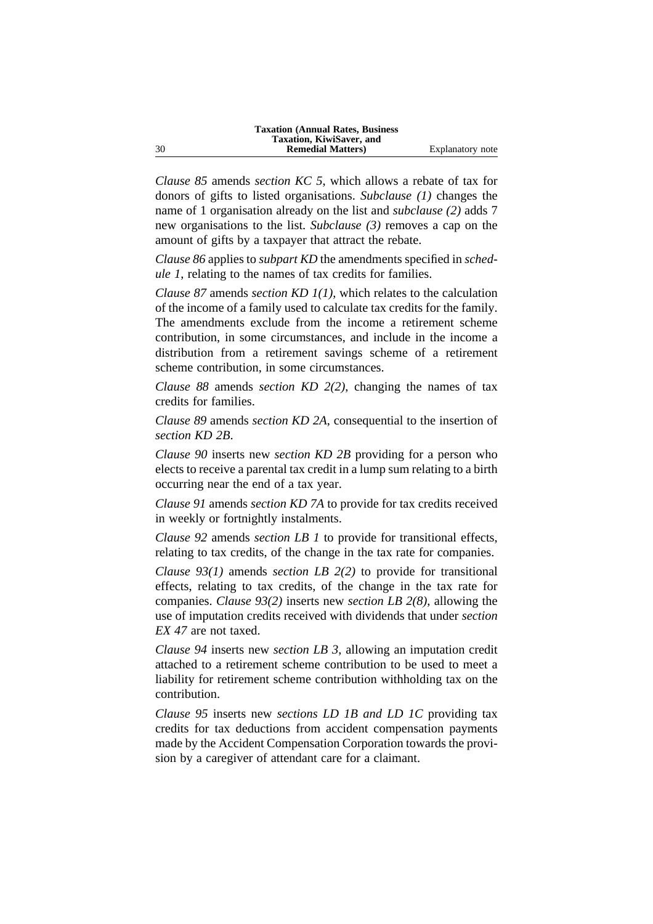*Clause 85* amends *section KC 5*, which allows a rebate of tax for donors of gifts to listed organisations. *Subclause (1)* changes the name of 1 organisation already on the list and *subclause (2)* adds 7 new organisations to the list. *Subclause (3)* removes a cap on the amount of gifts by a taxpayer that attract the rebate.

*Clause 86* applies to *subpart KD* the amendments specified in *schedule 1*, relating to the names of tax credits for families.

*Clause 87* amends *section KD 1(1)*, which relates to the calculation of the income of a family used to calculate tax credits for the family. The amendments exclude from the income a retirement scheme contribution, in some circumstances, and include in the income a distribution from a retirement savings scheme of a retirement scheme contribution, in some circumstances.

*Clause 88* amends *section KD 2(2)*, changing the names of tax credits for families.

*Clause 89* amends *section KD 2A*, consequential to the insertion of *section KD 2B*.

*Clause 90* inserts new *section KD 2B* providing for a person who elects to receive a parental tax credit in a lump sum relating to a birth occurring near the end of a tax year.

*Clause 91* amends *section KD 7A* to provide for tax credits received in weekly or fortnightly instalments.

*Clause 92* amends *section LB 1* to provide for transitional effects, relating to tax credits, of the change in the tax rate for companies.

*Clause 93(1)* amends *section LB 2(2)* to provide for transitional effects, relating to tax credits, of the change in the tax rate for companies. *Clause 93(2)* inserts new *section LB 2(8)*, allowing the use of imputation credits received with dividends that under *section EX 47* are not taxed.

*Clause 94* inserts new *section LB 3*, allowing an imputation credit attached to a retirement scheme contribution to be used to meet a liability for retirement scheme contribution withholding tax on the contribution.

*Clause 95* inserts new *sections LD 1B and LD 1C* providing tax credits for tax deductions from accident compensation payments made by the Accident Compensation Corporation towards the provision by a caregiver of attendant care for a claimant.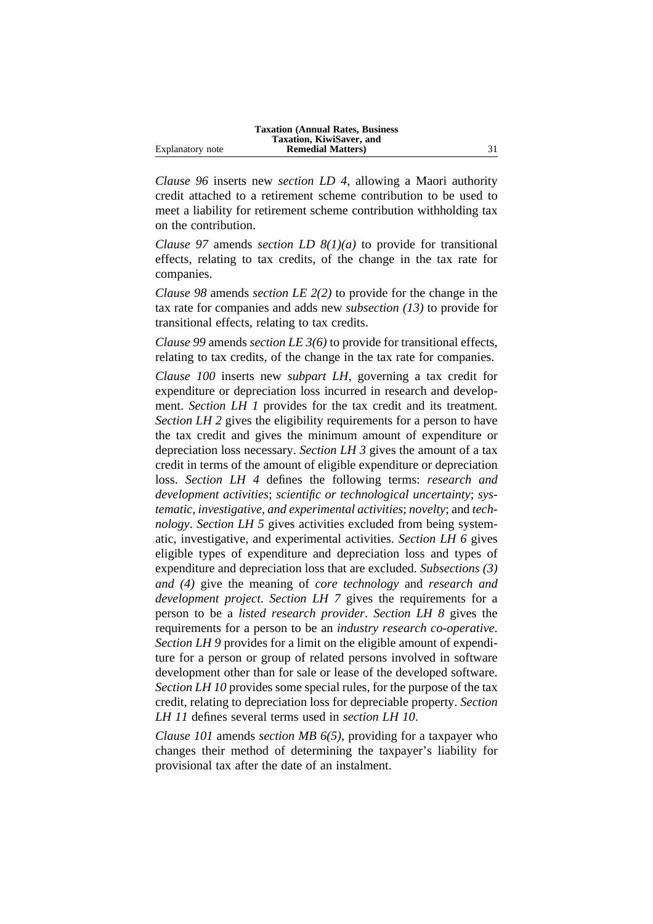|                  | <b>Taxation (Annual Rates, Business)</b> |  |
|------------------|------------------------------------------|--|
|                  | Taxation, KiwiSaver, and                 |  |
| Explanatory note | <b>Remedial Matters</b> )                |  |

*Clause 96* inserts new *section LD 4*, allowing a Maori authority credit attached to a retirement scheme contribution to be used to meet a liability for retirement scheme contribution withholding tax on the contribution.

*Clause 97* amends *section LD 8(1)(a)* to provide for transitional effects, relating to tax credits, of the change in the tax rate for companies.

*Clause 98* amends *section LE 2(2)* to provide for the change in the tax rate for companies and adds new *subsection (13)* to provide for transitional effects, relating to tax credits.

*Clause 99* amends *section LE 3(6)* to provide for transitional effects, relating to tax credits, of the change in the tax rate for companies.

*Clause 100* inserts new *subpart LH*, governing a tax credit for expenditure or depreciation loss incurred in research and development. *Section LH 1* provides for the tax credit and its treatment. *Section LH 2* gives the eligibility requirements for a person to have the tax credit and gives the minimum amount of expenditure or depreciation loss necessary. *Section LH 3* gives the amount of a tax credit in terms of the amount of eligible expenditure or depreciation loss. *Section LH 4* defines the following terms: *research and development activities*; *scientific or technological uncertainty*; *systematic, investigative, and experimental activities*; *novelty*; and *technology*. *Section LH 5* gives activities excluded from being systematic, investigative, and experimental activities. *Section LH 6* gives eligible types of expenditure and depreciation loss and types of expenditure and depreciation loss that are excluded. *Subsections (3) and (4)* give the meaning of *core technology* and *research and development project*. *Section LH 7* gives the requirements for a person to be a *listed research provider*. *Section LH 8* gives the requirements for a person to be an *industry research co-operative*. *Section LH 9* provides for a limit on the eligible amount of expenditure for a person or group of related persons involved in software development other than for sale or lease of the developed software. *Section LH 10* provides some special rules, for the purpose of the tax credit, relating to depreciation loss for depreciable property. *Section LH 11* defines several terms used in *section LH 10*.

*Clause 101* amends *section MB 6(5)*, providing for a taxpayer who changes their method of determining the taxpayer's liability for provisional tax after the date of an instalment.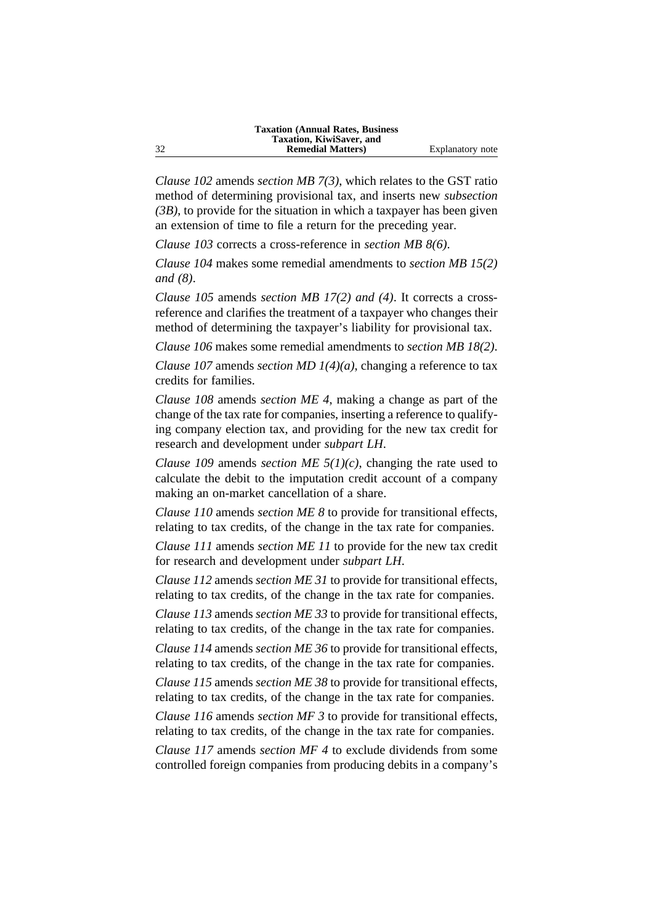*Clause 102* amends *section MB 7(3)*, which relates to the GST ratio method of determining provisional tax, and inserts new *subsection (3B)*, to provide for the situation in which a taxpayer has been given an extension of time to file a return for the preceding year.

*Clause 103* corrects a cross-reference in *section MB 8(6)*.

*Clause 104* makes some remedial amendments to *section MB 15(2) and (8)*.

*Clause 105* amends *section MB 17(2) and (4)*. It corrects a crossreference and clarifies the treatment of a taxpayer who changes their method of determining the taxpayer's liability for provisional tax.

*Clause 106* makes some remedial amendments to *section MB 18(2)*.

*Clause 107* amends *section MD 1(4)(a)*, changing a reference to tax credits for families.

*Clause 108* amends *section ME 4*, making a change as part of the change of the tax rate for companies, inserting a reference to qualifying company election tax, and providing for the new tax credit for research and development under *subpart LH*.

*Clause 109* amends *section ME 5(1)(c)*, changing the rate used to calculate the debit to the imputation credit account of a company making an on-market cancellation of a share.

*Clause 110* amends *section ME 8* to provide for transitional effects, relating to tax credits, of the change in the tax rate for companies.

*Clause 111* amends *section ME 11* to provide for the new tax credit for research and development under *subpart LH*.

*Clause 112* amends *section ME 31* to provide for transitional effects, relating to tax credits, of the change in the tax rate for companies.

*Clause 113* amends *section ME 33* to provide for transitional effects, relating to tax credits, of the change in the tax rate for companies.

*Clause 114* amends *section ME 36* to provide for transitional effects, relating to tax credits, of the change in the tax rate for companies.

*Clause 115* amends *section ME 38* to provide for transitional effects, relating to tax credits, of the change in the tax rate for companies.

*Clause 116* amends *section MF 3* to provide for transitional effects, relating to tax credits, of the change in the tax rate for companies.

*Clause 117* amends *section MF 4* to exclude dividends from some controlled foreign companies from producing debits in a company's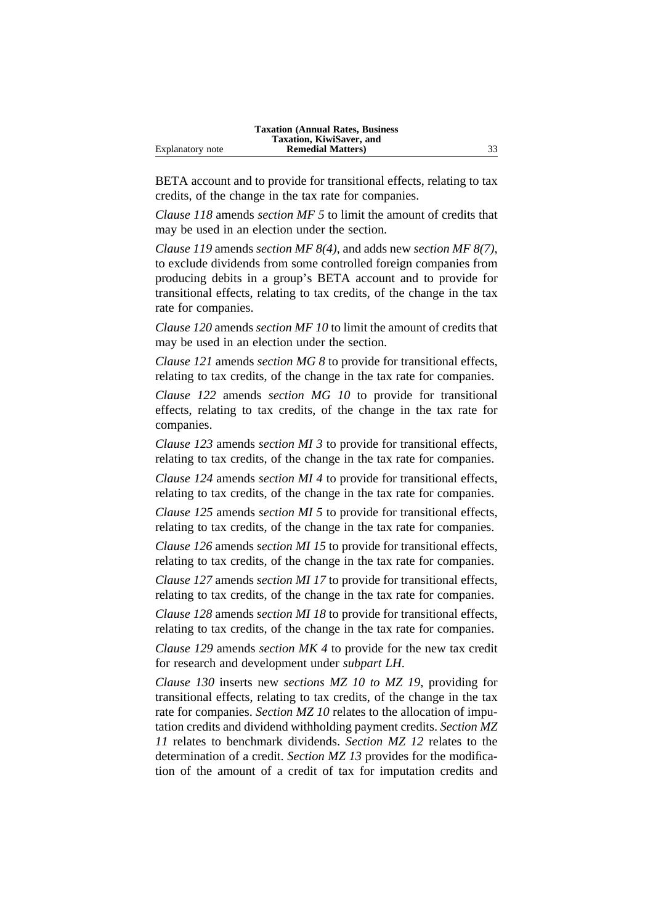|                  | <b>Taxation (Annual Rates, Business)</b> |    |
|------------------|------------------------------------------|----|
|                  | Taxation, KiwiSaver, and                 |    |
| Explanatory note | <b>Remedial Matters</b> )                | 33 |

BETA account and to provide for transitional effects, relating to tax credits, of the change in the tax rate for companies.

*Clause 118* amends *section MF 5* to limit the amount of credits that may be used in an election under the section.

*Clause 119* amends *section MF 8(4)*, and adds new *section MF 8(7)*, to exclude dividends from some controlled foreign companies from producing debits in a group's BETA account and to provide for transitional effects, relating to tax credits, of the change in the tax rate for companies.

*Clause 120* amends *section MF 10* to limit the amount of credits that may be used in an election under the section.

*Clause 121* amends *section MG 8* to provide for transitional effects, relating to tax credits, of the change in the tax rate for companies.

*Clause 122* amends *section MG 10* to provide for transitional effects, relating to tax credits, of the change in the tax rate for companies.

*Clause 123* amends *section MI 3* to provide for transitional effects, relating to tax credits, of the change in the tax rate for companies.

*Clause 124* amends *section MI 4* to provide for transitional effects, relating to tax credits, of the change in the tax rate for companies.

*Clause 125* amends *section MI 5* to provide for transitional effects, relating to tax credits, of the change in the tax rate for companies.

*Clause 126* amends *section MI 15* to provide for transitional effects, relating to tax credits, of the change in the tax rate for companies.

*Clause 127* amends *section MI 17* to provide for transitional effects, relating to tax credits, of the change in the tax rate for companies.

*Clause 128* amends *section MI 18* to provide for transitional effects, relating to tax credits, of the change in the tax rate for companies.

*Clause 129* amends *section MK 4* to provide for the new tax credit for research and development under *subpart LH*.

*Clause 130* inserts new *sections MZ 10 to MZ 19*, providing for transitional effects, relating to tax credits, of the change in the tax rate for companies. *Section MZ 10* relates to the allocation of imputation credits and dividend withholding payment credits. *Section MZ 11* relates to benchmark dividends. *Section MZ 12* relates to the determination of a credit. *Section MZ 13* provides for the modification of the amount of a credit of tax for imputation credits and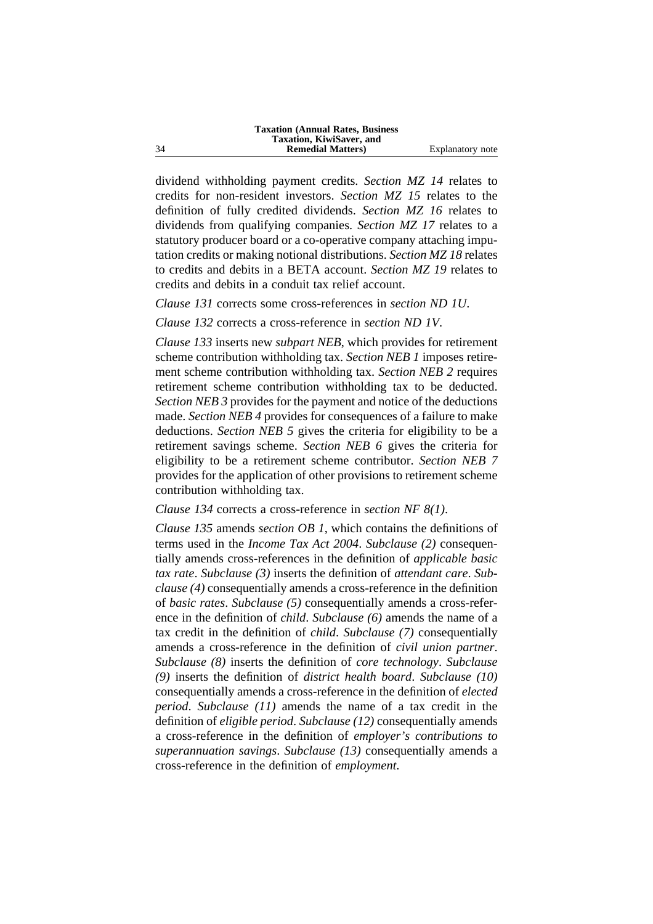dividend withholding payment credits. *Section MZ 14* relates to credits for non-resident investors. *Section MZ 15* relates to the definition of fully credited dividends. *Section MZ 16* relates to dividends from qualifying companies. *Section MZ 17* relates to a statutory producer board or a co-operative company attaching imputation credits or making notional distributions. *Section MZ 18* relates to credits and debits in a BETA account. *Section MZ 19* relates to credits and debits in a conduit tax relief account.

*Clause 131* corrects some cross-references in *section ND 1U*.

*Clause 132* corrects a cross-reference in *section ND 1V*.

*Clause 133* inserts new *subpart NEB*, which provides for retirement scheme contribution withholding tax. *Section NEB 1* imposes retirement scheme contribution withholding tax. *Section NEB 2* requires retirement scheme contribution withholding tax to be deducted. *Section NEB 3* provides for the payment and notice of the deductions made. *Section NEB 4* provides for consequences of a failure to make deductions. *Section NEB 5* gives the criteria for eligibility to be a retirement savings scheme. *Section NEB 6* gives the criteria for eligibility to be a retirement scheme contributor. *Section NEB 7* provides for the application of other provisions to retirement scheme contribution withholding tax.

*Clause 134* corrects a cross-reference in *section NF 8(1)*.

*Clause 135* amends *section OB 1*, which contains the definitions of terms used in the *Income Tax Act 2004*. *Subclause (2)* consequentially amends cross-references in the definition of *applicable basic tax rate*. *Subclause (3)* inserts the definition of *attendant care*. *Subclause (4)* consequentially amends a cross-reference in the definition of *basic rates*. *Subclause (5)* consequentially amends a cross-reference in the definition of *child*. *Subclause (6)* amends the name of a tax credit in the definition of *child*. *Subclause (7)* consequentially amends a cross-reference in the definition of *civil union partner*. *Subclause (8)* inserts the definition of *core technology*. *Subclause (9)* inserts the definition of *district health board*. *Subclause (10)* consequentially amends a cross-reference in the definition of *elected period*. *Subclause (11)* amends the name of a tax credit in the definition of *eligible period*. *Subclause (12)* consequentially amends a cross-reference in the definition of *employer's contributions to superannuation savings*. *Subclause (13)* consequentially amends a cross-reference in the definition of *employment*.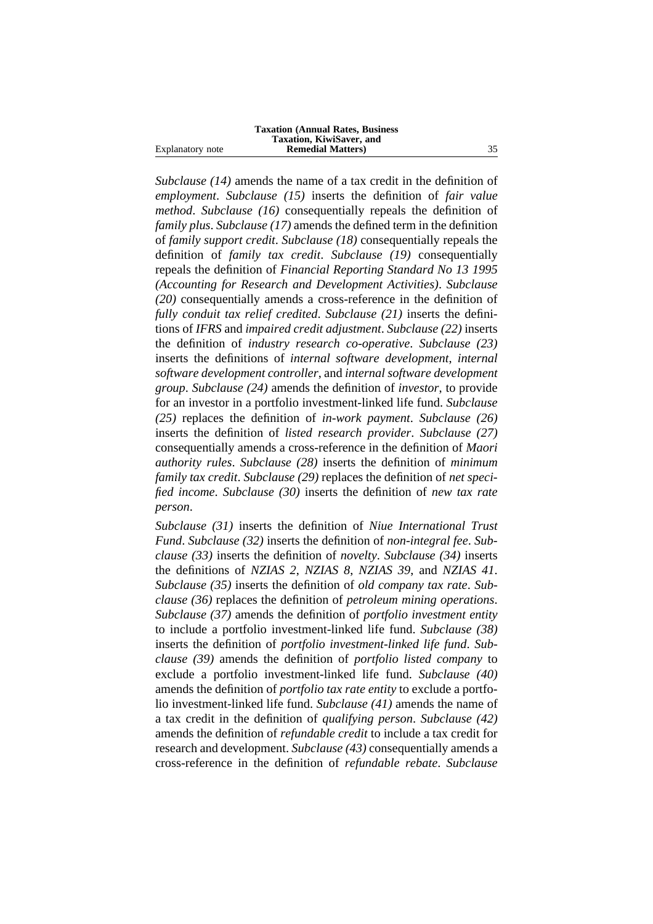|                  | <b>Taxation (Annual Rates, Business)</b> |    |
|------------------|------------------------------------------|----|
|                  | <b>Taxation, KiwiSaver, and</b>          |    |
| Explanatory note | <b>Remedial Matters</b> )                | 35 |

*Subclause (14)* amends the name of a tax credit in the definition of *employment*. *Subclause (15)* inserts the definition of *fair value method*. *Subclause (16)* consequentially repeals the definition of *family plus*. *Subclause (17)* amends the defined term in the definition of *family support credit*. *Subclause (18)* consequentially repeals the definition of *family tax credit*. *Subclause (19)* consequentially repeals the definition of *Financial Reporting Standard No 13 1995 (Accounting for Research and Development Activities)*. *Subclause (20)* consequentially amends a cross-reference in the definition of *fully conduit tax relief credited*. *Subclause (21)* inserts the definitions of *IFRS* and *impaired credit adjustment*. *Subclause (22)* inserts the definition of *industry research co-operative*. *Subclause (23)* inserts the definitions of *internal software development*, *internal software development controller*, and *internal software development group*. *Subclause (24)* amends the definition of *investor*, to provide for an investor in a portfolio investment-linked life fund. *Subclause (25)* replaces the definition of *in-work payment*. *Subclause (26)* inserts the definition of *listed research provider*. *Subclause (27)* consequentially amends a cross-reference in the definition of *Maori authority rules*. *Subclause (28)* inserts the definition of *minimum family tax credit*. *Subclause (29)* replaces the definition of *net specified income*. *Subclause (30)* inserts the definition of *new tax rate person*.

*Subclause (31)* inserts the definition of *Niue International Trust Fund*. *Subclause (32)* inserts the definition of *non-integral fee*. *Subclause (33)* inserts the definition of *novelty*. *Subclause (34)* inserts the definitions of *NZIAS 2*, *NZIAS 8*, *NZIAS 39*, and *NZIAS 41*. *Subclause (35)* inserts the definition of *old company tax rate*. *Subclause (36)* replaces the definition of *petroleum mining operations*. *Subclause (37)* amends the definition of *portfolio investment entity* to include a portfolio investment-linked life fund. *Subclause (38)* inserts the definition of *portfolio investment-linked life fund*. *Subclause (39)* amends the definition of *portfolio listed company* to exclude a portfolio investment-linked life fund. *Subclause (40)* amends the definition of *portfolio tax rate entity* to exclude a portfolio investment-linked life fund. *Subclause (41)* amends the name of a tax credit in the definition of *qualifying person*. *Subclause (42)* amends the definition of *refundable credit* to include a tax credit for research and development. *Subclause (43)* consequentially amends a cross-reference in the definition of *refundable rebate*. *Subclause*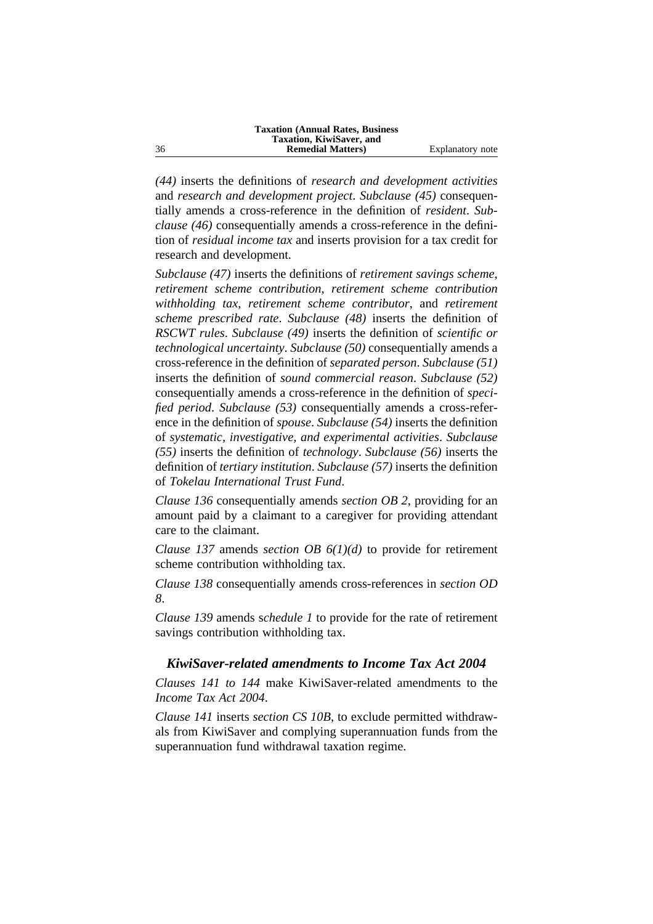*(44)* inserts the definitions of *research and development activities* and *research and development project*. *Subclause (45)* consequentially amends a cross-reference in the definition of *resident*. *Subclause (46)* consequentially amends a cross-reference in the definition of *residual income tax* and inserts provision for a tax credit for research and development.

*Subclause (47)* inserts the definitions of *retirement savings scheme*, *retirement scheme contribution*, *retirement scheme contribution withholding tax*, *retirement scheme contributor*, and *retirement scheme prescribed rate*. *Subclause (48)* inserts the definition of *RSCWT rules*. *Subclause (49)* inserts the definition of *scientific or technological uncertainty*. *Subclause (50)* consequentially amends a cross-reference in the definition of *separated person*. *Subclause (51)* inserts the definition of *sound commercial reason*. *Subclause (52)* consequentially amends a cross-reference in the definition of *specified period*. *Subclause (53)* consequentially amends a cross-reference in the definition of *spouse*. *Subclause (54)* inserts the definition of *systematic, investigative, and experimental activities*. *Subclause (55)* inserts the definition of *technology*. *Subclause (56)* inserts the definition of *tertiary institution*. *Subclause (57)* inserts the definition of *Tokelau International Trust Fund*.

*Clause 136* consequentially amends *section OB 2*, providing for an amount paid by a claimant to a caregiver for providing attendant care to the claimant.

*Clause 137* amends *section OB 6(1)(d)* to provide for retirement scheme contribution withholding tax.

*Clause 138* consequentially amends cross-references in *section OD 8*.

*Clause 139* amends s*chedule 1* to provide for the rate of retirement savings contribution withholding tax.

#### *KiwiSaver-related amendments to Income Tax Act 2004*

*Clauses 141 to 144* make KiwiSaver-related amendments to the *Income Tax Act 2004*.

*Clause 141* inserts *section CS 10B*, to exclude permitted withdrawals from KiwiSaver and complying superannuation funds from the superannuation fund withdrawal taxation regime.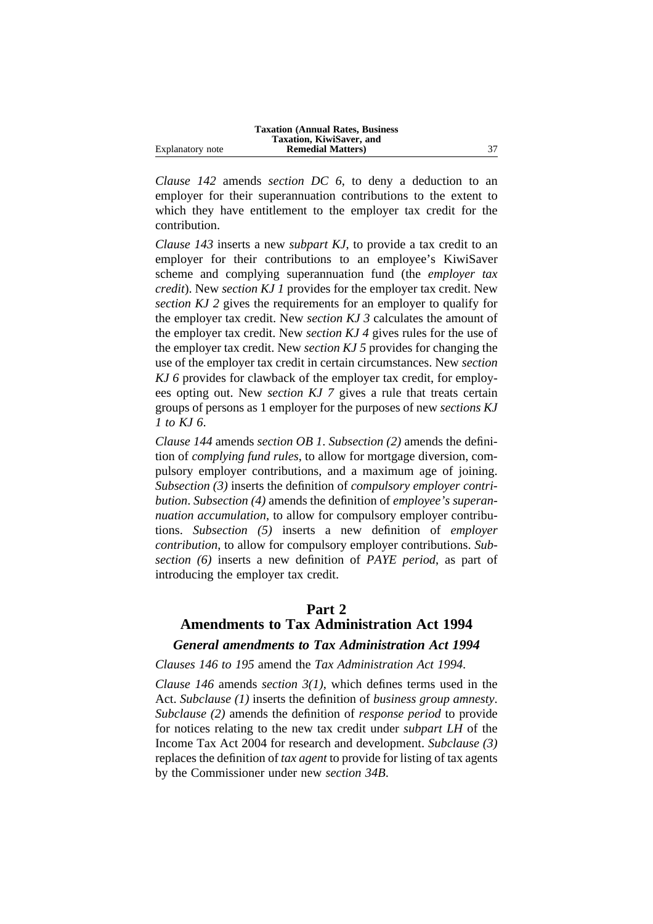|                  | <b>Taxation (Annual Rates, Business)</b> |    |
|------------------|------------------------------------------|----|
|                  | Taxation, KiwiSaver, and                 |    |
| Explanatory note | <b>Remedial Matters</b> )                | 37 |

*Clause 142* amends *section DC 6*, to deny a deduction to an employer for their superannuation contributions to the extent to which they have entitlement to the employer tax credit for the contribution.

*Clause 143* inserts a new *subpart KJ*, to provide a tax credit to an employer for their contributions to an employee's KiwiSaver scheme and complying superannuation fund (the *employer tax credit*). New *section KJ 1* provides for the employer tax credit. New *section KJ 2* gives the requirements for an employer to qualify for the employer tax credit. New *section KJ 3* calculates the amount of the employer tax credit. New *section KJ 4* gives rules for the use of the employer tax credit. New *section KJ 5* provides for changing the use of the employer tax credit in certain circumstances. New *section KJ 6* provides for clawback of the employer tax credit, for employees opting out. New *section KJ 7* gives a rule that treats certain groups of persons as 1 employer for the purposes of new *sections KJ 1 to KJ 6*.

*Clause 144* amends *section OB 1*. *Subsection (2)* amends the definition of *complying fund rules*, to allow for mortgage diversion, compulsory employer contributions, and a maximum age of joining. *Subsection (3)* inserts the definition of *compulsory employer contribution*. *Subsection (4)* amends the definition of *employee's superannuation accumulation*, to allow for compulsory employer contributions. *Subsection (5)* inserts a new definition of *employer contribution*, to allow for compulsory employer contributions. *Subsection (6)* inserts a new definition of *PAYE period*, as part of introducing the employer tax credit.

# **Part 2 Amendments to Tax Administration Act 1994**

# *General amendments to Tax Administration Act 1994*

#### *Clauses 146 to 195* amend the *Tax Administration Act 1994*.

*Clause 146* amends *section 3(1)*, which defines terms used in the Act. *Subclause (1)* inserts the definition of *business group amnesty*. *Subclause (2)* amends the definition of *response period* to provide for notices relating to the new tax credit under *subpart LH* of the Income Tax Act 2004 for research and development. *Subclause (3)* replaces the definition of *tax agent* to provide for listing of tax agents by the Commissioner under new *section 34B*.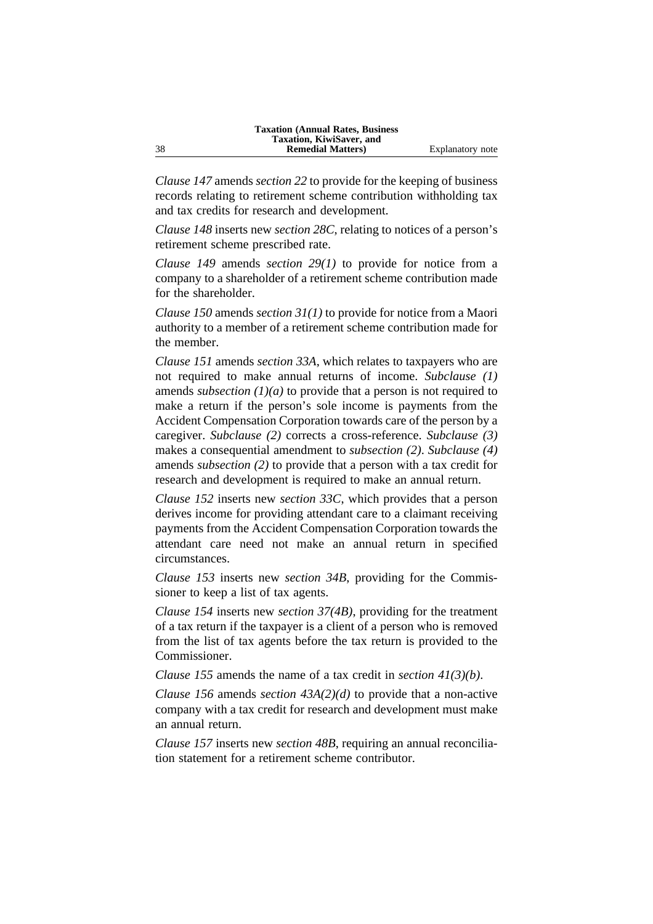*Clause 147* amends *section 22* to provide for the keeping of business records relating to retirement scheme contribution withholding tax and tax credits for research and development.

*Clause 148* inserts new *section 28C*, relating to notices of a person's retirement scheme prescribed rate.

*Clause 149* amends *section 29(1)* to provide for notice from a company to a shareholder of a retirement scheme contribution made for the shareholder.

*Clause 150* amends *section 31(1)* to provide for notice from a Maori authority to a member of a retirement scheme contribution made for the member.

*Clause 151* amends *section 33A*, which relates to taxpayers who are not required to make annual returns of income. *Subclause (1)* amends *subsection (1)(a)* to provide that a person is not required to make a return if the person's sole income is payments from the Accident Compensation Corporation towards care of the person by a caregiver. *Subclause (2)* corrects a cross-reference. *Subclause (3)* makes a consequential amendment to *subsection (2)*. *Subclause (4)* amends *subsection (2)* to provide that a person with a tax credit for research and development is required to make an annual return.

*Clause 152* inserts new *section 33C*, which provides that a person derives income for providing attendant care to a claimant receiving payments from the Accident Compensation Corporation towards the attendant care need not make an annual return in specified circumstances.

*Clause 153* inserts new *section 34B*, providing for the Commissioner to keep a list of tax agents.

*Clause 154* inserts new *section 37(4B)*, providing for the treatment of a tax return if the taxpayer is a client of a person who is removed from the list of tax agents before the tax return is provided to the Commissioner.

*Clause 155* amends the name of a tax credit in *section 41(3)(b)*.

*Clause 156* amends *section 43A(2)(d)* to provide that a non-active company with a tax credit for research and development must make an annual return.

*Clause 157* inserts new *section 48B*, requiring an annual reconciliation statement for a retirement scheme contributor.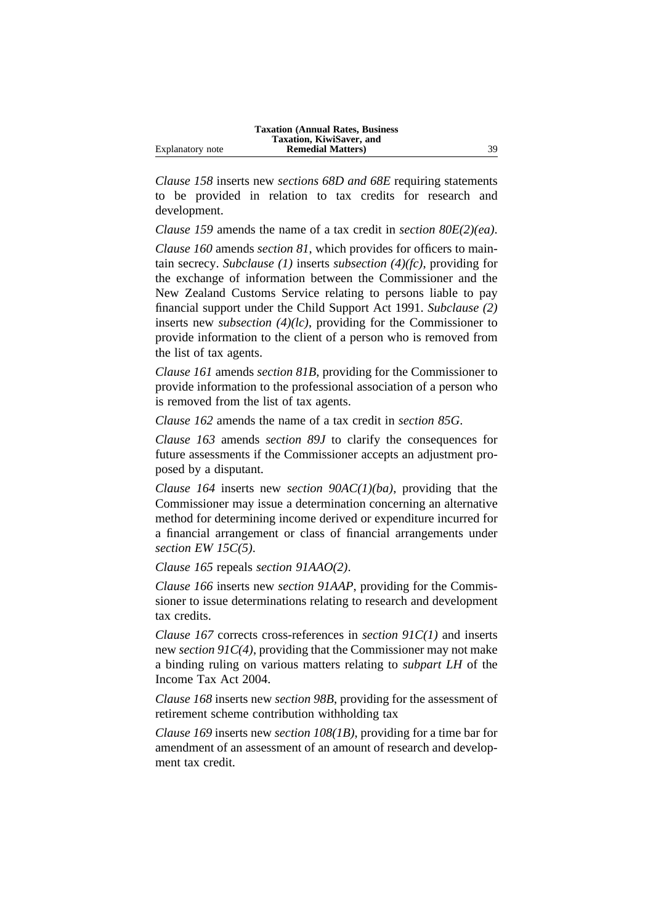|                  | <b>Taxation (Annual Rates, Business)</b> |    |
|------------------|------------------------------------------|----|
|                  | Taxation, KiwiSaver, and                 |    |
| Explanatory note | <b>Remedial Matters</b> )                | 39 |

*Clause 158* inserts new *sections 68D and 68E* requiring statements to be provided in relation to tax credits for research and development.

*Clause 159* amends the name of a tax credit in *section 80E(2)(ea)*.

*Clause 160* amends *section 81*, which provides for officers to maintain secrecy. *Subclause (1)* inserts *subsection (4)(fc)*, providing for the exchange of information between the Commissioner and the New Zealand Customs Service relating to persons liable to pay financial support under the Child Support Act 1991. *Subclause (2)* inserts new *subsection (4)(lc)*, providing for the Commissioner to provide information to the client of a person who is removed from the list of tax agents.

*Clause 161* amends *section 81B*, providing for the Commissioner to provide information to the professional association of a person who is removed from the list of tax agents.

*Clause 162* amends the name of a tax credit in *section 85G*.

*Clause 163* amends *section 89J* to clarify the consequences for future assessments if the Commissioner accepts an adjustment proposed by a disputant.

*Clause 164* inserts new *section 90AC(1)(ba)*, providing that the Commissioner may issue a determination concerning an alternative method for determining income derived or expenditure incurred for a financial arrangement or class of financial arrangements under *section EW 15C(5)*.

*Clause 165* repeals *section 91AAO(2)*.

*Clause 166* inserts new *section 91AAP*, providing for the Commissioner to issue determinations relating to research and development tax credits.

*Clause 167* corrects cross-references in *section 91C(1)* and inserts new *section 91C(4)*, providing that the Commissioner may not make a binding ruling on various matters relating to *subpart LH* of the Income Tax Act 2004.

*Clause 168* inserts new *section 98B*, providing for the assessment of retirement scheme contribution withholding tax

*Clause 169* inserts new *section 108(1B)*, providing for a time bar for amendment of an assessment of an amount of research and development tax credit.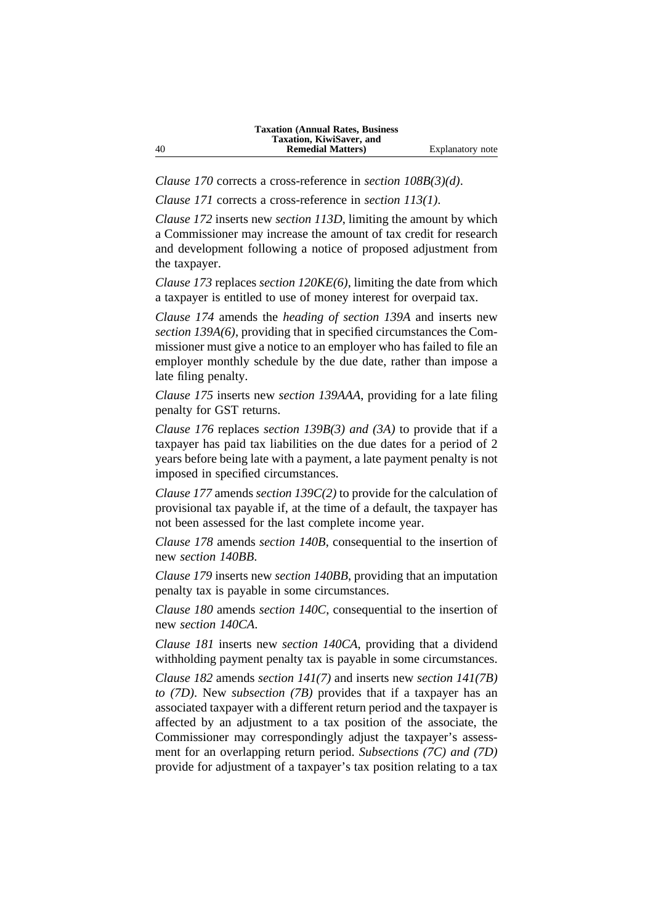*Clause 170* corrects a cross-reference in *section 108B(3)(d)*.

*Clause 171* corrects a cross-reference in *section 113(1)*.

*Clause 172* inserts new *section 113D*, limiting the amount by which a Commissioner may increase the amount of tax credit for research and development following a notice of proposed adjustment from the taxpayer.

*Clause 173* replaces *section 120KE(6)*, limiting the date from which a taxpayer is entitled to use of money interest for overpaid tax.

*Clause 174* amends the *heading of section 139A* and inserts new *section 139A(6)*, providing that in specified circumstances the Commissioner must give a notice to an employer who has failed to file an employer monthly schedule by the due date, rather than impose a late filing penalty.

*Clause 175* inserts new *section 139AAA*, providing for a late filing penalty for GST returns.

*Clause 176* replaces *section 139B(3) and (3A)* to provide that if a taxpayer has paid tax liabilities on the due dates for a period of 2 years before being late with a payment, a late payment penalty is not imposed in specified circumstances.

*Clause 177* amends *section 139C(2)* to provide for the calculation of provisional tax payable if, at the time of a default, the taxpayer has not been assessed for the last complete income year.

*Clause 178* amends *section 140B*, consequential to the insertion of new *section 140BB*.

*Clause 179* inserts new *section 140BB*, providing that an imputation penalty tax is payable in some circumstances.

*Clause 180* amends *section 140C*, consequential to the insertion of new *section 140CA*.

*Clause 181* inserts new *section 140CA*, providing that a dividend withholding payment penalty tax is payable in some circumstances.

*Clause 182* amends *section 141(7)* and inserts new *section 141(7B) to (7D)*. New *subsection (7B)* provides that if a taxpayer has an associated taxpayer with a different return period and the taxpayer is affected by an adjustment to a tax position of the associate, the Commissioner may correspondingly adjust the taxpayer's assessment for an overlapping return period. *Subsections (7C) and (7D)* provide for adjustment of a taxpayer's tax position relating to a tax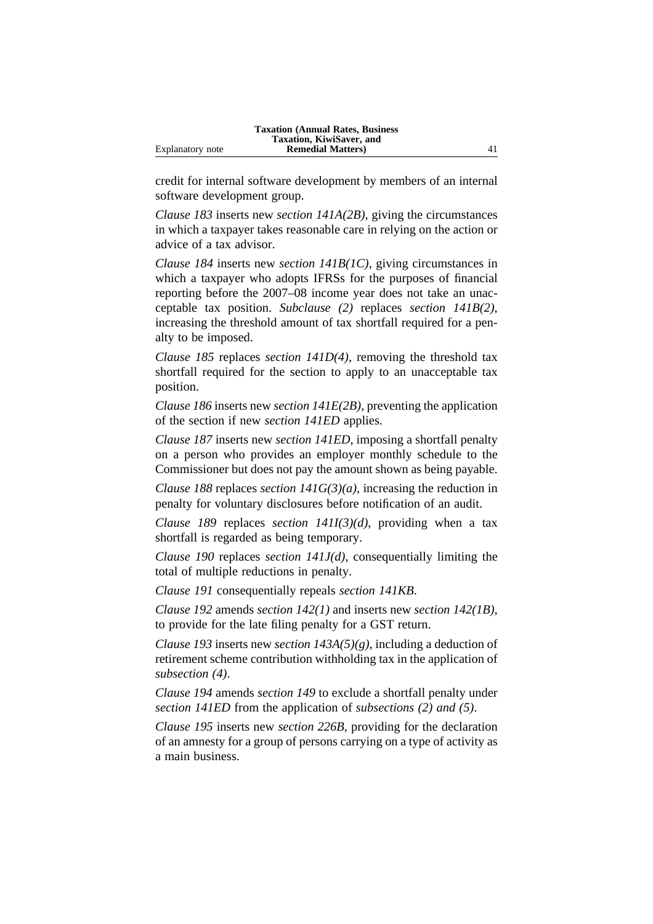|                  | <b>Taxation (Annual Rates, Business)</b> |  |
|------------------|------------------------------------------|--|
|                  | Taxation, KiwiSaver, and                 |  |
| Explanatory note | <b>Remedial Matters</b> )                |  |

credit for internal software development by members of an internal software development group.

*Clause 183* inserts new *section 141A(2B)*, giving the circumstances in which a taxpayer takes reasonable care in relying on the action or advice of a tax advisor.

*Clause 184* inserts new *section 141B(1C)*, giving circumstances in which a taxpayer who adopts IFRSs for the purposes of financial reporting before the 2007–08 income year does not take an unacceptable tax position. *Subclause (2)* replaces *section 141B(2)*, increasing the threshold amount of tax shortfall required for a penalty to be imposed.

*Clause 185* replaces *section 141D(4)*, removing the threshold tax shortfall required for the section to apply to an unacceptable tax position.

*Clause 186* inserts new *section 141E(2B)*, preventing the application of the section if new *section 141ED* applies.

*Clause 187* inserts new *section 141ED*, imposing a shortfall penalty on a person who provides an employer monthly schedule to the Commissioner but does not pay the amount shown as being payable.

*Clause 188* replaces *section 141G(3)(a)*, increasing the reduction in penalty for voluntary disclosures before notification of an audit.

*Clause 189* replaces *section 141I(3)(d)*, providing when a tax shortfall is regarded as being temporary.

*Clause 190* replaces *section 141J(d)*, consequentially limiting the total of multiple reductions in penalty.

*Clause 191* consequentially repeals *section 141KB*.

*Clause 192* amends *section 142(1)* and inserts new *section 142(1B)*, to provide for the late filing penalty for a GST return.

*Clause 193* inserts new *section 143A(5)(g)*, including a deduction of retirement scheme contribution withholding tax in the application of *subsection (4)*.

*Clause 194* amends *section 149* to exclude a shortfall penalty under *section 141ED* from the application of *subsections (2) and (5)*.

*Clause 195* inserts new *section 226B*, providing for the declaration of an amnesty for a group of persons carrying on a type of activity as a main business.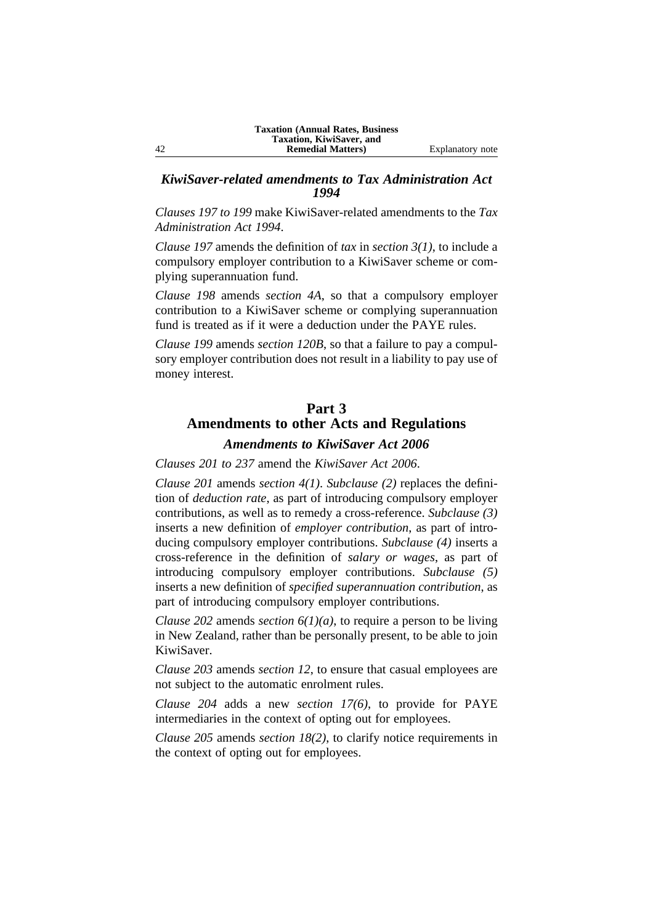## *KiwiSaver-related amendments to Tax Administration Act 1994*

*Clauses 197 to 199* make KiwiSaver-related amendments to the *Tax Administration Act 1994*.

*Clause 197* amends the definition of *tax* in *section 3(1)*, to include a compulsory employer contribution to a KiwiSaver scheme or complying superannuation fund.

*Clause 198* amends *section 4A*, so that a compulsory employer contribution to a KiwiSaver scheme or complying superannuation fund is treated as if it were a deduction under the PAYE rules.

*Clause 199* amends *section 120B*, so that a failure to pay a compulsory employer contribution does not result in a liability to pay use of money interest.

# **Part 3 Amendments to other Acts and Regulations**

# *Amendments to KiwiSaver Act 2006*

*Clauses 201 to 237* amend the *KiwiSaver Act 2006*.

*Clause 201* amends *section 4(1)*. *Subclause (2)* replaces the definition of *deduction rate*, as part of introducing compulsory employer contributions, as well as to remedy a cross-reference. *Subclause (3)* inserts a new definition of *employer contribution*, as part of introducing compulsory employer contributions. *Subclause (4)* inserts a cross-reference in the definition of *salary or wages*, as part of introducing compulsory employer contributions. *Subclause (5)* inserts a new definition of *specified superannuation contribution*, as part of introducing compulsory employer contributions.

*Clause 202* amends *section 6(1)(a)*, to require a person to be living in New Zealand, rather than be personally present, to be able to join KiwiSaver.

*Clause 203* amends *section 12*, to ensure that casual employees are not subject to the automatic enrolment rules.

*Clause 204* adds a new *section 17(6)*, to provide for PAYE intermediaries in the context of opting out for employees.

*Clause 205* amends *section 18(2)*, to clarify notice requirements in the context of opting out for employees.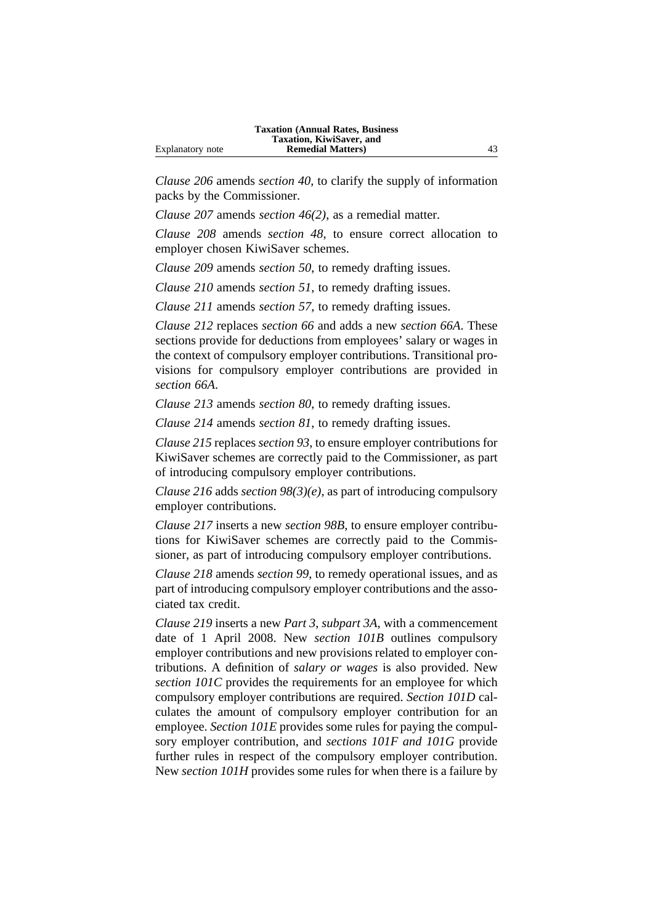|                  | <b>Taxation (Annual Rates, Business)</b> |  |
|------------------|------------------------------------------|--|
|                  | Taxation, KiwiSaver, and                 |  |
| Explanatory note | <b>Remedial Matters</b> )                |  |

*Clause 206* amends *section 40*, to clarify the supply of information packs by the Commissioner.

*Clause 207* amends *section 46(2)*, as a remedial matter.

*Clause 208* amends *section 48*, to ensure correct allocation to employer chosen KiwiSaver schemes.

*Clause 209* amends *section 50*, to remedy drafting issues.

*Clause 210* amends *section 51*, to remedy drafting issues.

*Clause 211* amends *section 57*, to remedy drafting issues.

*Clause 212* replaces *section 66* and adds a new *section 66A*. These sections provide for deductions from employees' salary or wages in the context of compulsory employer contributions. Transitional provisions for compulsory employer contributions are provided in *section 66A*.

*Clause 213* amends *section 80*, to remedy drafting issues.

*Clause 214* amends *section 81*, to remedy drafting issues.

*Clause 215* replaces *section 93*, to ensure employer contributions for KiwiSaver schemes are correctly paid to the Commissioner, as part of introducing compulsory employer contributions.

*Clause 216* adds *section 98(3)(e)*, as part of introducing compulsory employer contributions.

*Clause 217* inserts a new *section 98B*, to ensure employer contributions for KiwiSaver schemes are correctly paid to the Commissioner, as part of introducing compulsory employer contributions.

*Clause 218* amends *section 99*, to remedy operational issues, and as part of introducing compulsory employer contributions and the associated tax credit.

*Clause 219* inserts a new *Part 3*, *subpart 3A*, with a commencement date of 1 April 2008. New *section 101B* outlines compulsory employer contributions and new provisions related to employer contributions. A definition of *salary or wages* is also provided. New *section 101C* provides the requirements for an employee for which compulsory employer contributions are required. *Section 101D* calculates the amount of compulsory employer contribution for an employee. *Section 101E* provides some rules for paying the compulsory employer contribution, and *sections 101F and 101G* provide further rules in respect of the compulsory employer contribution. New *section 101H* provides some rules for when there is a failure by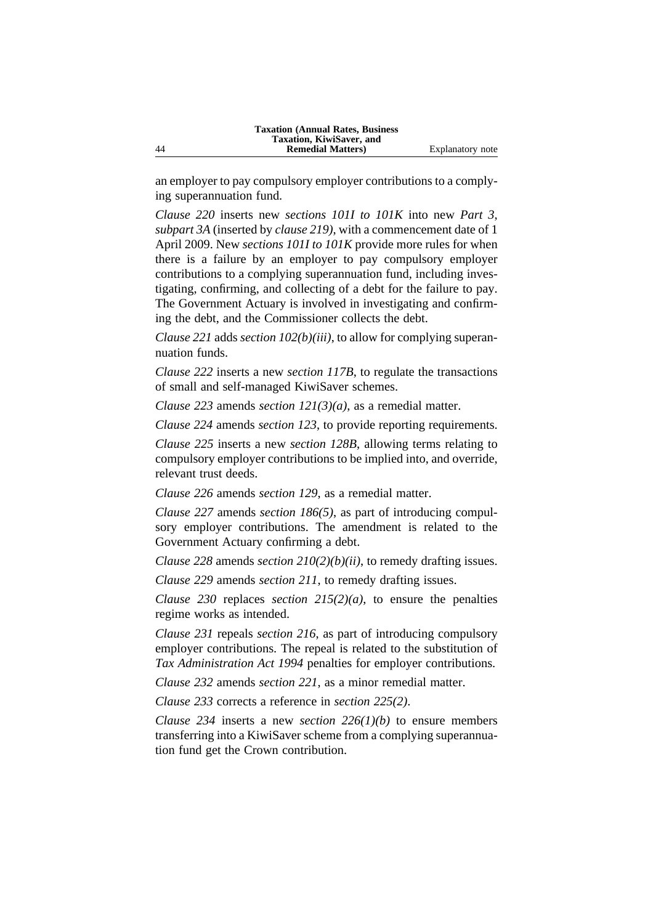an employer to pay compulsory employer contributions to a complying superannuation fund.

*Clause 220* inserts new *sections 101I to 101K* into new *Part 3*, *subpart 3A* (inserted by *clause 219)*, with a commencement date of 1 April 2009. New *sections 101I to 101K* provide more rules for when there is a failure by an employer to pay compulsory employer contributions to a complying superannuation fund, including investigating, confirming, and collecting of a debt for the failure to pay. The Government Actuary is involved in investigating and confirming the debt, and the Commissioner collects the debt.

*Clause 221* adds *section 102(b)(iii)*, to allow for complying superannuation funds.

*Clause 222* inserts a new *section 117B*, to regulate the transactions of small and self-managed KiwiSaver schemes.

*Clause 223* amends *section 121(3)(a)*, as a remedial matter.

*Clause 224* amends *section 123*, to provide reporting requirements.

*Clause 225* inserts a new *section 128B*, allowing terms relating to compulsory employer contributions to be implied into, and override, relevant trust deeds.

*Clause 226* amends *section 129*, as a remedial matter.

*Clause 227* amends *section 186(5)*, as part of introducing compulsory employer contributions. The amendment is related to the Government Actuary confirming a debt.

*Clause 228* amends *section 210(2)(b)(ii)*, to remedy drafting issues.

*Clause 229* amends *section 211*, to remedy drafting issues.

*Clause 230* replaces *section 215(2)(a)*, to ensure the penalties regime works as intended.

*Clause 231* repeals *section 216*, as part of introducing compulsory employer contributions. The repeal is related to the substitution of *Tax Administration Act 1994* penalties for employer contributions.

*Clause 232* amends *section 221*, as a minor remedial matter.

*Clause 233* corrects a reference in *section 225(2)*.

*Clause 234* inserts a new *section 226(1)(b)* to ensure members transferring into a KiwiSaver scheme from a complying superannuation fund get the Crown contribution.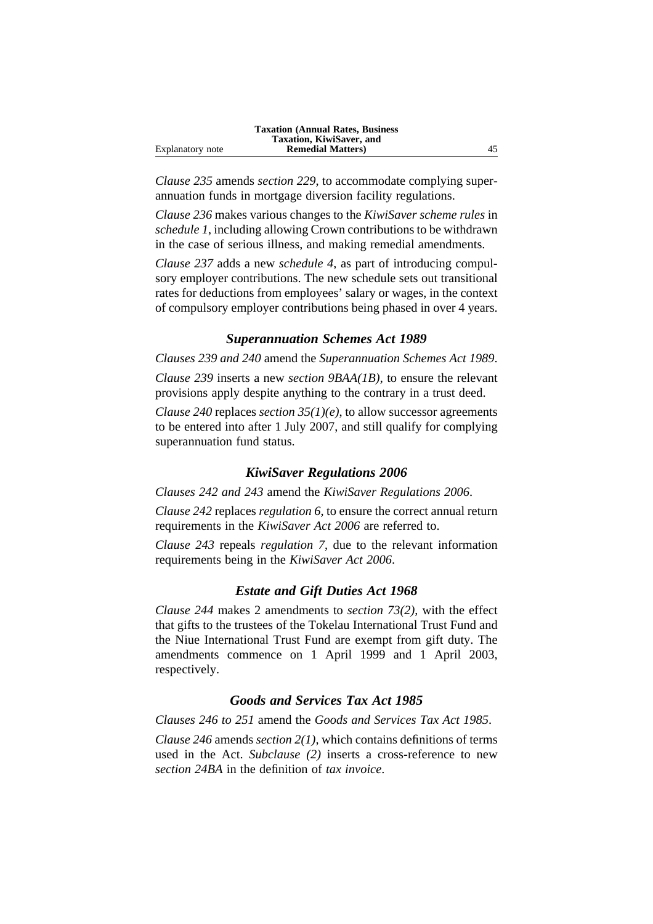|                  | <b>Taxation (Annual Rates, Business)</b> |  |
|------------------|------------------------------------------|--|
|                  | Taxation, KiwiSaver, and                 |  |
| Explanatory note | <b>Remedial Matters</b> )                |  |

*Clause 235* amends *section 229*, to accommodate complying superannuation funds in mortgage diversion facility regulations.

*Clause 236* makes various changes to the *KiwiSaver scheme rules* in *schedule 1*, including allowing Crown contributions to be withdrawn in the case of serious illness, and making remedial amendments.

*Clause 237* adds a new *schedule 4*, as part of introducing compulsory employer contributions. The new schedule sets out transitional rates for deductions from employees' salary or wages, in the context of compulsory employer contributions being phased in over 4 years.

## *Superannuation Schemes Act 1989*

*Clauses 239 and 240* amend the *Superannuation Schemes Act 1989*.

*Clause 239* inserts a new *section 9BAA(1B)*, to ensure the relevant provisions apply despite anything to the contrary in a trust deed.

*Clause 240* replaces *section 35(1)(e)*, to allow successor agreements to be entered into after 1 July 2007, and still qualify for complying superannuation fund status.

## *KiwiSaver Regulations 2006*

*Clauses 242 and 243* amend the *KiwiSaver Regulations 2006*.

*Clause 242* replaces *regulation 6*, to ensure the correct annual return requirements in the *KiwiSaver Act 2006* are referred to.

*Clause 243* repeals *regulation 7*, due to the relevant information requirements being in the *KiwiSaver Act 2006*.

#### *Estate and Gift Duties Act 1968*

*Clause 244* makes 2 amendments to *section 73(2)*, with the effect that gifts to the trustees of the Tokelau International Trust Fund and the Niue International Trust Fund are exempt from gift duty. The amendments commence on 1 April 1999 and 1 April 2003, respectively.

## *Goods and Services Tax Act 1985*

*Clauses 246 to 251* amend the *Goods and Services Tax Act 1985*.

*Clause 246* amends *section 2(1)*, which contains definitions of terms used in the Act. *Subclause (2)* inserts a cross-reference to new *section 24BA* in the definition of *tax invoice*.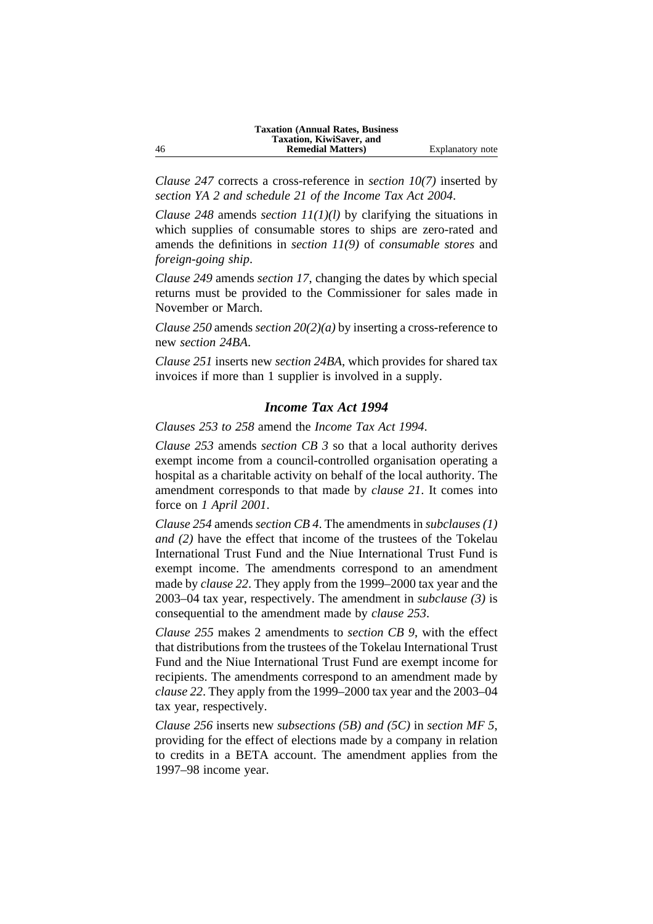*Clause 247* corrects a cross-reference in *section 10(7)* inserted by *section YA 2 and schedule 21 of the Income Tax Act 2004*.

*Clause 248* amends *section 11(1)(l)* by clarifying the situations in which supplies of consumable stores to ships are zero-rated and amends the definitions in *section 11(9)* of *consumable stores* and *foreign-going ship*.

*Clause 249* amends *section 17*, changing the dates by which special returns must be provided to the Commissioner for sales made in November or March.

*Clause 250* amends *section 20(2)(a)* by inserting a cross-reference to new *section 24BA*.

*Clause 251* inserts new *section 24BA*, which provides for shared tax invoices if more than 1 supplier is involved in a supply.

## *Income Tax Act 1994*

*Clauses 253 to 258* amend the *Income Tax Act 1994*.

*Clause 253* amends *section CB 3* so that a local authority derives exempt income from a council-controlled organisation operating a hospital as a charitable activity on behalf of the local authority. The amendment corresponds to that made by *clause 21*. It comes into force on *1 April 2001*.

*Clause 254* amends *section CB 4*. The amendments in *subclauses (1) and (2)* have the effect that income of the trustees of the Tokelau International Trust Fund and the Niue International Trust Fund is exempt income. The amendments correspond to an amendment made by *clause 22*. They apply from the 1999–2000 tax year and the 2003–04 tax year, respectively. The amendment in *subclause (3)* is consequential to the amendment made by *clause 253*.

*Clause 255* makes 2 amendments to *section CB 9*, with the effect that distributions from the trustees of the Tokelau International Trust Fund and the Niue International Trust Fund are exempt income for recipients. The amendments correspond to an amendment made by *clause 22*. They apply from the 1999–2000 tax year and the 2003–04 tax year, respectively.

*Clause 256* inserts new *subsections (5B) and (5C)* in *section MF 5*, providing for the effect of elections made by a company in relation to credits in a BETA account. The amendment applies from the 1997–98 income year.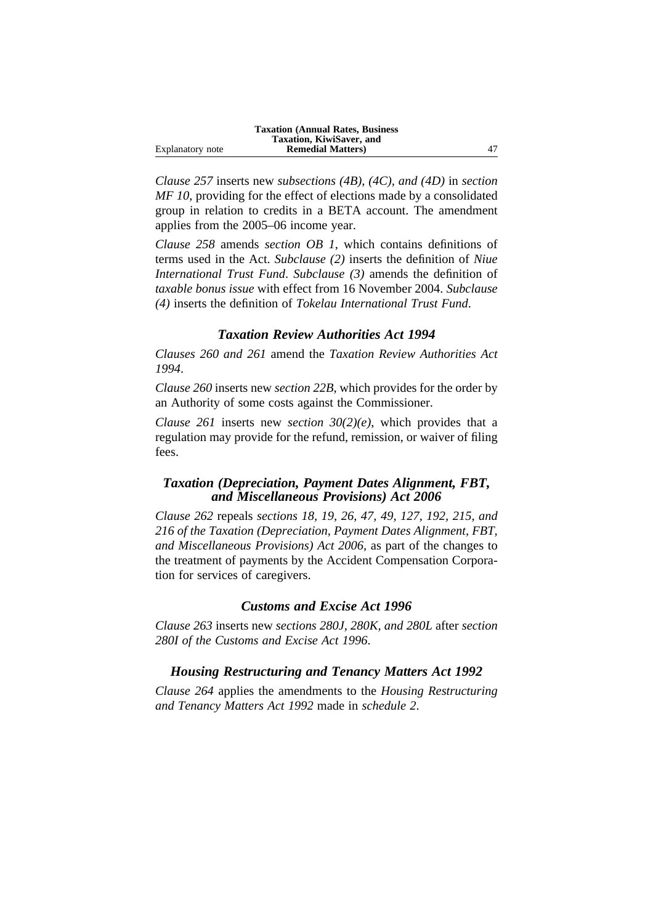|                  | <b>Taxation (Annual Rates, Business)</b> |  |
|------------------|------------------------------------------|--|
|                  | Taxation, KiwiSaver, and                 |  |
| Explanatory note | <b>Remedial Matters</b> )                |  |

*Clause 257* inserts new *subsections (4B), (4C), and (4D)* in *section MF 10*, providing for the effect of elections made by a consolidated group in relation to credits in a BETA account. The amendment applies from the 2005–06 income year.

*Clause 258* amends *section OB 1*, which contains definitions of terms used in the Act. *Subclause (2)* inserts the definition of *Niue International Trust Fund*. *Subclause (3)* amends the definition of *taxable bonus issue* with effect from 16 November 2004. *Subclause (4)* inserts the definition of *Tokelau International Trust Fund*.

## *Taxation Review Authorities Act 1994*

*Clauses 260 and 261* amend the *Taxation Review Authorities Act 1994*.

*Clause 260* inserts new *section 22B*, which provides for the order by an Authority of some costs against the Commissioner.

*Clause 261* inserts new *section 30(2)(e)*, which provides that a regulation may provide for the refund, remission, or waiver of filing fees.

## *Taxation (Depreciation, Payment Dates Alignment, FBT, and Miscellaneous Provisions) Act 2006*

*Clause 262* repeals *sections 18, 19, 26, 47, 49, 127, 192, 215, and 216 of the Taxation (Depreciation, Payment Dates Alignment, FBT, and Miscellaneous Provisions) Act 2006*, as part of the changes to the treatment of payments by the Accident Compensation Corporation for services of caregivers.

## *Customs and Excise Act 1996*

*Clause 263* inserts new *sections 280J, 280K, and 280L* after *section 280I of the Customs and Excise Act 1996*.

## *Housing Restructuring and Tenancy Matters Act 1992*

*Clause 264* applies the amendments to the *Housing Restructuring and Tenancy Matters Act 1992* made in *schedule 2*.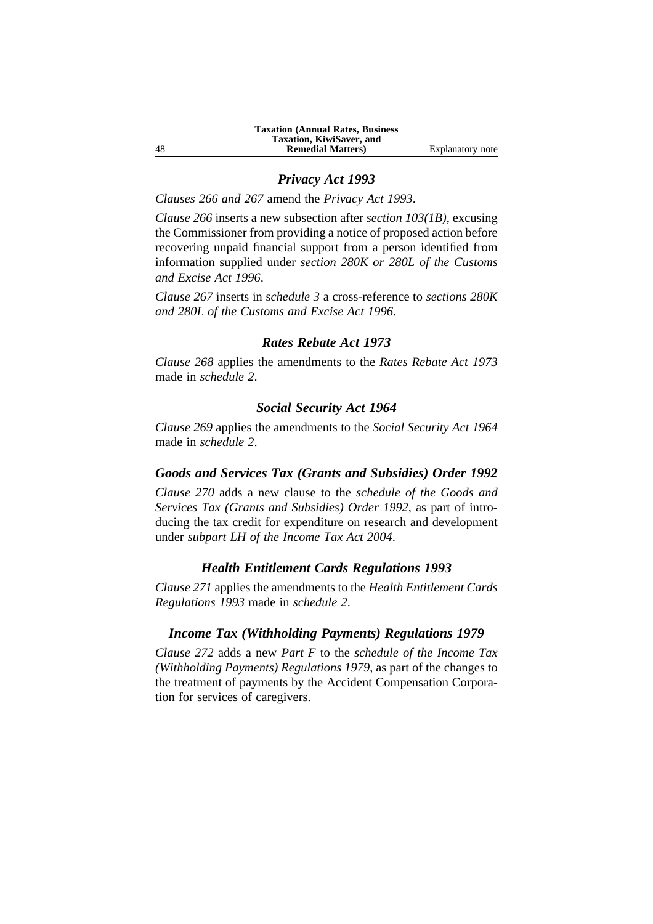## *Privacy Act 1993*

*Clauses 266 and 267* amend the *Privacy Act 1993*.

*Clause 266* inserts a new subsection after *section 103(1B)*, excusing the Commissioner from providing a notice of proposed action before recovering unpaid financial support from a person identified from information supplied under *section 280K or 280L of the Customs and Excise Act 1996*.

*Clause 267* inserts in s*chedule 3* a cross-reference to *sections 280K and 280L of the Customs and Excise Act 1996*.

## *Rates Rebate Act 1973*

*Clause 268* applies the amendments to the *Rates Rebate Act 1973* made in *schedule 2*.

## *Social Security Act 1964*

*Clause 269* applies the amendments to the *Social Security Act 1964* made in *schedule 2*.

## *Goods and Services Tax (Grants and Subsidies) Order 1992*

*Clause 270* adds a new clause to the *schedule of the Goods and Services Tax (Grants and Subsidies) Order 1992*, as part of introducing the tax credit for expenditure on research and development under *subpart LH of the Income Tax Act 2004*.

#### *Health Entitlement Cards Regulations 1993*

*Clause 271* applies the amendments to the *Health Entitlement Cards Regulations 1993* made in *schedule 2*.

#### *Income Tax (Withholding Payments) Regulations 1979*

*Clause 272* adds a new *Part F* to the *schedule of the Income Tax (Withholding Payments) Regulations 1979*, as part of the changes to the treatment of payments by the Accident Compensation Corporation for services of caregivers.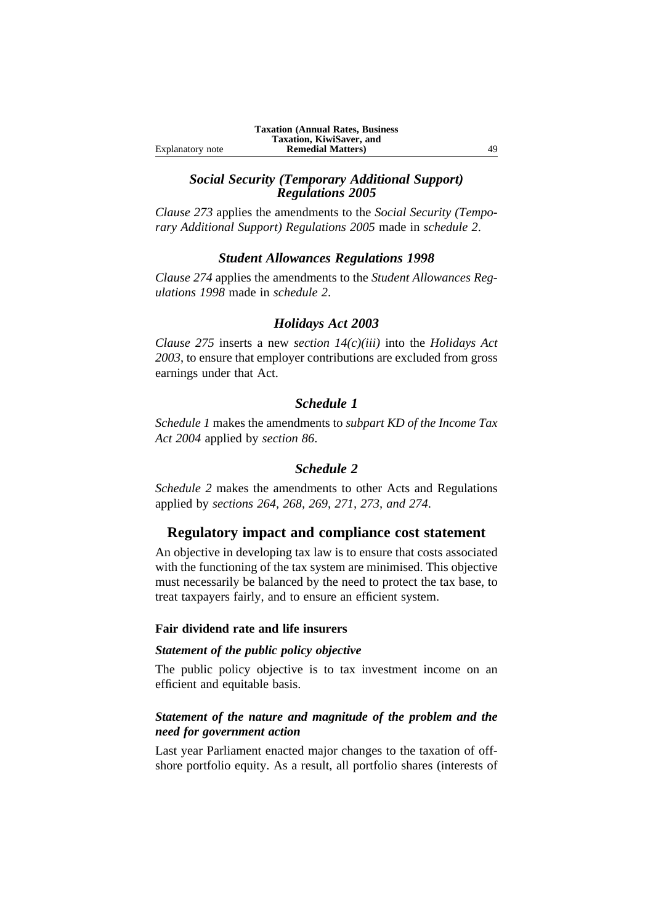# *Social Security (Temporary Additional Support) Regulations 2005*

*Clause 273* applies the amendments to the *Social Security (Temporary Additional Support) Regulations 2005* made in *schedule 2*.

## *Student Allowances Regulations 1998*

*Clause 274* applies the amendments to the *Student Allowances Regulations 1998* made in *schedule 2*.

## *Holidays Act 2003*

*Clause 275* inserts a new *section 14(c)(iii)* into the *Holidays Act 2003*, to ensure that employer contributions are excluded from gross earnings under that Act.

## *Schedule 1*

*Schedule 1* makes the amendments to *subpart KD of the Income Tax Act 2004* applied by *section 86*.

# *Schedule 2*

*Schedule 2* makes the amendments to other Acts and Regulations applied by *sections 264, 268, 269, 271, 273, and 274*.

# **Regulatory impact and compliance cost statement**

An objective in developing tax law is to ensure that costs associated with the functioning of the tax system are minimised. This objective must necessarily be balanced by the need to protect the tax base, to treat taxpayers fairly, and to ensure an efficient system.

## **Fair dividend rate and life insurers**

## *Statement of the public policy objective*

The public policy objective is to tax investment income on an efficient and equitable basis.

## *Statement of the nature and magnitude of the problem and the need for government action*

Last year Parliament enacted major changes to the taxation of offshore portfolio equity. As a result, all portfolio shares (interests of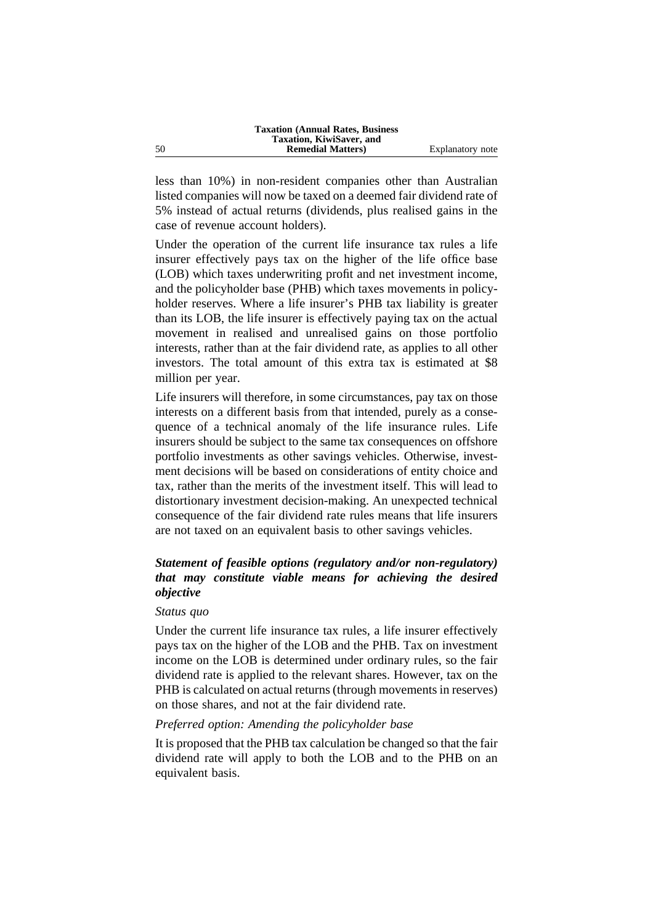less than 10%) in non-resident companies other than Australian listed companies will now be taxed on a deemed fair dividend rate of 5% instead of actual returns (dividends, plus realised gains in the case of revenue account holders).

Under the operation of the current life insurance tax rules a life insurer effectively pays tax on the higher of the life office base (LOB) which taxes underwriting profit and net investment income, and the policyholder base (PHB) which taxes movements in policyholder reserves. Where a life insurer's PHB tax liability is greater than its LOB, the life insurer is effectively paying tax on the actual movement in realised and unrealised gains on those portfolio interests, rather than at the fair dividend rate, as applies to all other investors. The total amount of this extra tax is estimated at \$8 million per year.

Life insurers will therefore, in some circumstances, pay tax on those interests on a different basis from that intended, purely as a consequence of a technical anomaly of the life insurance rules. Life insurers should be subject to the same tax consequences on offshore portfolio investments as other savings vehicles. Otherwise, investment decisions will be based on considerations of entity choice and tax, rather than the merits of the investment itself. This will lead to distortionary investment decision-making. An unexpected technical consequence of the fair dividend rate rules means that life insurers are not taxed on an equivalent basis to other savings vehicles.

# *Statement of feasible options (regulatory and/or non-regulatory) that may constitute viable means for achieving the desired objective*

#### *Status quo*

Under the current life insurance tax rules, a life insurer effectively pays tax on the higher of the LOB and the PHB. Tax on investment income on the LOB is determined under ordinary rules, so the fair dividend rate is applied to the relevant shares. However, tax on the PHB is calculated on actual returns (through movements in reserves) on those shares, and not at the fair dividend rate.

#### *Preferred option: Amending the policyholder base*

It is proposed that the PHB tax calculation be changed so that the fair dividend rate will apply to both the LOB and to the PHB on an equivalent basis.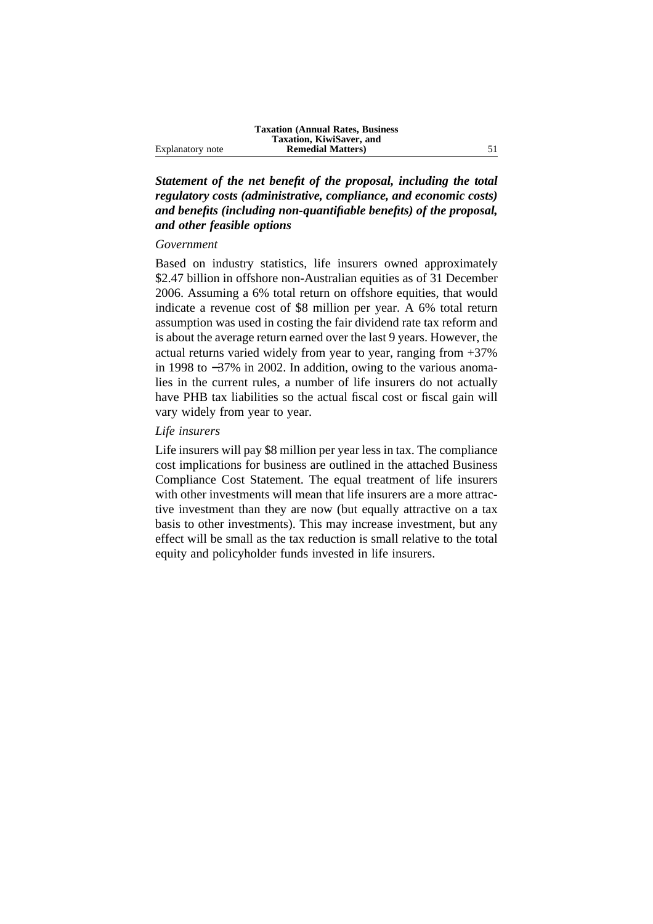*Statement of the net benefit of the proposal, including the total regulatory costs (administrative, compliance, and economic costs) and benefits (including non-quantifiable benefits) of the proposal, and other feasible options*

#### *Government*

Based on industry statistics, life insurers owned approximately \$2.47 billion in offshore non-Australian equities as of 31 December 2006. Assuming a 6% total return on offshore equities, that would indicate a revenue cost of \$8 million per year. A 6% total return assumption was used in costing the fair dividend rate tax reform and is about the average return earned over the last 9 years. However, the actual returns varied widely from year to year, ranging from +37% in 1998 to −37% in 2002. In addition, owing to the various anomalies in the current rules, a number of life insurers do not actually have PHB tax liabilities so the actual fiscal cost or fiscal gain will vary widely from year to year.

## *Life insurers*

Life insurers will pay \$8 million per year less in tax. The compliance cost implications for business are outlined in the attached Business Compliance Cost Statement. The equal treatment of life insurers with other investments will mean that life insurers are a more attractive investment than they are now (but equally attractive on a tax basis to other investments). This may increase investment, but any effect will be small as the tax reduction is small relative to the total equity and policyholder funds invested in life insurers.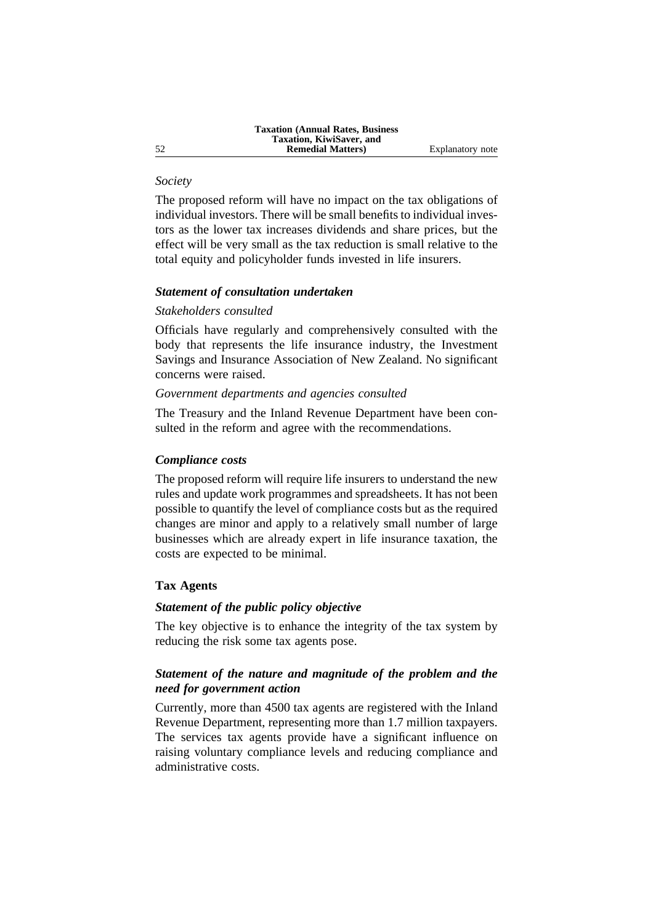## *Society*

The proposed reform will have no impact on the tax obligations of individual investors. There will be small benefits to individual investors as the lower tax increases dividends and share prices, but the effect will be very small as the tax reduction is small relative to the total equity and policyholder funds invested in life insurers.

#### *Statement of consultation undertaken*

#### *Stakeholders consulted*

Officials have regularly and comprehensively consulted with the body that represents the life insurance industry, the Investment Savings and Insurance Association of New Zealand. No significant concerns were raised.

#### *Government departments and agencies consulted*

The Treasury and the Inland Revenue Department have been consulted in the reform and agree with the recommendations.

#### *Compliance costs*

The proposed reform will require life insurers to understand the new rules and update work programmes and spreadsheets. It has not been possible to quantify the level of compliance costs but as the required changes are minor and apply to a relatively small number of large businesses which are already expert in life insurance taxation, the costs are expected to be minimal.

## **Tax Agents**

## *Statement of the public policy objective*

The key objective is to enhance the integrity of the tax system by reducing the risk some tax agents pose.

## *Statement of the nature and magnitude of the problem and the need for government action*

Currently, more than 4500 tax agents are registered with the Inland Revenue Department, representing more than 1.7 million taxpayers. The services tax agents provide have a significant influence on raising voluntary compliance levels and reducing compliance and administrative costs.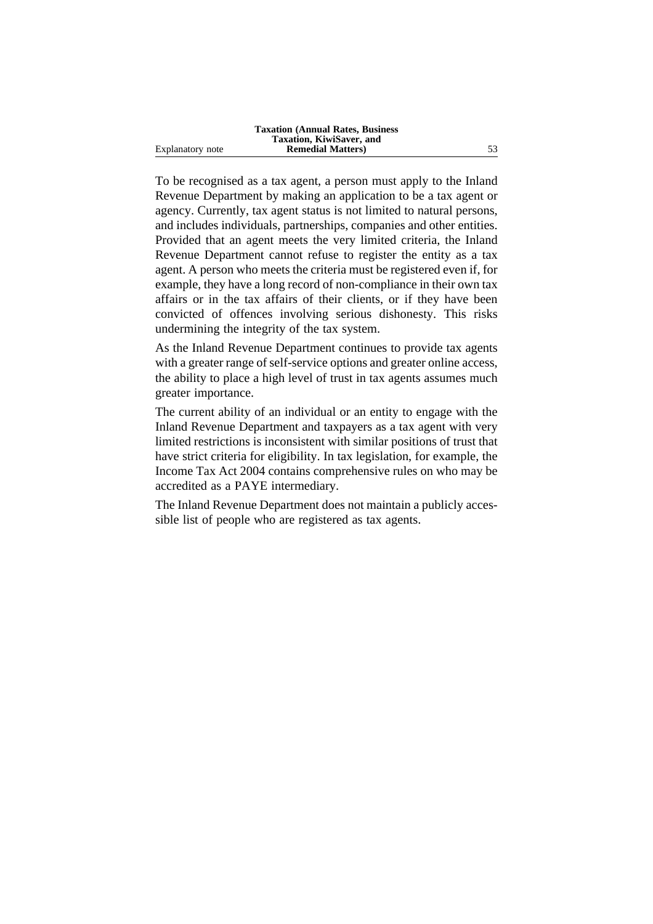|                  | <b>Taxation (Annual Rates, Business)</b> |    |
|------------------|------------------------------------------|----|
|                  | Taxation, KiwiSaver, and                 |    |
| Explanatory note | <b>Remedial Matters</b> )                | 53 |

To be recognised as a tax agent, a person must apply to the Inland Revenue Department by making an application to be a tax agent or agency. Currently, tax agent status is not limited to natural persons, and includes individuals, partnerships, companies and other entities. Provided that an agent meets the very limited criteria, the Inland Revenue Department cannot refuse to register the entity as a tax agent. A person who meets the criteria must be registered even if, for example, they have a long record of non-compliance in their own tax affairs or in the tax affairs of their clients, or if they have been convicted of offences involving serious dishonesty. This risks undermining the integrity of the tax system.

As the Inland Revenue Department continues to provide tax agents with a greater range of self-service options and greater online access, the ability to place a high level of trust in tax agents assumes much greater importance.

The current ability of an individual or an entity to engage with the Inland Revenue Department and taxpayers as a tax agent with very limited restrictions is inconsistent with similar positions of trust that have strict criteria for eligibility. In tax legislation, for example, the Income Tax Act 2004 contains comprehensive rules on who may be accredited as a PAYE intermediary.

The Inland Revenue Department does not maintain a publicly accessible list of people who are registered as tax agents.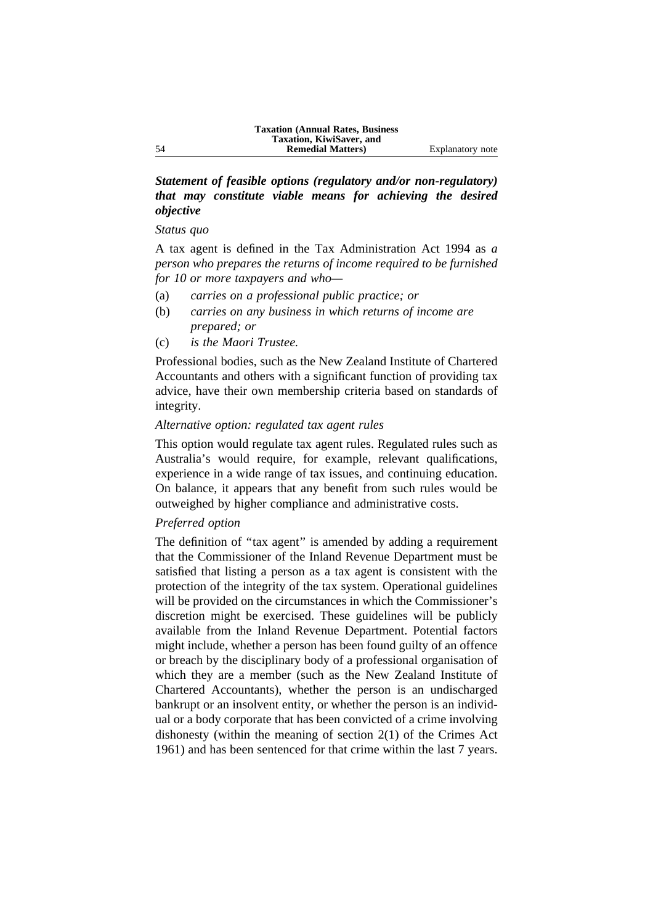## *Statement of feasible options (regulatory and/or non-regulatory) that may constitute viable means for achieving the desired objective*

#### *Status quo*

A tax agent is defined in the Tax Administration Act 1994 as *a person who prepares the returns of income required to be furnished for 10 or more taxpayers and who—*

- (a) *carries on a professional public practice; or*
- (b) *carries on any business in which returns of income are prepared; or*
- (c) *is the Maori Trustee.*

Professional bodies, such as the New Zealand Institute of Chartered Accountants and others with a significant function of providing tax advice, have their own membership criteria based on standards of integrity.

## *Alternative option: regulated tax agent rules*

This option would regulate tax agent rules. Regulated rules such as Australia's would require, for example, relevant qualifications, experience in a wide range of tax issues, and continuing education. On balance, it appears that any benefit from such rules would be outweighed by higher compliance and administrative costs.

## *Preferred option*

The definition of "tax agent" is amended by adding a requirement that the Commissioner of the Inland Revenue Department must be satisfied that listing a person as a tax agent is consistent with the protection of the integrity of the tax system. Operational guidelines will be provided on the circumstances in which the Commissioner's discretion might be exercised. These guidelines will be publicly available from the Inland Revenue Department. Potential factors might include, whether a person has been found guilty of an offence or breach by the disciplinary body of a professional organisation of which they are a member (such as the New Zealand Institute of Chartered Accountants), whether the person is an undischarged bankrupt or an insolvent entity, or whether the person is an individual or a body corporate that has been convicted of a crime involving dishonesty (within the meaning of section 2(1) of the Crimes Act 1961) and has been sentenced for that crime within the last 7 years.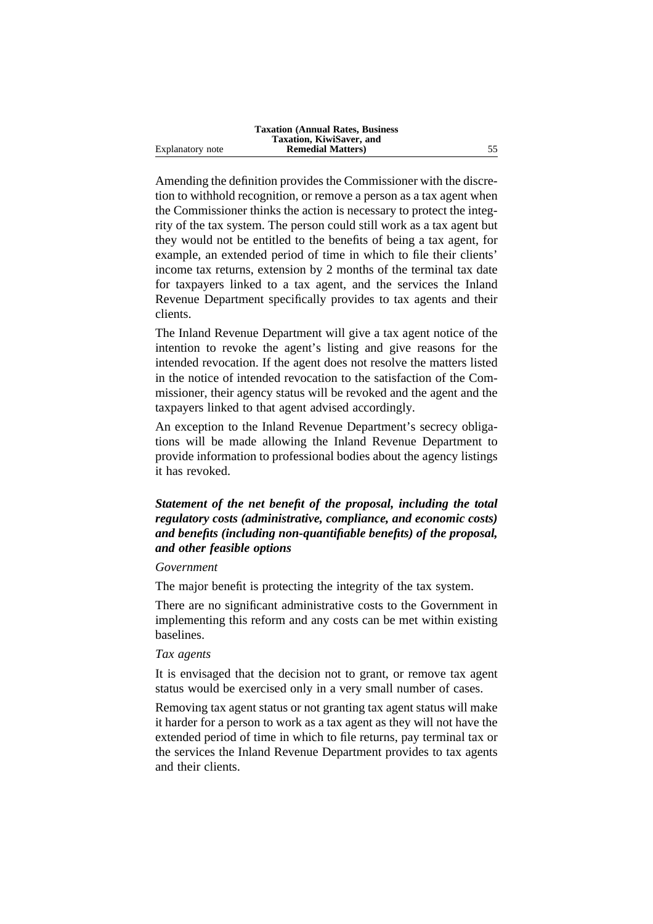Amending the definition provides the Commissioner with the discretion to withhold recognition, or remove a person as a tax agent when the Commissioner thinks the action is necessary to protect the integrity of the tax system. The person could still work as a tax agent but they would not be entitled to the benefits of being a tax agent, for example, an extended period of time in which to file their clients' income tax returns, extension by 2 months of the terminal tax date for taxpayers linked to a tax agent, and the services the Inland Revenue Department specifically provides to tax agents and their clients.

The Inland Revenue Department will give a tax agent notice of the intention to revoke the agent's listing and give reasons for the intended revocation. If the agent does not resolve the matters listed in the notice of intended revocation to the satisfaction of the Commissioner, their agency status will be revoked and the agent and the taxpayers linked to that agent advised accordingly.

An exception to the Inland Revenue Department's secrecy obligations will be made allowing the Inland Revenue Department to provide information to professional bodies about the agency listings it has revoked.

# *Statement of the net benefit of the proposal, including the total regulatory costs (administrative, compliance, and economic costs) and benefits (including non-quantifiable benefits) of the proposal, and other feasible options*

#### *Government*

The major benefit is protecting the integrity of the tax system.

There are no significant administrative costs to the Government in implementing this reform and any costs can be met within existing baselines.

## *Tax agents*

It is envisaged that the decision not to grant, or remove tax agent status would be exercised only in a very small number of cases.

Removing tax agent status or not granting tax agent status will make it harder for a person to work as a tax agent as they will not have the extended period of time in which to file returns, pay terminal tax or the services the Inland Revenue Department provides to tax agents and their clients.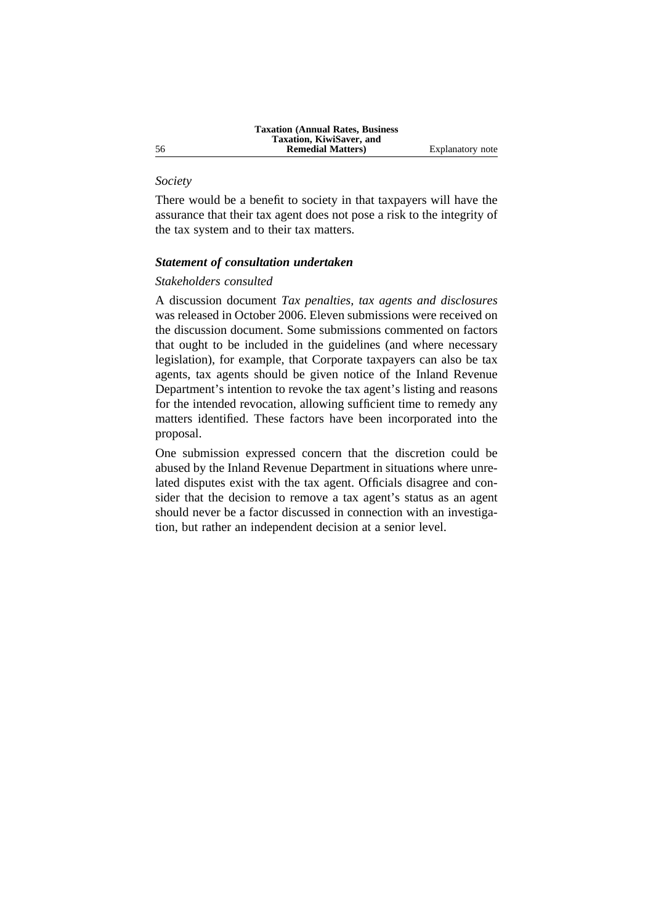## *Society*

There would be a benefit to society in that taxpayers will have the assurance that their tax agent does not pose a risk to the integrity of the tax system and to their tax matters.

#### *Statement of consultation undertaken*

## *Stakeholders consulted*

A discussion document *Tax penalties, tax agents and disclosures* was released in October 2006. Eleven submissions were received on the discussion document. Some submissions commented on factors that ought to be included in the guidelines (and where necessary legislation), for example, that Corporate taxpayers can also be tax agents, tax agents should be given notice of the Inland Revenue Department's intention to revoke the tax agent's listing and reasons for the intended revocation, allowing sufficient time to remedy any matters identified. These factors have been incorporated into the proposal.

One submission expressed concern that the discretion could be abused by the Inland Revenue Department in situations where unrelated disputes exist with the tax agent. Officials disagree and consider that the decision to remove a tax agent's status as an agent should never be a factor discussed in connection with an investigation, but rather an independent decision at a senior level.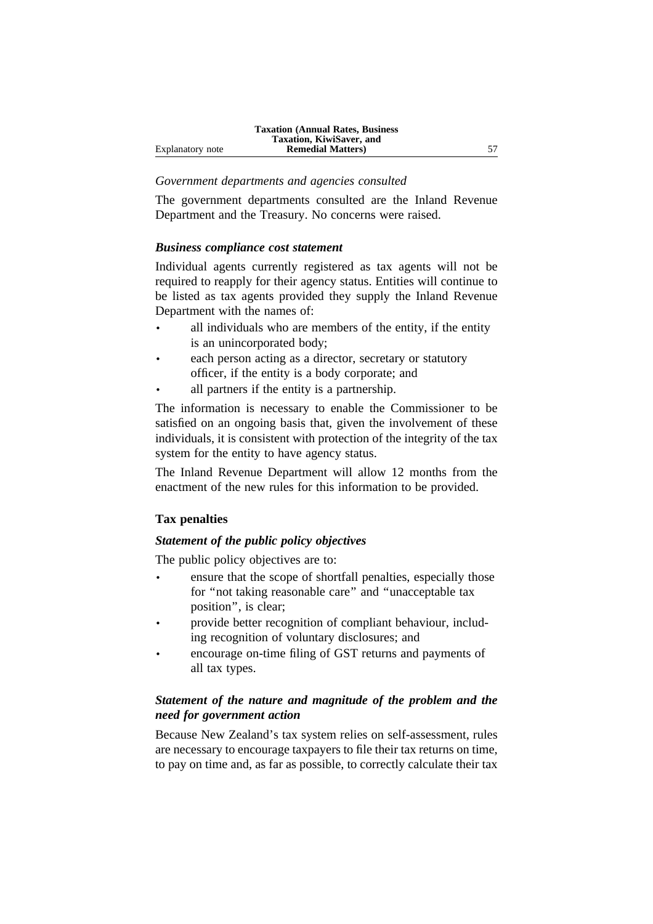## *Government departments and agencies consulted*

The government departments consulted are the Inland Revenue Department and the Treasury. No concerns were raised.

## *Business compliance cost statement*

Individual agents currently registered as tax agents will not be required to reapply for their agency status. Entities will continue to be listed as tax agents provided they supply the Inland Revenue Department with the names of:

- all individuals who are members of the entity, if the entity is an unincorporated body;
- each person acting as a director, secretary or statutory officer, if the entity is a body corporate; and
- all partners if the entity is a partnership.

The information is necessary to enable the Commissioner to be satisfied on an ongoing basis that, given the involvement of these individuals, it is consistent with protection of the integrity of the tax system for the entity to have agency status.

The Inland Revenue Department will allow 12 months from the enactment of the new rules for this information to be provided.

## **Tax penalties**

## *Statement of the public policy objectives*

The public policy objectives are to:

- ensure that the scope of shortfall penalties, especially those for ''not taking reasonable care'' and ''unacceptable tax position'', is clear;
- provide better recognition of compliant behaviour, including recognition of voluntary disclosures; and
- encourage on-time filing of GST returns and payments of all tax types.

# *Statement of the nature and magnitude of the problem and the need for government action*

Because New Zealand's tax system relies on self-assessment, rules are necessary to encourage taxpayers to file their tax returns on time, to pay on time and, as far as possible, to correctly calculate their tax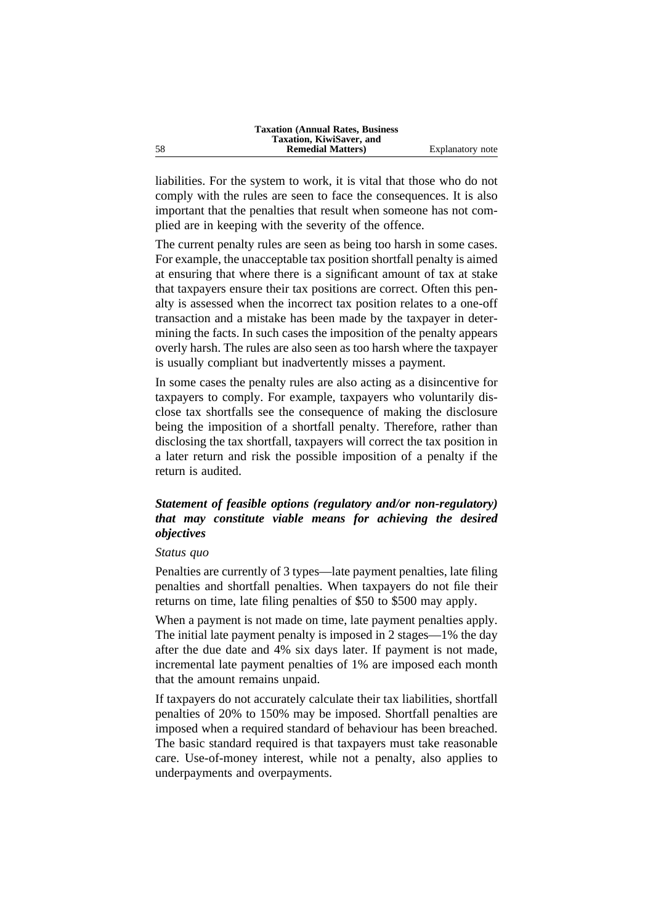liabilities. For the system to work, it is vital that those who do not comply with the rules are seen to face the consequences. It is also important that the penalties that result when someone has not complied are in keeping with the severity of the offence.

The current penalty rules are seen as being too harsh in some cases. For example, the unacceptable tax position shortfall penalty is aimed at ensuring that where there is a significant amount of tax at stake that taxpayers ensure their tax positions are correct. Often this penalty is assessed when the incorrect tax position relates to a one-off transaction and a mistake has been made by the taxpayer in determining the facts. In such cases the imposition of the penalty appears overly harsh. The rules are also seen as too harsh where the taxpayer is usually compliant but inadvertently misses a payment.

In some cases the penalty rules are also acting as a disincentive for taxpayers to comply. For example, taxpayers who voluntarily disclose tax shortfalls see the consequence of making the disclosure being the imposition of a shortfall penalty. Therefore, rather than disclosing the tax shortfall, taxpayers will correct the tax position in a later return and risk the possible imposition of a penalty if the return is audited.

## *Statement of feasible options (regulatory and/or non-regulatory) that may constitute viable means for achieving the desired objectives*

#### *Status quo*

Penalties are currently of 3 types—late payment penalties, late filing penalties and shortfall penalties. When taxpayers do not file their returns on time, late filing penalties of \$50 to \$500 may apply.

When a payment is not made on time, late payment penalties apply. The initial late payment penalty is imposed in 2 stages—1% the day after the due date and 4% six days later. If payment is not made, incremental late payment penalties of 1% are imposed each month that the amount remains unpaid.

If taxpayers do not accurately calculate their tax liabilities, shortfall penalties of 20% to 150% may be imposed. Shortfall penalties are imposed when a required standard of behaviour has been breached. The basic standard required is that taxpayers must take reasonable care. Use-of-money interest, while not a penalty, also applies to underpayments and overpayments.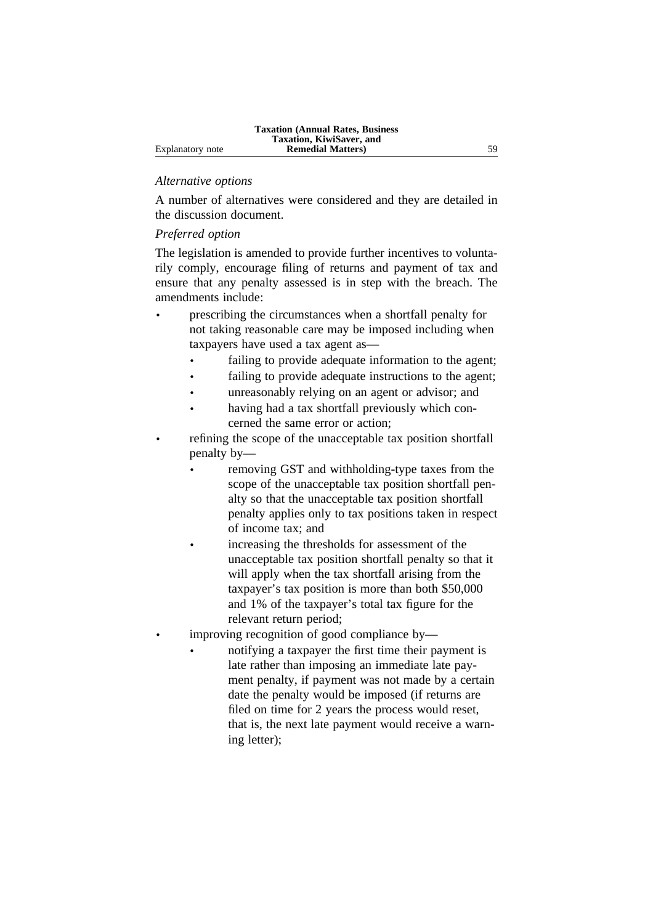## *Alternative options*

A number of alternatives were considered and they are detailed in the discussion document.

## *Preferred option*

The legislation is amended to provide further incentives to voluntarily comply, encourage filing of returns and payment of tax and ensure that any penalty assessed is in step with the breach. The amendments include:

- prescribing the circumstances when a shortfall penalty for not taking reasonable care may be imposed including when taxpayers have used a tax agent as
	- failing to provide adequate information to the agent;
	- failing to provide adequate instructions to the agent;
	- unreasonably relying on an agent or advisor; and
	- having had a tax shortfall previously which concerned the same error or action;
- refining the scope of the unacceptable tax position shortfall penalty by
	- removing GST and withholding-type taxes from the scope of the unacceptable tax position shortfall penalty so that the unacceptable tax position shortfall penalty applies only to tax positions taken in respect of income tax; and
	- increasing the thresholds for assessment of the unacceptable tax position shortfall penalty so that it will apply when the tax shortfall arising from the taxpayer's tax position is more than both \$50,000 and 1% of the taxpayer's total tax figure for the relevant return period;
	- improving recognition of good compliance by—
		- notifying a taxpayer the first time their payment is late rather than imposing an immediate late payment penalty, if payment was not made by a certain date the penalty would be imposed (if returns are filed on time for 2 years the process would reset, that is, the next late payment would receive a warning letter);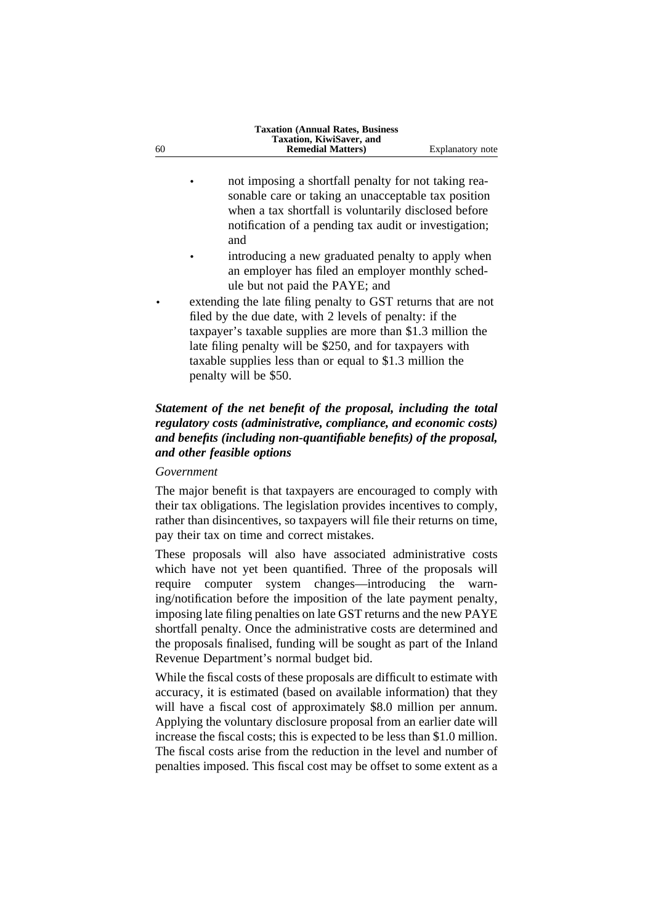- not imposing a shortfall penalty for not taking reasonable care or taking an unacceptable tax position when a tax shortfall is voluntarily disclosed before notification of a pending tax audit or investigation; and
- introducing a new graduated penalty to apply when an employer has filed an employer monthly schedule but not paid the PAYE; and
- extending the late filing penalty to GST returns that are not filed by the due date, with 2 levels of penalty: if the taxpayer's taxable supplies are more than \$1.3 million the late filing penalty will be \$250, and for taxpayers with taxable supplies less than or equal to \$1.3 million the penalty will be \$50.

# *Statement of the net benefit of the proposal, including the total regulatory costs (administrative, compliance, and economic costs) and benefits (including non-quantifiable benefits) of the proposal, and other feasible options*

#### *Government*

The major benefit is that taxpayers are encouraged to comply with their tax obligations. The legislation provides incentives to comply, rather than disincentives, so taxpayers will file their returns on time, pay their tax on time and correct mistakes.

These proposals will also have associated administrative costs which have not yet been quantified. Three of the proposals will require computer system changes—introducing the warning/notification before the imposition of the late payment penalty, imposing late filing penalties on late GST returns and the new PAYE shortfall penalty. Once the administrative costs are determined and the proposals finalised, funding will be sought as part of the Inland Revenue Department's normal budget bid.

While the fiscal costs of these proposals are difficult to estimate with accuracy, it is estimated (based on available information) that they will have a fiscal cost of approximately \$8.0 million per annum. Applying the voluntary disclosure proposal from an earlier date will increase the fiscal costs; this is expected to be less than \$1.0 million. The fiscal costs arise from the reduction in the level and number of penalties imposed. This fiscal cost may be offset to some extent as a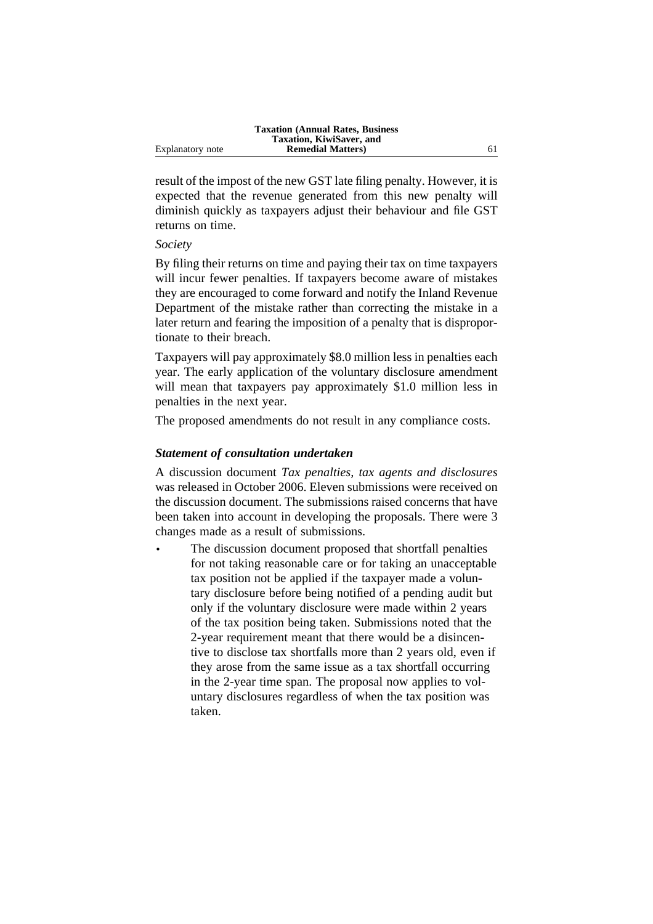result of the impost of the new GST late filing penalty. However, it is expected that the revenue generated from this new penalty will diminish quickly as taxpayers adjust their behaviour and file GST returns on time.

#### *Society*

By filing their returns on time and paying their tax on time taxpayers will incur fewer penalties. If taxpayers become aware of mistakes they are encouraged to come forward and notify the Inland Revenue Department of the mistake rather than correcting the mistake in a later return and fearing the imposition of a penalty that is disproportionate to their breach.

Taxpayers will pay approximately \$8.0 million less in penalties each year. The early application of the voluntary disclosure amendment will mean that taxpayers pay approximately \$1.0 million less in penalties in the next year.

The proposed amendments do not result in any compliance costs.

## *Statement of consultation undertaken*

A discussion document *Tax penalties, tax agents and disclosures* was released in October 2006. Eleven submissions were received on the discussion document. The submissions raised concerns that have been taken into account in developing the proposals. There were 3 changes made as a result of submissions.

The discussion document proposed that shortfall penalties for not taking reasonable care or for taking an unacceptable tax position not be applied if the taxpayer made a voluntary disclosure before being notified of a pending audit but only if the voluntary disclosure were made within 2 years of the tax position being taken. Submissions noted that the 2-year requirement meant that there would be a disincentive to disclose tax shortfalls more than 2 years old, even if they arose from the same issue as a tax shortfall occurring in the 2-year time span. The proposal now applies to voluntary disclosures regardless of when the tax position was taken.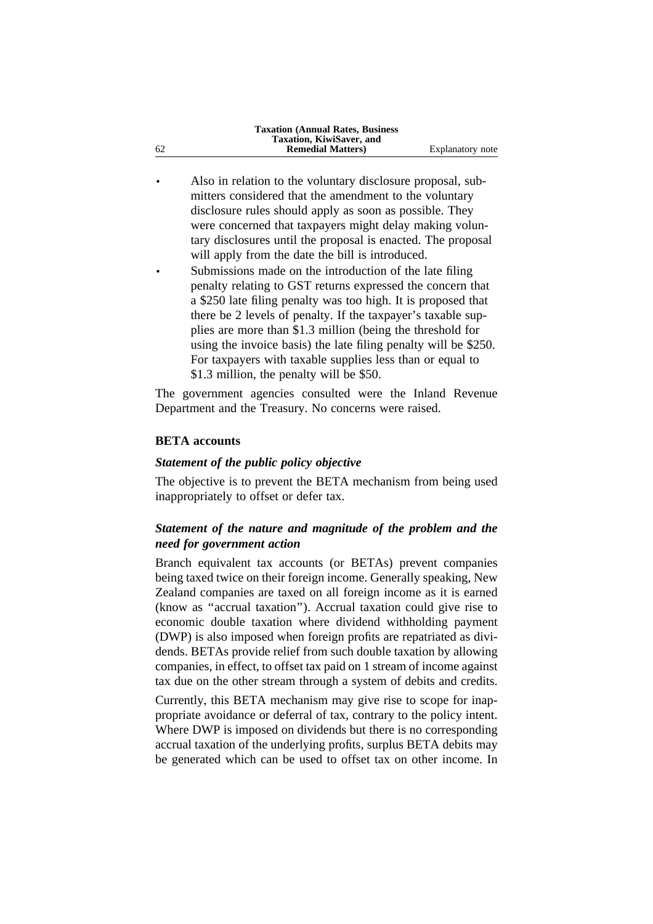| Explanatory note |
|------------------|
|                  |

- Also in relation to the voluntary disclosure proposal, submitters considered that the amendment to the voluntary disclosure rules should apply as soon as possible. They were concerned that taxpayers might delay making voluntary disclosures until the proposal is enacted. The proposal will apply from the date the bill is introduced.
- Submissions made on the introduction of the late filing penalty relating to GST returns expressed the concern that a \$250 late filing penalty was too high. It is proposed that there be 2 levels of penalty. If the taxpayer's taxable supplies are more than \$1.3 million (being the threshold for using the invoice basis) the late filing penalty will be \$250. For taxpayers with taxable supplies less than or equal to \$1.3 million, the penalty will be \$50.

The government agencies consulted were the Inland Revenue Department and the Treasury. No concerns were raised.

## **BETA accounts**

## *Statement of the public policy objective*

The objective is to prevent the BETA mechanism from being used inappropriately to offset or defer tax.

## *Statement of the nature and magnitude of the problem and the need for government action*

Branch equivalent tax accounts (or BETAs) prevent companies being taxed twice on their foreign income. Generally speaking, New Zealand companies are taxed on all foreign income as it is earned (know as ''accrual taxation''). Accrual taxation could give rise to economic double taxation where dividend withholding payment (DWP) is also imposed when foreign profits are repatriated as dividends. BETAs provide relief from such double taxation by allowing companies, in effect, to offset tax paid on 1 stream of income against tax due on the other stream through a system of debits and credits.

Currently, this BETA mechanism may give rise to scope for inappropriate avoidance or deferral of tax, contrary to the policy intent. Where DWP is imposed on dividends but there is no corresponding accrual taxation of the underlying profits, surplus BETA debits may be generated which can be used to offset tax on other income. In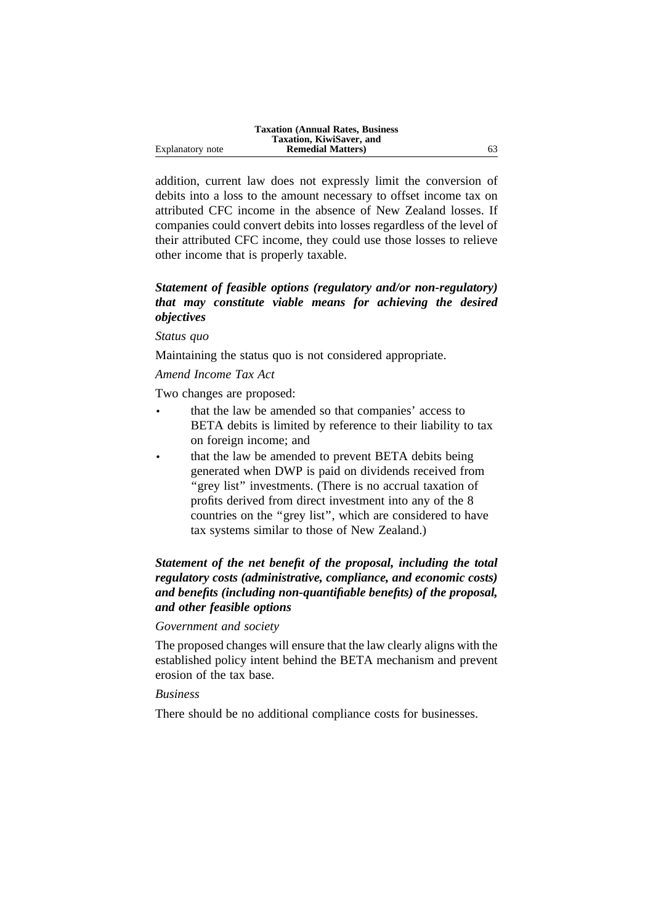|                  | <b>Taxation (Annual Rates, Business)</b> |  |
|------------------|------------------------------------------|--|
|                  | Taxation, KiwiSaver, and                 |  |
| Explanatory note | <b>Remedial Matters</b> )                |  |

addition, current law does not expressly limit the conversion of debits into a loss to the amount necessary to offset income tax on attributed CFC income in the absence of New Zealand losses. If companies could convert debits into losses regardless of the level of their attributed CFC income, they could use those losses to relieve other income that is properly taxable.

# *Statement of feasible options (regulatory and/or non-regulatory) that may constitute viable means for achieving the desired objectives*

#### *Status quo*

Maintaining the status quo is not considered appropriate.

# *Amend Income Tax Act*

Two changes are proposed:

- that the law be amended so that companies' access to BETA debits is limited by reference to their liability to tax on foreign income; and
- that the law be amended to prevent BETA debits being generated when DWP is paid on dividends received from "grey list" investments. (There is no accrual taxation of profits derived from direct investment into any of the 8 countries on the ''grey list'', which are considered to have tax systems similar to those of New Zealand.)

# *Statement of the net benefit of the proposal, including the total regulatory costs (administrative, compliance, and economic costs) and benefits (including non-quantifiable benefits) of the proposal, and other feasible options*

## *Government and society*

The proposed changes will ensure that the law clearly aligns with the established policy intent behind the BETA mechanism and prevent erosion of the tax base.

## *Business*

There should be no additional compliance costs for businesses.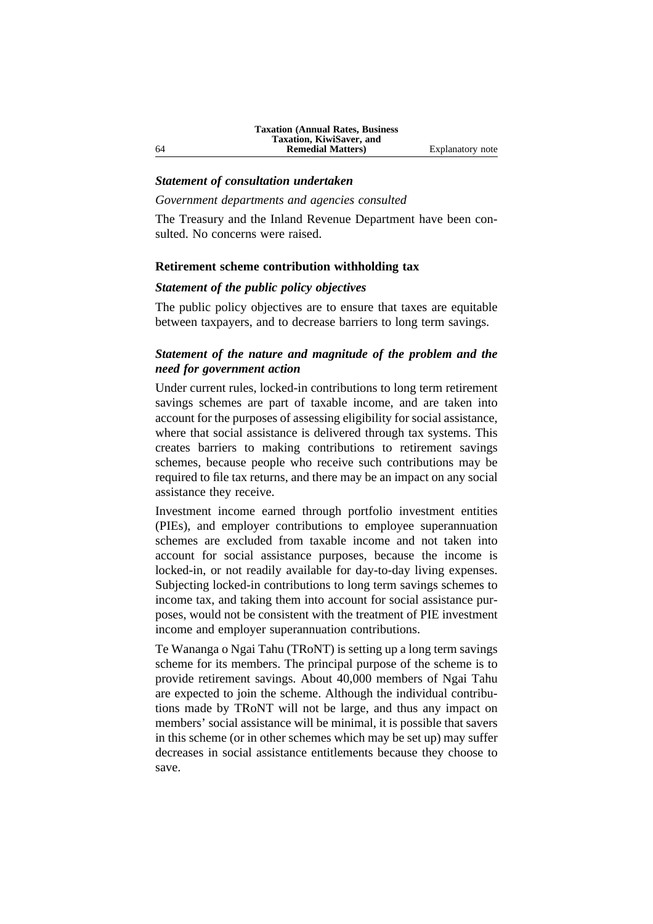#### *Statement of consultation undertaken*

#### *Government departments and agencies consulted*

The Treasury and the Inland Revenue Department have been consulted. No concerns were raised.

#### **Retirement scheme contribution withholding tax**

#### *Statement of the public policy objectives*

The public policy objectives are to ensure that taxes are equitable between taxpayers, and to decrease barriers to long term savings.

# *Statement of the nature and magnitude of the problem and the need for government action*

Under current rules, locked-in contributions to long term retirement savings schemes are part of taxable income, and are taken into account for the purposes of assessing eligibility for social assistance, where that social assistance is delivered through tax systems. This creates barriers to making contributions to retirement savings schemes, because people who receive such contributions may be required to file tax returns, and there may be an impact on any social assistance they receive.

Investment income earned through portfolio investment entities (PIEs), and employer contributions to employee superannuation schemes are excluded from taxable income and not taken into account for social assistance purposes, because the income is locked-in, or not readily available for day-to-day living expenses. Subjecting locked-in contributions to long term savings schemes to income tax, and taking them into account for social assistance purposes, would not be consistent with the treatment of PIE investment income and employer superannuation contributions.

Te Wananga o Ngai Tahu (TRoNT) is setting up a long term savings scheme for its members. The principal purpose of the scheme is to provide retirement savings. About 40,000 members of Ngai Tahu are expected to join the scheme. Although the individual contributions made by TRoNT will not be large, and thus any impact on members' social assistance will be minimal, it is possible that savers in this scheme (or in other schemes which may be set up) may suffer decreases in social assistance entitlements because they choose to save.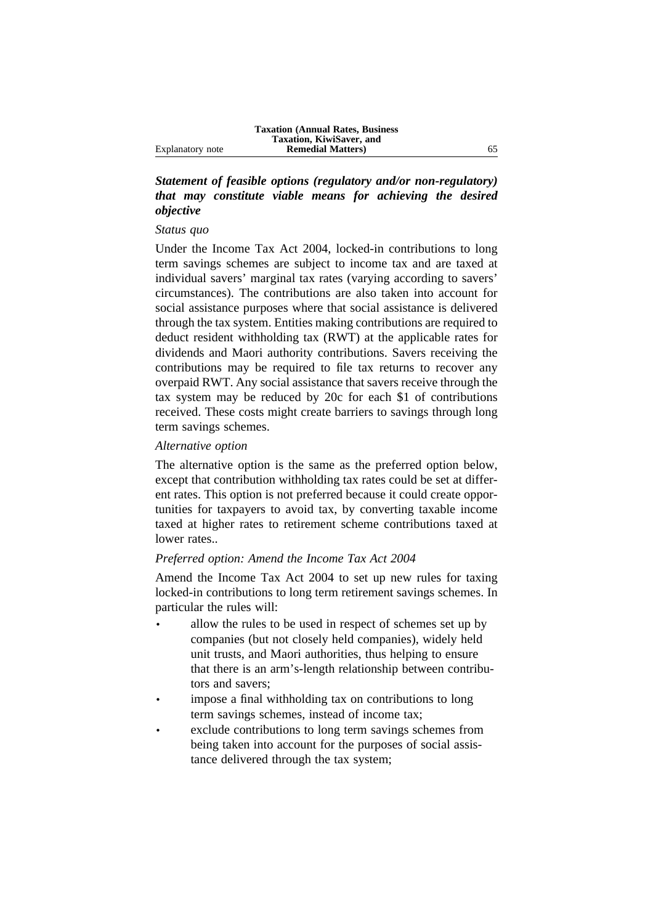# *Statement of feasible options (regulatory and/or non-regulatory) that may constitute viable means for achieving the desired objective*

#### *Status quo*

Under the Income Tax Act 2004, locked-in contributions to long term savings schemes are subject to income tax and are taxed at individual savers' marginal tax rates (varying according to savers' circumstances). The contributions are also taken into account for social assistance purposes where that social assistance is delivered through the tax system. Entities making contributions are required to deduct resident withholding tax (RWT) at the applicable rates for dividends and Maori authority contributions. Savers receiving the contributions may be required to file tax returns to recover any overpaid RWT. Any social assistance that savers receive through the tax system may be reduced by 20c for each \$1 of contributions received. These costs might create barriers to savings through long term savings schemes.

#### *Alternative option*

The alternative option is the same as the preferred option below, except that contribution withholding tax rates could be set at different rates. This option is not preferred because it could create opportunities for taxpayers to avoid tax, by converting taxable income taxed at higher rates to retirement scheme contributions taxed at lower rates..

## *Preferred option: Amend the Income Tax Act 2004*

Amend the Income Tax Act 2004 to set up new rules for taxing locked-in contributions to long term retirement savings schemes. In particular the rules will:

- allow the rules to be used in respect of schemes set up by companies (but not closely held companies), widely held unit trusts, and Maori authorities, thus helping to ensure that there is an arm's-length relationship between contributors and savers;
- impose a final withholding tax on contributions to long term savings schemes, instead of income tax;
- exclude contributions to long term savings schemes from being taken into account for the purposes of social assistance delivered through the tax system;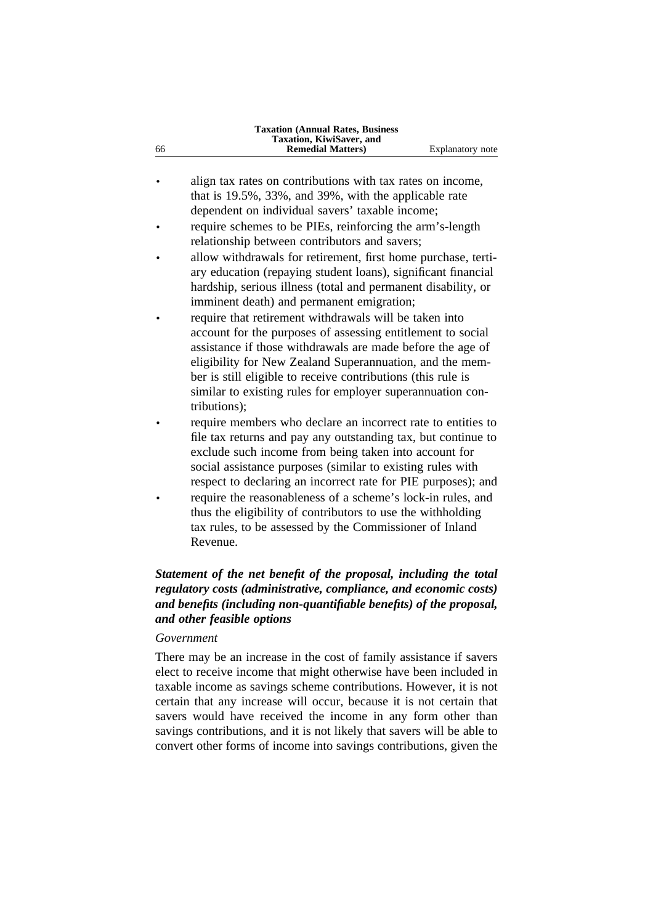| 66 | <b>Taxation (Annual Rates, Business)</b><br>Taxation, KiwiSaver, and<br><b>Remedial Matters)</b> | Explanatory note |
|----|--------------------------------------------------------------------------------------------------|------------------|
|    |                                                                                                  |                  |
|    | align tax rates on contributions with tax rates on income,                                       |                  |
|    | that is 19.5%, 33%, and 39%, with the applicable rate                                            |                  |
|    | dependent on individual savers' taxable income;                                                  |                  |
|    | require schemes to be PIEs, reinforcing the arm's-length                                         |                  |
|    | relationship between contributors and savers;                                                    |                  |
|    | allow withdrawals for retirement, first home purchase, terti-                                    |                  |
|    | ary education (repaying student loans), significant financial                                    |                  |
|    | hardship, serious illness (total and permanent disability, or                                    |                  |
|    | imminent death) and permanent emigration;                                                        |                  |
|    | require that retirement withdrawals will be taken into                                           |                  |
|    | account for the purposes of assessing entitlement to social                                      |                  |
|    | assistance if those withdrawals are made before the age of                                       |                  |
|    | eligibility for New Zealand Superannuation, and the mem-                                         |                  |
|    | ber is still eligible to receive contributions (this rule is                                     |                  |
|    | similar to existing rules for employer superannuation con-                                       |                  |
|    | tributions);                                                                                     |                  |
|    | require members who declare an incorrect rate to entities to                                     |                  |
|    | file tax returns and pay any outstanding tax, but continue to                                    |                  |
|    | exclude such income from being taken into account for                                            |                  |
|    |                                                                                                  |                  |

- social assistance purposes (similar to existing rules with respect to declaring an incorrect rate for PIE purposes); and
- require the reasonableness of a scheme's lock-in rules, and thus the eligibility of contributors to use the withholding tax rules, to be assessed by the Commissioner of Inland Revenue.

# *Statement of the net benefit of the proposal, including the total regulatory costs (administrative, compliance, and economic costs) and benefits (including non-quantifiable benefits) of the proposal, and other feasible options*

#### *Government*

There may be an increase in the cost of family assistance if savers elect to receive income that might otherwise have been included in taxable income as savings scheme contributions. However, it is not certain that any increase will occur, because it is not certain that savers would have received the income in any form other than savings contributions, and it is not likely that savers will be able to convert other forms of income into savings contributions, given the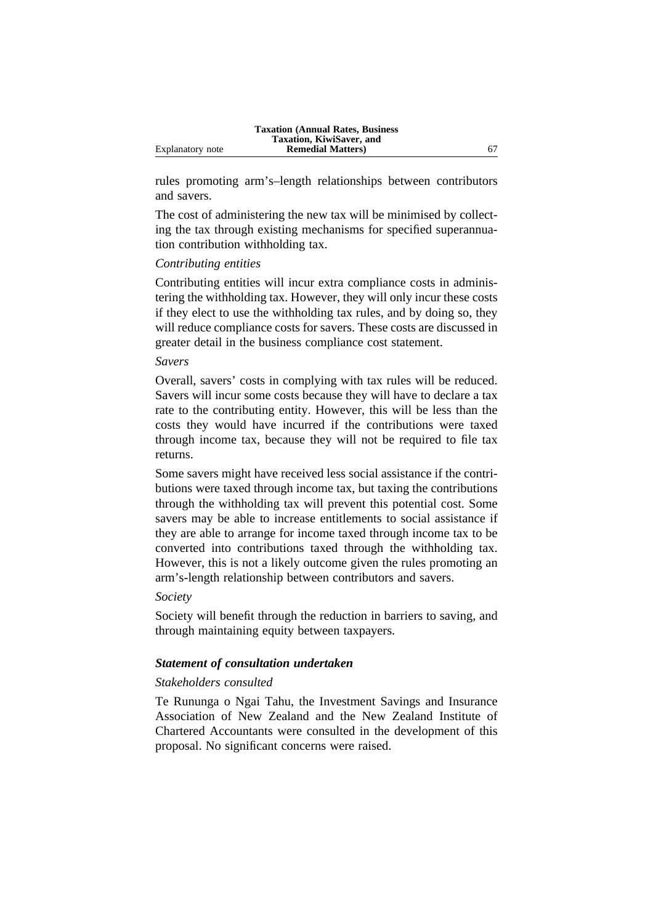|                  | <b>Taxation (Annual Rates, Business)</b> |  |
|------------------|------------------------------------------|--|
|                  | Taxation, KiwiSaver, and                 |  |
| Explanatory note | <b>Remedial Matters</b> )                |  |

rules promoting arm's–length relationships between contributors and savers.

The cost of administering the new tax will be minimised by collecting the tax through existing mechanisms for specified superannuation contribution withholding tax.

## *Contributing entities*

Contributing entities will incur extra compliance costs in administering the withholding tax. However, they will only incur these costs if they elect to use the withholding tax rules, and by doing so, they will reduce compliance costs for savers. These costs are discussed in greater detail in the business compliance cost statement.

#### *Savers*

Overall, savers' costs in complying with tax rules will be reduced. Savers will incur some costs because they will have to declare a tax rate to the contributing entity. However, this will be less than the costs they would have incurred if the contributions were taxed through income tax, because they will not be required to file tax returns.

Some savers might have received less social assistance if the contributions were taxed through income tax, but taxing the contributions through the withholding tax will prevent this potential cost. Some savers may be able to increase entitlements to social assistance if they are able to arrange for income taxed through income tax to be converted into contributions taxed through the withholding tax. However, this is not a likely outcome given the rules promoting an arm's-length relationship between contributors and savers.

#### *Society*

Society will benefit through the reduction in barriers to saving, and through maintaining equity between taxpayers.

## *Statement of consultation undertaken*

#### *Stakeholders consulted*

Te Rununga o Ngai Tahu, the Investment Savings and Insurance Association of New Zealand and the New Zealand Institute of Chartered Accountants were consulted in the development of this proposal. No significant concerns were raised.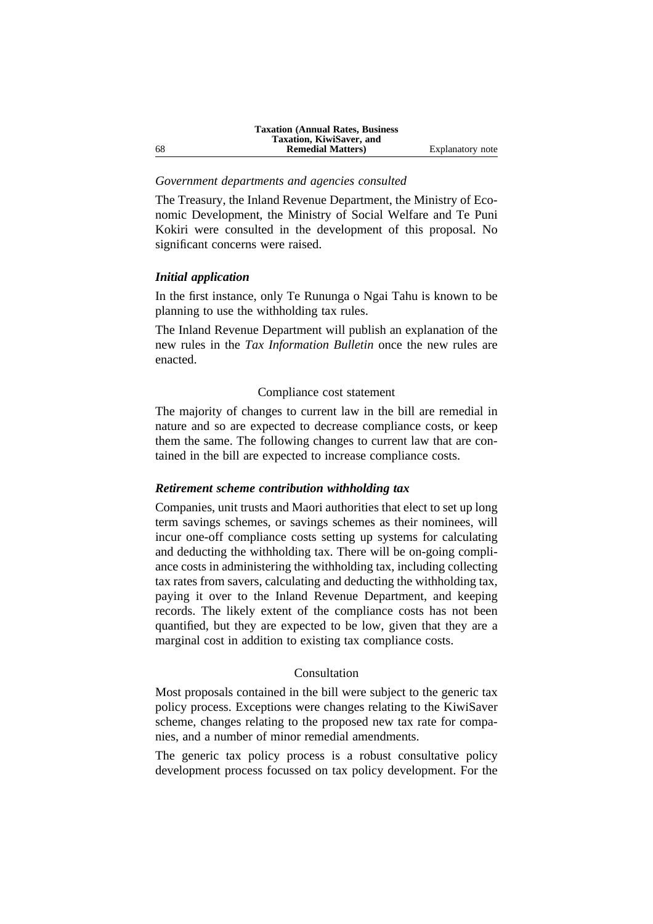#### *Government departments and agencies consulted*

The Treasury, the Inland Revenue Department, the Ministry of Economic Development, the Ministry of Social Welfare and Te Puni Kokiri were consulted in the development of this proposal. No significant concerns were raised.

#### *Initial application*

In the first instance, only Te Rununga o Ngai Tahu is known to be planning to use the withholding tax rules.

The Inland Revenue Department will publish an explanation of the new rules in the *Tax Information Bulletin* once the new rules are enacted.

#### Compliance cost statement

The majority of changes to current law in the bill are remedial in nature and so are expected to decrease compliance costs, or keep them the same. The following changes to current law that are contained in the bill are expected to increase compliance costs.

#### *Retirement scheme contribution withholding tax*

Companies, unit trusts and Maori authorities that elect to set up long term savings schemes, or savings schemes as their nominees, will incur one-off compliance costs setting up systems for calculating and deducting the withholding tax. There will be on-going compliance costs in administering the withholding tax, including collecting tax rates from savers, calculating and deducting the withholding tax, paying it over to the Inland Revenue Department, and keeping records. The likely extent of the compliance costs has not been quantified, but they are expected to be low, given that they are a marginal cost in addition to existing tax compliance costs.

## Consultation

Most proposals contained in the bill were subject to the generic tax policy process. Exceptions were changes relating to the KiwiSaver scheme, changes relating to the proposed new tax rate for companies, and a number of minor remedial amendments.

The generic tax policy process is a robust consultative policy development process focussed on tax policy development. For the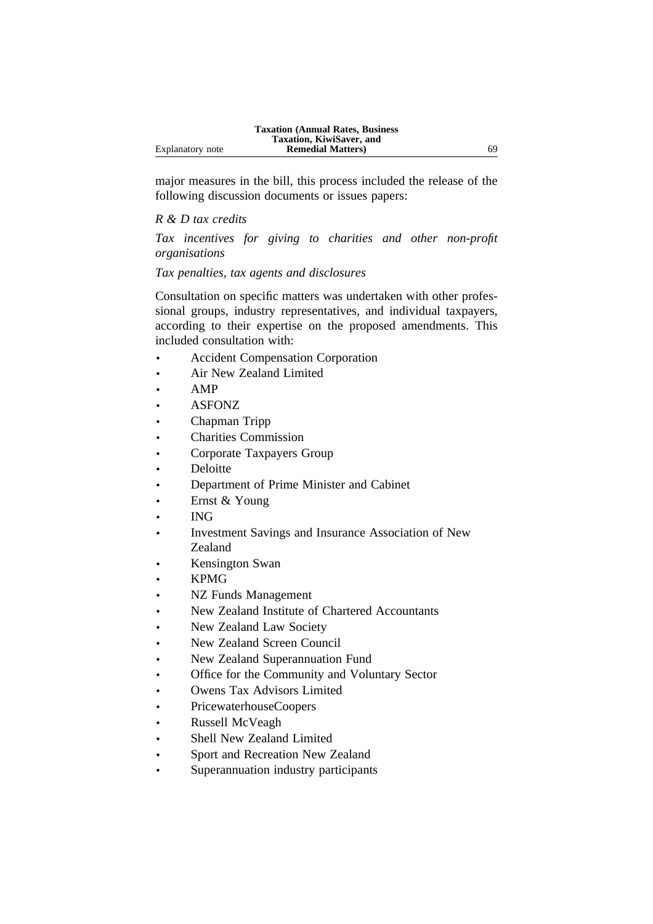|                  | <b>Taxation (Annual Rates, Business)</b> |    |
|------------------|------------------------------------------|----|
|                  | Taxation, KiwiSaver, and                 |    |
| Explanatory note | <b>Remedial Matters</b> )                | 69 |

major measures in the bill, this process included the release of the following discussion documents or issues papers:

## *R & D tax credits*

*Tax incentives for giving to charities and other non-profit organisations*

*Tax penalties, tax agents and disclosures*

Consultation on specific matters was undertaken with other professional groups, industry representatives, and individual taxpayers, according to their expertise on the proposed amendments. This included consultation with:

- Accident Compensation Corporation
- Air New Zealand Limited
- AMP
- ASFONZ
- Chapman Tripp
- Charities Commission
- Corporate Taxpayers Group
- **Deloitte**
- Department of Prime Minister and Cabinet
- Ernst & Young
- ING
- Investment Savings and Insurance Association of New Zealand
- Kensington Swan
- KPMG
- NZ Funds Management
- New Zealand Institute of Chartered Accountants
- New Zealand Law Society
- New Zealand Screen Council
- New Zealand Superannuation Fund
- Office for the Community and Voluntary Sector
- Owens Tax Advisors Limited
- PricewaterhouseCoopers
- Russell McVeagh
- Shell New Zealand Limited
- Sport and Recreation New Zealand
- Superannuation industry participants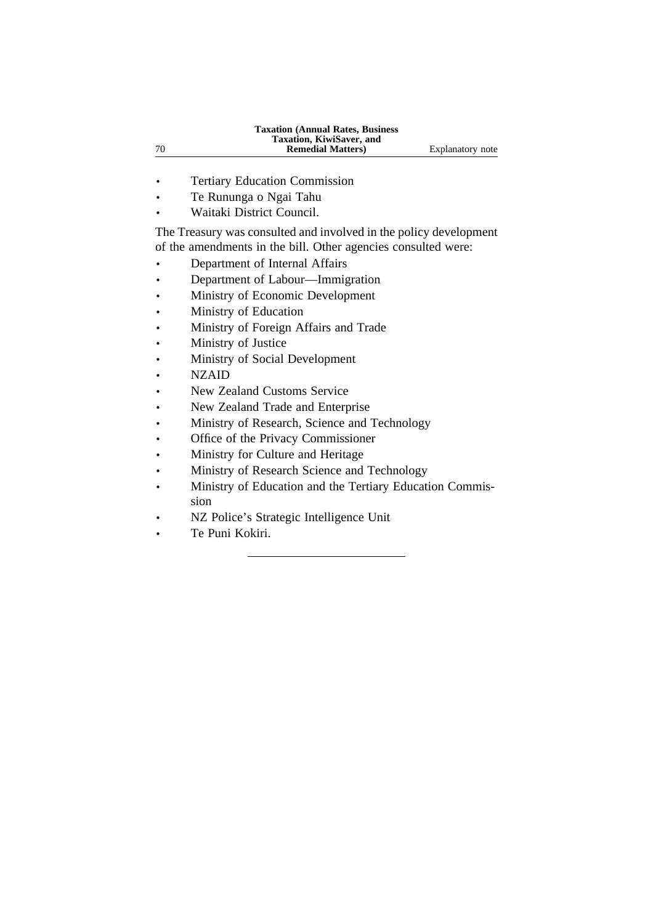- Tertiary Education Commission
- Te Rununga o Ngai Tahu
- Waitaki District Council.

The Treasury was consulted and involved in the policy development of the amendments in the bill. Other agencies consulted were:

- Department of Internal Affairs
- Department of Labour—Immigration
- Ministry of Economic Development
- Ministry of Education
- Ministry of Foreign Affairs and Trade
- Ministry of Justice
- Ministry of Social Development
- NZAID
- New Zealand Customs Service
- New Zealand Trade and Enterprise
- Ministry of Research, Science and Technology
- Office of the Privacy Commissioner
- Ministry for Culture and Heritage
- Ministry of Research Science and Technology
- Ministry of Education and the Tertiary Education Commission
- NZ Police's Strategic Intelligence Unit
- Te Puni Kokiri.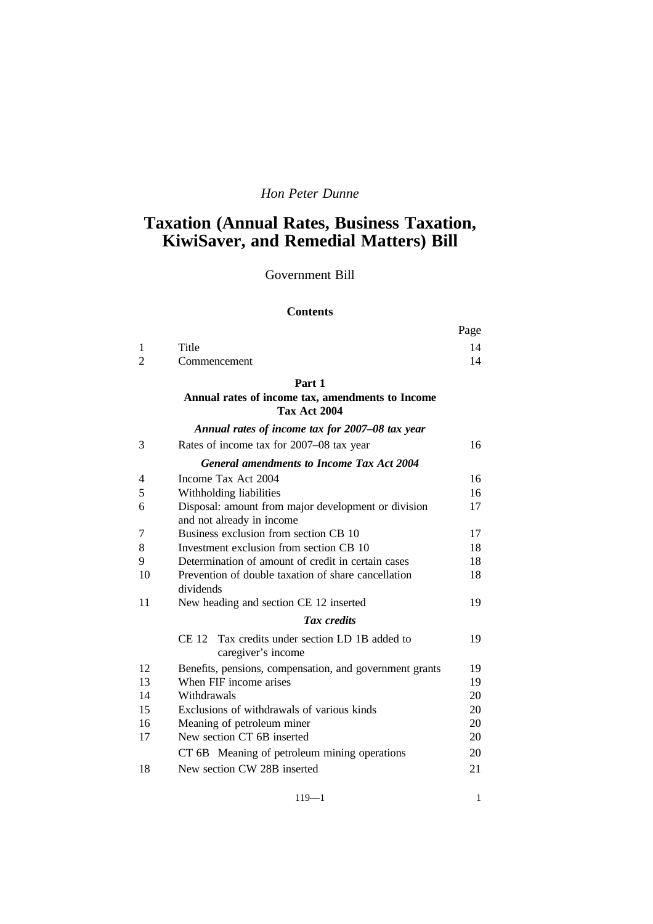# *Hon Peter Dunne*

# **Taxation (Annual Rates, Business Taxation, KiwiSaver, and Remedial Matters) Bill**

# Government Bill

#### **Contents**

|   |              | Page           |
|---|--------------|----------------|
|   | Title        | $\overline{4}$ |
| 2 | Commencement |                |

## **Part 1**

#### **Annual rates of income tax, amendments to Income Tax Act 2004**

|    | Annual rates of income tax for 2007-08 tax year                                  |    |
|----|----------------------------------------------------------------------------------|----|
| 3  | Rates of income tax for 2007–08 tax year                                         | 16 |
|    | <b>General amendments to Income Tax Act 2004</b>                                 |    |
| 4  | Income Tax Act 2004                                                              | 16 |
| 5  | Withholding liabilities                                                          | 16 |
| 6  | Disposal: amount from major development or division<br>and not already in income | 17 |
| 7  | Business exclusion from section CB 10                                            | 17 |
| 8  | Investment exclusion from section CB 10                                          | 18 |
| 9  | Determination of amount of credit in certain cases                               | 18 |
| 10 | Prevention of double taxation of share cancellation<br>dividends                 | 18 |
| 11 | New heading and section CE 12 inserted                                           | 19 |
|    | <b>Tax</b> credits                                                               |    |
|    | CE 12 Tax credits under section LD 1B added to<br>caregiver's income             | 19 |
| 12 | Benefits, pensions, compensation, and government grants                          | 19 |
| 13 | When FIF income arises                                                           | 19 |
| 14 | Withdrawals                                                                      | 20 |
| 15 | Exclusions of withdrawals of various kinds                                       | 20 |
| 16 | Meaning of petroleum miner                                                       | 20 |
| 17 | New section CT 6B inserted                                                       | 20 |
|    | CT 6B Meaning of petroleum mining operations                                     | 20 |
| 18 | New section CW 28B inserted                                                      | 21 |

119—1 1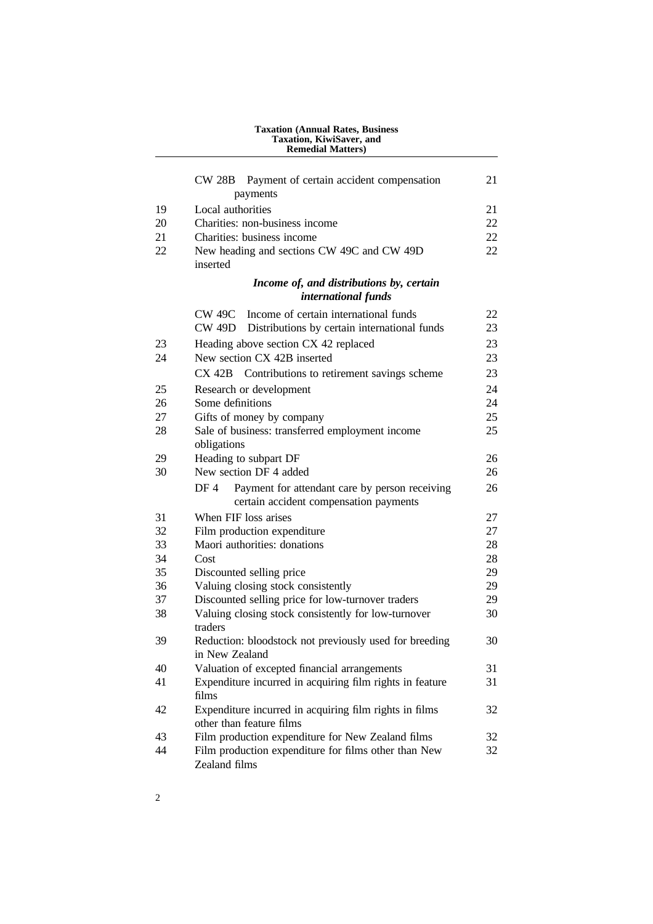|    | Taxation, KiwiSaver, and<br><b>Remedial Matters)</b>                                             |    |  |  |
|----|--------------------------------------------------------------------------------------------------|----|--|--|
|    | <b>CW 28B</b><br>Payment of certain accident compensation                                        | 21 |  |  |
|    | payments                                                                                         |    |  |  |
| 19 | Local authorities                                                                                | 21 |  |  |
| 20 | Charities: non-business income                                                                   | 22 |  |  |
| 21 | Charities: business income                                                                       | 22 |  |  |
| 22 | New heading and sections CW 49C and CW 49D<br>inserted                                           | 22 |  |  |
|    | Income of, and distributions by, certain                                                         |    |  |  |
|    | international funds                                                                              |    |  |  |
|    | <b>CW 49C</b><br>Income of certain international funds                                           | 22 |  |  |
|    | <b>CW 49D</b><br>Distributions by certain international funds                                    | 23 |  |  |
| 23 | Heading above section CX 42 replaced                                                             | 23 |  |  |
| 24 | New section CX 42B inserted                                                                      | 23 |  |  |
|    | CX <sub>42B</sub><br>Contributions to retirement savings scheme                                  | 23 |  |  |
| 25 | Research or development                                                                          | 24 |  |  |
| 26 | Some definitions                                                                                 | 24 |  |  |
| 27 | Gifts of money by company                                                                        | 25 |  |  |
| 28 | Sale of business: transferred employment income<br>obligations                                   | 25 |  |  |
| 29 | Heading to subpart DF                                                                            | 26 |  |  |
| 30 | New section DF 4 added                                                                           | 26 |  |  |
|    | Payment for attendant care by person receiving<br>DF 4<br>certain accident compensation payments | 26 |  |  |
| 31 | When FIF loss arises                                                                             | 27 |  |  |
| 32 | Film production expenditure                                                                      | 27 |  |  |
| 33 | Maori authorities: donations                                                                     | 28 |  |  |
| 34 | Cost                                                                                             | 28 |  |  |
| 35 | Discounted selling price                                                                         | 29 |  |  |
| 36 | Valuing closing stock consistently                                                               | 29 |  |  |
| 37 | Discounted selling price for low-turnover traders                                                | 29 |  |  |
| 38 | Valuing closing stock consistently for low-turnover<br>traders                                   | 30 |  |  |
| 39 | Reduction: bloodstock not previously used for breeding<br>in New Zealand                         | 30 |  |  |
| 40 | Valuation of excepted financial arrangements                                                     | 31 |  |  |
| 41 | Expenditure incurred in acquiring film rights in feature<br>films                                | 31 |  |  |
| 42 | Expenditure incurred in acquiring film rights in films<br>other than feature films               |    |  |  |
| 43 | Film production expenditure for New Zealand films                                                | 32 |  |  |
| 44 | Film production expenditure for films other than New<br>Zealand films                            | 32 |  |  |

**Taxation (Annual Rates, Business**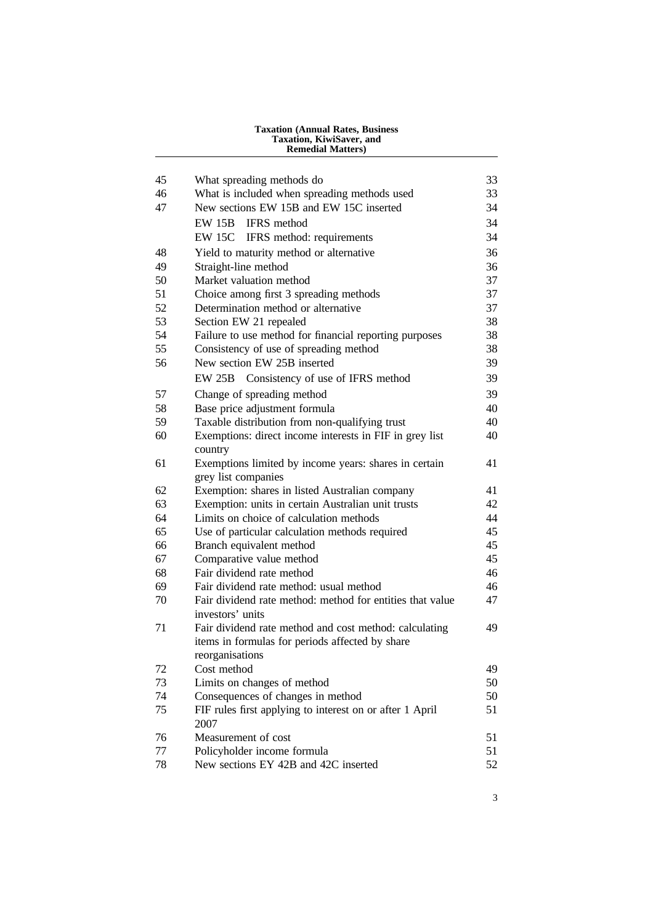| Taxation, KiwiSaver, and<br><b>Remedial Matters)</b> |                                                                               |          |
|------------------------------------------------------|-------------------------------------------------------------------------------|----------|
| 45                                                   | What spreading methods do                                                     | 33       |
| 46                                                   | What is included when spreading methods used                                  | 33       |
| 47                                                   | New sections EW 15B and EW 15C inserted                                       | 34       |
|                                                      | <b>IFRS</b> method<br><b>EW 15B</b>                                           | 34       |
|                                                      | <b>EW 15C</b><br>IFRS method: requirements                                    | 34       |
| 48                                                   | Yield to maturity method or alternative                                       | 36       |
| 49                                                   | Straight-line method                                                          | 36       |
| 50                                                   | Market valuation method                                                       | 37       |
| 51                                                   | Choice among first 3 spreading methods                                        | 37       |
| 52                                                   | Determination method or alternative                                           | 37       |
| 53                                                   | Section EW 21 repealed                                                        | 38       |
| 54                                                   | Failure to use method for financial reporting purposes                        | 38       |
| 55                                                   | Consistency of use of spreading method                                        | 38       |
| 56                                                   | New section EW 25B inserted                                                   | 39       |
|                                                      | EW 25B Consistency of use of IFRS method                                      | 39       |
| 57                                                   | Change of spreading method                                                    | 39       |
| 58                                                   | Base price adjustment formula                                                 | 40       |
| 59                                                   | Taxable distribution from non-qualifying trust                                | 40       |
| 60                                                   | Exemptions: direct income interests in FIF in grey list<br>country            | 40       |
| 61                                                   | Exemptions limited by income years: shares in certain<br>grey list companies  | 41       |
| 62                                                   | Exemption: shares in listed Australian company                                | 41       |
| 63                                                   | Exemption: units in certain Australian unit trusts                            | 42       |
| 64                                                   | Limits on choice of calculation methods                                       | 44       |
| 65                                                   | Use of particular calculation methods required                                | 45       |
| 66                                                   | Branch equivalent method                                                      | 45       |
| 67                                                   | Comparative value method                                                      | 45       |
| 68                                                   | Fair dividend rate method                                                     | 46       |
| 69                                                   | Fair dividend rate method: usual method                                       | 46       |
| 70                                                   | Fair dividend rate method: method for entities that value<br>investors' units | 47       |
| 71                                                   | Fair dividend rate method and cost method: calculating                        | 49       |
|                                                      | items in formulas for periods affected by share                               |          |
| 72                                                   | reorganisations<br>Cost method                                                | 49       |
| 73                                                   |                                                                               |          |
| 74                                                   | Limits on changes of method<br>Consequences of changes in method              | 50<br>50 |
| 75                                                   | FIF rules first applying to interest on or after 1 April                      | 51       |
|                                                      | 2007                                                                          |          |
| 76                                                   | Measurement of cost                                                           | 51       |
| 77                                                   | Policyholder income formula                                                   | 51       |
| 78                                                   | New sections EY 42B and 42C inserted                                          | 52       |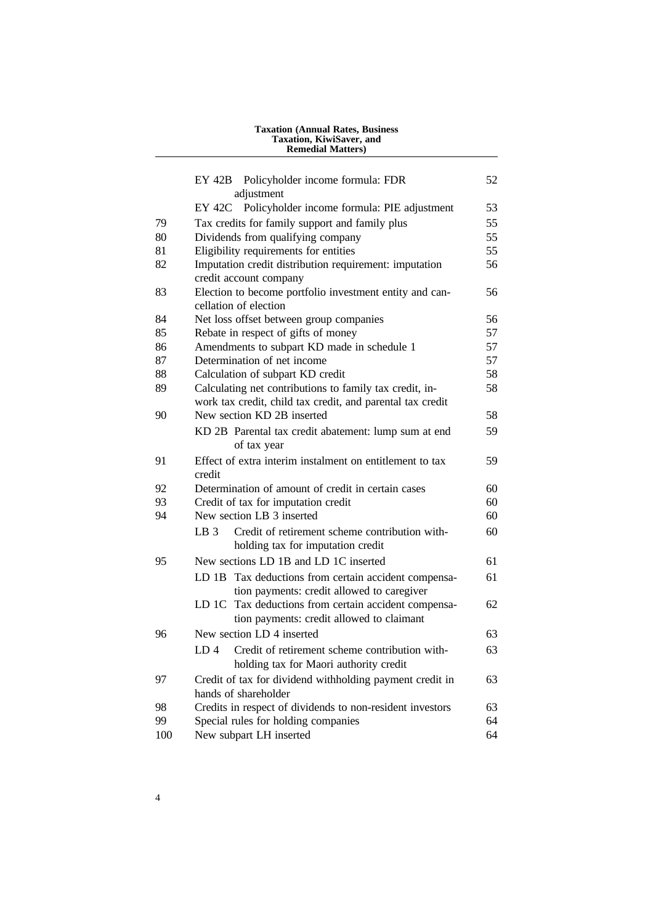|     | Taxation, KiwiSaver, and<br><b>Remedial Matters)</b>                                                                  |    |
|-----|-----------------------------------------------------------------------------------------------------------------------|----|
|     | EY 42B Policyholder income formula: FDR<br>adjustment                                                                 | 52 |
|     | EY 42C Policyholder income formula: PIE adjustment                                                                    | 53 |
| 79  | Tax credits for family support and family plus                                                                        | 55 |
| 80  | Dividends from qualifying company                                                                                     | 55 |
| 81  | Eligibility requirements for entities                                                                                 | 55 |
| 82  | Imputation credit distribution requirement: imputation<br>credit account company                                      | 56 |
| 83  | Election to become portfolio investment entity and can-<br>cellation of election                                      | 56 |
| 84  | Net loss offset between group companies                                                                               | 56 |
| 85  | Rebate in respect of gifts of money                                                                                   | 57 |
| 86  | Amendments to subpart KD made in schedule 1                                                                           | 57 |
| 87  | Determination of net income                                                                                           | 57 |
| 88  | Calculation of subpart KD credit                                                                                      | 58 |
| 89  | Calculating net contributions to family tax credit, in-<br>work tax credit, child tax credit, and parental tax credit | 58 |
| 90  | New section KD 2B inserted                                                                                            | 58 |
|     | KD 2B Parental tax credit abatement: lump sum at end<br>of tax year                                                   | 59 |
| 91  | Effect of extra interim instalment on entitlement to tax<br>credit                                                    | 59 |
| 92  | Determination of amount of credit in certain cases                                                                    | 60 |
| 93  | Credit of tax for imputation credit                                                                                   | 60 |
| 94  | New section LB 3 inserted                                                                                             | 60 |
|     | LB <sub>3</sub><br>Credit of retirement scheme contribution with-<br>holding tax for imputation credit                | 60 |
| 95  | New sections LD 1B and LD 1C inserted                                                                                 | 61 |
|     | LD 1B<br>Tax deductions from certain accident compensa-<br>tion payments: credit allowed to caregiver                 | 61 |
|     | Tax deductions from certain accident compensa-<br>LD 1C<br>tion payments: credit allowed to claimant                  | 62 |
| 96  | New section LD 4 inserted                                                                                             | 63 |
|     | Credit of retirement scheme contribution with-<br>LD 4<br>holding tax for Maori authority credit                      | 63 |
| 97  | Credit of tax for dividend withholding payment credit in                                                              | 63 |
|     | hands of shareholder                                                                                                  |    |
| 98  | Credits in respect of dividends to non-resident investors                                                             | 63 |
| 99  | Special rules for holding companies                                                                                   | 64 |
| 100 | New subpart LH inserted                                                                                               | 64 |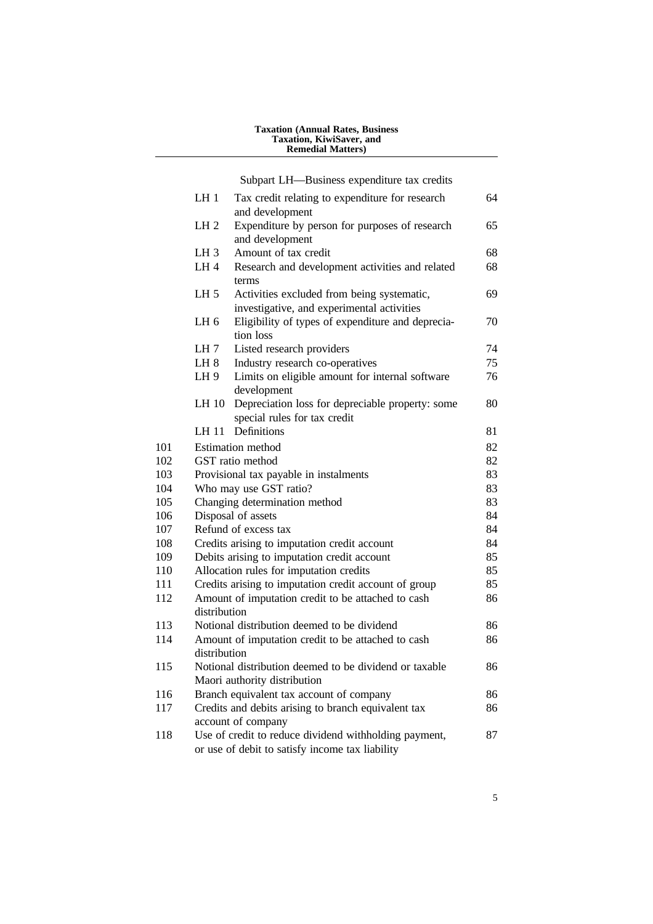#### **Taxation (Annual Rates, Business Taxation, KiwiSaver, and Remedial Matters)**

Subpart LH—Business expenditure tax credits

|     | LH1                    | Tax credit relating to expenditure for research<br>and development                                       | 64 |
|-----|------------------------|----------------------------------------------------------------------------------------------------------|----|
|     | LH <sub>2</sub>        | Expenditure by person for purposes of research<br>and development                                        | 65 |
|     | LH <sub>3</sub>        | Amount of tax credit                                                                                     | 68 |
|     | LH <sub>4</sub>        | Research and development activities and related<br>terms                                                 | 68 |
|     | LH <sub>5</sub>        | Activities excluded from being systematic,<br>investigative, and experimental activities                 | 69 |
|     | LH <sub>6</sub>        | Eligibility of types of expenditure and deprecia-<br>tion loss                                           | 70 |
|     | LH 7                   | Listed research providers                                                                                | 74 |
|     | LH <sub>8</sub>        | Industry research co-operatives                                                                          | 75 |
|     | LH <sub>9</sub>        | Limits on eligible amount for internal software<br>development                                           | 76 |
|     | <b>LH 10</b>           | Depreciation loss for depreciable property: some<br>special rules for tax credit                         | 80 |
|     | LH 11                  | Definitions                                                                                              | 81 |
| 101 |                        | Estimation method                                                                                        | 82 |
| 102 |                        | GST ratio method                                                                                         | 82 |
| 103 |                        | Provisional tax payable in instalments                                                                   | 83 |
| 104 | Who may use GST ratio? |                                                                                                          | 83 |
| 105 |                        | Changing determination method                                                                            | 83 |
| 106 |                        | Disposal of assets                                                                                       | 84 |
| 107 |                        | Refund of excess tax                                                                                     | 84 |
| 108 |                        | Credits arising to imputation credit account                                                             | 84 |
| 109 |                        | Debits arising to imputation credit account                                                              | 85 |
| 110 |                        | Allocation rules for imputation credits                                                                  | 85 |
| 111 |                        | Credits arising to imputation credit account of group                                                    | 85 |
| 112 | distribution           | Amount of imputation credit to be attached to cash                                                       | 86 |
| 113 |                        | Notional distribution deemed to be dividend                                                              | 86 |
| 114 | distribution           | Amount of imputation credit to be attached to cash                                                       | 86 |
| 115 |                        | Notional distribution deemed to be dividend or taxable<br>Maori authority distribution                   | 86 |
| 116 |                        | Branch equivalent tax account of company                                                                 | 86 |
| 117 |                        | Credits and debits arising to branch equivalent tax<br>account of company                                | 86 |
| 118 |                        | Use of credit to reduce dividend withholding payment,<br>or use of debit to satisfy income tax liability | 87 |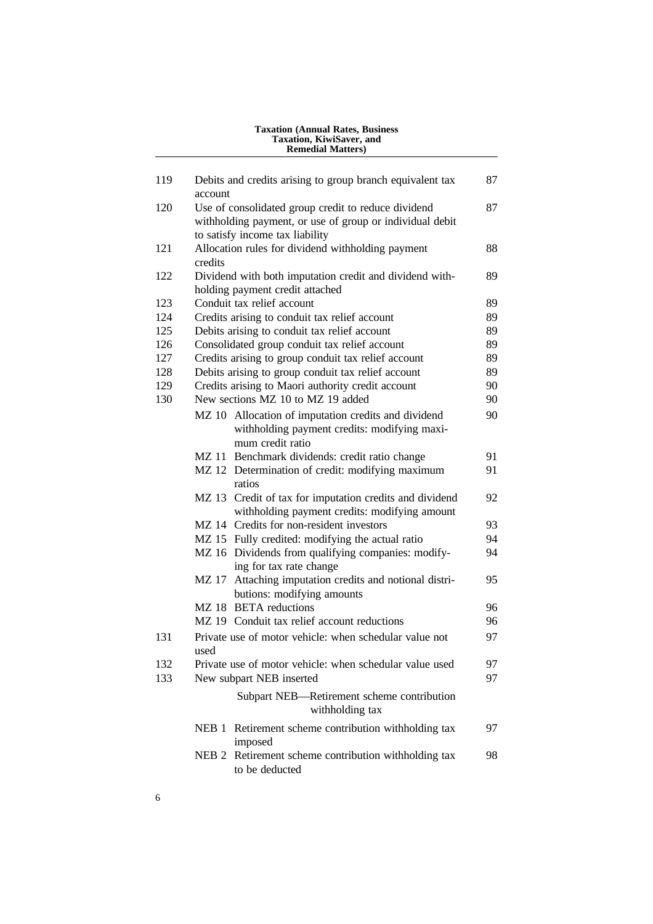|     | Taxation, KiwiSaver, and<br><b>Remedial Matters)</b>                                                                    |    |
|-----|-------------------------------------------------------------------------------------------------------------------------|----|
|     |                                                                                                                         |    |
| 119 | Debits and credits arising to group branch equivalent tax<br>account                                                    | 87 |
| 120 | Use of consolidated group credit to reduce dividend                                                                     | 87 |
|     | withholding payment, or use of group or individual debit                                                                |    |
|     | to satisfy income tax liability                                                                                         |    |
| 121 | Allocation rules for dividend withholding payment<br>credits                                                            | 88 |
| 122 | Dividend with both imputation credit and dividend with-                                                                 | 89 |
|     | holding payment credit attached                                                                                         |    |
| 123 | Conduit tax relief account                                                                                              | 89 |
| 124 | Credits arising to conduit tax relief account                                                                           | 89 |
| 125 | Debits arising to conduit tax relief account                                                                            | 89 |
| 126 | Consolidated group conduit tax relief account                                                                           | 89 |
| 127 | Credits arising to group conduit tax relief account                                                                     | 89 |
| 128 | Debits arising to group conduit tax relief account                                                                      | 89 |
| 129 | Credits arising to Maori authority credit account                                                                       | 90 |
| 130 | New sections MZ 10 to MZ 19 added                                                                                       | 90 |
|     | MZ 10 Allocation of imputation credits and dividend<br>withholding payment credits: modifying maxi-<br>mum credit ratio | 90 |
|     | MZ 11 Benchmark dividends: credit ratio change                                                                          | 91 |
|     | MZ 12 Determination of credit: modifying maximum<br>ratios                                                              | 91 |
|     | MZ 13 Credit of tax for imputation credits and dividend<br>withholding payment credits: modifying amount                | 92 |
|     | MZ 14 Credits for non-resident investors                                                                                | 93 |
|     | MZ 15 Fully credited: modifying the actual ratio                                                                        | 94 |
|     | MZ 16 Dividends from qualifying companies: modify-<br>ing for tax rate change                                           | 94 |
|     | Attaching imputation credits and notional distri-<br>MZ 17<br>butions: modifying amounts                                | 95 |
|     | MZ 18 BETA reductions                                                                                                   | 96 |
|     | MZ 19 Conduit tax relief account reductions                                                                             | 96 |
| 131 | Private use of motor vehicle: when schedular value not<br>used                                                          | 97 |
| 132 | Private use of motor vehicle: when schedular value used                                                                 | 97 |
| 133 | New subpart NEB inserted                                                                                                | 97 |
|     | Subpart NEB-Retirement scheme contribution<br>withholding tax                                                           |    |
|     | NEB 1 Retirement scheme contribution withholding tax<br>imposed                                                         | 97 |
|     | Retirement scheme contribution withholding tax<br>NEB <sub>2</sub><br>to be deducted                                    | 98 |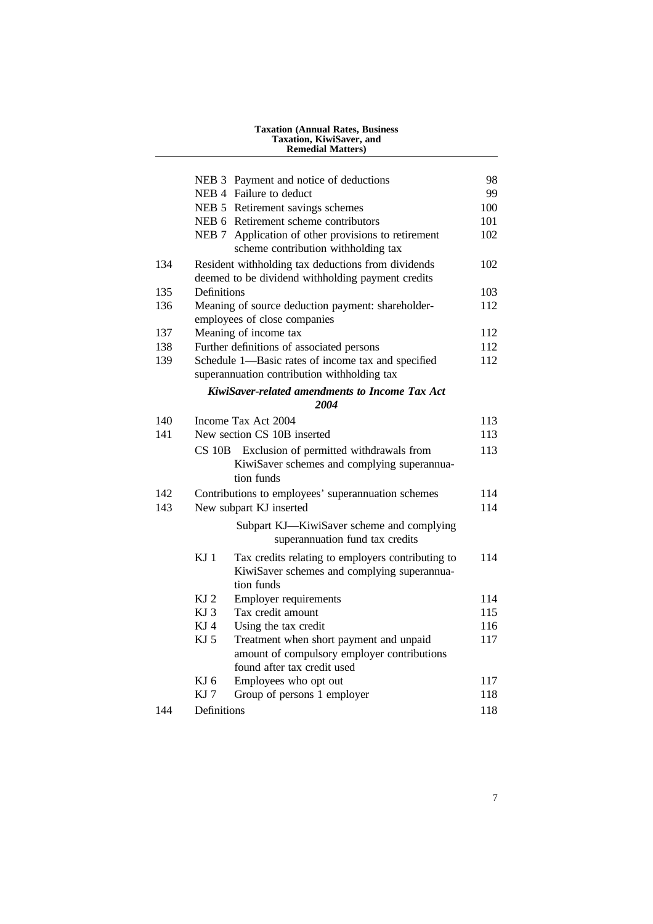|     |                 | <b>Taxation (Annual Rates, Business)</b><br>Taxation, KiwiSaver, and<br><b>Remedial Matters)</b>                      |     |
|-----|-----------------|-----------------------------------------------------------------------------------------------------------------------|-----|
|     |                 | NEB 3 Payment and notice of deductions                                                                                | 98  |
|     |                 | NEB 4 Failure to deduct                                                                                               | 99  |
|     |                 | NEB 5 Retirement savings schemes                                                                                      | 100 |
|     |                 | NEB 6 Retirement scheme contributors                                                                                  | 101 |
|     |                 | NEB 7 Application of other provisions to retirement<br>scheme contribution withholding tax                            | 102 |
| 134 |                 | Resident withholding tax deductions from dividends<br>deemed to be dividend withholding payment credits               | 102 |
| 135 | Definitions     |                                                                                                                       | 103 |
| 136 |                 | Meaning of source deduction payment: shareholder-<br>employees of close companies                                     | 112 |
| 137 |                 | Meaning of income tax                                                                                                 | 112 |
| 138 |                 | Further definitions of associated persons                                                                             | 112 |
| 139 |                 | Schedule 1—Basic rates of income tax and specified<br>superannuation contribution withholding tax                     | 112 |
|     |                 | KiwiSaver-related amendments to Income Tax Act<br>2004                                                                |     |
| 140 |                 | Income Tax Act 2004                                                                                                   | 113 |
| 141 |                 | New section CS 10B inserted                                                                                           | 113 |
|     | $CS$ 10B        | Exclusion of permitted withdrawals from<br>KiwiSaver schemes and complying superannua-<br>tion funds                  | 113 |
| 142 |                 | Contributions to employees' superannuation schemes                                                                    | 114 |
| 143 |                 | New subpart KJ inserted                                                                                               | 114 |
|     |                 | Subpart KJ-KiwiSaver scheme and complying<br>superannuation fund tax credits                                          |     |
|     | KJ <sub>1</sub> | Tax credits relating to employers contributing to<br>KiwiSaver schemes and complying superannua-<br>tion funds        | 114 |
|     | KJ <sub>2</sub> | <b>Employer requirements</b>                                                                                          | 114 |
|     | KJ 3            | Tax credit amount                                                                                                     | 115 |
|     | KJ 4            | Using the tax credit                                                                                                  | 116 |
|     | KJ 5            | Treatment when short payment and unpaid<br>amount of compulsory employer contributions<br>found after tax credit used | 117 |
|     | KJ 6            | Employees who opt out                                                                                                 | 117 |
|     | KJ 7            | Group of persons 1 employer                                                                                           | 118 |
|     |                 |                                                                                                                       |     |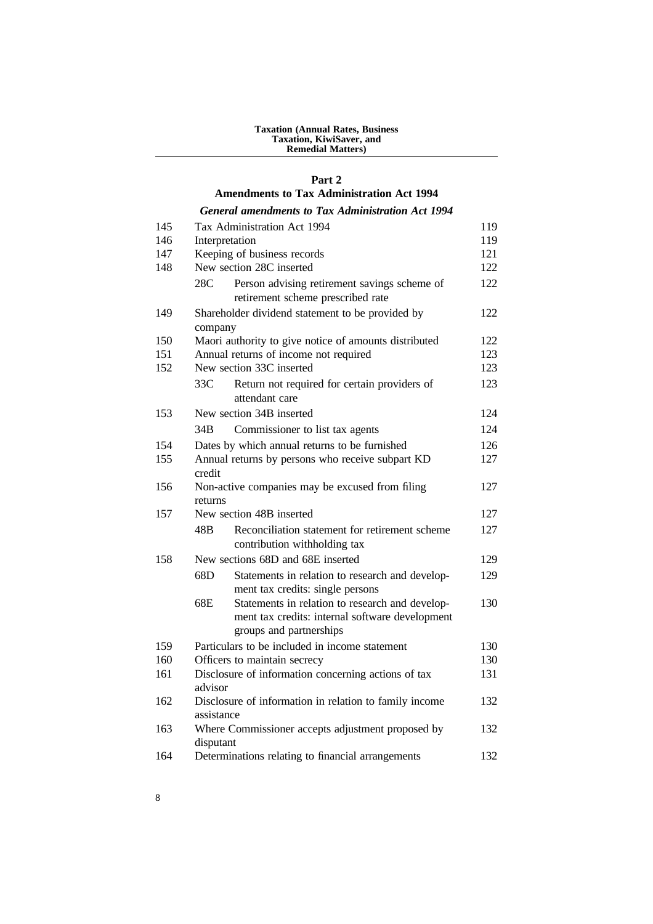#### **Taxation (Annual Rates, Business Taxation, KiwiSaver, and Remedial Matters)**

## **Part 2**

#### **Amendments to Tax Administration Act 1994**

## *General amendments to Tax Administration Act 1994*

| 145 | Tax Administration Act 1994<br>119                                                                                                   |     |  |
|-----|--------------------------------------------------------------------------------------------------------------------------------------|-----|--|
| 146 | Interpretation                                                                                                                       |     |  |
| 147 | Keeping of business records                                                                                                          | 121 |  |
| 148 | New section 28C inserted                                                                                                             | 122 |  |
|     | 28C<br>Person advising retirement savings scheme of<br>retirement scheme prescribed rate                                             | 122 |  |
| 149 | Shareholder dividend statement to be provided by<br>company                                                                          | 122 |  |
| 150 | Maori authority to give notice of amounts distributed                                                                                | 122 |  |
| 151 | Annual returns of income not required                                                                                                | 123 |  |
| 152 | New section 33C inserted                                                                                                             | 123 |  |
|     | 33C<br>Return not required for certain providers of<br>attendant care                                                                | 123 |  |
| 153 | New section 34B inserted                                                                                                             | 124 |  |
|     | 34B<br>Commissioner to list tax agents                                                                                               | 124 |  |
| 154 | Dates by which annual returns to be furnished                                                                                        | 126 |  |
| 155 | Annual returns by persons who receive subpart KD<br>credit                                                                           | 127 |  |
| 156 | Non-active companies may be excused from filing<br>returns                                                                           | 127 |  |
| 157 | New section 48B inserted                                                                                                             | 127 |  |
|     | 48B<br>Reconciliation statement for retirement scheme<br>contribution withholding tax                                                | 127 |  |
| 158 | New sections 68D and 68E inserted                                                                                                    | 129 |  |
|     | 68D<br>Statements in relation to research and develop-<br>ment tax credits: single persons                                           | 129 |  |
|     | 68E<br>Statements in relation to research and develop-<br>ment tax credits: internal software development<br>groups and partnerships | 130 |  |
| 159 | Particulars to be included in income statement                                                                                       | 130 |  |
| 160 | Officers to maintain secrecy                                                                                                         | 130 |  |
| 161 | Disclosure of information concerning actions of tax<br>advisor                                                                       | 131 |  |
| 162 | Disclosure of information in relation to family income<br>assistance                                                                 | 132 |  |
| 163 | Where Commissioner accepts adjustment proposed by<br>disputant                                                                       | 132 |  |
| 164 | Determinations relating to financial arrangements                                                                                    | 132 |  |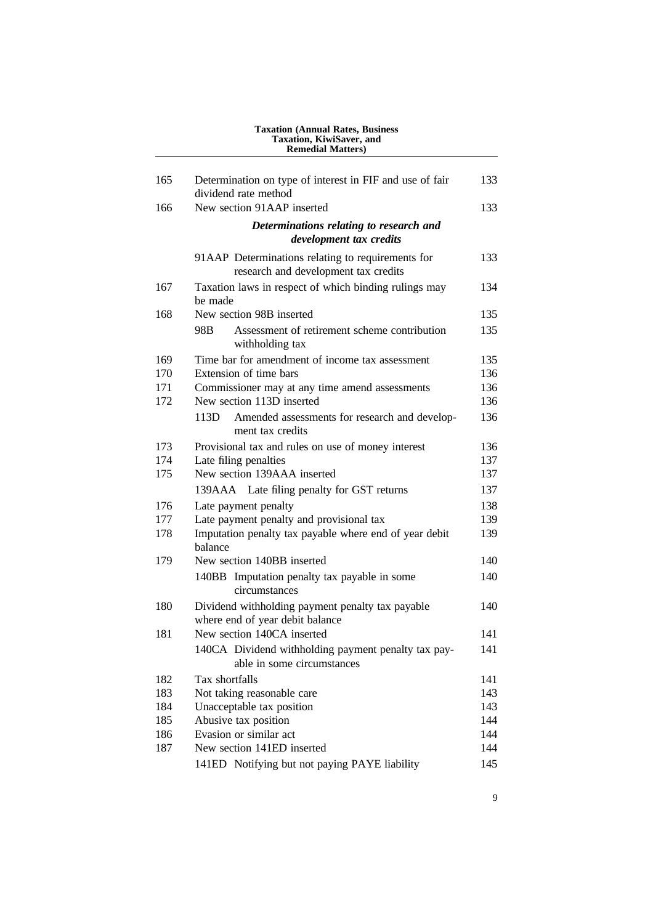|     | Taxation, KiwiSaver, and<br><b>Remedial Matters)</b>                                      |     |
|-----|-------------------------------------------------------------------------------------------|-----|
| 165 | Determination on type of interest in FIF and use of fair                                  | 133 |
|     | dividend rate method                                                                      |     |
| 166 | New section 91AAP inserted                                                                | 133 |
|     | Determinations relating to research and<br>development tax credits                        |     |
|     | 91AAP Determinations relating to requirements for<br>research and development tax credits | 133 |
| 167 | Taxation laws in respect of which binding rulings may<br>be made                          | 134 |
| 168 | New section 98B inserted                                                                  | 135 |
|     | Assessment of retirement scheme contribution<br>98B<br>withholding tax                    | 135 |
| 169 | Time bar for amendment of income tax assessment                                           | 135 |
| 170 | Extension of time bars                                                                    | 136 |
| 171 | Commissioner may at any time amend assessments                                            | 136 |
| 172 | New section 113D inserted                                                                 | 136 |
|     | 113D -<br>Amended assessments for research and develop-<br>ment tax credits               | 136 |
| 173 | Provisional tax and rules on use of money interest                                        | 136 |
| 174 | Late filing penalties                                                                     | 137 |
| 175 | New section 139AAA inserted                                                               | 137 |
|     | 139AAA Late filing penalty for GST returns                                                | 137 |
| 176 | Late payment penalty                                                                      | 138 |
| 177 | Late payment penalty and provisional tax                                                  | 139 |
| 178 | Imputation penalty tax payable where end of year debit<br>balance                         | 139 |
| 179 | New section 140BB inserted                                                                | 140 |
|     | 140BB Imputation penalty tax payable in some<br>circumstances                             | 140 |
| 180 | Dividend withholding payment penalty tax payable<br>where end of year debit balance       | 140 |
| 181 | New section 140CA inserted                                                                | 141 |
|     | 140CA Dividend withholding payment penalty tax pay-<br>able in some circumstances         | 141 |
| 182 | Tax shortfalls                                                                            | 141 |
| 183 | Not taking reasonable care                                                                | 143 |
| 184 | Unacceptable tax position                                                                 | 143 |
| 185 | Abusive tax position                                                                      | 144 |
| 186 | Evasion or similar act                                                                    | 144 |
| 187 | New section 141ED inserted                                                                | 144 |
|     | 141ED Notifying but not paying PAYE liability                                             | 145 |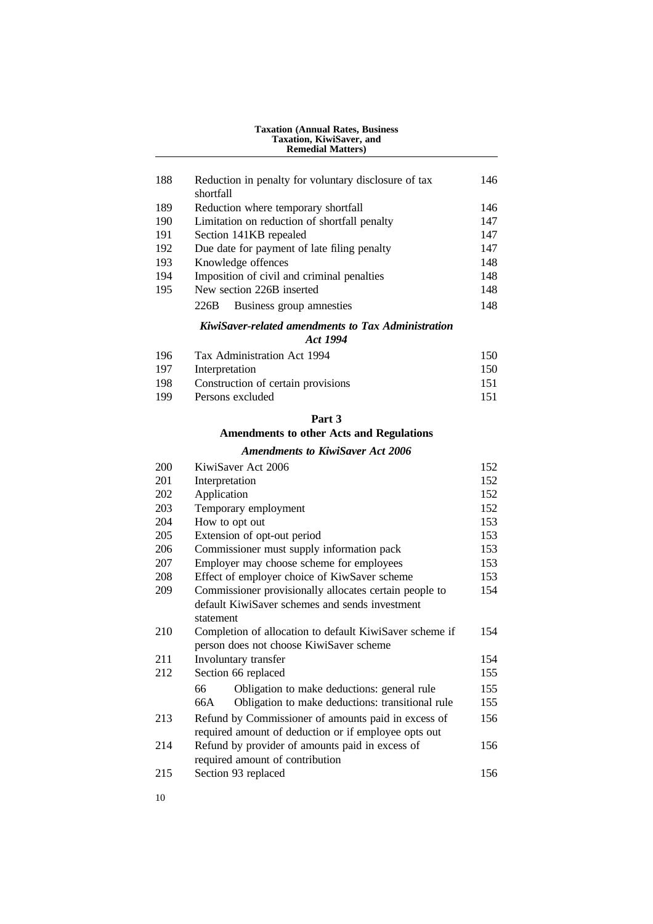## **Taxation (Annual Rates, Business Taxation, KiwiSaver, and Remedial Matters)** 188 Reduction in penalty for voluntary disclosure of tax 146 shortfall 189 Reduction where temporary shortfall 146 190 Limitation on reduction of shortfall penalty 147 191 Section 141KB repealed 147 192 Due date for payment of late filing penalty 147 193 Knowledge offences 148 194 Imposition of civil and criminal penalties 148 195 New section 226B inserted 148 226B Business group amnesties 148 *KiwiSaver-related amendments to Tax Administration Act 1994* 196 Tax Administration Act 1994 150 150 Interpretation 150 198 Construction of certain provisions 151 199 Persons excluded 151 **Part 3 Amendments to other Acts and Regulations** *Amendments to KiwiSaver Act 2006* 200 KiwiSaver Act 2006 152 201 Interpretation 152 202 Application 152 203 Temporary employment 152 204 How to opt out 153 205 Extension of opt-out period 153 206 Commissioner must supply information pack 153 207 Employer may choose scheme for employees 153 208 Effect of employer choice of KiwSaver scheme 153 209 Commissioner provisionally allocates certain people to 154 default KiwiSaver schemes and sends investment statement 210 Completion of allocation to default KiwiSaver scheme if 154 person does not choose KiwiSaver scheme 211 Involuntary transfer 154 212 Section 66 replaced 155 66 Obligation to make deductions: general rule 155 66A Obligation to make deductions: transitional rule 155 213 Refund by Commissioner of amounts paid in excess of 156 required amount of deduction or if employee opts out 214 Refund by provider of amounts paid in excess of 156 required amount of contribution 215 Section 93 replaced 156

10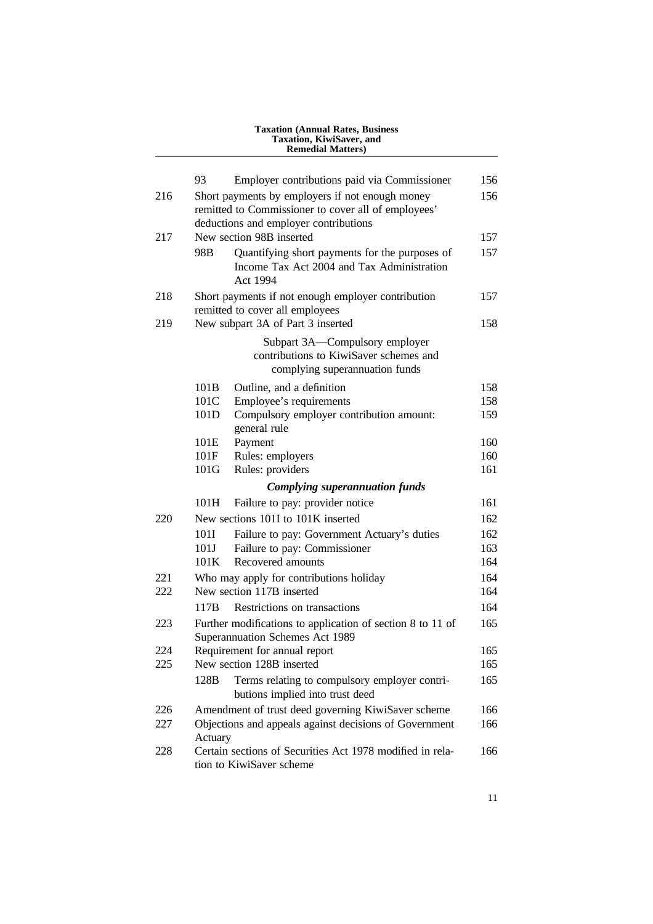| <b>Taxation (Annual Rates, Business)</b><br>Taxation, KiwiSaver, and<br><b>Remedial Matters)</b> |                 |                                                                                                                                                 |     |
|--------------------------------------------------------------------------------------------------|-----------------|-------------------------------------------------------------------------------------------------------------------------------------------------|-----|
|                                                                                                  | 93              | Employer contributions paid via Commissioner                                                                                                    | 156 |
| 216                                                                                              |                 | Short payments by employers if not enough money<br>remitted to Commissioner to cover all of employees'<br>deductions and employer contributions | 156 |
| 217                                                                                              |                 | New section 98B inserted                                                                                                                        | 157 |
|                                                                                                  | 98 <sub>B</sub> | Quantifying short payments for the purposes of<br>Income Tax Act 2004 and Tax Administration<br>Act 1994                                        | 157 |
| 218                                                                                              |                 | Short payments if not enough employer contribution<br>remitted to cover all employees                                                           | 157 |
| 219                                                                                              |                 | New subpart 3A of Part 3 inserted                                                                                                               | 158 |
|                                                                                                  |                 | Subpart 3A—Compulsory employer<br>contributions to KiwiSaver schemes and<br>complying superannuation funds                                      |     |
|                                                                                                  | 101B            | Outline, and a definition                                                                                                                       | 158 |
|                                                                                                  | 101C            | Employee's requirements                                                                                                                         | 158 |
|                                                                                                  | 101D            | Compulsory employer contribution amount:<br>general rule                                                                                        | 159 |
|                                                                                                  | 101E            | Payment                                                                                                                                         | 160 |
|                                                                                                  | 101F            | Rules: employers                                                                                                                                | 160 |
|                                                                                                  | 101G            | Rules: providers                                                                                                                                | 161 |
|                                                                                                  |                 | <b>Complying superannuation funds</b>                                                                                                           |     |
|                                                                                                  | 101H            | Failure to pay: provider notice                                                                                                                 | 161 |
| 220                                                                                              |                 | New sections 101I to 101K inserted                                                                                                              | 162 |
|                                                                                                  | 101I            | Failure to pay: Government Actuary's duties                                                                                                     | 162 |
|                                                                                                  | 101J            | Failure to pay: Commissioner                                                                                                                    | 163 |
|                                                                                                  | 101K            | Recovered amounts                                                                                                                               | 164 |
| 221                                                                                              |                 | Who may apply for contributions holiday                                                                                                         | 164 |
| 222                                                                                              |                 | New section 117B inserted                                                                                                                       | 164 |
|                                                                                                  | 117B            | Restrictions on transactions                                                                                                                    | 164 |
| 223                                                                                              |                 | Further modifications to application of section 8 to 11 of<br>Superannuation Schemes Act 1989                                                   | 165 |
| 224                                                                                              |                 | Requirement for annual report                                                                                                                   | 165 |
| 225                                                                                              |                 | New section 128B inserted                                                                                                                       | 165 |
|                                                                                                  | 128B            | Terms relating to compulsory employer contri-<br>butions implied into trust deed                                                                | 165 |
| 226                                                                                              |                 | Amendment of trust deed governing KiwiSaver scheme                                                                                              | 166 |
| 227                                                                                              | Actuary         | Objections and appeals against decisions of Government                                                                                          | 166 |
| 228                                                                                              |                 | Certain sections of Securities Act 1978 modified in rela-<br>tion to KiwiSaver scheme                                                           | 166 |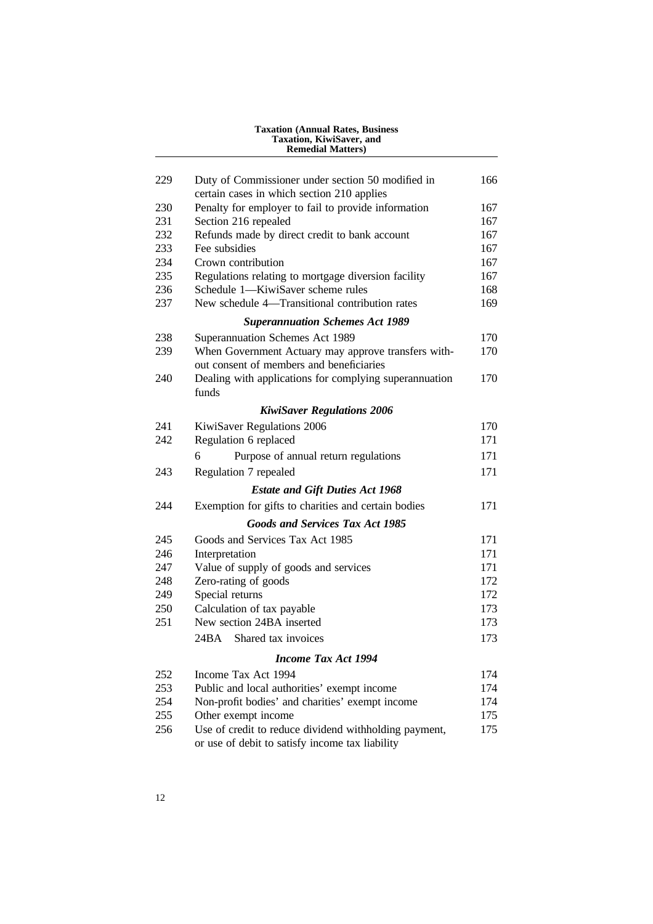|     | Taxation, KiwiSaver, and<br><b>Remedial Matters)</b>                                                     |     |
|-----|----------------------------------------------------------------------------------------------------------|-----|
| 229 | Duty of Commissioner under section 50 modified in                                                        | 166 |
|     | certain cases in which section 210 applies                                                               |     |
| 230 | Penalty for employer to fail to provide information                                                      | 167 |
| 231 | Section 216 repealed                                                                                     | 167 |
| 232 | Refunds made by direct credit to bank account                                                            | 167 |
| 233 | Fee subsidies                                                                                            | 167 |
| 234 | Crown contribution                                                                                       | 167 |
| 235 | Regulations relating to mortgage diversion facility                                                      | 167 |
| 236 | Schedule 1—KiwiSaver scheme rules                                                                        | 168 |
| 237 | New schedule 4-Transitional contribution rates                                                           | 169 |
|     | <b>Superannuation Schemes Act 1989</b>                                                                   |     |
| 238 | Superannuation Schemes Act 1989                                                                          | 170 |
| 239 | When Government Actuary may approve transfers with-                                                      | 170 |
|     | out consent of members and beneficiaries                                                                 |     |
| 240 | Dealing with applications for complying superannuation<br>funds                                          | 170 |
|     | <b>KiwiSaver Regulations 2006</b>                                                                        |     |
| 241 | KiwiSaver Regulations 2006                                                                               | 170 |
| 242 | Regulation 6 replaced                                                                                    | 171 |
|     | 6<br>Purpose of annual return regulations                                                                | 171 |
| 243 | Regulation 7 repealed                                                                                    | 171 |
|     | <b>Estate and Gift Duties Act 1968</b>                                                                   |     |
| 244 | Exemption for gifts to charities and certain bodies                                                      | 171 |
|     | <b>Goods and Services Tax Act 1985</b>                                                                   |     |
| 245 | Goods and Services Tax Act 1985                                                                          | 171 |
| 246 | Interpretation                                                                                           | 171 |
| 247 | Value of supply of goods and services                                                                    | 171 |
| 248 | Zero-rating of goods                                                                                     | 172 |
| 249 | Special returns                                                                                          | 172 |
| 250 | Calculation of tax payable                                                                               | 173 |
| 251 | New section 24BA inserted                                                                                | 173 |
|     | Shared tax invoices<br>24BA                                                                              | 173 |
|     | <b>Income Tax Act 1994</b>                                                                               |     |
| 252 | Income Tax Act 1994                                                                                      | 174 |
| 253 | Public and local authorities' exempt income                                                              | 174 |
| 254 | Non-profit bodies' and charities' exempt income                                                          | 174 |
| 255 | Other exempt income                                                                                      | 175 |
| 256 | Use of credit to reduce dividend withholding payment,<br>or use of debit to satisfy income tax liability | 175 |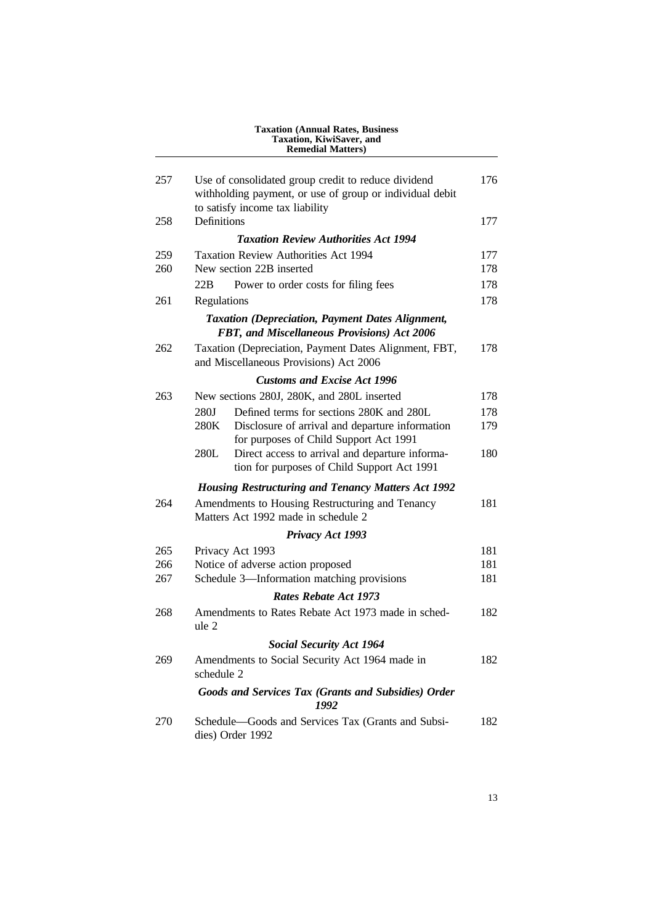| Taxation, KiwiSaver, and<br><b>Remedial Matters)</b> |                                                                                                                 |     |
|------------------------------------------------------|-----------------------------------------------------------------------------------------------------------------|-----|
| 257                                                  | Use of consolidated group credit to reduce dividend<br>withholding payment, or use of group or individual debit | 176 |
| 258                                                  | to satisfy income tax liability<br>Definitions                                                                  | 177 |
|                                                      | <b>Taxation Review Authorities Act 1994</b>                                                                     |     |
| 259                                                  | <b>Taxation Review Authorities Act 1994</b>                                                                     | 177 |
| 260                                                  | New section 22B inserted                                                                                        | 178 |
|                                                      | 22B<br>Power to order costs for filing fees                                                                     | 178 |
| 261                                                  | Regulations                                                                                                     | 178 |
|                                                      | <b>Taxation (Depreciation, Payment Dates Alignment,</b><br>FBT, and Miscellaneous Provisions) Act 2006          |     |
| 262                                                  | Taxation (Depreciation, Payment Dates Alignment, FBT,<br>and Miscellaneous Provisions) Act 2006                 | 178 |
|                                                      | <b>Customs and Excise Act 1996</b>                                                                              |     |
| 263                                                  | New sections 280J, 280K, and 280L inserted                                                                      | 178 |
|                                                      | 280J<br>Defined terms for sections 280K and 280L                                                                | 178 |
|                                                      | 280K<br>Disclosure of arrival and departure information<br>for purposes of Child Support Act 1991               | 179 |
|                                                      | 280L<br>Direct access to arrival and departure informa-<br>tion for purposes of Child Support Act 1991          | 180 |
|                                                      | <b>Housing Restructuring and Tenancy Matters Act 1992</b>                                                       |     |
| 264                                                  | Amendments to Housing Restructuring and Tenancy<br>Matters Act 1992 made in schedule 2                          | 181 |
|                                                      | Privacy Act 1993                                                                                                |     |
| 265                                                  | Privacy Act 1993                                                                                                | 181 |
| 266                                                  | Notice of adverse action proposed                                                                               | 181 |
| 267                                                  | Schedule 3-Information matching provisions                                                                      | 181 |
|                                                      | <b>Rates Rebate Act 1973</b>                                                                                    |     |
| 268                                                  | Amendments to Rates Rebate Act 1973 made in sched-<br>ule 2                                                     | 182 |
|                                                      | <b>Social Security Act 1964</b>                                                                                 |     |
| 269                                                  | Amendments to Social Security Act 1964 made in<br>schedule 2                                                    | 182 |
|                                                      | Goods and Services Tax (Grants and Subsidies) Order<br>1992                                                     |     |
| 270                                                  | Schedule—Goods and Services Tax (Grants and Subsi-<br>dies) Order 1992                                          | 182 |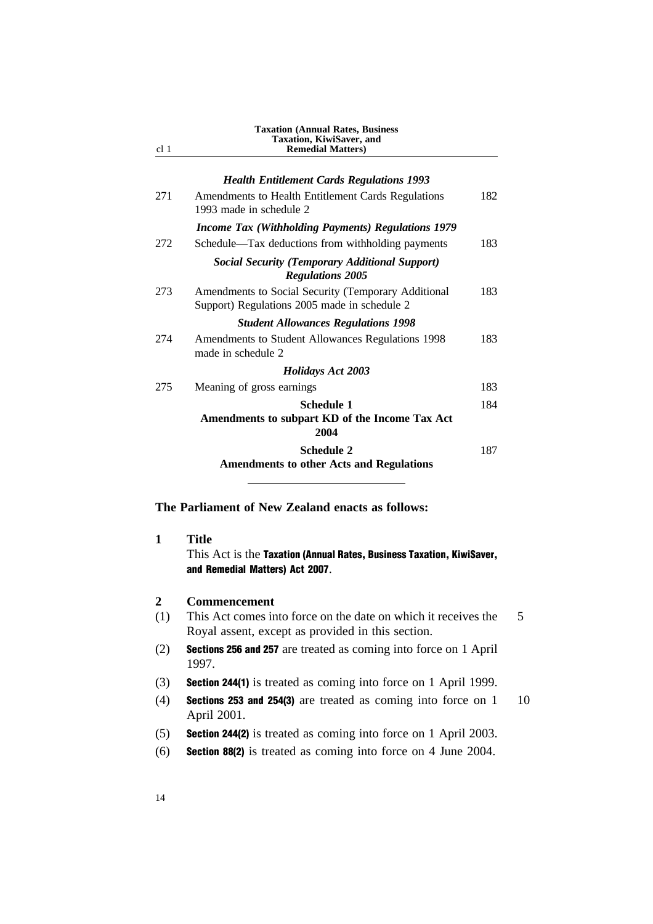| cl <sub>1</sub> | <b>Taxation (Annual Rates, Business</b><br>Taxation, KiwiSaver, and<br><b>Remedial Matters</b> )    |     |
|-----------------|-----------------------------------------------------------------------------------------------------|-----|
|                 | <b>Health Entitlement Cards Regulations 1993</b>                                                    |     |
| 271             | Amendments to Health Entitlement Cards Regulations<br>1993 made in schedule 2                       | 182 |
|                 | <b>Income Tax (Withholding Payments) Regulations 1979</b>                                           |     |
| 272             | Schedule—Tax deductions from withholding payments                                                   | 183 |
|                 | <b>Social Security (Temporary Additional Support)</b><br><b>Regulations 2005</b>                    |     |
| 273             | Amendments to Social Security (Temporary Additional<br>Support) Regulations 2005 made in schedule 2 | 183 |
|                 | <b>Student Allowances Regulations 1998</b>                                                          |     |
| 274             | Amendments to Student Allowances Regulations 1998<br>made in schedule 2                             | 183 |
|                 | <b>Holidays Act 2003</b>                                                                            |     |
| 275             | Meaning of gross earnings                                                                           | 183 |
|                 | <b>Schedule 1</b><br>Amendments to subpart KD of the Income Tax Act<br>2004                         | 184 |
|                 | <b>Schedule 2</b><br><b>Amendments to other Acts and Regulations</b>                                | 187 |

**The Parliament of New Zealand enacts as follows:**

## **1 Title**

This Act is the Taxation (Annual Rates, Business Taxation, KiwiSaver, and Remedial Matters) Act 2007.

#### **2 Commencement**

- (1) This Act comes into force on the date on which it receives the 5 Royal assent, except as provided in this section.
- (2) Sections 256 and 257 are treated as coming into force on 1 April 1997.
- (3) Section 244(1) is treated as coming into force on 1 April 1999.
- (4) **Sections 253 and 254(3)** are treated as coming into force on  $1 \t10$ April 2001.
- (5) Section 244(2) is treated as coming into force on 1 April 2003.
- (6) Section 88(2) is treated as coming into force on 4 June 2004.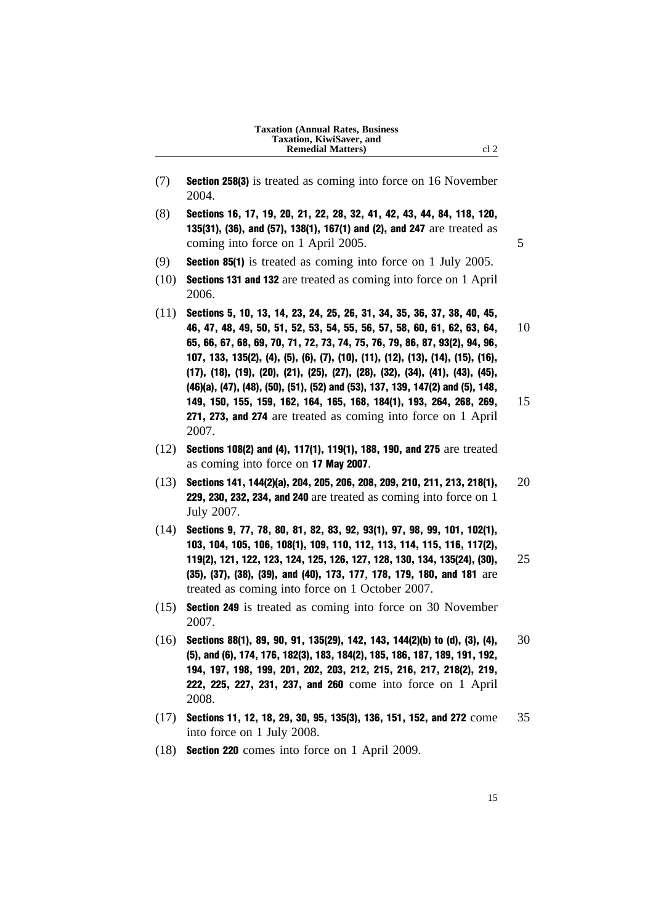#### **Taxation (Annual Rates, Business Taxation, KiwiSaver, and Remedial Matters**) cl 2

- (7) Section 258(3) is treated as coming into force on 16 November 2004.
- (8) Sections 16, 17, 19, 20, 21, 22, 28, 32, 41, 42, 43, 44, 84, 118, 120, 135(31), (36), and (57), 138(1), 167(1) and (2), and 247 are treated as coming into force on 1 April 2005.
- (9) Section 85(1) is treated as coming into force on 1 July 2005.
- (10) Sections 131 and 132 are treated as coming into force on 1 April 2006.
- (11) Sections 5, 10, 13, 14, 23, 24, 25, 26, 31, 34, 35, 36, 37, 38, 40, 45, 46, 47, 48, 49, 50, 51, 52, 53, 54, 55, 56, 57, 58, 60, 61, 62, 63, 64, 10 65, 66, 67, 68, 69, 70, 71, 72, 73, 74, 75, 76, 79, 86, 87, 93(2), 94, 96, 107, 133, 135(2), (4), (5), (6), (7), (10), (11), (12), (13), (14), (15), (16), (17), (18), (19), (20), (21), (25), (27), (28), (32), (34), (41), (43), (45), (46)(a), (47), (48), (50), (51), (52) and (53), 137, 139, 147(2) and (5), 148, 149, 150, 155, 159, 162, 164, 165, 168, 184(1), 193, 264, 268, 269, 15 271, 273, and 274 are treated as coming into force on 1 April 2007.
- (12) Sections 108(2) and (4), 117(1), 119(1), 188, 190, and 275 are treated as coming into force on 17 May 2007.
- $(13)$  Sections 141, 144(2)(a), 204, 205, 206, 208, 209, 210, 211, 213, 218(1), 20 229, 230, 232, 234, and 240 are treated as coming into force on 1 July 2007.
- (14) Sections 9, 77, 78, 80, 81, 82, 83, 92, 93(1), 97, 98, 99, 101, 102(1), 103, 104, 105, 106, 108(1), 109, 110, 112, 113, 114, 115, 116, 117(2), 119(2), 121, 122, 123, 124, 125, 126, 127, 128, 130, 134, 135(24), (30), 25 (35), (37), (38), (39), and (40), 173, 177, 178, 179, 180, and 181 are treated as coming into force on 1 October 2007.
- (15) Section 249 is treated as coming into force on 30 November 2007.
- $(16)$  Sections 88(1), 89, 90, 91, 135(29), 142, 143, 144(2)(b) to (d), (3), (4),  $30$ (5), and (6), 174, 176, 182(3), 183, 184(2), 185, 186, 187, 189, 191, 192, 194, 197, 198, 199, 201, 202, 203, 212, 215, 216, 217, 218(2), 219, 222, 225, 227, 231, 237, and 260 come into force on 1 April 2008.
- (17) Sections 11, 12, 18, 29, 30, 95, 135(3), 136, 151, 152, and 272 come 35 into force on 1 July 2008.
- (18) Section 220 comes into force on 1 April 2009.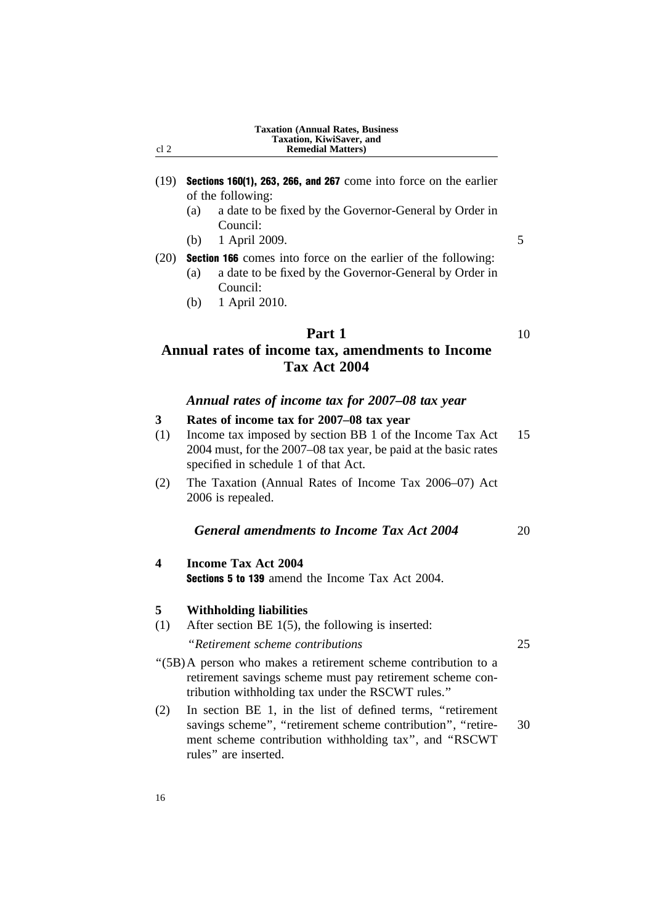|      | <b>Taxation (Annual Rates, Business)</b> |
|------|------------------------------------------|
|      | Taxation, KiwiSaver, and                 |
| cl 2 | <b>Remedial Matters</b> )                |

- (19) Sections 160(1), 263, 266, and 267 come into force on the earlier of the following:
	- (a) a date to be fixed by the Governor-General by Order in Council:
	- (b) 1 April 2009. 5

(20) Section 166 comes into force on the earlier of the following:

- (a) a date to be fixed by the Governor-General by Order in Council:
- (b) 1 April 2010.

# **Part 1** 10 **Annual rates of income tax, amendments to Income Tax Act 2004**

#### *Annual rates of income tax for 2007–08 tax year*

## **3 Rates of income tax for 2007–08 tax year**

- (1) Income tax imposed by section BB 1 of the Income Tax Act 15 2004 must, for the 2007–08 tax year, be paid at the basic rates specified in schedule 1 of that Act.
- (2) The Taxation (Annual Rates of Income Tax 2006–07) Act 2006 is repealed.

#### *General amendments to Income Tax Act 2004* 20

**4 Income Tax Act 2004** Sections 5 to 139 amend the Income Tax Act 2004.

#### **5 Withholding liabilities**

(1) After section BE 1(5), the following is inserted:

''*Retirement scheme contributions* 25

- ''(5B)A person who makes a retirement scheme contribution to a retirement savings scheme must pay retirement scheme contribution withholding tax under the RSCWT rules.''
- (2) In section BE 1, in the list of defined terms, ''retirement savings scheme", "retirement scheme contribution", "retire- 30 ment scheme contribution withholding tax'', and ''RSCWT rules'' are inserted.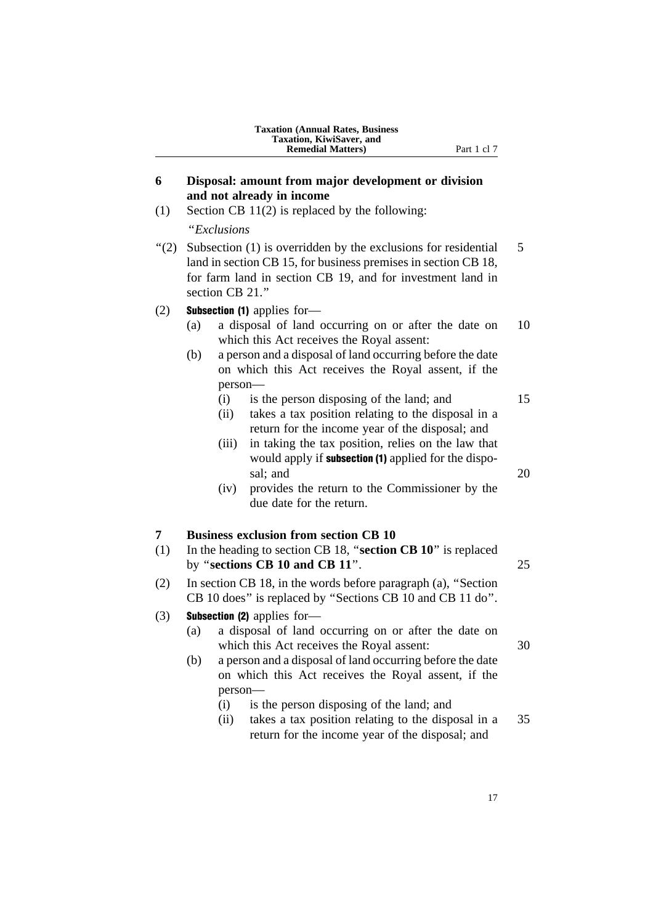|     | <b>Taxation (Annual Rates, Business</b><br>Taxation, KiwiSaver, and<br><b>Remedial Matters</b> )<br>Part 1 cl 7                                                                                                                                                                                                                                                                                                                                   |
|-----|---------------------------------------------------------------------------------------------------------------------------------------------------------------------------------------------------------------------------------------------------------------------------------------------------------------------------------------------------------------------------------------------------------------------------------------------------|
| 6   | Disposal: amount from major development or division<br>and not already in income                                                                                                                                                                                                                                                                                                                                                                  |
| (1) | Section CB $11(2)$ is replaced by the following:<br>"Exclusions"                                                                                                                                                                                                                                                                                                                                                                                  |
| (2) | Subsection (1) is overridden by the exclusions for residential<br>land in section CB 15, for business premises in section CB 18,<br>for farm land in section CB 19, and for investment land in<br>section CB 21."                                                                                                                                                                                                                                 |
| (2) | <b>Subsection (1)</b> applies for-<br>a disposal of land occurring on or after the date on<br>(a)<br>which this Act receives the Royal assent:<br>a person and a disposal of land occurring before the date<br>(b)<br>on which this Act receives the Royal assent, if the<br>person-                                                                                                                                                              |
|     | is the person disposing of the land; and<br>(i)<br>takes a tax position relating to the disposal in a<br>(ii)<br>return for the income year of the disposal; and<br>in taking the tax position, relies on the law that<br>(iii)<br>would apply if <b>subsection</b> (1) applied for the dispo-<br>sal; and                                                                                                                                        |
|     | provides the return to the Commissioner by the<br>(iv)<br>due date for the return.                                                                                                                                                                                                                                                                                                                                                                |
| 7   | <b>Business exclusion from section CB 10</b>                                                                                                                                                                                                                                                                                                                                                                                                      |
| (1) | In the heading to section CB 18, "section CB 10" is replaced<br>by "sections CB 10 and CB 11".                                                                                                                                                                                                                                                                                                                                                    |
| (2) | In section CB 18, in the words before paragraph (a), "Section<br>CB 10 does" is replaced by "Sections CB 10 and CB 11 do".                                                                                                                                                                                                                                                                                                                        |
| (3) | Subsection (2) applies for-<br>a disposal of land occurring on or after the date on<br>(a)<br>which this Act receives the Royal assent:<br>a person and a disposal of land occurring before the date<br>(b)<br>on which this Act receives the Royal assent, if the<br>person-<br>(i)<br>is the person disposing of the land; and<br>takes a tax position relating to the disposal in a<br>(ii)<br>return for the income year of the disposal; and |

17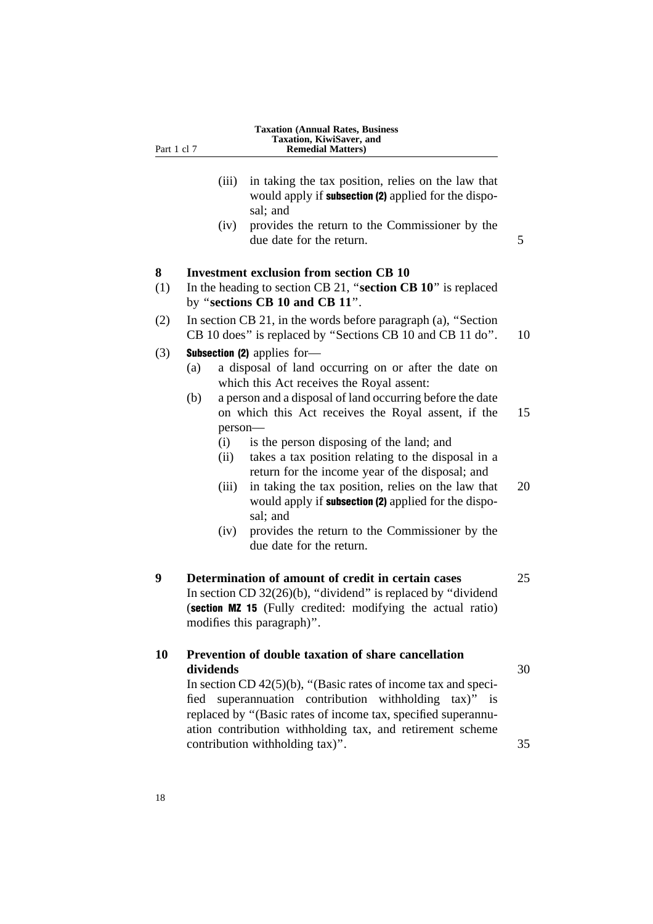| Part 1 cl 7 | <b>Taxation (Annual Rates, Business)</b><br>Taxation, KiwiSaver, and<br><b>Remedial Matters</b> )                                                                                                                                                        |
|-------------|----------------------------------------------------------------------------------------------------------------------------------------------------------------------------------------------------------------------------------------------------------|
|             | in taking the tax position, relies on the law that<br>(iii)<br>would apply if <b>subsection (2)</b> applied for the dispo-<br>sal; and                                                                                                                   |
|             | provides the return to the Commissioner by the<br>(iv)<br>due date for the return.                                                                                                                                                                       |
| 8           | <b>Investment exclusion from section CB 10</b>                                                                                                                                                                                                           |
| (1)         | In the heading to section CB 21, "section CB 10" is replaced<br>by "sections CB 10 and CB 11".                                                                                                                                                           |
| (2)         | In section CB 21, in the words before paragraph (a), "Section<br>CB 10 does" is replaced by "Sections CB 10 and CB 11 do".                                                                                                                               |
| (3)         | <b>Subsection (2)</b> applies for-                                                                                                                                                                                                                       |
|             | a disposal of land occurring on or after the date on<br>(a)<br>which this Act receives the Royal assent:                                                                                                                                                 |
|             | a person and a disposal of land occurring before the date<br>(b)                                                                                                                                                                                         |
|             | on which this Act receives the Royal assent, if the                                                                                                                                                                                                      |
|             | person-                                                                                                                                                                                                                                                  |
|             | is the person disposing of the land; and<br>(i)<br>takes a tax position relating to the disposal in a<br>(ii)<br>return for the income year of the disposal; and                                                                                         |
|             | in taking the tax position, relies on the law that<br>(iii)<br>would apply if subsection (2) applied for the dispo-<br>sal; and                                                                                                                          |
|             | provides the return to the Commissioner by the<br>(iv)<br>due date for the return.                                                                                                                                                                       |
| 9           | Determination of amount of credit in certain cases<br>In section CD $32(26)(b)$ , "dividend" is replaced by "dividend"<br>(section MZ 15 (Fully credited: modifying the actual ratio)<br>modifies this paragraph)".                                      |
| 10          | Prevention of double taxation of share cancellation<br>dividends                                                                                                                                                                                         |
|             | In section CD $42(5)(b)$ , "(Basic rates of income tax and speci-<br>fied superannuation contribution withholding tax)" is<br>replaced by "(Basic rates of income tax, specified superannu-<br>ation contribution withholding tax, and retirement scheme |

contribution withholding tax)". 35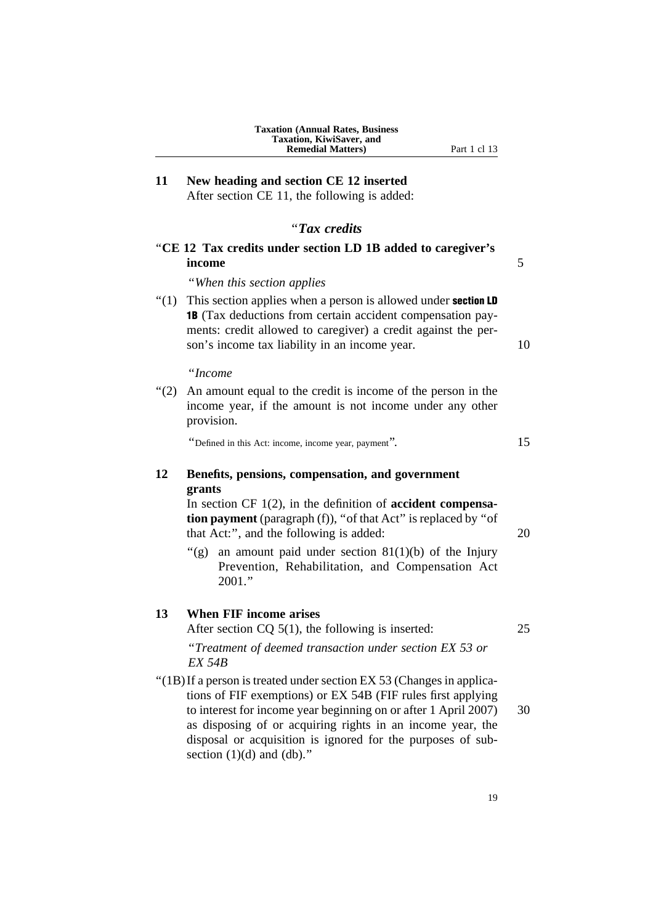**11 New heading and section CE 12 inserted** After section CE 11, the following is added:

## ''*Tax credits*

|         | "CE 12 Tax credits under section LD 1B added to caregiver's<br>income                                                                                                                                                                                 | 5  |
|---------|-------------------------------------------------------------------------------------------------------------------------------------------------------------------------------------------------------------------------------------------------------|----|
|         | "When this section applies"                                                                                                                                                                                                                           |    |
| " $(1)$ | This section applies when a person is allowed under section LD<br><b>1B</b> (Tax deductions from certain accident compensation pay-<br>ments: credit allowed to caregiver) a credit against the per-<br>son's income tax liability in an income year. | 10 |
|         | "Income                                                                                                                                                                                                                                               |    |
|         | "(2) An amount equal to the credit is income of the person in the<br>income year, if the amount is not income under any other<br>provision.                                                                                                           |    |
|         | "Defined in this Act: income, income year, payment".                                                                                                                                                                                                  | 15 |
| 12      | Benefits, pensions, compensation, and government<br>grants                                                                                                                                                                                            |    |
|         | In section CF $1(2)$ , in the definition of <b>accident compensa-</b><br><b>tion payment</b> (paragraph (f)), "of that Act" is replaced by "of<br>that Act:", and the following is added:                                                             | 20 |
|         | an amount paid under section $81(1)(b)$ of the Injury<br>" $(g)$ "<br>Prevention, Rehabilitation, and Compensation Act<br>2001."                                                                                                                      |    |
| 13      | <b>When FIF income arises</b>                                                                                                                                                                                                                         |    |
|         | After section $CQ$ 5(1), the following is inserted:                                                                                                                                                                                                   | 25 |
|         | "Treatment of deemed transaction under section EX 53 or<br>EX 54B                                                                                                                                                                                     |    |

''(1B)If a person is treated under section EX 53 (Changes in applications of FIF exemptions) or EX 54B (FIF rules first applying to interest for income year beginning on or after 1 April 2007) 30 as disposing of or acquiring rights in an income year, the disposal or acquisition is ignored for the purposes of subsection  $(1)(d)$  and  $(db)$ ."

19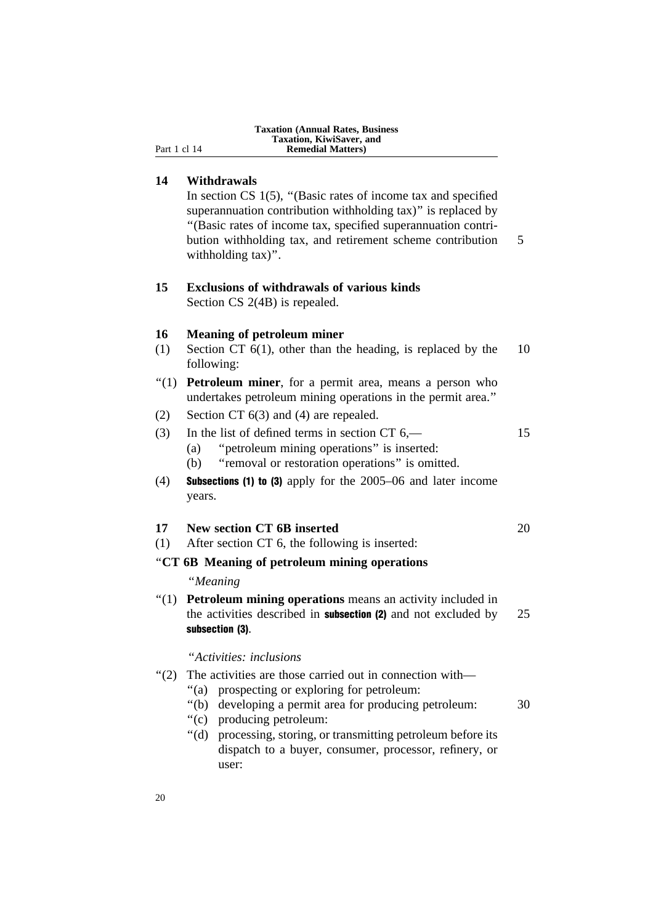| <b>Taxation (Annual Rates, Business)</b> |  |
|------------------------------------------|--|
| Taxation, KiwiSaver, and                 |  |
| <b>Remedial Matters</b> )                |  |

#### **14 Withdrawals**

**Part 1 cl 14** 

In section CS 1(5), "(Basic rates of income tax and specified superannuation contribution withholding tax)" is replaced by ''(Basic rates of income tax, specified superannuation contribution withholding tax, and retirement scheme contribution 5 withholding tax)".

## **15 Exclusions of withdrawals of various kinds** Section CS 2(4B) is repealed.

#### **16 Meaning of petroleum miner**

- (1) Section CT 6(1), other than the heading, is replaced by the 10 following:
- "(1) **Petroleum miner**, for a permit area, means a person who undertakes petroleum mining operations in the permit area.''
- (2) Section CT 6(3) and (4) are repealed.

# (3) In the list of defined terms in section CT 6,— 15 (a) ''petroleum mining operations'' is inserted:

- (b) ''removal or restoration operations'' is omitted.
- (4) Subsections (1) to (3) apply for the 2005–06 and later income years.

(1) After section CT 6, the following is inserted:

#### ''**CT 6B Meaning of petroleum mining operations**

## ''*Meaning*

''(1) **Petroleum mining operations** means an activity included in the activities described in **subsection (2)** and not excluded by 25 subsection (3).

#### ''*Activities: inclusions*

- ''(2) The activities are those carried out in connection with—
	- ''(a) prospecting or exploring for petroleum:
	- ''(b) developing a permit area for producing petroleum: 30
	- ''(c) producing petroleum:
	- ''(d) processing, storing, or transmitting petroleum before its dispatch to a buyer, consumer, processor, refinery, or user: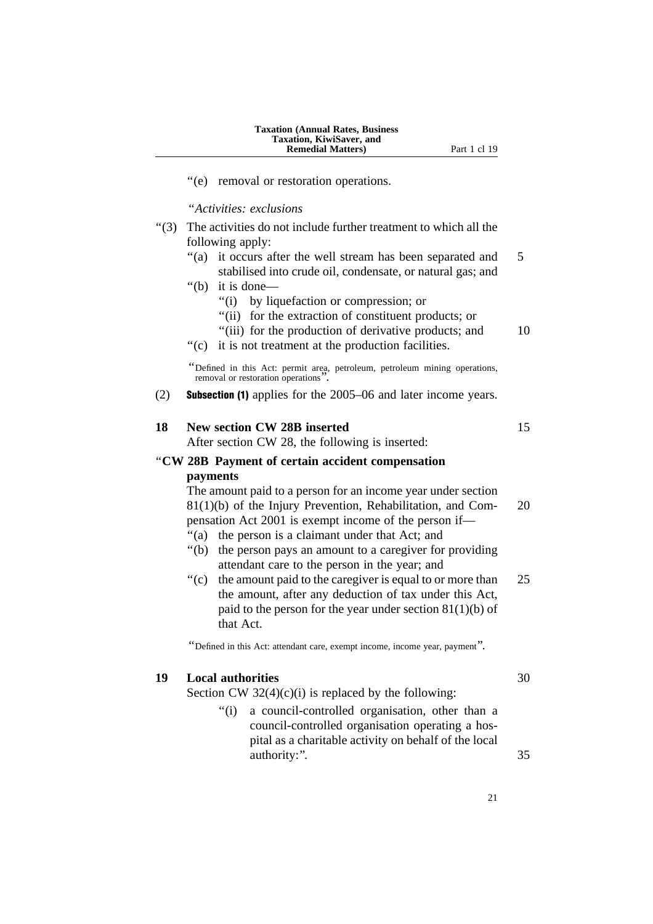#### **Taxation (Annual Rates, Business Taxation, KiwiSaver, and Remedial Matters)** Part 1 cl 19

''(e) removal or restoration operations.

#### ''*Activities: exclusions*

- ''(3) The activities do not include further treatment to which all the following apply:
	- "(a) it occurs after the well stream has been separated and 5 stabilised into crude oil, condensate, or natural gas; and
	- ''(b) it is done—
		- ''(i) by liquefaction or compression; or
		- ''(ii) for the extraction of constituent products; or
		- "(iii) for the production of derivative products; and  $10$
	- ''(c) it is not treatment at the production facilities.

''Defined in this Act: permit area, petroleum, petroleum mining operations, removal or restoration operations''.

(2) Subsection (1) applies for the 2005–06 and later income years.

# **18 New section CW 28B inserted** 15 After section CW 28, the following is inserted: ''**CW 28B Payment of certain accident compensation**

# **payments**

The amount paid to a person for an income year under section 81(1)(b) of the Injury Prevention, Rehabilitation, and Com- 20 pensation Act 2001 is exempt income of the person if— ''(a) the person is a claimant under that Act; and

- 
- ''(b) the person pays an amount to a caregiver for providing attendant care to the person in the year; and
- ''(c) the amount paid to the caregiver is equal to or more than 25 the amount, after any deduction of tax under this Act, paid to the person for the year under section  $81(1)(b)$  of that Act.

''Defined in this Act: attendant care, exempt income, income year, payment''.

#### **19 Local authorities** 30

Section CW  $32(4)(c)(i)$  is replaced by the following:

''(i) a council-controlled organisation, other than a council-controlled organisation operating a hospital as a charitable activity on behalf of the local authority:". 35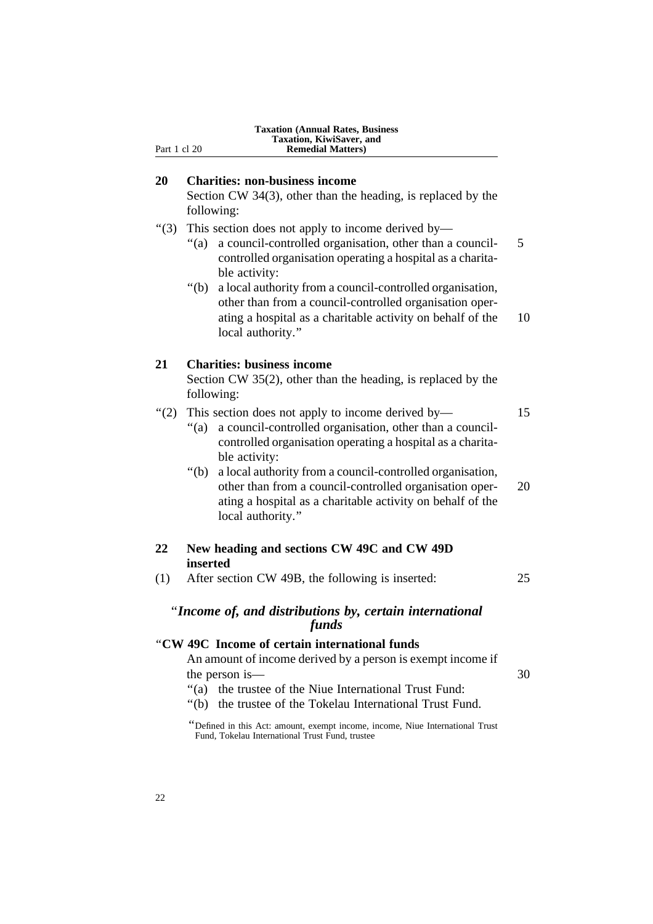| Part 1 cl 20 | <b>Taxation (Annual Rates, Business</b><br>Taxation, KiwiSaver, and<br><b>Remedial Matters)</b>                                                                                                                                                                                                                                            |          |
|--------------|--------------------------------------------------------------------------------------------------------------------------------------------------------------------------------------------------------------------------------------------------------------------------------------------------------------------------------------------|----------|
| 20           | <b>Charities: non-business income</b><br>Section CW 34(3), other than the heading, is replaced by the<br>following:                                                                                                                                                                                                                        |          |
| " $(3)$      | This section does not apply to income derived by—<br>a council-controlled organisation, other than a council-<br>" $(a)$<br>controlled organisation operating a hospital as a charita-<br>ble activity:<br>" $(b)$<br>a local authority from a council-controlled organisation,                                                            | 5        |
|              | other than from a council-controlled organisation oper-<br>ating a hospital as a charitable activity on behalf of the<br>local authority."                                                                                                                                                                                                 | 10       |
| 21           | <b>Charities: business income</b><br>Section CW $35(2)$ , other than the heading, is replaced by the<br>following:                                                                                                                                                                                                                         |          |
| (2)          | This section does not apply to income derived by—<br>a council-controlled organisation, other than a council-<br>" $(a)$<br>controlled organisation operating a hospital as a charita-<br>ble activity:<br>" $(b)$<br>a local authority from a council-controlled organisation,<br>other than from a council-controlled organisation oper- | 15<br>20 |
|              | ating a hospital as a charitable activity on behalf of the<br>local authority."                                                                                                                                                                                                                                                            |          |
| 22           | New heading and sections CW 49C and CW 49D<br>inserted                                                                                                                                                                                                                                                                                     |          |
| (1)          | After section CW 49B, the following is inserted:                                                                                                                                                                                                                                                                                           | 25       |
|              | "Income of, and distributions by, certain international<br>funds                                                                                                                                                                                                                                                                           |          |
|              | "CW 49C Income of certain international funds<br>An amount of income derived by a person is exempt income if<br>the person is—<br>the trustee of the Niue International Trust Fund:<br>" $(a)$<br>" $(b)$<br>the trustee of the Tokelau International Trust Fund.                                                                          | 30       |
|              | "Defined in this Act: amount, exempt income, income, Niue International Trust<br>Fund, Tokelau International Trust Fund, trustee                                                                                                                                                                                                           |          |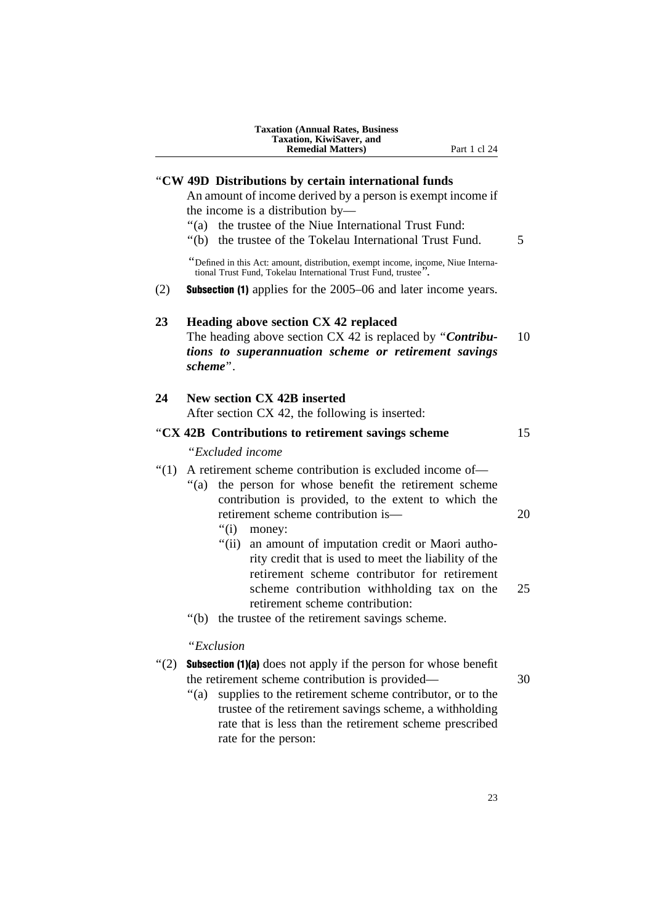|         | Taxation, KiwiSaver, and<br><b>Remedial Matters)</b><br>Part 1 cl 24                                                                               |    |
|---------|----------------------------------------------------------------------------------------------------------------------------------------------------|----|
|         | "CW 49D Distributions by certain international funds                                                                                               |    |
|         | An amount of income derived by a person is exempt income if                                                                                        |    |
|         | the income is a distribution by—                                                                                                                   |    |
|         | "(a) the trustee of the Niue International Trust Fund:                                                                                             |    |
|         | the trustee of the Tokelau International Trust Fund.<br>" $(b)$                                                                                    | 5  |
|         | "Defined in this Act: amount, distribution, exempt income, income, Niue Interna-<br>tional Trust Fund, Tokelau International Trust Fund, trustee". |    |
| (2)     | <b>Subsection (1)</b> applies for the 2005–06 and later income years.                                                                              |    |
| 23      | Heading above section CX 42 replaced                                                                                                               |    |
|         | The heading above section CX 42 is replaced by "Contribu-                                                                                          | 10 |
|         | tions to superannuation scheme or retirement savings                                                                                               |    |
|         | scheme".                                                                                                                                           |    |
| 24      | <b>New section CX 42B inserted</b>                                                                                                                 |    |
|         | After section CX 42, the following is inserted:                                                                                                    |    |
|         | "CX 42B Contributions to retirement savings scheme                                                                                                 | 15 |
|         | "Excluded income                                                                                                                                   |    |
| " $(1)$ | A retirement scheme contribution is excluded income of-                                                                                            |    |
|         | " $(a)$<br>the person for whose benefit the retirement scheme                                                                                      |    |
|         | contribution is provided, to the extent to which the                                                                                               |    |
|         | retirement scheme contribution is-                                                                                                                 | 20 |
|         | "(i)<br>money:                                                                                                                                     |    |
|         | "(ii) an amount of imputation credit or Maori autho-                                                                                               |    |
|         | rity credit that is used to meet the liability of the<br>retirement scheme contributor for retirement                                              |    |
|         | scheme contribution withholding tax on the                                                                                                         | 25 |
|         | retirement scheme contribution:                                                                                                                    |    |
|         | the trustee of the retirement savings scheme.<br>" $(b)$                                                                                           |    |
|         | "Exclusion                                                                                                                                         |    |
| " $(2)$ | <b>Subsection (1)(a)</b> does not apply if the person for whose benefit                                                                            |    |
|         | the retirement scheme contribution is provided—                                                                                                    | 30 |
|         | supplies to the retirement scheme contributor, or to the<br>" $(a)$                                                                                |    |
|         | trustee of the retirement savings scheme, a withholding                                                                                            |    |
|         | rate that is less than the retirement scheme prescribed                                                                                            |    |
|         | rate for the person:                                                                                                                               |    |

23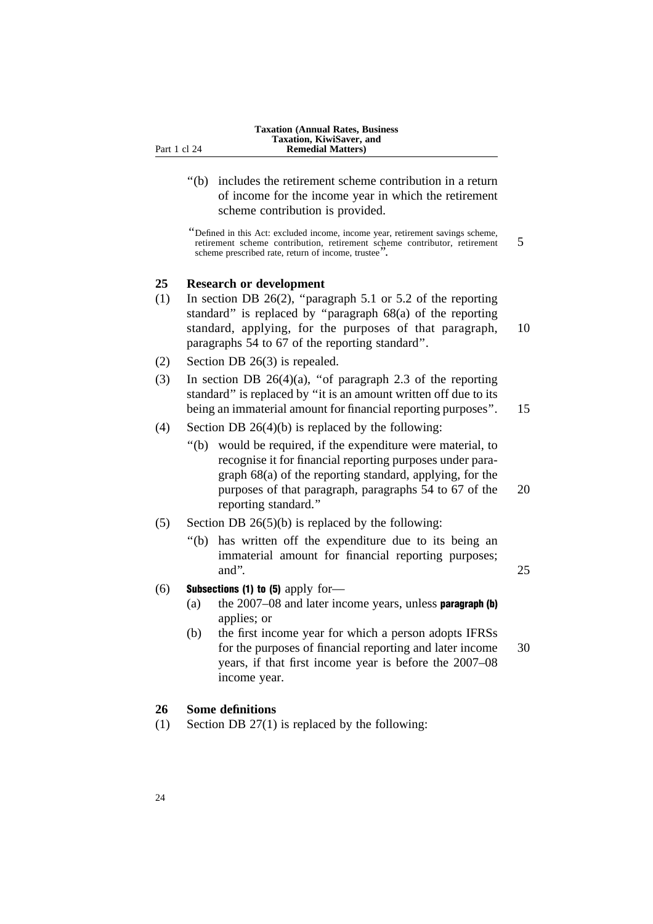''(b) includes the retirement scheme contribution in a return of income for the income year in which the retirement scheme contribution is provided.

''Defined in this Act: excluded income, income year, retirement savings scheme, retirement scheme contribution, retirement scheme contributor, retirement 5 scheme prescribed rate, return of income, trustee''.

#### **25 Research or development**

- (1) In section DB 26(2), ''paragraph 5.1 or 5.2 of the reporting standard'' is replaced by ''paragraph 68(a) of the reporting standard, applying, for the purposes of that paragraph, 10 paragraphs 54 to 67 of the reporting standard''.
- (2) Section DB 26(3) is repealed.
- (3) In section DB  $26(4)(a)$ , "of paragraph 2.3 of the reporting standard'' is replaced by ''it is an amount written off due to its being an immaterial amount for financial reporting purposes". 15
- (4) Section DB  $26(4)(b)$  is replaced by the following:
	- ''(b) would be required, if the expenditure were material, to recognise it for financial reporting purposes under paragraph 68(a) of the reporting standard, applying, for the purposes of that paragraph, paragraphs 54 to 67 of the 20 reporting standard.''
- (5) Section DB  $26(5)(b)$  is replaced by the following:
	- ''(b) has written off the expenditure due to its being an immaterial amount for financial reporting purposes; and".  $25$

#### (6) Subsections (1) to (5) apply for-

- (a) the  $2007-08$  and later income years, unless **paragraph (b)** applies; or
- (b) the first income year for which a person adopts IFRSs for the purposes of financial reporting and later income 30 years, if that first income year is before the 2007–08 income year.

#### **26 Some definitions**

(1) Section DB 27(1) is replaced by the following: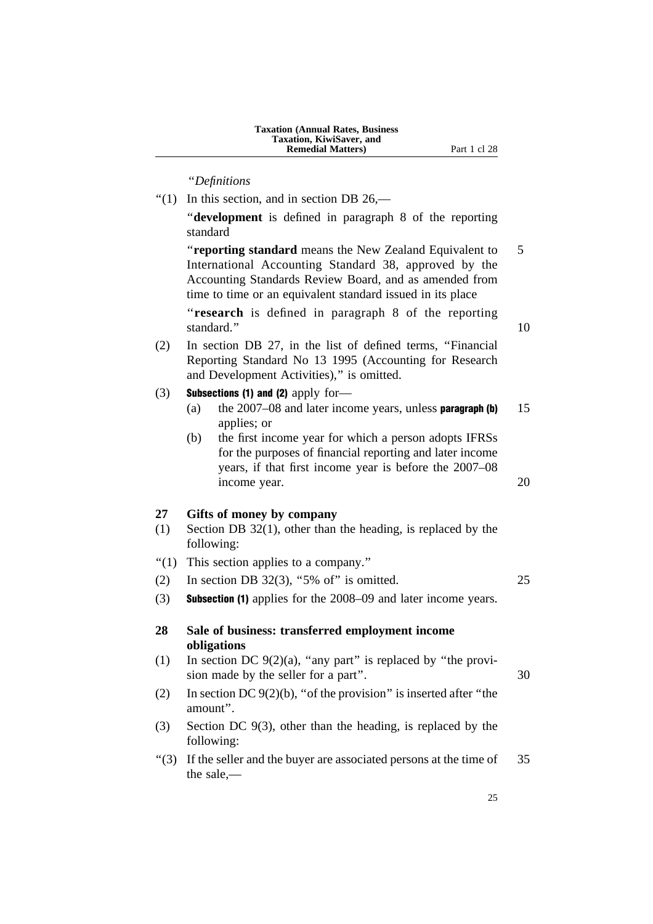''*Definitions*

 $''(1)$  In this section, and in section DB 26,— ''**development** is defined in paragraph 8 of the reporting standard ''**reporting standard** means the New Zealand Equivalent to 5 International Accounting Standard 38, approved by the Accounting Standards Review Board, and as amended from time to time or an equivalent standard issued in its place ''**research** is defined in paragraph 8 of the reporting standard." 10 (2) In section DB 27, in the list of defined terms, ''Financial Reporting Standard No 13 1995 (Accounting for Research and Development Activities)," is omitted.  $(3)$  Subsections (1) and (2) apply for-(a) the  $2007-08$  and later income years, unless **paragraph (b)** 15 applies; or (b) the first income year for which a person adopts IFRSs for the purposes of financial reporting and later income years, if that first income year is before the 2007–08 income year. 20 **27 Gifts of money by company** (1) Section DB 32(1), other than the heading, is replaced by the following: ''(1) This section applies to a company.'' (2) In section DB  $32(3)$ , "5% of" is omitted. 25 (3) Subsection (1) applies for the 2008–09 and later income years. **28 Sale of business: transferred employment income obligations** (1) In section DC  $9(2)(a)$ , "any part" is replaced by "the provision made by the seller for a part". 30 (2) In section DC  $9(2)(b)$ , "of the provision" is inserted after "the amount''. (3) Section DC 9(3), other than the heading, is replaced by the following:  $\degree$ (3) If the seller and the buyer are associated persons at the time of 35 the sale,—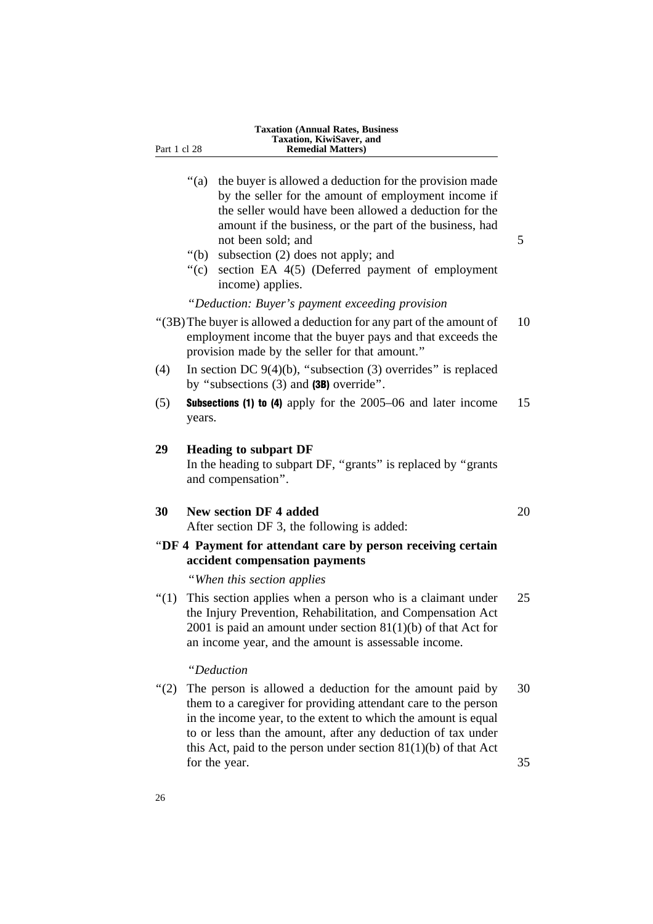| <b>Taxation (Annual Rates, Business)</b> |
|------------------------------------------|
| <b>Taxation, KiwiSaver, and</b>          |
| <b>Remedial Matters</b> )                |

- "(a) the buyer is allowed a deduction for the provision made by the seller for the amount of employment income if the seller would have been allowed a deduction for the amount if the business, or the part of the business, had not been sold; and 5
- ''(b) subsection (2) does not apply; and
- ''(c) section EA 4(5) (Deferred payment of employment income) applies.

#### ''*Deduction: Buyer's payment exceeding provision*

- ''(3B)The buyer is allowed a deduction for any part of the amount of 10 employment income that the buyer pays and that exceeds the provision made by the seller for that amount.''
- (4) In section DC  $9(4)(b)$ , "subsection (3) overrides" is replaced by ''subsections (3) and (3B) override''.
- (5) **Subsections (1) to (4)** apply for the  $2005-06$  and later income 15 years.

#### **29 Heading to subpart DF**

Part 1 cl 28

In the heading to subpart DF, "grants" is replaced by "grants" and compensation''.

#### **30 New section DF 4 added** 20

After section DF 3, the following is added:

''**DF 4 Payment for attendant care by person receiving certain accident compensation payments**

''*When this section applies*

 $''(1)$  This section applies when a person who is a claimant under 25 the Injury Prevention, Rehabilitation, and Compensation Act 2001 is paid an amount under section  $81(1)(b)$  of that Act for an income year, and the amount is assessable income.

## ''*Deduction*

"(2) The person is allowed a deduction for the amount paid by 30 them to a caregiver for providing attendant care to the person in the income year, to the extent to which the amount is equal to or less than the amount, after any deduction of tax under this Act, paid to the person under section  $81(1)(b)$  of that Act for the year. 35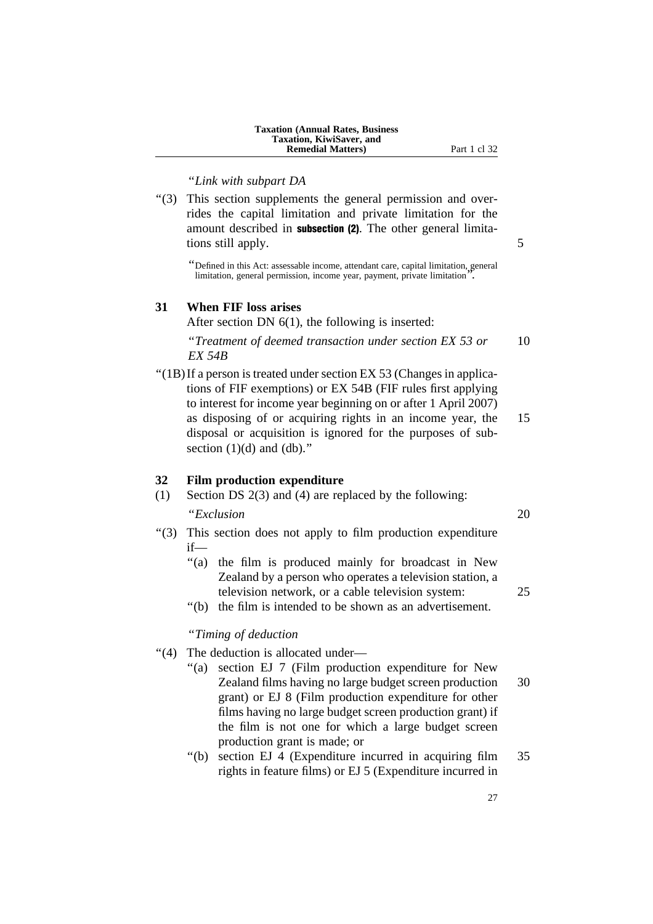| <b>Taxation (Annual Rates, Business)</b> |
|------------------------------------------|
| <b>Taxation, KiwiSaver, and</b>          |
| <b>Remedial Matters</b> )                |

''*Link with subpart DA*

''(3) This section supplements the general permission and overrides the capital limitation and private limitation for the amount described in **subsection (2)**. The other general limitations still apply. 5

''Defined in this Act: assessable income, attendant care, capital limitation, general limitation, general permission, income year, payment, private limitation

## **31 When FIF loss arises**

After section DN 6(1), the following is inserted:

''*Treatment of deemed transaction under section EX 53 or* 10 *EX 54B*

''(1B)If a person is treated under section EX 53 (Changes in applications of FIF exemptions) or EX 54B (FIF rules first applying to interest for income year beginning on or after 1 April 2007) as disposing of or acquiring rights in an income year, the 15 disposal or acquisition is ignored for the purposes of subsection  $(1)(d)$  and  $(db)$ ."

#### **32 Film production expenditure**

- (1) Section DS 2(3) and (4) are replaced by the following: ''*Exclusion* 20
- ''(3) This section does not apply to film production expenditure if—
	- "(a) the film is produced mainly for broadcast in New Zealand by a person who operates a television station, a television network, or a cable television system: 25
	- ''(b) the film is intended to be shown as an advertisement.

#### ''*Timing of deduction*

- ''(4) The deduction is allocated under—
	- ''(a) section EJ 7 (Film production expenditure for New Zealand films having no large budget screen production 30 grant) or EJ 8 (Film production expenditure for other films having no large budget screen production grant) if the film is not one for which a large budget screen production grant is made; or
	- ''(b) section EJ 4 (Expenditure incurred in acquiring film 35 rights in feature films) or EJ 5 (Expenditure incurred in

**Part 1 cl 32** 

27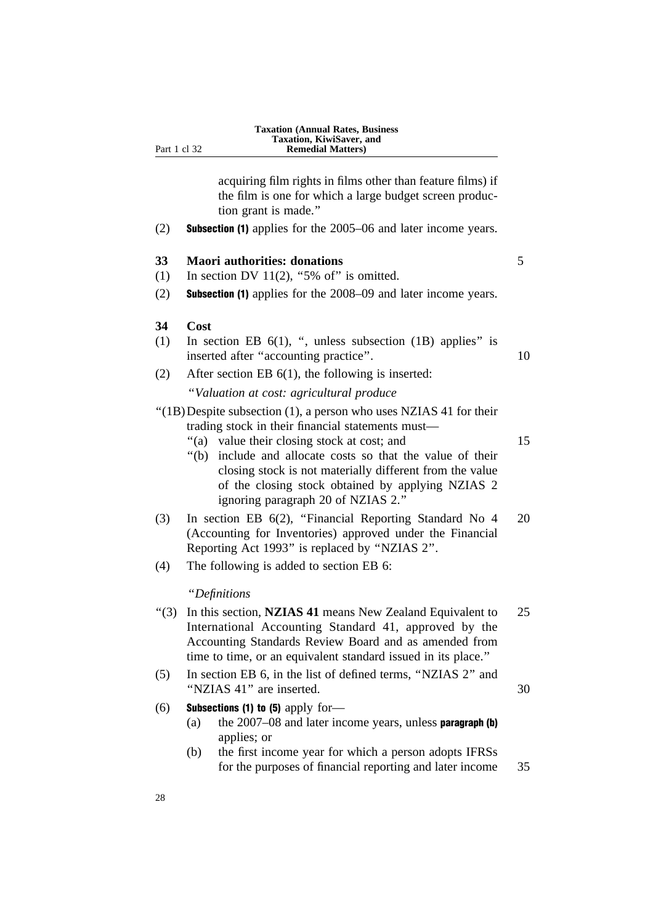| <b>Taxation (Annual Rates, Business)</b> |
|------------------------------------------|
| <b>Taxation, KiwiSaver, and</b>          |
| <b>Remedial Matters</b> )                |

acquiring film rights in films other than feature films) if the film is one for which a large budget screen production grant is made.''

(2) Subsection (1) applies for the 2005–06 and later income years.

#### **33 Maori authorities: donations** 5

- (1) In section DV 11(2), "5% of" is omitted.
- (2) Subsection (1) applies for the 2008–09 and later income years.

#### **34 Cost**

Part 1 cl 32

- (1) In section EB  $6(1)$ , ", unless subsection (1B) applies" is inserted after "accounting practice". 10
- (2) After section EB 6(1), the following is inserted:

''*Valuation at cost: agricultural produce*

''(1B)Despite subsection (1), a person who uses NZIAS 41 for their trading stock in their financial statements must—

- "(a) value their closing stock at cost; and 15
- ''(b) include and allocate costs so that the value of their closing stock is not materially different from the value of the closing stock obtained by applying NZIAS 2 ignoring paragraph 20 of NZIAS 2.''
- (3) In section EB 6(2), ''Financial Reporting Standard No 4 20 (Accounting for Inventories) approved under the Financial Reporting Act 1993'' is replaced by ''NZIAS 2''.
- (4) The following is added to section EB 6:

#### ''*Definitions*

| " $(3)$ |     | In this section, NZIAS 41 means New Zealand Equivalent to<br>International Accounting Standard 41, approved by the<br>Accounting Standards Review Board and as amended from<br>time to time, or an equivalent standard issued in its place." | 25 |
|---------|-----|----------------------------------------------------------------------------------------------------------------------------------------------------------------------------------------------------------------------------------------------|----|
| (5)     |     | In section EB 6, in the list of defined terms, "NZIAS 2" and<br>"NZIAS 41" are inserted.                                                                                                                                                     | 30 |
| (6)     | (a) | <b>Subsections (1) to (5)</b> apply for-<br>the $2007-08$ and later income years, unless <b>paragraph</b> (b)<br>applies; or                                                                                                                 |    |
|         | (b) | the first income year for which a person adopts IFRSs<br>for the purposes of financial reporting and later income                                                                                                                            | 35 |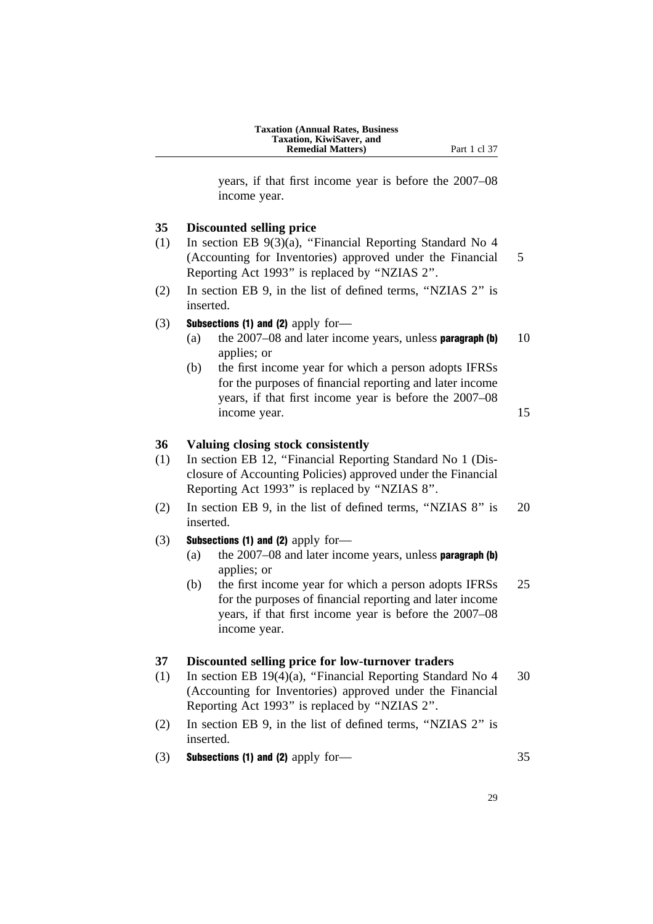| <b>Taxation (Annual Rates, Business)</b> |
|------------------------------------------|
| <b>Taxation, KiwiSaver, and</b>          |
| <b>Remedial Matters</b> )                |

years, if that first income year is before the 2007–08 income year.

#### **35 Discounted selling price**

- (1) In section EB 9(3)(a), ''Financial Reporting Standard No 4 (Accounting for Inventories) approved under the Financial 5 Reporting Act 1993'' is replaced by ''NZIAS 2''.
- (2) In section EB 9, in the list of defined terms, ''NZIAS 2'' is inserted.

#### (3) Subsections (1) and (2) apply for-

- (a) the  $2007-08$  and later income years, unless **paragraph (b)** 10 applies; or
- (b) the first income year for which a person adopts IFRSs for the purposes of financial reporting and later income years, if that first income year is before the 2007–08 income year. 15

#### **36 Valuing closing stock consistently**

- (1) In section EB 12, ''Financial Reporting Standard No 1 (Disclosure of Accounting Policies) approved under the Financial Reporting Act 1993'' is replaced by ''NZIAS 8''.
- (2) In section EB 9, in the list of defined terms, ''NZIAS 8'' is 20 inserted.

#### $(3)$  Subsections (1) and (2) apply for-

- (a) the  $2007-08$  and later income years, unless **paragraph (b)** applies; or
- (b) the first income year for which a person adopts IFRSs 25 for the purposes of financial reporting and later income years, if that first income year is before the 2007–08 income year.

#### **37 Discounted selling price for low-turnover traders**

- (1) In section EB 19(4)(a), ''Financial Reporting Standard No 4 30 (Accounting for Inventories) approved under the Financial Reporting Act 1993'' is replaced by ''NZIAS 2''.
- (2) In section EB 9, in the list of defined terms, ''NZIAS 2'' is inserted.
- $(3)$  Subsections (1) and (2) apply for 35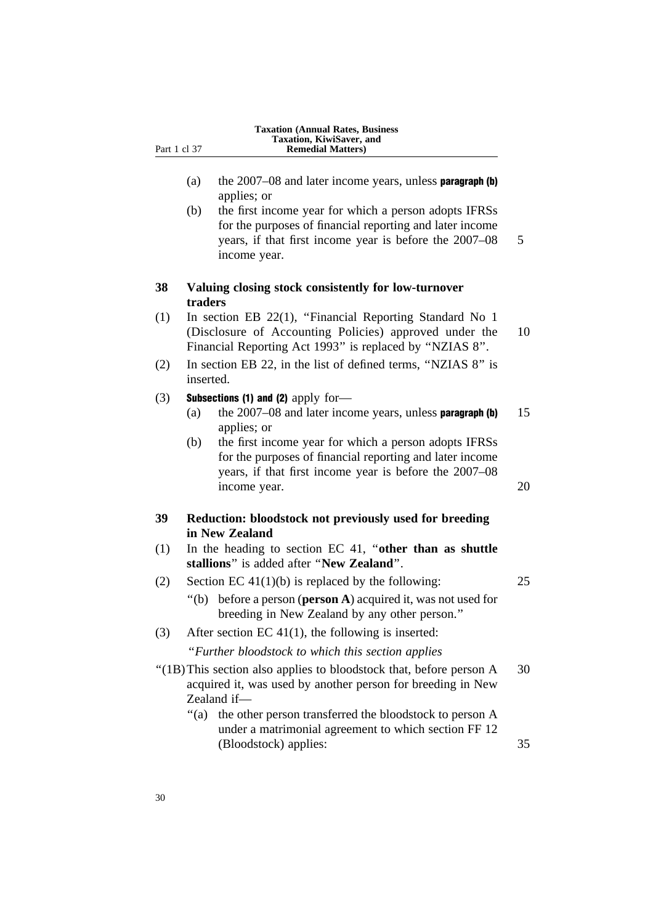| Part 1 cl 37 | <b>Taxation (Annual Rates, Business)</b><br>Taxation, KiwiSaver, and<br><b>Remedial Matters</b> )                                                                                                                                                                               |
|--------------|---------------------------------------------------------------------------------------------------------------------------------------------------------------------------------------------------------------------------------------------------------------------------------|
|              | the $2007-08$ and later income years, unless <b>paragraph</b> (b)<br>(a)<br>applies; or                                                                                                                                                                                         |
|              | the first income year for which a person adopts IFRSs<br>(b)<br>for the purposes of financial reporting and later income<br>years, if that first income year is before the 2007–08<br>income year.                                                                              |
| 38           | Valuing closing stock consistently for low-turnover<br>traders                                                                                                                                                                                                                  |
| (1)          | In section EB 22(1), "Financial Reporting Standard No 1<br>(Disclosure of Accounting Policies) approved under the<br>Financial Reporting Act 1993" is replaced by "NZIAS 8".                                                                                                    |
| (2)          | In section EB 22, in the list of defined terms, "NZIAS 8" is<br>inserted.                                                                                                                                                                                                       |
| (3)          | Subsections (1) and (2) apply for-<br>the 2007–08 and later income years, unless paragraph (b)<br>(a)<br>applies; or                                                                                                                                                            |
|              | the first income year for which a person adopts IFRSs<br>(b)<br>for the purposes of financial reporting and later income<br>years, if that first income year is before the 2007–08<br>income year.                                                                              |
| 39           | Reduction: bloodstock not previously used for breeding<br>in New Zealand                                                                                                                                                                                                        |
| (1)          | In the heading to section EC 41, "other than as shuttle<br>stallions" is added after "New Zealand".                                                                                                                                                                             |
| (2)          | Section EC $41(1)(b)$ is replaced by the following:<br>"(b) before a person ( <b>person A</b> ) acquired it, was not used for<br>breeding in New Zealand by any other person."                                                                                                  |
| (3)          | After section EC $41(1)$ , the following is inserted:                                                                                                                                                                                                                           |
|              | "Further bloodstock to which this section applies                                                                                                                                                                                                                               |
|              | "(1B) This section also applies to bloodstock that, before person A<br>acquired it, was used by another person for breeding in New<br>Zealand if-<br>" $(a)$<br>the other person transferred the bloodstock to person A<br>under a matrimonial agreement to which section FF 12 |
|              | (Bloodstock) applies:                                                                                                                                                                                                                                                           |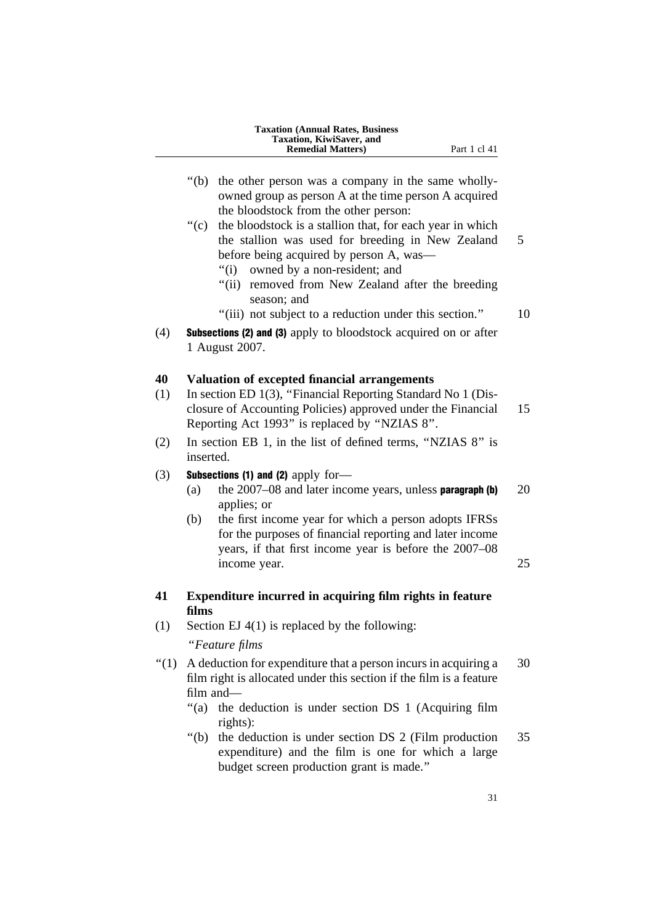|           | <b>Taxation (Annual Rates, Business</b><br>Taxation, KiwiSaver, and<br><b>Remedial Matters</b> )<br>Part 1 cl 41                                                                                                                                                                                                                    |          |
|-----------|-------------------------------------------------------------------------------------------------------------------------------------------------------------------------------------------------------------------------------------------------------------------------------------------------------------------------------------|----------|
|           | " $(b)$<br>the other person was a company in the same wholly-<br>owned group as person A at the time person A acquired<br>the bloodstock from the other person:                                                                                                                                                                     |          |
|           | the bloodstock is a stallion that, for each year in which<br>" $(c)$<br>the stallion was used for breeding in New Zealand<br>before being acquired by person A, was—<br>owned by a non-resident; and<br>"(i)<br>removed from New Zealand after the breeding<br>"(ii)<br>season; and                                                 | 5        |
| (4)       | "(iii) not subject to a reduction under this section."<br>Subsections (2) and (3) apply to bloodstock acquired on or after<br>1 August 2007.                                                                                                                                                                                        | 10       |
| 40<br>(1) | Valuation of excepted financial arrangements<br>In section ED 1(3), "Financial Reporting Standard No 1 (Dis-<br>closure of Accounting Policies) approved under the Financial<br>Reporting Act 1993" is replaced by "NZIAS 8".                                                                                                       | 15       |
| (2)       | In section EB 1, in the list of defined terms, "NZIAS 8" is<br>inserted.                                                                                                                                                                                                                                                            |          |
| (3)       | <b>Subsections (1) and (2)</b> apply for-<br>the $2007-08$ and later income years, unless paragraph (b)<br>(a)<br>applies; or<br>the first income year for which a person adopts IFRSs<br>(b)<br>for the purposes of financial reporting and later income<br>years, if that first income year is before the 2007–08<br>income year. | 20<br>25 |
| 41        | Expenditure incurred in acquiring film rights in feature                                                                                                                                                                                                                                                                            |          |
| (1)       | films<br>Section EJ $4(1)$ is replaced by the following:<br>"Feature films                                                                                                                                                                                                                                                          |          |
| " $(1)$   | A deduction for expenditure that a person incurs in acquiring a<br>film right is allocated under this section if the film is a feature<br>film and-<br>" $(a)$<br>the deduction is under section DS 1 (Acquiring film<br>rights):                                                                                                   | 30       |
|           | " $(b)$<br>the deduction is under section DS 2 (Film production<br>expenditure) and the film is one for which a large<br>budget screen production grant is made."                                                                                                                                                                   | 35       |
|           | 31                                                                                                                                                                                                                                                                                                                                  |          |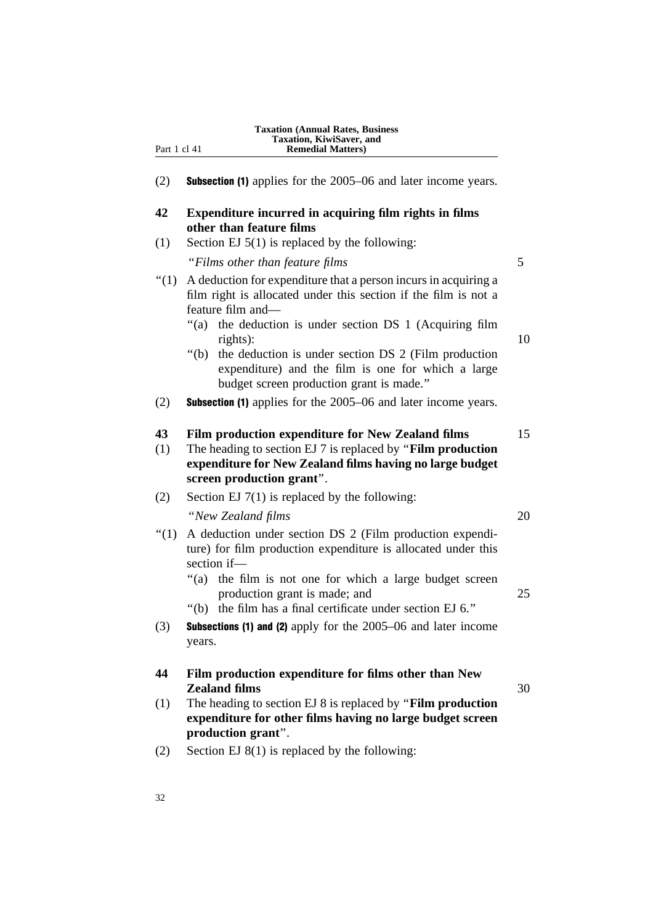| Part 1 cl 41 | Taxation, KiwiSaver, and<br><b>Remedial Matters)</b>                                                                                                                                                       |    |
|--------------|------------------------------------------------------------------------------------------------------------------------------------------------------------------------------------------------------------|----|
| (2)          | <b>Subsection (1)</b> applies for the 2005–06 and later income years.                                                                                                                                      |    |
| 42           | Expenditure incurred in acquiring film rights in films<br>other than feature films                                                                                                                         |    |
| (1)          | Section EJ $5(1)$ is replaced by the following:                                                                                                                                                            |    |
|              | "Films other than feature films"                                                                                                                                                                           | 5  |
| " $(1)$      | A deduction for expenditure that a person incurs in acquiring a<br>film right is allocated under this section if the film is not a<br>feature film and-                                                    |    |
|              | "(a) the deduction is under section DS 1 (Acquiring film<br>rights):                                                                                                                                       | 10 |
|              | the deduction is under section DS 2 (Film production<br>" $(b)$<br>expenditure) and the film is one for which a large<br>budget screen production grant is made."                                          |    |
| (2)          | <b>Subsection (1)</b> applies for the 2005–06 and later income years.                                                                                                                                      |    |
| 43<br>(1)    | Film production expenditure for New Zealand films<br>The heading to section EJ 7 is replaced by "Film production"<br>expenditure for New Zealand films having no large budget<br>screen production grant". | 15 |
| (2)          | Section EJ $7(1)$ is replaced by the following:                                                                                                                                                            |    |
|              | "New Zealand films                                                                                                                                                                                         | 20 |
| " $(1)$      | A deduction under section DS 2 (Film production expendi-<br>ture) for film production expenditure is allocated under this<br>section if-                                                                   |    |
|              | the film is not one for which a large budget screen<br>"(a)<br>production grant is made; and<br>"(b) the film has a final certificate under section EJ 6."                                                 | 25 |
| (3)          | Subsections (1) and (2) apply for the 2005–06 and later income<br>years.                                                                                                                                   |    |
| 44           | Film production expenditure for films other than New<br><b>Zealand films</b>                                                                                                                               | 30 |
| (1)          | The heading to section EJ 8 is replaced by "Film production"<br>expenditure for other films having no large budget screen<br>production grant".                                                            |    |
| (2)          | Section EJ $8(1)$ is replaced by the following:                                                                                                                                                            |    |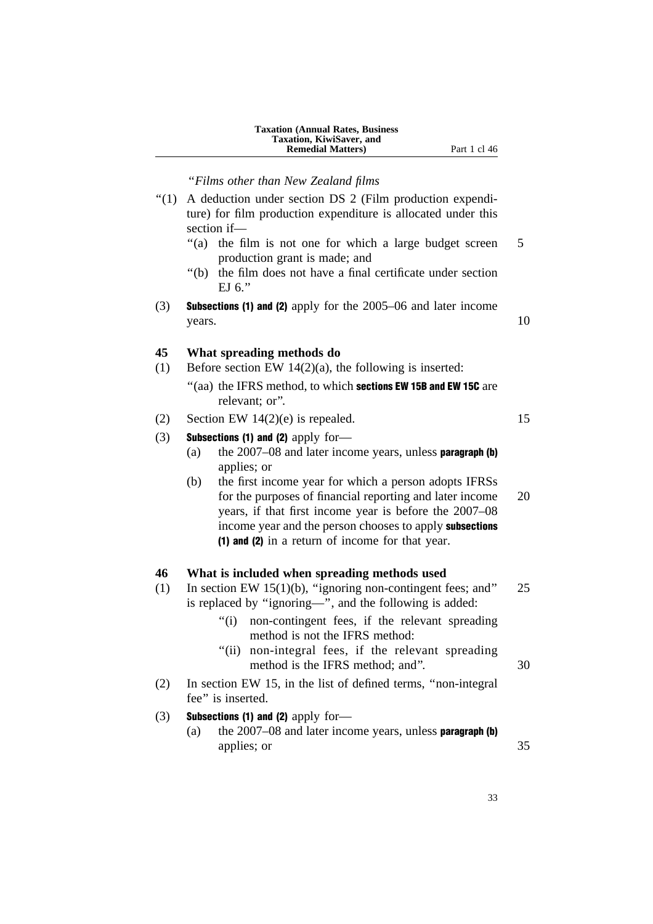| <b>Taxation (Annual Rates, Business)</b> |
|------------------------------------------|
| <b>Taxation, KiwiSaver, and</b>          |
| <b>Remedial Matters</b> )                |

**Part 1 cl 46** 

''*Films other than New Zealand films*

- ''(1) A deduction under section DS 2 (Film production expenditure) for film production expenditure is allocated under this section if—
	- "(a) the film is not one for which a large budget screen 5 production grant is made; and
	- ''(b) the film does not have a final certificate under section EJ 6.''
- (3) Subsections (1) and (2) apply for the 2005–06 and later income  $years.$  10

#### **45 What spreading methods do**

- (1) Before section EW 14(2)(a), the following is inserted:
	- "(aa) the IFRS method, to which sections EW 15B and EW 15C are relevant; or''.

## (2) Section EW  $14(2)(e)$  is repealed. 15

#### (3) Subsections (1) and (2) apply for-

- (a) the  $2007-08$  and later income years, unless **paragraph (b)** applies; or
- (b) the first income year for which a person adopts IFRSs for the purposes of financial reporting and later income 20 years, if that first income year is before the 2007–08 income year and the person chooses to apply subsections (1) and (2) in a return of income for that year.

#### **46 What is included when spreading methods used**

- (1) In section EW 15(1)(b), ''ignoring non-contingent fees; and'' 25 is replaced by ''ignoring—'', and the following is added:
	- ''(i) non-contingent fees, if the relevant spreading method is not the IFRS method:
	- "(ii) non-integral fees, if the relevant spreading method is the IFRS method; and". 30
- (2) In section EW 15, in the list of defined terms, ''non-integral fee'' is inserted.
- (3) Subsections (1) and (2) apply for-
	- (a) the  $2007-08$  and later income years, unless **paragraph (b)** applies; or 35

33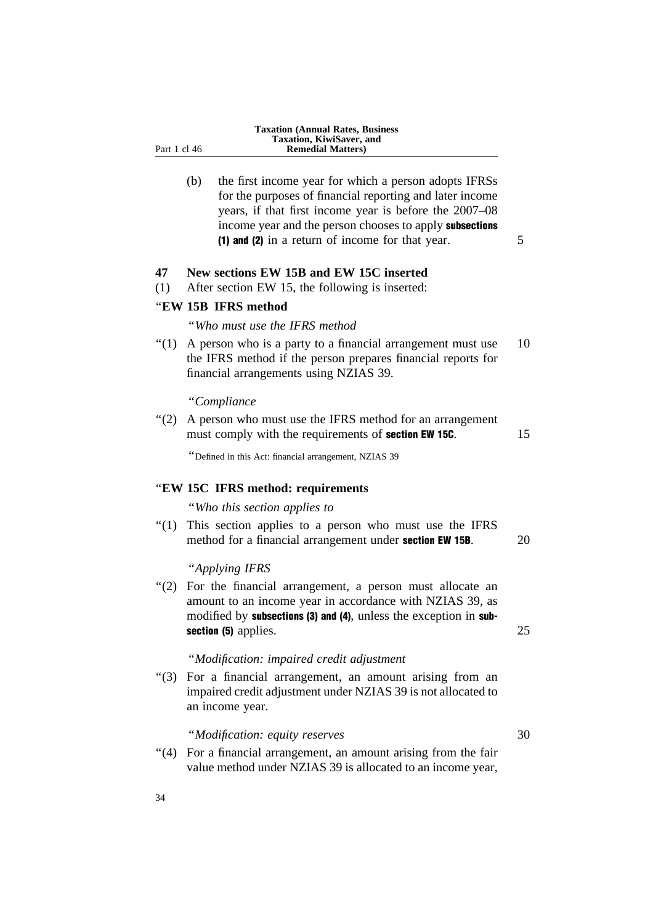(b) the first income year for which a person adopts IFRSs for the purposes of financial reporting and later income years, if that first income year is before the 2007–08 income year and the person chooses to apply subsections (1) and (2) in a return of income for that year.  $5 \frac{1}{2}$ 

## **47 New sections EW 15B and EW 15C inserted**

(1) After section EW 15, the following is inserted:

#### ''**EW 15B IFRS method**

Part 1 cl 46

''*Who must use the IFRS method*

 $\degree$ (1) A person who is a party to a financial arrangement must use 10 the IFRS method if the person prepares financial reports for financial arrangements using NZIAS 39.

#### ''*Compliance*

''(2) A person who must use the IFRS method for an arrangement must comply with the requirements of **section EW 15C**. 15

''Defined in this Act: financial arrangement, NZIAS 39

#### ''**EW 15C IFRS method: requirements**

''*Who this section applies to*

"(1) This section applies to a person who must use the IFRS method for a financial arrangement under **section EW 15B**. 20

''*Applying IFRS*

"(2) For the financial arrangement, a person must allocate an amount to an income year in accordance with NZIAS 39, as modified by **subsections (3) and (4)**, unless the exception in **sub**section (5) applies. 25

#### ''*Modification: impaired credit adjustment*

''(3) For a financial arrangement, an amount arising from an impaired credit adjustment under NZIAS 39 is not allocated to an income year.

#### ''*Modification: equity reserves* 30

"(4) For a financial arrangement, an amount arising from the fair value method under NZIAS 39 is allocated to an income year,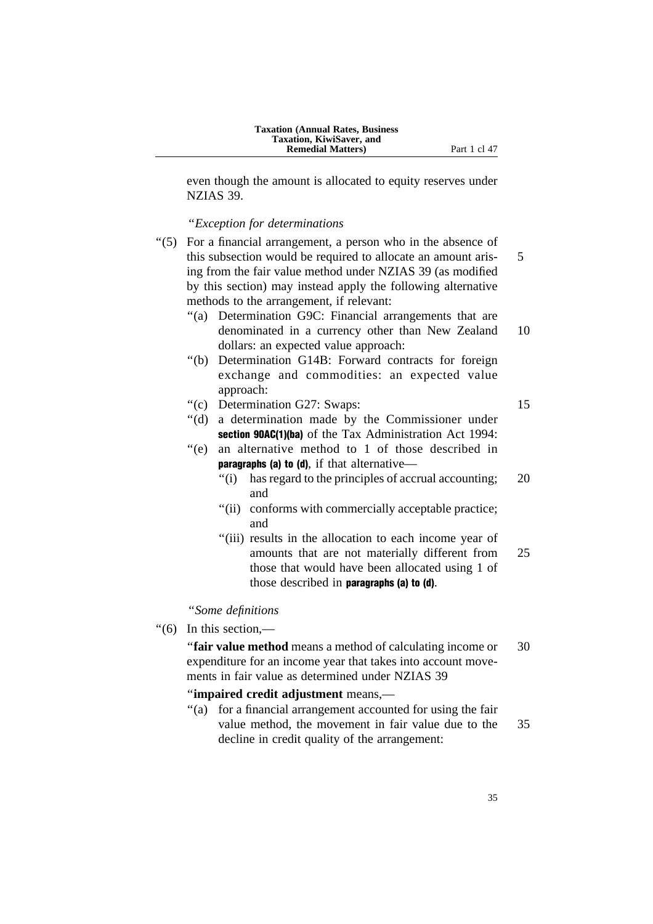even though the amount is allocated to equity reserves under NZIAS 39.

#### ''*Exception for determinations*

''(5) For a financial arrangement, a person who in the absence of this subsection would be required to allocate an amount aris- 5 ing from the fair value method under NZIAS 39 (as modified by this section) may instead apply the following alternative methods to the arrangement, if relevant:

- "(a) Determination G9C: Financial arrangements that are denominated in a currency other than New Zealand 10 dollars: an expected value approach:
- ''(b) Determination G14B: Forward contracts for foreign exchange and commodities: an expected value approach:
- ''(c) Determination G27: Swaps: 15

- ''(d) a determination made by the Commissioner under section 90AC(1)(ba) of the Tax Administration Act 1994:
- ''(e) an alternative method to 1 of those described in paragraphs (a) to (d), if that alternative—
	- "(i) has regard to the principles of accrual accounting; 20 and
	- "(ii) conforms with commercially acceptable practice; and
	- "(iii) results in the allocation to each income year of amounts that are not materially different from 25 those that would have been allocated using 1 of those described in paragraphs (a) to (d).

### ''*Some definitions*

''(6) In this section,—

''**fair value method** means a method of calculating income or 30 expenditure for an income year that takes into account movements in fair value as determined under NZIAS 39

#### ''**impaired credit adjustment** means,—

''(a) for a financial arrangement accounted for using the fair value method, the movement in fair value due to the 35 decline in credit quality of the arrangement: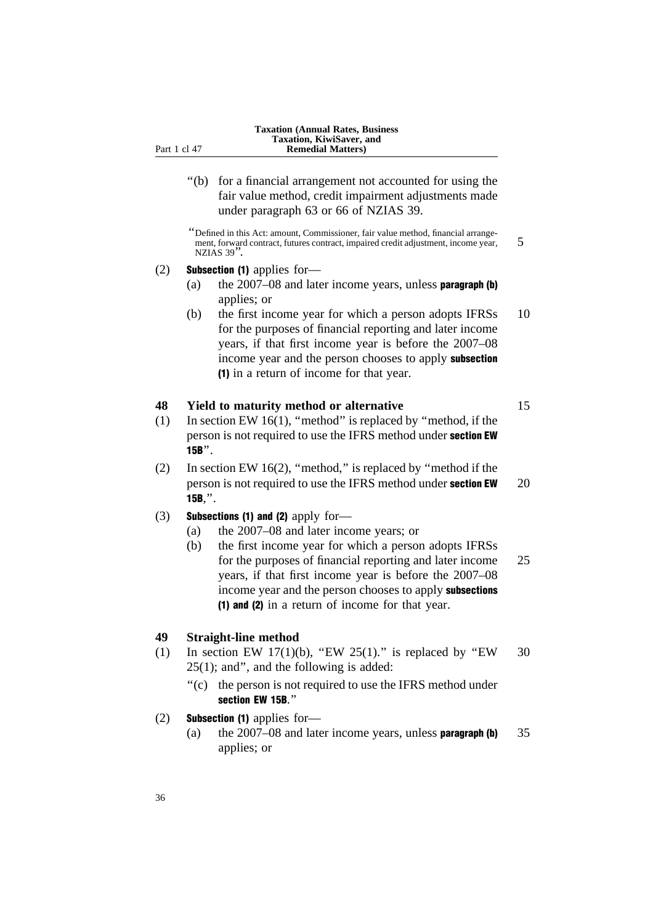''(b) for a financial arrangement not accounted for using the fair value method, credit impairment adjustments made under paragraph 63 or 66 of NZIAS 39.

''Defined in this Act: amount, Commissioner, fair value method, financial arrangement, forward contract, futures contract, impaired credit adjustment, income year, 5 NZIAS 39''.

#### (2) Subsection (1) applies for—

- (a) the  $2007-08$  and later income years, unless **paragraph (b)** applies; or
- (b) the first income year for which a person adopts IFRSs 10 for the purposes of financial reporting and later income years, if that first income year is before the 2007–08 income year and the person chooses to apply subsection (1) in a return of income for that year.

## **48 Yield to maturity method or alternative** 15

- (1) In section EW 16(1), ''method'' is replaced by ''method, if the person is not required to use the IFRS method under section EW 15B''.
- (2) In section EW 16(2), ''method,'' is replaced by ''method if the person is not required to use the IFRS method under **section EW** 20 15B,''.

#### (3) Subsections (1) and (2) apply for-

- (a) the 2007–08 and later income years; or
- (b) the first income year for which a person adopts IFRSs for the purposes of financial reporting and later income 25 years, if that first income year is before the 2007–08 income year and the person chooses to apply subsections (1) and (2) in a return of income for that year.

#### **49 Straight-line method**

- (1) In section EW 17(1)(b), "EW 25(1)." is replaced by "EW 30 25(1); and'', and the following is added:
	- ''(c) the person is not required to use the IFRS method under section EW 15B.''
- (2) Subsection (1) applies for—
	- (a) the  $2007-08$  and later income years, unless **paragraph (b)**  $35$ applies; or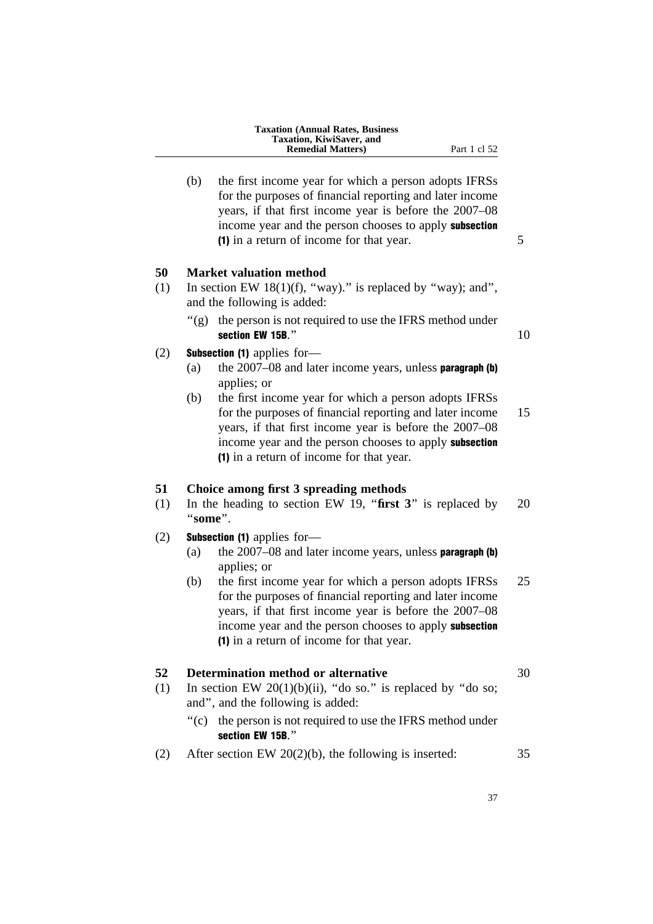| <b>Taxation (Annual Rates, Business)</b> |
|------------------------------------------|
| Taxation, KiwiSaver, and                 |
| <b>Remedial Matters</b> )                |
|                                          |

(b) the first income year for which a person adopts IFRSs for the purposes of financial reporting and later income years, if that first income year is before the 2007–08 income year and the person chooses to apply subsection (1) in a return of income for that year. 5

#### **50 Market valuation method**

- (1) In section EW 18(1)(f), "way)." is replaced by "way); and", and the following is added:
	- $'(g)$  the person is not required to use the IFRS method under section EW 15B. $'$  10
		-

#### (2) Subsection (1) applies for—

- (a) the  $2007-08$  and later income years, unless **paragraph (b)** applies; or
- (b) the first income year for which a person adopts IFRSs for the purposes of financial reporting and later income 15 years, if that first income year is before the 2007–08 income year and the person chooses to apply subsection (1) in a return of income for that year.

#### **51 Choice among first 3 spreading methods**

(1) In the heading to section EW 19, ''**first 3**'' is replaced by 20 ''**some**''.

#### (2) Subsection (1) applies for—

- (a) the  $2007-08$  and later income years, unless **paragraph (b)** applies; or
- (b) the first income year for which a person adopts IFRSs 25 for the purposes of financial reporting and later income years, if that first income year is before the 2007–08 income year and the person chooses to apply subsection (1) in a return of income for that year.

#### **52 Determination method or alternative** 30

- (1) In section EW 20(1)(b)(ii), "do so." is replaced by "do so; and'', and the following is added:
	- "(c) the person is not required to use the IFRS method under section EW 15B.''
- (2) After section EW 20(2)(b), the following is inserted:  $35$
- 

Part 1 cl 52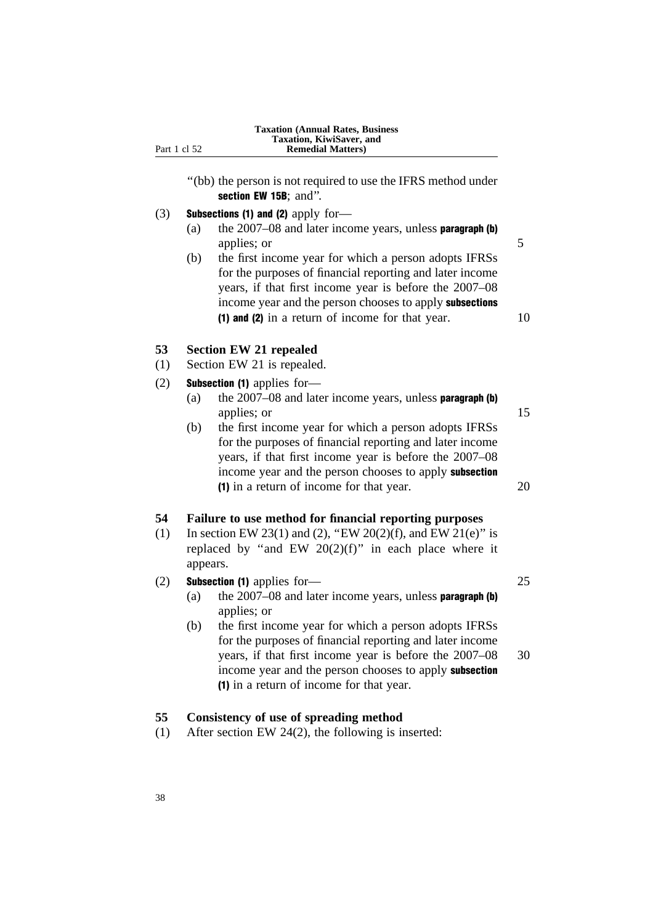| Part 1 cl 52 | <b>Taxation (Annual Rates, Business)</b><br>Taxation, KiwiSaver, and<br><b>Remedial Matters</b> )                                                                                                                                                                                                                |
|--------------|------------------------------------------------------------------------------------------------------------------------------------------------------------------------------------------------------------------------------------------------------------------------------------------------------------------|
|              | "(bb) the person is not required to use the IFRS method under<br>section EW 15B; and".                                                                                                                                                                                                                           |
| (3)          | <b>Subsections (1) and (2)</b> apply for-<br>the $2007-08$ and later income years, unless <b>paragraph</b> (b)<br>(a)                                                                                                                                                                                            |
|              | applies; or<br>the first income year for which a person adopts IFRSs<br>(b)<br>for the purposes of financial reporting and later income<br>years, if that first income year is before the 2007–08<br>income year and the person chooses to apply subsections<br>(1) and (2) in a return of income for that year. |
| 53<br>(1)    | <b>Section EW 21 repealed</b><br>Section EW 21 is repealed.                                                                                                                                                                                                                                                      |
| (2)          | <b>Subsection (1)</b> applies for-                                                                                                                                                                                                                                                                               |
|              | (a)<br>the $2007-08$ and later income years, unless <b>paragraph</b> (b)                                                                                                                                                                                                                                         |
|              | applies; or                                                                                                                                                                                                                                                                                                      |
|              | the first income year for which a person adopts IFRSs<br>(b)<br>for the purposes of financial reporting and later income<br>years, if that first income year is before the 2007–08<br>income year and the person chooses to apply subsection<br>(1) in a return of income for that year.                         |
| 54           | Failure to use method for financial reporting purposes                                                                                                                                                                                                                                                           |
| (1)          | In section EW 23(1) and (2), "EW 20(2)(f), and EW 21(e)" is<br>replaced by "and EW $20(2)(f)$ " in each place where it<br>appears.                                                                                                                                                                               |
| (2)          | <b>Subsection (1)</b> applies for-                                                                                                                                                                                                                                                                               |
|              | the $2007-08$ and later income years, unless <b>paragraph</b> (b)<br>(a)<br>applies; or                                                                                                                                                                                                                          |
|              | the first income year for which a person adopts IFRSs<br>(b)<br>for the purposes of financial reporting and later income<br>years, if that first income year is before the 2007–08<br>income year and the person chooses to apply subsection<br>(1) in a return of income for that year.                         |
| 55           | Consistency of use of spreading method                                                                                                                                                                                                                                                                           |

(1) After section EW 24(2), the following is inserted: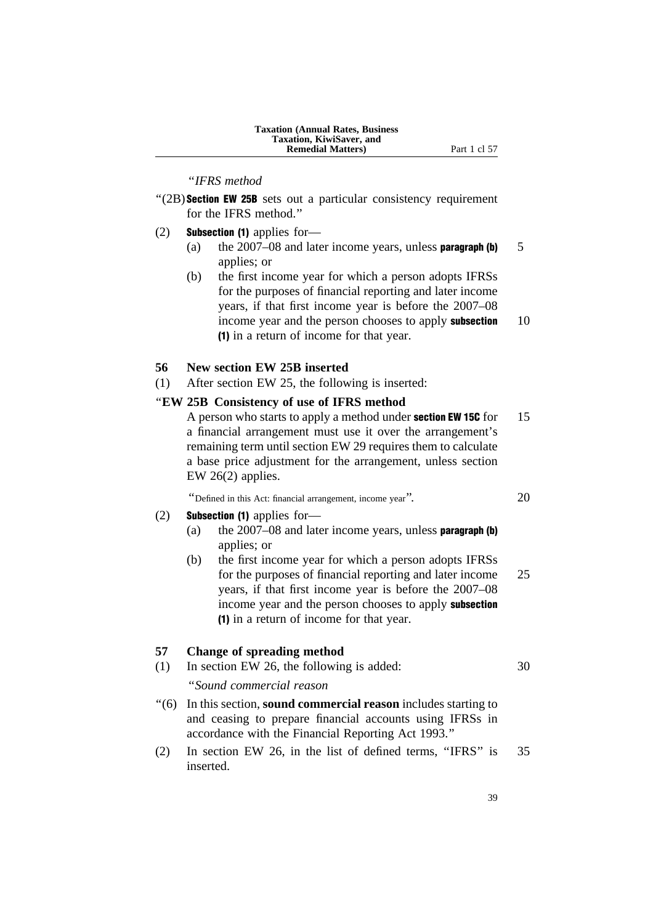| <b>Taxation (Annual Rates, Business)</b> |
|------------------------------------------|
| <b>Taxation, KiwiSaver, and</b>          |
| <b>Remedial Matters</b> )                |

Part 1 cl 57

#### ''*IFRS method*

- $\degree$ (2B) Section EW 25B sets out a particular consistency requirement for the IFRS method.''
- (2) Subsection (1) applies for—
	- (a) the  $2007-08$  and later income years, unless **paragraph (b)** 5 applies; or
	- (b) the first income year for which a person adopts IFRSs for the purposes of financial reporting and later income years, if that first income year is before the 2007–08 income year and the person chooses to apply **subsection** 10 (1) in a return of income for that year.

#### **56 New section EW 25B inserted**

(1) After section EW 25, the following is inserted:

# ''**EW 25B Consistency of use of IFRS method**

A person who starts to apply a method under **section EW 15C** for 15 a financial arrangement must use it over the arrangement's remaining term until section EW 29 requires them to calculate a base price adjustment for the arrangement, unless section EW 26(2) applies.

''Defined in this Act: financial arrangement, income year''. 20

#### (2) Subsection (1) applies for—

- (a) the  $2007-08$  and later income years, unless **paragraph (b)** applies; or
- (b) the first income year for which a person adopts IFRSs for the purposes of financial reporting and later income 25 years, if that first income year is before the 2007–08 income year and the person chooses to apply subsection (1) in a return of income for that year.

#### **57 Change of spreading method**

- (1) In section EW 26, the following is added: 30 ''*Sound commercial reason*
- ''(6) In this section, **sound commercial reason** includes starting to and ceasing to prepare financial accounts using IFRSs in accordance with the Financial Reporting Act 1993.''
- (2) In section EW 26, in the list of defined terms, ''IFRS'' is 35 inserted.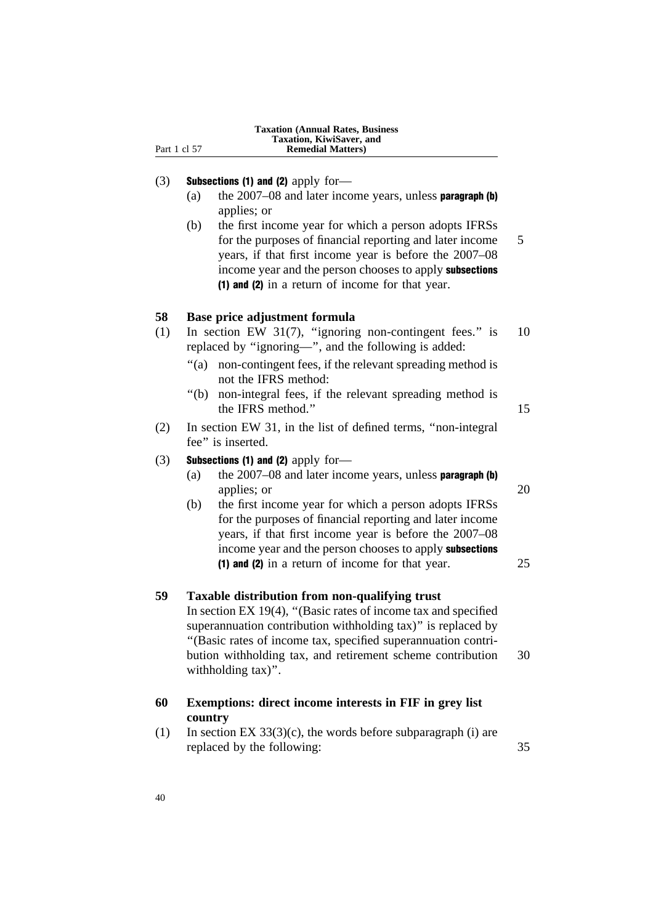| Part 1 cl 57 | Taxation, KiwiSaver, and<br><b>Remedial Matters)</b>                                                                                                                                                                                                                                                                                  |    |
|--------------|---------------------------------------------------------------------------------------------------------------------------------------------------------------------------------------------------------------------------------------------------------------------------------------------------------------------------------------|----|
| (3)          | Subsections (1) and (2) apply for-<br>the $2007-08$ and later income years, unless paragraph (b)<br>(a)<br>applies; or                                                                                                                                                                                                                |    |
|              | the first income year for which a person adopts IFRSs<br>(b)<br>for the purposes of financial reporting and later income<br>years, if that first income year is before the 2007–08<br>income year and the person chooses to apply subsections<br>(1) and (2) in a return of income for that year.                                     | 5  |
| 58           | Base price adjustment formula                                                                                                                                                                                                                                                                                                         |    |
| (1)          | In section EW 31(7), "ignoring non-contingent fees." is<br>replaced by "ignoring-", and the following is added:                                                                                                                                                                                                                       | 10 |
|              | " $(a)$<br>non-contingent fees, if the relevant spreading method is<br>not the IFRS method:                                                                                                                                                                                                                                           |    |
|              | " $(b)$<br>non-integral fees, if the relevant spreading method is<br>the IFRS method."                                                                                                                                                                                                                                                | 15 |
| (2)          | In section EW 31, in the list of defined terms, "non-integral<br>fee" is inserted.                                                                                                                                                                                                                                                    |    |
| (3)          | Subsections (1) and (2) apply for-<br>the 2007-08 and later income years, unless paragraph (b)<br>(a)<br>applies; or                                                                                                                                                                                                                  | 20 |
|              | the first income year for which a person adopts IFRSs<br>(b)<br>for the purposes of financial reporting and later income<br>years, if that first income year is before the 2007–08<br>income year and the person chooses to apply subsections                                                                                         |    |
|              | (1) and (2) in a return of income for that year.                                                                                                                                                                                                                                                                                      | 25 |
| 59           | Taxable distribution from non-qualifying trust<br>In section EX 19(4), "(Basic rates of income tax and specified<br>superannuation contribution withholding tax)" is replaced by<br>"(Basic rates of income tax, specified superannuation contri-<br>bution withholding tax, and retirement scheme contribution<br>withholding tax)". | 30 |
| 60           | Exemptions: direct income interests in FIF in grey list<br>country                                                                                                                                                                                                                                                                    |    |
| (1)          | In section EX $33(3)(c)$ , the words before subparagraph (i) are<br>replaced by the following:                                                                                                                                                                                                                                        | 35 |

**Taxation (Annual Rates, Business**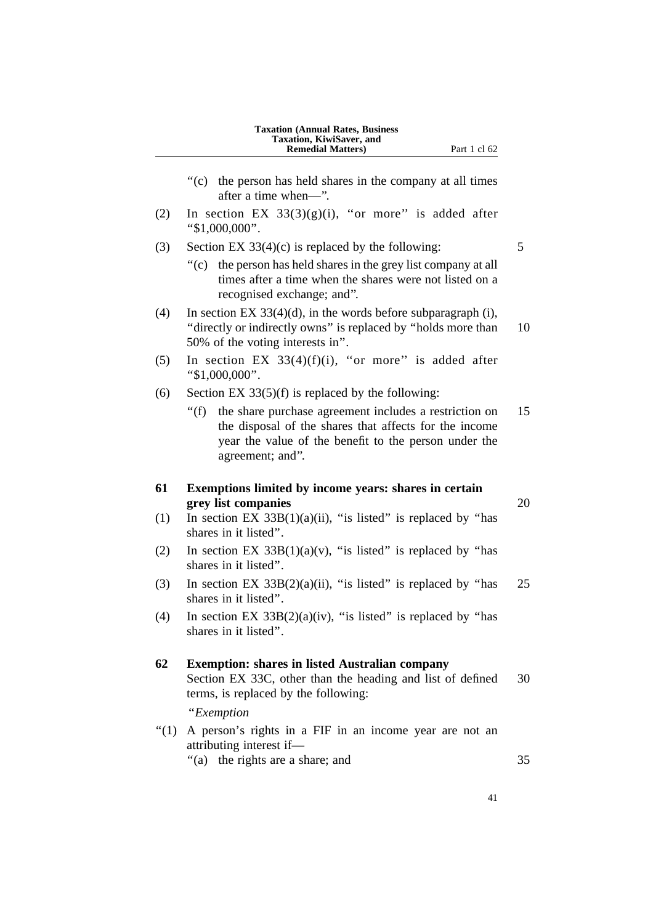|           | <b>Taxation (Annual Rates, Business</b><br>Taxation, KiwiSaver, and<br><b>Remedial Matters)</b><br>Part 1 cl 62                                                                                          |    |
|-----------|----------------------------------------------------------------------------------------------------------------------------------------------------------------------------------------------------------|----|
|           | " $(c)$<br>the person has held shares in the company at all times<br>after a time when—".                                                                                                                |    |
| (2)       | In section EX $33(3)(g)(i)$ , "or more" is added after<br>" $$1,000,000$ ".                                                                                                                              |    |
| (3)       | Section EX $33(4)(c)$ is replaced by the following:                                                                                                                                                      | 5  |
|           | the person has held shares in the grey list company at all<br>$\degree$ (c)<br>times after a time when the shares were not listed on a<br>recognised exchange; and".                                     |    |
| (4)       | In section EX $33(4)(d)$ , in the words before subparagraph (i),<br>"directly or indirectly owns" is replaced by "holds more than<br>50% of the voting interests in".                                    | 10 |
| (5)       | In section EX $33(4)(f)(i)$ , "or more" is added after<br>" $$1,000,000$ ".                                                                                                                              |    |
| (6)       | Section EX $33(5)(f)$ is replaced by the following:                                                                                                                                                      |    |
|           | the share purchase agreement includes a restriction on<br>" $(f)$<br>the disposal of the shares that affects for the income<br>year the value of the benefit to the person under the<br>agreement; and". | 15 |
| 61<br>(1) | Exemptions limited by income years: shares in certain<br>grey list companies<br>In section EX $33B(1)(a)(ii)$ , "is listed" is replaced by "has                                                          | 20 |
|           | shares in it listed".                                                                                                                                                                                    |    |
| (2)       | In section EX $33B(1)(a)(v)$ , "is listed" is replaced by "has<br>shares in it listed".                                                                                                                  |    |
| (3)       | In section EX $33B(2)(a)(ii)$ , "is listed" is replaced by "has<br>shares in it listed".                                                                                                                 | 25 |
| (4)       | In section EX $33B(2)(a)(iv)$ , "is listed" is replaced by "has<br>shares in it listed".                                                                                                                 |    |
| 62        | <b>Exemption: shares in listed Australian company</b><br>Section EX 33C, other than the heading and list of defined<br>terms, is replaced by the following:                                              | 30 |
|           | "Exemption                                                                                                                                                                                               |    |
| " $(1)$   | A person's rights in a FIF in an income year are not an<br>attributing interest if-<br>"(a) the rights are a share; and                                                                                  | 35 |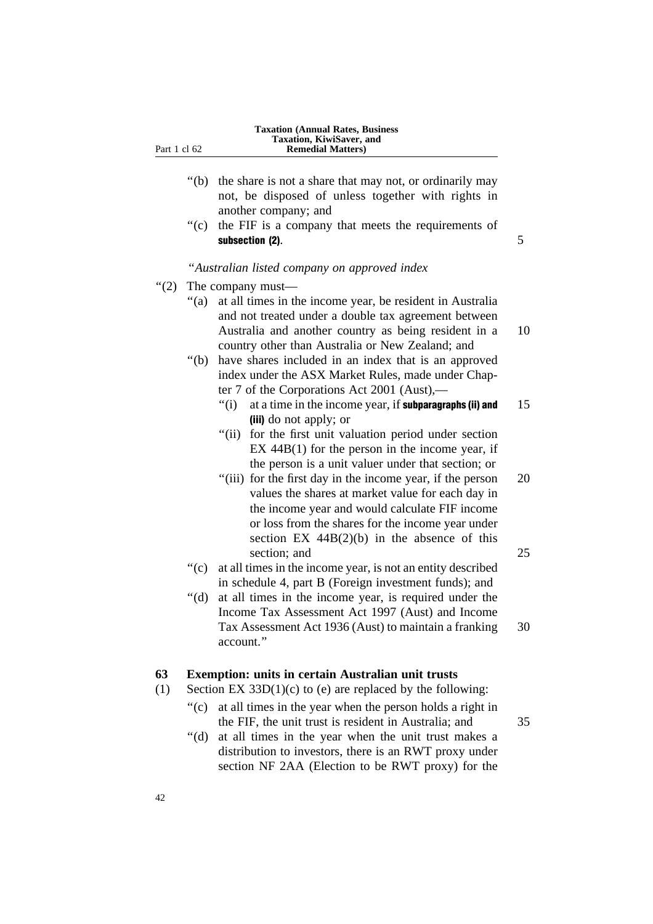| <b>Taxation (Annual Rates, Business)</b> |
|------------------------------------------|
| Taxation, KiwiSaver, and                 |
| <b>Remedial Matters</b> )                |

- ''(b) the share is not a share that may not, or ordinarily may not, be disposed of unless together with rights in another company; and
- ''(c) the FIF is a company that meets the requirements of subsection  $(2)$ .

#### ''*Australian listed company on approved index*

- ''(2) The company must—
	- ''(a) at all times in the income year, be resident in Australia and not treated under a double tax agreement between Australia and another country as being resident in a 10 country other than Australia or New Zealand; and
	- ''(b) have shares included in an index that is an approved index under the ASX Market Rules, made under Chapter 7 of the Corporations Act 2001 (Aust),—
		- $''(i)$  at a time in the income year, if **subparagraphs (ii) and** 15 (iii) do not apply; or
		- "(ii) for the first unit valuation period under section EX 44B(1) for the person in the income year, if the person is a unit valuer under that section; or
		- "(iii) for the first day in the income year, if the person 20 values the shares at market value for each day in the income year and would calculate FIF income or loss from the shares for the income year under section  $EX \, 44B(2)(b)$  in the absence of this section; and 25
	- ''(c) at all times in the income year, is not an entity described in schedule 4, part B (Foreign investment funds); and
	- ''(d) at all times in the income year, is required under the Income Tax Assessment Act 1997 (Aust) and Income Tax Assessment Act 1936 (Aust) to maintain a franking 30 account.''

# **63 Exemption: units in certain Australian unit trusts**

- (1) Section EX  $33D(1)(c)$  to (e) are replaced by the following:
	- ''(c) at all times in the year when the person holds a right in the FIF, the unit trust is resident in Australia; and 35
	- ''(d) at all times in the year when the unit trust makes a distribution to investors, there is an RWT proxy under section NF 2AA (Election to be RWT proxy) for the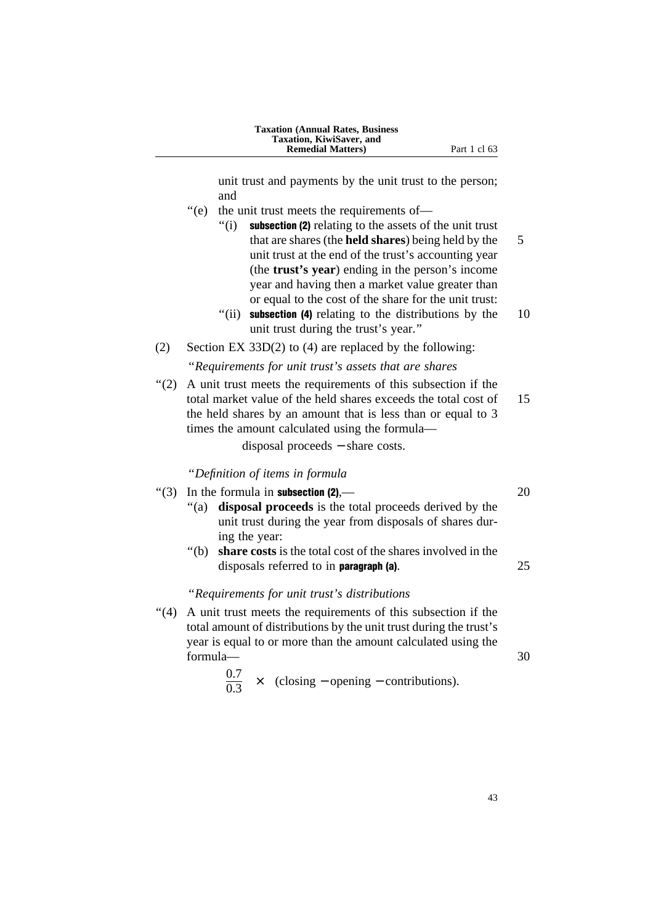| <b>Taxation (Annual Rates, Business)</b> |
|------------------------------------------|
| <b>Taxation, KiwiSaver, and</b>          |
| <b>Remedial Matters</b> )                |

unit trust and payments by the unit trust to the person; and

**Part 1 cl 63** 

- ''(e) the unit trust meets the requirements of—
	- ''(i) subsection (2) relating to the assets of the unit trust that are shares (the **held shares**) being held by the 5 unit trust at the end of the trust's accounting year (the **trust's year**) ending in the person's income year and having then a market value greater than or equal to the cost of the share for the unit trust:
	- $\degree$ (ii) subsection (4) relating to the distributions by the 10 unit trust during the trust's year.''
- (2) Section EX 33D(2) to (4) are replaced by the following: ''*Requirements for unit trust's assets that are shares*
- ''(2) A unit trust meets the requirements of this subsection if the total market value of the held shares exceeds the total cost of 15 the held shares by an amount that is less than or equal to 3 times the amount calculated using the formula—

disposal proceeds − share costs.

''*Definition of items in formula*

- "(3) In the formula in **subsection (2),**  $\qquad \qquad$  20 ''(a) **disposal proceeds** is the total proceeds derived by the unit trust during the year from disposals of shares during the year: ''(b) **share costs** is the total cost of the shares involved in the
	- disposals referred to in **paragraph (a)**. 25

#### ''*Requirements for unit trust's distributions*

''(4) A unit trust meets the requirements of this subsection if the total amount of distributions by the unit trust during the trust's year is equal to or more than the amount calculated using the  $formula \qquad \qquad 30$ 

$$
\frac{0.7}{0.3} \times \text{(closing – opening – contributions)}.
$$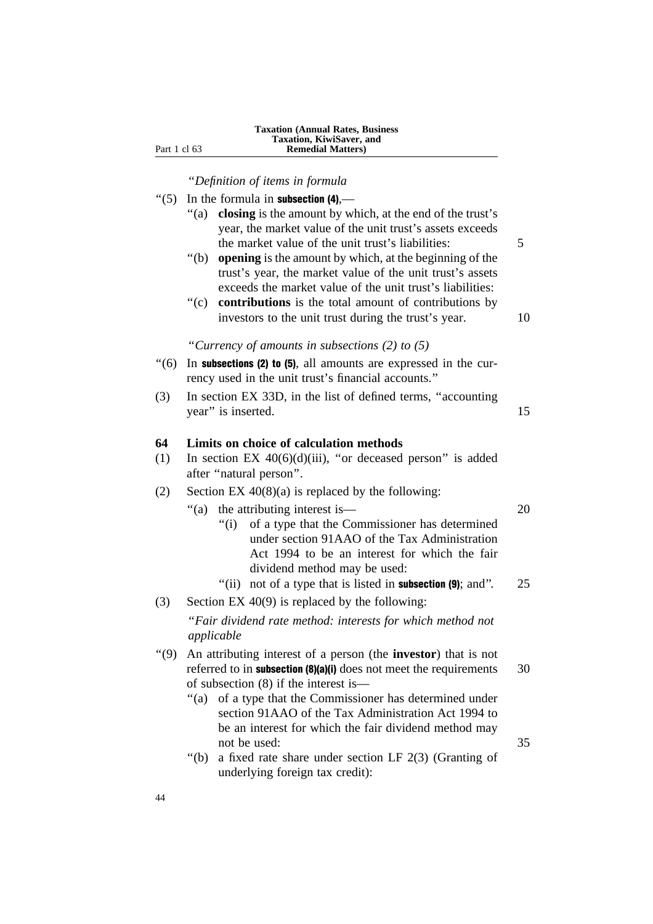| <b>Taxation (Annual Rates, Business)</b> |  |
|------------------------------------------|--|
| Taxation, KiwiSaver, and                 |  |
| <b>Remedial Matters</b> )                |  |

''*Definition of items in formula*

Part 1 cl 63

| $\cdot\cdot(5)$ | In the formula in subsection $(4)$ ,—                                                                                                                                                                                                  |    |
|-----------------|----------------------------------------------------------------------------------------------------------------------------------------------------------------------------------------------------------------------------------------|----|
|                 | closing is the amount by which, at the end of the trust's<br>" $(a)$<br>year, the market value of the unit trust's assets exceeds<br>the market value of the unit trust's liabilities:                                                 | 5  |
|                 | opening is the amount by which, at the beginning of the<br>" $(b)$<br>trust's year, the market value of the unit trust's assets<br>exceeds the market value of the unit trust's liabilities:                                           |    |
|                 | ``(c)<br>contributions is the total amount of contributions by<br>investors to the unit trust during the trust's year.                                                                                                                 | 10 |
|                 | "Currency of amounts in subsections $(2)$ to $(5)$ "                                                                                                                                                                                   |    |
| (6)             | In subsections (2) to (5), all amounts are expressed in the cur-<br>rency used in the unit trust's financial accounts."                                                                                                                |    |
| (3)             | In section EX 33D, in the list of defined terms, "accounting<br>year" is inserted.                                                                                                                                                     | 15 |
| 64              | Limits on choice of calculation methods                                                                                                                                                                                                |    |
| (1)             | In section EX $40(6)(d)(iii)$ , "or deceased person" is added<br>after "natural person".                                                                                                                                               |    |
| (2)             | Section EX $40(8)(a)$ is replaced by the following:                                                                                                                                                                                    |    |
|                 | the attributing interest is—<br>" $(a)$<br>of a type that the Commissioner has determined<br>" $(i)$<br>under section 91AAO of the Tax Administration<br>Act 1994 to be an interest for which the fair<br>dividend method may be used: | 20 |
|                 | "(ii)<br>not of a type that is listed in <b>subsection</b> (9); and".                                                                                                                                                                  | 25 |
| (3)             | Section EX $40(9)$ is replaced by the following:                                                                                                                                                                                       |    |
|                 | "Fair dividend rate method: interests for which method not<br>applicable                                                                                                                                                               |    |
| (9)             | An attributing interest of a person (the <b>investor</b> ) that is not<br>referred to in subsection (8)(a)(i) does not meet the requirements<br>of subsection (8) if the interest is-                                                  | 30 |
|                 | of a type that the Commissioner has determined under<br>" $(a)$<br>section 91AAO of the Tax Administration Act 1994 to<br>be an interest for which the fair dividend method may                                                        |    |
|                 | not be used:<br>" $(b)$<br>a fixed rate share under section LF $2(3)$ (Granting of<br>underlying foreign tax credit):                                                                                                                  | 35 |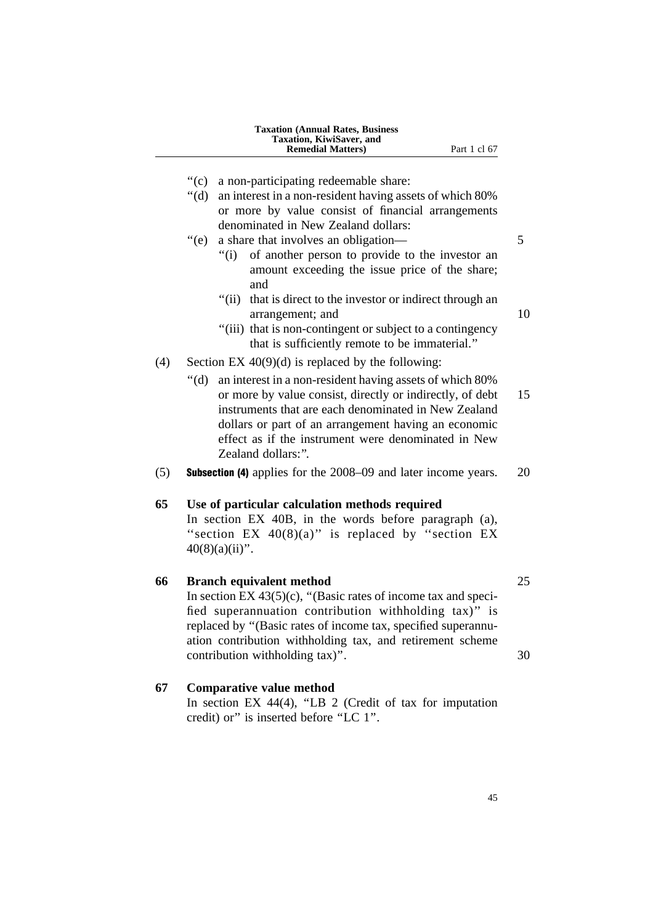- ''(c) a non-participating redeemable share:
- ''(d) an interest in a non-resident having assets of which 80% or more by value consist of financial arrangements denominated in New Zealand dollars:

# "(e) a share that involves an obligation— 5

- ''(i) of another person to provide to the investor an amount exceeding the issue price of the share; and
- "(ii) that is direct to the investor or indirect through an arrangement; and 10
	-
- "(iii) that is non-contingent or subject to a contingency that is sufficiently remote to be immaterial.''
- (4) Section EX  $40(9)(d)$  is replaced by the following:
	- ''(d) an interest in a non-resident having assets of which 80% or more by value consist, directly or indirectly, of debt 15 instruments that are each denominated in New Zealand dollars or part of an arrangement having an economic effect as if the instrument were denominated in New Zealand dollars:".
- (5) Subsection (4) applies for the 2008–09 and later income years. 20

# **65 Use of particular calculation methods required**

In section EX 40B, in the words before paragraph (a), "section EX  $40(8)(a)$ " is replaced by "section EX  $40(8)(a)(ii)$ ".

# **66 Branch equivalent method** 25

In section EX  $43(5)(c)$ , "(Basic rates of income tax and specified superannuation contribution withholding tax)'' is replaced by ''(Basic rates of income tax, specified superannuation contribution withholding tax, and retirement scheme contribution withholding tax)". 30

# **67 Comparative value method**

In section EX  $44(4)$ , "LB 2 (Credit of tax for imputation credit) or'' is inserted before ''LC 1''.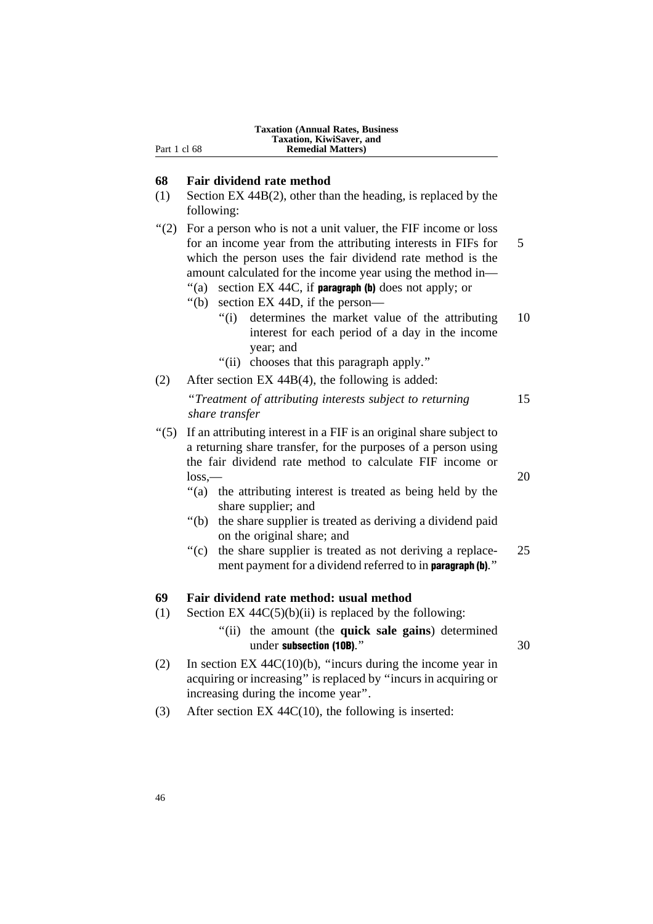| <b>Taxation (Annual Rates, Business)</b><br>Taxation, KiwiSaver, and<br><b>Remedial Matters</b> ) |
|---------------------------------------------------------------------------------------------------|
|                                                                                                   |

# **68 Fair dividend rate method**

Part 1 cl 68

(1) Section EX 44B(2), other than the heading, is replaced by the following:

''(2) For a person who is not a unit valuer, the FIF income or loss for an income year from the attributing interests in FIFs for 5 which the person uses the fair dividend rate method is the amount calculated for the income year using the method in—

"(a) section EX 44C, if **paragraph (b)** does not apply; or

- ''(b) section EX 44D, if the person—
	- "(i) determines the market value of the attributing 10 interest for each period of a day in the income year; and
	- ''(ii) chooses that this paragraph apply.''
- (2) After section EX 44B(4), the following is added:

''*Treatment of attributing interests subject to returning* 15 *share transfer*

- ''(5) If an attributing interest in a FIF is an original share subject to a returning share transfer, for the purposes of a person using the fair dividend rate method to calculate FIF income or  $\log_{\odot}$  20
	- "(a) the attributing interest is treated as being held by the share supplier; and
	- ''(b) the share supplier is treated as deriving a dividend paid on the original share; and
	- $\degree$  (c) the share supplier is treated as not deriving a replace- 25 ment payment for a dividend referred to in **paragraph** (b)."

# **69 Fair dividend rate method: usual method**

- (1) Section EX  $44C(5)(b)(ii)$  is replaced by the following:
	- ''(ii) the amount (the **quick sale gains**) determined under subsection (10B)." 30
- (2) In section EX 44C(10)(b), ''incurs during the income year in acquiring or increasing'' is replaced by ''incurs in acquiring or increasing during the income year''.
- (3) After section EX 44C(10), the following is inserted: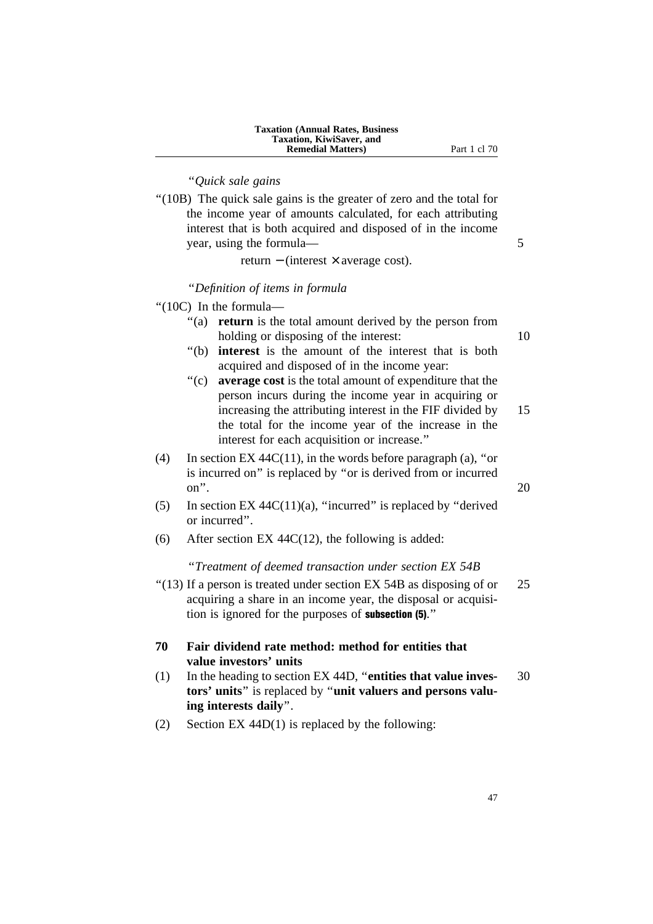| <b>Taxation (Annual Rates, Business)</b> |
|------------------------------------------|
| <b>Taxation, KiwiSaver, and</b>          |
| <b>Remedial Matters</b> )                |

**Part 1 cl 70** 

# ''*Quick sale gains*

''(10B) The quick sale gains is the greater of zero and the total for the income year of amounts calculated, for each attributing interest that is both acquired and disposed of in the income year, using the formula— 5

return − (interest × average cost).

#### ''*Definition of items in formula*

''(10C) In the formula—

- "(a) **return** is the total amount derived by the person from holding or disposing of the interest: 10
- ''(b) **interest** is the amount of the interest that is both acquired and disposed of in the income year:
- ''(c) **average cost** is the total amount of expenditure that the person incurs during the income year in acquiring or increasing the attributing interest in the FIF divided by 15 the total for the income year of the increase in the interest for each acquisition or increase.''
- (4) In section EX 44C(11), in the words before paragraph (a), "or is incurred on'' is replaced by ''or is derived from or incurred on".  $20$
- (5) In section EX  $44C(11)(a)$ , "incurred" is replaced by "derived" or incurred''.
- (6) After section EX 44C(12), the following is added:

#### ''*Treatment of deemed transaction under section EX 54B*

 $\degree$ (13) If a person is treated under section EX 54B as disposing of or 25 acquiring a share in an income year, the disposal or acquisition is ignored for the purposes of subsection (5).''

# **70 Fair dividend rate method: method for entities that value investors' units**

- (1) In the heading to section EX 44D, ''**entities that value inves-** 30 **tors' units**'' is replaced by ''**unit valuers and persons valuing interests daily**''.
- (2) Section EX 44D(1) is replaced by the following: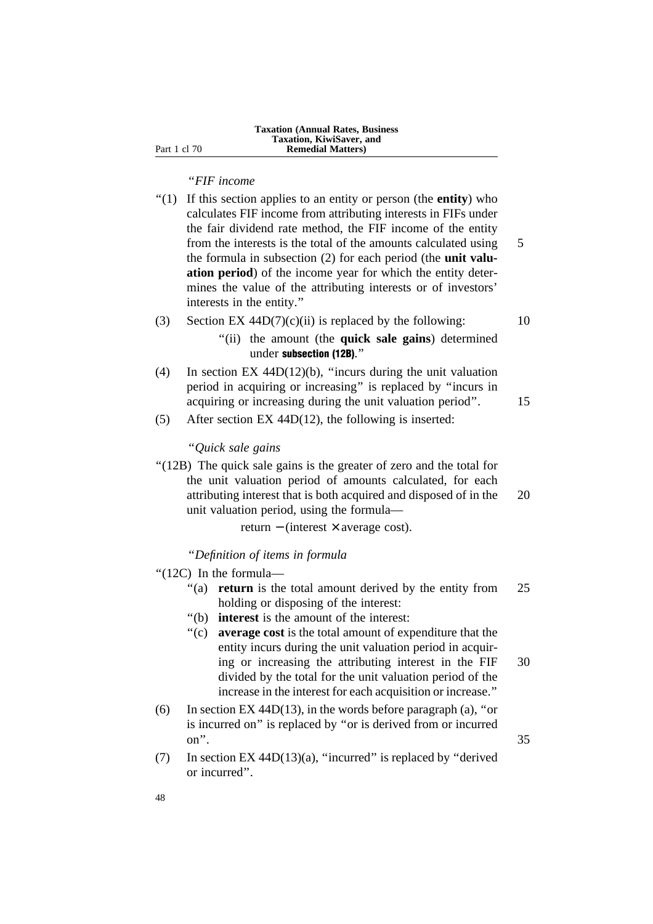# ''*FIF income*

- ''(1) If this section applies to an entity or person (the **entity**) who calculates FIF income from attributing interests in FIFs under the fair dividend rate method, the FIF income of the entity from the interests is the total of the amounts calculated using 5 the formula in subsection (2) for each period (the **unit valuation period**) of the income year for which the entity determines the value of the attributing interests or of investors' interests in the entity.''
- (3) Section EX  $44D(7)(c)(ii)$  is replaced by the following: 10
	- ''(ii) the amount (the **quick sale gains**) determined under subsection (12B).''
- (4) In section EX 44D(12)(b), ''incurs during the unit valuation period in acquiring or increasing'' is replaced by ''incurs in acquiring or increasing during the unit valuation period". 15
- (5) After section EX 44D(12), the following is inserted:

#### ''*Quick sale gains*

"(12B) The quick sale gains is the greater of zero and the total for the unit valuation period of amounts calculated, for each attributing interest that is both acquired and disposed of in the 20 unit valuation period, using the formula—

return − (interest × average cost).

''*Definition of items in formula*

- ''(12C) In the formula—
	- "(a) **return** is the total amount derived by the entity from 25 holding or disposing of the interest:
	- ''(b) **interest** is the amount of the interest:
	- ''(c) **average cost** is the total amount of expenditure that the entity incurs during the unit valuation period in acquiring or increasing the attributing interest in the FIF 30 divided by the total for the unit valuation period of the increase in the interest for each acquisition or increase.''
- (6) In section EX 44D(13), in the words before paragraph (a), "or is incurred on'' is replaced by ''or is derived from or incurred on".  $35$
- (7) In section EX 44D(13)(a), "incurred" is replaced by "derived" or incurred''.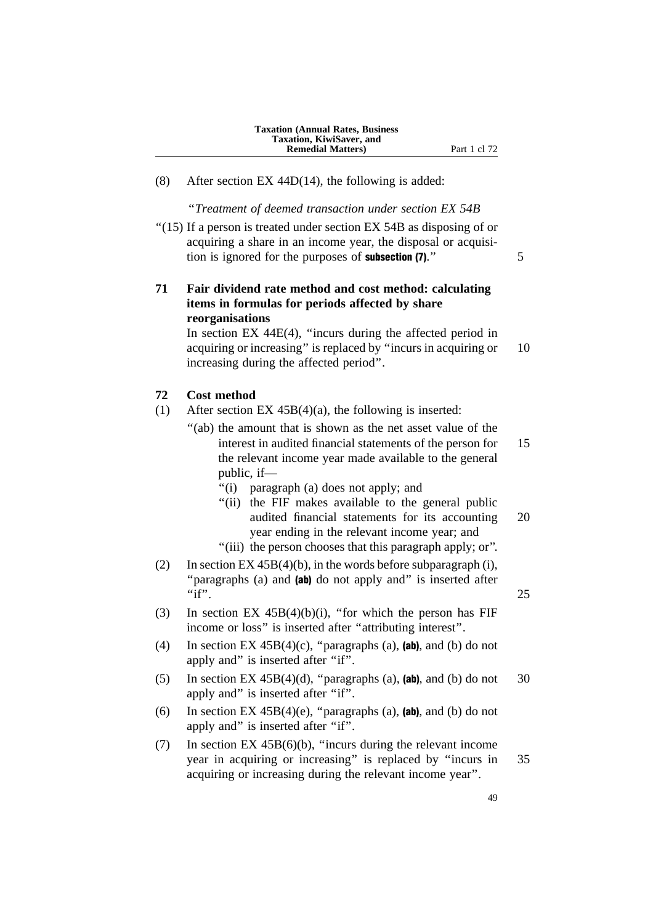(8) After section EX 44D(14), the following is added:

''*Treatment of deemed transaction under section EX 54B*

''(15) If a person is treated under section EX 54B as disposing of or acquiring a share in an income year, the disposal or acquisition is ignored for the purposes of **subsection (7)**." 5

# **71 Fair dividend rate method and cost method: calculating items in formulas for periods affected by share reorganisations**

In section EX 44E(4), ''incurs during the affected period in acquiring or increasing'' is replaced by ''incurs in acquiring or 10 increasing during the affected period''.

#### **72 Cost method**

- (1) After section EX 45B(4)(a), the following is inserted:
	- "(ab) the amount that is shown as the net asset value of the interest in audited financial statements of the person for 15 the relevant income year made available to the general public, if—
		- ''(i) paragraph (a) does not apply; and
		- ''(ii) the FIF makes available to the general public audited financial statements for its accounting 20 year ending in the relevant income year; and
		- ''(iii) the person chooses that this paragraph apply; or''.
- (2) In section  $EX\,45B(4)(b)$ , in the words before subparagraph (i), "paragraphs (a) and (ab) do not apply and" is inserted after "if".  $25$
- (3) In section EX  $45B(4)(b)(i)$ , "for which the person has FIF income or loss'' is inserted after ''attributing interest''.
- (4) In section EX  $45B(4)(c)$ , "paragraphs (a), (ab), and (b) do not apply and" is inserted after "if".
- (5) In section EX  $45B(4)(d)$ , "paragraphs (a), (ab), and (b) do not 30 apply and'' is inserted after ''if''.
- (6) In section EX  $45B(4)(e)$ , "paragraphs (a), (ab), and (b) do not apply and'' is inserted after ''if''.
- (7) In section EX 45B(6)(b), ''incurs during the relevant income year in acquiring or increasing'' is replaced by ''incurs in 35 acquiring or increasing during the relevant income year''.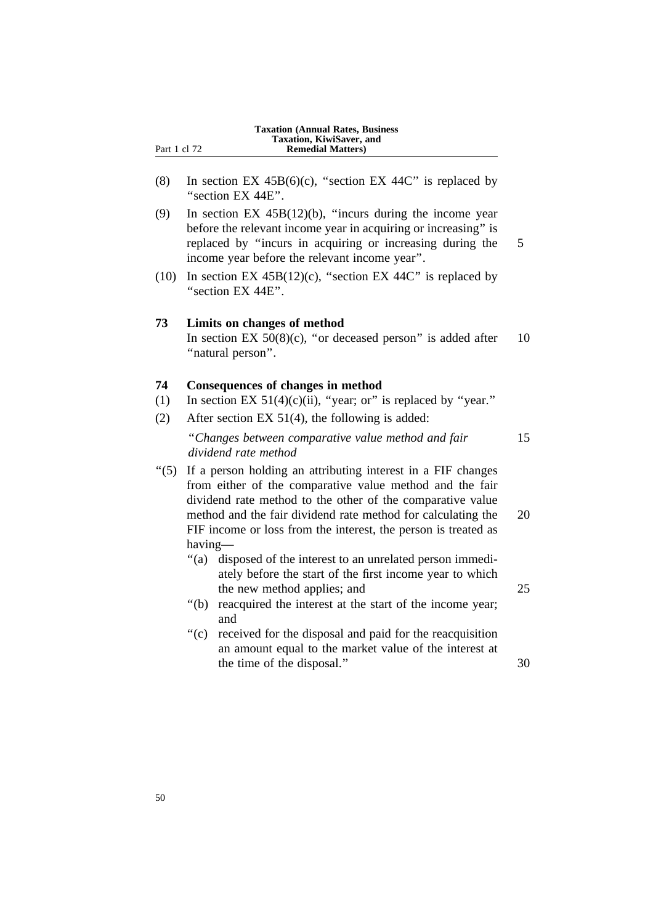|              | <b>Taxation, KiwiSaver, and</b> |  |
|--------------|---------------------------------|--|
| Part 1 cl 72 | <b>Remedial Matters</b> )       |  |
|              |                                 |  |

(8) In section EX  $45B(6)(c)$ , "section EX  $44C$ " is replaced by "section EX 44E".

**Taxation (Annual Rates, Business**

- (9) In section EX 45B(12)(b), ''incurs during the income year before the relevant income year in acquiring or increasing'' is replaced by ''incurs in acquiring or increasing during the 5 income year before the relevant income year''.
- (10) In section EX  $45B(12)$ (c), "section EX  $44C$ " is replaced by ''section EX 44E''.

#### **73 Limits on changes of method**

In section EX  $50(8)(c)$ , "or deceased person" is added after 10 "natural person".

# **74 Consequences of changes in method**

- (1) In section EX  $51(4)(c)(ii)$ , "year; or" is replaced by "year."
- (2) After section EX 51(4), the following is added: ''*Changes between comparative value method and fair* 15 *dividend rate method*
- ''(5) If a person holding an attributing interest in a FIF changes from either of the comparative value method and the fair dividend rate method to the other of the comparative value method and the fair dividend rate method for calculating the 20 FIF income or loss from the interest, the person is treated as having—
	- ''(a) disposed of the interest to an unrelated person immediately before the start of the first income year to which the new method applies; and 25
	- ''(b) reacquired the interest at the start of the income year; and
	- ''(c) received for the disposal and paid for the reacquisition an amount equal to the market value of the interest at the time of the disposal." 30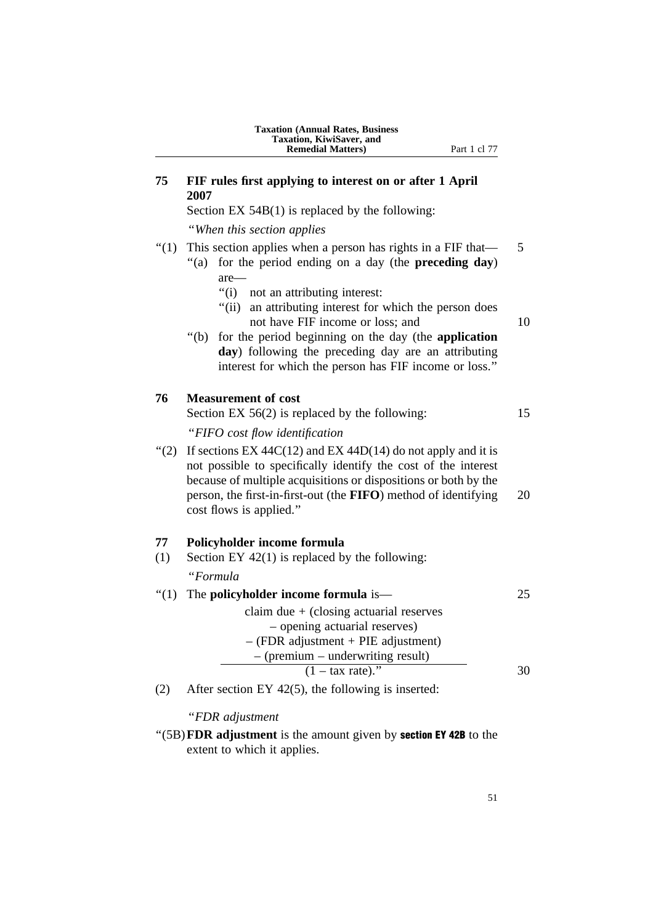# **75 FIF rules first applying to interest on or after 1 April 2007**

Section EX 54B(1) is replaced by the following:

''*When this section applies*

# "(1) This section applies when a person has rights in a FIF that  $-$  5

- ''(a) for the period ending on a day (the **preceding day**) are—
	- ''(i) not an attributing interest:
	- "(ii) an attributing interest for which the person does not have FIF income or loss; and 10
- ''(b) for the period beginning on the day (the **application day**) following the preceding day are an attributing interest for which the person has FIF income or loss.''

#### **76 Measurement of cost**

Section EX 56(2) is replaced by the following: 15 ''*FIFO cost flow identification* "(2) If sections EX 44C(12) and EX 44D(14) do not apply and it is not possible to specifically identify the cost of the interest

because of multiple acquisitions or dispositions or both by the person, the first-in-first-out (the **FIFO**) method of identifying 20 cost flows is applied.''

#### **77 Policyholder income formula**

(1) Section EY 42(1) is replaced by the following:

''*Formula*

| "(1) The policyholder income formula is—  | 25 |
|-------------------------------------------|----|
| claim due $+$ (closing actuarial reserves |    |
| - opening actuarial reserves)             |    |
| $-$ (FDR adjustment + PIE adjustment)     |    |
| $-$ (premium – underwriting result)       |    |
| $(1 - \text{tax rate})$ ."                | 30 |

(2) After section EY 42(5), the following is inserted:

#### ''*FDR adjustment*

''(5B)**FDR adjustment** is the amount given by section EY 42B to the extent to which it applies.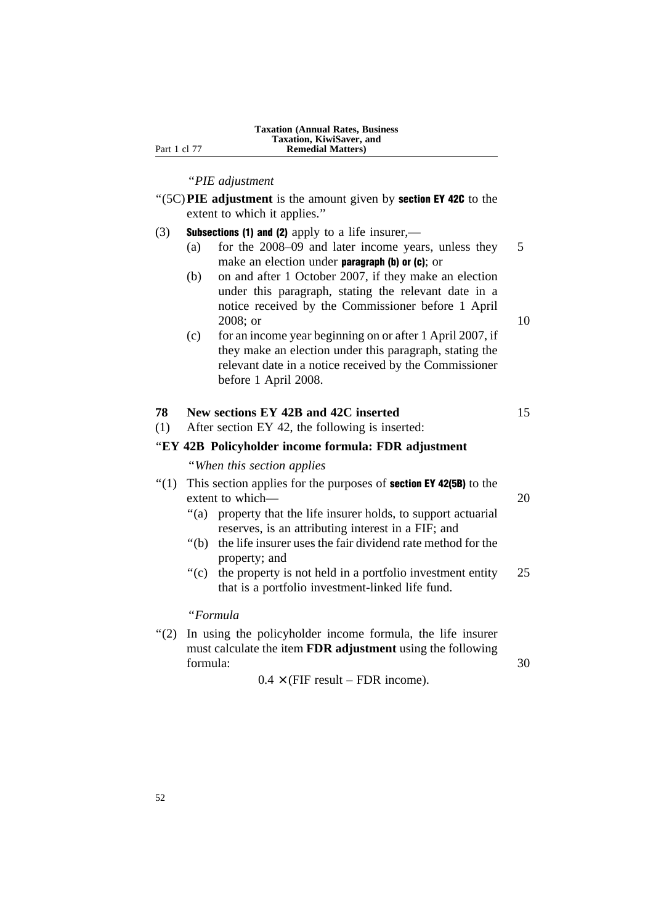''*PIE adjustment*

- ''(5C)**PIE adjustment** is the amount given by section EY 42C to the extent to which it applies.''
- (3) Subsections (1) and (2) apply to a life insurer,—
	- (a) for the 2008–09 and later income years, unless they 5 make an election under **paragraph (b) or (c)**; or
	- (b) on and after 1 October 2007, if they make an election under this paragraph, stating the relevant date in a notice received by the Commissioner before 1 April 2008; or 10
	- (c) for an income year beginning on or after 1 April 2007, if they make an election under this paragraph, stating the relevant date in a notice received by the Commissioner before 1 April 2008.

#### **78 New sections EY 42B and 42C inserted** 15

(1) After section EY 42, the following is inserted:

## ''**EY 42B Policyholder income formula: FDR adjustment**

''*When this section applies*

# $''(1)$  This section applies for the purposes of **section EY 42(5B)** to the extent to which— 20

- ''(a) property that the life insurer holds, to support actuarial reserves, is an attributing interest in a FIF; and
- ''(b) the life insurer uses the fair dividend rate method for the property; and
- ''(c) the property is not held in a portfolio investment entity 25 that is a portfolio investment-linked life fund.

''*Formula*

''(2) In using the policyholder income formula, the life insurer must calculate the item **FDR adjustment** using the following formula: 30

 $0.4 \times$  (FIF result – FDR income).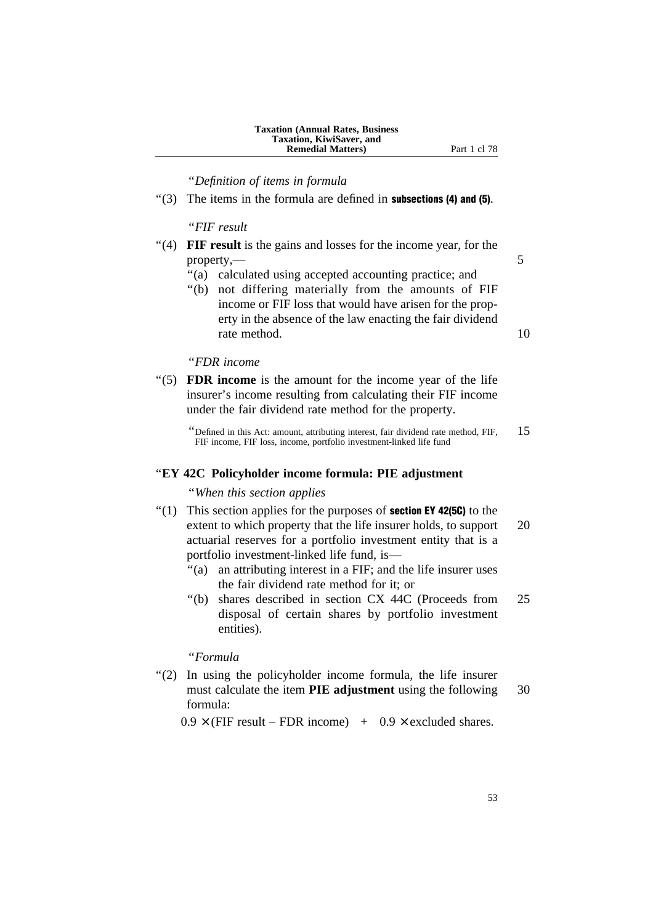''*Definition of items in formula*

 $'(3)$  The items in the formula are defined in **subsections (4) and (5)**.

# ''*FIF result*

- ''(4) **FIF result** is the gains and losses for the income year, for the property,— 5
	- "(a) calculated using accepted accounting practice; and
	- ''(b) not differing materially from the amounts of FIF income or FIF loss that would have arisen for the property in the absence of the law enacting the fair dividend rate method. 10

# ''*FDR income*

- ''(5) **FDR income** is the amount for the income year of the life insurer's income resulting from calculating their FIF income under the fair dividend rate method for the property.
	- "Defined in this Act: amount, attributing interest, fair dividend rate method, FIF,  $15$ FIF income, FIF loss, income, portfolio investment-linked life fund

# ''**EY 42C Policyholder income formula: PIE adjustment**

#### ''*When this section applies*

- $''(1)$  This section applies for the purposes of **section EY 42(5C)** to the extent to which property that the life insurer holds, to support 20 actuarial reserves for a portfolio investment entity that is a portfolio investment-linked life fund, is—
	- ''(a) an attributing interest in a FIF; and the life insurer uses the fair dividend rate method for it; or
	- ''(b) shares described in section CX 44C (Proceeds from 25 disposal of certain shares by portfolio investment entities).

#### ''*Formula*

"(2) In using the policyholder income formula, the life insurer must calculate the item **PIE adjustment** using the following 30 formula:

 $0.9 \times$  (FIF result – FDR income) +  $0.9 \times$  excluded shares.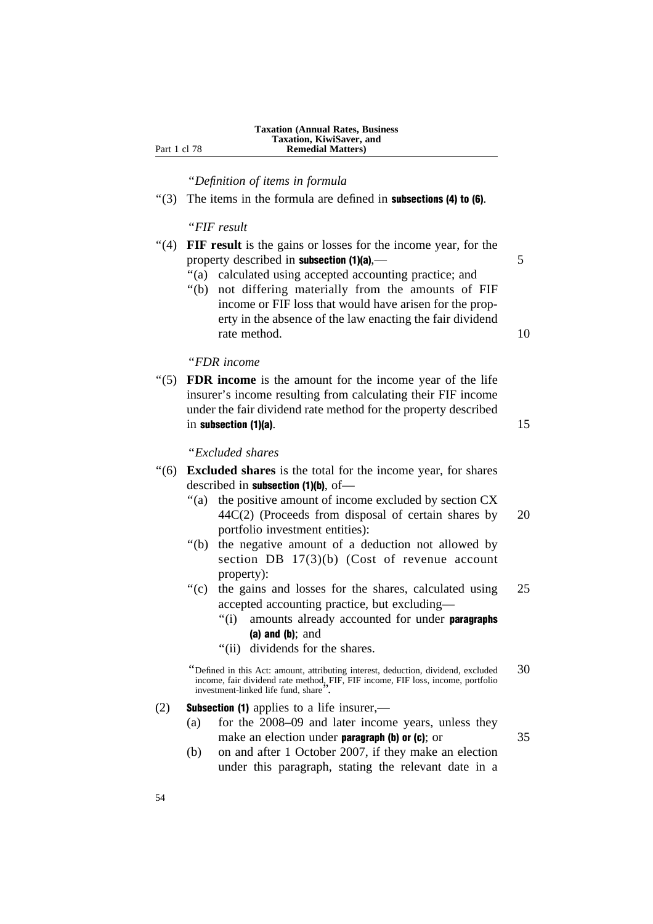''*Definition of items in formula*

 $\cdot$ (3) The items in the formula are defined in **subsections (4) to (6)**.

''*FIF result*

- ''(4) **FIF result** is the gains or losses for the income year, for the property described in **subsection (1)(a)**, 1) 5
	- ''(a) calculated using accepted accounting practice; and
	- ''(b) not differing materially from the amounts of FIF income or FIF loss that would have arisen for the property in the absence of the law enacting the fair dividend rate method. 10

''*FDR income*

''(5) **FDR income** is the amount for the income year of the life insurer's income resulting from calculating their FIF income under the fair dividend rate method for the property described in subsection  $(1)(a)$ . 15

# ''*Excluded shares*

- ''(6) **Excluded shares** is the total for the income year, for shares described in subsection (1)(b), of-
	- ''(a) the positive amount of income excluded by section CX 44C(2) (Proceeds from disposal of certain shares by 20 portfolio investment entities):
	- ''(b) the negative amount of a deduction not allowed by section DB 17(3)(b) (Cost of revenue account property):
	- ''(c) the gains and losses for the shares, calculated using 25 accepted accounting practice, but excluding—
		- "(i) amounts already accounted for under **paragraphs** (a) and (b); and
		- ''(ii) dividends for the shares.

"Defined in this Act: amount, attributing interest, deduction, dividend, excluded  $30$ income, fair dividend rate method, FIF, FIF income, FIF loss, income, portfolio investment-linked life fund, share''.

- (2) Subsection (1) applies to a life insurer,—
	- (a) for the 2008–09 and later income years, unless they make an election under **paragraph (b) or (c)**; or  $35$ 
		-
	- (b) on and after 1 October 2007, if they make an election under this paragraph, stating the relevant date in a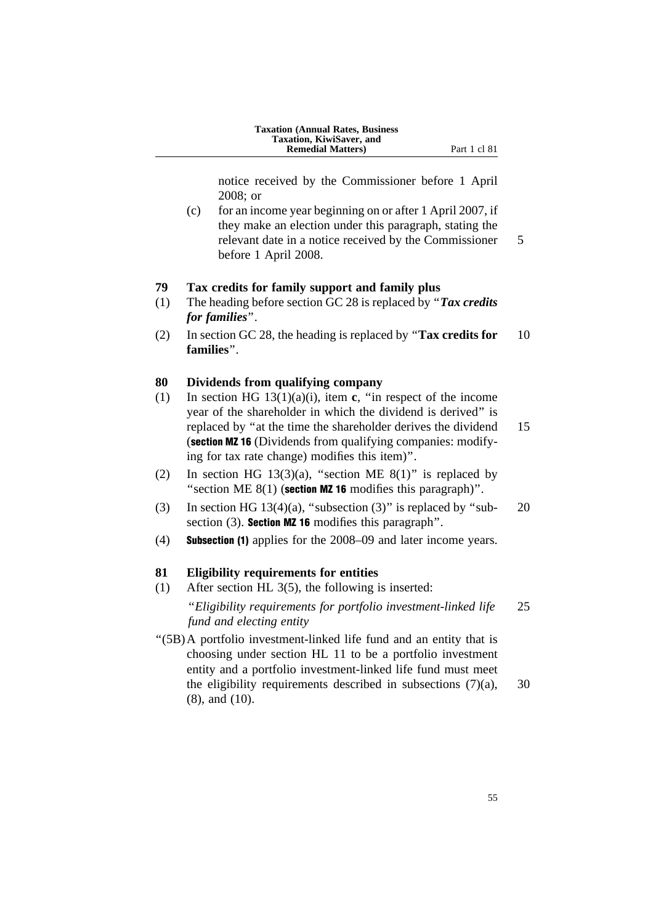| <b>Taxation (Annual Rates, Business)</b> |
|------------------------------------------|
| Taxation, KiwiSaver, and                 |
| <b>Remedial Matters</b> )                |

**Part 1 cl 81** 

notice received by the Commissioner before 1 April 2008; or

(c) for an income year beginning on or after 1 April 2007, if they make an election under this paragraph, stating the relevant date in a notice received by the Commissioner 5 before 1 April 2008.

#### **79 Tax credits for family support and family plus**

- (1) The heading before section GC 28 is replaced by ''*Tax credits for families*''.
- (2) In section GC 28, the heading is replaced by ''**Tax credits for** 10 **families**''.

# **80 Dividends from qualifying company**

- (1) In section HG 13(1)(a)(i), item **c**, ''in respect of the income year of the shareholder in which the dividend is derived'' is replaced by "at the time the shareholder derives the dividend 15 (section MZ 16 (Dividends from qualifying companies: modifying for tax rate change) modifies this item)''.
- (2) In section HG 13(3)(a), "section ME  $8(1)$ " is replaced by "section ME  $8(1)$  (section MZ 16 modifies this paragraph)".
- (3) In section HG 13(4)(a), "subsection (3)" is replaced by "sub-  $20$ section (3). **Section MZ 16** modifies this paragraph".
- (4) Subsection (1) applies for the 2008–09 and later income years.

#### **81 Eligibility requirements for entities**

(1) After section HL 3(5), the following is inserted:

''*Eligibility requirements for portfolio investment-linked life* 25 *fund and electing entity*

''(5B)A portfolio investment-linked life fund and an entity that is choosing under section HL 11 to be a portfolio investment entity and a portfolio investment-linked life fund must meet the eligibility requirements described in subsections  $(7)(a)$ , 30 (8), and (10).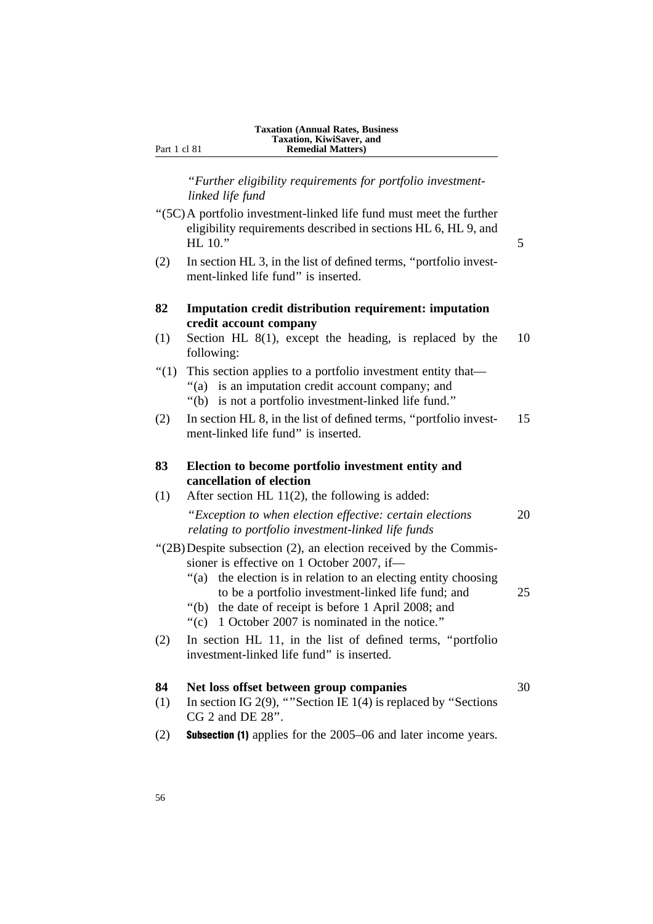''*Further eligibility requirements for portfolio investmentlinked life fund*

- ''(5C)A portfolio investment-linked life fund must meet the further eligibility requirements described in sections HL 6, HL 9, and  $HL 10.$ " 5
- (2) In section HL 3, in the list of defined terms, ''portfolio investment-linked life fund'' is inserted.

# **82 Imputation credit distribution requirement: imputation credit account company**

- (1) Section HL 8(1), except the heading, is replaced by the 10 following:
- ''(1) This section applies to a portfolio investment entity that— "(a) is an imputation credit account company; and
	- ''(b) is not a portfolio investment-linked life fund.''
- (2) In section HL 8, in the list of defined terms, ''portfolio invest- 15 ment-linked life fund'' is inserted.

# **83 Election to become portfolio investment entity and cancellation of election**

- (1) After section HL 11(2), the following is added: ''*Exception to when election effective: certain elections* 20 *relating to portfolio investment-linked life funds* ''(2B)Despite subsection (2), an election received by the Commis-
- sioner is effective on 1 October 2007, if—
	- ''(a) the election is in relation to an electing entity choosing to be a portfolio investment-linked life fund; and 25
	- ''(b) the date of receipt is before 1 April 2008; and
	- ''(c) 1 October 2007 is nominated in the notice.''
- (2) In section HL 11, in the list of defined terms, ''portfolio investment-linked life fund'' is inserted.

# **84 Net loss offset between group companies** 30

- (1) In section IG 2(9), ''''Section IE 1(4) is replaced by ''Sections CG 2 and DE 28''.
- (2) Subsection (1) applies for the 2005–06 and later income years.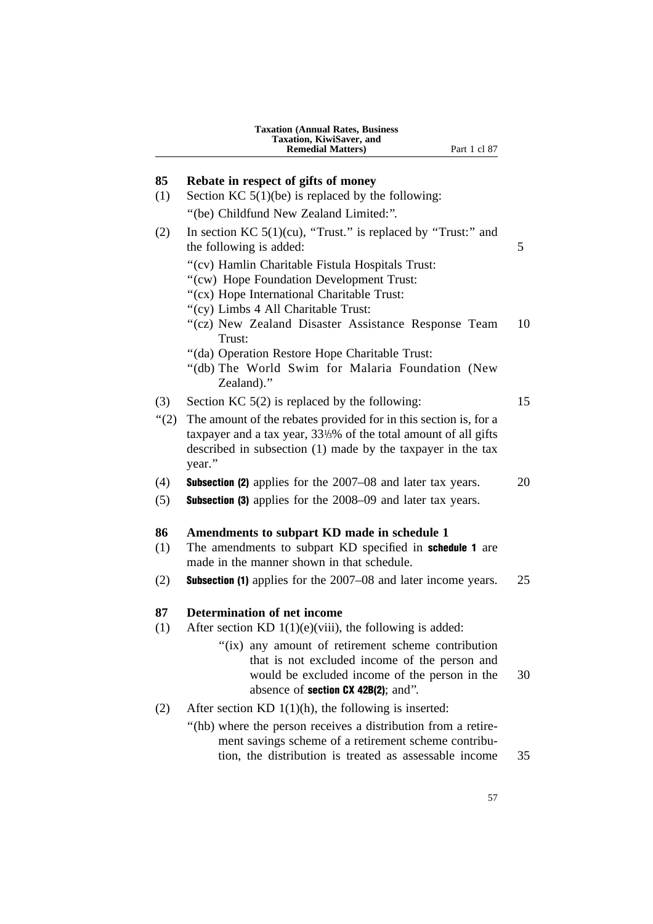|         | <b>Taxation (Annual Rates, Business</b><br>Taxation, KiwiSaver, and<br><b>Remedial Matters</b> )<br>Part 1 cl 87                                                                                            |    |
|---------|-------------------------------------------------------------------------------------------------------------------------------------------------------------------------------------------------------------|----|
| 85      | Rebate in respect of gifts of money                                                                                                                                                                         |    |
| (1)     | Section KC $5(1)(be)$ is replaced by the following:                                                                                                                                                         |    |
|         | "(be) Childfund New Zealand Limited:".                                                                                                                                                                      |    |
| (2)     | In section KC $5(1)(cu)$ , "Trust." is replaced by "Trust:" and<br>the following is added:                                                                                                                  | 5  |
|         | "(cv) Hamlin Charitable Fistula Hospitals Trust:<br>"(cw) Hope Foundation Development Trust:<br>"(cx) Hope International Charitable Trust:<br>"(cy) Limbs 4 All Charitable Trust:                           |    |
|         | "(cz) New Zealand Disaster Assistance Response Team<br>Trust:                                                                                                                                               | 10 |
|         | "(da) Operation Restore Hope Charitable Trust:<br>"(db) The World Swim for Malaria Foundation (New<br>Zealand)."                                                                                            |    |
| (3)     | Section KC $5(2)$ is replaced by the following:                                                                                                                                                             | 15 |
| " $(2)$ | The amount of the rebates provided for in this section is, for a<br>taxpayer and a tax year, 33%% of the total amount of all gifts<br>described in subsection (1) made by the taxpayer in the tax<br>year." |    |
| (4)     | <b>Subsection (2)</b> applies for the 2007–08 and later tax years.                                                                                                                                          | 20 |
| (5)     | <b>Subsection (3)</b> applies for the 2008–09 and later tax years.                                                                                                                                          |    |
| 86      | Amendments to subpart KD made in schedule 1                                                                                                                                                                 |    |
| (1)     | The amendments to subpart KD specified in <b>schedule 1</b> are<br>made in the manner shown in that schedule.                                                                                               |    |
| (2)     | <b>Subsection (1)</b> applies for the 2007–08 and later income years.                                                                                                                                       | 25 |
| 87      | <b>Determination of net income</b>                                                                                                                                                                          |    |
| (1)     | After section KD $1(1)(e)(viii)$ , the following is added:                                                                                                                                                  |    |
|         | "(ix) any amount of retirement scheme contribution<br>that is not excluded income of the person and<br>would be excluded income of the person in the<br>absence of section CX 42B(2); and".                 | 30 |
| (2)     | After section KD $1(1)(h)$ , the following is inserted:                                                                                                                                                     |    |
|         | "(hb) where the person receives a distribution from a retire-<br>ment savings scheme of a retirement scheme contribu-<br>tion, the distribution is treated as assessable income                             | 35 |
|         |                                                                                                                                                                                                             |    |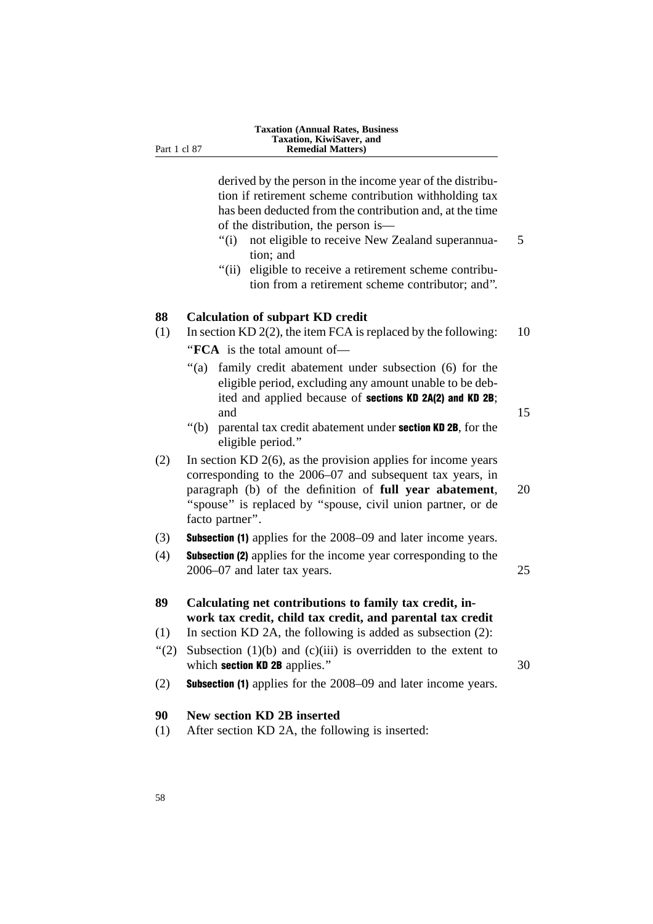derived by the person in the income year of the distribution if retirement scheme contribution withholding tax has been deducted from the contribution and, at the time of the distribution, the person is—

- "(i) not eligible to receive New Zealand superannua- 5 tion; and
- "(ii) eligible to receive a retirement scheme contribution from a retirement scheme contributor; and''.

# **88 Calculation of subpart KD credit**

- (1) In section KD 2(2), the item FCA is replaced by the following:  $10$ ''**FCA** is the total amount of—
	- ''(a) family credit abatement under subsection (6) for the eligible period, excluding any amount unable to be debited and applied because of sections KD 2A(2) and KD 2B; and 15
	- $"$ (b) parental tax credit abatement under **section KD 2B**, for the eligible period.''
- (2) In section KD 2(6), as the provision applies for income years corresponding to the 2006–07 and subsequent tax years, in paragraph (b) of the definition of **full year abatement**, 20 "spouse" is replaced by "spouse, civil union partner, or de facto partner''.

#### (3) Subsection (1) applies for the 2008–09 and later income years.

(4) Subsection (2) applies for the income year corresponding to the 2006–07 and later tax years. 25

# **89 Calculating net contributions to family tax credit, inwork tax credit, child tax credit, and parental tax credit**

- (1) In section KD 2A, the following is added as subsection (2):
- "(2) Subsection  $(1)(b)$  and  $(c)(iii)$  is overridden to the extent to which **section KD 2B** applies." 30
- (2) Subsection (1) applies for the 2008–09 and later income years.

# **90 New section KD 2B inserted**

(1) After section KD 2A, the following is inserted: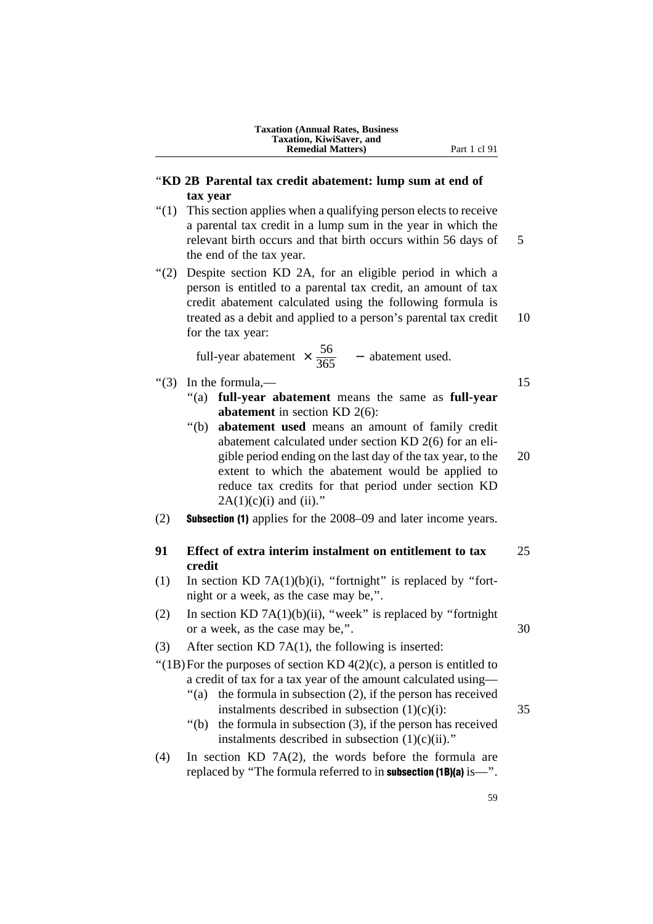# ''**KD 2B Parental tax credit abatement: lump sum at end of tax year**

- ''(1) This section applies when a qualifying person elects to receive a parental tax credit in a lump sum in the year in which the relevant birth occurs and that birth occurs within 56 days of 5 the end of the tax year.
- ''(2) Despite section KD 2A, for an eligible period in which a person is entitled to a parental tax credit, an amount of tax credit abatement calculated using the following formula is treated as a debit and applied to a person's parental tax credit 10 for the tax year:

full-year abatement  $\times \frac{56}{365}$  - abatement used.

- $\cdot$  (3) In the formula,  $-$  15
	- ''(a) **full-year abatement** means the same as **full-year abatement** in section KD 2(6):
	- ''(b) **abatement used** means an amount of family credit abatement calculated under section KD 2(6) for an eligible period ending on the last day of the tax year, to the 20 extent to which the abatement would be applied to reduce tax credits for that period under section KD  $2A(1)(c)(i)$  and (ii)."
- (2) Subsection (1) applies for the 2008–09 and later income years.

# **91 Effect of extra interim instalment on entitlement to tax** 25 **credit**

- (1) In section KD 7A(1)(b)(i), "fortnight" is replaced by "fortnight or a week, as the case may be,''.
- (2) In section KD 7A(1)(b)(ii), "week" is replaced by "fortnight" or a week, as the case may be,". 30
- (3) After section KD 7A(1), the following is inserted:
- "(1B) For the purposes of section KD  $4(2)(c)$ , a person is entitled to a credit of tax for a tax year of the amount calculated using—
	- $\degree$ (a) the formula in subsection (2), if the person has received instalments described in subsection  $(1)(c)(i)$ : 35
	- ''(b) the formula in subsection (3), if the person has received instalments described in subsection  $(1)(c)(ii)$ ."
- (4) In section KD 7A(2), the words before the formula are replaced by "The formula referred to in **subsection** (1B)(a) is—".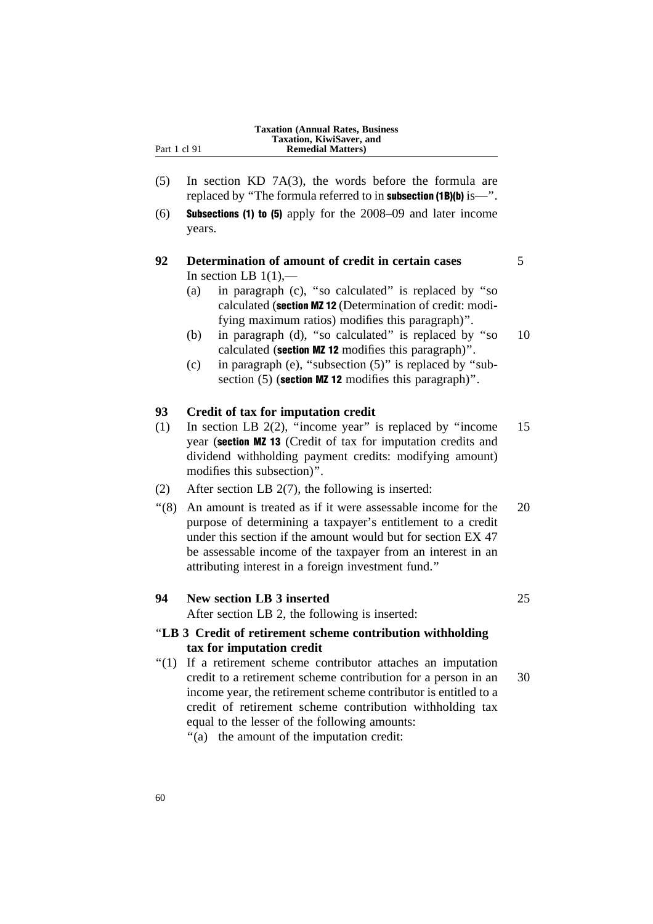- (5) In section KD 7A(3), the words before the formula are replaced by "The formula referred to in subsection (1B)(b) is—".
- (6) Subsections (1) to (5) apply for the 2008–09 and later income years.

# **92 Determination of amount of credit in certain cases** 5 In section LB  $1(1)$ ,—

- (a) in paragraph (c), ''so calculated'' is replaced by ''so calculated (section MZ 12 (Determination of credit: modifying maximum ratios) modifies this paragraph)''.
- (b) in paragraph (d), ''so calculated'' is replaced by ''so 10 calculated (section MZ 12 modifies this paragraph)''.
- (c) in paragraph (e), "subsection  $(5)$ " is replaced by "subsection  $(5)$  (section MZ 12 modifies this paragraph)".

## **93 Credit of tax for imputation credit**

- (1) In section LB 2(2), ''income year'' is replaced by ''income 15 year (section MZ 13 (Credit of tax for imputation credits and dividend withholding payment credits: modifying amount) modifies this subsection)''.
- (2) After section LB 2(7), the following is inserted:
- ''(8) An amount is treated as if it were assessable income for the 20 purpose of determining a taxpayer's entitlement to a credit under this section if the amount would but for section EX 47 be assessable income of the taxpayer from an interest in an attributing interest in a foreign investment fund.''

# **94 New section LB 3 inserted** 25

After section LB 2, the following is inserted:

# ''**LB 3 Credit of retirement scheme contribution withholding tax for imputation credit**

''(1) If a retirement scheme contributor attaches an imputation credit to a retirement scheme contribution for a person in an 30 income year, the retirement scheme contributor is entitled to a credit of retirement scheme contribution withholding tax equal to the lesser of the following amounts:

''(a) the amount of the imputation credit: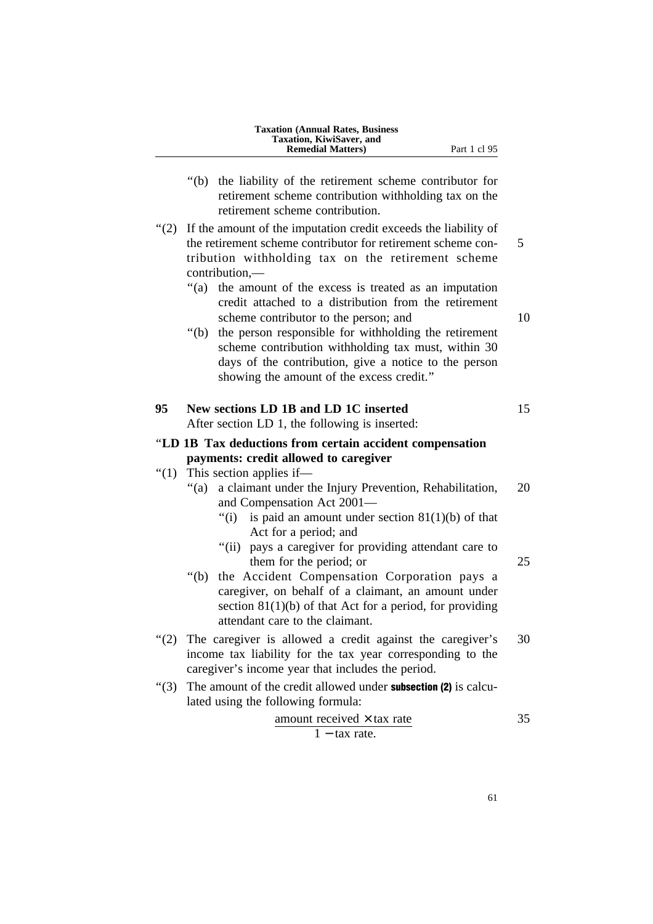|         | <b>Taxation (Annual Rates, Business)</b><br>Taxation, KiwiSaver, and<br><b>Remedial Matters</b> )<br>Part 1 cl 95                                                                                                                                                                                                                                                                               |
|---------|-------------------------------------------------------------------------------------------------------------------------------------------------------------------------------------------------------------------------------------------------------------------------------------------------------------------------------------------------------------------------------------------------|
|         | the liability of the retirement scheme contributor for<br>" $(b)$<br>retirement scheme contribution withholding tax on the<br>retirement scheme contribution.                                                                                                                                                                                                                                   |
| (2)     | If the amount of the imputation credit exceeds the liability of<br>the retirement scheme contributor for retirement scheme con-<br>tribution withholding tax on the retirement scheme<br>contribution,-                                                                                                                                                                                         |
|         | "(a)<br>the amount of the excess is treated as an imputation<br>credit attached to a distribution from the retirement<br>scheme contributor to the person; and<br>the person responsible for withholding the retirement<br>" $(b)$<br>scheme contribution withholding tax must, within 30<br>days of the contribution, give a notice to the person<br>showing the amount of the excess credit." |
| 95      | New sections LD 1B and LD 1C inserted<br>After section LD 1, the following is inserted:                                                                                                                                                                                                                                                                                                         |
|         | "LD 1B Tax deductions from certain accident compensation<br>payments: credit allowed to caregiver                                                                                                                                                                                                                                                                                               |
| " $(1)$ | This section applies if-<br>a claimant under the Injury Prevention, Rehabilitation,<br>" $(a)$<br>and Compensation Act 2001-<br>is paid an amount under section $81(1)(b)$ of that<br>"(i)                                                                                                                                                                                                      |
|         |                                                                                                                                                                                                                                                                                                                                                                                                 |
|         | Act for a period; and<br>"(ii) pays a caregiver for providing attendant care to<br>them for the period; or                                                                                                                                                                                                                                                                                      |
|         | the Accident Compensation Corporation pays a<br>" $(b)$<br>caregiver, on behalf of a claimant, an amount under<br>section $81(1)(b)$ of that Act for a period, for providing<br>attendant care to the claimant.                                                                                                                                                                                 |
|         | "(2) The caregiver is allowed a credit against the caregiver's<br>income tax liability for the tax year corresponding to the                                                                                                                                                                                                                                                                    |
| " $(3)$ | caregiver's income year that includes the period.<br>The amount of the credit allowed under <b>subsection (2)</b> is calcu-<br>lated using the following formula:                                                                                                                                                                                                                               |

61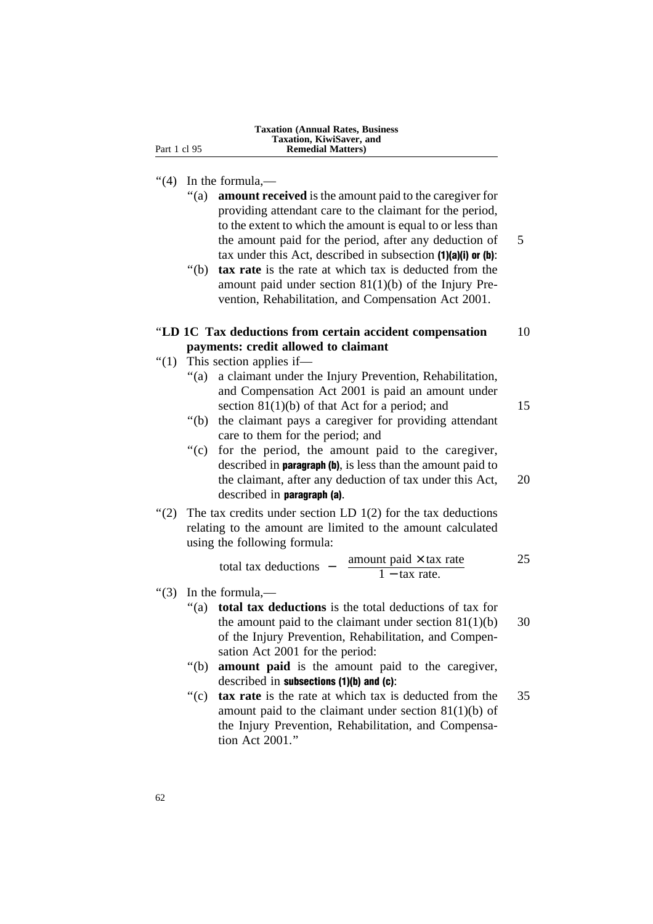# ''(4) In the formula,—

- ''(a) **amount received** is the amount paid to the caregiver for providing attendant care to the claimant for the period, to the extent to which the amount is equal to or less than the amount paid for the period, after any deduction of 5 tax under this Act, described in subsection (1)(a)(i) or (b):
- ''(b) **tax rate** is the rate at which tax is deducted from the amount paid under section 81(1)(b) of the Injury Prevention, Rehabilitation, and Compensation Act 2001.

# ''**LD 1C Tax deductions from certain accident compensation** 10 **payments: credit allowed to claimant**

- ''(1) This section applies if—
	- ''(a) a claimant under the Injury Prevention, Rehabilitation, and Compensation Act 2001 is paid an amount under section  $81(1)(b)$  of that Act for a period; and 15
	- ''(b) the claimant pays a caregiver for providing attendant care to them for the period; and
	- "(c) for the period, the amount paid to the caregiver, described in paragraph (b), is less than the amount paid to the claimant, after any deduction of tax under this Act, 20 described in paragraph (a).
- "(2) The tax credits under section LD  $1(2)$  for the tax deductions relating to the amount are limited to the amount calculated using the following formula:

total tax deductions – 
$$
\frac{\text{amount paid} \times \text{tax rate}}{1 - \text{tax rate}}
$$
 25

- $\cdot$ (3) In the formula,—
	- ''(a) **total tax deductions** is the total deductions of tax for the amount paid to the claimant under section  $81(1)(b)$  30 of the Injury Prevention, Rehabilitation, and Compensation Act 2001 for the period:
	- ''(b) **amount paid** is the amount paid to the caregiver, described in subsections (1)(b) and (c):
	- ''(c) **tax rate** is the rate at which tax is deducted from the 35 amount paid to the claimant under section 81(1)(b) of the Injury Prevention, Rehabilitation, and Compensation Act 2001.''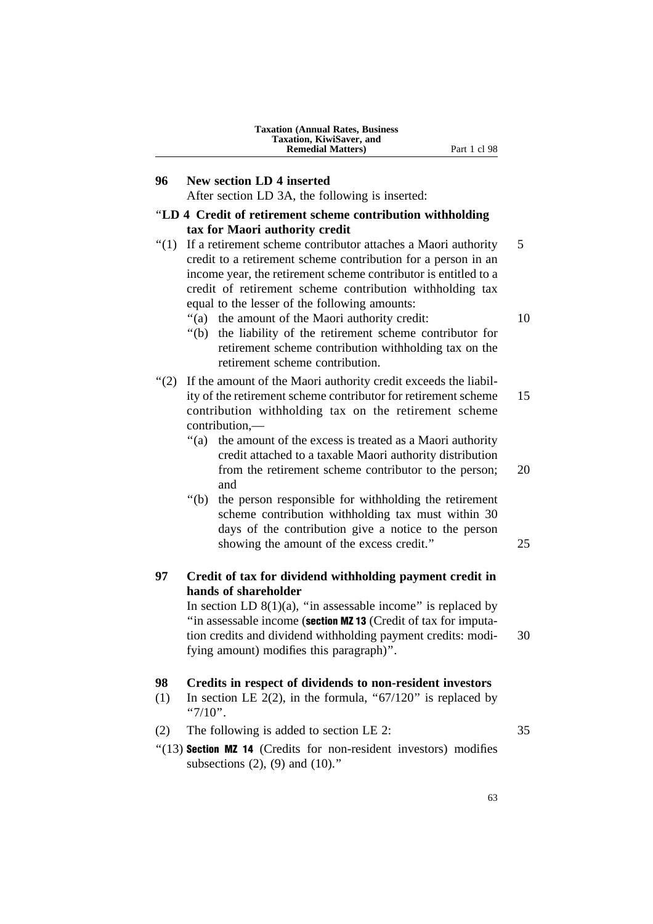| <b>Taxation (Annual Rates, Business)</b> |
|------------------------------------------|
| Taxation, KiwiSaver, and                 |
| <b>Remedial Matters</b> )                |

#### **96 New section LD 4 inserted**

After section LD 3A, the following is inserted:

#### ''**LD 4 Credit of retirement scheme contribution withholding tax for Maori authority credit**

 $\degree$ (1) If a retirement scheme contributor attaches a Maori authority 5 credit to a retirement scheme contribution for a person in an income year, the retirement scheme contributor is entitled to a credit of retirement scheme contribution withholding tax equal to the lesser of the following amounts:

"(a) the amount of the Maori authority credit: 10

**Part 1 cl 98** 

- ''(b) the liability of the retirement scheme contributor for retirement scheme contribution withholding tax on the retirement scheme contribution.
- "(2) If the amount of the Maori authority credit exceeds the liability of the retirement scheme contributor for retirement scheme 15 contribution withholding tax on the retirement scheme contribution,—
	- ''(a) the amount of the excess is treated as a Maori authority credit attached to a taxable Maori authority distribution from the retirement scheme contributor to the person; 20 and
	- ''(b) the person responsible for withholding the retirement scheme contribution withholding tax must within 30 days of the contribution give a notice to the person showing the amount of the excess credit." 25

# **97 Credit of tax for dividend withholding payment credit in hands of shareholder**

In section LD  $8(1)(a)$ , "in assessable income" is replaced by "in assessable income (section MZ 13 (Credit of tax for imputation credits and dividend withholding payment credits: modi- 30 fying amount) modifies this paragraph)''.

#### **98 Credits in respect of dividends to non-resident investors**

- (1) In section LE 2(2), in the formula, " $67/120$ " is replaced by " $7/10$ ".
- (2) The following is added to section LE 2: 35
- "(13) Section MZ 14 (Credits for non-resident investors) modifies subsections  $(2)$ ,  $(9)$  and  $(10)$ ."

63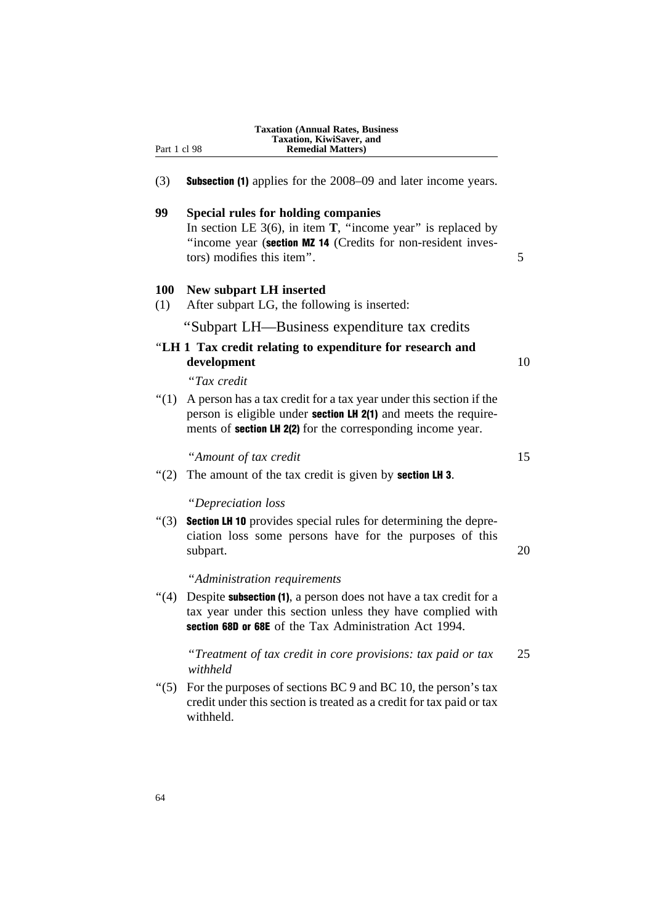| Part 1 cl 98      | <b>Taxation (Annual Rates, Business)</b><br>Taxation, KiwiSaver, and<br><b>Remedial Matters</b> )                                                                                                           |
|-------------------|-------------------------------------------------------------------------------------------------------------------------------------------------------------------------------------------------------------|
| (3)               | <b>Subsection (1)</b> applies for the 2008–09 and later income years.                                                                                                                                       |
| 99                | <b>Special rules for holding companies</b>                                                                                                                                                                  |
|                   | In section LE $3(6)$ , in item <b>T</b> , "income year" is replaced by<br>"income year (section MZ 14 (Credits for non-resident inves-<br>tors) modifies this item".                                        |
| <b>100</b><br>(1) | New subpart LH inserted<br>After subpart LG, the following is inserted:                                                                                                                                     |
|                   | "Subpart LH-Business expenditure tax credits                                                                                                                                                                |
|                   | "LH 1 Tax credit relating to expenditure for research and<br>development                                                                                                                                    |
|                   | "Tax credit                                                                                                                                                                                                 |
| " $(1)$           | A person has a tax credit for a tax year under this section if the<br>person is eligible under section LH 2(1) and meets the require-<br>ments of <b>section LH 2(2)</b> for the corresponding income year. |
|                   | "Amount of tax credit                                                                                                                                                                                       |
| " $(2)$           | The amount of the tax credit is given by <b>section LH 3</b> .                                                                                                                                              |
|                   | "Depreciation loss                                                                                                                                                                                          |
| " $(3)$           | <b>Section LH 10</b> provides special rules for determining the depre-<br>ciation loss some persons have for the purposes of this<br>subpart.                                                               |
|                   | "Administration requirements                                                                                                                                                                                |
| "(4)              | Despite <b>subsection</b> (1), a person does not have a tax credit for a<br>tax year under this section unless they have complied with<br>section 68D or 68E of the Tax Administration Act 1994.            |
|                   | "Treatment of tax credit in core provisions: tax paid or tax<br>withheld                                                                                                                                    |
| $\degree(5)$      | For the purposes of sections BC 9 and BC 10, the person's tax<br>credit under this section is treated as a credit for tax paid or tax<br>withheld.                                                          |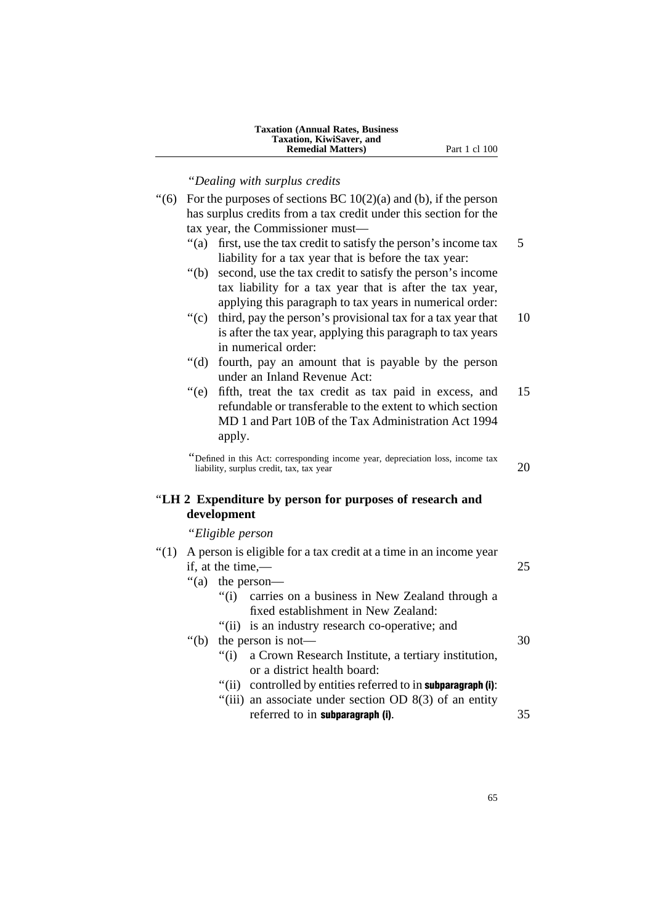| <b>Taxation (Annual Rates, Business)</b> |
|------------------------------------------|
| Taxation, KiwiSaver, and                 |
| <b>Remedial Matters</b> )                |

''*Dealing with surplus credits*

- "(6) For the purposes of sections BC  $10(2)(a)$  and (b), if the person has surplus credits from a tax credit under this section for the tax year, the Commissioner must—
	- "(a) first, use the tax credit to satisfy the person's income tax 5 liability for a tax year that is before the tax year:
	- ''(b) second, use the tax credit to satisfy the person's income tax liability for a tax year that is after the tax year, applying this paragraph to tax years in numerical order:
	- "(c) third, pay the person's provisional tax for a tax year that 10 is after the tax year, applying this paragraph to tax years in numerical order:
	- ''(d) fourth, pay an amount that is payable by the person under an Inland Revenue Act:
	- "(e) fifth, treat the tax credit as tax paid in excess, and 15 refundable or transferable to the extent to which section MD 1 and Part 10B of the Tax Administration Act 1994 apply.

''Defined in this Act: corresponding income year, depreciation loss, income tax  $\frac{1}{20}$  liability, surplus credit, tax, tax year 20

# ''**LH 2 Expenditure by person for purposes of research and development**

''*Eligible person*

| " $(1)$ | A person is eligible for a tax credit at a time in an income year |                |                                                                |    |  |
|---------|-------------------------------------------------------------------|----------------|----------------------------------------------------------------|----|--|
|         | if, at the time,—                                                 |                |                                                                |    |  |
|         | "(a)                                                              |                | the person—                                                    |    |  |
|         |                                                                   |                | "(i) carries on a business in New Zealand through a            |    |  |
|         |                                                                   |                | fixed establishment in New Zealand:                            |    |  |
|         |                                                                   |                | "(ii) is an industry research co-operative; and                |    |  |
|         |                                                                   |                | "(b) the person is not—                                        | 30 |  |
|         |                                                                   |                | "(i) a Crown Research Institute, a tertiary institution,       |    |  |
|         |                                                                   |                | or a district health board:                                    |    |  |
|         |                                                                   | $\degree$ (ii) | controlled by entities referred to in <b>subparagraph</b> (i): |    |  |
|         |                                                                   |                | "(iii) an associate under section OD $8(3)$ of an entity       |    |  |
|         |                                                                   |                | referred to in subparagraph (i).                               | 35 |  |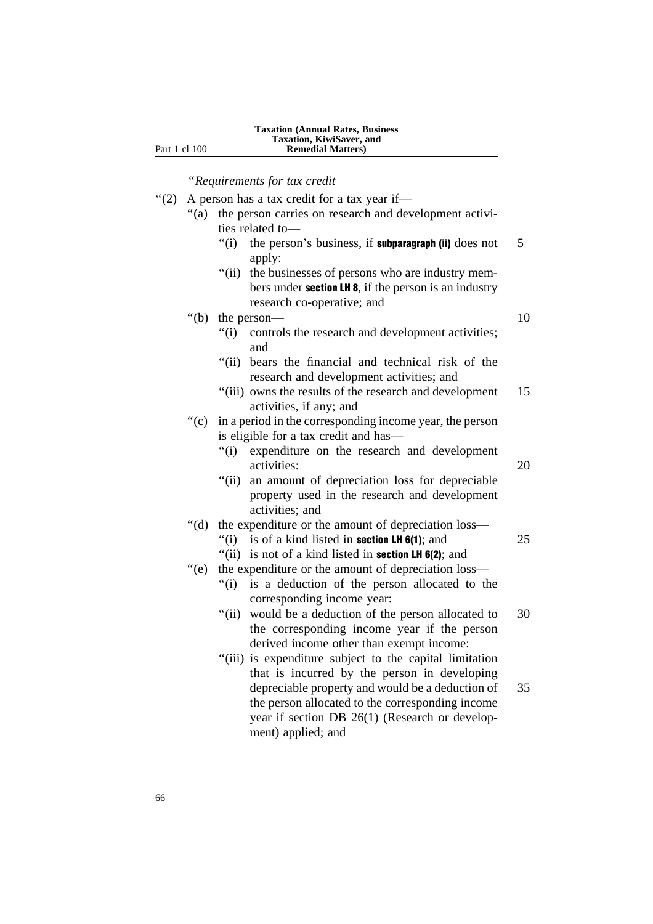''*Requirements for tax credit*

- "(2) A person has a tax credit for a tax year if—
	- "(a) the person carries on research and development activities related to—
		- $''(i)$  the person's business, if **subparagraph (ii)** does not 5 apply:
		- "(ii) the businesses of persons who are industry members under section LH 8, if the person is an industry research co-operative; and
	- "(b) the person— 10

- "(i) controls the research and development activities; and
- "(ii) bears the financial and technical risk of the research and development activities; and
- "(iii) owns the results of the research and development 15 activities, if any; and
- ''(c) in a period in the corresponding income year, the person is eligible for a tax credit and has—
	- ''(i) expenditure on the research and development activities: 20
	- "(ii) an amount of depreciation loss for depreciable property used in the research and development activities; and

# ''(d) the expenditure or the amount of depreciation loss—

- $''(i)$  is of a kind listed in **section LH 6(1)**; and 25
- "(ii) is not of a kind listed in **section LH 6(2)**; and
- ''(e) the expenditure or the amount of depreciation loss—
	- ''(i) is a deduction of the person allocated to the corresponding income year:
	- "(ii) would be a deduction of the person allocated to 30 the corresponding income year if the person derived income other than exempt income:
	- ''(iii) is expenditure subject to the capital limitation that is incurred by the person in developing depreciable property and would be a deduction of 35 the person allocated to the corresponding income year if section DB 26(1) (Research or development) applied; and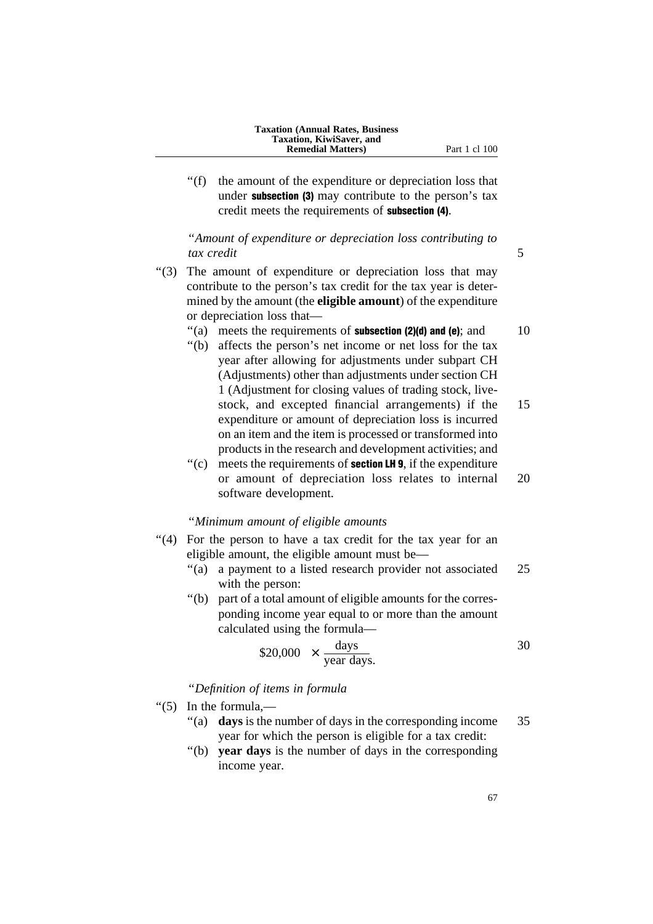- 
- "(f) the amount of the expenditure or depreciation loss that under subsection (3) may contribute to the person's tax credit meets the requirements of subsection (4).

''*Amount of expenditure or depreciation loss contributing to tax credit* 5

- ''(3) The amount of expenditure or depreciation loss that may contribute to the person's tax credit for the tax year is determined by the amount (the **eligible amount**) of the expenditure or depreciation loss that—
	- $\degree$ (a) meets the requirements of **subsection (2)(d) and (e)**; and 10
	- ''(b) affects the person's net income or net loss for the tax year after allowing for adjustments under subpart CH (Adjustments) other than adjustments under section CH 1 (Adjustment for closing values of trading stock, livestock, and excepted financial arrangements) if the 15 expenditure or amount of depreciation loss is incurred on an item and the item is processed or transformed into products in the research and development activities; and
	- $'(c)$  meets the requirements of **section LH 9**, if the expenditure or amount of depreciation loss relates to internal 20 software development.

# ''*Minimum amount of eligible amounts*

- "(4) For the person to have a tax credit for the tax year for an eligible amount, the eligible amount must be—
	- "(a) a payment to a listed research provider not associated 25 with the person:
	- ''(b) part of a total amount of eligible amounts for the corresponding income year equal to or more than the amount calculated using the formula—

$$
\$20,000 \times \frac{\text{days}}{\text{year days}} \tag{30}
$$

''*Definition of items in formula*

- ''(5) In the formula,—
	- ''(a) **days** is the number of days in the corresponding income 35 year for which the person is eligible for a tax credit:
	- ''(b) **year days** is the number of days in the corresponding income year.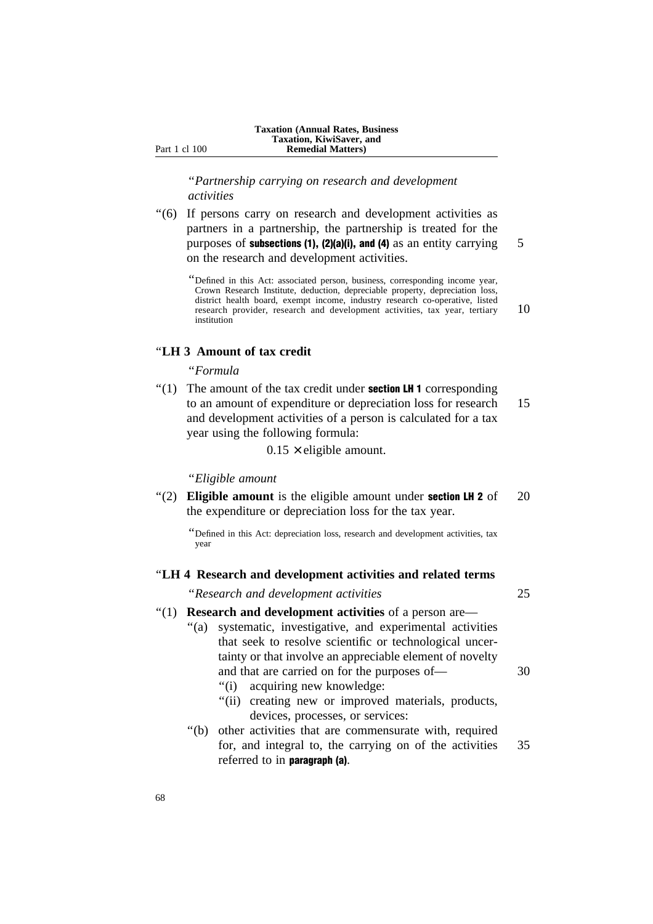''*Partnership carrying on research and development activities*

''(6) If persons carry on research and development activities as partners in a partnership, the partnership is treated for the purposes of **subsections (1), (2)(a)(i), and (4)** as an entity carrying  $\overline{5}$ on the research and development activities.

''Defined in this Act: associated person, business, corresponding income year, Crown Research Institute, deduction, depreciable property, depreciation loss, district health board, exempt income, industry research co-operative, listed research provider, research and development activities, tax year, tertiary 10 institution

#### ''**LH 3 Amount of tax credit**

#### ''*Formula*

 $"(1)$  The amount of the tax credit under **section LH 1** corresponding to an amount of expenditure or depreciation loss for research 15 and development activities of a person is calculated for a tax year using the following formula:

 $0.15 \times$  eligible amount.

''*Eligible amount*

''(2) **Eligible amount** is the eligible amount under section LH 2 of 20 the expenditure or depreciation loss for the tax year.

# ''**LH 4 Research and development activities and related terms**

''*Research and development activities* 25

# ''(1) **Research and development activities** of a person are— "(a) systematic, investigative, and experimental activities

- that seek to resolve scientific or technological uncertainty or that involve an appreciable element of novelty and that are carried on for the purposes of — 30
	- ''(i) acquiring new knowledge:
	- "(ii) creating new or improved materials, products, devices, processes, or services:
- ''(b) other activities that are commensurate with, required for, and integral to, the carrying on of the activities 35 referred to in paragraph (a).

<sup>&#</sup>x27;'Defined in this Act: depreciation loss, research and development activities, tax year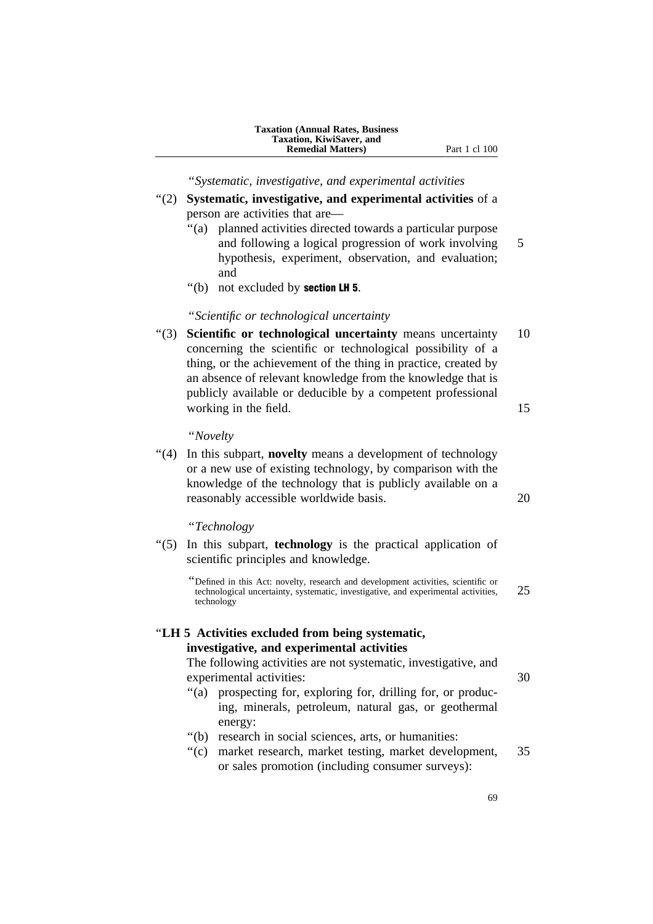**Taxation (Annual Rates, Business Taxation, KiwiSaver, and Remedial Matters)** Part 1 cl 100

''*Systematic, investigative, and experimental activities*

- ''(2) **Systematic, investigative, and experimental activities** of a person are activities that are—
	- ''(a) planned activities directed towards a particular purpose and following a logical progression of work involving 5 hypothesis, experiment, observation, and evaluation; and
	- ''(b) not excluded by section LH 5.

''*Scientific or technological uncertainty*

''(3) **Scientific or technological uncertainty** means uncertainty 10 concerning the scientific or technological possibility of a thing, or the achievement of the thing in practice, created by an absence of relevant knowledge from the knowledge that is publicly available or deducible by a competent professional working in the field. 15

''*Novelty*

''(4) In this subpart, **novelty** means a development of technology or a new use of existing technology, by comparison with the knowledge of the technology that is publicly available on a reasonably accessible worldwide basis. 20

''*Technology*

- ''(5) In this subpart, **technology** is the practical application of scientific principles and knowledge.
	- ''Defined in this Act: novelty, research and development activities, scientific or technological uncertainty, systematic, investigative, and experimental activities, 25 technology

# ''**LH 5 Activities excluded from being systematic, investigative, and experimental activities**

The following activities are not systematic, investigative, and experimental activities: 30

- ''(a) prospecting for, exploring for, drilling for, or producing, minerals, petroleum, natural gas, or geothermal energy:
- ''(b) research in social sciences, arts, or humanities:
- ''(c) market research, market testing, market development, 35 or sales promotion (including consumer surveys):
	- 69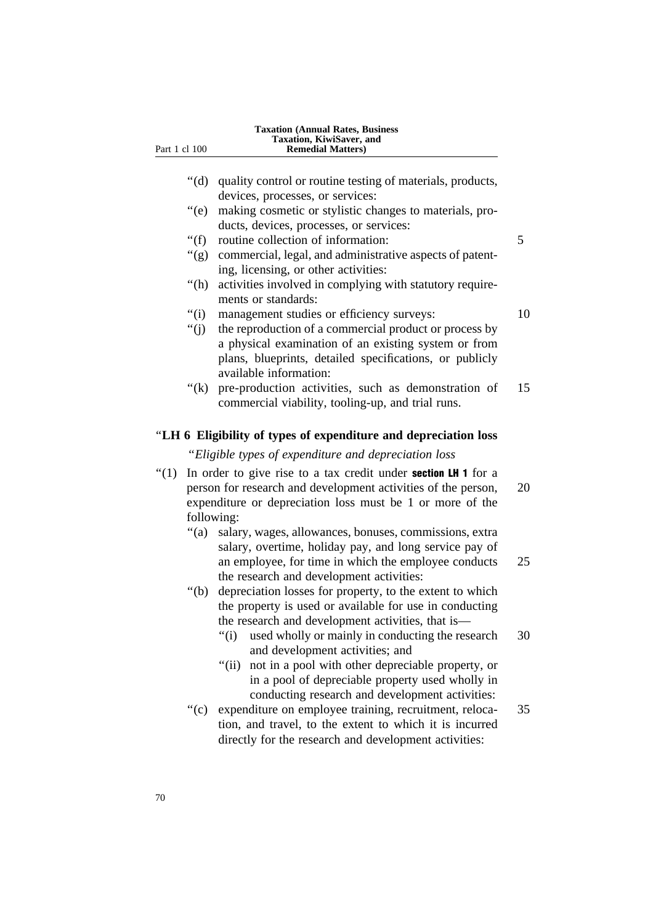| Part 1 cl 100                                                                                                                                                                                                                |           | <b>Taxation (Annual Rates, Business</b><br>Taxation, KiwiSaver, and<br><b>Remedial Matters</b> )                                                                                                                                                                                                                                                   |    |
|------------------------------------------------------------------------------------------------------------------------------------------------------------------------------------------------------------------------------|-----------|----------------------------------------------------------------------------------------------------------------------------------------------------------------------------------------------------------------------------------------------------------------------------------------------------------------------------------------------------|----|
|                                                                                                                                                                                                                              |           |                                                                                                                                                                                                                                                                                                                                                    |    |
|                                                                                                                                                                                                                              | " $(d)$ " | quality control or routine testing of materials, products,                                                                                                                                                                                                                                                                                         |    |
|                                                                                                                                                                                                                              |           | devices, processes, or services:                                                                                                                                                                                                                                                                                                                   |    |
|                                                                                                                                                                                                                              | ``(e)     | making cosmetic or stylistic changes to materials, pro-                                                                                                                                                                                                                                                                                            |    |
|                                                                                                                                                                                                                              |           | ducts, devices, processes, or services:                                                                                                                                                                                                                                                                                                            |    |
|                                                                                                                                                                                                                              | " $(f)$   | routine collection of information:                                                                                                                                                                                                                                                                                                                 | 5  |
|                                                                                                                                                                                                                              | " $(g)$   | commercial, legal, and administrative aspects of patent-<br>ing, licensing, or other activities:                                                                                                                                                                                                                                                   |    |
|                                                                                                                                                                                                                              | " $(h)$   | activities involved in complying with statutory require-<br>ments or standards:                                                                                                                                                                                                                                                                    |    |
|                                                                                                                                                                                                                              | " $(i)$   | management studies or efficiency surveys:                                                                                                                                                                                                                                                                                                          | 10 |
|                                                                                                                                                                                                                              | " $(j)$   | the reproduction of a commercial product or process by<br>a physical examination of an existing system or from                                                                                                                                                                                                                                     |    |
|                                                                                                                                                                                                                              |           | plans, blueprints, detailed specifications, or publicly<br>available information:                                                                                                                                                                                                                                                                  |    |
|                                                                                                                                                                                                                              | " $(k)$   | pre-production activities, such as demonstration of<br>commercial viability, tooling-up, and trial runs.                                                                                                                                                                                                                                           | 15 |
|                                                                                                                                                                                                                              |           | "LH 6 Eligibility of types of expenditure and depreciation loss                                                                                                                                                                                                                                                                                    |    |
|                                                                                                                                                                                                                              |           | "Eligible types of expenditure and depreciation loss                                                                                                                                                                                                                                                                                               |    |
| " $(1)$<br>In order to give rise to a tax credit under <b>section LH 1</b> for a<br>person for research and development activities of the person,<br>expenditure or depreciation loss must be 1 or more of the<br>following: |           |                                                                                                                                                                                                                                                                                                                                                    | 20 |
|                                                                                                                                                                                                                              | " $(a)$   | salary, wages, allowances, bonuses, commissions, extra                                                                                                                                                                                                                                                                                             |    |
|                                                                                                                                                                                                                              |           | salary, overtime, holiday pay, and long service pay of<br>an employee, for time in which the employee conducts<br>the research and development activities:                                                                                                                                                                                         | 25 |
|                                                                                                                                                                                                                              | " $(b)$   | depreciation losses for property, to the extent to which                                                                                                                                                                                                                                                                                           |    |
|                                                                                                                                                                                                                              |           | the property is used or available for use in conducting                                                                                                                                                                                                                                                                                            |    |
|                                                                                                                                                                                                                              |           | the research and development activities, that is—                                                                                                                                                                                                                                                                                                  |    |
|                                                                                                                                                                                                                              |           | used wholly or mainly in conducting the research<br>" $(i)$<br>and development activities; and                                                                                                                                                                                                                                                     | 30 |
|                                                                                                                                                                                                                              | " $(c)$   | " $(ii)$<br>not in a pool with other depreciable property, or<br>in a pool of depreciable property used wholly in<br>conducting research and development activities:<br>expenditure on employee training, recruitment, reloca-<br>tion, and travel, to the extent to which it is incurred<br>directly for the research and development activities: | 35 |
|                                                                                                                                                                                                                              |           |                                                                                                                                                                                                                                                                                                                                                    |    |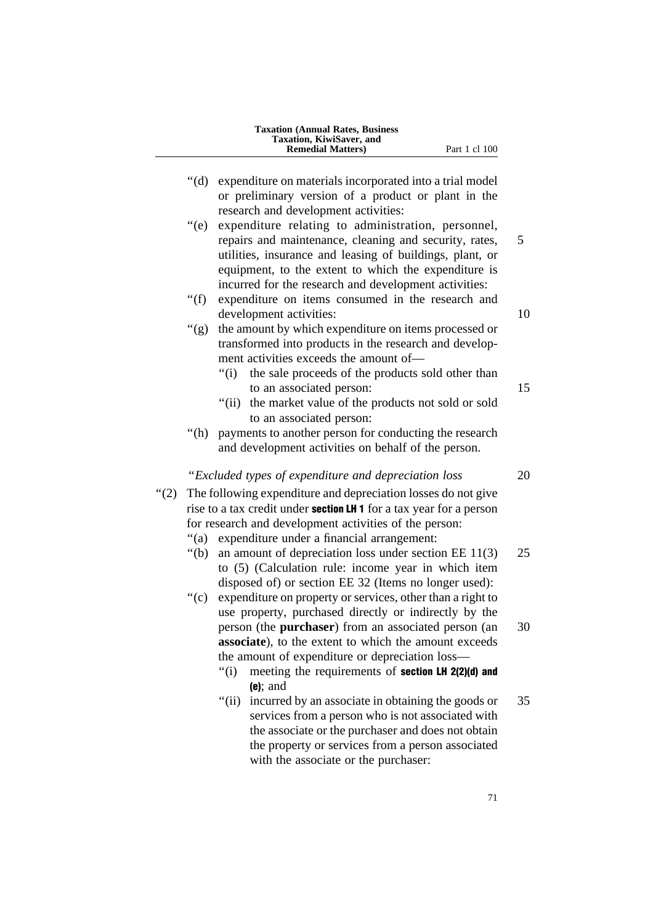|         | <b>Taxation (Annual Rates, Business)</b><br>Taxation, KiwiSaver, and<br><b>Remedial Matters)</b><br>Part 1 cl 100                                                                                                                                                                                                                                                                                                                                                                                                                                                                                                                                                                                                                                                          |  |
|---------|----------------------------------------------------------------------------------------------------------------------------------------------------------------------------------------------------------------------------------------------------------------------------------------------------------------------------------------------------------------------------------------------------------------------------------------------------------------------------------------------------------------------------------------------------------------------------------------------------------------------------------------------------------------------------------------------------------------------------------------------------------------------------|--|
|         | " $(d)$<br>expenditure on materials incorporated into a trial model<br>or preliminary version of a product or plant in the<br>research and development activities:                                                                                                                                                                                                                                                                                                                                                                                                                                                                                                                                                                                                         |  |
|         | " $(e)$<br>expenditure relating to administration, personnel,<br>repairs and maintenance, cleaning and security, rates,<br>utilities, insurance and leasing of buildings, plant, or<br>equipment, to the extent to which the expenditure is<br>incurred for the research and development activities:                                                                                                                                                                                                                                                                                                                                                                                                                                                                       |  |
|         | " $(f)$<br>expenditure on items consumed in the research and<br>development activities:                                                                                                                                                                                                                                                                                                                                                                                                                                                                                                                                                                                                                                                                                    |  |
|         | " $(g)$ "<br>the amount by which expenditure on items processed or<br>transformed into products in the research and develop-<br>ment activities exceeds the amount of-<br>the sale proceeds of the products sold other than<br>" $(i)$                                                                                                                                                                                                                                                                                                                                                                                                                                                                                                                                     |  |
|         | to an associated person:<br>the market value of the products not sold or sold<br>"(ii)"<br>to an associated person:                                                                                                                                                                                                                                                                                                                                                                                                                                                                                                                                                                                                                                                        |  |
|         | payments to another person for conducting the research<br>" $(h)$<br>and development activities on behalf of the person.                                                                                                                                                                                                                                                                                                                                                                                                                                                                                                                                                                                                                                                   |  |
| " $(2)$ | "Excluded types of expenditure and depreciation loss<br>The following expenditure and depreciation losses do not give<br>rise to a tax credit under <b>section LH 1</b> for a tax year for a person<br>for research and development activities of the person:<br>expenditure under a financial arrangement:<br>"(a)<br>an amount of depreciation loss under section $EE$ 11(3)<br>" $(b)$<br>to (5) (Calculation rule: income year in which item<br>disposed of) or section EE 32 (Items no longer used):<br>expenditure on property or services, other than a right to<br>$\degree$ (c)<br>use property, purchased directly or indirectly by the<br>person (the <b>purchaser</b> ) from an associated person (an<br>associate), to the extent to which the amount exceeds |  |
|         | the amount of expenditure or depreciation loss—<br>" $(i)$<br>meeting the requirements of section LH 2(2)(d) and<br>$(e)$ ; and                                                                                                                                                                                                                                                                                                                                                                                                                                                                                                                                                                                                                                            |  |
|         | " $(ii)$<br>incurred by an associate in obtaining the goods or<br>services from a person who is not associated with<br>the associate or the purchaser and does not obtain<br>the property or services from a person associated<br>with the associate or the purchaser:                                                                                                                                                                                                                                                                                                                                                                                                                                                                                                     |  |
|         | 71                                                                                                                                                                                                                                                                                                                                                                                                                                                                                                                                                                                                                                                                                                                                                                         |  |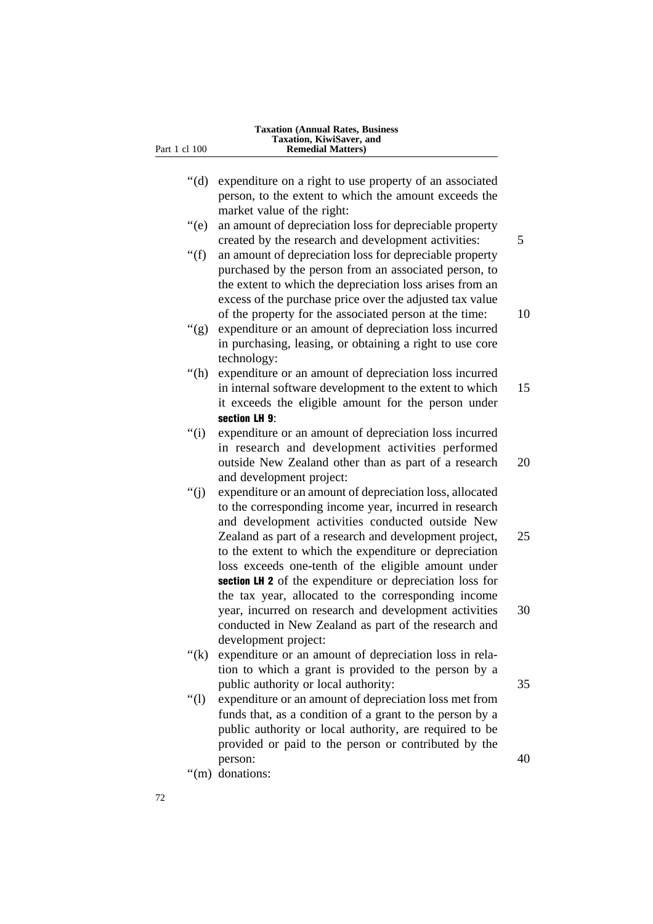| Part 1 cl 100 | <b>Taxation (Annual Rates, Business</b><br>Taxation, KiwiSaver, and<br><b>Remedial Matters</b> )                                                                                                                                                                                                                                                                                                              |  |
|---------------|---------------------------------------------------------------------------------------------------------------------------------------------------------------------------------------------------------------------------------------------------------------------------------------------------------------------------------------------------------------------------------------------------------------|--|
| " $(d)$       | expenditure on a right to use property of an associated<br>person, to the extent to which the amount exceeds the                                                                                                                                                                                                                                                                                              |  |
| $\degree$ (e) | market value of the right:<br>an amount of depreciation loss for depreciable property<br>created by the research and development activities:                                                                                                                                                                                                                                                                  |  |
| " $(f)$       | an amount of depreciation loss for depreciable property<br>purchased by the person from an associated person, to<br>the extent to which the depreciation loss arises from an<br>excess of the purchase price over the adjusted tax value<br>of the property for the associated person at the time:                                                                                                            |  |
| " $(g)$       | expenditure or an amount of depreciation loss incurred<br>in purchasing, leasing, or obtaining a right to use core<br>technology:                                                                                                                                                                                                                                                                             |  |
| " $(h)$       | expenditure or an amount of depreciation loss incurred<br>in internal software development to the extent to which<br>it exceeds the eligible amount for the person under<br>section LH 9:                                                                                                                                                                                                                     |  |
| " $(i)$       | expenditure or an amount of depreciation loss incurred<br>in research and development activities performed<br>outside New Zealand other than as part of a research<br>and development project:                                                                                                                                                                                                                |  |
| " $(i)$       | expenditure or an amount of depreciation loss, allocated<br>to the corresponding income year, incurred in research<br>and development activities conducted outside New<br>Zealand as part of a research and development project,<br>to the extent to which the expenditure or depreciation<br>loss exceeds one-tenth of the eligible amount under<br>section LH 2 of the expenditure or depreciation loss for |  |
|               | the tax year, allocated to the corresponding income<br>year, incurred on research and development activities<br>conducted in New Zealand as part of the research and<br>development project:                                                                                                                                                                                                                  |  |
| " $(k)$       | expenditure or an amount of depreciation loss in rela-<br>tion to which a grant is provided to the person by a<br>public authority or local authority:                                                                                                                                                                                                                                                        |  |
| " $(l)$       | expenditure or an amount of depreciation loss met from<br>funds that, as a condition of a grant to the person by a<br>public authority or local authority, are required to be<br>provided or paid to the person or contributed by the                                                                                                                                                                         |  |
|               | person:<br>"(m) donations:                                                                                                                                                                                                                                                                                                                                                                                    |  |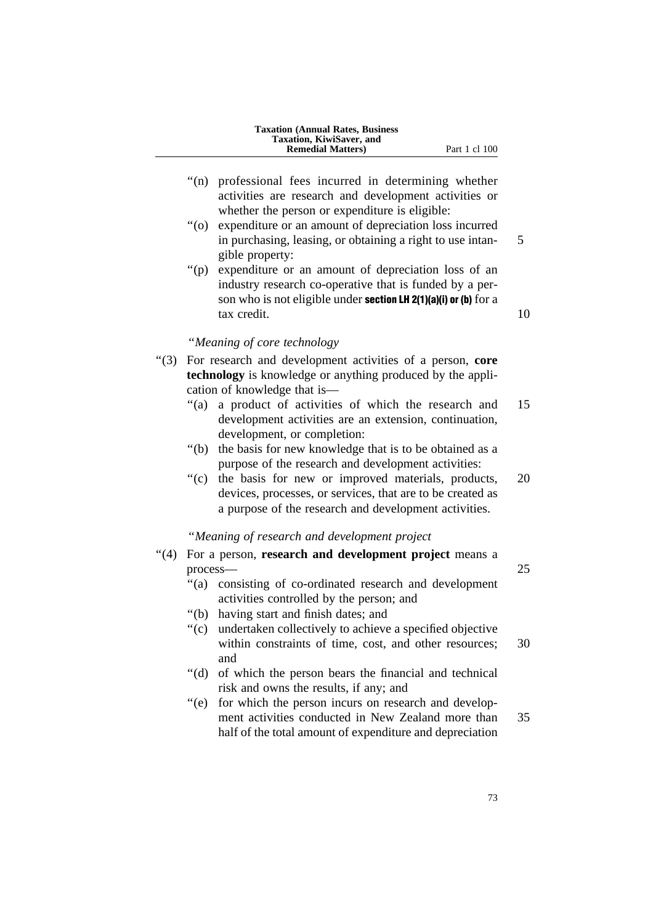| <b>Taxation (Annual Rates, Business)</b> |
|------------------------------------------|
| Taxation, KiwiSaver, and                 |
| <b>Remedial Matters</b> )                |

- "(n) professional fees incurred in determining whether activities are research and development activities or whether the person or expenditure is eligible:
- ''(o) expenditure or an amount of depreciation loss incurred in purchasing, leasing, or obtaining a right to use intan- 5 gible property:
- ''(p) expenditure or an amount of depreciation loss of an industry research co-operative that is funded by a person who is not eligible under **section LH 2(1)(a)(i) or (b)** for a tax credit. 10

# ''*Meaning of core technology*

- ''(3) For research and development activities of a person, **core technology** is knowledge or anything produced by the application of knowledge that is—
	- ''(a) a product of activities of which the research and 15 development activities are an extension, continuation, development, or completion:
	- ''(b) the basis for new knowledge that is to be obtained as a purpose of the research and development activities:
	- "(c) the basis for new or improved materials, products, 20 devices, processes, or services, that are to be created as a purpose of the research and development activities.

#### ''*Meaning of research and development project*

- ''(4) For a person, **research and development project** means a process— 25
	- ''(a) consisting of co-ordinated research and development activities controlled by the person; and
	- ''(b) having start and finish dates; and
	- ''(c) undertaken collectively to achieve a specified objective within constraints of time, cost, and other resources: 30 and
	- ''(d) of which the person bears the financial and technical risk and owns the results, if any; and
	- "(e) for which the person incurs on research and development activities conducted in New Zealand more than 35 half of the total amount of expenditure and depreciation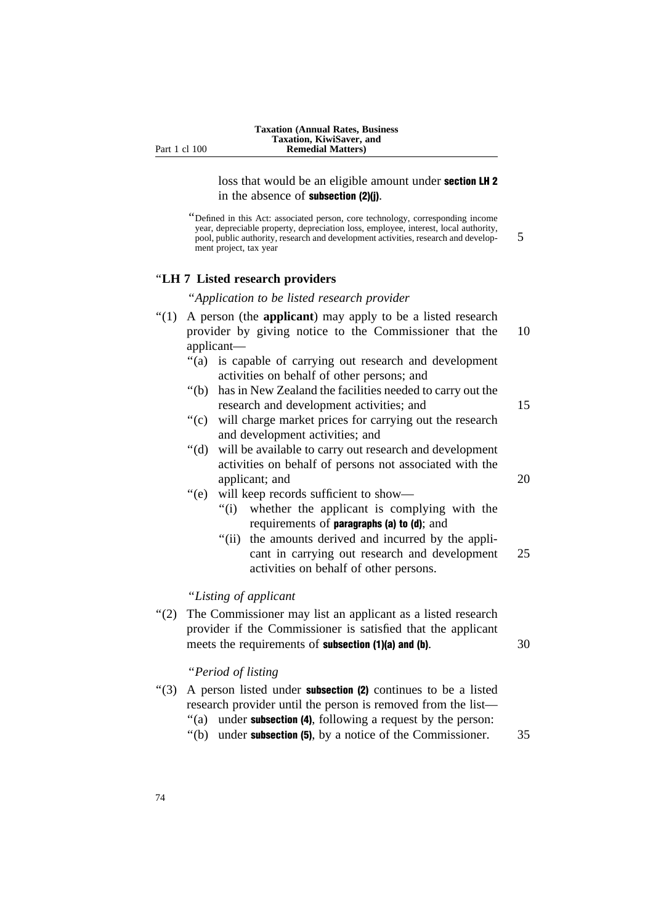loss that would be an eligible amount under section LH 2 in the absence of subsection (2)(j).

''Defined in this Act: associated person, core technology, corresponding income year, depreciable property, depreciation loss, employee, interest, local authority, pool, public authority, research and development activities, research and develop- 5 ment project, tax year

# ''**LH 7 Listed research providers**

''*Application to be listed research provider*

| A person (the applicant) may apply to be a listed research         |                                                                                                                                                                                                                                        |                                                                                                                                                                                                                                                                                                                                                                                                                                                                                                                                                                                                                                                                                                                                                                                                                                                                                                                                                                         |  |  |
|--------------------------------------------------------------------|----------------------------------------------------------------------------------------------------------------------------------------------------------------------------------------------------------------------------------------|-------------------------------------------------------------------------------------------------------------------------------------------------------------------------------------------------------------------------------------------------------------------------------------------------------------------------------------------------------------------------------------------------------------------------------------------------------------------------------------------------------------------------------------------------------------------------------------------------------------------------------------------------------------------------------------------------------------------------------------------------------------------------------------------------------------------------------------------------------------------------------------------------------------------------------------------------------------------------|--|--|
| provider by giving notice to the Commissioner that the<br>10       |                                                                                                                                                                                                                                        |                                                                                                                                                                                                                                                                                                                                                                                                                                                                                                                                                                                                                                                                                                                                                                                                                                                                                                                                                                         |  |  |
| applicant-                                                         |                                                                                                                                                                                                                                        |                                                                                                                                                                                                                                                                                                                                                                                                                                                                                                                                                                                                                                                                                                                                                                                                                                                                                                                                                                         |  |  |
| " $(a)$                                                            |                                                                                                                                                                                                                                        |                                                                                                                                                                                                                                                                                                                                                                                                                                                                                                                                                                                                                                                                                                                                                                                                                                                                                                                                                                         |  |  |
|                                                                    |                                                                                                                                                                                                                                        |                                                                                                                                                                                                                                                                                                                                                                                                                                                                                                                                                                                                                                                                                                                                                                                                                                                                                                                                                                         |  |  |
| " $(b)$                                                            |                                                                                                                                                                                                                                        |                                                                                                                                                                                                                                                                                                                                                                                                                                                                                                                                                                                                                                                                                                                                                                                                                                                                                                                                                                         |  |  |
|                                                                    |                                                                                                                                                                                                                                        | 15                                                                                                                                                                                                                                                                                                                                                                                                                                                                                                                                                                                                                                                                                                                                                                                                                                                                                                                                                                      |  |  |
| $\degree$ (c)                                                      |                                                                                                                                                                                                                                        |                                                                                                                                                                                                                                                                                                                                                                                                                                                                                                                                                                                                                                                                                                                                                                                                                                                                                                                                                                         |  |  |
| " $(d)$ "                                                          |                                                                                                                                                                                                                                        | 20                                                                                                                                                                                                                                                                                                                                                                                                                                                                                                                                                                                                                                                                                                                                                                                                                                                                                                                                                                      |  |  |
|                                                                    |                                                                                                                                                                                                                                        |                                                                                                                                                                                                                                                                                                                                                                                                                                                                                                                                                                                                                                                                                                                                                                                                                                                                                                                                                                         |  |  |
|                                                                    | whether the applicant is complying with the<br>requirements of paragraphs (a) to (d); and<br>the amounts derived and incurred by the appli-<br>cant in carrying out research and development<br>activities on behalf of other persons. | 25                                                                                                                                                                                                                                                                                                                                                                                                                                                                                                                                                                                                                                                                                                                                                                                                                                                                                                                                                                      |  |  |
|                                                                    |                                                                                                                                                                                                                                        |                                                                                                                                                                                                                                                                                                                                                                                                                                                                                                                                                                                                                                                                                                                                                                                                                                                                                                                                                                         |  |  |
| (2)<br>meets the requirements of <b>subsection</b> (1)(a) and (b). |                                                                                                                                                                                                                                        | 30                                                                                                                                                                                                                                                                                                                                                                                                                                                                                                                                                                                                                                                                                                                                                                                                                                                                                                                                                                      |  |  |
|                                                                    |                                                                                                                                                                                                                                        |                                                                                                                                                                                                                                                                                                                                                                                                                                                                                                                                                                                                                                                                                                                                                                                                                                                                                                                                                                         |  |  |
| " $(a)$                                                            |                                                                                                                                                                                                                                        | 35                                                                                                                                                                                                                                                                                                                                                                                                                                                                                                                                                                                                                                                                                                                                                                                                                                                                                                                                                                      |  |  |
|                                                                    | ``(e)                                                                                                                                                                                                                                  | is capable of carrying out research and development<br>activities on behalf of other persons; and<br>has in New Zealand the facilities needed to carry out the<br>research and development activities; and<br>will charge market prices for carrying out the research<br>and development activities; and<br>will be available to carry out research and development<br>activities on behalf of persons not associated with the<br>applicant; and<br>will keep records sufficient to show—<br>``(i)<br>" $(ii)$<br>"Listing of applicant<br>The Commissioner may list an applicant as a listed research<br>provider if the Commissioner is satisfied that the applicant<br>"Period of listing<br>A person listed under <b>subsection (2)</b> continues to be a listed<br>research provider until the person is removed from the list-<br>under subsection (4), following a request by the person:<br>"(b) under <b>subsection (5)</b> , by a notice of the Commissioner. |  |  |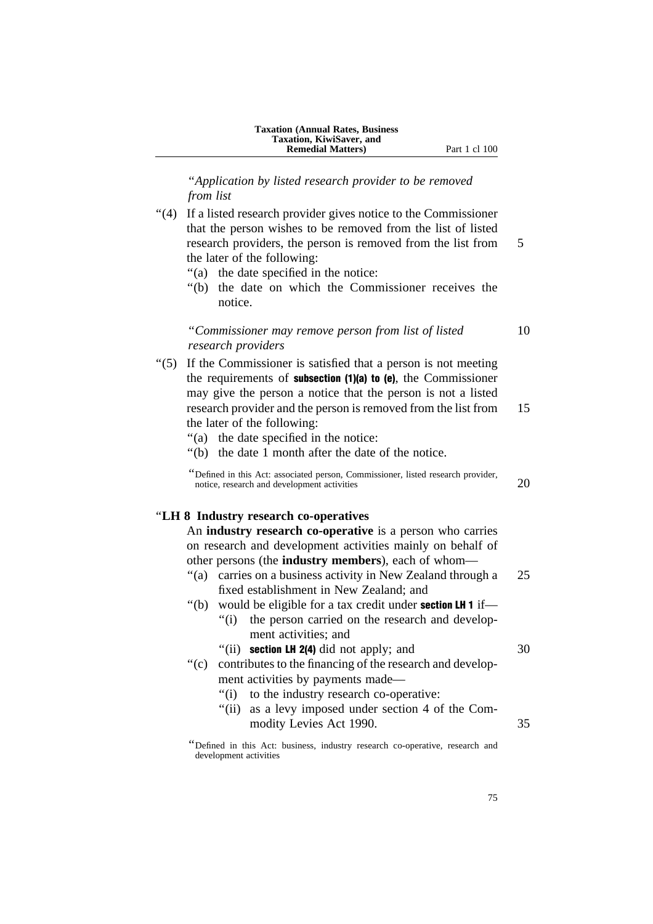''*Application by listed research provider to be removed from list*

''(4) If a listed research provider gives notice to the Commissioner that the person wishes to be removed from the list of listed research providers, the person is removed from the list from 5 the later of the following:

- ''(a) the date specified in the notice:
- ''(b) the date on which the Commissioner receives the notice.

## ''*Commissioner may remove person from list of listed* 10 *research providers*

- ''(5) If the Commissioner is satisfied that a person is not meeting the requirements of subsection (1)(a) to (e), the Commissioner may give the person a notice that the person is not a listed research provider and the person is removed from the list from 15 the later of the following:
	- ''(a) the date specified in the notice:
	- ''(b) the date 1 month after the date of the notice.

''Defined in this Act: associated person, Commissioner, listed research provider, notice, research and development activities 20

#### ''**LH 8 Industry research co-operatives**

An **industry research co-operative** is a person who carries on research and development activities mainly on behalf of other persons (the **industry members**), each of whom—

- "(a) carries on a business activity in New Zealand through a 25 fixed establishment in New Zealand; and
- "(b) would be eligible for a tax credit under **section LH 1** if—
	- "(i) the person carried on the research and development activities; and
	- " $(iii)$  section LH 2(4) did not apply; and  $30$
- ''(c) contributes to the financing of the research and development activities by payments made—
	- ''(i) to the industry research co-operative:
	- "(ii) as a levy imposed under section 4 of the Commodity Levies Act 1990. 35

<sup>&#</sup>x27;'Defined in this Act: business, industry research co-operative, research and development activities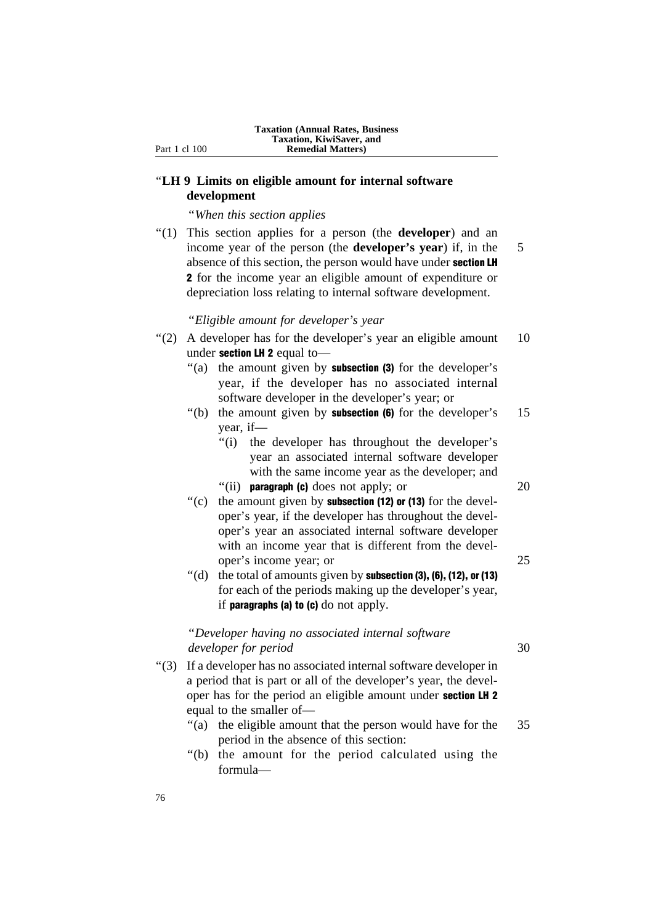## ''**LH 9 Limits on eligible amount for internal software development**

''*When this section applies*

''(1) This section applies for a person (the **developer**) and an income year of the person (the **developer's year**) if, in the 5 absence of this section, the person would have under section LH 2 for the income year an eligible amount of expenditure or depreciation loss relating to internal software development.

''*Eligible amount for developer's year*

- "(2) A developer has for the developer's year an eligible amount 10 under section LH 2 equal to-
	- "(a) the amount given by **subsection (3)** for the developer's year, if the developer has no associated internal software developer in the developer's year; or
	- "(b) the amount given by **subsection (6)** for the developer's  $15$ year, if—
		- "(i) the developer has throughout the developer's year an associated internal software developer with the same income year as the developer; and "(ii) **paragraph (c)** does not apply; or  $20$ 
			-
	- $'(c)$  the amount given by **subsection (12) or (13)** for the developer's year, if the developer has throughout the developer's year an associated internal software developer with an income year that is different from the developer's income year; or 25
	- $''$ (d) the total of amounts given by **subsection (3), (6), (12), or (13)** for each of the periods making up the developer's year, if **paragraphs (a) to (c)** do not apply.

## ''*Developer having no associated internal software developer for period* 30

- 
- ''(3) If a developer has no associated internal software developer in a period that is part or all of the developer's year, the developer has for the period an eligible amount under section LH 2 equal to the smaller of—
	- "(a) the eligible amount that the person would have for the 35 period in the absence of this section:
	- ''(b) the amount for the period calculated using the formula—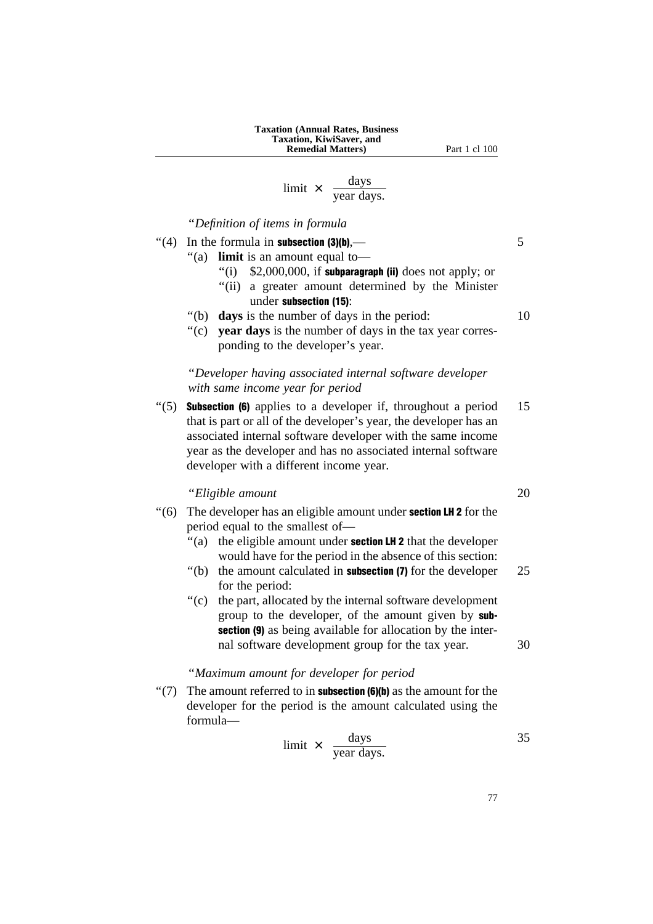#### **Taxation (Annual Rates, Business Taxation, KiwiSaver, and Remedial Matters)** Part 1 cl 100

# limit  $\times$  days year days.

''*Definition of items in formula*

- $\cdot$  (4) In the formula in **subsection (3)(b)**,  $\qquad \qquad$  5 ''(a) **limit** is an amount equal to— "(i)  $$2,000,000$ , if subparagraph (ii) does not apply; or ''(ii) a greater amount determined by the Minister
	- under subsection (15):
	- "(b) **days** is the number of days in the period: 10
	- "(c) **vear days** is the number of days in the tax year corresponding to the developer's year.

## ''*Developer having associated internal software developer with same income year for period*

" $(5)$  **Subsection (6)** applies to a developer if, throughout a period 15 that is part or all of the developer's year, the developer has an associated internal software developer with the same income year as the developer and has no associated internal software developer with a different income year.

## ''*Eligible amount* 20

- $'(6)$  The developer has an eligible amount under **section LH 2** for the period equal to the smallest of—
	- "(a) the eligible amount under **section LH 2** that the developer would have for the period in the absence of this section:
	- $"$ (b) the amount calculated in **subsection (7)** for the developer 25 for the period:
	- "(c) the part, allocated by the internal software development group to the developer, of the amount given by subsection (9) as being available for allocation by the internal software development group for the tax year. 30

## ''*Maximum amount for developer for period*

 $\lq(7)$  The amount referred to in **subsection (6)(b)** as the amount for the developer for the period is the amount calculated using the formula—

$$
limit \times \frac{days}{year \ days.}
$$

77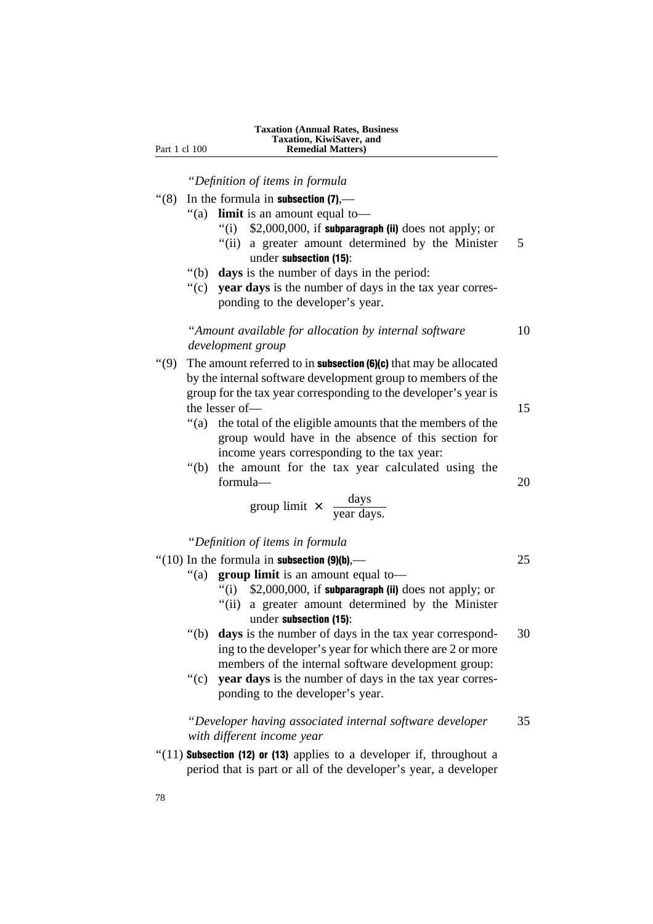''*Definition of items in formula*

- $\degree$ (8) In the formula in **subsection (7)**,—
	- ''(a) **limit** is an amount equal to—
		- "(i)  $$2,000,000$ , if subparagraph (ii) does not apply; or
		- "(ii) a greater amount determined by the Minister 5 under subsection (15):
	- ''(b) **days** is the number of days in the period:
	- "(c) **vear days** is the number of days in the tax year corresponding to the developer's year.

## ''*Amount available for allocation by internal software* 10 *development group*

- "(9) The amount referred to in **subsection (6)(c)** that may be allocated by the internal software development group to members of the group for the tax year corresponding to the developer's year is the lesser of — 15
	- "(a) the total of the eligible amounts that the members of the group would have in the absence of this section for income years corresponding to the tax year:
	- "(b) the amount for the tax year calculated using the formula— 20

$$
group limit \times \frac{days}{year days.}
$$

''*Definition of items in formula*

- $\degree$ (10) In the formula in **subsection (9)(b)**,— 25
	- ''(a) **group limit** is an amount equal to—
		- $''(i)$  \$2,000,000, if subparagraph (ii) does not apply; or
		- "(ii) a greater amount determined by the Minister under subsection (15):
		- ''(b) **days** is the number of days in the tax year correspond- 30 ing to the developer's year for which there are 2 or more members of the internal software development group:
		- ''(c) **year days** is the number of days in the tax year corresponding to the developer's year.

## ''*Developer having associated internal software developer* 35 *with different income year*

 $''(11)$  Subsection (12) or (13) applies to a developer if, throughout a period that is part or all of the developer's year, a developer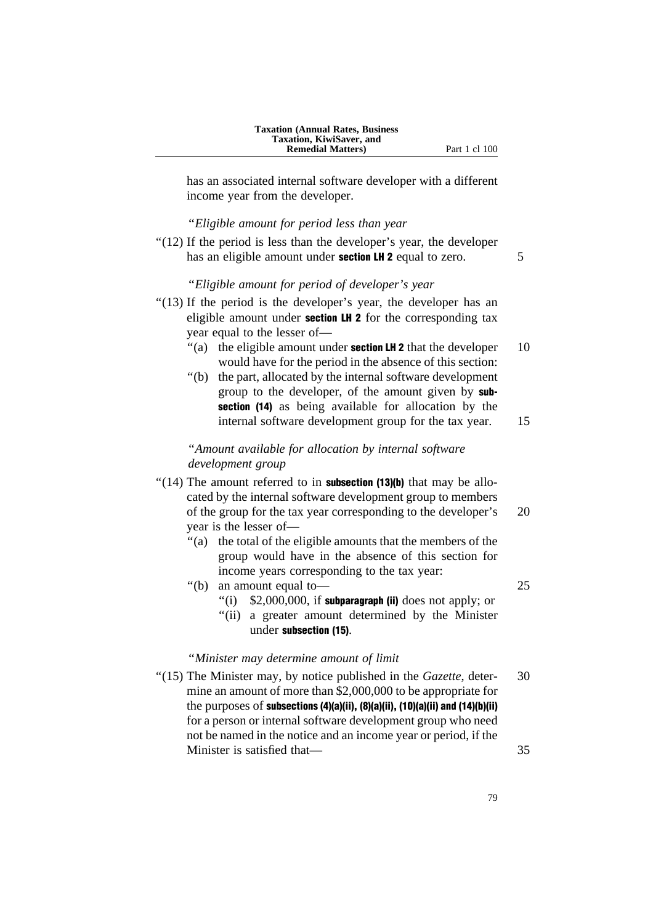has an associated internal software developer with a different income year from the developer.

#### ''*Eligible amount for period less than year*

" $(12)$  If the period is less than the developer's year, the developer has an eligible amount under **section LH 2** equal to zero. 5

## ''*Eligible amount for period of developer's year*

- "(13) If the period is the developer's year, the developer has an eligible amount under **section LH 2** for the corresponding tax year equal to the lesser of—
	- $\degree$ (a) the eligible amount under **section LH 2** that the developer 10 would have for the period in the absence of this section:
	- ''(b) the part, allocated by the internal software development group to the developer, of the amount given by subsection (14) as being available for allocation by the internal software development group for the tax year. 15

''*Amount available for allocation by internal software development group*

- "(14) The amount referred to in **subsection (13)(b)** that may be allocated by the internal software development group to members of the group for the tax year corresponding to the developer's 20 year is the lesser of—
	- ''(a) the total of the eligible amounts that the members of the group would have in the absence of this section for income years corresponding to the tax year:
	- ''(b) an amount equal to— 25
		-
		- $''(i)$  \$2,000,000, if subparagraph (ii) does not apply; or
		- "(ii) a greater amount determined by the Minister under subsection (15).

#### ''*Minister may determine amount of limit*

''(15) The Minister may, by notice published in the *Gazette*, deter- 30 mine an amount of more than \$2,000,000 to be appropriate for the purposes of subsections (4)(a)(ii), (8)(a)(ii), (10)(a)(ii) and (14)(b)(ii) for a person or internal software development group who need not be named in the notice and an income year or period, if the Minister is satisfied that— 35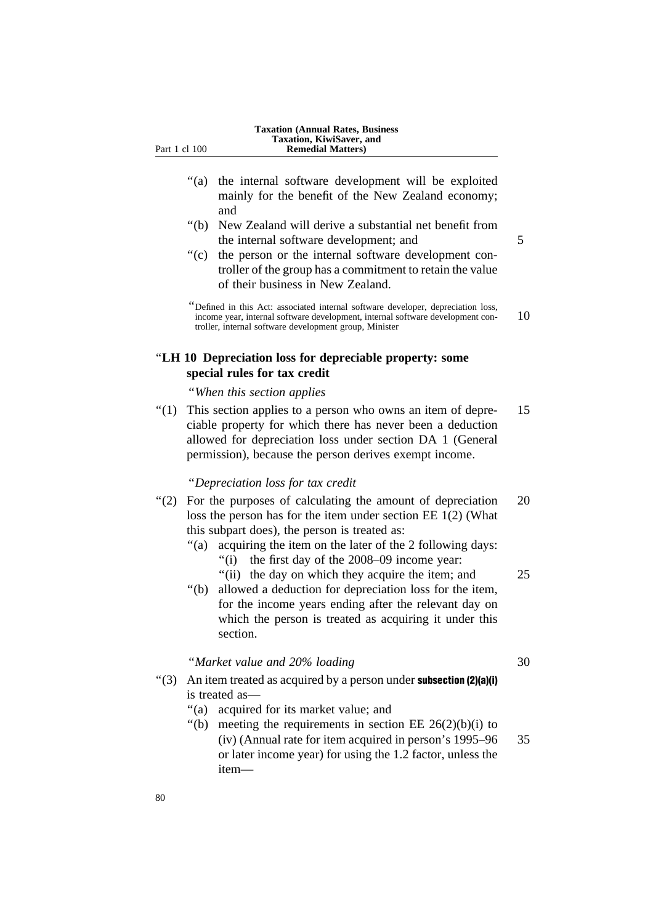- ''(a) the internal software development will be exploited mainly for the benefit of the New Zealand economy; and
- ''(b) New Zealand will derive a substantial net benefit from the internal software development: and 5
- ''(c) the person or the internal software development controller of the group has a commitment to retain the value of their business in New Zealand.

## ''**LH 10 Depreciation loss for depreciable property: some special rules for tax credit**

''*When this section applies*

''(1) This section applies to a person who owns an item of depre- 15 ciable property for which there has never been a deduction allowed for depreciation loss under section DA 1 (General permission), because the person derives exempt income.

#### ''*Depreciation loss for tax credit*

- ''(2) For the purposes of calculating the amount of depreciation 20 loss the person has for the item under section EE 1(2) (What this subpart does), the person is treated as:
	- "(a) acquiring the item on the later of the 2 following days:
		- ''(i) the first day of the 2008–09 income year:
		- "(ii) the day on which they acquire the item; and 25
	- ''(b) allowed a deduction for depreciation loss for the item, for the income years ending after the relevant day on which the person is treated as acquiring it under this section.

#### ''*Market value and 20% loading* 30

- $\lq(3)$  An item treated as acquired by a person under **subsection (2)(a)(i)** is treated as—
	- ''(a) acquired for its market value; and
	- "(b) meeting the requirements in section EE  $26(2)(b)(i)$  to (iv) (Annual rate for item acquired in person's 1995–96 35 or later income year) for using the 1.2 factor, unless the item—

<sup>&#</sup>x27;'Defined in this Act: associated internal software developer, depreciation loss, income year, internal software development, internal software development con- 10 troller, internal software development group, Minister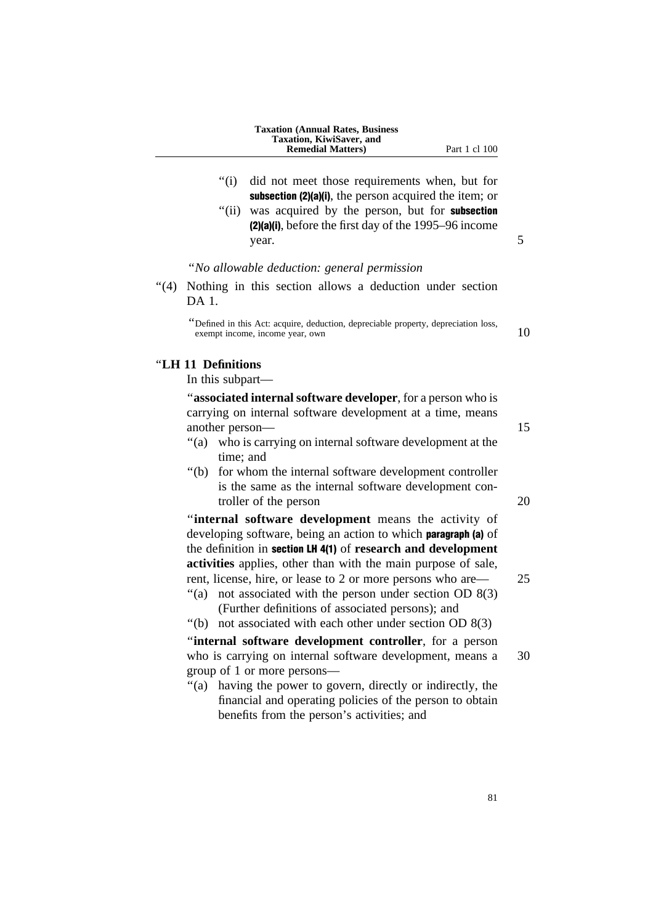|      |                    | Taxation, KiwiSaver, and<br><b>Remedial Matters</b> )                                                                                        | Part 1 cl 100 |    |
|------|--------------------|----------------------------------------------------------------------------------------------------------------------------------------------|---------------|----|
|      |                    |                                                                                                                                              |               |    |
|      | " $(i)$            | did not meet those requirements when, but for<br>subsection (2)(a)(i), the person acquired the item; or                                      |               |    |
|      | "(ii)              | was acquired by the person, but for <b>subsection</b>                                                                                        |               |    |
|      |                    | (2)(a)(i), before the first day of the 1995–96 income<br>year.                                                                               |               | 5  |
|      |                    | "No allowable deduction: general permission                                                                                                  |               |    |
| "(4) | DA 1.              | Nothing in this section allows a deduction under section                                                                                     |               |    |
|      |                    | "Defined in this Act: acquire, deduction, depreciable property, depreciation loss,<br>exempt income, income year, own                        |               | 10 |
|      | "LH 11 Definitions |                                                                                                                                              |               |    |
|      | In this subpart—   |                                                                                                                                              |               |    |
|      | another person-    | "associated internal software developer, for a person who is<br>carrying on internal software development at a time, means                   |               | 15 |
|      | time; and          | "(a) who is carrying on internal software development at the                                                                                 |               |    |
|      |                    | "(b) for whom the internal software development controller<br>is the same as the internal software development con-<br>troller of the person |               | 20 |
|      |                    | "internal coftware development means the estimity of                                                                                         |               |    |

**Taxation (Annual Rates, Business**

**internal software development** means the activity of developing software, being an action to which **paragraph** (a) of the definition in section LH 4(1) of **research and development activities** applies, other than with the main purpose of sale, rent, license, hire, or lease to 2 or more persons who are— 25

- "(a) not associated with the person under section OD  $8(3)$ (Further definitions of associated persons); and
- "(b) not associated with each other under section OD  $8(3)$

''**internal software development controller**, for a person who is carrying on internal software development, means a 30 group of 1 or more persons—

''(a) having the power to govern, directly or indirectly, the financial and operating policies of the person to obtain benefits from the person's activities; and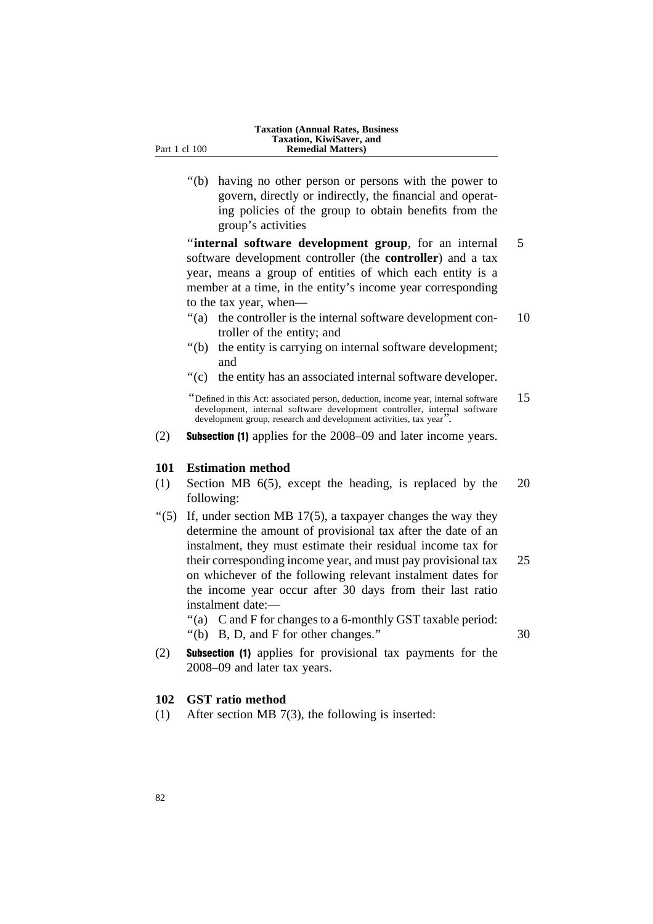''(b) having no other person or persons with the power to govern, directly or indirectly, the financial and operating policies of the group to obtain benefits from the group's activities

''**internal software development group**, for an internal 5 software development controller (the **controller**) and a tax year, means a group of entities of which each entity is a member at a time, in the entity's income year corresponding to the tax year, when—

- "(a) the controller is the internal software development con- 10 troller of the entity; and
- "(b) the entity is carrying on internal software development; and
- ''(c) the entity has an associated internal software developer.

(2) Subsection (1) applies for the 2008–09 and later income years.

#### **101 Estimation method**

- (1) Section MB 6(5), except the heading, is replaced by the 20 following:
- " $(5)$  If, under section MB 17 $(5)$ , a taxpayer changes the way they determine the amount of provisional tax after the date of an instalment, they must estimate their residual income tax for their corresponding income year, and must pay provisional tax 25 on whichever of the following relevant instalment dates for the income year occur after 30 days from their last ratio instalment date:—

''(a) C and F for changes to a 6-monthly GST taxable period:

''(b) B, D, and F for other changes.'' 30

(2) Subsection (1) applies for provisional tax payments for the 2008–09 and later tax years.

## **102 GST ratio method**

(1) After section MB 7(3), the following is inserted:

<sup>&</sup>quot;Defined in this Act: associated person, deduction, income year, internal software  $15$ development, internal software development controller, internal software development group, research and development activities, tax year''.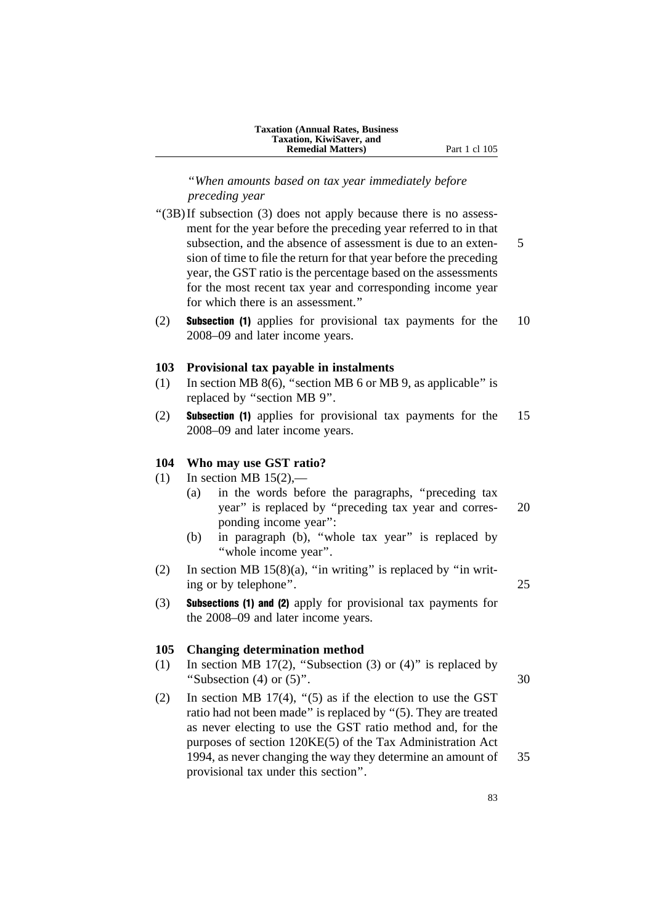''*When amounts based on tax year immediately before preceding year*

- "(3B)If subsection (3) does not apply because there is no assessment for the year before the preceding year referred to in that subsection, and the absence of assessment is due to an exten- 5 sion of time to file the return for that year before the preceding year, the GST ratio is the percentage based on the assessments for the most recent tax year and corresponding income year for which there is an assessment.''
- (2) Subsection (1) applies for provisional tax payments for the 10 2008–09 and later income years.

#### **103 Provisional tax payable in instalments**

- (1) In section MB 8(6), "section MB 6 or MB 9, as applicable" is replaced by ''section MB 9''.
- (2) Subsection (1) applies for provisional tax payments for the 15 2008–09 and later income years.

## **104 Who may use GST ratio?**

- (1) In section MB  $15(2)$ ,—
	- (a) in the words before the paragraphs, ''preceding tax year'' is replaced by ''preceding tax year and corres- 20 ponding income year'':
	- (b) in paragraph (b), ''whole tax year'' is replaced by ''whole income year''.
- (2) In section MB  $15(8)(a)$ , "in writing" is replaced by "in writing or by telephone''. 25
- (3) Subsections (1) and (2) apply for provisional tax payments for the 2008–09 and later income years.

#### **105 Changing determination method**

- (1) In section MB 17(2), "Subsection (3) or (4)" is replaced by "Subsection  $(4)$  or  $(5)$ ". 30
- (2) In section MB 17(4), " $(5)$  as if the election to use the GST ratio had not been made'' is replaced by ''(5). They are treated as never electing to use the GST ratio method and, for the purposes of section 120KE(5) of the Tax Administration Act 1994, as never changing the way they determine an amount of 35 provisional tax under this section''.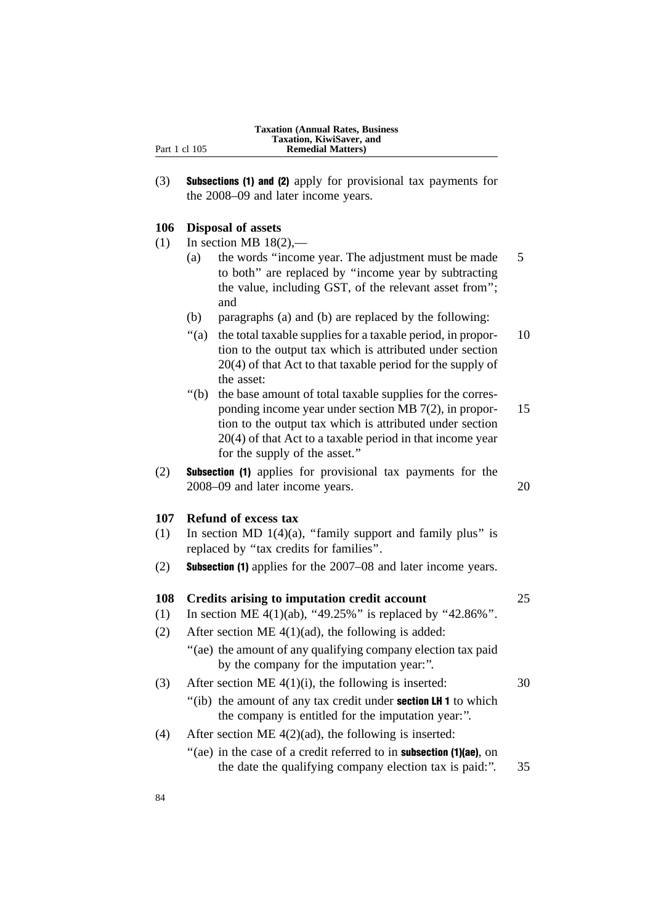| <b>Taxation (Annual Rates, Business)</b> |
|------------------------------------------|
| Taxation, KiwiSaver, and                 |
| <b>Remedial Matters</b> )                |

(3) Subsections (1) and (2) apply for provisional tax payments for the 2008–09 and later income years.

#### **106 Disposal of assets**

Part 1 cl 105

- $(1)$  In section MB 18(2),—
	- (a) the words ''income year. The adjustment must be made 5 to both'' are replaced by ''income year by subtracting the value, including GST, of the relevant asset from''; and
	- (b) paragraphs (a) and (b) are replaced by the following:
	- ''(a) the total taxable supplies for a taxable period, in propor- 10 tion to the output tax which is attributed under section 20(4) of that Act to that taxable period for the supply of the asset:
	- ''(b) the base amount of total taxable supplies for the corresponding income year under section MB 7(2), in propor- 15 tion to the output tax which is attributed under section 20(4) of that Act to a taxable period in that income year for the supply of the asset.''
- (2) Subsection (1) applies for provisional tax payments for the 2008–09 and later income years. 20

## **107 Refund of excess tax**

- (1) In section MD 1(4)(a), "family support and family plus" is replaced by ''tax credits for families''.
- (2) Subsection (1) applies for the 2007–08 and later income years.

| 108 | Credits arising to imputation credit account                                                                                | 25 |
|-----|-----------------------------------------------------------------------------------------------------------------------------|----|
| (1) | In section ME 4(1)(ab), "49.25%" is replaced by "42.86%".                                                                   |    |
| (2) | After section ME $4(1)(ad)$ , the following is added:                                                                       |    |
|     | "(ae) the amount of any qualifying company election tax paid<br>by the company for the imputation year.".                   |    |
| (3) | After section ME $4(1)(i)$ , the following is inserted:                                                                     | 30 |
|     | "(ib) the amount of any tax credit under <b>section LH 1</b> to which<br>the company is entitled for the imputation year.". |    |
| (4) | After section ME $4(2)(ad)$ , the following is inserted:                                                                    |    |
|     | "(ae) in the case of a credit referred to in <b>subsection (1)(ae)</b> , on                                                 |    |

the date the qualifying company election tax is paid:''. 35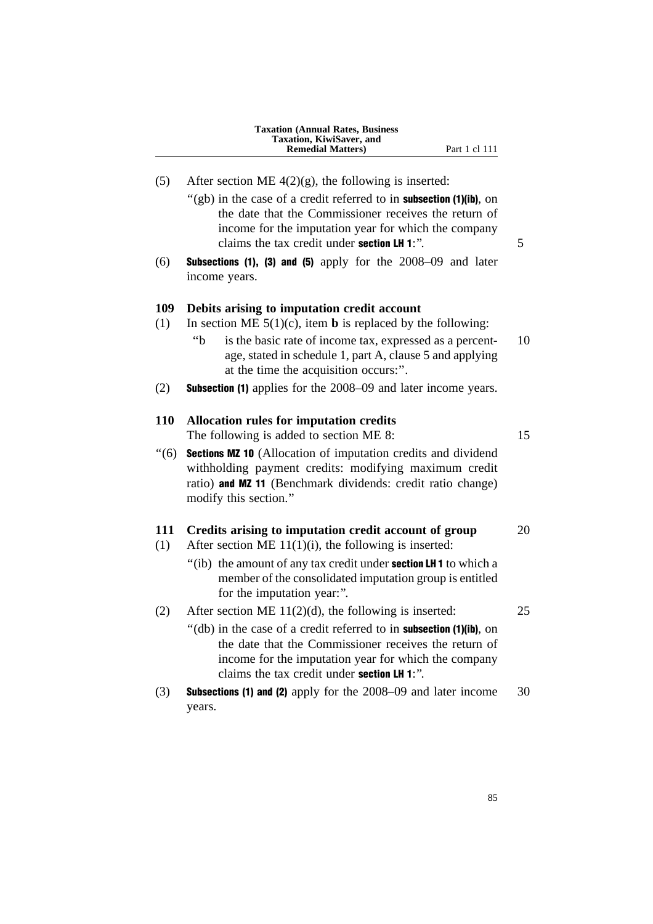| <b>Taxation (Annual Rates, Business)</b> |
|------------------------------------------|
| Taxation, KiwiSaver, and                 |
| <b>Remedial Matters)</b>                 |
|                                          |

- Part 1 cl 111
- (5) After section ME  $4(2)(g)$ , the following is inserted:
	- " $(gb)$  in the case of a credit referred to in **subsection (1)(ib)**, on the date that the Commissioner receives the return of income for the imputation year for which the company claims the tax credit under **section LH 1**: $"$ .  $\qquad \qquad$  5
- $(6)$  Subsections (1), (3) and (5) apply for the 2008–09 and later income years.

## **109 Debits arising to imputation credit account**

- (1) In section ME  $5(1)(c)$ , item **b** is replaced by the following:
	- ''b is the basic rate of income tax, expressed as a percent- 10 age, stated in schedule 1, part A, clause 5 and applying at the time the acquisition occurs:''.
- (2) Subsection (1) applies for the 2008–09 and later income years.

## **110 Allocation rules for imputation credits**

The following is added to section ME 8: 15

''(6) Sections MZ 10 (Allocation of imputation credits and dividend withholding payment credits: modifying maximum credit ratio) and MZ 11 (Benchmark dividends: credit ratio change) modify this section.''

## **111 Credits arising to imputation credit account of group** 20

- (1) After section ME  $11(1)(i)$ , the following is inserted:
	- "(ib) the amount of any tax credit under **section LH 1** to which a member of the consolidated imputation group is entitled for the imputation year:''.
- (2) After section ME  $11(2)(d)$ , the following is inserted: 25
	- "(db) in the case of a credit referred to in **subsection** (1)(ib), on the date that the Commissioner receives the return of income for the imputation year for which the company claims the tax credit under section LH 1:''.
- (3) Subsections (1) and (2) apply for the 2008–09 and later income 30 years.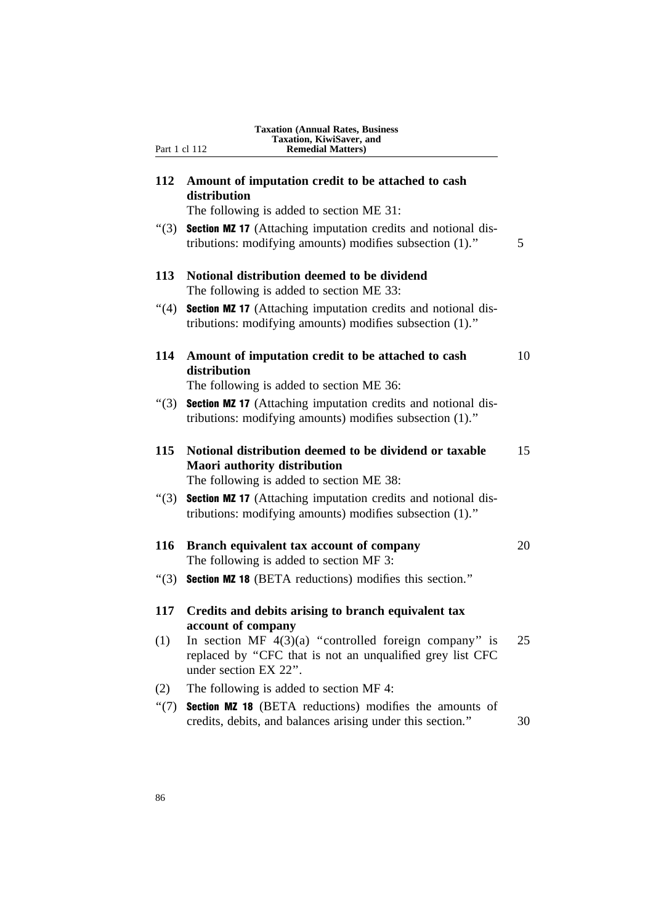| Part 1 cl 112 | Taxation, KiwiSaver, and<br><b>Remedial Matters</b> )                                                                                         |
|---------------|-----------------------------------------------------------------------------------------------------------------------------------------------|
| 112           | Amount of imputation credit to be attached to cash<br>distribution                                                                            |
|               | The following is added to section ME 31:                                                                                                      |
| " $(3)$       | <b>Section MZ 17</b> (Attaching imputation credits and notional dis-<br>tributions: modifying amounts) modifies subsection (1)."              |
| 113           | Notional distribution deemed to be dividend<br>The following is added to section ME 33:                                                       |
| " $(4)$       | <b>Section MZ 17</b> (Attaching imputation credits and notional dis-<br>tributions: modifying amounts) modifies subsection (1)."              |
| 114           | Amount of imputation credit to be attached to cash<br>distribution<br>The following is added to section ME 36:                                |
| " $(3)$       | <b>Section MZ 17</b> (Attaching imputation credits and notional dis-<br>tributions: modifying amounts) modifies subsection (1)."              |
| 115           | Notional distribution deemed to be dividend or taxable<br><b>Maori authority distribution</b><br>The following is added to section ME 38:     |
| " $(3)$       | <b>Section MZ 17</b> (Attaching imputation credits and notional dis-<br>tributions: modifying amounts) modifies subsection (1)."              |
| 116           | Branch equivalent tax account of company<br>The following is added to section MF 3:                                                           |
| " $(3)$       | <b>Section MZ 18</b> (BETA reductions) modifies this section."                                                                                |
| 117           | Credits and debits arising to branch equivalent tax<br>account of company                                                                     |
| (1)           | In section MF $4(3)(a)$ "controlled foreign company" is<br>replaced by "CFC that is not an unqualified grey list CFC<br>under section EX 22". |
| (2)           | The following is added to section MF 4:                                                                                                       |
| " $(7)$       | <b>Section MZ 18</b> (BETA reductions) modifies the amounts of<br>credits, debits, and balances arising under this section."                  |

**Taxation (Annual Rates, Business**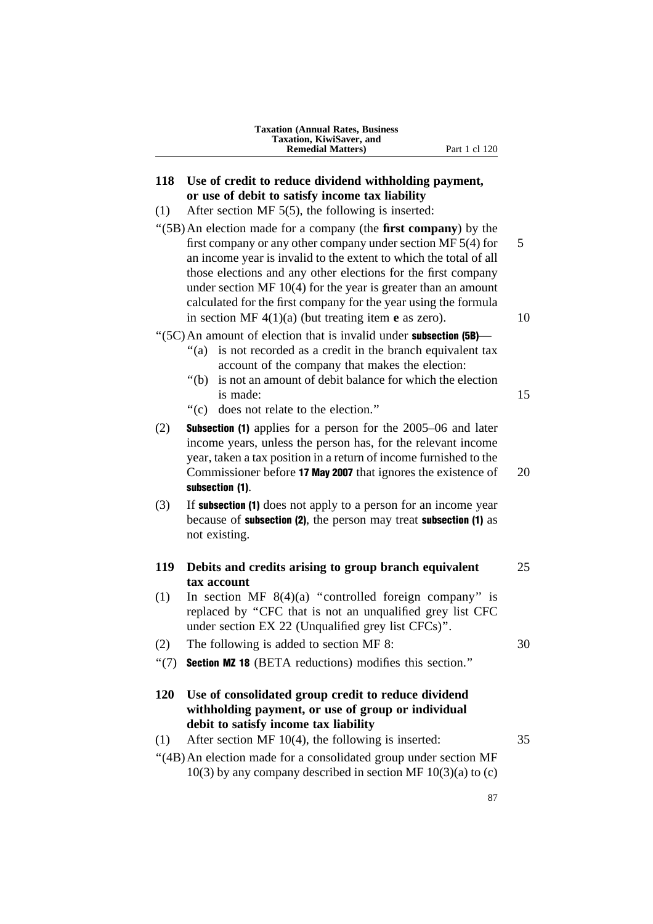| <b>Taxation (Annual Rates, Business)</b> |
|------------------------------------------|
| <b>Taxation, KiwiSaver, and</b>          |
| <b>Remedial Matters</b> )                |

## **118 Use of credit to reduce dividend withholding payment, or use of debit to satisfy income tax liability**

- (1) After section MF 5(5), the following is inserted:
- ''(5B)An election made for a company (the **first company**) by the first company or any other company under section MF  $5(4)$  for 5 an income year is invalid to the extent to which the total of all those elections and any other elections for the first company under section MF 10(4) for the year is greater than an amount calculated for the first company for the year using the formula in section MF  $4(1)(a)$  (but treating item **e** as zero). 10

 $\degree$ (5C) An amount of election that is invalid under **subsection (5B)**—

- "(a) is not recorded as a credit in the branch equivalent tax account of the company that makes the election:
- ''(b) is not an amount of debit balance for which the election is made: 15
- ''(c) does not relate to the election.''
- (2) Subsection (1) applies for a person for the 2005–06 and later income years, unless the person has, for the relevant income year, taken a tax position in a return of income furnished to the Commissioner before **17 May 2007** that ignores the existence of 20 subsection (1).
- (3) If subsection (1) does not apply to a person for an income year because of subsection (2), the person may treat subsection (1) as not existing.

## **119 Debits and credits arising to group branch equivalent** 25 **tax account**

- (1) In section MF  $8(4)(a)$  "controlled foreign company" is replaced by ''CFC that is not an unqualified grey list CFC under section EX 22 (Unqualified grey list CFCs)''.
- (2) The following is added to section MF 8: 30
- ''(7) Section MZ 18 (BETA reductions) modifies this section.''
- **120 Use of consolidated group credit to reduce dividend withholding payment, or use of group or individual debit to satisfy income tax liability**

## (1) After section MF 10(4), the following is inserted: 35 ''(4B)An election made for a consolidated group under section MF  $10(3)$  by any company described in section MF  $10(3)(a)$  to (c)

87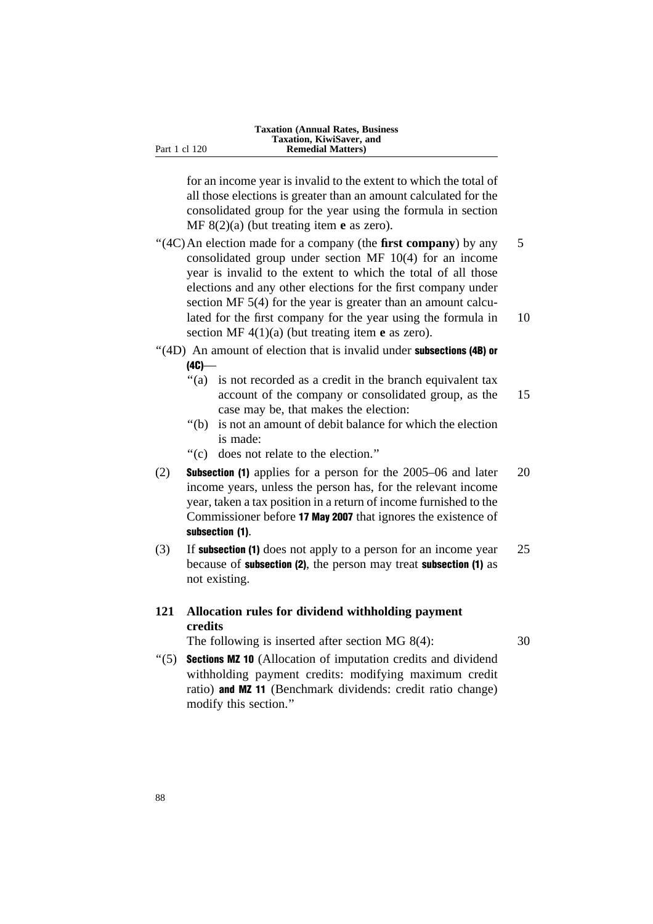for an income year is invalid to the extent to which the total of all those elections is greater than an amount calculated for the consolidated group for the year using the formula in section MF 8(2)(a) (but treating item **e** as zero).

''(4C)An election made for a company (the **first company**) by any 5 consolidated group under section MF 10(4) for an income year is invalid to the extent to which the total of all those elections and any other elections for the first company under section MF 5(4) for the year is greater than an amount calculated for the first company for the year using the formula in 10 section MF 4(1)(a) (but treating item **e** as zero).

- $''(4D)$  An amount of election that is invalid under **subsections (4B) or**  $(4C)$ —
	- "(a) is not recorded as a credit in the branch equivalent tax account of the company or consolidated group, as the 15 case may be, that makes the election:
	- ''(b) is not an amount of debit balance for which the election is made:
	- ''(c) does not relate to the election.''
- (2) Subsection (1) applies for a person for the 2005–06 and later 20 income years, unless the person has, for the relevant income year, taken a tax position in a return of income furnished to the Commissioner before 17 May 2007 that ignores the existence of subsection (1).
- (3) If subsection (1) does not apply to a person for an income year 25 because of subsection (2), the person may treat subsection (1) as not existing.

## **121 Allocation rules for dividend withholding payment credits**

The following is inserted after section MG 8(4): 30

''(5) Sections MZ 10 (Allocation of imputation credits and dividend withholding payment credits: modifying maximum credit ratio) and MZ 11 (Benchmark dividends: credit ratio change) modify this section.''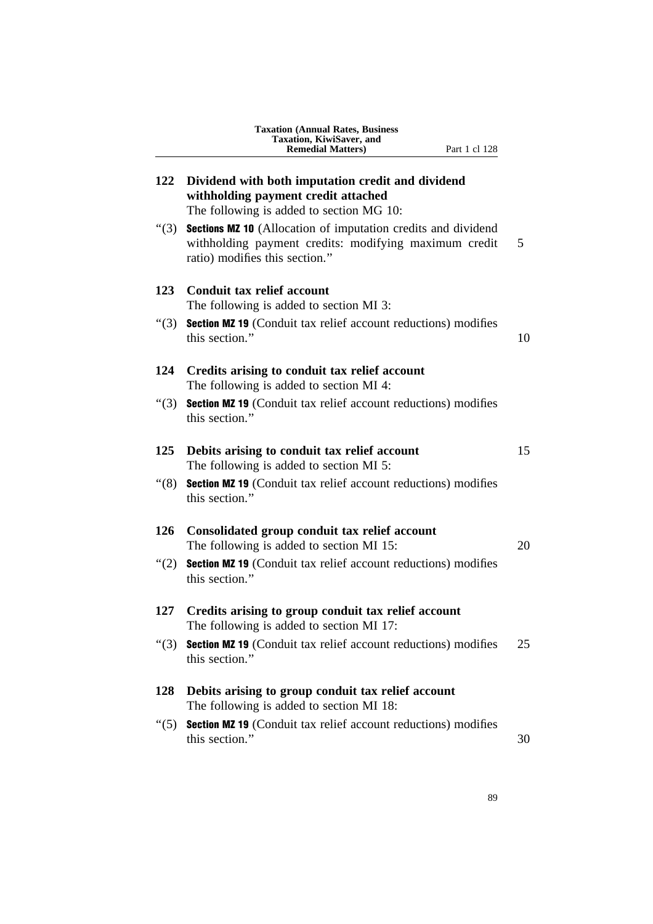|                 | <b>Taxation (Annual Rates, Business</b><br>Taxation, KiwiSaver, and<br><b>Remedial Matters)</b><br>Part 1 cl 128                                                |    |
|-----------------|-----------------------------------------------------------------------------------------------------------------------------------------------------------------|----|
| 122             | Dividend with both imputation credit and dividend<br>withholding payment credit attached<br>The following is added to section MG 10:                            |    |
| " $(3)$         | <b>Sections MZ 10</b> (Allocation of imputation credits and dividend<br>withholding payment credits: modifying maximum credit<br>ratio) modifies this section." | 5  |
| 123             | Conduit tax relief account<br>The following is added to section MI 3:                                                                                           |    |
| (3)             | <b>Section MZ 19</b> (Conduit tax relief account reductions) modifies<br>this section."                                                                         | 10 |
| 124             | Credits arising to conduit tax relief account<br>The following is added to section MI 4:                                                                        |    |
| $\cdot\cdot(3)$ | <b>Section MZ 19</b> (Conduit tax relief account reductions) modifies<br>this section."                                                                         |    |
| 125             | Debits arising to conduit tax relief account<br>The following is added to section MI 5:                                                                         | 15 |
| (8)             | <b>Section MZ 19</b> (Conduit tax relief account reductions) modifies<br>this section."                                                                         |    |
| 126             | Consolidated group conduit tax relief account<br>The following is added to section MI 15:                                                                       | 20 |
| " $(2)$         | Section MZ 19 (Conduit tax relief account reductions) modifies<br>this section."                                                                                |    |
| 127             | Credits arising to group conduit tax relief account<br>The following is added to section MI 17:                                                                 |    |
| $\cdot\cdot(3)$ | <b>Section MZ 19</b> (Conduit tax relief account reductions) modifies<br>this section."                                                                         | 25 |
| <b>128</b>      | Debits arising to group conduit tax relief account<br>The following is added to section MI 18:                                                                  |    |
| $\cdot\cdot(5)$ | <b>Section MZ 19</b> (Conduit tax relief account reductions) modifies<br>this section."                                                                         | 30 |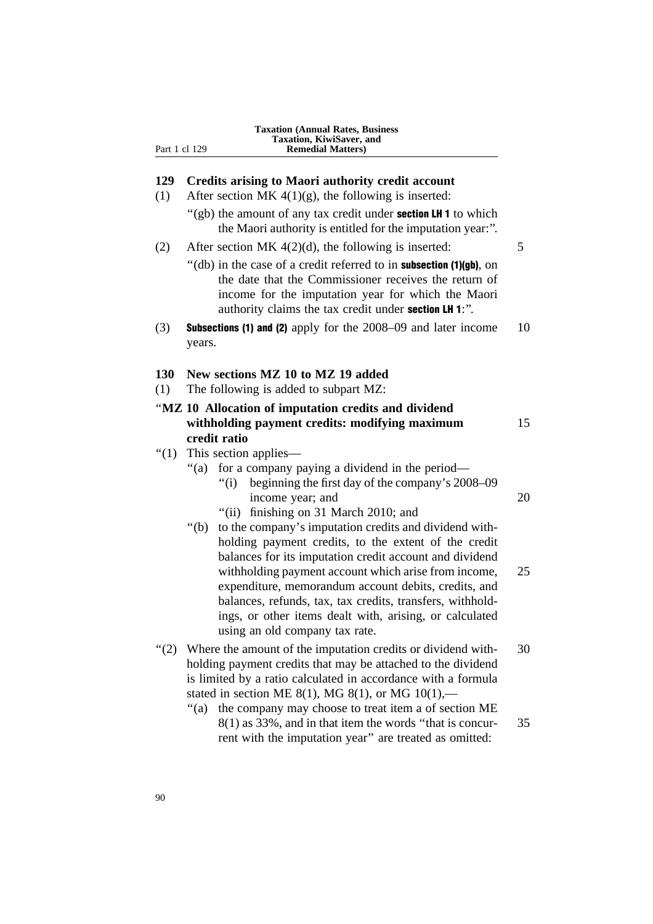| Taxation, KiwiSaver, and<br>Part 1 cl 129<br><b>Remedial Matters</b> ) |                                                                                                                                                                                                                                                                                                                                                                                                                              |    |
|------------------------------------------------------------------------|------------------------------------------------------------------------------------------------------------------------------------------------------------------------------------------------------------------------------------------------------------------------------------------------------------------------------------------------------------------------------------------------------------------------------|----|
|                                                                        |                                                                                                                                                                                                                                                                                                                                                                                                                              |    |
| 129                                                                    | <b>Credits arising to Maori authority credit account</b>                                                                                                                                                                                                                                                                                                                                                                     |    |
| (1)                                                                    | After section MK $4(1)(g)$ , the following is inserted:                                                                                                                                                                                                                                                                                                                                                                      |    |
|                                                                        | "(gb) the amount of any tax credit under <b>section LH 1</b> to which<br>the Maori authority is entitled for the imputation year:".                                                                                                                                                                                                                                                                                          |    |
| (2)                                                                    | After section MK $4(2)(d)$ , the following is inserted:                                                                                                                                                                                                                                                                                                                                                                      | 5  |
|                                                                        | "(db) in the case of a credit referred to in subsection (1)(gb), on<br>the date that the Commissioner receives the return of<br>income for the imputation year for which the Maori<br>authority claims the tax credit under section LH 1:".                                                                                                                                                                                  |    |
| (3)                                                                    | <b>Subsections (1) and (2)</b> apply for the 2008–09 and later income<br>years.                                                                                                                                                                                                                                                                                                                                              | 10 |
| 130                                                                    | New sections MZ 10 to MZ 19 added                                                                                                                                                                                                                                                                                                                                                                                            |    |
| (1)                                                                    | The following is added to subpart MZ:                                                                                                                                                                                                                                                                                                                                                                                        |    |
|                                                                        | "MZ 10 Allocation of imputation credits and dividend                                                                                                                                                                                                                                                                                                                                                                         |    |
|                                                                        | withholding payment credits: modifying maximum                                                                                                                                                                                                                                                                                                                                                                               | 15 |
|                                                                        | credit ratio                                                                                                                                                                                                                                                                                                                                                                                                                 |    |
| " $(1)$                                                                | This section applies—                                                                                                                                                                                                                                                                                                                                                                                                        |    |
|                                                                        | for a company paying a dividend in the period—<br>" $(a)$<br>beginning the first day of the company's 2008–09<br>" $(i)$<br>income year; and                                                                                                                                                                                                                                                                                 | 20 |
|                                                                        | finishing on 31 March 2010; and<br>"(ii)                                                                                                                                                                                                                                                                                                                                                                                     |    |
|                                                                        | to the company's imputation credits and dividend with-<br>" $(b)$<br>holding payment credits, to the extent of the credit<br>balances for its imputation credit account and dividend<br>withholding payment account which arise from income,<br>expenditure, memorandum account debits, credits, and<br>balances, refunds, tax, tax credits, transfers, withhold-<br>ings, or other items dealt with, arising, or calculated | 25 |
|                                                                        | using an old company tax rate.                                                                                                                                                                                                                                                                                                                                                                                               |    |
| " $(2)$                                                                | Where the amount of the imputation credits or dividend with-<br>holding payment credits that may be attached to the dividend<br>is limited by a ratio calculated in accordance with a formula<br>stated in section ME 8(1), MG 8(1), or MG $10(1)$ ,—                                                                                                                                                                        | 30 |
|                                                                        | " $(a)$<br>the company may choose to treat item a of section ME<br>8(1) as 33%, and in that item the words "that is concur-<br>rent with the imputation year" are treated as omitted:                                                                                                                                                                                                                                        | 35 |

**Taxation (Annual Rates, Business**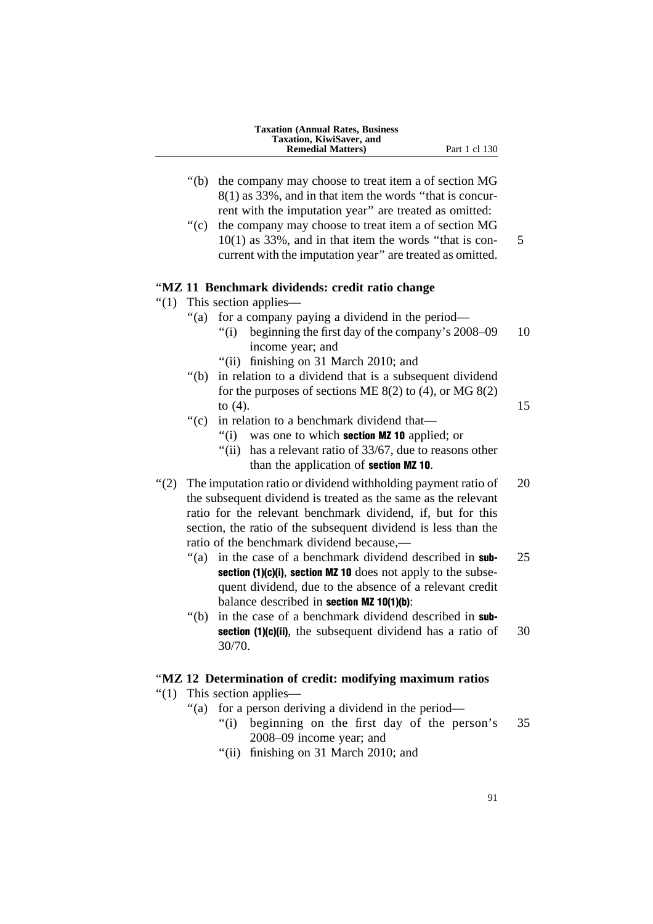|         | <b>Taxation (Annual Rates, Business</b><br>Taxation, KiwiSaver, and                                                                                                                                                                                                                                           |    |
|---------|---------------------------------------------------------------------------------------------------------------------------------------------------------------------------------------------------------------------------------------------------------------------------------------------------------------|----|
|         | <b>Remedial Matters)</b><br>Part 1 cl 130                                                                                                                                                                                                                                                                     |    |
|         | " $(b)$<br>the company may choose to treat item a of section MG<br>8(1) as 33%, and in that item the words "that is concur-                                                                                                                                                                                   |    |
|         | rent with the imputation year" are treated as omitted:<br>" $(c)$<br>the company may choose to treat item a of section MG<br>$10(1)$ as 33%, and in that item the words "that is con-<br>current with the imputation year" are treated as omitted.                                                            | 5  |
|         | "MZ 11 Benchmark dividends: credit ratio change                                                                                                                                                                                                                                                               |    |
| " $(1)$ | This section applies—                                                                                                                                                                                                                                                                                         |    |
|         | for a company paying a dividend in the period—<br>" $(a)$<br>beginning the first day of the company's 2008–09<br>" $(i)$<br>income year; and                                                                                                                                                                  | 10 |
|         | "(ii) finishing on 31 March 2010; and<br>in relation to a dividend that is a subsequent dividend<br>" $(b)$ "<br>for the purposes of sections ME $8(2)$ to (4), or MG $8(2)$                                                                                                                                  |    |
|         | to $(4)$ .<br>$\degree$ (c)<br>in relation to a benchmark dividend that—<br>was one to which section MZ 10 applied; or<br>" $(i)$<br>has a relevant ratio of 33/67, due to reasons other<br>"(ii)<br>than the application of <b>section MZ 10</b> .                                                           | 15 |
| " $(2)$ | The imputation ratio or dividend withholding payment ratio of<br>the subsequent dividend is treated as the same as the relevant<br>ratio for the relevant benchmark dividend, if, but for this<br>section, the ratio of the subsequent dividend is less than the<br>ratio of the benchmark dividend because,— | 20 |
|         | in the case of a benchmark dividend described in sub-<br>"(a)<br>section (1)(c)(i), section MZ 10 does not apply to the subse-<br>quent dividend, due to the absence of a relevant credit<br>balance described in section MZ 10(1)(b):                                                                        | 25 |
|         | "(b) in the case of a benchmark dividend described in sub-<br>section (1)(c)(ii), the subsequent dividend has a ratio of<br>30/70.                                                                                                                                                                            | 30 |
|         | "MZ 12 Determination of credit: modifying maximum ratios                                                                                                                                                                                                                                                      |    |
| " $(1)$ | This section applies—                                                                                                                                                                                                                                                                                         |    |
|         | for a person deriving a dividend in the period—<br>" $(a)$<br>"(i) beginning on the first day of the person's<br>2008-09 income year; and<br>"(ii) finishing on 31 March 2010; and                                                                                                                            | 35 |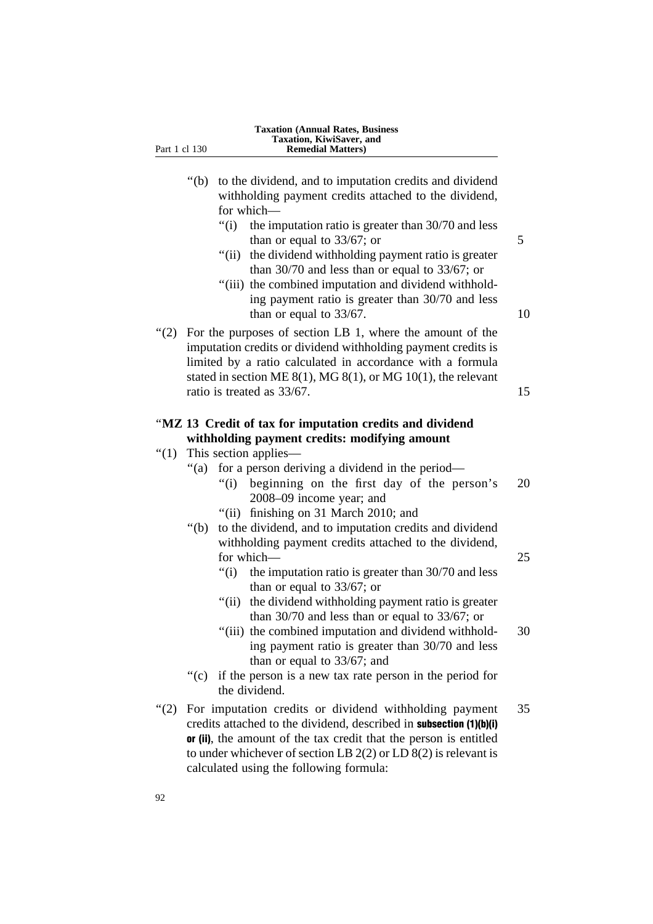| Part 1 cl 130 | Taxation, KiwiSaver, and<br><b>Remedial Matters)</b>                                                                                                                                                                                                                                                                                                                                                                                                                                                   |
|---------------|--------------------------------------------------------------------------------------------------------------------------------------------------------------------------------------------------------------------------------------------------------------------------------------------------------------------------------------------------------------------------------------------------------------------------------------------------------------------------------------------------------|
|               | " $(b)$<br>to the dividend, and to imputation credits and dividend<br>withholding payment credits attached to the dividend,<br>for which-<br>"(i)<br>the imputation ratio is greater than 30/70 and less<br>than or equal to $33/67$ ; or<br>"(ii) the dividend withholding payment ratio is greater<br>than $30/70$ and less than or equal to $33/67$ ; or<br>"(iii) the combined imputation and dividend withhold-<br>ing payment ratio is greater than 30/70 and less<br>than or equal to $33/67$ . |
| (2)           | For the purposes of section LB 1, where the amount of the<br>imputation credits or dividend withholding payment credits is<br>limited by a ratio calculated in accordance with a formula<br>stated in section ME $8(1)$ , MG $8(1)$ , or MG $10(1)$ , the relevant<br>ratio is treated as 33/67.                                                                                                                                                                                                       |
| " $(1)$       | "MZ 13 Credit of tax for imputation credits and dividend<br>withholding payment credits: modifying amount<br>This section applies—                                                                                                                                                                                                                                                                                                                                                                     |
|               | for a person deriving a dividend in the period—<br>" $(a)$<br>"(i) beginning on the first day of the person's<br>2008-09 income year; and<br>"(ii) finishing on 31 March 2010; and                                                                                                                                                                                                                                                                                                                     |
|               | " $(b)$<br>to the dividend, and to imputation credits and dividend<br>withholding payment credits attached to the dividend,<br>for which-<br>the imputation ratio is greater than 30/70 and less<br>" $(i)$<br>than or equal to $33/67$ ; or<br>" $(ii)$<br>the dividend withholding payment ratio is greater                                                                                                                                                                                          |
|               | than $30/70$ and less than or equal to $33/67$ ; or<br>"(iii) the combined imputation and dividend withhold-<br>ing payment ratio is greater than 30/70 and less<br>than or equal to $33/67$ ; and<br>``(c)<br>if the person is a new tax rate person in the period for                                                                                                                                                                                                                                |
| " $(2)$       | the dividend.<br>For imputation credits or dividend withholding payment<br>credits attached to the dividend, described in <b>subsection</b> (1)(b)(i)<br>or (ii), the amount of the tax credit that the person is entitled<br>to under whichever of section LB $2(2)$ or LD $8(2)$ is relevant is<br>calculated using the following formula:                                                                                                                                                           |

**Taxation (Annual Rates, Business**

92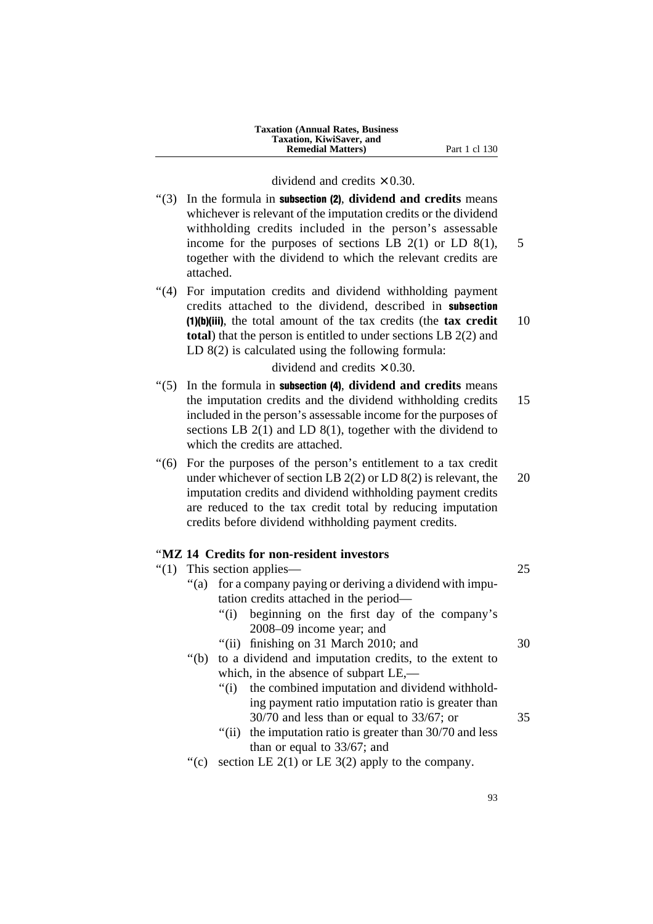**Taxation (Annual Rates, Business Taxation, KiwiSaver, and Remedial Matters**) Part 1 cl 130

#### dividend and credits  $\times$  0.30.

- ''(3) In the formula in subsection (2), **dividend and credits** means whichever is relevant of the imputation credits or the dividend withholding credits included in the person's assessable income for the purposes of sections LB  $2(1)$  or LD  $8(1)$ , 5 together with the dividend to which the relevant credits are attached. "(4) For imputation credits and dividend withholding payment credits attached to the dividend, described in subsection (1)(b)(iii), the total amount of the tax credits (the **tax credit** 10 **total**) that the person is entitled to under sections LB 2(2) and LD 8(2) is calculated using the following formula: dividend and credits  $\times$  0.30. ''(5) In the formula in subsection (4), **dividend and credits** means the imputation credits and the dividend withholding credits 15 included in the person's assessable income for the purposes of sections LB 2(1) and LD 8(1), together with the dividend to which the credits are attached. ''(6) For the purposes of the person's entitlement to a tax credit under whichever of section LB  $2(2)$  or LD  $8(2)$  is relevant, the 20 imputation credits and dividend withholding payment credits are reduced to the tax credit total by reducing imputation credits before dividend withholding payment credits. ''**MZ 14 Credits for non-resident investors**  $''(1)$  This section applies— 25 "(a) for a company paying or deriving a dividend with imputation credits attached in the period— ''(i) beginning on the first day of the company's 2008–09 income year; and "(ii) finishing on 31 March 2010; and  $30$ ''(b) to a dividend and imputation credits, to the extent to which, in the absence of subpart LE,— "(i) the combined imputation and dividend withholding payment ratio imputation ratio is greater than 30/70 and less than or equal to 33/67; or 35 "(ii) the imputation ratio is greater than 30/70 and less than or equal to 33/67; and "(c) section LE  $2(1)$  or LE  $3(2)$  apply to the company.
	- 93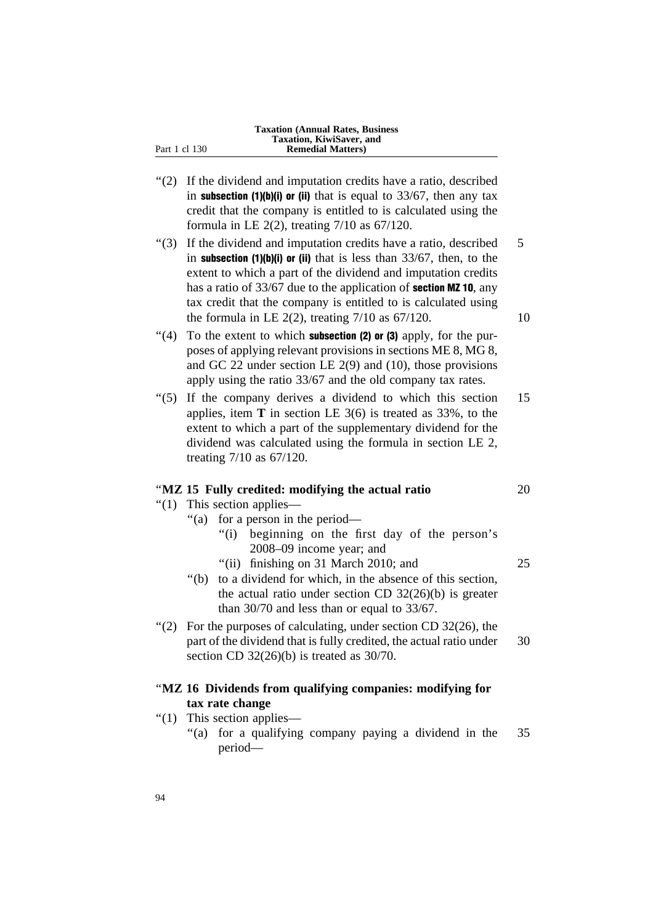|               | <b>Taxation (Annual Rates, Business)</b><br>Taxation, KiwiSaver, and |
|---------------|----------------------------------------------------------------------|
| Part 1 cl 130 | <b>Remedial Matters</b> )                                            |

- ''(2) If the dividend and imputation credits have a ratio, described in subsection  $(1)(b)(i)$  or (ii) that is equal to 33/67, then any tax credit that the company is entitled to is calculated using the formula in LE 2(2), treating 7/10 as 67/120.
- $\degree$ (3) If the dividend and imputation credits have a ratio, described  $\frac{5}{5}$ in **subsection (1)(b)(i) or (ii)** that is less than  $33/67$ , then, to the extent to which a part of the dividend and imputation credits has a ratio of 33/67 due to the application of **section MZ 10**, any tax credit that the company is entitled to is calculated using the formula in LE  $2(2)$ , treating  $7/10$  as  $67/120$ . 10
- $''(4)$  To the extent to which **subsection (2) or (3)** apply, for the purposes of applying relevant provisions in sections ME 8, MG 8, and GC 22 under section LE 2(9) and (10), those provisions apply using the ratio 33/67 and the old company tax rates.
- "(5) If the company derives a dividend to which this section 15 applies, item **T** in section LE 3(6) is treated as 33%, to the extent to which a part of the supplementary dividend for the dividend was calculated using the formula in section LE 2, treating 7/10 as 67/120.

#### ''**MZ 15 Fully credited: modifying the actual ratio** 20

## ''(1) This section applies—

- ''(a) for a person in the period—
	- ''(i) beginning on the first day of the person's 2008–09 income year; and
	- "(ii) finishing on 31 March 2010; and  $25$
- ''(b) to a dividend for which, in the absence of this section, the actual ratio under section CD  $32(26)(b)$  is greater than 30/70 and less than or equal to 33/67.
- $(2)$  For the purposes of calculating, under section CD 32(26), the part of the dividend that is fully credited, the actual ratio under 30 section CD 32(26)(b) is treated as 30/70.

## ''**MZ 16 Dividends from qualifying companies: modifying for tax rate change**

- ''(1) This section applies—
	- ''(a) for a qualifying company paying a dividend in the 35 period—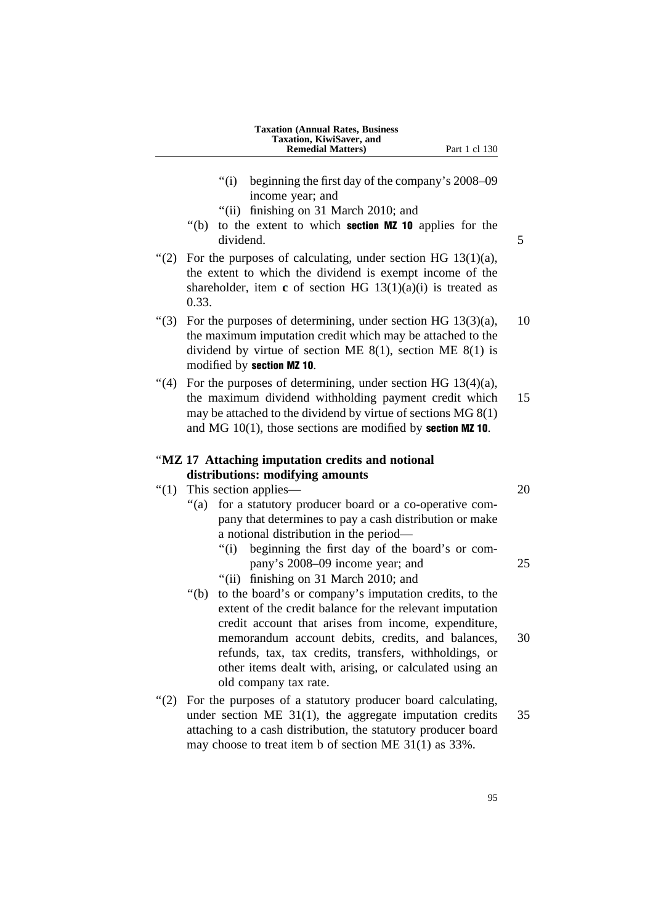| <b>Taxation (Annual Rates, Business)</b> |
|------------------------------------------|
| Taxation, KiwiSaver, and                 |
| <b>Remedial Matters</b> )                |

- ''(i) beginning the first day of the company's 2008–09 income year; and
- ''(ii) finishing on 31 March 2010; and
- ''(b) to the extent to which section MZ 10 applies for the dividend. 5
- "(2) For the purposes of calculating, under section HG  $13(1)(a)$ , the extent to which the dividend is exempt income of the shareholder, item **c** of section HG 13(1)(a)(i) is treated as 0.33.
- $\degree$ (3) For the purposes of determining, under section HG 13(3)(a), 10 the maximum imputation credit which may be attached to the dividend by virtue of section ME  $8(1)$ , section ME  $8(1)$  is modified by section MZ 10.
- $\lq(4)$  For the purposes of determining, under section HG 13(4)(a), the maximum dividend withholding payment credit which 15 may be attached to the dividend by virtue of sections MG 8(1) and MG  $10(1)$ , those sections are modified by **section MZ 10**.

## ''**MZ 17 Attaching imputation credits and notional distributions: modifying amounts**

- $''(1)$  This section applies— 20
	- "(a) for a statutory producer board or a co-operative company that determines to pay a cash distribution or make a notional distribution in the period—
		- ''(i) beginning the first day of the board's or company's 2008–09 income year; and 25
		- ''(ii) finishing on 31 March 2010; and
	- ''(b) to the board's or company's imputation credits, to the extent of the credit balance for the relevant imputation credit account that arises from income, expenditure, memorandum account debits, credits, and balances, 30 refunds, tax, tax credits, transfers, withholdings, or other items dealt with, arising, or calculated using an old company tax rate.
- "(2) For the purposes of a statutory producer board calculating, under section ME  $31(1)$ , the aggregate imputation credits  $35$ attaching to a cash distribution, the statutory producer board may choose to treat item b of section ME 31(1) as 33%.

**Part 1 cl 130**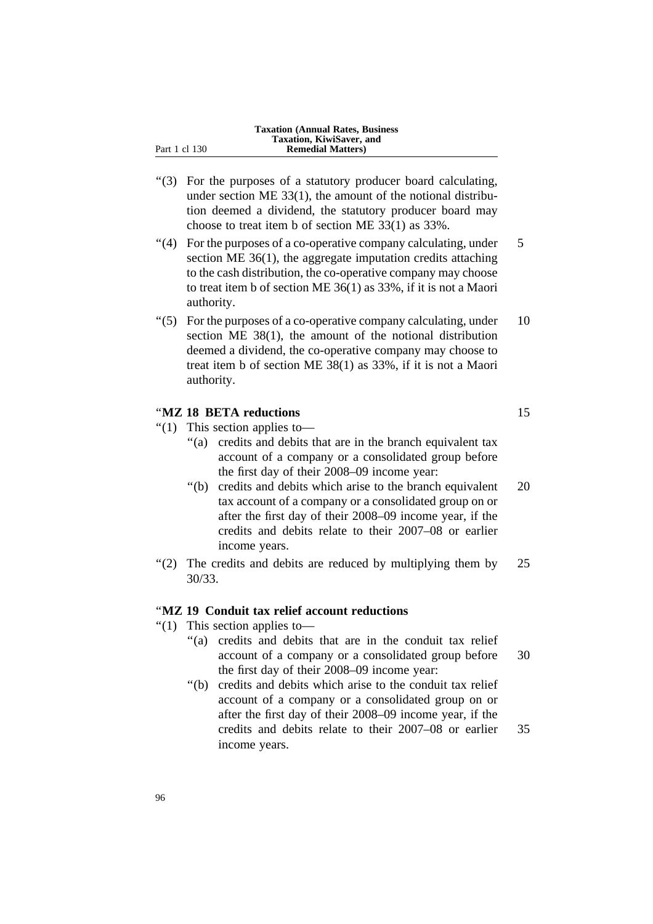|               | Taxation, KiwiSaver, and  |
|---------------|---------------------------|
| Part 1 cl 130 | <b>Remedial Matters</b> ) |

''(3) For the purposes of a statutory producer board calculating, under section ME 33(1), the amount of the notional distribution deemed a dividend, the statutory producer board may choose to treat item b of section ME 33(1) as 33%.

**Taxation (Annual Rates, Business**

- $\degree$ (4) For the purposes of a co-operative company calculating, under 5 section ME 36(1), the aggregate imputation credits attaching to the cash distribution, the co-operative company may choose to treat item b of section ME 36(1) as 33%, if it is not a Maori authority.
- $\degree$ (5) For the purposes of a co-operative company calculating, under 10 section ME 38(1), the amount of the notional distribution deemed a dividend, the co-operative company may choose to treat item b of section ME 38(1) as 33%, if it is not a Maori authority.

## ''**MZ 18 BETA reductions** 15

- ''(1) This section applies to—
	- "(a) credits and debits that are in the branch equivalent tax account of a company or a consolidated group before the first day of their 2008–09 income year:
	- ''(b) credits and debits which arise to the branch equivalent 20 tax account of a company or a consolidated group on or after the first day of their 2008–09 income year, if the credits and debits relate to their 2007–08 or earlier income years.
- "(2) The credits and debits are reduced by multiplying them by  $25$ 30/33.

## ''**MZ 19 Conduit tax relief account reductions**

- ''(1) This section applies to—
	- ''(a) credits and debits that are in the conduit tax relief account of a company or a consolidated group before 30 the first day of their 2008–09 income year:
	- ''(b) credits and debits which arise to the conduit tax relief account of a company or a consolidated group on or after the first day of their 2008–09 income year, if the credits and debits relate to their 2007–08 or earlier 35 income years.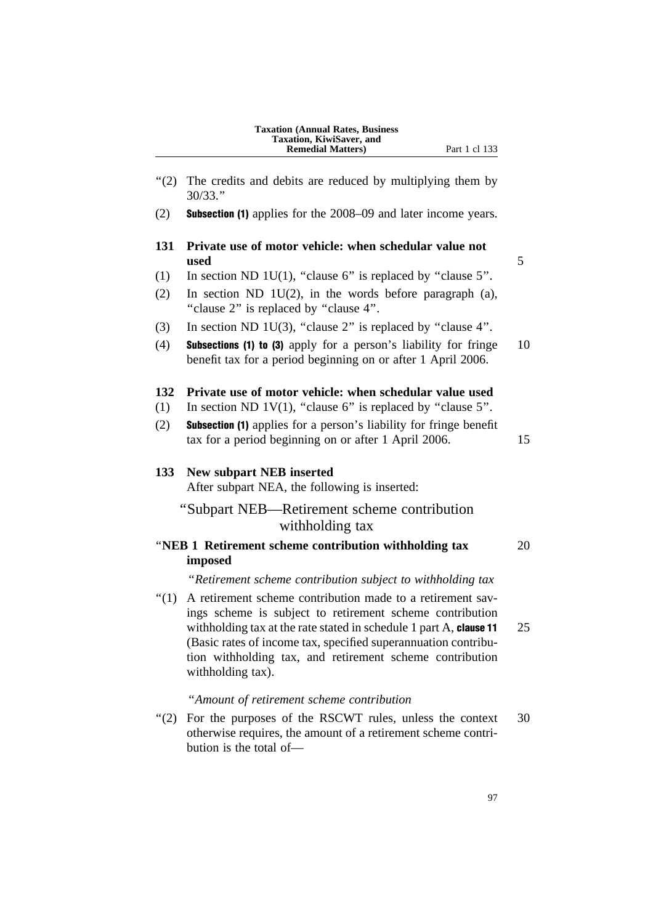| <b>Taxation (Annual Rates, Business)</b> |
|------------------------------------------|
| <b>Taxation, KiwiSaver, and</b>          |
| <b>Remedial Matters</b> )                |

"(2) The credits and debits are reduced by multiplying them by 30/33.'' (2) Subsection (1) applies for the 2008–09 and later income years. **131 Private use of motor vehicle: when schedular value not used** 5 (1) In section ND 1U(1), "clause 6" is replaced by "clause 5". (2) In section ND 1U(2), in the words before paragraph (a), "clause 2" is replaced by "clause 4". (3) In section ND 1U(3), "clause 2" is replaced by "clause 4". (4) Subsections (1) to (3) apply for a person's liability for fringe 10 benefit tax for a period beginning on or after 1 April 2006. **132 Private use of motor vehicle: when schedular value used** (1) In section ND 1V(1), "clause  $6$ " is replaced by "clause  $5$ ". (2) Subsection (1) applies for a person's liability for fringe benefit tax for a period beginning on or after 1 April 2006. 15 **133 New subpart NEB inserted** After subpart NEA, the following is inserted: ''Subpart NEB—Retirement scheme contribution withholding tax ''**NEB 1 Retirement scheme contribution withholding tax** 20 **imposed** ''*Retirement scheme contribution subject to withholding tax* ''(1) A retirement scheme contribution made to a retirement savings scheme is subject to retirement scheme contribution withholding tax at the rate stated in schedule 1 part A, clause  $11 \t 25$ (Basic rates of income tax, specified superannuation contribution withholding tax, and retirement scheme contribution withholding tax).

''*Amount of retirement scheme contribution*

"(2) For the purposes of the RSCWT rules, unless the context 30 otherwise requires, the amount of a retirement scheme contribution is the total of—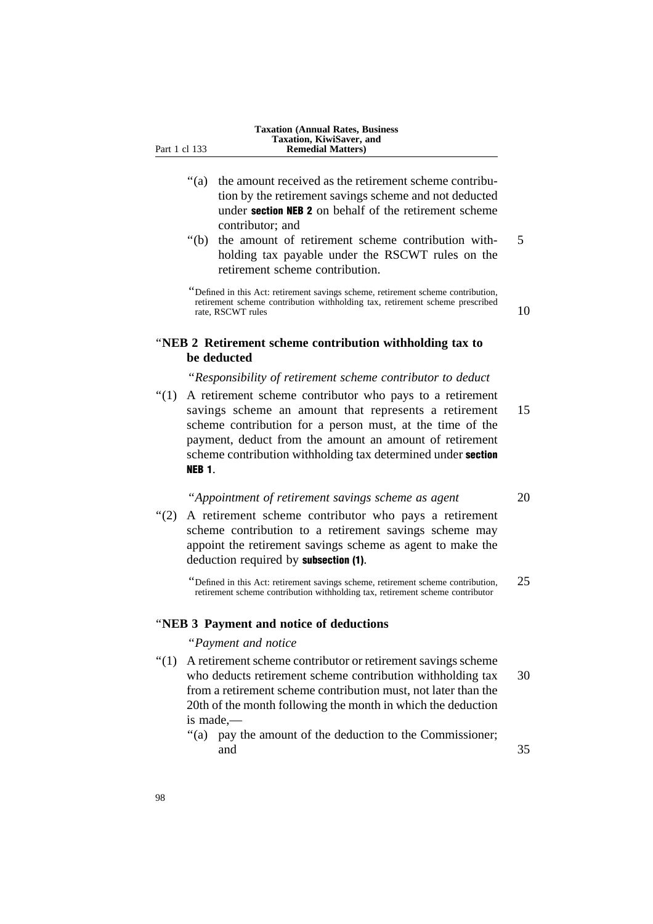- ''(a) the amount received as the retirement scheme contribution by the retirement savings scheme and not deducted under section NEB 2 on behalf of the retirement scheme contributor; and
- ''(b) the amount of retirement scheme contribution with- 5 holding tax payable under the RSCWT rules on the retirement scheme contribution.

''Defined in this Act: retirement savings scheme, retirement scheme contribution, retirement scheme contribution withholding tax, retirement scheme prescribed rate, RSCWT rules  $\frac{10}{3}$  and  $\frac{10}{3}$  and  $\frac{10}{3}$  and  $\frac{10}{3}$ 

## ''**NEB 2 Retirement scheme contribution withholding tax to be deducted**

## ''*Responsibility of retirement scheme contributor to deduct*

"(1) A retirement scheme contributor who pays to a retirement savings scheme an amount that represents a retirement 15 scheme contribution for a person must, at the time of the payment, deduct from the amount an amount of retirement scheme contribution withholding tax determined under **section** NEB 1.

## ''*Appointment of retirement savings scheme as agent* 20

''(2) A retirement scheme contributor who pays a retirement scheme contribution to a retirement savings scheme may appoint the retirement savings scheme as agent to make the deduction required by subsection (1).

''Defined in this Act: retirement savings scheme, retirement scheme contribution, 25 retirement scheme contribution withholding tax, retirement scheme contributor

## ''**NEB 3 Payment and notice of deductions**

#### ''*Payment and notice*

- ''(1) A retirement scheme contributor or retirement savings scheme who deducts retirement scheme contribution withholding tax 30 from a retirement scheme contribution must, not later than the 20th of the month following the month in which the deduction is made,—
	- ''(a) pay the amount of the deduction to the Commissioner; and 35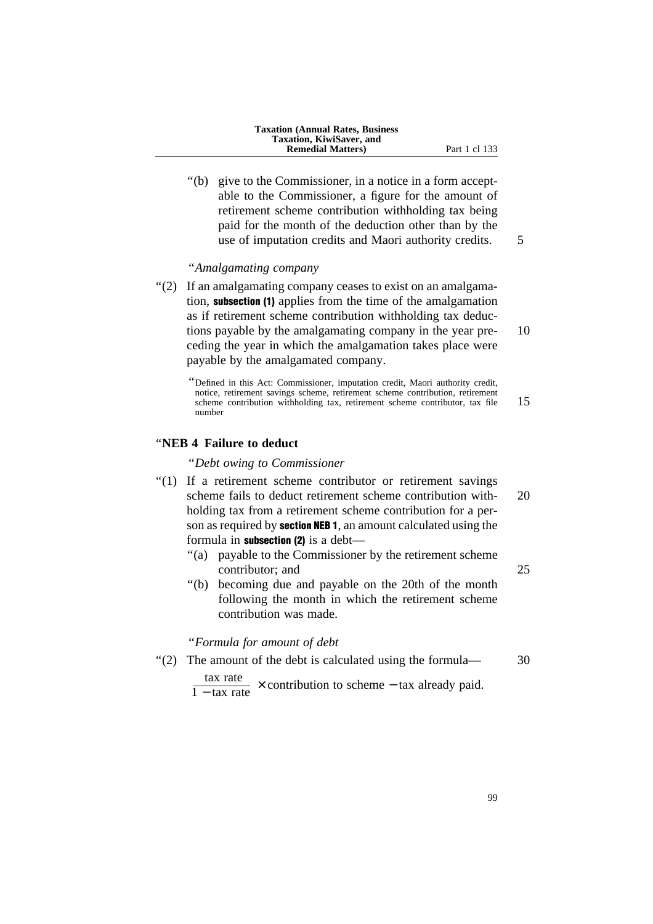| <b>Taxation (Annual Rates, Business)</b> |
|------------------------------------------|
| Taxation, KiwiSaver, and                 |
| <b>Remedial Matters</b> )                |

''(b) give to the Commissioner, in a notice in a form acceptable to the Commissioner, a figure for the amount of retirement scheme contribution withholding tax being paid for the month of the deduction other than by the use of imputation credits and Maori authority credits. 5

#### ''*Amalgamating company*

''(2) If an amalgamating company ceases to exist on an amalgamation, subsection (1) applies from the time of the amalgamation as if retirement scheme contribution withholding tax deductions payable by the amalgamating company in the year pre- 10 ceding the year in which the amalgamation takes place were payable by the amalgamated company.

''Defined in this Act: Commissioner, imputation credit, Maori authority credit, notice, retirement savings scheme, retirement scheme contribution, retirement scheme contribution withholding tax, retirement scheme contributor, tax file 15 number

## ''**NEB 4 Failure to deduct**

''*Debt owing to Commissioner*

- "(1) If a retirement scheme contributor or retirement savings scheme fails to deduct retirement scheme contribution with- 20 holding tax from a retirement scheme contribution for a person as required by **section NEB 1**, an amount calculated using the formula in subsection  $(2)$  is a debt-
	- ''(a) payable to the Commissioner by the retirement scheme contributor; and 25
	- ''(b) becoming due and payable on the 20th of the month following the month in which the retirement scheme contribution was made.

''*Formula for amount of debt*

- ''(2) The amount of the debt is calculated using the formula— 30
	- $\frac{\text{tax rate}}{1 \text{tax rate}}$  × contribution to scheme tax already paid.
- 99

**Part 1 cl 133**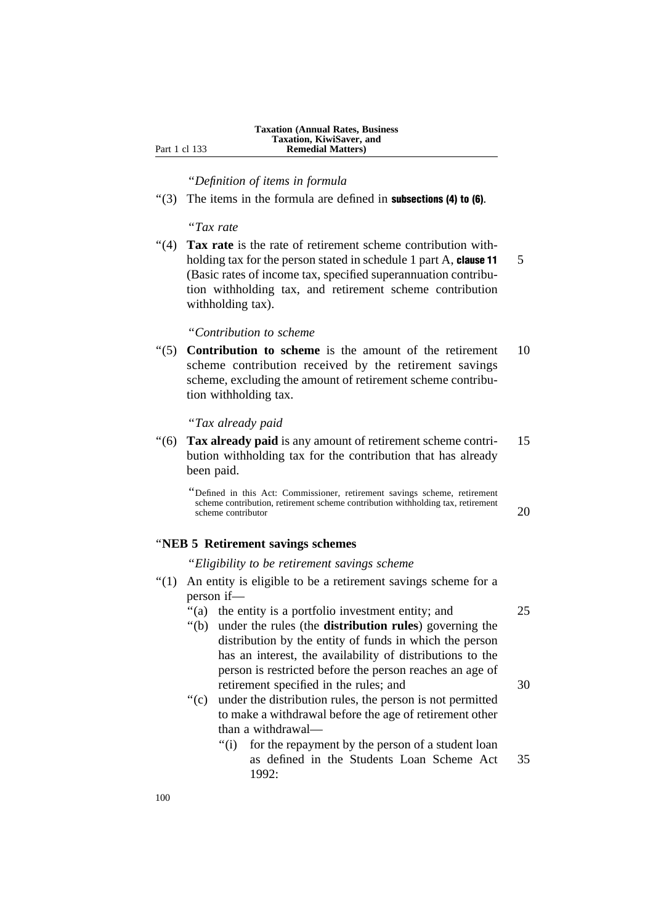''*Definition of items in formula*

 $\cdot$ (3) The items in the formula are defined in **subsections (4) to (6)**.

''*Tax rate*

"(4) **Tax rate** is the rate of retirement scheme contribution withholding tax for the person stated in schedule 1 part A, clause  $11 \quad 5$ (Basic rates of income tax, specified superannuation contribution withholding tax, and retirement scheme contribution withholding tax).

## ''*Contribution to scheme*

''(5) **Contribution to scheme** is the amount of the retirement 10 scheme contribution received by the retirement savings scheme, excluding the amount of retirement scheme contribution withholding tax.

#### ''*Tax already paid*

''(6) **Tax already paid** is any amount of retirement scheme contri- 15 bution withholding tax for the contribution that has already been paid.

''Defined in this Act: Commissioner, retirement savings scheme, retirement scheme contribution, retirement scheme contribution withholding tax, retirement scheme contributor 20

#### ''**NEB 5 Retirement savings schemes**

''*Eligibility to be retirement savings scheme*

- ''(1) An entity is eligible to be a retirement savings scheme for a person if—
	- "(a) the entity is a portfolio investment entity; and 25
	- ''(b) under the rules (the **distribution rules**) governing the distribution by the entity of funds in which the person has an interest, the availability of distributions to the person is restricted before the person reaches an age of retirement specified in the rules; and  $30$
	- "(c) under the distribution rules, the person is not permitted to make a withdrawal before the age of retirement other than a withdrawal—
		- ''(i) for the repayment by the person of a student loan as defined in the Students Loan Scheme Act 35 1992: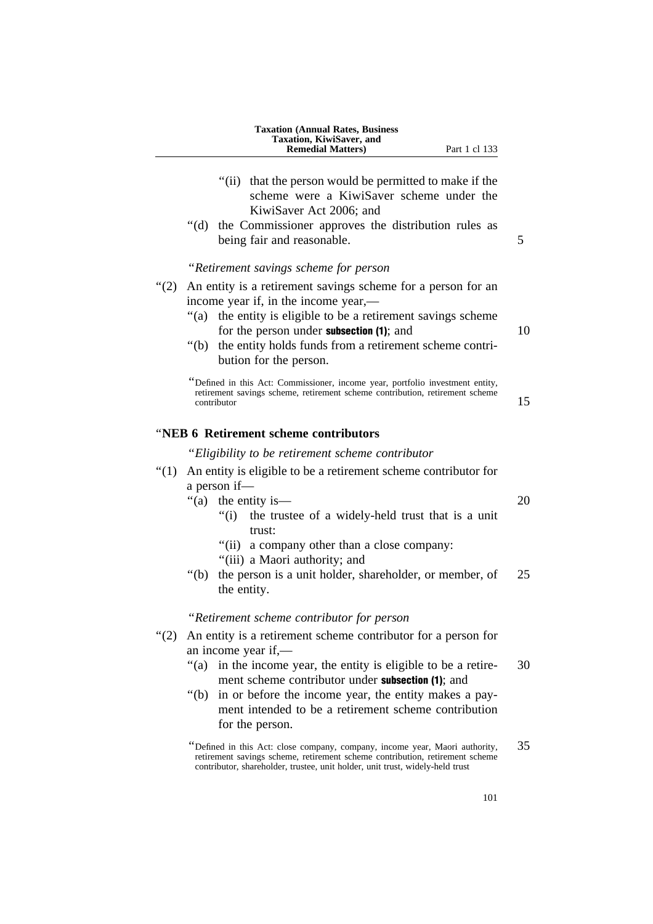|         | <b>Taxation (Annual Rates, Business)</b><br>Taxation, KiwiSaver, and<br><b>Remedial Matters</b> )<br>Part 1 cl 133                                                                                                                           |    |
|---------|----------------------------------------------------------------------------------------------------------------------------------------------------------------------------------------------------------------------------------------------|----|
|         | "(ii) that the person would be permitted to make if the<br>scheme were a KiwiSaver scheme under the<br>KiwiSaver Act 2006; and<br>"(d) the Commissioner approves the distribution rules as                                                   |    |
|         | being fair and reasonable.                                                                                                                                                                                                                   | 5  |
|         | "Retirement savings scheme for person                                                                                                                                                                                                        |    |
| " $(2)$ | An entity is a retirement savings scheme for a person for an<br>income year if, in the income year,—<br>"(a) the entity is eligible to be a retirement savings scheme                                                                        |    |
|         | for the person under <b>subsection</b> (1); and                                                                                                                                                                                              | 10 |
|         | "(b) the entity holds funds from a retirement scheme contri-<br>bution for the person.                                                                                                                                                       |    |
|         | Defined in this Act: Commissioner, income year, portfolio investment entity,<br>retirement savings scheme, retirement scheme contribution, retirement scheme<br>contributor                                                                  | 15 |
|         | "NEB 6 Retirement scheme contributors                                                                                                                                                                                                        |    |
|         | "Eligibility to be retirement scheme contributor"                                                                                                                                                                                            |    |
| " $(1)$ | An entity is eligible to be a retirement scheme contributor for                                                                                                                                                                              |    |
|         | a person if-                                                                                                                                                                                                                                 |    |
|         | "(a)<br>the entity is—<br>"(i) the trustee of a widely-held trust that is a unit<br>trust:                                                                                                                                                   | 20 |
|         | "(ii) a company other than a close company:                                                                                                                                                                                                  |    |
|         | "(iii) a Maori authority; and<br>the person is a unit holder, shareholder, or member, of<br>" $(b)$<br>the entity.                                                                                                                           | 25 |
|         | "Retirement scheme contributor for person                                                                                                                                                                                                    |    |
| " $(2)$ | An entity is a retirement scheme contributor for a person for<br>an income year if,—                                                                                                                                                         |    |
|         | in the income year, the entity is eligible to be a retire-<br>" $(a)$<br>ment scheme contributor under <b>subsection</b> (1); and                                                                                                            | 30 |
|         | " $(b)$<br>in or before the income year, the entity makes a pay-<br>ment intended to be a retirement scheme contribution<br>for the person.                                                                                                  |    |
|         | "Defined in this Act: close company, company, income year, Maori authority,<br>retirement savings scheme, retirement scheme contribution, retirement scheme<br>contributor, shareholder, trustee, unit holder, unit trust, widely-held trust | 35 |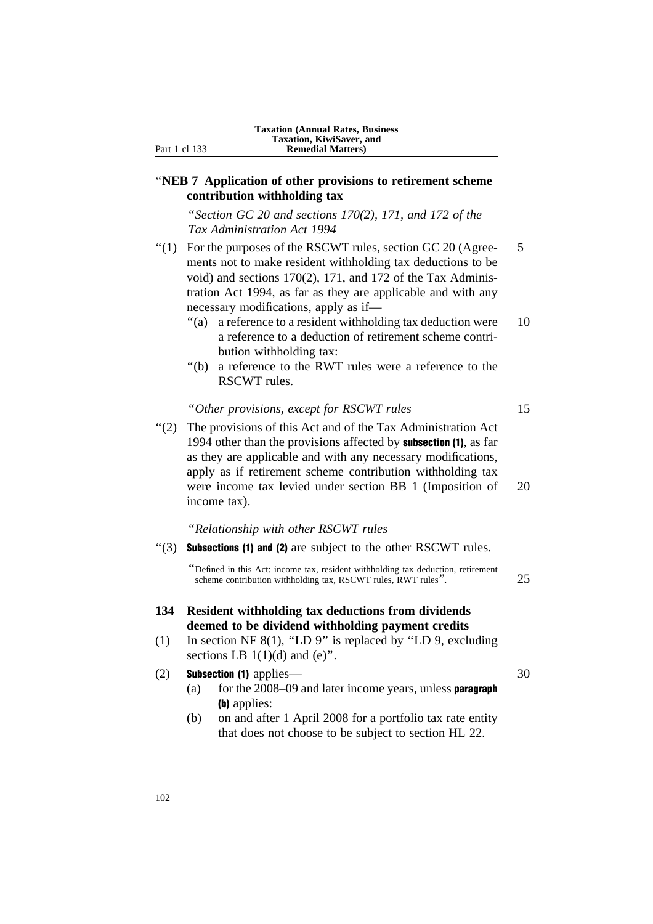## ''**NEB 7 Application of other provisions to retirement scheme contribution withholding tax**

''*Section GC 20 and sections 170(2), 171, and 172 of the Tax Administration Act 1994*

- $\degree$ (1) For the purposes of the RSCWT rules, section GC 20 (Agree- 5 ments not to make resident withholding tax deductions to be void) and sections 170(2), 171, and 172 of the Tax Administration Act 1994, as far as they are applicable and with any necessary modifications, apply as if—
	- ''(a) a reference to a resident withholding tax deduction were 10 a reference to a deduction of retirement scheme contribution withholding tax:
	- ''(b) a reference to the RWT rules were a reference to the RSCWT rules.

#### ''*Other provisions, except for RSCWT rules* 15

''(2) The provisions of this Act and of the Tax Administration Act 1994 other than the provisions affected by subsection (1), as far as they are applicable and with any necessary modifications, apply as if retirement scheme contribution withholding tax were income tax levied under section BB 1 (Imposition of 20 income tax).

''*Relationship with other RSCWT rules*

 $\cdot$ (3) Subsections (1) and (2) are subject to the other RSCWT rules.

''Defined in this Act: income tax, resident withholding tax deduction, retirement scheme contribution withholding tax, RSCWT rules, RWT rules''. 25

## **134 Resident withholding tax deductions from dividends deemed to be dividend withholding payment credits**

(1) In section NF 8(1), ''LD 9'' is replaced by ''LD 9, excluding sections LB  $1(1)(d)$  and  $(e)$ ".

#### (2) Subsection (1) applies— 30

- (a) for the  $2008-09$  and later income years, unless **paragraph** (b) applies:
- (b) on and after 1 April 2008 for a portfolio tax rate entity that does not choose to be subject to section HL 22.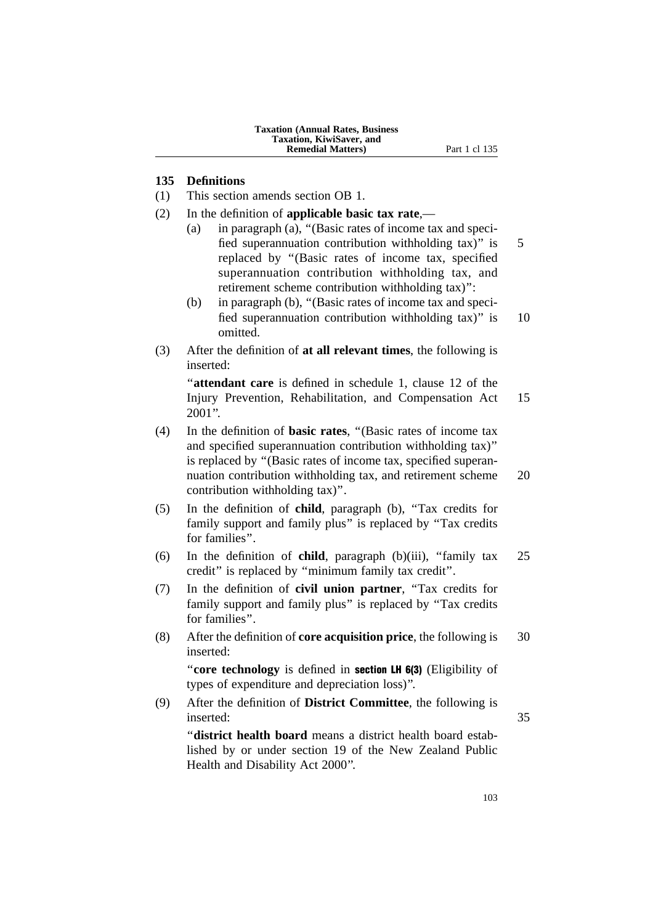## **135 Definitions**

- (1) This section amends section OB 1.
- (2) In the definition of **applicable basic tax rate**,—
	- (a) in paragraph (a), ''(Basic rates of income tax and specified superannuation contribution withholding  $\text{tax}$ )" is 5 replaced by ''(Basic rates of income tax, specified superannuation contribution withholding tax, and retirement scheme contribution withholding tax)'':
	- (b) in paragraph (b), ''(Basic rates of income tax and specified superannuation contribution withholding tax)" is 10 omitted.
- (3) After the definition of **at all relevant times**, the following is inserted:

"**attendant care** is defined in schedule 1, clause 12 of the Injury Prevention, Rehabilitation, and Compensation Act 15  $2001$ ".

- (4) In the definition of **basic rates**, ''(Basic rates of income tax and specified superannuation contribution withholding tax)'' is replaced by ''(Basic rates of income tax, specified superannuation contribution withholding tax, and retirement scheme 20 contribution withholding tax)''.
- (5) In the definition of **child**, paragraph (b), ''Tax credits for family support and family plus" is replaced by "Tax credits for families''.
- (6) In the definition of **child**, paragraph (b)(iii), ''family tax 25 credit'' is replaced by ''minimum family tax credit''.
- (7) In the definition of **civil union partner**, ''Tax credits for family support and family plus" is replaced by "Tax credits for families''.
- (8) After the definition of **core acquisition price**, the following is 30 inserted:

''**core technology** is defined in section LH 6(3) (Eligibility of types of expenditure and depreciation loss)''.

(9) After the definition of **District Committee**, the following is inserted: 35 ''**district health board** means a district health board estab-

lished by or under section 19 of the New Zealand Public Health and Disability Act 2000''.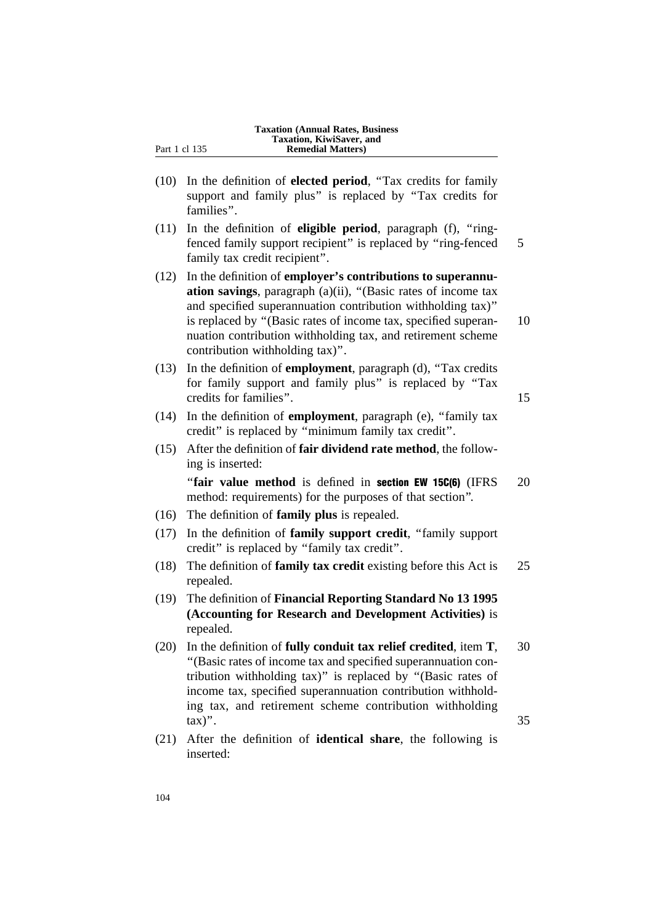- (10) In the definition of **elected period**, ''Tax credits for family support and family plus'' is replaced by ''Tax credits for families''.
- (11) In the definition of **eligible period**, paragraph (f), ''ringfenced family support recipient" is replaced by "ring-fenced 5 family tax credit recipient''.
- (12) In the definition of **employer's contributions to superannuation savings**, paragraph (a)(ii), ''(Basic rates of income tax and specified superannuation contribution withholding tax)'' is replaced by ''(Basic rates of income tax, specified superan- 10 nuation contribution withholding tax, and retirement scheme contribution withholding tax)''.
- (13) In the definition of **employment**, paragraph (d), ''Tax credits for family support and family plus'' is replaced by ''Tax credits for families". 15
- (14) In the definition of **employment**, paragraph (e), ''family tax credit'' is replaced by ''minimum family tax credit''.
- (15) After the definition of **fair dividend rate method**, the following is inserted:

"fair value method is defined in section EW 15C(6) (IFRS 20 method: requirements) for the purposes of that section''.

- (16) The definition of **family plus** is repealed.
- (17) In the definition of **family support credit**, ''family support credit'' is replaced by ''family tax credit''.
- (18) The definition of **family tax credit** existing before this Act is 25 repealed.
- (19) The definition of **Financial Reporting Standard No 13 1995 (Accounting for Research and Development Activities)** is repealed.
- (20) In the definition of **fully conduit tax relief credited**, item **T**, 30 ''(Basic rates of income tax and specified superannuation contribution withholding tax)'' is replaced by ''(Basic rates of income tax, specified superannuation contribution withholding tax, and retirement scheme contribution withholding  $\text{tax})$ ". 35
- (21) After the definition of **identical share**, the following is inserted: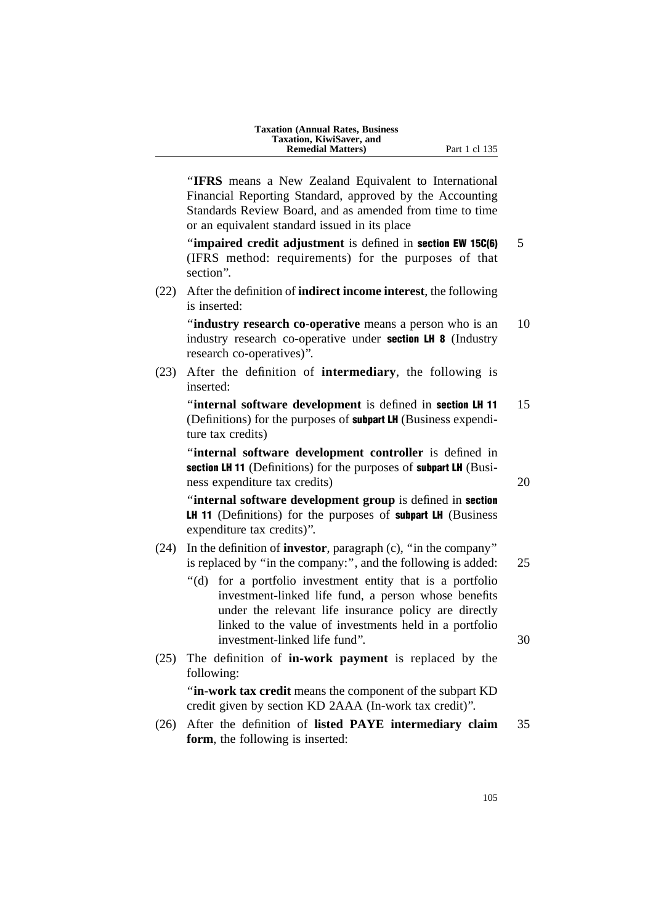| <b>Taxation (Annual Rates, Business)</b> |
|------------------------------------------|
| Taxation, KiwiSaver, and                 |
| <b>Remedial Matters</b> )                |

''**IFRS** means a New Zealand Equivalent to International Financial Reporting Standard, approved by the Accounting Standards Review Board, and as amended from time to time or an equivalent standard issued in its place

**"impaired credit adjustment** is defined in **section EW 15C(6)** 5 (IFRS method: requirements) for the purposes of that section''.

(22) After the definition of **indirect income interest**, the following is inserted:

**"industry research co-operative** means a person who is an 10 industry research co-operative under **section LH 8** (Industry research co-operatives)''.

(23) After the definition of **intermediary**, the following is inserted:

"internal software development is defined in section LH 11 15 (Definitions) for the purposes of **subpart LH** (Business expenditure tax credits)

''**internal software development controller** is defined in section LH 11 (Definitions) for the purposes of subpart LH (Business expenditure tax credits) 20

''**internal software development group** is defined in section LH 11 (Definitions) for the purposes of subpart LH (Business expenditure tax credits)''.

- (24) In the definition of **investor**, paragraph (c), ''in the company'' is replaced by "in the company:", and the following is added: 25
	- ''(d) for a portfolio investment entity that is a portfolio investment-linked life fund, a person whose benefits under the relevant life insurance policy are directly linked to the value of investments held in a portfolio investment-linked life fund''. 30
- (25) The definition of **in-work payment** is replaced by the following:

''**in-work tax credit** means the component of the subpart KD credit given by section KD 2AAA (In-work tax credit)''.

(26) After the definition of **listed PAYE intermediary claim** 35 **form**, the following is inserted: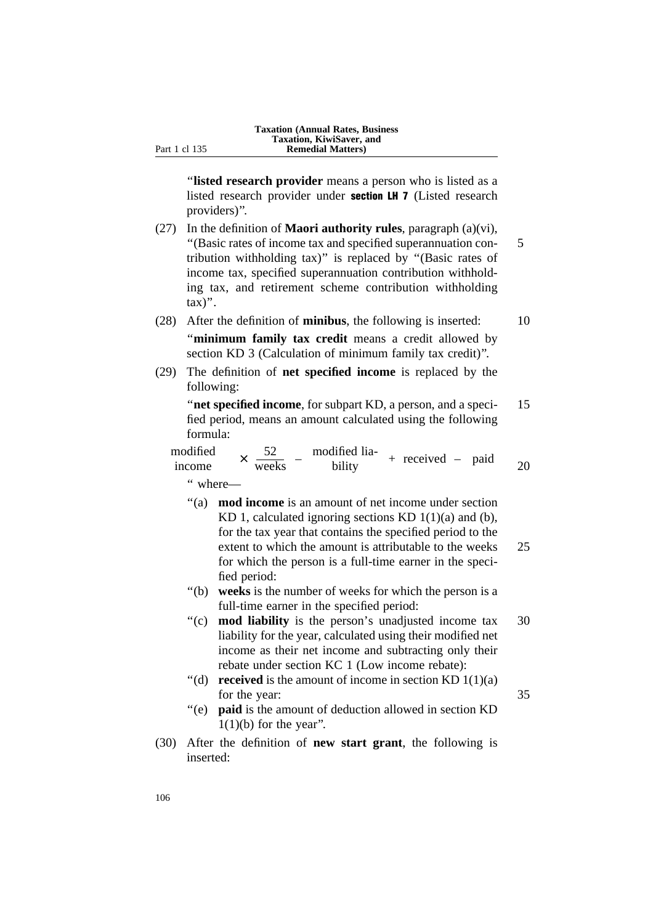''**listed research provider** means a person who is listed as a listed research provider under section LH 7 (Listed research providers)''.

- (27) In the definition of **Maori authority rules**, paragraph (a)(vi), ''(Basic rates of income tax and specified superannuation con- 5 tribution withholding tax)'' is replaced by ''(Basic rates of income tax, specified superannuation contribution withholding tax, and retirement scheme contribution withholding  $\text{tax})$ ".
- (28) After the definition of **minibus**, the following is inserted: 10 ''**minimum family tax credit** means a credit allowed by section KD 3 (Calculation of minimum family tax credit)''.
- (29) The definition of **net specified income** is replaced by the following:

''**net specified income**, for subpart KD, a person, and a speci- 15 fied period, means an amount calculated using the following formula:

modified  $\times \frac{52}{\text{ weeks}} - \frac{\text{modified lia}}{\text{bility}}$ income  $\times \frac{52}{\text{ weeks}}$  – modified that + received – paid 20

'' where—

- ''(a) **mod income** is an amount of net income under section KD 1, calculated ignoring sections KD  $1(1)(a)$  and (b), for the tax year that contains the specified period to the extent to which the amount is attributable to the weeks 25 for which the person is a full-time earner in the specified period:
- ''(b) **weeks** is the number of weeks for which the person is a full-time earner in the specified period:
- "(c) **mod liability** is the person's unadjusted income tax 30 liability for the year, calculated using their modified net income as their net income and subtracting only their rebate under section KC 1 (Low income rebate):
- "(d) **received** is the amount of income in section KD  $1(1)(a)$ for the year: 35
- ''(e) **paid** is the amount of deduction allowed in section KD  $1(1)(b)$  for the year".
- (30) After the definition of **new start grant**, the following is inserted: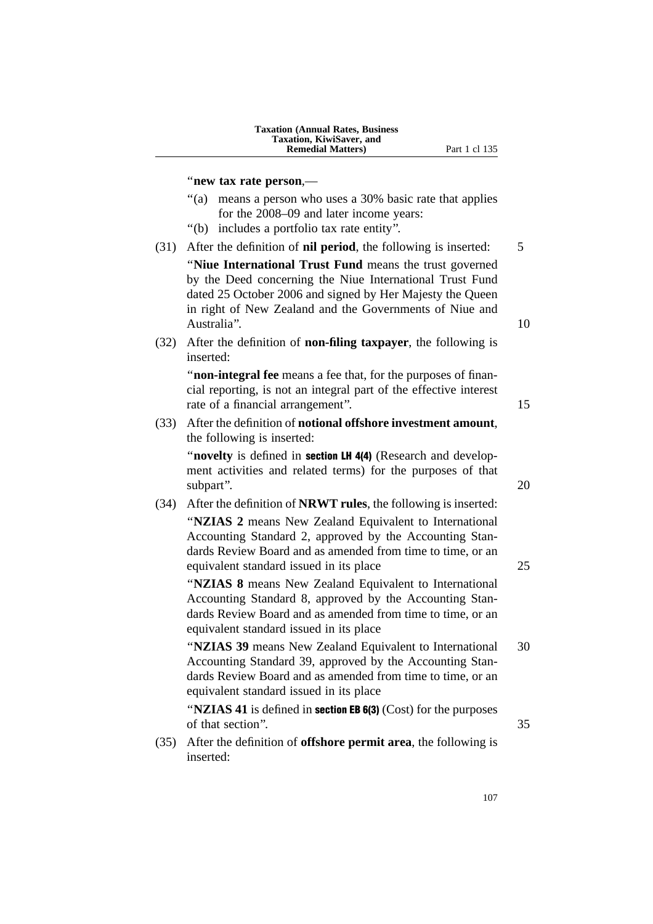| <b>Taxation (Annual Rates, Business)</b> |
|------------------------------------------|
| <b>Taxation, KiwiSaver, and</b>          |
| <b>Remedial Matters</b> )                |

#### ''**new tax rate person**,—

- ''(a) means a person who uses a 30% basic rate that applies for the 2008–09 and later income years:
- ''(b) includes a portfolio tax rate entity''.
- (31) After the definition of **nil period**, the following is inserted: 5 ''**Niue International Trust Fund** means the trust governed by the Deed concerning the Niue International Trust Fund dated 25 October 2006 and signed by Her Majesty the Queen in right of New Zealand and the Governments of Niue and Australia". (10) 10
- (32) After the definition of **non-filing taxpayer**, the following is inserted:

''**non-integral fee** means a fee that, for the purposes of financial reporting, is not an integral part of the effective interest rate of a financial arrangement". 15

(33) After the definition of **notional offshore investment amount**, the following is inserted:

"**novelty** is defined in **section LH 4(4)** (Research and development activities and related terms) for the purposes of that subpart". 20

(34) After the definition of **NRWT rules**, the following is inserted: ''**NZIAS 2** means New Zealand Equivalent to International Accounting Standard 2, approved by the Accounting Standards Review Board and as amended from time to time, or an equivalent standard issued in its place 25

''**NZIAS 8** means New Zealand Equivalent to International Accounting Standard 8, approved by the Accounting Standards Review Board and as amended from time to time, or an equivalent standard issued in its place

''**NZIAS 39** means New Zealand Equivalent to International 30 Accounting Standard 39, approved by the Accounting Standards Review Board and as amended from time to time, or an equivalent standard issued in its place

''**NZIAS 41** is defined in section EB 6(3) (Cost) for the purposes of that section''. 35

- 
- (35) After the definition of **offshore permit area**, the following is inserted:

107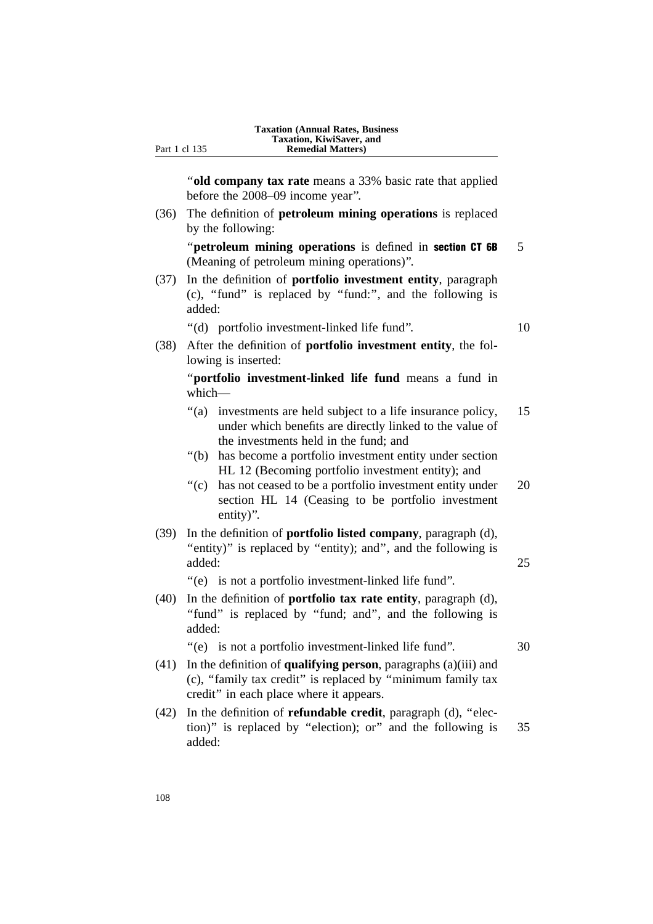''**old company tax rate** means a 33% basic rate that applied before the 2008–09 income year''.

(36) The definition of **petroleum mining operations** is replaced by the following:

"**petroleum mining operations** is defined in **section CT 6B** 5 (Meaning of petroleum mining operations)''.

- (37) In the definition of **portfolio investment entity**, paragraph (c), ''fund'' is replaced by ''fund:'', and the following is added:
	- ''(d) portfolio investment-linked life fund''. 10

(38) After the definition of **portfolio investment entity**, the following is inserted:

''**portfolio investment-linked life fund** means a fund in which—

- "(a) investments are held subject to a life insurance policy, 15 under which benefits are directly linked to the value of the investments held in the fund; and
- ''(b) has become a portfolio investment entity under section HL 12 (Becoming portfolio investment entity); and
- ''(c) has not ceased to be a portfolio investment entity under 20 section HL 14 (Ceasing to be portfolio investment entity)''.
- (39) In the definition of **portfolio listed company**, paragraph (d), "entity)" is replaced by "entity); and", and the following is added: 25

''(e) is not a portfolio investment-linked life fund''.

- (40) In the definition of **portfolio tax rate entity**, paragraph (d), "fund" is replaced by "fund; and", and the following is added:
	- "(e) is not a portfolio investment-linked life fund". 30
- (41) In the definition of **qualifying person**, paragraphs (a)(iii) and (c), ''family tax credit'' is replaced by ''minimum family tax credit'' in each place where it appears.
- (42) In the definition of **refundable credit**, paragraph (d), ''election)'' is replaced by ''election); or'' and the following is 35 added: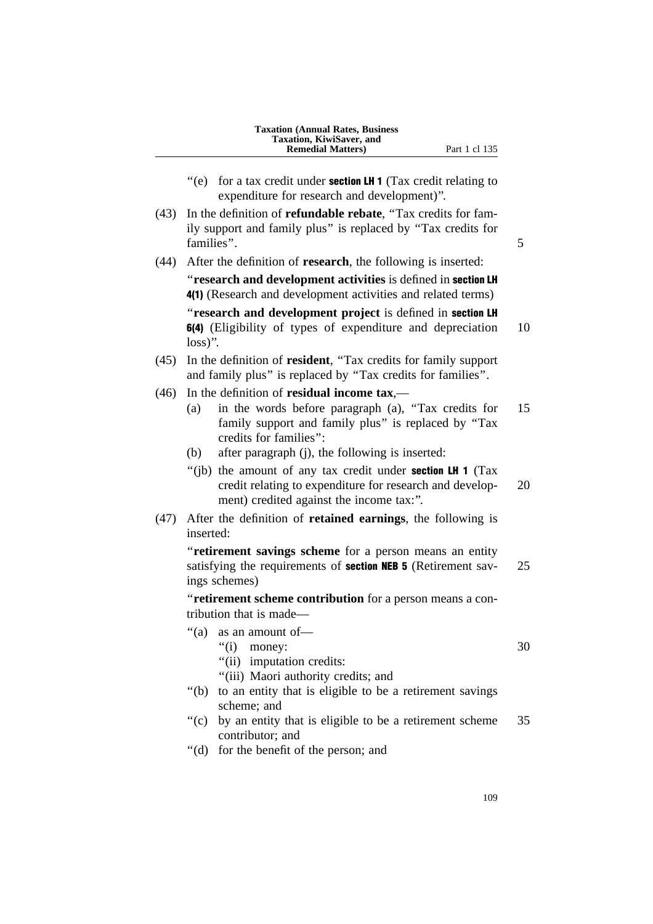| <b>Taxation (Annual Rates, Business)</b><br>Taxation, KiwiSaver, and<br><b>Remedial Matters</b> ) |
|---------------------------------------------------------------------------------------------------|
|---------------------------------------------------------------------------------------------------|

- $"$ (e) for a tax credit under **section LH 1** (Tax credit relating to expenditure for research and development)''.
- (43) In the definition of **refundable rebate**, ''Tax credits for family support and family plus'' is replaced by ''Tax credits for families". 5
- (44) After the definition of **research**, the following is inserted:

''**research and development activities** is defined in section LH 4(1) (Research and development activities and related terms) ''**research and development project** is defined in section LH

6(4) (Eligibility of types of expenditure and depreciation 10 loss)''.

- (45) In the definition of **resident**, ''Tax credits for family support and family plus'' is replaced by ''Tax credits for families''.
- (46) In the definition of **residual income tax**,—
	- (a) in the words before paragraph (a), ''Tax credits for 15 family support and family plus'' is replaced by ''Tax credits for families'':
	- (b) after paragraph (j), the following is inserted:
	- "(ib) the amount of any tax credit under **section LH 1** (Tax credit relating to expenditure for research and develop- 20 ment) credited against the income tax:''.
- (47) After the definition of **retained earnings**, the following is inserted:

''**retirement savings scheme** for a person means an entity satisfying the requirements of **section NEB 5** (Retirement sav- 25) ings schemes)

''**retirement scheme contribution** for a person means a contribution that is made—

- ''(a) as an amount of—
	- "(i) money:  $30$
	- ''(ii) imputation credits:
	- "(iii) Maori authority credits; and
- ''(b) to an entity that is eligible to be a retirement savings scheme; and
- $'(c)$  by an entity that is eligible to be a retirement scheme 35 contributor; and
- ''(d) for the benefit of the person; and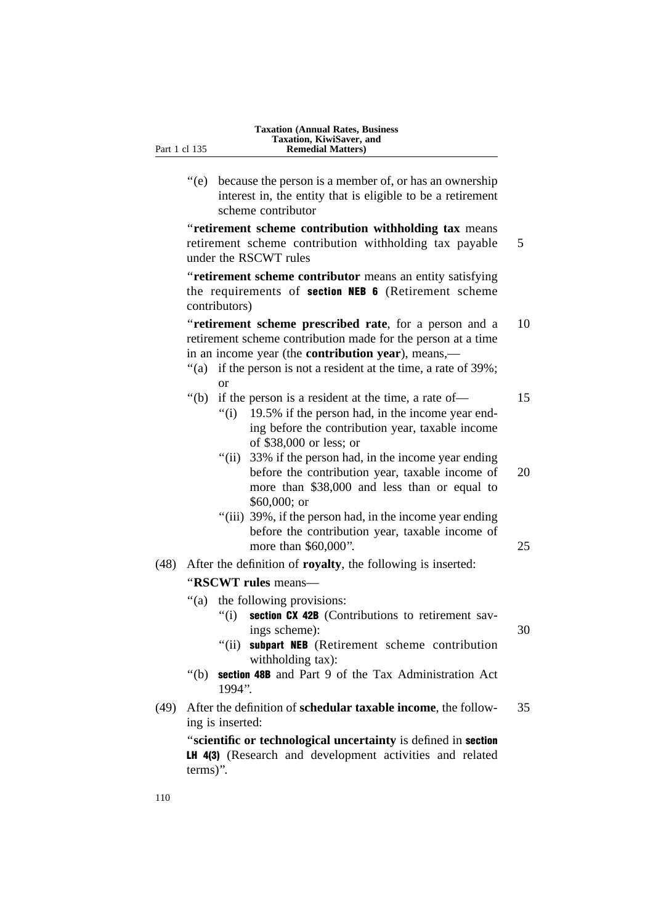''(e) because the person is a member of, or has an ownership interest in, the entity that is eligible to be a retirement scheme contributor

''**retirement scheme contribution withholding tax** means retirement scheme contribution withholding tax payable 5 under the RSCWT rules

''**retirement scheme contributor** means an entity satisfying the requirements of section NEB 6 (Retirement scheme contributors)

''**retirement scheme prescribed rate**, for a person and a 10 retirement scheme contribution made for the person at a time in an income year (the **contribution year**), means,—

"(a) if the person is not a resident at the time, a rate of 39%; or

## ''(b) if the person is a resident at the time, a rate of— 15

- $''(i)$  19.5% if the person had, in the income year ending before the contribution year, taxable income of \$38,000 or less; or
- "(ii) 33% if the person had, in the income year ending before the contribution year, taxable income of 20 more than \$38,000 and less than or equal to \$60,000; or
- "(iii) 39%, if the person had, in the income year ending before the contribution year, taxable income of more than \$60,000". 25
- (48) After the definition of **royalty**, the following is inserted:

''**RSCWT rules** means—

- ''(a) the following provisions:
	- $''(i)$  section CX 42B (Contributions to retirement savings scheme): 30
		-
	- "(ii) subpart NEB (Retirement scheme contribution withholding tax):
- ''(b) section 48B and Part 9 of the Tax Administration Act 1994''.
- (49) After the definition of **schedular taxable income**, the follow- 35 ing is inserted:

''**scientific or technological uncertainty** is defined in section LH 4(3) (Research and development activities and related terms)''.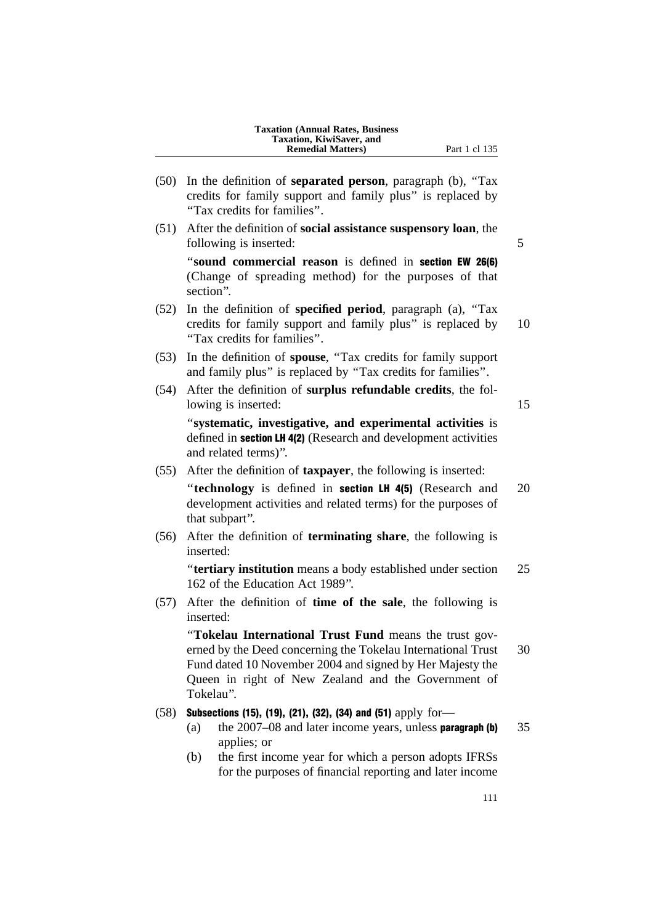(50) In the definition of **separated person**, paragraph (b), ''Tax credits for family support and family plus'' is replaced by ''Tax credits for families''. (51) After the definition of **social assistance suspensory loan**, the following is inserted:  $\frac{5}{5}$ ''**sound commercial reason** is defined in section EW 26(6) (Change of spreading method) for the purposes of that section''. (52) In the definition of **specified period**, paragraph (a), ''Tax credits for family support and family plus'' is replaced by 10 ''Tax credits for families''. (53) In the definition of **spouse**, ''Tax credits for family support and family plus'' is replaced by ''Tax credits for families''. (54) After the definition of **surplus refundable credits**, the following is inserted: 15 ''**systematic, investigative, and experimental activities** is defined in **section LH 4(2)** (Research and development activities and related terms)''. (55) After the definition of **taxpayer**, the following is inserted: ''**technology** is defined in section LH 4(5) (Research and 20 development activities and related terms) for the purposes of that subpart''. (56) After the definition of **terminating share**, the following is inserted: ''**tertiary institution** means a body established under section 25 162 of the Education Act 1989''. (57) After the definition of **time of the sale**, the following is inserted: ''**Tokelau International Trust Fund** means the trust governed by the Deed concerning the Tokelau International Trust 30 Fund dated 10 November 2004 and signed by Her Majesty the Queen in right of New Zealand and the Government of Tokelau''. (58) Subsections (15), (19), (21), (32), (34) and (51) apply for— (a) the  $2007-08$  and later income years, unless **paragraph (b)**  $35$ applies; or (b) the first income year for which a person adopts IFRSs for the purposes of financial reporting and later income 111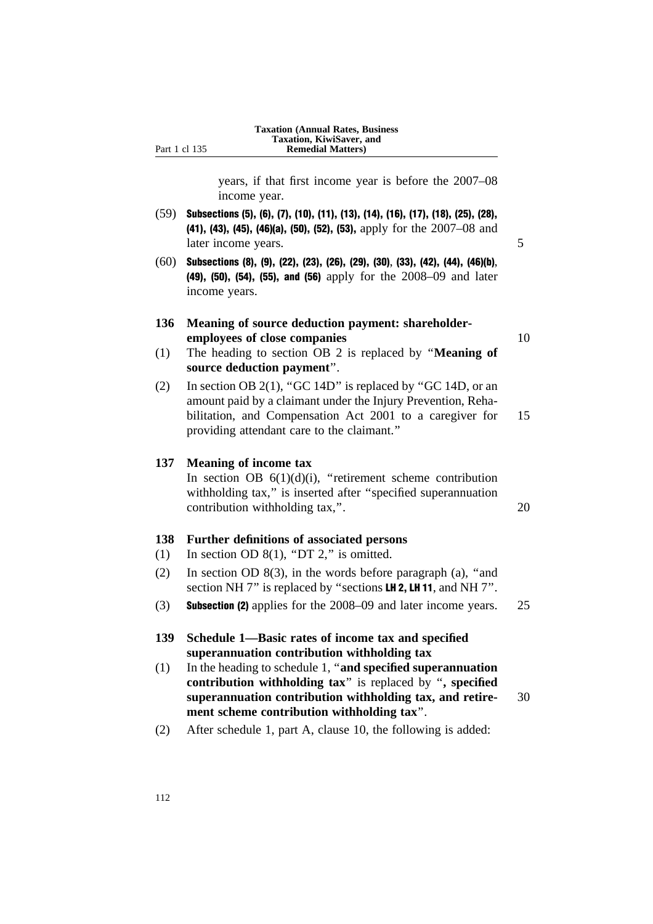years, if that first income year is before the 2007–08 income year.

- (59) Subsections (5), (6), (7), (10), (11), (13), (14), (16), (17), (18), (25), (28), (41), (43), (45), (46)(a), (50), (52), (53), apply for the 2007–08 and later income years. 5
- $(60)$  Subsections (8), (9), (22), (23), (26), (29), (30), (33), (42), (44), (46)(b), (49), (50), (54), (55), and (56) apply for the 2008–09 and later income years.

# **136 Meaning of source deduction payment: shareholderemployees of close companies** 10

- (1) The heading to section OB 2 is replaced by ''**Meaning of source deduction payment**''.
- (2) In section OB 2(1), "GC 14D" is replaced by "GC 14D, or an amount paid by a claimant under the Injury Prevention, Rehabilitation, and Compensation Act 2001 to a caregiver for 15 providing attendant care to the claimant.''

# **137 Meaning of income tax**

In section OB  $6(1)(d)(i)$ , "retirement scheme contribution withholding tax," is inserted after "specified superannuation contribution withholding tax,". 20

# **138 Further definitions of associated persons**

- (1) In section OD  $8(1)$ , "DT 2," is omitted.
- (2) In section OD 8(3), in the words before paragraph (a), ''and section NH 7" is replaced by "sections LH 2, LH 11, and NH 7".
- (3) Subsection (2) applies for the 2008–09 and later income years. 25
- **139 Schedule 1—Basic rates of income tax and specified superannuation contribution withholding tax**
- (1) In the heading to schedule 1, ''**and specified superannuation contribution withholding tax**'' is replaced by ''**, specified superannuation contribution withholding tax, and retire-** 30 **ment scheme contribution withholding tax**''.
- (2) After schedule 1, part A, clause 10, the following is added: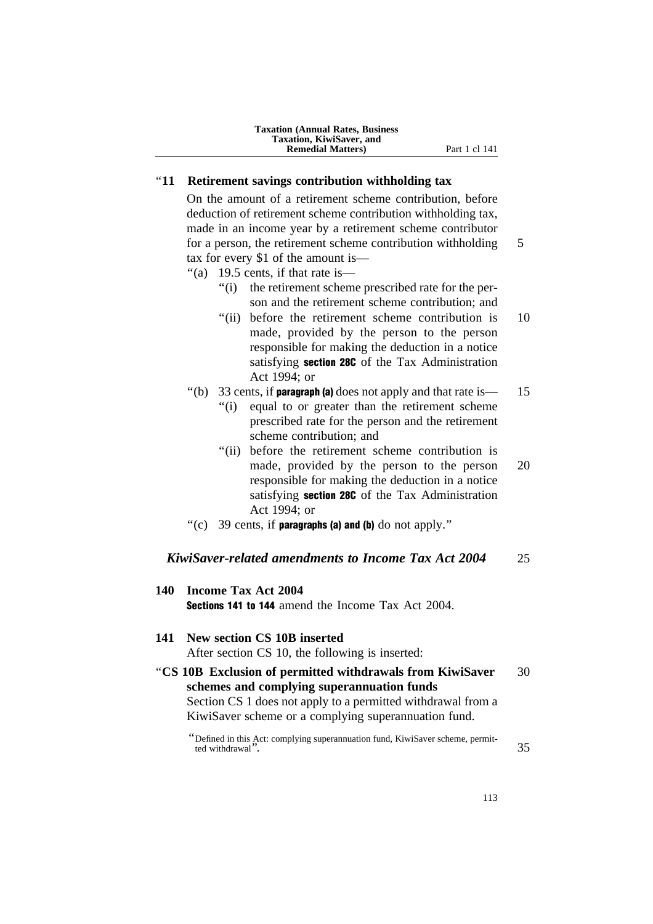## ''**11 Retirement savings contribution withholding tax**

On the amount of a retirement scheme contribution, before deduction of retirement scheme contribution withholding tax, made in an income year by a retirement scheme contributor for a person, the retirement scheme contribution withholding 5 tax for every \$1 of the amount is—

- ''(a) 19.5 cents, if that rate is—
	- ''(i) the retirement scheme prescribed rate for the person and the retirement scheme contribution; and
	- "(ii) before the retirement scheme contribution is 10 made, provided by the person to the person responsible for making the deduction in a notice satisfying section 28C of the Tax Administration Act 1994; or
- "(b) 33 cents, if **paragraph (a)** does not apply and that rate is  $\frac{15}{15}$ 
	- ''(i) equal to or greater than the retirement scheme prescribed rate for the person and the retirement scheme contribution; and
	- "(ii) before the retirement scheme contribution is made, provided by the person to the person 20 responsible for making the deduction in a notice satisfying **section 28C** of the Tax Administration Act 1994; or
- "(c) 39 cents, if **paragraphs (a) and (b)** do not apply."

# *KiwiSaver-related amendments to Income Tax Act 2004* 25

| 140 | <b>Income Tax Act 2004</b><br><b>Sections 141 to 144</b> amend the Income Tax Act 2004.                                                                                                                                         |    |
|-----|---------------------------------------------------------------------------------------------------------------------------------------------------------------------------------------------------------------------------------|----|
| 141 | New section CS 10B inserted<br>After section CS 10, the following is inserted:                                                                                                                                                  |    |
|     | "CS 10B Exclusion of permitted withdrawals from KiwiSaver<br>schemes and complying superannuation funds<br>Section CS 1 does not apply to a permitted withdrawal from a<br>KiwiSaver scheme or a complying superannuation fund. | 30 |
|     | "Defined in this Act: complying superannuation fund, KiwiSaver scheme, permit-<br>ted withdrawal".                                                                                                                              | 35 |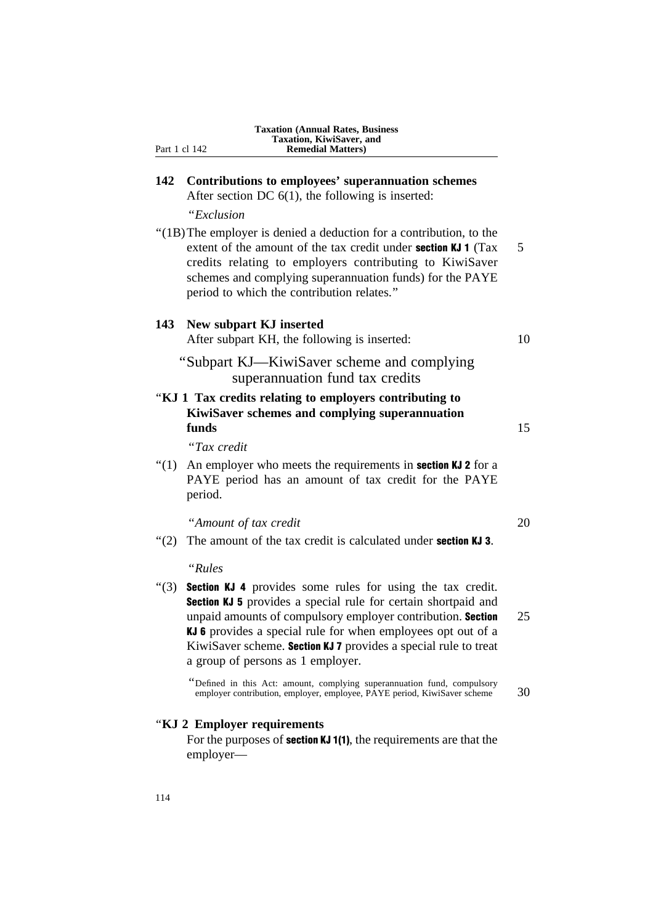|         | <b>Taxation (Annual Rates, Business</b><br>Taxation, KiwiSaver, and<br>Part 1 cl 142<br><b>Remedial Matters)</b>                                                                                                                                                                                                                                                                  |    |
|---------|-----------------------------------------------------------------------------------------------------------------------------------------------------------------------------------------------------------------------------------------------------------------------------------------------------------------------------------------------------------------------------------|----|
| 142     | Contributions to employees' superannuation schemes<br>After section DC $6(1)$ , the following is inserted:                                                                                                                                                                                                                                                                        |    |
|         | "Exclusion                                                                                                                                                                                                                                                                                                                                                                        |    |
|         | "(1B) The employer is denied a deduction for a contribution, to the<br>extent of the amount of the tax credit under section KJ 1 (Tax<br>credits relating to employers contributing to KiwiSaver<br>schemes and complying superannuation funds) for the PAYE<br>period to which the contribution relates."                                                                        | 5  |
| 143     | New subpart KJ inserted<br>After subpart KH, the following is inserted:                                                                                                                                                                                                                                                                                                           | 10 |
|         | "Subpart KJ—KiwiSaver scheme and complying<br>superannuation fund tax credits                                                                                                                                                                                                                                                                                                     |    |
|         | "KJ 1 Tax credits relating to employers contributing to<br>KiwiSaver schemes and complying superannuation<br>funds                                                                                                                                                                                                                                                                | 15 |
|         | "Tax credit                                                                                                                                                                                                                                                                                                                                                                       |    |
| " $(1)$ | An employer who meets the requirements in <b>section KJ 2</b> for a<br>PAYE period has an amount of tax credit for the PAYE<br>period.                                                                                                                                                                                                                                            |    |
|         | "Amount of tax credit                                                                                                                                                                                                                                                                                                                                                             | 20 |
| " $(2)$ | The amount of the tax credit is calculated under <b>section KJ 3</b> .                                                                                                                                                                                                                                                                                                            |    |
|         | "Rules                                                                                                                                                                                                                                                                                                                                                                            |    |
| " $(3)$ | <b>Section KJ 4</b> provides some rules for using the tax credit.<br><b>Section KJ 5</b> provides a special rule for certain shortpaid and<br>unpaid amounts of compulsory employer contribution. Section<br>KJ 6 provides a special rule for when employees opt out of a<br>KiwiSaver scheme. Section KJ 7 provides a special rule to treat<br>a group of persons as 1 employer. | 25 |
|         | "Defined in this Act: amount, complying superannuation fund, compulsory<br>employer contribution, employer, employee, PAYE period, KiwiSaver scheme                                                                                                                                                                                                                               | 30 |
|         | "KJ 2 Employer requirements<br>For the purposes of section KJ 1(1), the requirements are that the<br>employer—                                                                                                                                                                                                                                                                    |    |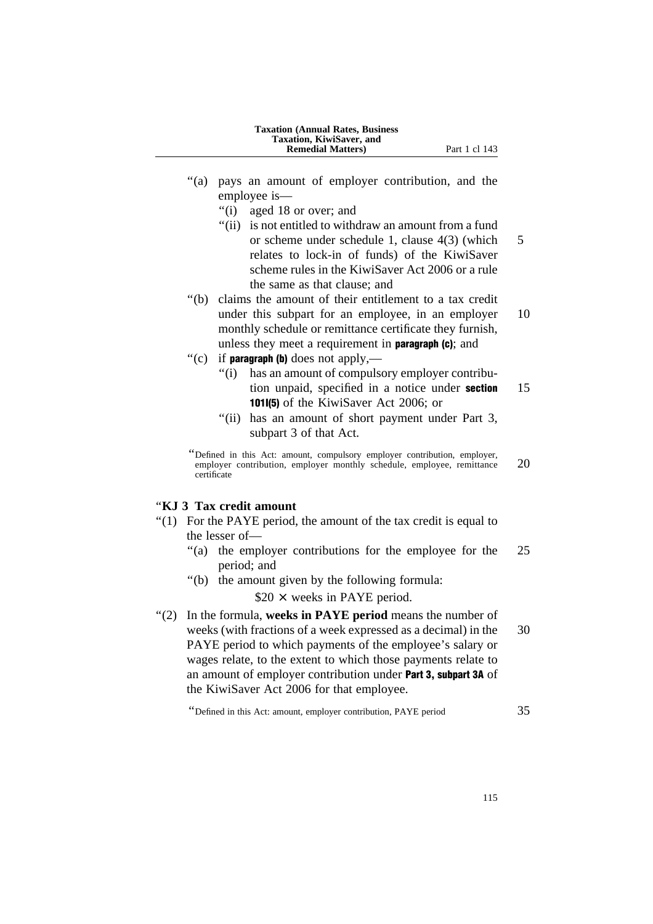| <b>Taxation (Annual Rates, Business)</b> |
|------------------------------------------|
| Taxation, KiwiSaver, and                 |
| <b>Remedial Matters</b> )                |

- "(a) pays an amount of employer contribution, and the employee is—
	- ''(i) aged 18 or over; and
	- ''(ii) is not entitled to withdraw an amount from a fund or scheme under schedule 1, clause 4(3) (which 5 relates to lock-in of funds) of the KiwiSaver scheme rules in the KiwiSaver Act 2006 or a rule the same as that clause; and
- ''(b) claims the amount of their entitlement to a tax credit under this subpart for an employee, in an employer 10 monthly schedule or remittance certificate they furnish, unless they meet a requirement in paragraph (c); and
- "(c) if **paragraph (b)** does not apply,—
	- ''(i) has an amount of compulsory employer contribution unpaid, specified in a notice under **section** 15 101I(5) of the KiwiSaver Act 2006; or
	- "(ii) has an amount of short payment under Part 3, subpart 3 of that Act.

''Defined in this Act: amount, compulsory employer contribution, employer, employer contribution, employer monthly schedule, employee, remittance 20 certificate

# ''**KJ 3 Tax credit amount**

- ''(1) For the PAYE period, the amount of the tax credit is equal to the lesser of—
	- ''(a) the employer contributions for the employee for the 25 period; and
	- ''(b) the amount given by the following formula:

 $$20 \times$  weeks in PAYE period.

''(2) In the formula, **weeks in PAYE period** means the number of weeks (with fractions of a week expressed as a decimal) in the 30 PAYE period to which payments of the employee's salary or wages relate, to the extent to which those payments relate to an amount of employer contribution under Part 3, subpart 3A of the KiwiSaver Act 2006 for that employee.

''Defined in this Act: amount, employer contribution, PAYE period 35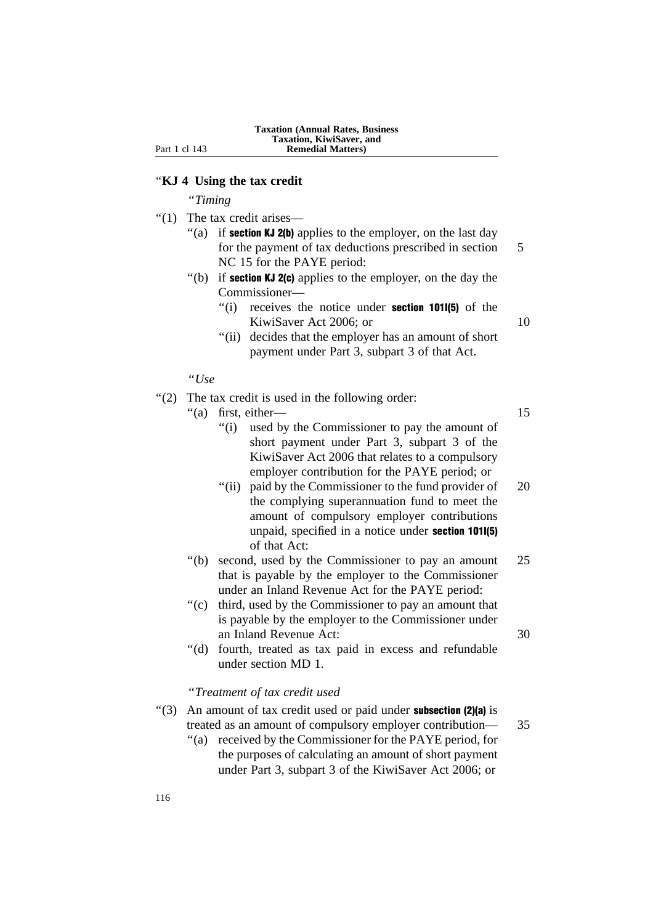### ''**KJ 4 Using the tax credit**

''*Timing*

- ''(1) The tax credit arises—
	- "(a) if **section KJ 2(b)** applies to the employer, on the last day for the payment of tax deductions prescribed in section 5 NC 15 for the PAYE period:
	- "(b) if **section KJ 2(c)** applies to the employer, on the day the Commissioner—
		- $''(i)$  receives the notice under **section 101I(5)** of the KiwiSaver Act 2006; or 10
		- "(ii) decides that the employer has an amount of short payment under Part 3, subpart 3 of that Act.

''*Use*

''(2) The tax credit is used in the following order:

"(a) first, either— 15

- ''(i) used by the Commissioner to pay the amount of short payment under Part 3, subpart 3 of the KiwiSaver Act 2006 that relates to a compulsory employer contribution for the PAYE period; or
- "(ii) paid by the Commissioner to the fund provider of 20 the complying superannuation fund to meet the amount of compulsory employer contributions unpaid, specified in a notice under section 101I(5) of that Act:
- ''(b) second, used by the Commissioner to pay an amount 25 that is payable by the employer to the Commissioner under an Inland Revenue Act for the PAYE period:
- ''(c) third, used by the Commissioner to pay an amount that is payable by the employer to the Commissioner under an Inland Revenue Act: 30
- ''(d) fourth, treated as tax paid in excess and refundable under section MD 1.

## ''*Treatment of tax credit used*

- $'(3)$  An amount of tax credit used or paid under **subsection (2)(a)** is treated as an amount of compulsory employer contribution— 35
	- ''(a) received by the Commissioner for the PAYE period, for the purposes of calculating an amount of short payment under Part 3, subpart 3 of the KiwiSaver Act 2006; or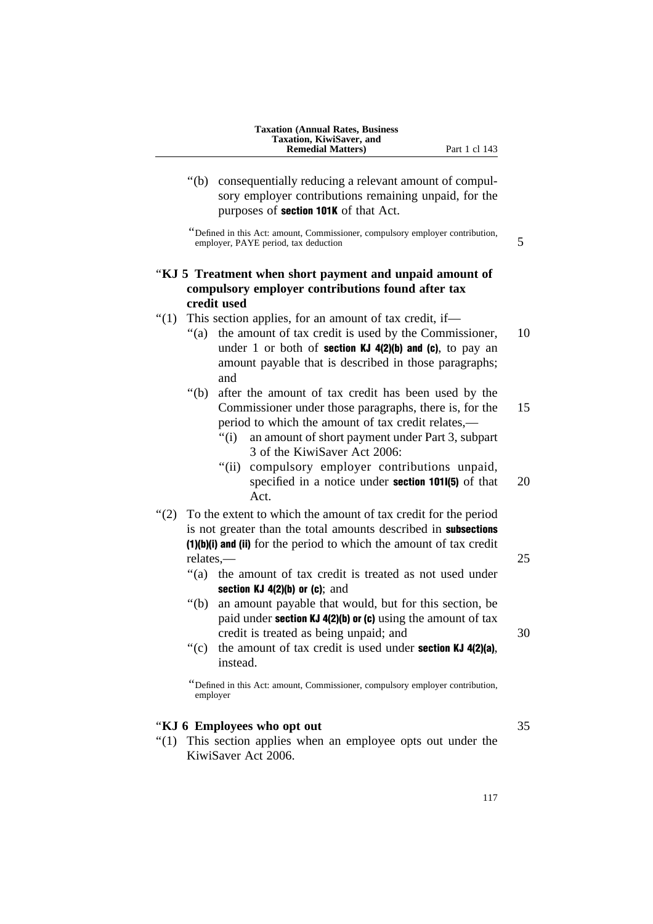''(b) consequentially reducing a relevant amount of compulsory employer contributions remaining unpaid, for the purposes of section 101K of that Act.

''Defined in this Act: amount, Commissioner, compulsory employer contribution, employer, PAYE period, tax deduction 5

# ''**KJ 5 Treatment when short payment and unpaid amount of compulsory employer contributions found after tax credit used**

- ''(1) This section applies, for an amount of tax credit, if—
	- "(a) the amount of tax credit is used by the Commissioner, 10 under 1 or both of **section KJ 4(2)(b) and (c)**, to pay an amount payable that is described in those paragraphs; and
	- ''(b) after the amount of tax credit has been used by the Commissioner under those paragraphs, there is, for the 15 period to which the amount of tax credit relates,—
		- ''(i) an amount of short payment under Part 3, subpart 3 of the KiwiSaver Act 2006:
		- "(ii) compulsory employer contributions unpaid, specified in a notice under **section 101I(5)** of that 20 Act.
- ''(2) To the extent to which the amount of tax credit for the period is not greater than the total amounts described in subsections (1)(b)(i) and (ii) for the period to which the amount of tax credit relates,— 25
	- ''(a) the amount of tax credit is treated as not used under section  $KJ$  4(2)(b) or (c); and
	- ''(b) an amount payable that would, but for this section, be paid under **section KJ 4(2)(b) or (c)** using the amount of tax credit is treated as being unpaid; and  $30$
	- $'(c)$  the amount of tax credit is used under **section KJ 4(2)(a)**, instead.

''Defined in this Act: amount, Commissioner, compulsory employer contribution, employer

# ''**KJ 6 Employees who opt out** 35

''(1) This section applies when an employee opts out under the KiwiSaver Act 2006.

117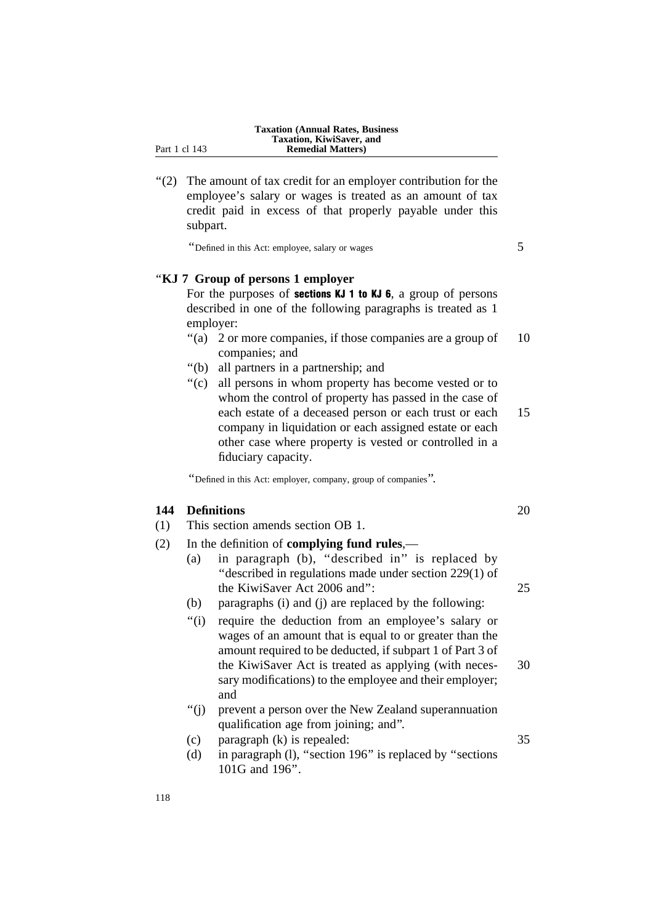''(2) The amount of tax credit for an employer contribution for the employee's salary or wages is treated as an amount of tax credit paid in excess of that properly payable under this subpart.

''Defined in this Act: employee, salary or wages 5

# ''**KJ 7 Group of persons 1 employer**

For the purposes of sections KJ 1 to KJ 6, a group of persons described in one of the following paragraphs is treated as 1 employer:

- "(a) 2 or more companies, if those companies are a group of 10 companies; and
- ''(b) all partners in a partnership; and
- ''(c) all persons in whom property has become vested or to whom the control of property has passed in the case of each estate of a deceased person or each trust or each 15 company in liquidation or each assigned estate or each other case where property is vested or controlled in a fiduciary capacity.

''Defined in this Act: employer, company, group of companies''.

# **144 Definitions** 20

- (1) This section amends section OB 1.
- (2) In the definition of **complying fund rules**,—
	- (a) in paragraph (b), ''described in'' is replaced by ''described in regulations made under section 229(1) of the KiwiSaver Act 2006 and'': 25
	- (b) paragraphs (i) and (j) are replaced by the following:
	- ''(i) require the deduction from an employee's salary or wages of an amount that is equal to or greater than the amount required to be deducted, if subpart 1 of Part 3 of the KiwiSaver Act is treated as applying (with neces- 30 sary modifications) to the employee and their employer; and
	- ''(j) prevent a person over the New Zealand superannuation qualification age from joining; and''.
	- (c) paragraph (k) is repealed: 35
	- (d) in paragraph (l), ''section 196'' is replaced by ''sections 101G and 196''.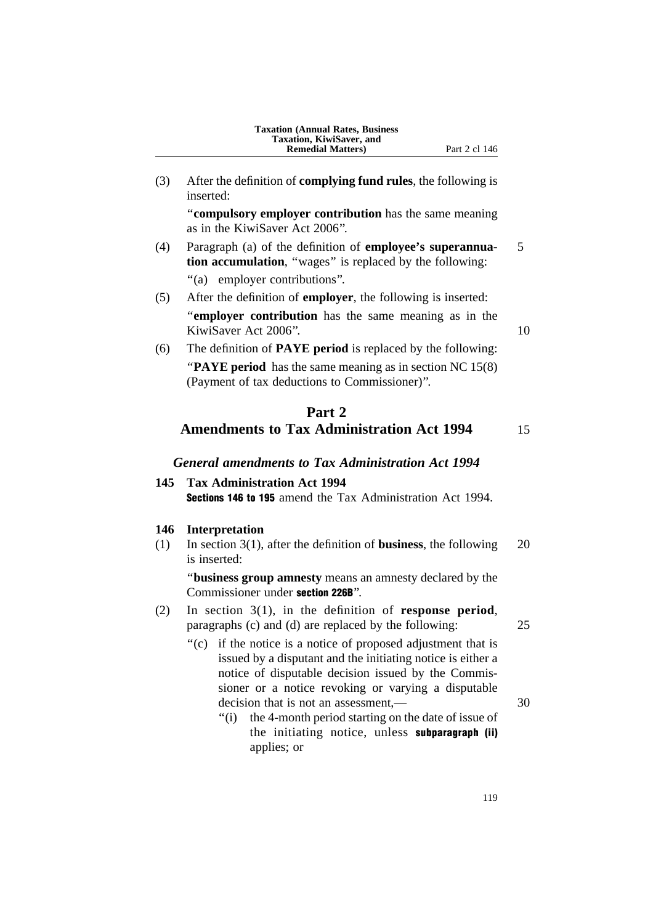| <b>Taxation (Annual Rates, Business)</b> |
|------------------------------------------|
| Taxation, KiwiSaver, and                 |
| <b>Remedial Matters</b> )                |

(3) After the definition of **complying fund rules**, the following is inserted:

''**compulsory employer contribution** has the same meaning as in the KiwiSaver Act 2006''.

- (4) Paragraph (a) of the definition of **employee's superannua-** 5 **tion accumulation**, "wages" is replaced by the following:
	- ''(a) employer contributions''.
- (5) After the definition of **employer**, the following is inserted: ''**employer contribution** has the same meaning as in the KiwiSaver Act 2006". 10
- (6) The definition of **PAYE period** is replaced by the following: "**PAYE period** has the same meaning as in section NC 15(8) (Payment of tax deductions to Commissioner)''.

# **Part 2 Amendments to Tax Administration Act 1994** 15

# *General amendments to Tax Administration Act 1994*

# **145 Tax Administration Act 1994** Sections 146 to 195 amend the Tax Administration Act 1994.

## **146 Interpretation**

(1) In section 3(1), after the definition of **business**, the following 20 is inserted:

''**business group amnesty** means an amnesty declared by the Commissioner under section 226B''.

- (2) In section 3(1), in the definition of **response period**, paragraphs (c) and (d) are replaced by the following: 25
	-
	- ''(c) if the notice is a notice of proposed adjustment that is issued by a disputant and the initiating notice is either a notice of disputable decision issued by the Commissioner or a notice revoking or varying a disputable decision that is not an assessment,— 30
		- ''(i) the 4-month period starting on the date of issue of the initiating notice, unless subparagraph (ii) applies; or

119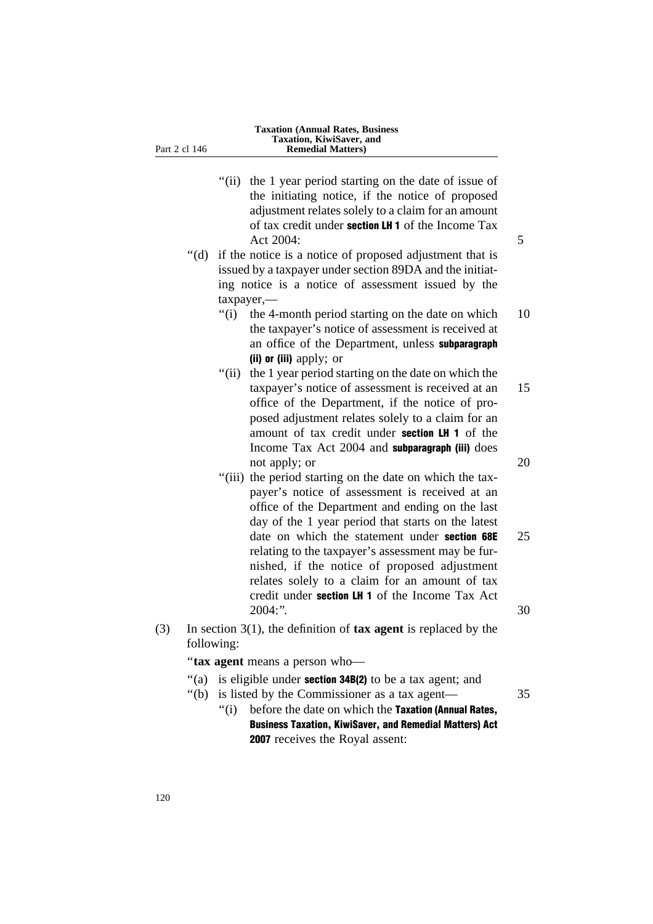|     |            |               | "(ii) the 1 year period starting on the date of issue of<br>the initiating notice, if the notice of proposed<br>adjustment relates solely to a claim for an amount<br>of tax credit under section LH 1 of the Income Tax<br>Act 2004:                              | 5        |
|-----|------------|---------------|--------------------------------------------------------------------------------------------------------------------------------------------------------------------------------------------------------------------------------------------------------------------|----------|
|     | " $(d)$ "  |               | if the notice is a notice of proposed adjustment that is                                                                                                                                                                                                           |          |
|     |            |               | issued by a taxpayer under section 89DA and the initiat-                                                                                                                                                                                                           |          |
|     |            |               | ing notice is a notice of assessment issued by the                                                                                                                                                                                                                 |          |
|     |            | $t$ axpayer,— |                                                                                                                                                                                                                                                                    |          |
|     |            | " $(i)$       | the 4-month period starting on the date on which<br>the taxpayer's notice of assessment is received at                                                                                                                                                             | 10       |
|     |            |               | an office of the Department, unless subparagraph                                                                                                                                                                                                                   |          |
|     |            |               | (ii) or (iii) apply; or                                                                                                                                                                                                                                            |          |
|     |            | " $(ii)$      | the 1 year period starting on the date on which the                                                                                                                                                                                                                |          |
|     |            |               | taxpayer's notice of assessment is received at an<br>office of the Department, if the notice of pro-<br>posed adjustment relates solely to a claim for an<br>amount of tax credit under section LH 1 of the<br>Income Tax Act 2004 and subparagraph (iii) does     | 15       |
|     |            |               | not apply; or                                                                                                                                                                                                                                                      | 20       |
|     |            |               | "(iii) the period starting on the date on which the tax-<br>payer's notice of assessment is received at an<br>office of the Department and ending on the last<br>day of the 1 year period that starts on the latest                                                |          |
|     |            |               | date on which the statement under section 68E<br>relating to the taxpayer's assessment may be fur-<br>nished, if the notice of proposed adjustment<br>relates solely to a claim for an amount of tax<br>credit under section LH 1 of the Income Tax Act<br>2004:". | 25<br>30 |
| (3) | following: |               | In section $3(1)$ , the definition of <b>tax agent</b> is replaced by the                                                                                                                                                                                          |          |

''**tax agent** means a person who—

- "(a) is eligible under **section 34B(2)** to be a tax agent; and
- ''(b) is listed by the Commissioner as a tax agent— 35
	- "(i) before the date on which the Taxation (Annual Rates, Business Taxation, KiwiSaver, and Remedial Matters) Act 2007 receives the Royal assent: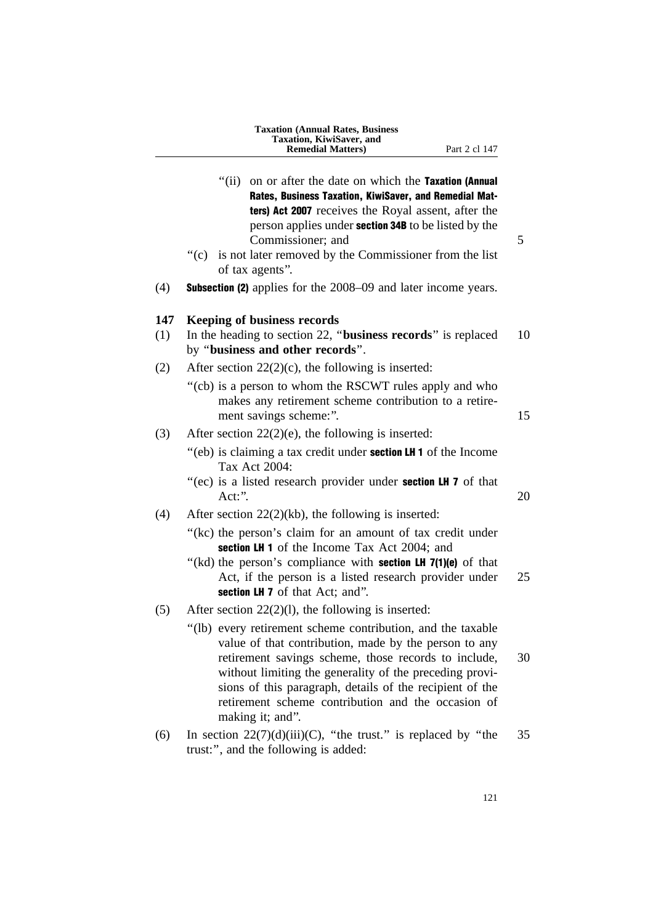|            | <b>Taxation (Annual Rates, Business</b><br>Taxation, KiwiSaver, and<br><b>Remedial Matters</b> )<br>Part 2 cl 147                                                                                                                                                                                                                                                             |
|------------|-------------------------------------------------------------------------------------------------------------------------------------------------------------------------------------------------------------------------------------------------------------------------------------------------------------------------------------------------------------------------------|
|            | " $(ii)$<br>on or after the date on which the Taxation (Annual<br>Rates, Business Taxation, KiwiSaver, and Remedial Mat-<br>ters) Act 2007 receives the Royal assent, after the<br>person applies under <b>section 34B</b> to be listed by the<br>Commissioner; and                                                                                                           |
|            | "(c) is not later removed by the Commissioner from the list<br>of tax agents".                                                                                                                                                                                                                                                                                                |
| (4)        | <b>Subsection (2)</b> applies for the 2008–09 and later income years.                                                                                                                                                                                                                                                                                                         |
| 147<br>(1) | <b>Keeping of business records</b><br>In the heading to section 22, "business records" is replaced<br>by "business and other records".                                                                                                                                                                                                                                        |
| (2)        | After section $22(2)(c)$ , the following is inserted:                                                                                                                                                                                                                                                                                                                         |
|            | "(cb) is a person to whom the RSCWT rules apply and who<br>makes any retirement scheme contribution to a retire-<br>ment savings scheme:".                                                                                                                                                                                                                                    |
| (3)        | After section $22(2)(e)$ , the following is inserted:                                                                                                                                                                                                                                                                                                                         |
|            | "(eb) is claiming a tax credit under <b>section LH 1</b> of the Income<br>Tax Act 2004:<br>"(ec) is a listed research provider under <b>section LH 7</b> of that                                                                                                                                                                                                              |
|            | Act:".                                                                                                                                                                                                                                                                                                                                                                        |
| (4)        | After section $22(2)(kb)$ , the following is inserted:                                                                                                                                                                                                                                                                                                                        |
|            | "(kc) the person's claim for an amount of tax credit under<br>section LH 1 of the Income Tax Act 2004; and                                                                                                                                                                                                                                                                    |
|            | "(kd) the person's compliance with <b>section LH 7(1)(e)</b> of that<br>Act, if the person is a listed research provider under<br>section LH 7 of that Act; and".                                                                                                                                                                                                             |
| (5)        | After section $22(2)(1)$ , the following is inserted:                                                                                                                                                                                                                                                                                                                         |
|            | "(lb) every retirement scheme contribution, and the taxable<br>value of that contribution, made by the person to any<br>retirement savings scheme, those records to include,<br>without limiting the generality of the preceding provi-<br>sions of this paragraph, details of the recipient of the<br>retirement scheme contribution and the occasion of<br>making it; and". |
| (6)        | In section $22(7)(d)(iii)(C)$ , "the trust." is replaced by "the<br>trust:", and the following is added:                                                                                                                                                                                                                                                                      |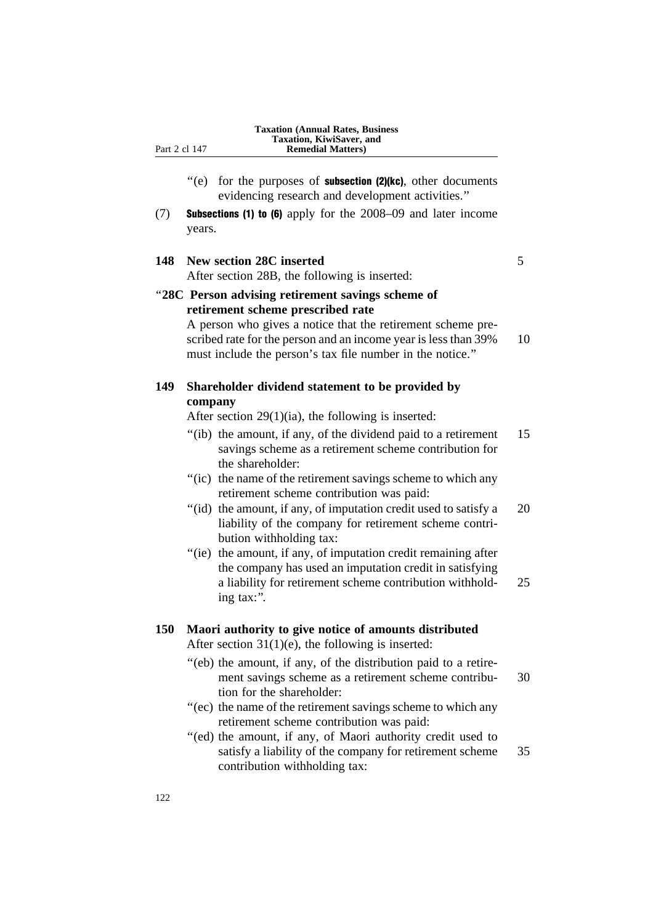- $'(e)$  for the purposes of **subsection (2)(kc)**, other documents evidencing research and development activities.''
- (7) Subsections (1) to (6) apply for the 2008–09 and later income years.

# **148 New section 28C inserted** 5

After section 28B, the following is inserted:

''**28C Person advising retirement savings scheme of retirement scheme prescribed rate**

> A person who gives a notice that the retirement scheme prescribed rate for the person and an income year is less than 39% 10 must include the person's tax file number in the notice.''

**149 Shareholder dividend statement to be provided by company**

After section 29(1)(ia), the following is inserted:

- ''(ib) the amount, if any, of the dividend paid to a retirement 15 savings scheme as a retirement scheme contribution for the shareholder:
- "(ic) the name of the retirement savings scheme to which any retirement scheme contribution was paid:
- "(id) the amount, if any, of imputation credit used to satisfy a  $20$ liability of the company for retirement scheme contribution withholding tax:
- "(ie) the amount, if any, of imputation credit remaining after the company has used an imputation credit in satisfying a liability for retirement scheme contribution withhold- 25 ing tax:''.

# **150 Maori authority to give notice of amounts distributed** After section  $31(1)(e)$ , the following is inserted:

- ''(eb) the amount, if any, of the distribution paid to a retirement savings scheme as a retirement scheme contribu- 30 tion for the shareholder:
- ''(ec) the name of the retirement savings scheme to which any retirement scheme contribution was paid:
- ''(ed) the amount, if any, of Maori authority credit used to satisfy a liability of the company for retirement scheme 35 contribution withholding tax: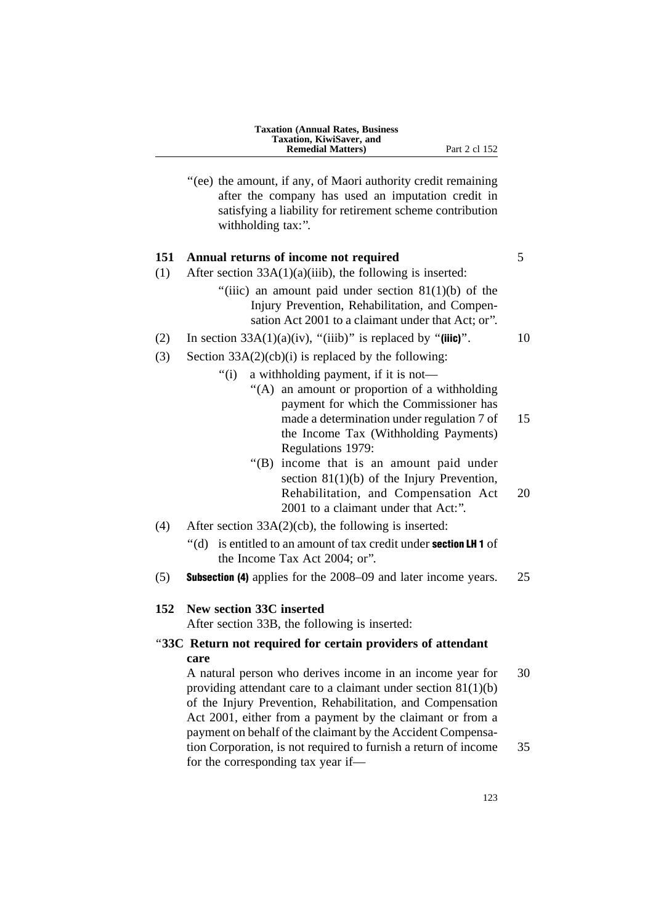| <b>Taxation (Annual Rates, Business)</b> |
|------------------------------------------|
| Taxation, KiwiSaver, and                 |
| <b>Remedial Matters</b> )                |

''(ee) the amount, if any, of Maori authority credit remaining

Part 2 cl 152

after the company has used an imputation credit in satisfying a liability for retirement scheme contribution withholding tax:".

# **151 Annual returns of income not required** 5

- (1) After section  $33A(1)(a)(iii)$ , the following is inserted:
	- "(iiic) an amount paid under section  $81(1)(b)$  of the Injury Prevention, Rehabilitation, and Compensation Act 2001 to a claimant under that Act; or''.
- (2) In section  $33A(1)(a)(iv)$ , "(iiib)" is replaced by "(iiic)". 10
- (3) Section  $33A(2)(cb)(i)$  is replaced by the following:
	- ''(i) a withholding payment, if it is not—
		- ''(A) an amount or proportion of a withholding payment for which the Commissioner has made a determination under regulation 7 of 15 the Income Tax (Withholding Payments) Regulations 1979:
		- ''(B) income that is an amount paid under section 81(1)(b) of the Injury Prevention, Rehabilitation, and Compensation Act 20 2001 to a claimant under that Act:''.
- (4) After section 33A(2)(cb), the following is inserted:
	- ''(d) is entitled to an amount of tax credit under section LH 1 of the Income Tax Act 2004; or''.
- (5) Subsection (4) applies for the 2008–09 and later income years. 25

#### **152 New section 33C inserted**

After section 33B, the following is inserted:

# ''**33C Return not required for certain providers of attendant care**

A natural person who derives income in an income year for 30 providing attendant care to a claimant under section 81(1)(b) of the Injury Prevention, Rehabilitation, and Compensation Act 2001, either from a payment by the claimant or from a payment on behalf of the claimant by the Accident Compensation Corporation, is not required to furnish a return of income 35 for the corresponding tax year if—

123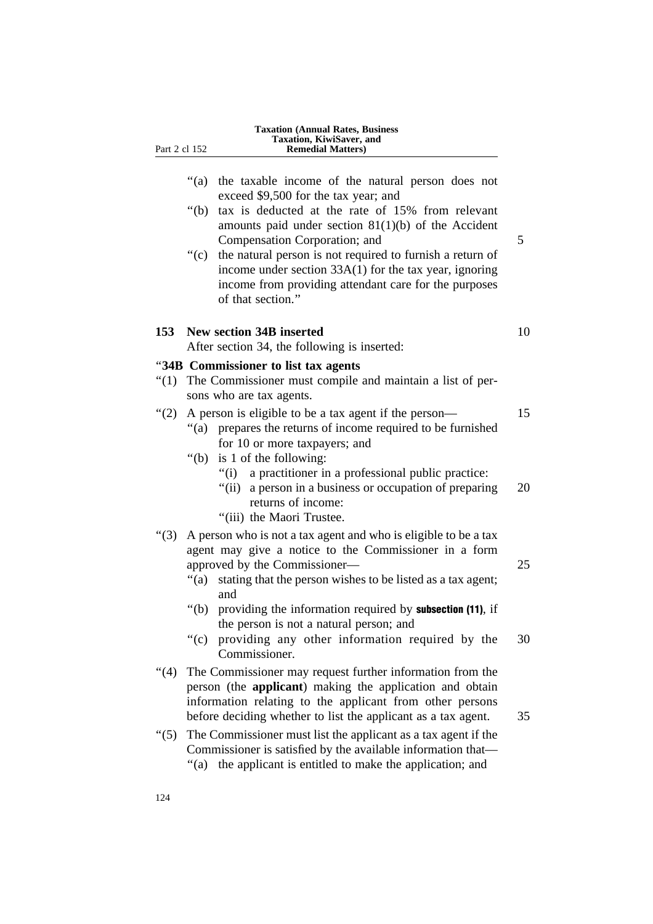| Part 2 cl 152 | <b>Taxation (Annual Rates, Business</b><br>Taxation, KiwiSaver, and<br><b>Remedial Matters</b> )                                                                                                                                        |
|---------------|-----------------------------------------------------------------------------------------------------------------------------------------------------------------------------------------------------------------------------------------|
|               | " $(a)$<br>the taxable income of the natural person does not<br>exceed \$9,500 for the tax year; and                                                                                                                                    |
|               | tax is deducted at the rate of 15% from relevant<br>" $(b)$<br>amounts paid under section $81(1)(b)$ of the Accident<br>Compensation Corporation; and                                                                                   |
|               | ``(c)<br>the natural person is not required to furnish a return of<br>income under section 33A(1) for the tax year, ignoring<br>income from providing attendant care for the purposes<br>of that section."                              |
|               | 153 New section 34B inserted<br>After section 34, the following is inserted:                                                                                                                                                            |
|               | "34B Commissioner to list tax agents"                                                                                                                                                                                                   |
| " $(1)$       | The Commissioner must compile and maintain a list of per-<br>sons who are tax agents.                                                                                                                                                   |
| (2)           | A person is eligible to be a tax agent if the person-<br>prepares the returns of income required to be furnished<br>" $(a)$<br>for 10 or more taxpayers; and                                                                            |
|               | is 1 of the following:<br>" $(b)$<br>a practitioner in a professional public practice:<br>"(i)<br>"(ii) a person in a business or occupation of preparing<br>returns of income:<br>"(iii) the Maori Trustee.                            |
| " $(3)$       | A person who is not a tax agent and who is eligible to be a tax<br>agent may give a notice to the Commissioner in a form<br>approved by the Commissioner—<br>stating that the person wishes to be listed as a tax agent;<br>"(a)<br>and |
|               | providing the information required by <b>subsection</b> (11), if<br>" $(b)$<br>the person is not a natural person; and<br>providing any other information required by the<br>" $(c)$                                                    |
| "(4)          | Commissioner.<br>The Commissioner may request further information from the<br>person (the applicant) making the application and obtain<br>information relating to the applicant from other persons                                      |
| " $(5)$       | before deciding whether to list the applicant as a tax agent.<br>The Commissioner must list the applicant as a tax agent if the<br>Commissioner is satisfied by the available information that—                                         |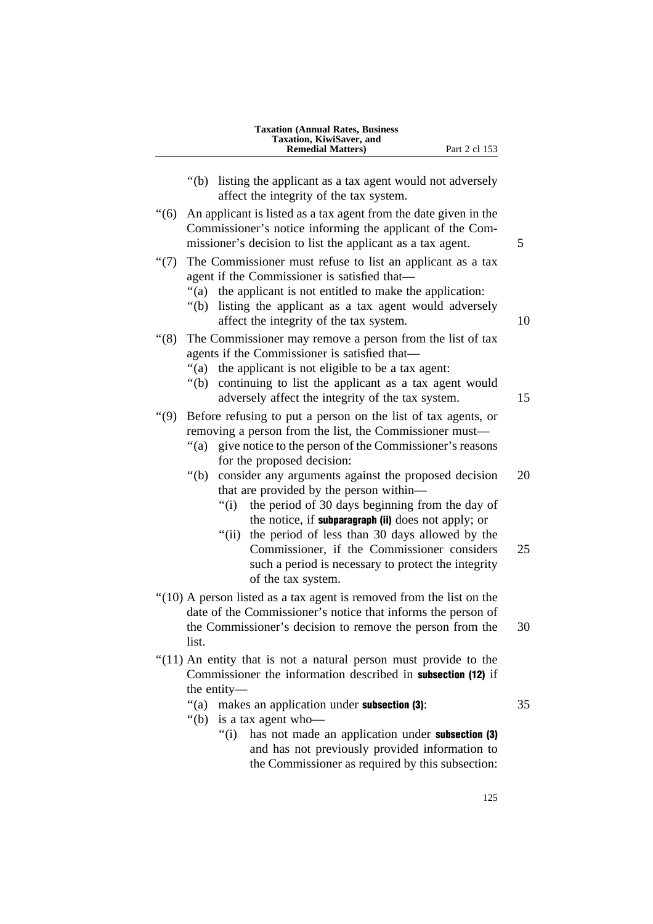|                 | <b>Taxation (Annual Rates, Business</b><br>Taxation, KiwiSaver, and<br><b>Remedial Matters)</b><br>Part 2 cl 153                                                                                                                                                                                                                          |          |
|-----------------|-------------------------------------------------------------------------------------------------------------------------------------------------------------------------------------------------------------------------------------------------------------------------------------------------------------------------------------------|----------|
|                 | " $(b)$<br>listing the applicant as a tax agent would not adversely<br>affect the integrity of the tax system.                                                                                                                                                                                                                            |          |
| (6)             | An applicant is listed as a tax agent from the date given in the<br>Commissioner's notice informing the applicant of the Com-<br>missioner's decision to list the applicant as a tax agent.                                                                                                                                               | 5        |
| $\cdot\cdot(7)$ | The Commissioner must refuse to list an applicant as a tax<br>agent if the Commissioner is satisfied that-<br>``(a)<br>the applicant is not entitled to make the application:<br>listing the applicant as a tax agent would adversely<br>" $(b)$<br>affect the integrity of the tax system.                                               | 10       |
| (8)             | The Commissioner may remove a person from the list of tax<br>agents if the Commissioner is satisfied that—<br>"(a)<br>the applicant is not eligible to be a tax agent:<br>continuing to list the applicant as a tax agent would<br>" $(b)$ "<br>adversely affect the integrity of the tax system.                                         | 15       |
| (9)             | Before refusing to put a person on the list of tax agents, or<br>removing a person from the list, the Commissioner must—<br>give notice to the person of the Commissioner's reasons<br>" $(a)$<br>for the proposed decision:                                                                                                              |          |
|                 | " $(b)$<br>consider any arguments against the proposed decision<br>that are provided by the person within—<br>the period of 30 days beginning from the day of<br>" $(i)$<br>the notice, if subparagraph (ii) does not apply; or<br>the period of less than 30 days allowed by the<br>"(ii)<br>Commissioner, if the Commissioner considers | 20<br>25 |
|                 | such a period is necessary to protect the integrity<br>of the tax system.                                                                                                                                                                                                                                                                 |          |
|                 | "(10) A person listed as a tax agent is removed from the list on the<br>date of the Commissioner's notice that informs the person of<br>the Commissioner's decision to remove the person from the<br>list.                                                                                                                                | 30       |
|                 | "(11) An entity that is not a natural person must provide to the<br>Commissioner the information described in subsection (12) if<br>the entity—                                                                                                                                                                                           |          |
|                 | makes an application under subsection (3):<br>"(a)<br>is a tax agent who-<br>" $(b)$<br>has not made an application under subsection (3)<br>``(i)<br>and has not previously provided information to<br>the Commissioner as required by this subsection:                                                                                   | 35       |

125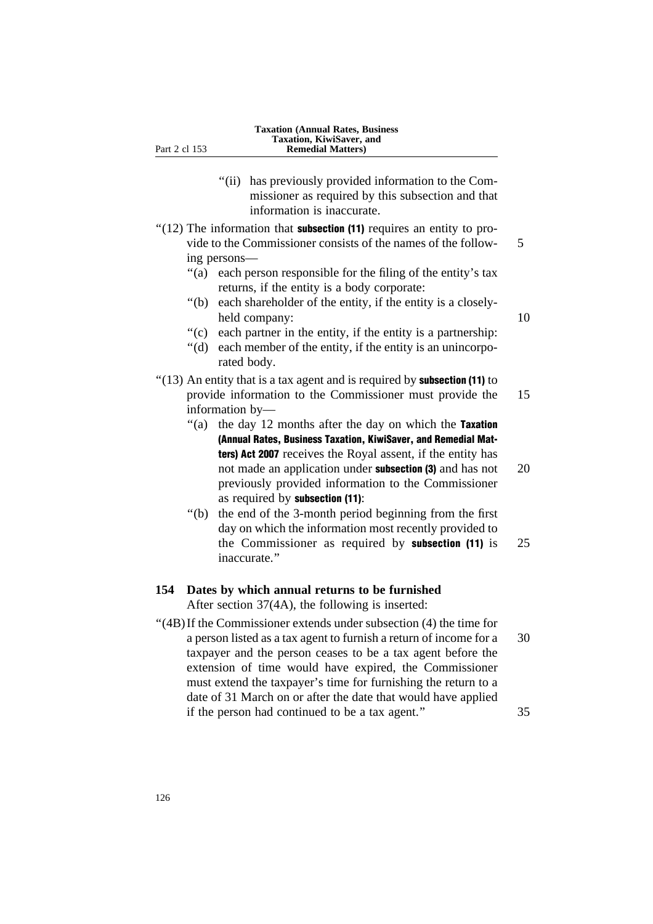- "(ii) has previously provided information to the Commissioner as required by this subsection and that information is inaccurate.
- $"(12)$  The information that **subsection (11)** requires an entity to provide to the Commissioner consists of the names of the follow- 5 ing persons—
	- ''(a) each person responsible for the filing of the entity's tax returns, if the entity is a body corporate:
	- ''(b) each shareholder of the entity, if the entity is a closelyheld company: 10
	- ''(c) each partner in the entity, if the entity is a partnership:
	- "(d) each member of the entity, if the entity is an unincorporated body.
- $(13)$  An entity that is a tax agent and is required by **subsection (11)** to provide information to the Commissioner must provide the 15 information by—
	- "(a) the day 12 months after the day on which the Taxation (Annual Rates, Business Taxation, KiwiSaver, and Remedial Matters) Act 2007 receives the Royal assent, if the entity has not made an application under **subsection** (3) and has not 20 previously provided information to the Commissioner as required by subsection (11):
	- ''(b) the end of the 3-month period beginning from the first day on which the information most recently provided to the Commissioner as required by subsection (11) is 25 inaccurate.''

# **154 Dates by which annual returns to be furnished**

After section 37(4A), the following is inserted:

''(4B)If the Commissioner extends under subsection (4) the time for a person listed as a tax agent to furnish a return of income for a 30 taxpayer and the person ceases to be a tax agent before the extension of time would have expired, the Commissioner must extend the taxpayer's time for furnishing the return to a date of 31 March on or after the date that would have applied if the person had continued to be a tax agent.'' 35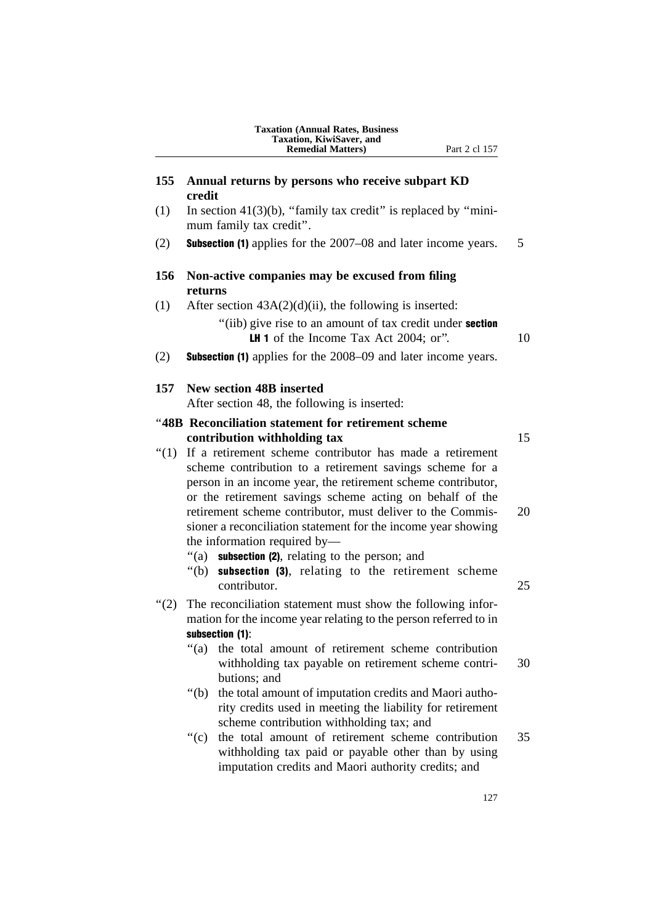|       | <b>Taxation (Annual Rates, Business</b><br>Taxation, KiwiSaver, and<br><b>Remedial Matters)</b><br>Part 2 cl 157                                                                                                                                                                                                                                                                                                                                |          |  |
|-------|-------------------------------------------------------------------------------------------------------------------------------------------------------------------------------------------------------------------------------------------------------------------------------------------------------------------------------------------------------------------------------------------------------------------------------------------------|----------|--|
| 155   | Annual returns by persons who receive subpart KD<br>credit                                                                                                                                                                                                                                                                                                                                                                                      |          |  |
| (1)   | In section $41(3)(b)$ , "family tax credit" is replaced by "mini-<br>mum family tax credit".                                                                                                                                                                                                                                                                                                                                                    |          |  |
| (2)   | <b>Subsection (1)</b> applies for the 2007–08 and later income years.                                                                                                                                                                                                                                                                                                                                                                           | 5        |  |
| 156   | Non-active companies may be excused from filing<br>returns                                                                                                                                                                                                                                                                                                                                                                                      |          |  |
| (1)   | After section $43A(2)(d)(ii)$ , the following is inserted:<br>"(iib) give rise to an amount of tax credit under <b>section</b>                                                                                                                                                                                                                                                                                                                  |          |  |
|       | <b>LH 1</b> of the Income Tax Act 2004; or".                                                                                                                                                                                                                                                                                                                                                                                                    | 10       |  |
| (2)   | <b>Subsection (1)</b> applies for the 2008–09 and later income years.                                                                                                                                                                                                                                                                                                                                                                           |          |  |
| 157   | New section 48B inserted<br>After section 48, the following is inserted:                                                                                                                                                                                                                                                                                                                                                                        |          |  |
|       | "48B Reconciliation statement for retirement scheme                                                                                                                                                                                                                                                                                                                                                                                             |          |  |
| ``(1) | contribution withholding tax<br>If a retirement scheme contributor has made a retirement<br>scheme contribution to a retirement savings scheme for a<br>person in an income year, the retirement scheme contributor,<br>or the retirement savings scheme acting on behalf of the<br>retirement scheme contributor, must deliver to the Commis-<br>sioner a reconciliation statement for the income year showing<br>the information required by— | 15<br>20 |  |
|       | subsection (2), relating to the person; and<br>"(a)<br>"(b) <b>subsection (3)</b> , relating to the retirement scheme<br>contributor.                                                                                                                                                                                                                                                                                                           | 25       |  |
| (2)   | The reconciliation statement must show the following infor-<br>mation for the income year relating to the person referred to in                                                                                                                                                                                                                                                                                                                 |          |  |
|       | subsection (1):<br>the total amount of retirement scheme contribution<br>" $(a)$<br>withholding tax payable on retirement scheme contri-<br>butions; and                                                                                                                                                                                                                                                                                        | 30       |  |
|       | " $(b)$<br>the total amount of imputation credits and Maori autho-<br>rity credits used in meeting the liability for retirement<br>scheme contribution withholding tax; and                                                                                                                                                                                                                                                                     |          |  |
|       | " $(c)$<br>the total amount of retirement scheme contribution<br>withholding tax paid or payable other than by using<br>imputation credits and Maori authority credits; and                                                                                                                                                                                                                                                                     | 35       |  |
|       |                                                                                                                                                                                                                                                                                                                                                                                                                                                 |          |  |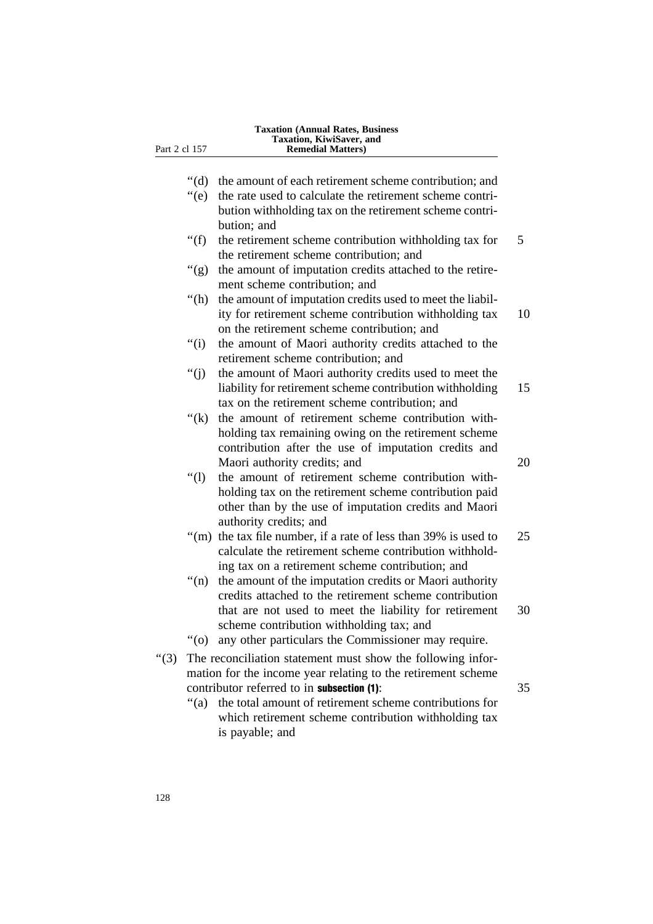| the amount of each retirement scheme contribution; and                                                                                                                                                                  | " $(d)$ "     |
|-------------------------------------------------------------------------------------------------------------------------------------------------------------------------------------------------------------------------|---------------|
| the rate used to calculate the retirement scheme contri-<br>bution withholding tax on the retirement scheme contri-                                                                                                     | $\degree$ (e) |
| bution; and                                                                                                                                                                                                             |               |
| the retirement scheme contribution withholding tax for<br>the retirement scheme contribution; and                                                                                                                       | " $(f)$       |
| the amount of imputation credits attached to the retire-<br>ment scheme contribution; and                                                                                                                               | " $(g)$       |
| the amount of imputation credits used to meet the liabil-<br>ity for retirement scheme contribution withholding tax<br>on the retirement scheme contribution; and                                                       | " $(h)$       |
| the amount of Maori authority credits attached to the<br>retirement scheme contribution; and                                                                                                                            | ``(i)         |
| the amount of Maori authority credits used to meet the<br>liability for retirement scheme contribution withholding<br>tax on the retirement scheme contribution; and                                                    | " $(i)$       |
| the amount of retirement scheme contribution with-<br>holding tax remaining owing on the retirement scheme<br>contribution after the use of imputation credits and<br>Maori authority credits; and                      | " $(k)$       |
| the amount of retirement scheme contribution with-<br>holding tax on the retirement scheme contribution paid<br>other than by the use of imputation credits and Maori<br>authority credits; and                         | ``(1)         |
| the tax file number, if a rate of less than 39% is used to<br>" $(m)$<br>calculate the retirement scheme contribution withhold-<br>ing tax on a retirement scheme contribution; and                                     |               |
| the amount of the imputation credits or Maori authority<br>credits attached to the retirement scheme contribution<br>that are not used to meet the liability for retirement<br>scheme contribution withholding tax; and | " $(n)$       |
| any other particulars the Commissioner may require.                                                                                                                                                                     | $\degree$ (0) |
| The reconciliation statement must show the following infor-<br>mation for the income year relating to the retirement scheme                                                                                             | "(3)          |
| contributor referred to in subsection (1):<br>the total amount of retirement scheme contributions for<br>which retirement scheme contribution withholding tax                                                           | " $(a)$       |

is payable; and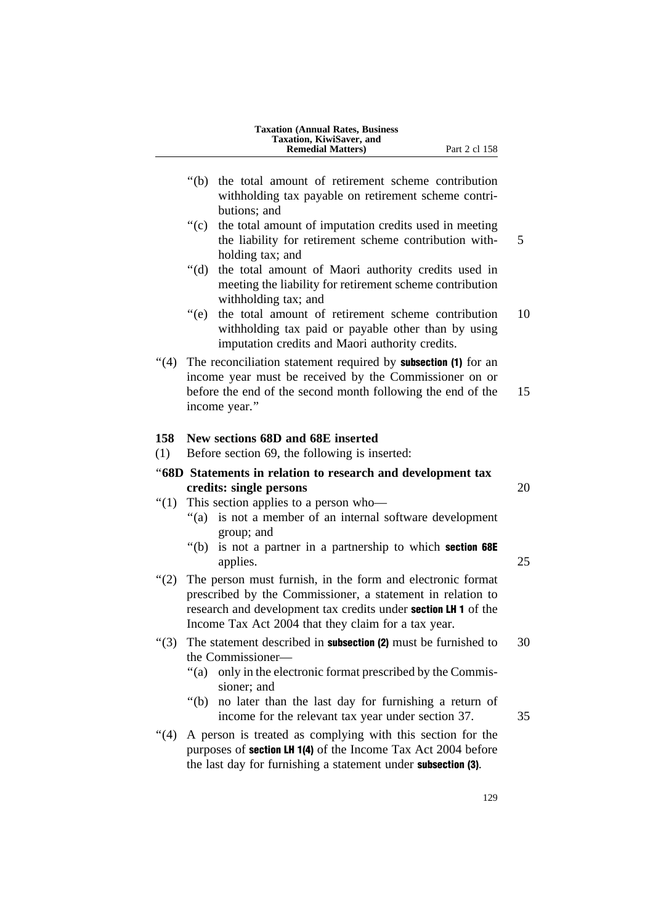|              | <b>Taxation (Annual Rates, Business</b><br>Taxation, KiwiSaver, and                                                                                                                                                                               |    |
|--------------|---------------------------------------------------------------------------------------------------------------------------------------------------------------------------------------------------------------------------------------------------|----|
|              | <b>Remedial Matters</b> )<br>Part 2 cl 158                                                                                                                                                                                                        |    |
|              | " $(b)$<br>the total amount of retirement scheme contribution<br>withholding tax payable on retirement scheme contri-                                                                                                                             |    |
|              | butions; and<br>$\mathrm{``(c)}$<br>the total amount of imputation credits used in meeting<br>the liability for retirement scheme contribution with-                                                                                              | 5  |
|              | holding tax; and<br>" $(d)$ "<br>the total amount of Maori authority credits used in<br>meeting the liability for retirement scheme contribution                                                                                                  |    |
|              | withholding tax; and<br>the total amount of retirement scheme contribution<br>$\degree$ (e)<br>withholding tax paid or payable other than by using<br>imputation credits and Maori authority credits.                                             | 10 |
| (4)          | The reconciliation statement required by <b>subsection</b> (1) for an<br>income year must be received by the Commissioner on or<br>before the end of the second month following the end of the<br>income year."                                   | 15 |
| 158<br>(1)   | New sections 68D and 68E inserted<br>Before section 69, the following is inserted:                                                                                                                                                                |    |
|              | "68D Statements in relation to research and development tax                                                                                                                                                                                       |    |
|              | credits: single persons                                                                                                                                                                                                                           | 20 |
| $\degree(1)$ | This section applies to a person who-<br>is not a member of an internal software development<br>" $(a)$<br>group; and                                                                                                                             |    |
|              | " $(b)$<br>is not a partner in a partnership to which section 68E<br>applies.                                                                                                                                                                     | 25 |
| (2)          | The person must furnish, in the form and electronic format<br>prescribed by the Commissioner, a statement in relation to<br>research and development tax credits under section LH 1 of the<br>Income Tax Act 2004 that they claim for a tax year. |    |
| " $(3)$      | The statement described in <b>subsection (2)</b> must be furnished to<br>the Commissioner—<br>only in the electronic format prescribed by the Commis-<br>" $(a)$<br>sioner; and                                                                   | 30 |
|              | " $(b)$<br>no later than the last day for furnishing a return of<br>income for the relevant tax year under section 37.                                                                                                                            | 35 |
| " $(4)$      | A person is treated as complying with this section for the<br>purposes of <b>section LH 1(4)</b> of the Income Tax Act 2004 before<br>the last day for furnishing a statement under subsection (3).                                               |    |

129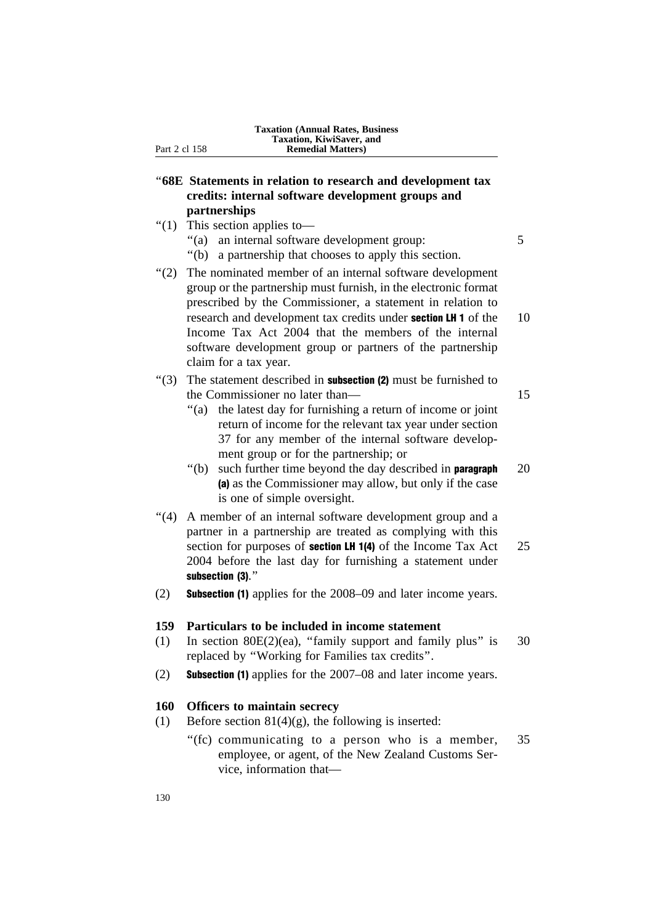# ''**68E Statements in relation to research and development tax credits: internal software development groups and partnerships**

- ''(1) This section applies to—
	- "(a) an internal software development group: 5
	- ''(b) a partnership that chooses to apply this section.

''(2) The nominated member of an internal software development group or the partnership must furnish, in the electronic format prescribed by the Commissioner, a statement in relation to research and development tax credits under **section LH 1** of the 10 Income Tax Act 2004 that the members of the internal software development group or partners of the partnership claim for a tax year.

# $'(3)$  The statement described in **subsection (2)** must be furnished to the Commissioner no later than— 15

- ''(a) the latest day for furnishing a return of income or joint return of income for the relevant tax year under section 37 for any member of the internal software development group or for the partnership; or
- $"$ (b) such further time beyond the day described in **paragraph**  $20$ (a) as the Commissioner may allow, but only if the case is one of simple oversight.
- "(4) A member of an internal software development group and a partner in a partnership are treated as complying with this section for purposes of **section LH 1(4)** of the Income Tax Act 25 2004 before the last day for furnishing a statement under subsection (3)."
- (2) Subsection (1) applies for the 2008–09 and later income years.

## **159 Particulars to be included in income statement**

- (1) In section  $80E(2)(ea)$ , "family support and family plus" is 30 replaced by ''Working for Families tax credits''.
- (2) Subsection (1) applies for the 2007–08 and later income years.

# **160 Officers to maintain secrecy**

- (1) Before section 81(4)(g), the following is inserted:
	- "(fc) communicating to a person who is a member,  $35$ employee, or agent, of the New Zealand Customs Service, information that—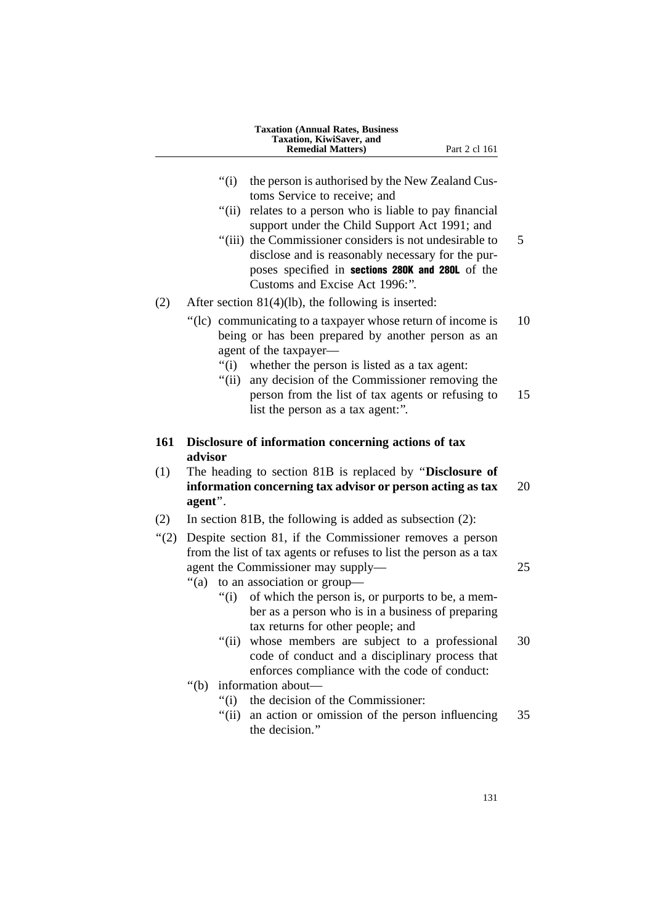|         | <b>Taxation (Annual Rates, Business</b><br>Taxation, KiwiSaver, and<br><b>Remedial Matters)</b><br>Part 2 cl 161                                                                               |    |
|---------|------------------------------------------------------------------------------------------------------------------------------------------------------------------------------------------------|----|
|         | " $(i)$<br>the person is authorised by the New Zealand Cus-<br>toms Service to receive; and                                                                                                    |    |
|         | " $(ii)$<br>relates to a person who is liable to pay financial<br>support under the Child Support Act 1991; and<br>"(iii) the Commissioner considers is not undesirable to                     | 5  |
|         | disclose and is reasonably necessary for the pur-<br>poses specified in sections 280K and 280L of the<br>Customs and Excise Act 1996:".                                                        |    |
| (2)     | After section $81(4)(lb)$ , the following is inserted:                                                                                                                                         |    |
|         | "(lc) communicating to a taxpayer whose return of income is<br>being or has been prepared by another person as an<br>agent of the taxpayer—                                                    | 10 |
|         | whether the person is listed as a tax agent:<br>" $(i)$<br>" $(ii)$<br>any decision of the Commissioner removing the                                                                           |    |
|         | person from the list of tax agents or refusing to<br>list the person as a tax agent:".                                                                                                         | 15 |
| 161     | Disclosure of information concerning actions of tax<br>advisor                                                                                                                                 |    |
| (1)     | The heading to section 81B is replaced by "Disclosure of<br>information concerning tax advisor or person acting as tax<br>agent".                                                              | 20 |
| (2)     | In section 81B, the following is added as subsection $(2)$ :                                                                                                                                   |    |
| " $(2)$ | Despite section 81, if the Commissioner removes a person                                                                                                                                       |    |
|         | from the list of tax agents or refuses to list the person as a tax<br>agent the Commissioner may supply-<br>to an association or group-<br>"(a)                                                | 25 |
|         | "(i)<br>of which the person is, or purports to be, a mem-<br>ber as a person who is in a business of preparing                                                                                 |    |
|         | tax returns for other people; and<br>whose members are subject to a professional<br>"(ii)"<br>code of conduct and a disciplinary process that<br>enforces compliance with the code of conduct: | 30 |
|         | " $(b)$<br>information about—                                                                                                                                                                  |    |
|         | the decision of the Commissioner:<br>" $(i)$                                                                                                                                                   |    |
|         | "(ii)<br>an action or omission of the person influencing<br>the decision."                                                                                                                     | 35 |
|         |                                                                                                                                                                                                |    |

131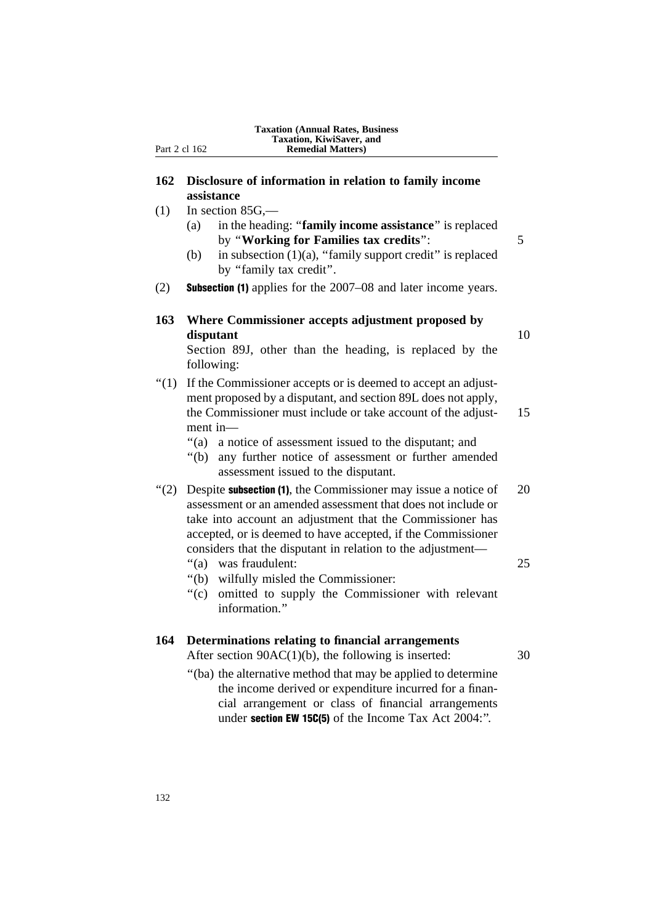**162 Disclosure of information in relation to family income assistance**

- $(1)$  In section 85G,—
	- (a) in the heading: ''**family income assistance**'' is replaced by ''**Working for Families tax credits**'': 5
	- (b) in subsection  $(1)(a)$ , "family support credit" is replaced by "family tax credit".
- (2) Subsection (1) applies for the 2007–08 and later income years.
- **163 Where Commissioner accepts adjustment proposed by disputant** 10

Section 89J, other than the heading, is replaced by the following:

- ''(1) If the Commissioner accepts or is deemed to accept an adjustment proposed by a disputant, and section 89L does not apply, the Commissioner must include or take account of the adjust- 15 ment in—
	- ''(a) a notice of assessment issued to the disputant; and
	- ''(b) any further notice of assessment or further amended assessment issued to the disputant.
- $\degree$ (2) Despite **subsection (1)**, the Commissioner may issue a notice of 20 assessment or an amended assessment that does not include or take into account an adjustment that the Commissioner has accepted, or is deemed to have accepted, if the Commissioner considers that the disputant in relation to the adjustment—
	- ''(a) was fraudulent: 25
		-
- ''(b) wilfully misled the Commissioner:
- ''(c) omitted to supply the Commissioner with relevant information<sup>"</sup>

## **164 Determinations relating to financial arrangements**

After section  $90AC(1)(b)$ , the following is inserted:  $30$ 

- 
- ''(ba) the alternative method that may be applied to determine the income derived or expenditure incurred for a financial arrangement or class of financial arrangements under **section EW 15C(5)** of the Income Tax Act 2004:".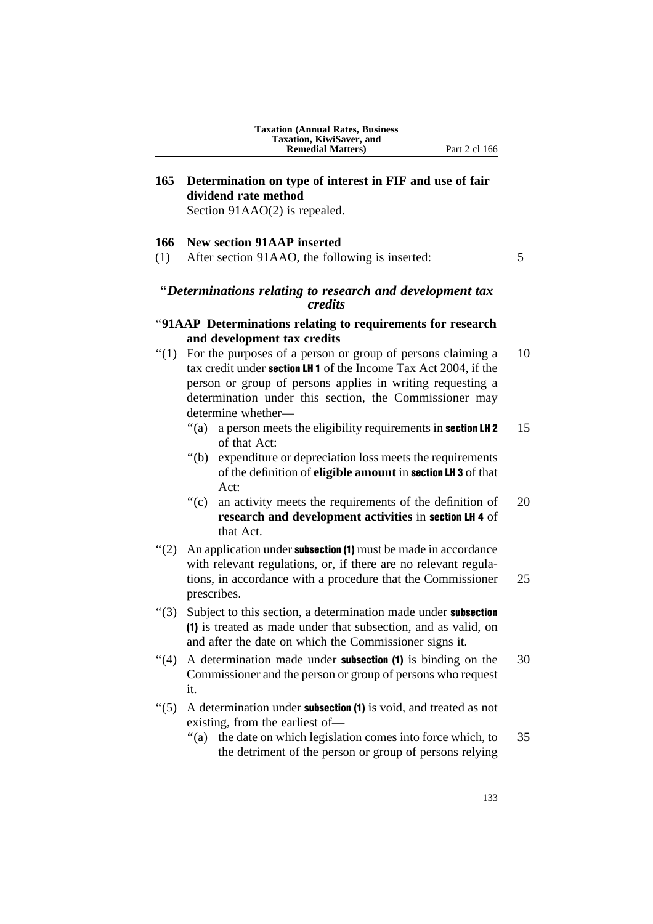# **165 Determination on type of interest in FIF and use of fair dividend rate method**

Section 91AAO(2) is repealed.

#### **166 New section 91AAP inserted**

(1) After section 91AAO, the following is inserted: 5

# ''*Determinations relating to research and development tax credits*

# ''**91AAP Determinations relating to requirements for research and development tax credits**

- $\degree$ (1) For the purposes of a person or group of persons claiming a 10 tax credit under section LH 1 of the Income Tax Act 2004, if the person or group of persons applies in writing requesting a determination under this section, the Commissioner may determine whether—
	- $\degree$ (a) a person meets the eligibility requirements in **section LH 2** 15 of that Act:
	- ''(b) expenditure or depreciation loss meets the requirements of the definition of **eligible amount** in section LH 3 of that Act:
	- "(c) an activity meets the requirements of the definition of 20 **research and development activities** in section LH 4 of that Act.
- $'(2)$  An application under **subsection (1)** must be made in accordance with relevant regulations, or, if there are no relevant regulations, in accordance with a procedure that the Commissioner 25 prescribes.
- $"(3)$  Subject to this section, a determination made under **subsection** (1) is treated as made under that subsection, and as valid, on and after the date on which the Commissioner signs it.
- $\degree$ (4) A determination made under **subsection (1)** is binding on the 30 Commissioner and the person or group of persons who request it.
- " $(5)$  A determination under **subsection (1)** is void, and treated as not existing, from the earliest of—
	- "(a) the date on which legislation comes into force which, to 35 the detriment of the person or group of persons relying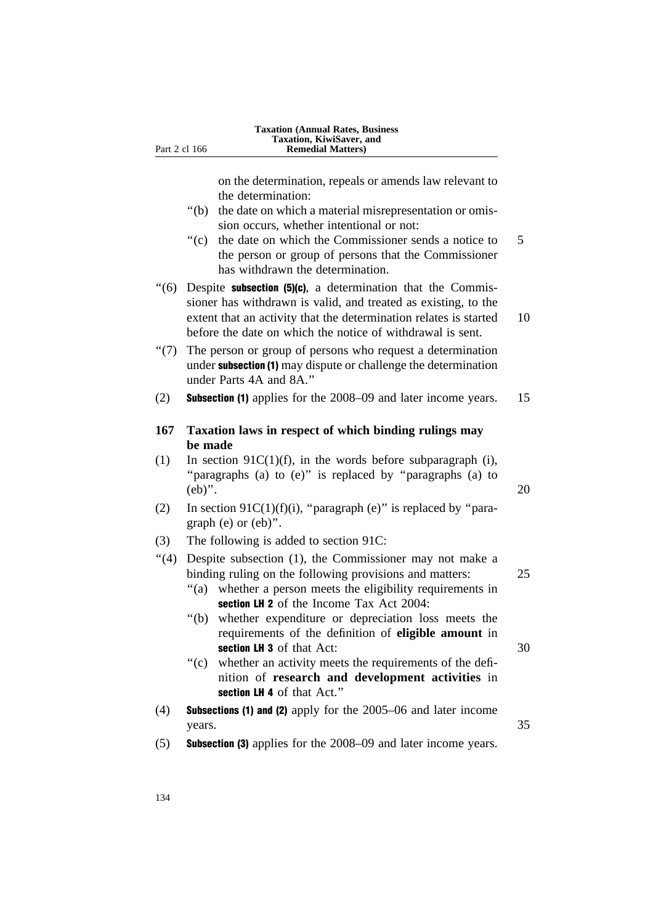on the determination, repeals or amends law relevant to the determination:

- ''(b) the date on which a material misrepresentation or omission occurs, whether intentional or not:
- "(c) the date on which the Commissioner sends a notice to 5 the person or group of persons that the Commissioner has withdrawn the determination.
- $\degree$ (6) Despite subsection (5)(c), a determination that the Commissioner has withdrawn is valid, and treated as existing, to the extent that an activity that the determination relates is started 10 before the date on which the notice of withdrawal is sent.
- ''(7) The person or group of persons who request a determination under subsection (1) may dispute or challenge the determination under Parts 4A and 8A.''
- (2) Subsection (1) applies for the 2008–09 and later income years. 15

# **167 Taxation laws in respect of which binding rulings may be made**

- (1) In section  $91C(1)(f)$ , in the words before subparagraph (i), "paragraphs (a) to (e)" is replaced by "paragraphs (a) to (eb)''. 20
- (2) In section  $91C(1)(f)(i)$ , "paragraph (e)" is replaced by "paragraph (e) or (eb)''.
- (3) The following is added to section 91C:
- ''(4) Despite subsection (1), the Commissioner may not make a binding ruling on the following provisions and matters: 25
	- "(a) whether a person meets the eligibility requirements in section LH 2 of the Income Tax Act 2004:
	- ''(b) whether expenditure or depreciation loss meets the requirements of the definition of **eligible amount** in section LH 3 of that Act: 30
	- ''(c) whether an activity meets the requirements of the definition of **research and development activities** in section LH 4 of that Act."
- (4) Subsections (1) and (2) apply for the 2005–06 and later income years. 35
- (5) Subsection (3) applies for the 2008–09 and later income years.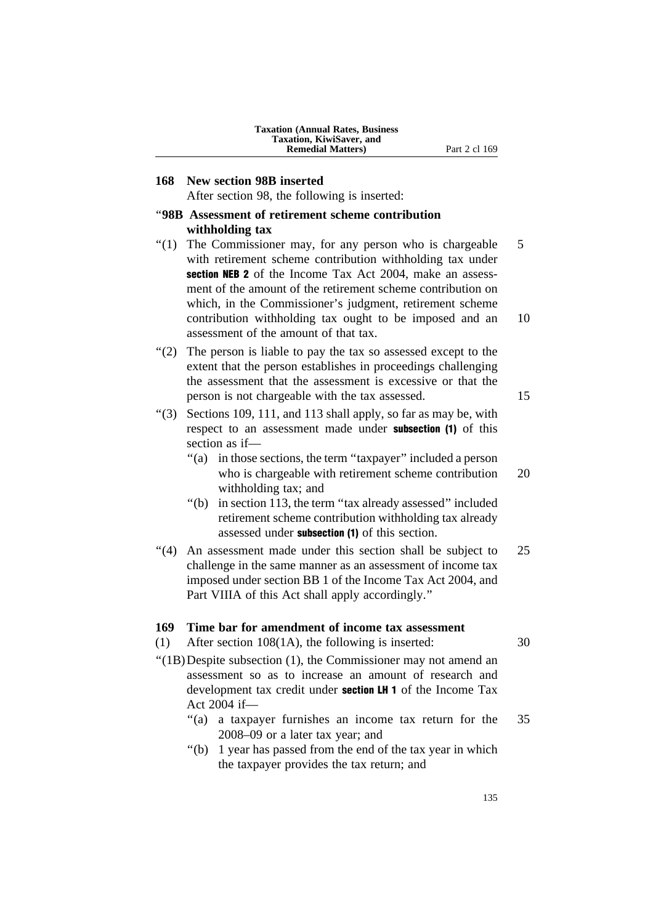| <b>Taxation (Annual Rates, Business)</b> |
|------------------------------------------|
| <b>Taxation, KiwiSaver, and</b>          |
| <b>Remedial Matters</b> )                |

# **168 New section 98B inserted**

After section 98, the following is inserted:

# ''**98B Assessment of retirement scheme contribution withholding tax**

- "(1) The Commissioner may, for any person who is chargeable  $5$ with retirement scheme contribution withholding tax under section NEB 2 of the Income Tax Act 2004, make an assessment of the amount of the retirement scheme contribution on which, in the Commissioner's judgment, retirement scheme contribution withholding tax ought to be imposed and an 10 assessment of the amount of that tax.
- ''(2) The person is liable to pay the tax so assessed except to the extent that the person establishes in proceedings challenging the assessment that the assessment is excessive or that the person is not chargeable with the tax assessed. 15
- " $(3)$  Sections 109, 111, and 113 shall apply, so far as may be, with respect to an assessment made under subsection (1) of this section as if—
	- "(a) in those sections, the term "taxpayer" included a person who is chargeable with retirement scheme contribution 20 withholding tax; and
	- "(b) in section 113, the term "tax already assessed" included retirement scheme contribution withholding tax already assessed under subsection (1) of this section.
- ''(4) An assessment made under this section shall be subject to 25 challenge in the same manner as an assessment of income tax imposed under section BB 1 of the Income Tax Act 2004, and Part VIIIA of this Act shall apply accordingly.''

#### **169 Time bar for amendment of income tax assessment**

- (1) After section 108(1A), the following is inserted: 30
- ''(1B)Despite subsection (1), the Commissioner may not amend an assessment so as to increase an amount of research and development tax credit under **section LH 1** of the Income Tax Act 2004 if—
	- "(a) a taxpayer furnishes an income tax return for the 35 2008–09 or a later tax year; and
	- "(b) 1 year has passed from the end of the tax year in which the taxpayer provides the tax return; and

Part 2 cl 169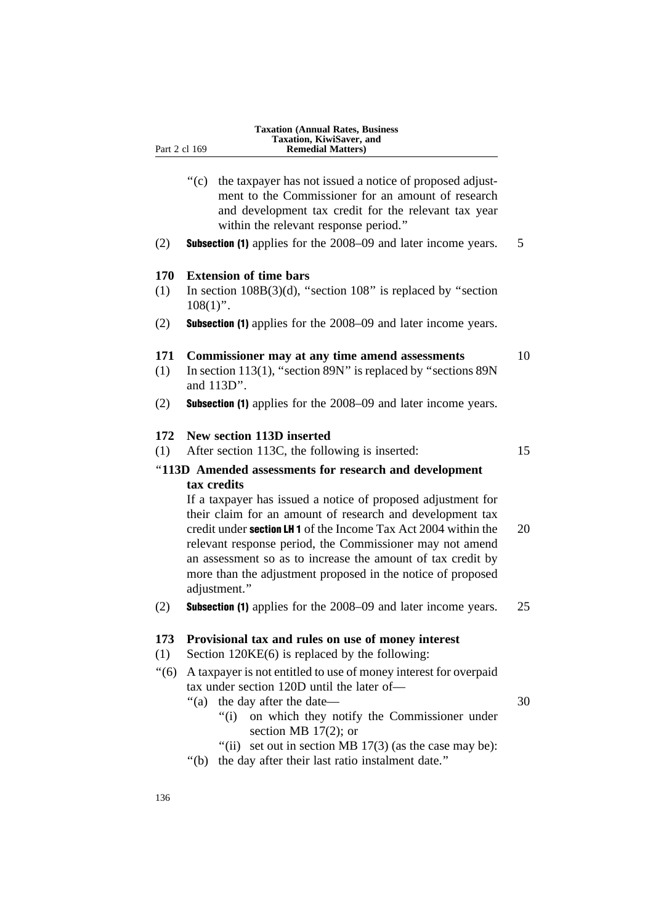- - "(c) the taxpayer has not issued a notice of proposed adjustment to the Commissioner for an amount of research and development tax credit for the relevant tax year within the relevant response period.''
- (2) Subsection (1) applies for the 2008–09 and later income years. 5

# **170 Extension of time bars**

- (1) In section  $108B(3)(d)$ , "section 108" is replaced by "section  $108(1)$ ".
- (2) Subsection (1) applies for the 2008–09 and later income years.

## **171 Commissioner may at any time amend assessments** 10

- (1) In section 113(1), ''section 89N'' is replaced by ''sections 89N and 113D''.
- (2) Subsection (1) applies for the 2008–09 and later income years.

## **172 New section 113D inserted**

(1) After section 113C, the following is inserted: 15

# ''**113D Amended assessments for research and development tax credits**

If a taxpayer has issued a notice of proposed adjustment for their claim for an amount of research and development tax credit under **section LH 1** of the Income Tax Act 2004 within the 20 relevant response period, the Commissioner may not amend an assessment so as to increase the amount of tax credit by more than the adjustment proposed in the notice of proposed adjustment.''

(2) Subsection (1) applies for the 2008–09 and later income years. 25

# **173 Provisional tax and rules on use of money interest**

- (1) Section 120KE(6) is replaced by the following:
- ''(6) A taxpayer is not entitled to use of money interest for overpaid tax under section 120D until the later of—
	- ''(a) the day after the date— 30

- "(i) on which they notify the Commissioner under section MB 17(2); or
- "(ii) set out in section MB  $17(3)$  (as the case may be):
- ''(b) the day after their last ratio instalment date.''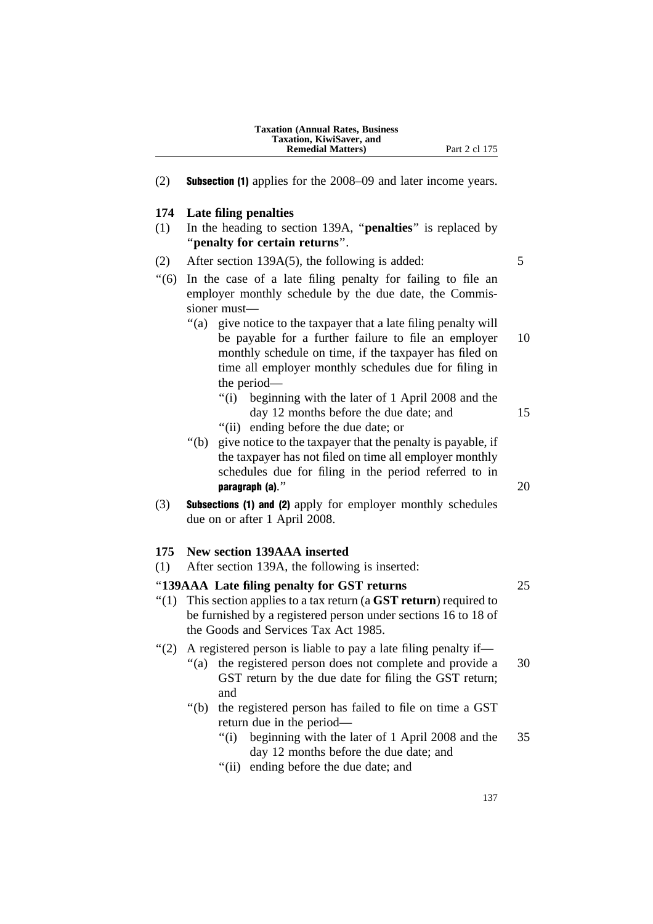| <b>Taxation (Annual Rates, Business)</b> |
|------------------------------------------|
| <b>Taxation, KiwiSaver, and</b>          |
| <b>Remedial Matters</b> )                |

(2) Subsection (1) applies for the 2008–09 and later income years.

# **174 Late filing penalties**

(1) In the heading to section 139A, ''**penalties**'' is replaced by ''**penalty for certain returns**''.

## (2) After section 139A(5), the following is added:  $5$

- ''(6) In the case of a late filing penalty for failing to file an employer monthly schedule by the due date, the Commissioner must—
	- ''(a) give notice to the taxpayer that a late filing penalty will be payable for a further failure to file an employer 10 monthly schedule on time, if the taxpayer has filed on time all employer monthly schedules due for filing in the period—
		- "(i) beginning with the later of 1 April 2008 and the day 12 months before the due date; and 15
		- ''(ii) ending before the due date; or
	- ''(b) give notice to the taxpayer that the penalty is payable, if the taxpayer has not filed on time all employer monthly schedules due for filing in the period referred to in  $\mathbf{p}$ aragraph (a)." 20
- (3) Subsections (1) and (2) apply for employer monthly schedules due on or after 1 April 2008.

# **175 New section 139AAA inserted**

(1) After section 139A, the following is inserted:

# ''**139AAA Late filing penalty for GST returns** 25

''(1) This section applies to a tax return (a **GST return**) required to be furnished by a registered person under sections 16 to 18 of the Goods and Services Tax Act 1985.

### ''(2) A registered person is liable to pay a late filing penalty if—

- "(a) the registered person does not complete and provide a 30 GST return by the due date for filing the GST return; and
- ''(b) the registered person has failed to file on time a GST return due in the period—
	- ''(i) beginning with the later of 1 April 2008 and the 35 day 12 months before the due date; and
	- ''(ii) ending before the due date; and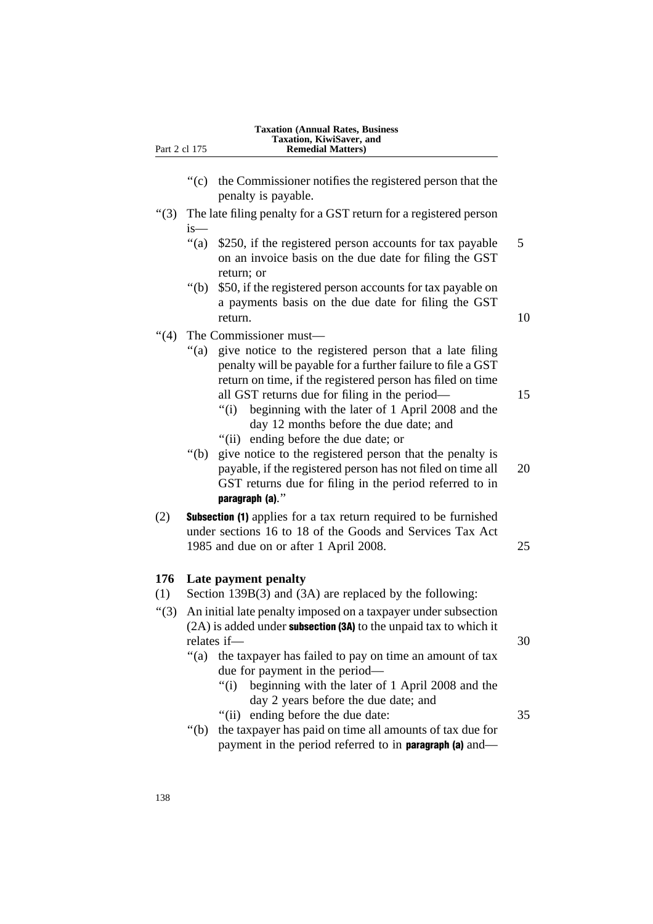| Part 2 cl 175 |                  | <b>Taxation (Annual Rates, Business</b><br>Taxation, KiwiSaver, and<br><b>Remedial Matters)</b>                                                                                                                                                                 |
|---------------|------------------|-----------------------------------------------------------------------------------------------------------------------------------------------------------------------------------------------------------------------------------------------------------------|
|               | " $(c)$          | the Commissioner notifies the registered person that the<br>penalty is payable.                                                                                                                                                                                 |
| " $(3)$       |                  | The late filing penalty for a GST return for a registered person                                                                                                                                                                                                |
|               | $is-$<br>" $(a)$ | \$250, if the registered person accounts for tax payable<br>on an invoice basis on the due date for filing the GST<br>return; or                                                                                                                                |
|               | " $(b)$          | \$50, if the registered person accounts for tax payable on<br>a payments basis on the due date for filing the GST<br>return.                                                                                                                                    |
| " $(4)$       | " $(a)$          | The Commissioner must-<br>give notice to the registered person that a late filing<br>penalty will be payable for a further failure to file a GST<br>return on time, if the registered person has filed on time<br>all GST returns due for filing in the period— |
|               |                  | beginning with the later of 1 April 2008 and the<br>" $(i)$<br>day 12 months before the due date; and<br>"(ii) ending before the due date; or                                                                                                                   |
|               | " $(b)$          | give notice to the registered person that the penalty is<br>payable, if the registered person has not filed on time all<br>GST returns due for filing in the period referred to in<br>paragraph (a)."                                                           |
| (2)           |                  | <b>Subsection (1)</b> applies for a tax return required to be furnished<br>under sections 16 to 18 of the Goods and Services Tax Act<br>1985 and due on or after 1 April 2008.                                                                                  |
| 176<br>(1)    |                  | Late payment penalty<br>Section 139B(3) and (3A) are replaced by the following:                                                                                                                                                                                 |
| (3)           |                  | An initial late penalty imposed on a taxpayer under subsection<br>(2A) is added under subsection (3A) to the unpaid tax to which it<br>relates if-                                                                                                              |
|               | " $(a)$          | the taxpayer has failed to pay on time an amount of tax<br>due for payment in the period—<br>beginning with the later of 1 April 2008 and the<br>" $(i)$<br>day 2 years before the due date; and                                                                |
|               | " $(b)$          | ending before the due date:<br>"(ii)<br>the taxpayer has paid on time all amounts of tax due for<br>payment in the period referred to in paragraph (a) and—                                                                                                     |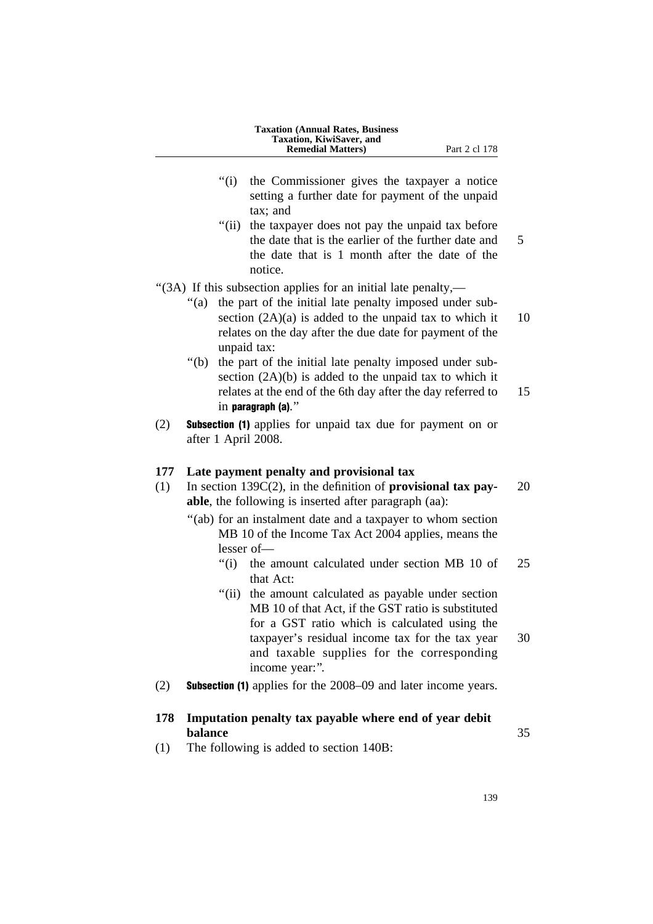| <b>Taxation (Annual Rates, Business)</b> |  |
|------------------------------------------|--|
| <b>Taxation, KiwiSaver, and</b>          |  |
| <b>Remedial Matters</b> )                |  |

- Part 2 cl 178
- ''(i) the Commissioner gives the taxpayer a notice setting a further date for payment of the unpaid tax; and
- "(ii) the taxpayer does not pay the unpaid tax before the date that is the earlier of the further date and 5 the date that is 1 month after the date of the notice.
- ''(3A) If this subsection applies for an initial late penalty,—
	- "(a) the part of the initial late penalty imposed under subsection  $(2A)(a)$  is added to the unpaid tax to which it 10 relates on the day after the due date for payment of the unpaid tax:
	- "(b) the part of the initial late penalty imposed under subsection  $(2A)(b)$  is added to the unpaid tax to which it relates at the end of the 6th day after the day referred to 15 in paragraph (a).''
- (2) Subsection (1) applies for unpaid tax due for payment on or after 1 April 2008.

# **177 Late payment penalty and provisional tax**

- (1) In section 139C(2), in the definition of **provisional tax pay-** 20 **able**, the following is inserted after paragraph (aa):
	- "(ab) for an instalment date and a taxpayer to whom section MB 10 of the Income Tax Act 2004 applies, means the lesser of—
		- ''(i) the amount calculated under section MB 10 of 25 that Act:
		- ''(ii) the amount calculated as payable under section MB 10 of that Act, if the GST ratio is substituted for a GST ratio which is calculated using the taxpayer's residual income tax for the tax year 30 and taxable supplies for the corresponding income year:''.
- (2) Subsection (1) applies for the 2008–09 and later income years.

# **178 Imputation penalty tax payable where end of year debit balance** 35

(1) The following is added to section 140B: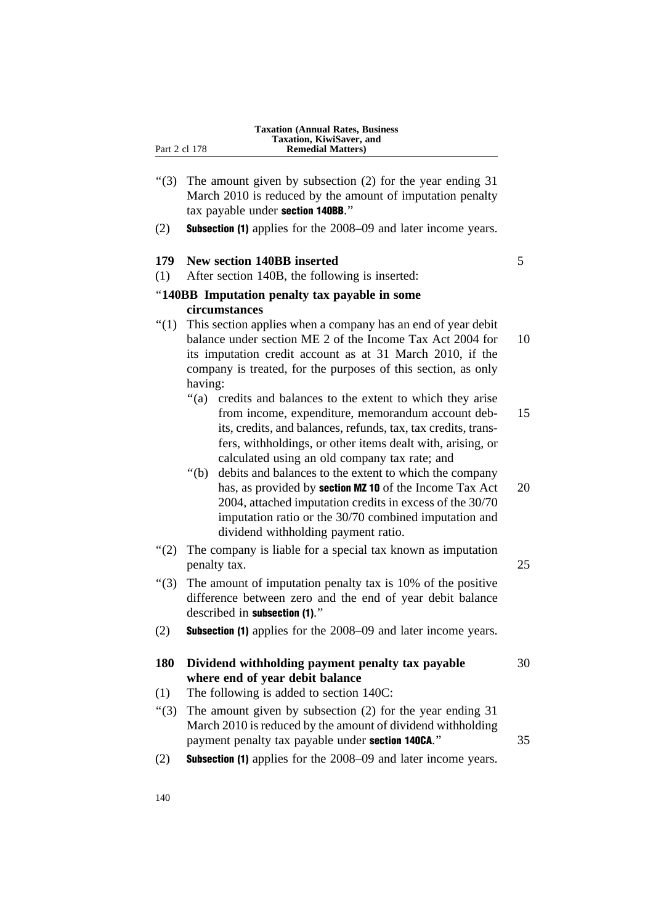- "(3) The amount given by subsection (2) for the year ending 31 March 2010 is reduced by the amount of imputation penalty tax payable under section 140BB.''
- (2) Subsection (1) applies for the 2008–09 and later income years.

## **179 New section 140BB inserted** 5

(1) After section 140B, the following is inserted:

# ''**140BB Imputation penalty tax payable in some circumstances**

- "(1) This section applies when a company has an end of year debit balance under section ME 2 of the Income Tax Act 2004 for 10 its imputation credit account as at 31 March 2010, if the company is treated, for the purposes of this section, as only having:
	- ''(a) credits and balances to the extent to which they arise from income, expenditure, memorandum account deb- 15 its, credits, and balances, refunds, tax, tax credits, transfers, withholdings, or other items dealt with, arising, or calculated using an old company tax rate; and
	- ''(b) debits and balances to the extent to which the company has, as provided by **section MZ 10** of the Income Tax Act  $20$ 2004, attached imputation credits in excess of the 30/70 imputation ratio or the 30/70 combined imputation and dividend withholding payment ratio.
- "(2) The company is liable for a special tax known as imputation penalty tax. 25
- ''(3) The amount of imputation penalty tax is 10% of the positive difference between zero and the end of year debit balance described in subsection (1).''
- (2) Subsection (1) applies for the 2008–09 and later income years.

# **180 Dividend withholding payment penalty tax payable** 30 **where end of year debit balance**

- (1) The following is added to section 140C:
- "(3) The amount given by subsection (2) for the year ending 31 March 2010 is reduced by the amount of dividend withholding payment penalty tax payable under section 140CA.'' 35
- (2) Subsection (1) applies for the 2008–09 and later income years.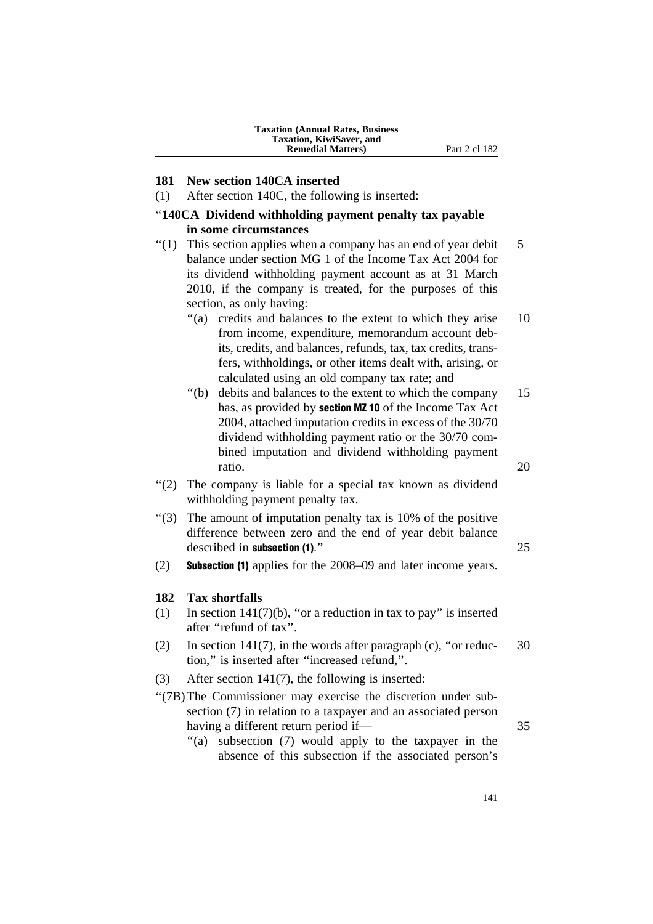## **181 New section 140CA inserted**

(1) After section 140C, the following is inserted:

# ''**140CA Dividend withholding payment penalty tax payable in some circumstances**

- $''(1)$  This section applies when a company has an end of year debit 5 balance under section MG 1 of the Income Tax Act 2004 for its dividend withholding payment account as at 31 March 2010, if the company is treated, for the purposes of this section, as only having:
	- ''(a) credits and balances to the extent to which they arise 10 from income, expenditure, memorandum account debits, credits, and balances, refunds, tax, tax credits, transfers, withholdings, or other items dealt with, arising, or calculated using an old company tax rate; and
	- ''(b) debits and balances to the extent to which the company 15 has, as provided by **section MZ 10** of the Income Tax Act 2004, attached imputation credits in excess of the 30/70 dividend withholding payment ratio or the 30/70 combined imputation and dividend withholding payment ratio. 20
- "(2) The company is liable for a special tax known as dividend withholding payment penalty tax.
- ''(3) The amount of imputation penalty tax is 10% of the positive difference between zero and the end of year debit balance described in **subsection (1)**." 25
- (2) Subsection (1) applies for the 2008–09 and later income years.

# **182 Tax shortfalls**

- (1) In section  $141(7)(b)$ , "or a reduction in tax to pay" is inserted after ''refund of tax''.
- (2) In section 141(7), in the words after paragraph (c), "or reduc-  $30$ tion,'' is inserted after ''increased refund,''.
- (3) After section 141(7), the following is inserted:
- ''(7B)The Commissioner may exercise the discretion under subsection (7) in relation to a taxpayer and an associated person having a different return period if— 35
	- "(a) subsection (7) would apply to the taxpayer in the absence of this subsection if the associated person's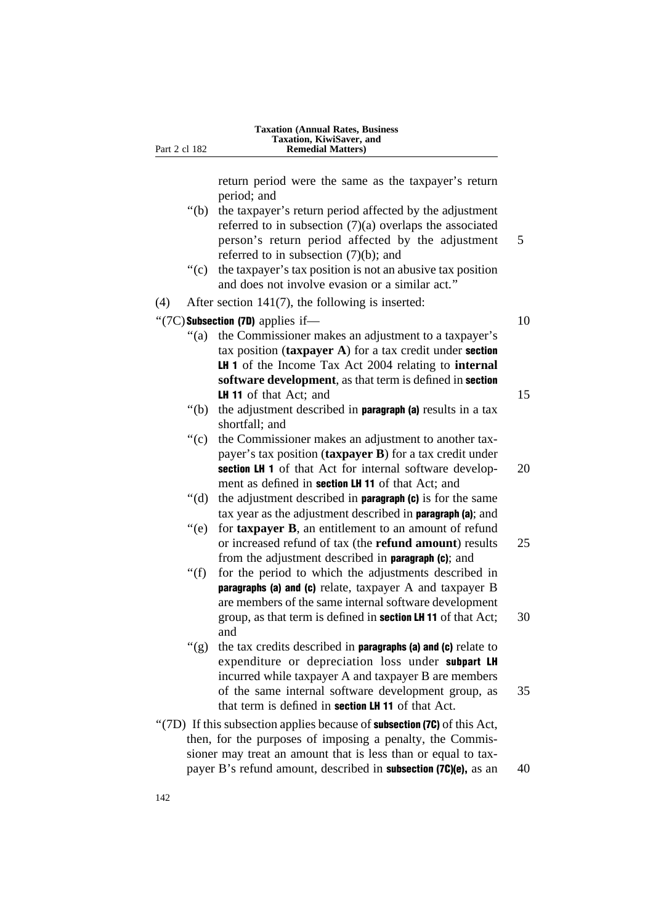return period were the same as the taxpayer's return period; and

- "(b) the taxpayer's return period affected by the adjustment referred to in subsection (7)(a) overlaps the associated person's return period affected by the adjustment 5 referred to in subsection (7)(b); and
- $'(c)$  the taxpayer's tax position is not an abusive tax position

|     |           | and does not involve evasion or a similar act."                                                                           |    |
|-----|-----------|---------------------------------------------------------------------------------------------------------------------------|----|
| (4) |           | After section $141(7)$ , the following is inserted:                                                                       |    |
|     |           | "(7C) Subsection (7D) applies if-                                                                                         | 10 |
|     | " $(a)$   | the Commissioner makes an adjustment to a taxpayer's<br>tax position $(\text{taryayer A})$ for a tax credit under section |    |
|     |           | LH 1 of the Income Tax Act 2004 relating to internal                                                                      |    |
|     |           | software development, as that term is defined in section                                                                  |    |
|     |           | <b>LH 11</b> of that Act; and                                                                                             | 15 |
|     | " $(b)$   | the adjustment described in <b>paragraph</b> (a) results in a tax<br>shortfall; and                                       |    |
|     | ``(c)     | the Commissioner makes an adjustment to another tax-                                                                      |    |
|     |           | payer's tax position (taxpayer B) for a tax credit under                                                                  |    |
|     |           | section LH 1 of that Act for internal software develop-                                                                   | 20 |
|     |           | ment as defined in section LH 11 of that Act; and                                                                         |    |
|     | " $(d)$ " | the adjustment described in <b>paragraph</b> (c) is for the same                                                          |    |
|     |           | tax year as the adjustment described in <b>paragraph</b> (a); and                                                         |    |
|     | ``(e)     | for taxpayer B, an entitlement to an amount of refund                                                                     |    |
|     |           | or increased refund of tax (the <b>refund amount</b> ) results                                                            | 25 |
|     |           | from the adjustment described in <b>paragraph</b> (c); and                                                                |    |
|     | " $(f)$   | for the period to which the adjustments described in                                                                      |    |
|     |           | paragraphs (a) and (c) relate, taxpayer A and taxpayer B                                                                  |    |
|     |           | are members of the same internal software development                                                                     |    |
|     |           | group, as that term is defined in <b>section LH 11</b> of that Act;<br>and                                                | 30 |
|     | " $(g)$   | the tax credits described in <b>paragraphs</b> (a) and (c) relate to                                                      |    |
|     |           | expenditure or depreciation loss under subpart LH                                                                         |    |
|     |           | incurred while taxpayer A and taxpayer B are members                                                                      |    |
|     |           | of the same internal software development group, as                                                                       | 35 |
|     |           | that term is defined in <b>section LH 11</b> of that Act.                                                                 |    |
|     |           | "(7D) If this subsection applies because of <b>subsection (7C)</b> of this Act,                                           |    |
|     |           | then, for the purposes of imposing a penalty, the Commis-                                                                 |    |
|     |           | sioner may treat an amount that is less than or equal to tax-                                                             |    |

payer B's refund amount, described in **subsection (7C)(e)**, as an 40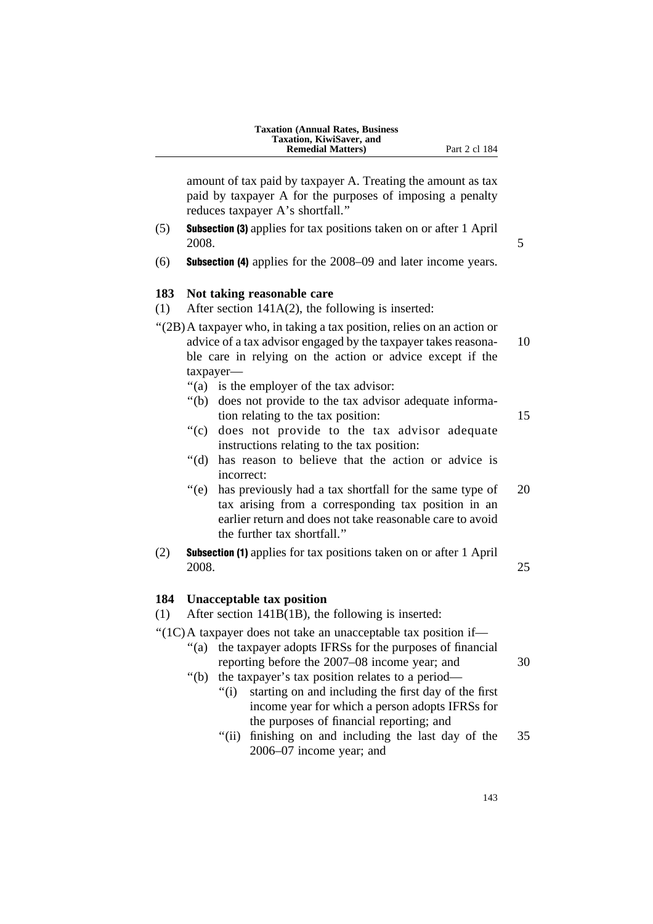amount of tax paid by taxpayer A. Treating the amount as tax paid by taxpayer A for the purposes of imposing a penalty reduces taxpayer A's shortfall.''

- (5) Subsection (3) applies for tax positions taken on or after 1 April 2008. 5
- (6) Subsection (4) applies for the 2008–09 and later income years.

# **183 Not taking reasonable care**

- (1) After section 141A(2), the following is inserted:
- ''(2B)A taxpayer who, in taking a tax position, relies on an action or advice of a tax advisor engaged by the taxpayer takes reasona- 10 ble care in relying on the action or advice except if the taxpayer—
	- ''(a) is the employer of the tax advisor:
	- ''(b) does not provide to the tax advisor adequate information relating to the tax position: 15
	- "(c) does not provide to the tax advisor adequate instructions relating to the tax position:
	- ''(d) has reason to believe that the action or advice is incorrect:
	- "(e) has previously had a tax shortfall for the same type of 20 tax arising from a corresponding tax position in an earlier return and does not take reasonable care to avoid the further tax shortfall.''
- (2) Subsection (1) applies for tax positions taken on or after 1 April 2008. 25

# **184 Unacceptable tax position**

- (1) After section 141B(1B), the following is inserted:
- ''(1C)A taxpayer does not take an unacceptable tax position if—
	- "(a) the taxpayer adopts IFRSs for the purposes of financial reporting before the 2007–08 income year; and 30

- "(b) the taxpayer's tax position relates to a period—
	- ''(i) starting on and including the first day of the first income year for which a person adopts IFRSs for the purposes of financial reporting; and
	- "(ii) finishing on and including the last day of the 35 2006–07 income year; and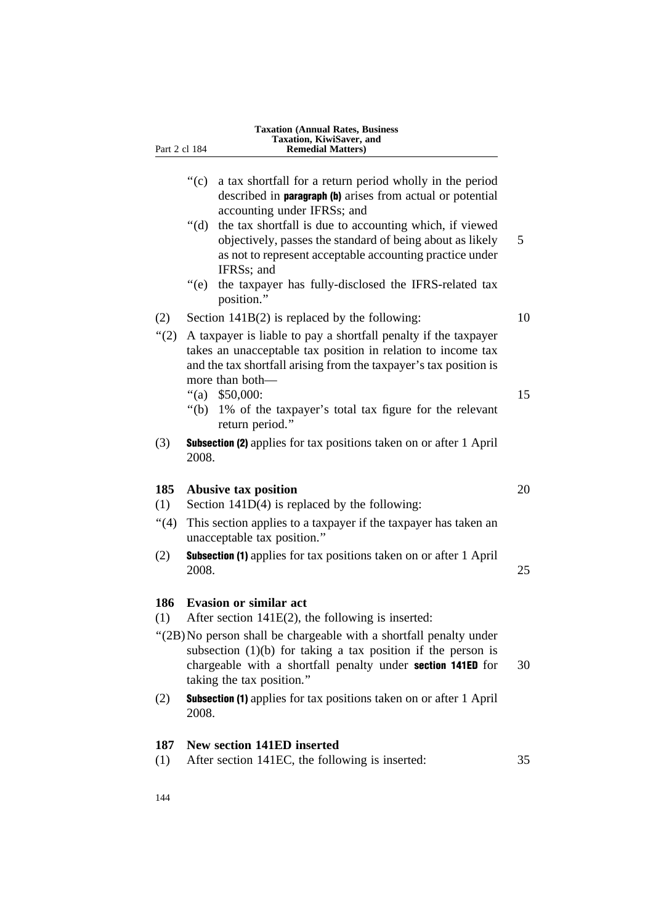| Part 2 cl 184 | Taxation, KiwiSaver, and<br><b>Remedial Matters)</b>                                                                                                                                                                             |    |
|---------------|----------------------------------------------------------------------------------------------------------------------------------------------------------------------------------------------------------------------------------|----|
|               | $\degree$ (c)<br>a tax shortfall for a return period wholly in the period<br>described in <b>paragraph</b> (b) arises from actual or potential<br>accounting under IFRSs; and                                                    |    |
|               | " $(d)$ "<br>the tax shortfall is due to accounting which, if viewed<br>objectively, passes the standard of being about as likely<br>as not to represent acceptable accounting practice under<br>IFRSs; and                      | 5  |
|               | $\degree$ (e)<br>the taxpayer has fully-disclosed the IFRS-related tax<br>position."                                                                                                                                             |    |
| (2)           | Section $141B(2)$ is replaced by the following:                                                                                                                                                                                  | 10 |
| " $(2)$       | A taxpayer is liable to pay a shortfall penalty if the taxpayer<br>takes an unacceptable tax position in relation to income tax<br>and the tax shortfall arising from the taxpayer's tax position is<br>more than both-          |    |
|               | "(a)<br>\$50,000:<br>1% of the taxpayer's total tax figure for the relevant<br>"(b)<br>return period."                                                                                                                           | 15 |
| (3)           | <b>Subsection (2)</b> applies for tax positions taken on or after 1 April<br>2008.                                                                                                                                               |    |
| 185           | <b>Abusive tax position</b>                                                                                                                                                                                                      | 20 |
| (1)<br>(4)    | Section $141D(4)$ is replaced by the following:<br>This section applies to a taxpayer if the taxpayer has taken an<br>unacceptable tax position."                                                                                |    |
| (2)           | <b>Subsection (1)</b> applies for tax positions taken on or after 1 April<br>2008.                                                                                                                                               | 25 |
| 186<br>(1)    | <b>Evasion or similar act</b><br>After section $141E(2)$ , the following is inserted:                                                                                                                                            |    |
|               | "(2B) No person shall be chargeable with a shortfall penalty under<br>subsection $(1)(b)$ for taking a tax position if the person is<br>chargeable with a shortfall penalty under section 141ED for<br>taking the tax position." | 30 |
| (2)           | <b>Subsection (1)</b> applies for tax positions taken on or after 1 April<br>2008.                                                                                                                                               |    |
| 187           | <b>New section 141ED inserted</b>                                                                                                                                                                                                |    |
| (1)           | After section 141EC, the following is inserted:                                                                                                                                                                                  | 35 |

**Taxation (Annual Rates, Business**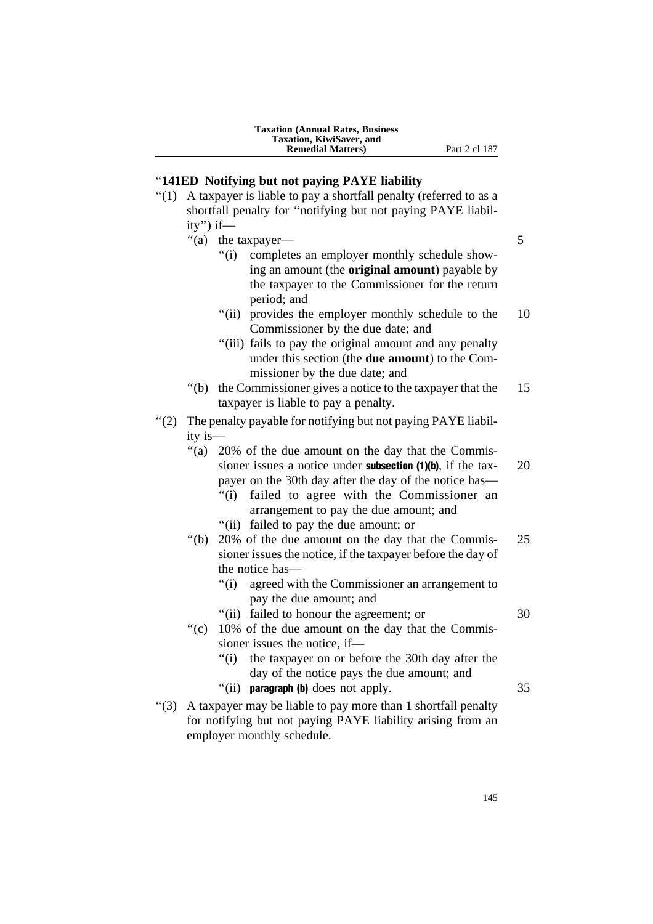# ''**141ED Notifying but not paying PAYE liability**

- "(1) A taxpayer is liable to pay a shortfall penalty (referred to as a shortfall penalty for ''notifying but not paying PAYE liability'') if—
	- "(a) the taxpayer— 5
		- ''(i) completes an employer monthly schedule showing an amount (the **original amount**) payable by the taxpayer to the Commissioner for the return period; and
		- "(ii) provides the employer monthly schedule to the 10 Commissioner by the due date; and
		- ''(iii) fails to pay the original amount and any penalty under this section (the **due amount**) to the Commissioner by the due date; and
	- ''(b) the Commissioner gives a notice to the taxpayer that the 15 taxpayer is liable to pay a penalty.
- ''(2) The penalty payable for notifying but not paying PAYE liability is—
	- ''(a) 20% of the due amount on the day that the Commissioner issues a notice under **subsection (1)(b)**, if the tax- $20$ payer on the 30th day after the day of the notice has—
		- ''(i) failed to agree with the Commissioner an arrangement to pay the due amount; and
		- ''(ii) failed to pay the due amount; or
	- ''(b) 20% of the due amount on the day that the Commis- 25 sioner issues the notice, if the taxpayer before the day of the notice has—
		- ''(i) agreed with the Commissioner an arrangement to pay the due amount; and
		- "(ii) failed to honour the agreement; or 30
	- "(c) 10% of the due amount on the day that the Commissioner issues the notice, if—
		- ''(i) the taxpayer on or before the 30th day after the day of the notice pays the due amount; and
		- $\degree$ (ii) **paragraph (b)** does not apply.  $35$
- ''(3) A taxpayer may be liable to pay more than 1 shortfall penalty for notifying but not paying PAYE liability arising from an employer monthly schedule.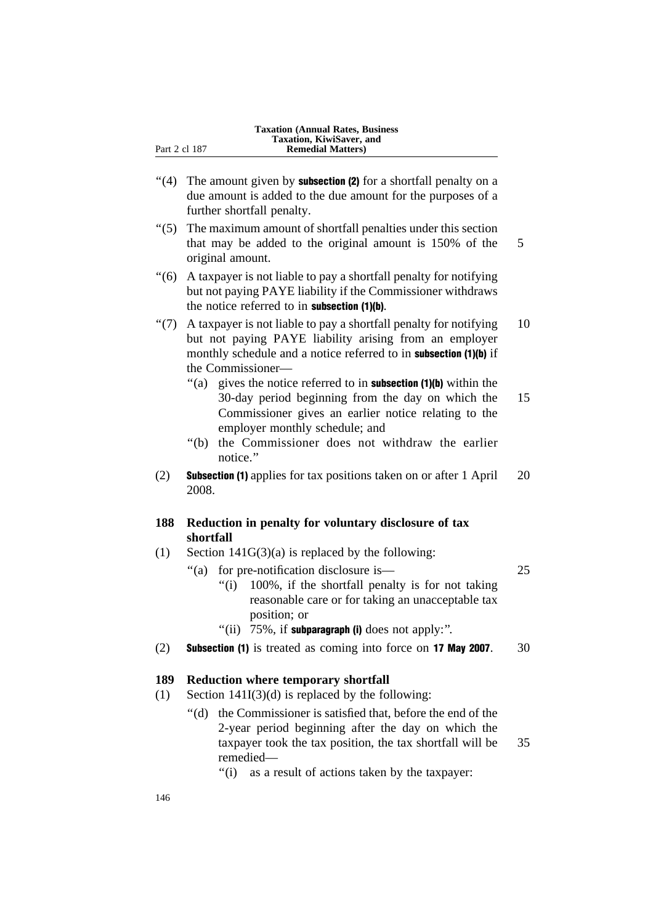- $\degree$ (4) The amount given by **subsection (2)** for a shortfall penalty on a due amount is added to the due amount for the purposes of a further shortfall penalty.
- ''(5) The maximum amount of shortfall penalties under this section that may be added to the original amount is 150% of the 5 original amount.
- ''(6) A taxpayer is not liable to pay a shortfall penalty for notifying but not paying PAYE liability if the Commissioner withdraws the notice referred to in subsection (1)(b).
- "(7) A taxpayer is not liable to pay a shortfall penalty for notifying  $10$ but not paying PAYE liability arising from an employer monthly schedule and a notice referred to in subsection (1)(b) if the Commissioner—
	- $\degree$ (a) gives the notice referred to in **subsection (1)(b)** within the 30-day period beginning from the day on which the 15 Commissioner gives an earlier notice relating to the employer monthly schedule; and
	- ''(b) the Commissioner does not withdraw the earlier notice.''
- (2) Subsection (1) applies for tax positions taken on or after 1 April 20 2008.

# **188 Reduction in penalty for voluntary disclosure of tax shortfall**

- (1) Section  $141G(3)(a)$  is replaced by the following:
	- ''(a) for pre-notification disclosure is— 25 ''(i) 100%, if the shortfall penalty is for not taking reasonable care or for taking an unacceptable tax position; or
		- "(ii)  $75\%$ , if subparagraph (i) does not apply:".
- (2) **Subsection (1)** is treated as coming into force on **17 May 2007**.  $30$

# **189 Reduction where temporary shortfall**

- (1) Section  $141I(3)(d)$  is replaced by the following:
	- ''(d) the Commissioner is satisfied that, before the end of the 2-year period beginning after the day on which the taxpayer took the tax position, the tax shortfall will be 35 remedied—
		- "(i) as a result of actions taken by the taxpayer: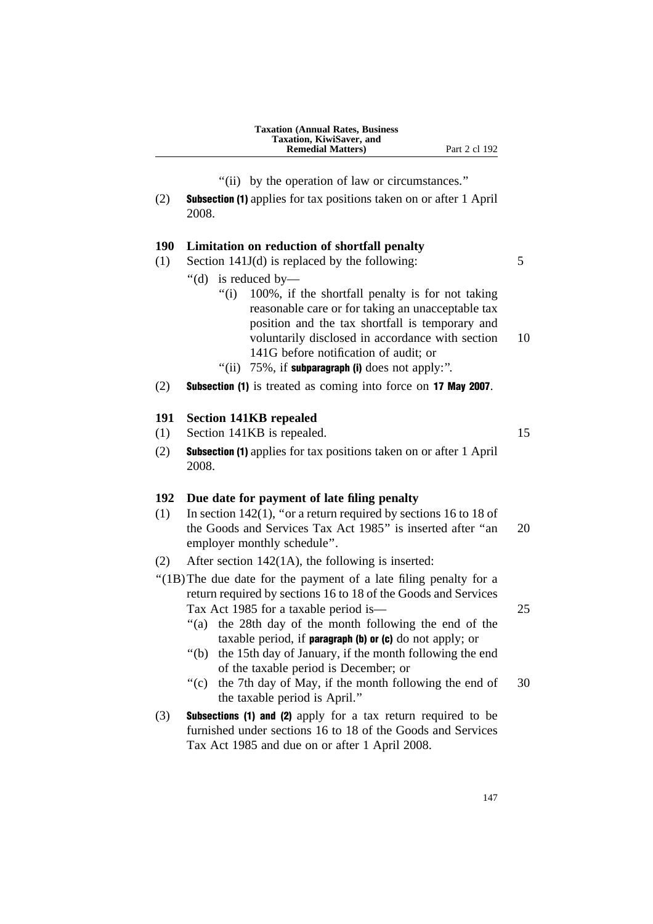"(ii) by the operation of law or circumstances."

(2) Subsection (1) applies for tax positions taken on or after 1 April 2008.

### **190 Limitation on reduction of shortfall penalty**

- (1) Section 141J(d) is replaced by the following:  $5$ 
	- ''(d) is reduced by—
		- "(i) 100%, if the shortfall penalty is for not taking reasonable care or for taking an unacceptable tax position and the tax shortfall is temporary and voluntarily disclosed in accordance with section 10 141G before notification of audit; or
		- "(ii)  $75\%$ , if subparagraph (i) does not apply:".
- (2) Subsection (1) is treated as coming into force on 17 May 2007.

#### **191 Section 141KB repealed**

- (1) Section 141KB is repealed. 15
- (2) Subsection (1) applies for tax positions taken on or after 1 April 2008.

### **192 Due date for payment of late filing penalty**

- (1) In section 142(1), ''or a return required by sections 16 to 18 of the Goods and Services Tax Act 1985" is inserted after "an 20 employer monthly schedule''.
- (2) After section 142(1A), the following is inserted:
- ''(1B)The due date for the payment of a late filing penalty for a return required by sections 16 to 18 of the Goods and Services Tax Act 1985 for a taxable period is— 25
	- "(a) the 28th day of the month following the end of the taxable period, if **paragraph** (b) or  $(c)$  do not apply; or
	- ''(b) the 15th day of January, if the month following the end of the taxable period is December; or
	- "(c) the 7th day of May, if the month following the end of 30 the taxable period is April.''
- (3) Subsections (1) and (2) apply for a tax return required to be furnished under sections 16 to 18 of the Goods and Services Tax Act 1985 and due on or after 1 April 2008.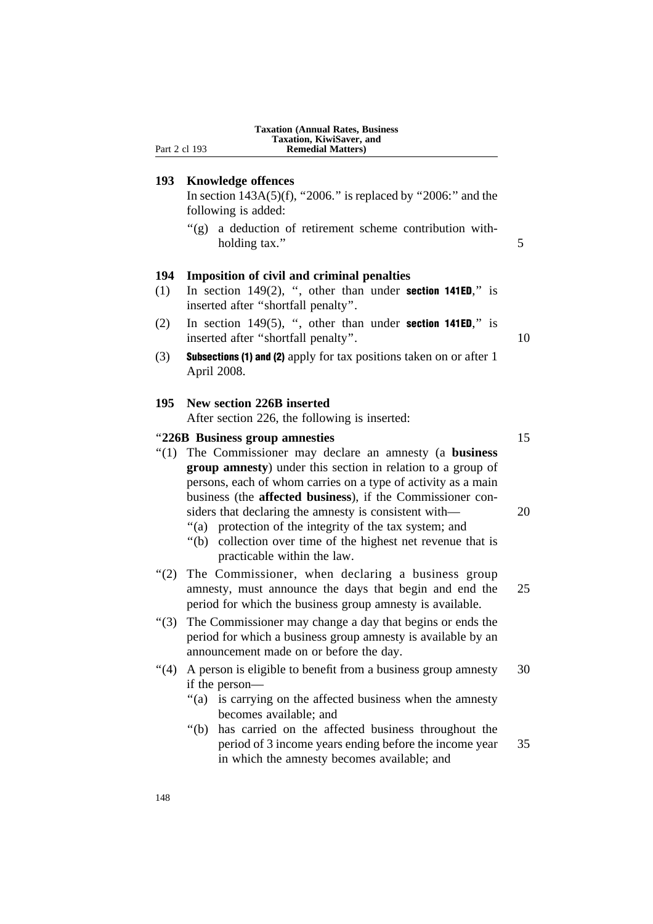|            | <b>Taxation (Annual Rates, Business</b><br>Taxation, KiwiSaver, and<br>Part 2 cl 193<br><b>Remedial Matters</b> )                                                                                                                                                                                                                                                                                                                                                                  |
|------------|------------------------------------------------------------------------------------------------------------------------------------------------------------------------------------------------------------------------------------------------------------------------------------------------------------------------------------------------------------------------------------------------------------------------------------------------------------------------------------|
| 193        | <b>Knowledge offences</b><br>In section $143A(5)(f)$ , "2006." is replaced by "2006:" and the<br>following is added:<br>"(g) a deduction of retirement scheme contribution with-<br>holding tax."                                                                                                                                                                                                                                                                                  |
| 194<br>(1) | <b>Imposition of civil and criminal penalties</b><br>In section $149(2)$ , ", other than under <b>section 141ED</b> ," is<br>inserted after "shortfall penalty".                                                                                                                                                                                                                                                                                                                   |
| (2)        | In section 149 $(5)$ , ", other than under <b>section 141ED</b> ," is<br>inserted after "shortfall penalty".                                                                                                                                                                                                                                                                                                                                                                       |
| (3)        | <b>Subsections (1) and (2)</b> apply for tax positions taken on or after 1<br>April 2008.                                                                                                                                                                                                                                                                                                                                                                                          |
| 195        | New section 226B inserted<br>After section 226, the following is inserted:                                                                                                                                                                                                                                                                                                                                                                                                         |
|            | "226B Business group amnesties                                                                                                                                                                                                                                                                                                                                                                                                                                                     |
| $\cdot(1)$ | The Commissioner may declare an amnesty (a business<br>group amnesty) under this section in relation to a group of<br>persons, each of whom carries on a type of activity as a main<br>business (the <b>affected business</b> ), if the Commissioner con-<br>siders that declaring the amnesty is consistent with—<br>"(a) protection of the integrity of the tax system; and<br>collection over time of the highest net revenue that is<br>" $(b)$<br>practicable within the law. |
| (2)        | The Commissioner, when declaring a business group<br>amnesty, must announce the days that begin and end the<br>period for which the business group amnesty is available.                                                                                                                                                                                                                                                                                                           |
| " $(3)$    | The Commissioner may change a day that begins or ends the<br>period for which a business group amnesty is available by an<br>announcement made on or before the day.                                                                                                                                                                                                                                                                                                               |
| (4)        | A person is eligible to benefit from a business group amnesty<br>if the person—<br>is carrying on the affected business when the amnesty<br>"(a)<br>becomes available; and<br>has carried on the affected business throughout the<br>" $(b)$                                                                                                                                                                                                                                       |
|            | period of 3 income years ending before the income year<br>in which the amnesty becomes available; and                                                                                                                                                                                                                                                                                                                                                                              |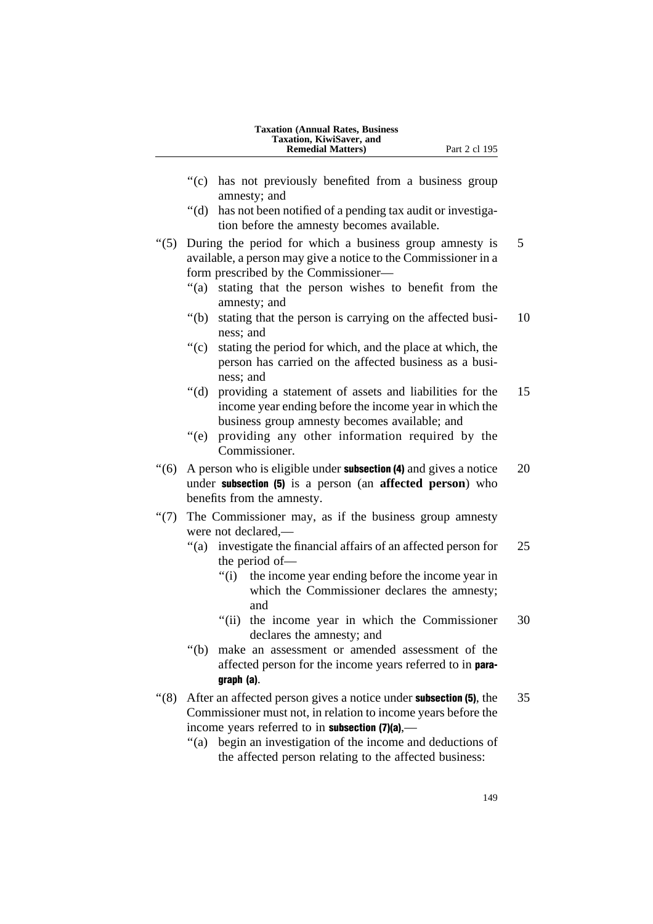| <b>Taxation (Annual Rates, Business)</b> |
|------------------------------------------|
| Taxation, KiwiSaver, and                 |
| <b>Remedial Matters</b> )                |

- "(c) has not previously benefited from a business group amnesty; and
- ''(d) has not been notified of a pending tax audit or investigation before the amnesty becomes available.

"(5) During the period for which a business group amnesty is 5 available, a person may give a notice to the Commissioner in a form prescribed by the Commissioner—

- "(a) stating that the person wishes to benefit from the amnesty; and
- ''(b) stating that the person is carrying on the affected busi- 10 ness; and
- ''(c) stating the period for which, and the place at which, the person has carried on the affected business as a business; and
- ''(d) providing a statement of assets and liabilities for the 15 income year ending before the income year in which the business group amnesty becomes available; and
- ''(e) providing any other information required by the Commissioner.
- $\degree$ (6) A person who is eligible under **subsection (4)** and gives a notice 20 under subsection (5) is a person (an **affected person**) who benefits from the amnesty.
- ''(7) The Commissioner may, as if the business group amnesty were not declared,—
	- "(a) investigate the financial affairs of an affected person for 25 the period of—
		- ''(i) the income year ending before the income year in which the Commissioner declares the amnesty; and
		- "(ii) the income year in which the Commissioner 30 declares the amnesty; and
	- ''(b) make an assessment or amended assessment of the affected person for the income years referred to in paragraph (a).
- $\degree$ (8) After an affected person gives a notice under **subsection (5)**, the 35 Commissioner must not, in relation to income years before the income years referred to in **subsection** (7)(a),—
	- ''(a) begin an investigation of the income and deductions of the affected person relating to the affected business: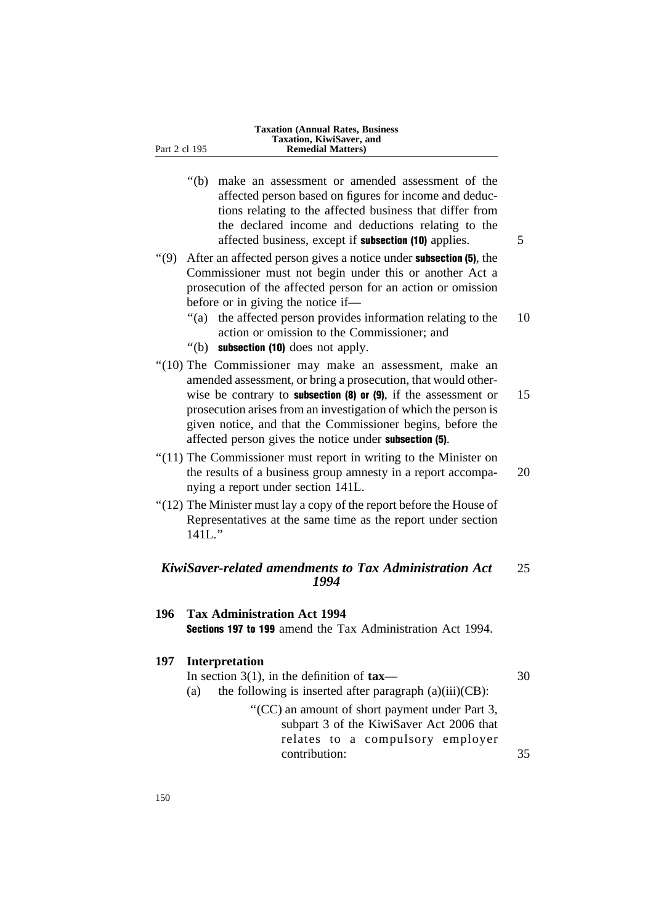| "(b) make an assessment or amended assessment of the         |   |
|--------------------------------------------------------------|---|
| affected person based on figures for income and deduc-       |   |
| tions relating to the affected business that differ from     |   |
| the declared income and deductions relating to the           |   |
| affected business, except if <b>subsection</b> (10) applies. | 5 |

- $''(9)$  After an affected person gives a notice under **subsection (5)**, the Commissioner must not begin under this or another Act a prosecution of the affected person for an action or omission before or in giving the notice if—
	- ''(a) the affected person provides information relating to the 10 action or omission to the Commissioner; and
	- ''(b) subsection (10) does not apply.
- "(10) The Commissioner may make an assessment, make an amended assessment, or bring a prosecution, that would otherwise be contrary to **subsection (8) or (9)**, if the assessment or  $15$ prosecution arises from an investigation of which the person is given notice, and that the Commissioner begins, before the affected person gives the notice under subsection (5).
- ''(11) The Commissioner must report in writing to the Minister on the results of a business group amnesty in a report accompa- 20 nying a report under section 141L.
- ''(12) The Minister must lay a copy of the report before the House of Representatives at the same time as the report under section 141L.''

### *KiwiSaver-related amendments to Tax Administration Act* 25 *1994*

### **196 Tax Administration Act 1994** Sections 197 to 199 amend the Tax Administration Act 1994.

### **197 Interpretation**

| In section 3(1), in the definition of $\text{tax}$ — |  |
|------------------------------------------------------|--|
|------------------------------------------------------|--|

(a) the following is inserted after paragraph  $(a)(iii)(CB)$ :

''(CC) an amount of short payment under Part 3, subpart 3 of the KiwiSaver Act 2006 that relates to a compulsory employer contribution: 35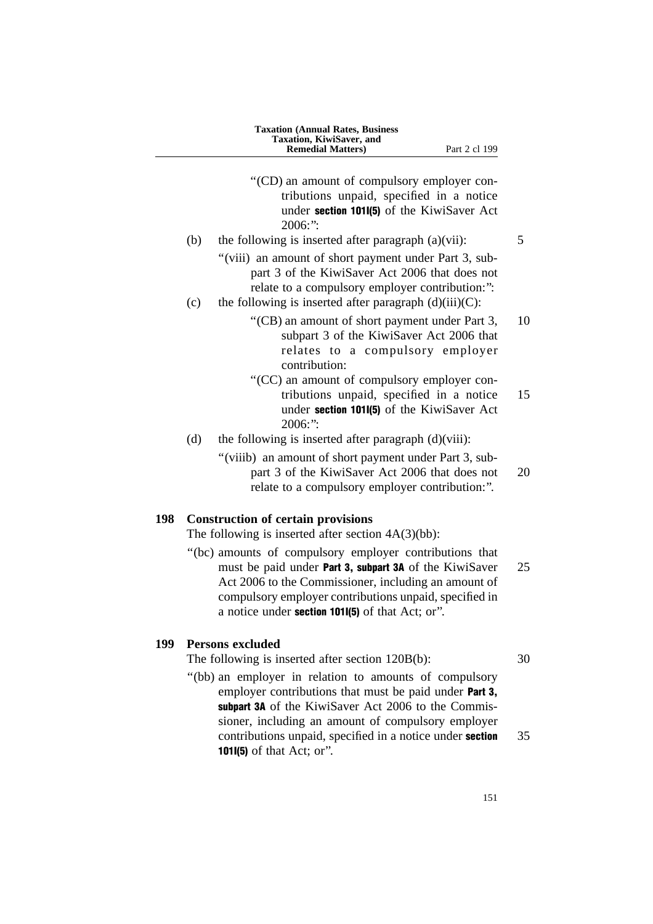''(CD) an amount of compulsory employer contributions unpaid, specified in a notice under section 101I(5) of the KiwiSaver Act  $2006$ <sup>\*</sup> (b) the following is inserted after paragraph  $(a)(vii)$ : 5 "(viii) an amount of short payment under Part 3, subpart 3 of the KiwiSaver Act 2006 that does not relate to a compulsory employer contribution:'': (c) the following is inserted after paragraph  $(d)(iii)(C)$ : ''(CB) an amount of short payment under Part 3, 10 subpart 3 of the KiwiSaver Act 2006 that relates to a compulsory employer contribution: ''(CC) an amount of compulsory employer contributions unpaid, specified in a notice 15 under section 101I(5) of the KiwiSaver Act 2006:'': (d) the following is inserted after paragraph  $(d)(viii)$ : "(viiib) an amount of short payment under Part 3, subpart 3 of the KiwiSaver Act 2006 that does not 20 relate to a compulsory employer contribution:''. **198 Construction of certain provisions** The following is inserted after section 4A(3)(bb): ''(bc) amounts of compulsory employer contributions that must be paid under **Part 3, subpart 3A** of the KiwiSaver 25 Act 2006 to the Commissioner, including an amount of compulsory employer contributions unpaid, specified in a notice under section 101I(5) of that Act; or''. **199 Persons excluded**

The following is inserted after section 120B(b): 30

"(bb) an employer in relation to amounts of compulsory employer contributions that must be paid under **Part 3**, subpart 3A of the KiwiSaver Act 2006 to the Commissioner, including an amount of compulsory employer contributions unpaid, specified in a notice under **section** 35 101I(5) of that Act; or''.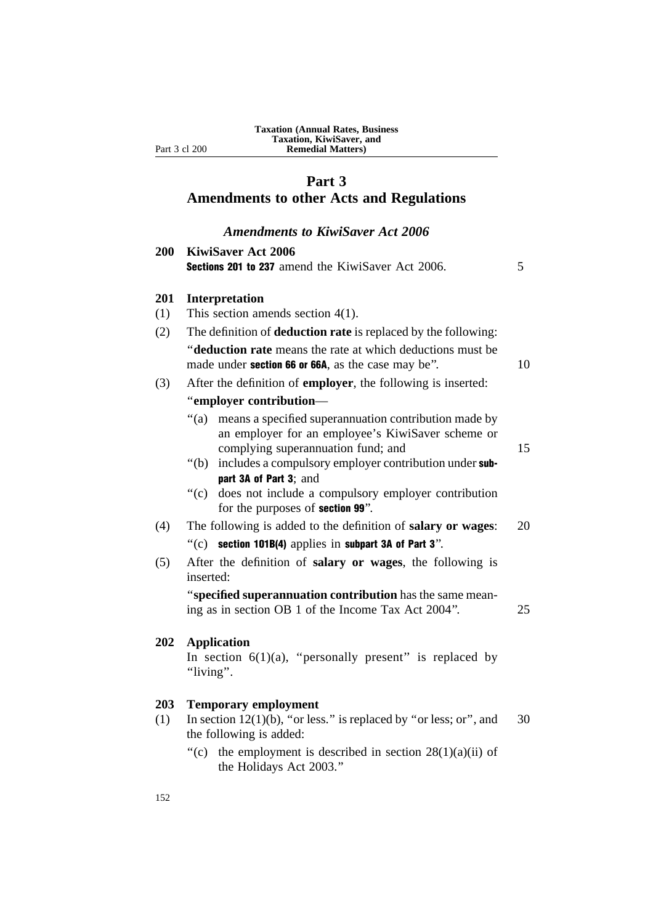## **Part 3**

### **Amendments to other Acts and Regulations**

### *Amendments to KiwiSaver Act 2006*

| 200 | <b>KiwiSaver Act 2006</b><br><b>Sections 201 to 237</b> amend the KiwiSaver Act 2006.                                                                       | 5  |
|-----|-------------------------------------------------------------------------------------------------------------------------------------------------------------|----|
| 201 | Interpretation                                                                                                                                              |    |
| (1) | This section amends section $4(1)$ .                                                                                                                        |    |
| (2) | The definition of <b>deduction rate</b> is replaced by the following:                                                                                       |    |
|     | "deduction rate means the rate at which deductions must be<br>made under section 66 or 66A, as the case may be".                                            | 10 |
| (3) | After the definition of <b>employer</b> , the following is inserted:                                                                                        |    |
|     | "employer contribution-                                                                                                                                     |    |
|     | " $(a)$<br>means a specified superannuation contribution made by<br>an employer for an employee's KiwiSaver scheme or<br>complying superannuation fund; and | 15 |
|     | includes a compulsory employer contribution under sub-<br>" $(b)$<br>part 3A of Part 3; and                                                                 |    |
|     | $\degree$ (c)<br>does not include a compulsory employer contribution<br>for the purposes of section 99".                                                    |    |
| (4) | The following is added to the definition of salary or wages:                                                                                                | 20 |
|     | "(c) section 101B(4) applies in subpart 3A of Part 3".                                                                                                      |    |
| (5) | After the definition of salary or wages, the following is<br>inserted:                                                                                      |    |
|     | "specified superannuation contribution has the same mean-<br>ing as in section OB 1 of the Income Tax Act 2004".                                            | 25 |
| 202 | <b>Application</b><br>In section $6(1)(a)$ , "personally present" is replaced by<br>"living".                                                               |    |
| 203 | <b>Temporary employment</b>                                                                                                                                 |    |
| (1) | In section $12(1)(b)$ , "or less." is replaced by "or less; or", and<br>the following is added:                                                             | 30 |
|     | "(c) the employment is described in section $28(1)(a)(ii)$ of                                                                                               |    |

the Holidays Act 2003.''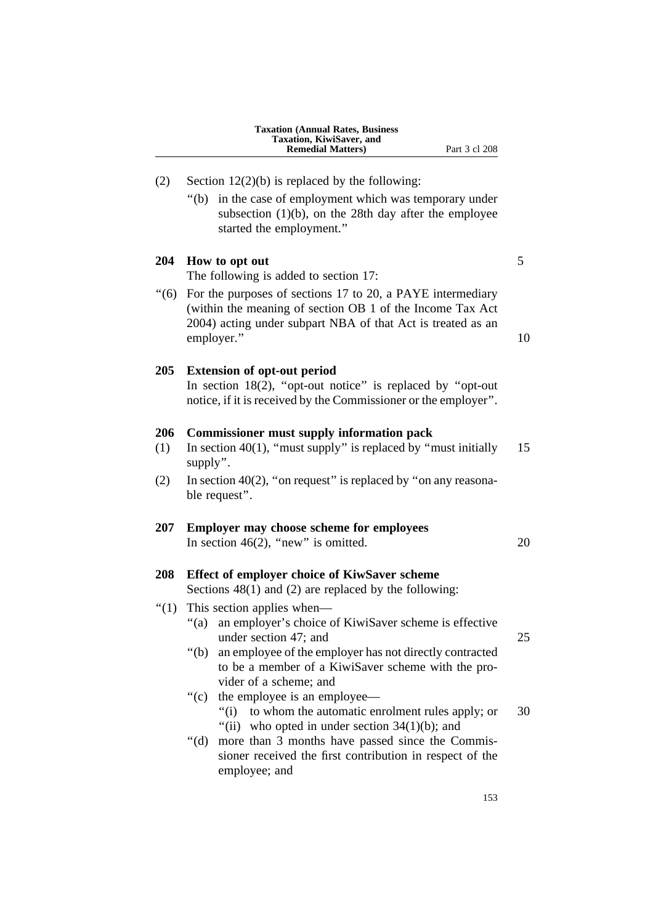|            | <b>Taxation (Annual Rates, Business</b><br>Taxation, KiwiSaver, and<br><b>Remedial Matters)</b><br>Part 3 cl 208                                                                              |    |
|------------|-----------------------------------------------------------------------------------------------------------------------------------------------------------------------------------------------|----|
| (2)        | Section $12(2)(b)$ is replaced by the following:                                                                                                                                              |    |
|            | in the case of employment which was temporary under<br>" $(b)$<br>subsection $(1)(b)$ , on the 28th day after the employee<br>started the employment."                                        |    |
| 204        | How to opt out<br>The following is added to section 17:                                                                                                                                       | 5  |
| (6)        | For the purposes of sections 17 to 20, a PAYE intermediary<br>(within the meaning of section OB 1 of the Income Tax Act<br>2004) acting under subpart NBA of that Act is treated as an        |    |
|            | employer."                                                                                                                                                                                    | 10 |
| 205        | <b>Extension of opt-out period</b><br>In section 18(2), "opt-out notice" is replaced by "opt-out<br>notice, if it is received by the Commissioner or the employer".                           |    |
| 206<br>(1) | <b>Commissioner must supply information pack</b><br>In section $40(1)$ , "must supply" is replaced by "must initially<br>supply".                                                             | 15 |
| (2)        | In section 40(2), "on request" is replaced by "on any reasona-<br>ble request".                                                                                                               |    |
| <b>207</b> | <b>Employer may choose scheme for employees</b><br>In section 46(2), "new" is omitted.                                                                                                        | 20 |
| 208        | Effect of employer choice of KiwSaver scheme<br>Sections $48(1)$ and (2) are replaced by the following:                                                                                       |    |
| " $(1)$    | This section applies when—<br>``(a)<br>an employer's choice of KiwiSaver scheme is effective<br>under section 47; and                                                                         | 25 |
|            | " $(b)$<br>an employee of the employer has not directly contracted<br>to be a member of a KiwiSaver scheme with the pro-                                                                      |    |
|            | vider of a scheme; and<br>``(c)<br>the employee is an employee—<br>to whom the automatic enrolment rules apply; or<br>" $(i)$                                                                 | 30 |
|            | "(ii) who opted in under section $34(1)(b)$ ; and<br>" $(d)$<br>more than 3 months have passed since the Commis-<br>sioner received the first contribution in respect of the<br>employee; and |    |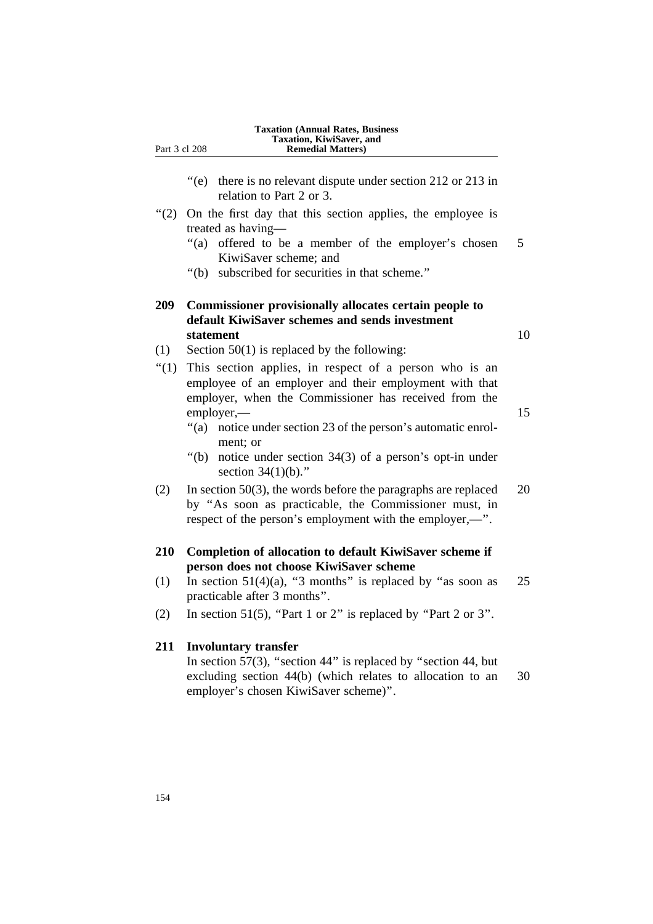|               | <b>Taxation (Annual Rates, Business)</b><br>Taxation, KiwiSaver, and |  |
|---------------|----------------------------------------------------------------------|--|
| Part 3 cl 208 | <b>Remedial Matters</b> )                                            |  |
|               |                                                                      |  |

- "(e) there is no relevant dispute under section 212 or 213 in relation to Part 2 or 3.
- ''(2) On the first day that this section applies, the employee is treated as having—
	- "(a) offered to be a member of the employer's chosen 5 KiwiSaver scheme; and
	- ''(b) subscribed for securities in that scheme.''

### **209 Commissioner provisionally allocates certain people to default KiwiSaver schemes and sends investment statement** 10

- (1) Section 50(1) is replaced by the following:
- "(1) This section applies, in respect of a person who is an employee of an employer and their employment with that employer, when the Commissioner has received from the employer, 15
	- "(a) notice under section 23 of the person's automatic enrolment; or
	- ''(b) notice under section 34(3) of a person's opt-in under section 34(1)(b).''
- (2) In section 50(3), the words before the paragraphs are replaced  $20$ by ''As soon as practicable, the Commissioner must, in respect of the person's employment with the employer,—''.

### **210 Completion of allocation to default KiwiSaver scheme if person does not choose KiwiSaver scheme**

- (1) In section  $51(4)(a)$ , "3 months" is replaced by "as soon as 25 practicable after 3 months''.
- (2) In section 51(5), "Part 1 or 2" is replaced by "Part 2 or 3".

### **211 Involuntary transfer**

In section 57(3), "section 44" is replaced by "section 44, but excluding section 44(b) (which relates to allocation to an 30 employer's chosen KiwiSaver scheme)''.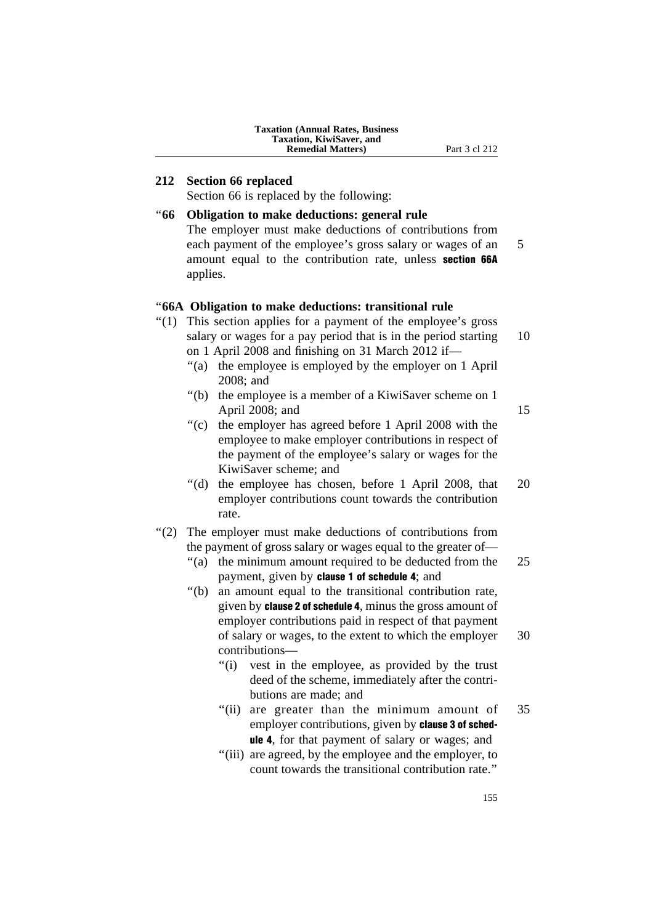| <b>Taxation (Annual Rates, Business)</b> |
|------------------------------------------|
| Taxation, KiwiSaver, and                 |
| <b>Remedial Matters</b> )                |

### **212 Section 66 replaced**

Section 66 is replaced by the following:

### ''**66 Obligation to make deductions: general rule** The employer must make deductions of contributions from each payment of the employee's gross salary or wages of an 5 amount equal to the contribution rate, unless section 66A applies. ''**66A Obligation to make deductions: transitional rule** "(1) This section applies for a payment of the employee's gross salary or wages for a pay period that is in the period starting 10 on 1 April 2008 and finishing on 31 March 2012 if— ''(a) the employee is employed by the employer on 1 April 2008; and ''(b) the employee is a member of a KiwiSaver scheme on 1 April 2008; and 15 ''(c) the employer has agreed before 1 April 2008 with the employee to make employer contributions in respect of the payment of the employee's salary or wages for the KiwiSaver scheme; and ''(d) the employee has chosen, before 1 April 2008, that 20 employer contributions count towards the contribution rate. "(2) The employer must make deductions of contributions from the payment of gross salary or wages equal to the greater of— ''(a) the minimum amount required to be deducted from the 25

- payment, given by clause 1 of schedule 4; and
- ''(b) an amount equal to the transitional contribution rate, given by clause 2 of schedule 4, minus the gross amount of employer contributions paid in respect of that payment of salary or wages, to the extent to which the employer 30 contributions—
	- "(i) vest in the employee, as provided by the trust deed of the scheme, immediately after the contributions are made; and
	- "(ii) are greater than the minimum amount of 35 employer contributions, given by **clause 3 of sched**ule 4, for that payment of salary or wages; and
	- ''(iii) are agreed, by the employee and the employer, to count towards the transitional contribution rate.''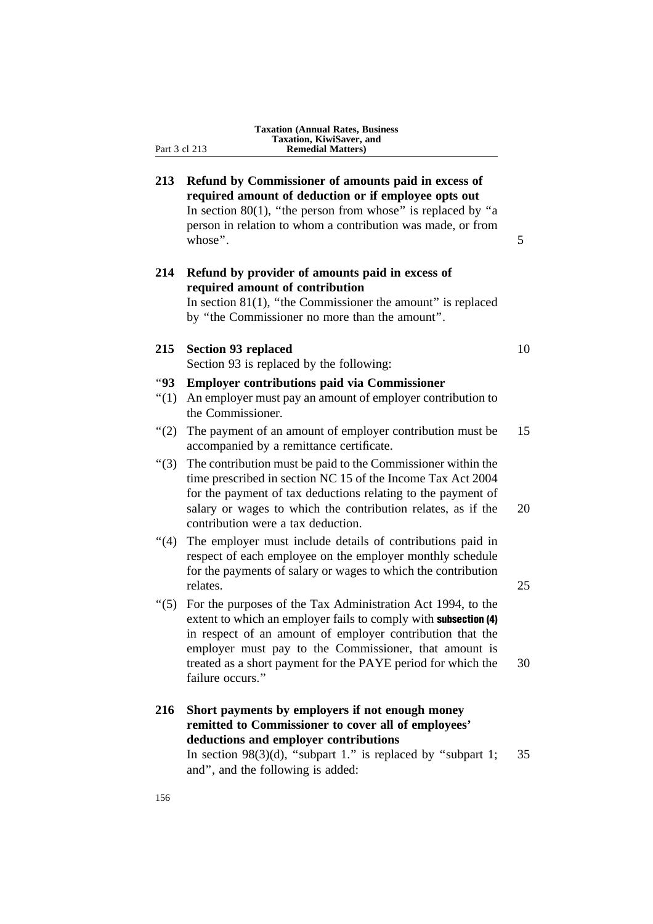| <b>Taxation (Annual Rates, Business)</b> |
|------------------------------------------|
| Taxation, KiwiSaver, and                 |
| <b>Remedial Matters</b> )                |

Part 3 cl 213

| 213          | Refund by Commissioner of amounts paid in excess of<br>required amount of deduction or if employee opts out<br>In section 80(1), "the person from whose" is replaced by "a<br>person in relation to whom a contribution was made, or from<br>whose".                                                                        | 5  |
|--------------|-----------------------------------------------------------------------------------------------------------------------------------------------------------------------------------------------------------------------------------------------------------------------------------------------------------------------------|----|
| 214          | Refund by provider of amounts paid in excess of<br>required amount of contribution<br>In section $81(1)$ , "the Commissioner the amount" is replaced<br>by "the Commissioner no more than the amount".                                                                                                                      |    |
| 215          | <b>Section 93 replaced</b>                                                                                                                                                                                                                                                                                                  | 10 |
|              | Section 93 is replaced by the following:                                                                                                                                                                                                                                                                                    |    |
| "93<br>``(1) | <b>Employer contributions paid via Commissioner</b><br>An employer must pay an amount of employer contribution to<br>the Commissioner.                                                                                                                                                                                      |    |
| (2)          | The payment of an amount of employer contribution must be<br>accompanied by a remittance certificate.                                                                                                                                                                                                                       | 15 |
| " $(3)$      | The contribution must be paid to the Commissioner within the<br>time prescribed in section NC 15 of the Income Tax Act 2004<br>for the payment of tax deductions relating to the payment of<br>salary or wages to which the contribution relates, as if the<br>contribution were a tax deduction.                           | 20 |
| (4)          | The employer must include details of contributions paid in<br>respect of each employee on the employer monthly schedule<br>for the payments of salary or wages to which the contribution<br>relates.                                                                                                                        | 25 |
| " $(5)$      | For the purposes of the Tax Administration Act 1994, to the<br>extent to which an employer fails to comply with <b>subsection</b> (4)<br>in respect of an amount of employer contribution that the<br>employer must pay to the Commissioner, that amount is<br>treated as a short payment for the PAYE period for which the | 30 |
| 216          | failure occurs."<br>Short payments by employers if not enough money<br>remitted to Commissioner to cover all of employees'<br>deductions and employer contributions                                                                                                                                                         |    |
|              | In section $98(3)(d)$ , "subpart 1." is replaced by "subpart 1;<br>and", and the following is added:                                                                                                                                                                                                                        | 35 |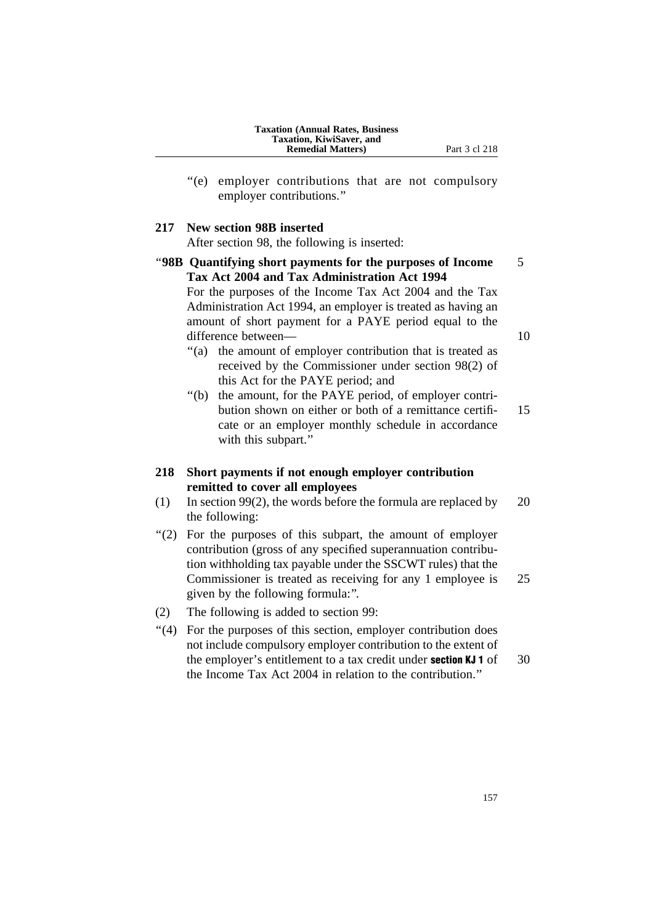| <b>Taxation (Annual Rates, Business)</b> |
|------------------------------------------|
| Taxation, KiwiSaver, and                 |
| <b>Remedial Matters</b> )                |

- Part 3 cl 218
- ''(e) employer contributions that are not compulsory employer contributions.''

#### **217 New section 98B inserted**

After section 98, the following is inserted:

- ''**98B Quantifying short payments for the purposes of Income** 5 **Tax Act 2004 and Tax Administration Act 1994** For the purposes of the Income Tax Act 2004 and the Tax Administration Act 1994, an employer is treated as having an amount of short payment for a PAYE period equal to the difference between— 10 "(a) the amount of employer contribution that is treated as
	- received by the Commissioner under section 98(2) of this Act for the PAYE period; and
	- ''(b) the amount, for the PAYE period, of employer contribution shown on either or both of a remittance certifi- 15 cate or an employer monthly schedule in accordance with this subpart."
- **218 Short payments if not enough employer contribution remitted to cover all employees**
- (1) In section 99(2), the words before the formula are replaced by 20 the following:
- ''(2) For the purposes of this subpart, the amount of employer contribution (gross of any specified superannuation contribution withholding tax payable under the SSCWT rules) that the Commissioner is treated as receiving for any 1 employee is 25 given by the following formula:''.
- (2) The following is added to section 99:
- ''(4) For the purposes of this section, employer contribution does not include compulsory employer contribution to the extent of the employer's entitlement to a tax credit under **section KJ 1** of 30 the Income Tax Act 2004 in relation to the contribution.''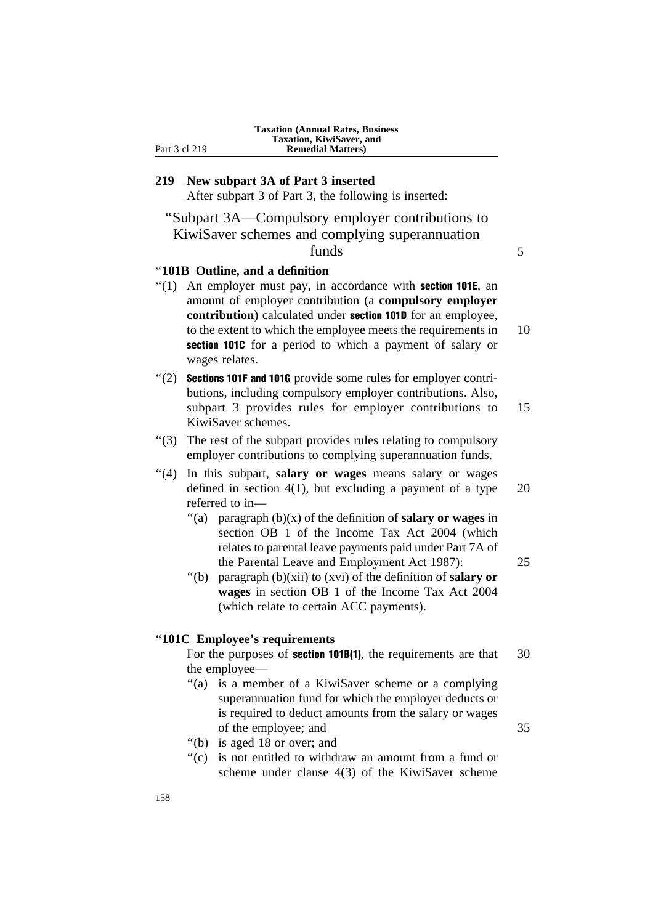| <b>Taxation (Annual Rates, Business)</b> |
|------------------------------------------|
| <b>Taxation, KiwiSaver, and</b>          |
| <b>Remedial Matters</b> )                |

# **219 New subpart 3A of Part 3 inserted** After subpart 3 of Part 3, the following is inserted:

''Subpart 3A—Compulsory employer contributions to KiwiSaver schemes and complying superannuation funds 5

### ''**101B Outline, and a definition**

Part 3 cl 219

- $''(1)$  An employer must pay, in accordance with **section 101E**, an amount of employer contribution (a **compulsory employer contribution**) calculated under section 101D for an employee, to the extent to which the employee meets the requirements in 10 section 1010 for a period to which a payment of salary or wages relates.
- $"(2)$  Sections 101F and 101G provide some rules for employer contributions, including compulsory employer contributions. Also, subpart 3 provides rules for employer contributions to 15 KiwiSaver schemes.
- ''(3) The rest of the subpart provides rules relating to compulsory employer contributions to complying superannuation funds.
- ''(4) In this subpart, **salary or wages** means salary or wages defined in section  $4(1)$ , but excluding a payment of a type 20 referred to in—
	- ''(a) paragraph (b)(x) of the definition of **salary or wages** in section OB 1 of the Income Tax Act 2004 (which relates to parental leave payments paid under Part 7A of the Parental Leave and Employment Act 1987): 25
	- ''(b) paragraph (b)(xii) to (xvi) of the definition of **salary or wages** in section OB 1 of the Income Tax Act 2004 (which relate to certain ACC payments).

### ''**101C Employee's requirements**

For the purposes of **section 101B(1)**, the requirements are that 30 the employee—

- ''(a) is a member of a KiwiSaver scheme or a complying superannuation fund for which the employer deducts or is required to deduct amounts from the salary or wages of the employee; and 35
- ''(b) is aged 18 or over; and
- ''(c) is not entitled to withdraw an amount from a fund or scheme under clause 4(3) of the KiwiSaver scheme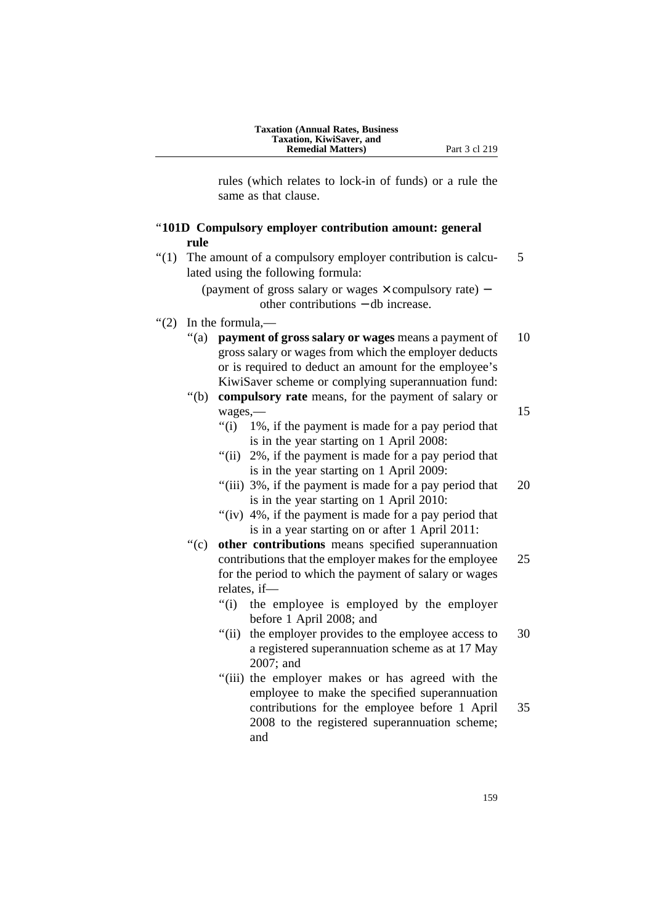rules (which relates to lock-in of funds) or a rule the same as that clause.

### ''**101D Compulsory employer contribution amount: general rule**

''(1) The amount of a compulsory employer contribution is calcu- 5 lated using the following formula:

> (payment of gross salary or wages × compulsory rate) − other contributions − db increase.

- ''(2) In the formula,—
	- "(a) **payment of gross salary or wages** means a payment of 10 gross salary or wages from which the employer deducts or is required to deduct an amount for the employee's KiwiSaver scheme or complying superannuation fund:
	- ''(b) **compulsory rate** means, for the payment of salary or wages, 15
		- ''(i) 1%, if the payment is made for a pay period that is in the year starting on 1 April 2008:
		- "(ii) 2%, if the payment is made for a pay period that is in the year starting on 1 April 2009:
		- "(iii) 3%, if the payment is made for a pay period that 20 is in the year starting on 1 April 2010:
		- "(iv) 4%, if the payment is made for a pay period that is in a year starting on or after 1 April 2011:
	- ''(c) **other contributions** means specified superannuation contributions that the employer makes for the employee 25 for the period to which the payment of salary or wages relates, if—
		- "(i) the employee is employed by the employer before 1 April 2008; and
		- "(ii) the employer provides to the employee access to 30 a registered superannuation scheme as at 17 May 2007; and
		- "(iii) the employer makes or has agreed with the employee to make the specified superannuation contributions for the employee before 1 April 35 2008 to the registered superannuation scheme; and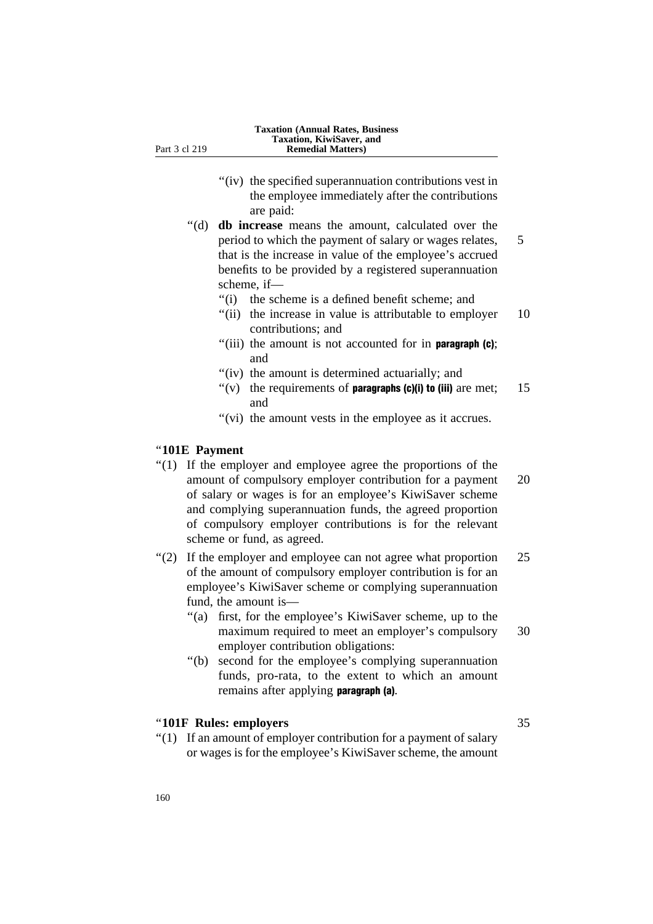- "(iv) the specified superannuation contributions vest in the employee immediately after the contributions
- are paid: ''(d) **db increase** means the amount, calculated over the period to which the payment of salary or wages relates, 5 that is the increase in value of the employee's accrued benefits to be provided by a registered superannuation scheme, if—
	- ''(i) the scheme is a defined benefit scheme; and
	- "(ii) the increase in value is attributable to employer 10 contributions; and
	- "(iii) the amount is not accounted for in **paragraph** (c); and
	- "(iv) the amount is determined actuarially; and
	- $''(v)$  the requirements of **paragraphs (c)(i) to (iii)** are met; 15 and
	- "(vi) the amount vests in the employee as it accrues.

### ''**101E Payment**

- ''(1) If the employer and employee agree the proportions of the amount of compulsory employer contribution for a payment 20 of salary or wages is for an employee's KiwiSaver scheme and complying superannuation funds, the agreed proportion of compulsory employer contributions is for the relevant scheme or fund, as agreed.
- "(2) If the employer and employee can not agree what proportion 25 of the amount of compulsory employer contribution is for an employee's KiwiSaver scheme or complying superannuation fund, the amount is—
	- ''(a) first, for the employee's KiwiSaver scheme, up to the maximum required to meet an employer's compulsory 30 employer contribution obligations:
	- ''(b) second for the employee's complying superannuation funds, pro-rata, to the extent to which an amount remains after applying **paragraph (a)**.

### ''**101F Rules: employers** 35

''(1) If an amount of employer contribution for a payment of salary or wages is for the employee's KiwiSaver scheme, the amount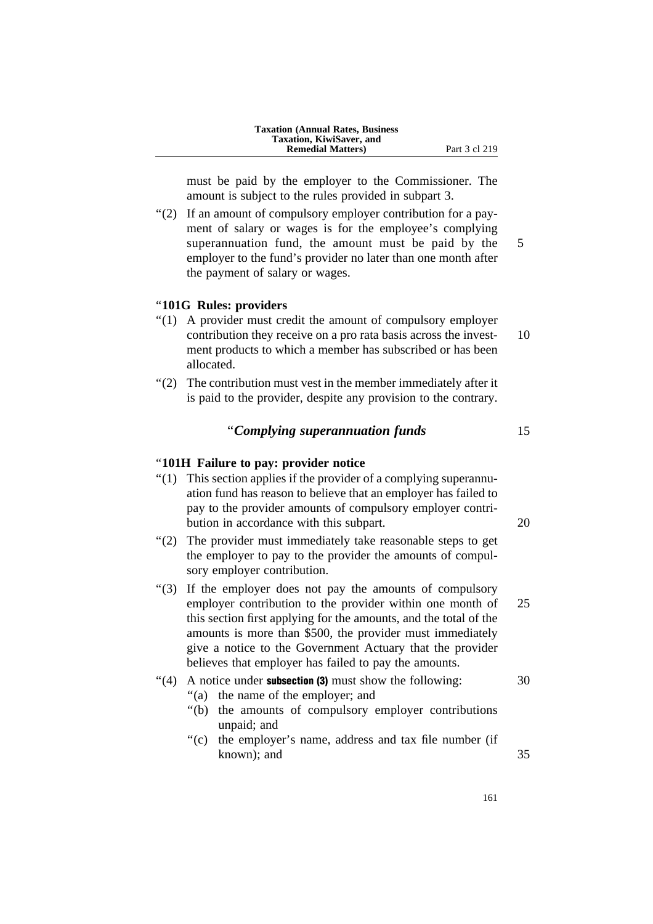must be paid by the employer to the Commissioner. The amount is subject to the rules provided in subpart 3.

''(2) If an amount of compulsory employer contribution for a payment of salary or wages is for the employee's complying superannuation fund, the amount must be paid by the 5 employer to the fund's provider no later than one month after the payment of salary or wages.

### ''**101G Rules: providers**

- ''(1) A provider must credit the amount of compulsory employer contribution they receive on a pro rata basis across the invest- 10 ment products to which a member has subscribed or has been allocated.
- ''(2) The contribution must vest in the member immediately after it is paid to the provider, despite any provision to the contrary.

### ''*Complying superannuation funds* 15

### ''**101H Failure to pay: provider notice**

- ''(1) This section applies if the provider of a complying superannuation fund has reason to believe that an employer has failed to pay to the provider amounts of compulsory employer contribution in accordance with this subpart. 20
- "(2) The provider must immediately take reasonable steps to get the employer to pay to the provider the amounts of compulsory employer contribution.
- ''(3) If the employer does not pay the amounts of compulsory employer contribution to the provider within one month of 25 this section first applying for the amounts, and the total of the amounts is more than \$500, the provider must immediately give a notice to the Government Actuary that the provider believes that employer has failed to pay the amounts.

### $\degree$ (4) A notice under **subsection (3)** must show the following:  $\degree$  30

- ''(a) the name of the employer; and
- ''(b) the amounts of compulsory employer contributions unpaid; and
- ''(c) the employer's name, address and tax file number (if known); and 35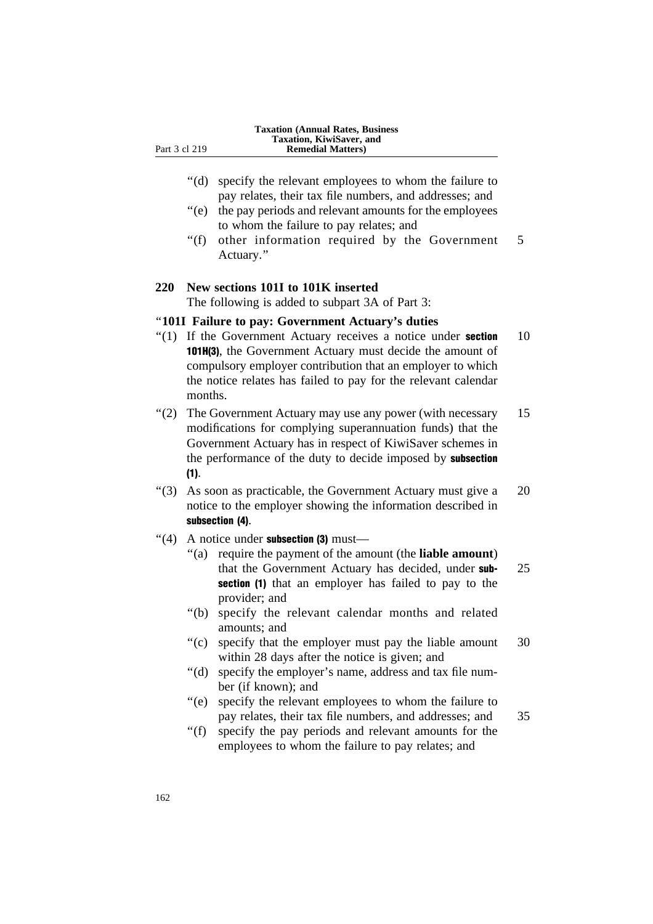- ''(d) specify the relevant employees to whom the failure to pay relates, their tax file numbers, and addresses; and
- ''(e) the pay periods and relevant amounts for the employees to whom the failure to pay relates; and
- "(f) other information required by the Government 5 Actuary.''

### **220 New sections 101I to 101K inserted**

The following is added to subpart 3A of Part 3:

### ''**101I Failure to pay: Government Actuary's duties**

- $"(1)$  If the Government Actuary receives a notice under **section** 10 101H(3), the Government Actuary must decide the amount of compulsory employer contribution that an employer to which the notice relates has failed to pay for the relevant calendar months.
- "(2) The Government Actuary may use any power (with necessary 15 modifications for complying superannuation funds) that the Government Actuary has in respect of KiwiSaver schemes in the performance of the duty to decide imposed by **subsection** (1).
- ''(3) As soon as practicable, the Government Actuary must give a 20 notice to the employer showing the information described in subsection (4).
- $"$ (4) A notice under subsection (3) must—
	- ''(a) require the payment of the amount (the **liable amount**) that the Government Actuary has decided, under sub-<br>25 section (1) that an employer has failed to pay to the provider; and
	- "(b) specify the relevant calendar months and related amounts; and
	- ''(c) specify that the employer must pay the liable amount 30 within 28 days after the notice is given; and
	- ''(d) specify the employer's name, address and tax file number (if known); and
	- ''(e) specify the relevant employees to whom the failure to pay relates, their tax file numbers, and addresses; and 35

''(f) specify the pay periods and relevant amounts for the employees to whom the failure to pay relates; and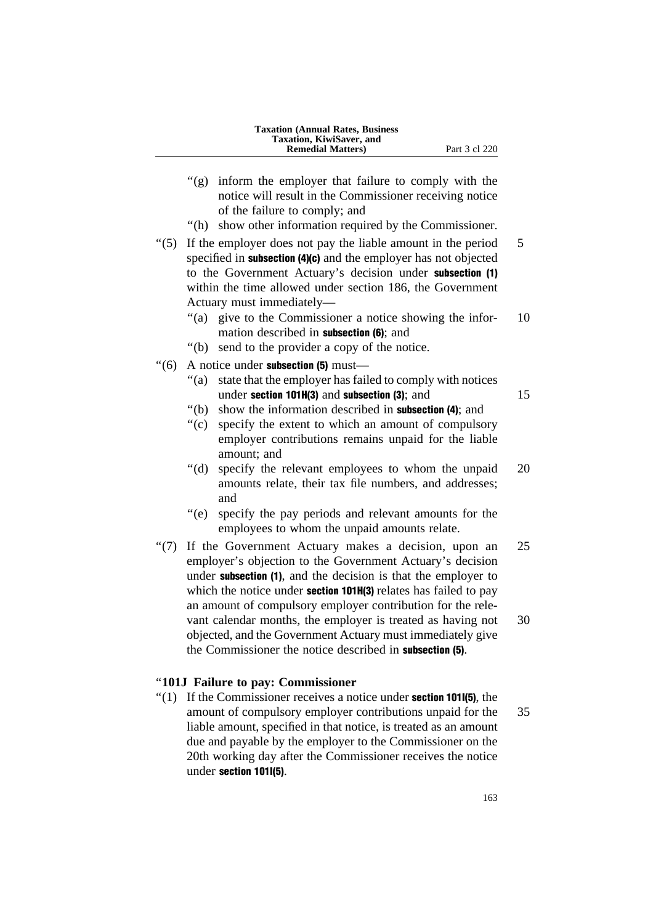| <b>Taxation (Annual Rates, Business)</b> |  |
|------------------------------------------|--|
| Taxation, KiwiSaver, and                 |  |
| <b>Remedial Matters</b> )                |  |

- ''(g) inform the employer that failure to comply with the notice will result in the Commissioner receiving notice of the failure to comply; and
- ''(h) show other information required by the Commissioner.
- $\degree$ (5) If the employer does not pay the liable amount in the period 5 specified in **subsection (4)(c)** and the employer has not objected to the Government Actuary's decision under subsection (1) within the time allowed under section 186, the Government Actuary must immediately—
	- "(a) give to the Commissioner a notice showing the infor- 10 mation described in subsection (6); and
	- ''(b) send to the provider a copy of the notice.
- $"(6)$  A notice under **subsection (5)** must—
	- ''(a) state that the employer has failed to comply with notices under section 101H(3) and subsection  $(3)$ ; and  $15$

- "(b) show the information described in **subsection** (4); and
- ''(c) specify the extent to which an amount of compulsory employer contributions remains unpaid for the liable amount; and
- "(d) specify the relevant employees to whom the unpaid 20 amounts relate, their tax file numbers, and addresses; and
- ''(e) specify the pay periods and relevant amounts for the employees to whom the unpaid amounts relate.
- "(7) If the Government Actuary makes a decision, upon an 25 employer's objection to the Government Actuary's decision under **subsection** (1), and the decision is that the employer to which the notice under **section 101H(3)** relates has failed to pay an amount of compulsory employer contribution for the relevant calendar months, the employer is treated as having not 30 objected, and the Government Actuary must immediately give the Commissioner the notice described in subsection (5).

### ''**101J Failure to pay: Commissioner**

 $''(1)$  If the Commissioner receives a notice under **section 101I(5)**, the amount of compulsory employer contributions unpaid for the 35 liable amount, specified in that notice, is treated as an amount due and payable by the employer to the Commissioner on the 20th working day after the Commissioner receives the notice under section 101I(5).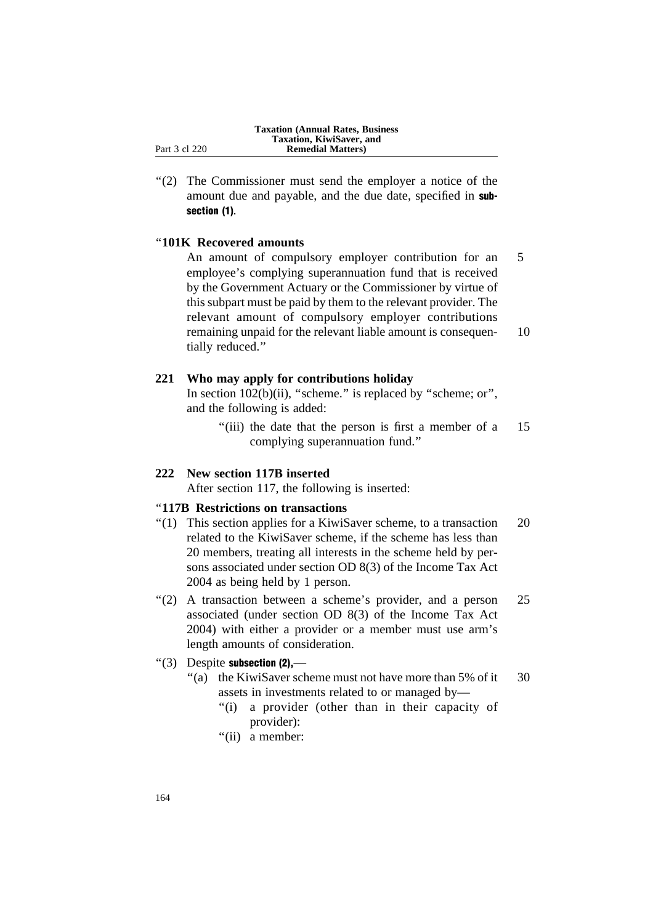"(2) The Commissioner must send the employer a notice of the amount due and payable, and the due date, specified in subsection (1).

### ''**101K Recovered amounts**

An amount of compulsory employer contribution for an 5 employee's complying superannuation fund that is received by the Government Actuary or the Commissioner by virtue of this subpart must be paid by them to the relevant provider. The relevant amount of compulsory employer contributions remaining unpaid for the relevant liable amount is consequen- 10 tially reduced.''

### **221 Who may apply for contributions holiday**

In section 102(b)(ii), "scheme." is replaced by "scheme; or", and the following is added:

> "(iii) the date that the person is first a member of a 15 complying superannuation fund.''

### **222 New section 117B inserted**

After section 117, the following is inserted:

### ''**117B Restrictions on transactions**

- "(1) This section applies for a KiwiSaver scheme, to a transaction  $20$ related to the KiwiSaver scheme, if the scheme has less than 20 members, treating all interests in the scheme held by persons associated under section OD 8(3) of the Income Tax Act 2004 as being held by 1 person.
- ''(2) A transaction between a scheme's provider, and a person 25 associated (under section OD 8(3) of the Income Tax Act 2004) with either a provider or a member must use arm's length amounts of consideration.

### $"$ (3) Despite subsection  $(2)$ ,—

- "(a) the KiwiSaver scheme must not have more than 5% of it 30 assets in investments related to or managed by—
	- "(i) a provider (other than in their capacity of provider):
	- "(ii) a member: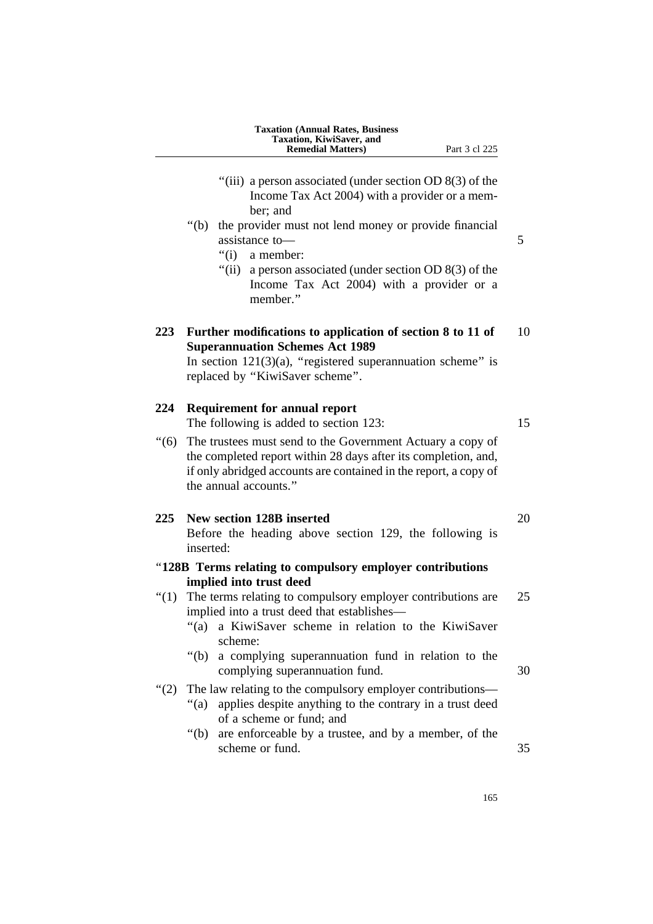|     | <b>Taxation (Annual Rates, Business</b><br>Taxation, KiwiSaver, and<br><b>Remedial Matters</b> )<br>Part 3 cl 225                                                                                                                                                                                                                                            |    |
|-----|--------------------------------------------------------------------------------------------------------------------------------------------------------------------------------------------------------------------------------------------------------------------------------------------------------------------------------------------------------------|----|
|     | "(iii) a person associated (under section OD $8(3)$ of the<br>Income Tax Act 2004) with a provider or a mem-<br>ber; and<br>" $(b)$<br>the provider must not lend money or provide financial<br>assistance to-<br>" $(i)$<br>a member:<br>"(ii) a person associated (under section OD $8(3)$ of the<br>Income Tax Act 2004) with a provider or a<br>member." | 5  |
| 223 | Further modifications to application of section 8 to 11 of<br><b>Superannuation Schemes Act 1989</b><br>In section $121(3)(a)$ , "registered superannuation scheme" is<br>replaced by "KiwiSaver scheme".                                                                                                                                                    | 10 |
| 224 | <b>Requirement for annual report</b><br>The following is added to section 123:                                                                                                                                                                                                                                                                               | 15 |
| (6) | The trustees must send to the Government Actuary a copy of<br>the completed report within 28 days after its completion, and,<br>if only abridged accounts are contained in the report, a copy of<br>the annual accounts."                                                                                                                                    |    |
| 225 | New section 128B inserted<br>Before the heading above section 129, the following is<br>inserted:                                                                                                                                                                                                                                                             | 20 |
|     | "128B Terms relating to compulsory employer contributions                                                                                                                                                                                                                                                                                                    |    |
|     | implied into trust deed<br>"(1) The terms relating to compulsory employer contributions are<br>implied into a trust deed that establishes-<br>" $(a)$<br>a KiwiSaver scheme in relation to the KiwiSaver<br>scheme:                                                                                                                                          | 25 |
|     | "(b) a complying superannuation fund in relation to the<br>complying superannuation fund.                                                                                                                                                                                                                                                                    | 30 |
| (2) | The law relating to the compulsory employer contributions-<br>applies despite anything to the contrary in a trust deed<br>"(a)<br>of a scheme or fund; and<br>" $(b)$<br>are enforceable by a trustee, and by a member, of the<br>scheme or fund.                                                                                                            | 35 |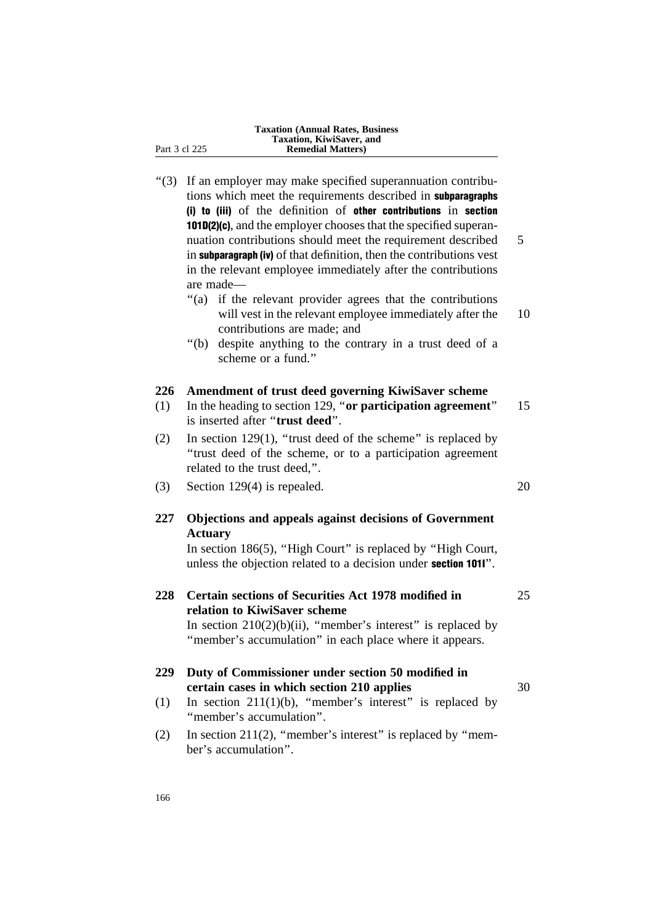|               | <b>Taxation (Annual Rates, Business)</b><br>Taxation, KiwiSaver, and |
|---------------|----------------------------------------------------------------------|
| Part 3 cl 225 | <b>Remedial Matters</b> )                                            |
|               |                                                                      |

| " $(3)$ | If an employer may make specified superannuation contribu-<br>tions which meet the requirements described in subparagraphs<br>(i) to (iii) of the definition of other contributions in section<br>101D(2)(c), and the employer chooses that the specified superan- |    |
|---------|--------------------------------------------------------------------------------------------------------------------------------------------------------------------------------------------------------------------------------------------------------------------|----|
|         | nuation contributions should meet the requirement described<br>in subparagraph (iv) of that definition, then the contributions vest<br>in the relevant employee immediately after the contributions<br>are made-                                                   | 5  |
|         | "(a) if the relevant provider agrees that the contributions<br>will vest in the relevant employee immediately after the<br>contributions are made; and                                                                                                             | 10 |
|         | "(b) despite anything to the contrary in a trust deed of a<br>scheme or a fund."                                                                                                                                                                                   |    |
| 226     | Amendment of trust deed governing KiwiSaver scheme                                                                                                                                                                                                                 |    |
| (1)     | In the heading to section 129, "or participation agreement"<br>is inserted after "trust deed".                                                                                                                                                                     | 15 |
| (2)     | In section $129(1)$ , "trust deed of the scheme" is replaced by<br>"trust deed of the scheme, or to a participation agreement<br>related to the trust deed,".                                                                                                      |    |
| (3)     | Section $129(4)$ is repealed.                                                                                                                                                                                                                                      | 20 |
| 227     | Objections and appeals against decisions of Government<br><b>Actuary</b>                                                                                                                                                                                           |    |
|         | In section 186(5), "High Court" is replaced by "High Court,<br>unless the objection related to a decision under section 1011".                                                                                                                                     |    |
| 228     | Certain sections of Securities Act 1978 modified in<br>relation to KiwiSaver scheme<br>In section $210(2)(b)(ii)$ , "member's interest" is replaced by                                                                                                             | 25 |
|         | "member's accumulation" in each place where it appears.                                                                                                                                                                                                            |    |
| 229     | Duty of Commissioner under section 50 modified in<br>certain cases in which section 210 applies                                                                                                                                                                    | 30 |
| (1)     | In section $211(1)(b)$ , "member's interest" is replaced by<br>"member's accumulation".                                                                                                                                                                            |    |
| (2)     | In section $211(2)$ , "member's interest" is replaced by "mem-<br>ber's accumulation".                                                                                                                                                                             |    |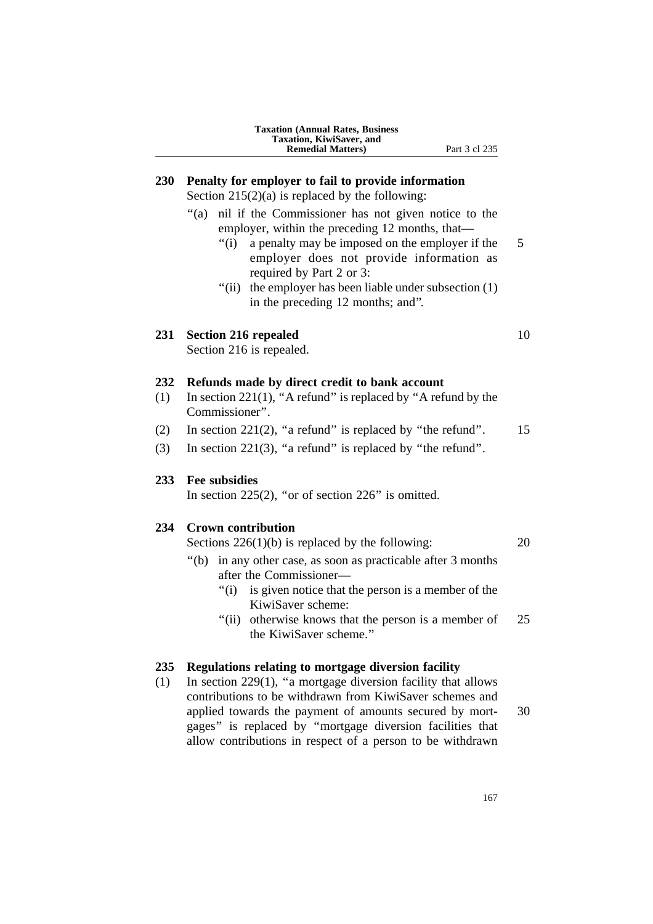| <b>Taxation (Annual Rates, Business)</b> |
|------------------------------------------|
| Taxation, KiwiSaver, and                 |
| <b>Remedial Matters</b> )                |

### **230 Penalty for employer to fail to provide information**

Section  $215(2)(a)$  is replaced by the following:

- "(a) nil if the Commissioner has not given notice to the employer, within the preceding 12 months, that—
	- "(i) a penalty may be imposed on the employer if the 5 employer does not provide information as required by Part 2 or 3:
	- "(ii) the employer has been liable under subsection (1) in the preceding 12 months; and''.

### **231 Section 216 repealed** 10

Section 216 is repealed.

### **232 Refunds made by direct credit to bank account**

- (1) In section 221(1), ''A refund'' is replaced by ''A refund by the Commissioner''.
- (2) In section 221(2), "a refund" is replaced by "the refund".  $15$
- (3) In section 221(3), "a refund" is replaced by "the refund".

### **233 Fee subsidies**

In section  $225(2)$ , "or of section  $226$ " is omitted.

### **234 Crown contribution**

Sections  $226(1)(b)$  is replaced by the following:  $20$ 

- ''(b) in any other case, as soon as practicable after 3 months after the Commissioner—
	- ''(i) is given notice that the person is a member of the KiwiSaver scheme:
	- "(ii) otherwise knows that the person is a member of 25 the KiwiSaver scheme.''

### **235 Regulations relating to mortgage diversion facility**

(1) In section 229(1), ''a mortgage diversion facility that allows contributions to be withdrawn from KiwiSaver schemes and applied towards the payment of amounts secured by mort- 30 gages'' is replaced by ''mortgage diversion facilities that allow contributions in respect of a person to be withdrawn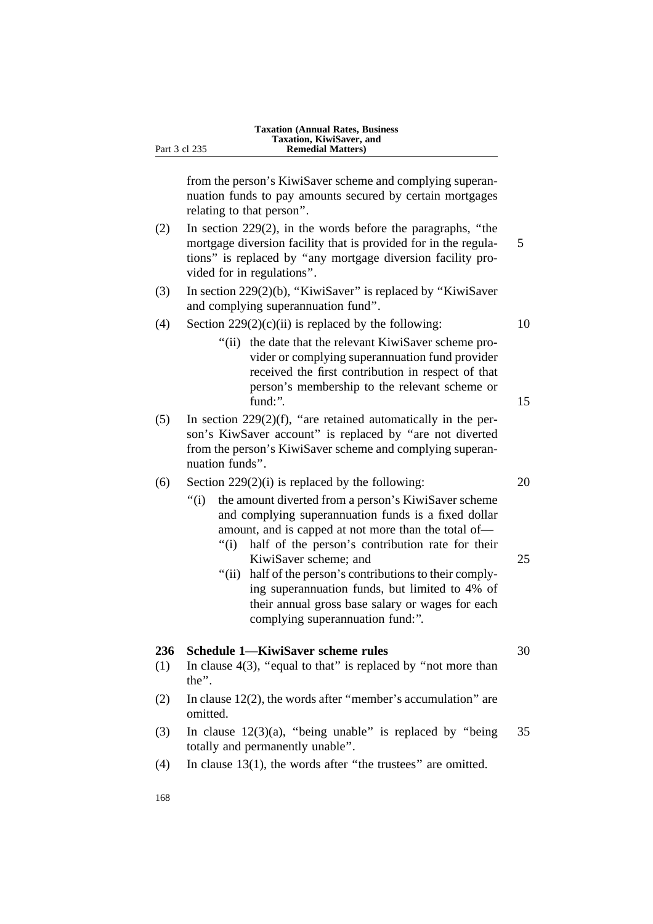from the person's KiwiSaver scheme and complying superannuation funds to pay amounts secured by certain mortgages relating to that person''.

- (2) In section 229(2), in the words before the paragraphs, ''the mortgage diversion facility that is provided for in the regula- 5 tions'' is replaced by ''any mortgage diversion facility provided for in regulations''.
- (3) In section 229(2)(b), ''KiwiSaver'' is replaced by ''KiwiSaver and complying superannuation fund''.
- (4) Section  $229(2)(c)(ii)$  is replaced by the following: 10
	- ''(ii) the date that the relevant KiwiSaver scheme provider or complying superannuation fund provider received the first contribution in respect of that person's membership to the relevant scheme or fund:". 15
- $(5)$  In section 229(2)(f), "are retained automatically in the person's KiwSaver account'' is replaced by ''are not diverted from the person's KiwiSaver scheme and complying superannuation funds''.
- (6) Section  $229(2)(i)$  is replaced by the following: 20
	- ''(i) the amount diverted from a person's KiwiSaver scheme and complying superannuation funds is a fixed dollar amount, and is capped at not more than the total of—
		- "(i) half of the person's contribution rate for their KiwiSaver scheme; and 25
		- "(ii) half of the person's contributions to their complying superannuation funds, but limited to 4% of their annual gross base salary or wages for each complying superannuation fund:''.

### **236 Schedule 1—KiwiSaver scheme rules** 30

- (1) In clause  $4(3)$ , "equal to that" is replaced by "not more than the''.
- (2) In clause 12(2), the words after "member's accumulation" are omitted.
- (3) In clause  $12(3)(a)$ , "being unable" is replaced by "being 35 totally and permanently unable''.
- (4) In clause 13(1), the words after ''the trustees'' are omitted.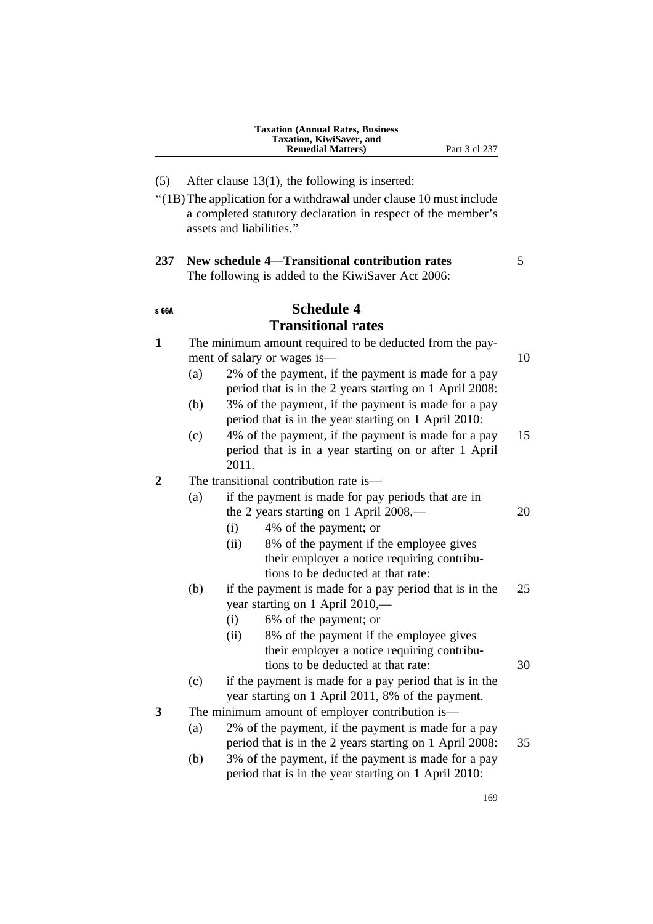- (5) After clause 13(1), the following is inserted:
- ''(1B)The application for a withdrawal under clause 10 must include a completed statutory declaration in respect of the member's assets and liabilities.''

### **237 New schedule 4—Transitional contribution rates** 5 The following is added to the KiwiSaver Act 2006:

### s 66A **Schedule 4**

### **Transitional rates**

| $\mathbf{1}$ |     | The minimum amount required to be deducted from the pay-<br>ment of salary or wages is—                                              |    |
|--------------|-----|--------------------------------------------------------------------------------------------------------------------------------------|----|
|              | (a) | 2% of the payment, if the payment is made for a pay<br>period that is in the 2 years starting on 1 April 2008:                       | 10 |
|              | (b) | 3% of the payment, if the payment is made for a pay<br>period that is in the year starting on 1 April 2010:                          |    |
|              | (c) | 4% of the payment, if the payment is made for a pay<br>period that is in a year starting on or after 1 April<br>2011.                | 15 |
| 2            |     | The transitional contribution rate is-                                                                                               |    |
|              | (a) | if the payment is made for pay periods that are in<br>the 2 years starting on 1 April 2008,-                                         | 20 |
|              |     | 4% of the payment; or<br>(i)                                                                                                         |    |
|              |     | 8% of the payment if the employee gives<br>(ii)<br>their employer a notice requiring contribu-<br>tions to be deducted at that rate: |    |
|              | (b) | if the payment is made for a pay period that is in the<br>year starting on 1 April 2010,—<br>6% of the payment; or<br>(i)            | 25 |
|              |     | 8% of the payment if the employee gives<br>(ii)<br>their employer a notice requiring contribu-<br>tions to be deducted at that rate: | 30 |
|              | (c) | if the payment is made for a pay period that is in the<br>year starting on 1 April 2011, 8% of the payment.                          |    |
| 3            |     | The minimum amount of employer contribution is-                                                                                      |    |
|              | (a) | 2% of the payment, if the payment is made for a pay<br>period that is in the 2 years starting on 1 April 2008:                       | 35 |
|              | (b) | 3% of the payment, if the payment is made for a pay<br>period that is in the year starting on 1 April 2010:                          |    |
|              |     |                                                                                                                                      |    |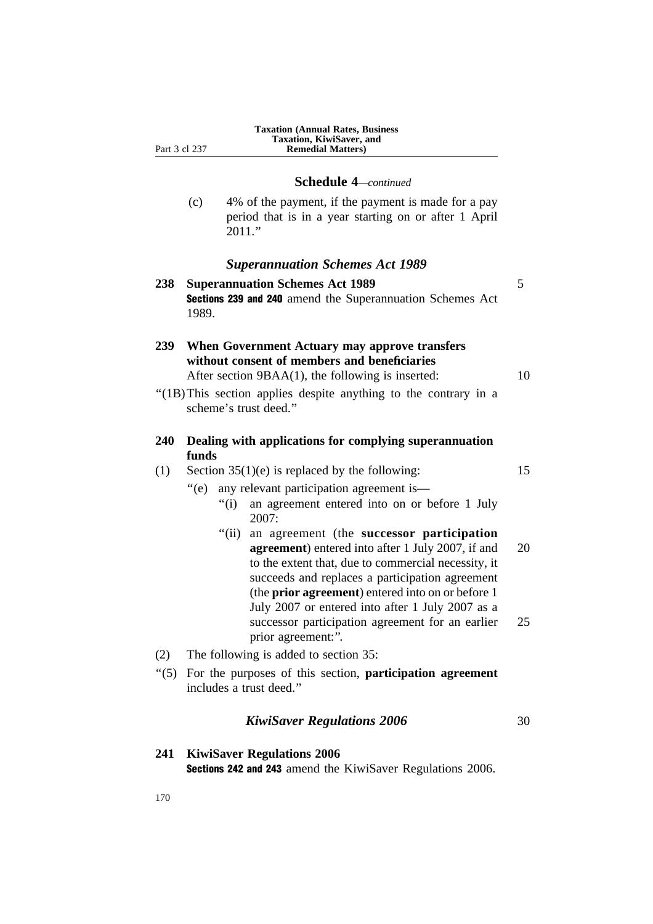**Schedule 4***—continued*

(c) 4% of the payment, if the payment is made for a pay period that is in a year starting on or after 1 April 2011.''

### *Superannuation Schemes Act 1989*

| 238                    | <b>Superannuation Schemes Act 1989</b><br>Sections 239 and 240 amend the Superannuation Schemes Act<br>1989.                                                                                                                                                                                                                                                                                                                                                                                                                                                                                  | 5              |
|------------------------|-----------------------------------------------------------------------------------------------------------------------------------------------------------------------------------------------------------------------------------------------------------------------------------------------------------------------------------------------------------------------------------------------------------------------------------------------------------------------------------------------------------------------------------------------------------------------------------------------|----------------|
| 239                    | When Government Actuary may approve transfers<br>without consent of members and beneficiaries<br>After section $9BAA(1)$ , the following is inserted:                                                                                                                                                                                                                                                                                                                                                                                                                                         | 10             |
|                        | "(1B) This section applies despite anything to the contrary in a<br>scheme's trust deed."                                                                                                                                                                                                                                                                                                                                                                                                                                                                                                     |                |
| 240                    | Dealing with applications for complying superannuation<br>funds                                                                                                                                                                                                                                                                                                                                                                                                                                                                                                                               |                |
| (1)                    | Section $35(1)(e)$ is replaced by the following:<br>any relevant participation agreement is—<br>$\degree$ (e)<br>an agreement entered into on or before 1 July<br>" $(i)$<br>2007:<br>" $(ii)$<br>an agreement (the successor participation<br>agreement) entered into after 1 July 2007, if and<br>to the extent that, due to commercial necessity, it<br>succeeds and replaces a participation agreement<br>(the prior agreement) entered into on or before 1<br>July 2007 or entered into after 1 July 2007 as a<br>successor participation agreement for an earlier<br>prior agreement:". | 15<br>20<br>25 |
| (2)<br>$\cdot\cdot(5)$ | The following is added to section 35:<br>For the purposes of this section, participation agreement<br>includes a trust deed."                                                                                                                                                                                                                                                                                                                                                                                                                                                                 |                |
|                        | <b>KiwiSaver Regulations 2006</b>                                                                                                                                                                                                                                                                                                                                                                                                                                                                                                                                                             | 30             |

**241 KiwiSaver Regulations 2006** Sections 242 and 243 amend the KiwiSaver Regulations 2006.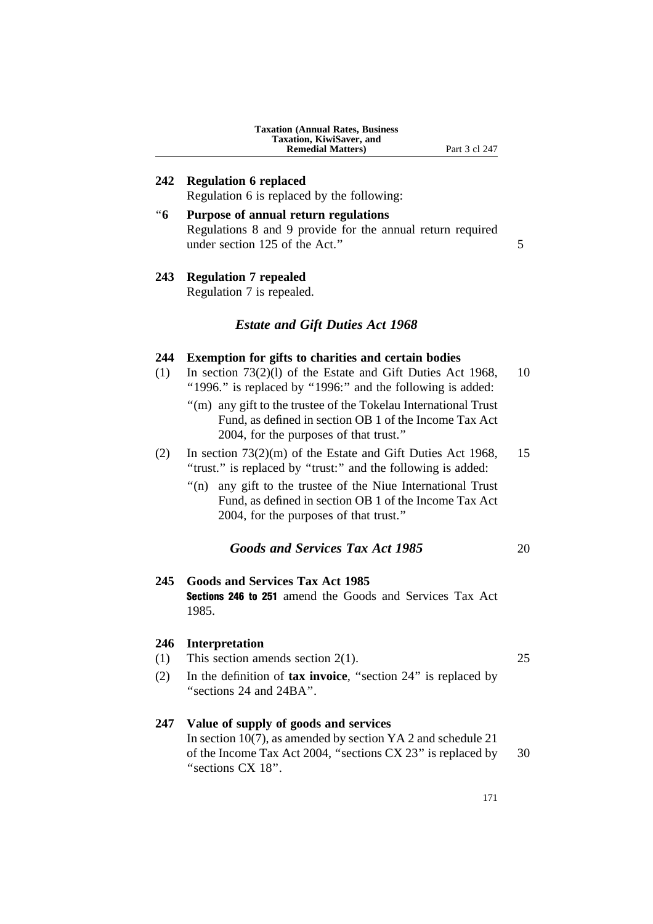#### **Taxation (Annual Rates, Business Taxation, KiwiSaver, and Remedial Matters)** Part 3 cl 247

### **242 Regulation 6 replaced**

Regulation 6 is replaced by the following:

''**6 Purpose of annual return regulations** Regulations 8 and 9 provide for the annual return required under section 125 of the Act." 5

### **243 Regulation 7 repealed**

Regulation 7 is repealed.

### *Estate and Gift Duties Act 1968*

### **244 Exemption for gifts to charities and certain bodies**

- (1) In section 73(2)(l) of the Estate and Gift Duties Act 1968, 10 "1996." is replaced by "1996:" and the following is added:
	- ''(m) any gift to the trustee of the Tokelau International Trust Fund, as defined in section OB 1 of the Income Tax Act 2004, for the purposes of that trust.''
- (2) In section 73(2)(m) of the Estate and Gift Duties Act 1968, 15 "trust." is replaced by "trust:" and the following is added:
	- "(n) any gift to the trustee of the Niue International Trust Fund, as defined in section OB 1 of the Income Tax Act 2004, for the purposes of that trust.''

### *Goods and Services Tax Act 1985* 20

### **245 Goods and Services Tax Act 1985**

Sections 246 to 251 amend the Goods and Services Tax Act 1985.

### **246 Interpretation**

- (1) This section amends section 2(1). 25
- (2) In the definition of **tax invoice**, ''section 24'' is replaced by ''sections 24 and 24BA''.

### **247 Value of supply of goods and services**

In section 10(7), as amended by section YA 2 and schedule 21 of the Income Tax Act 2004, ''sections CX 23'' is replaced by 30 ''sections CX 18''.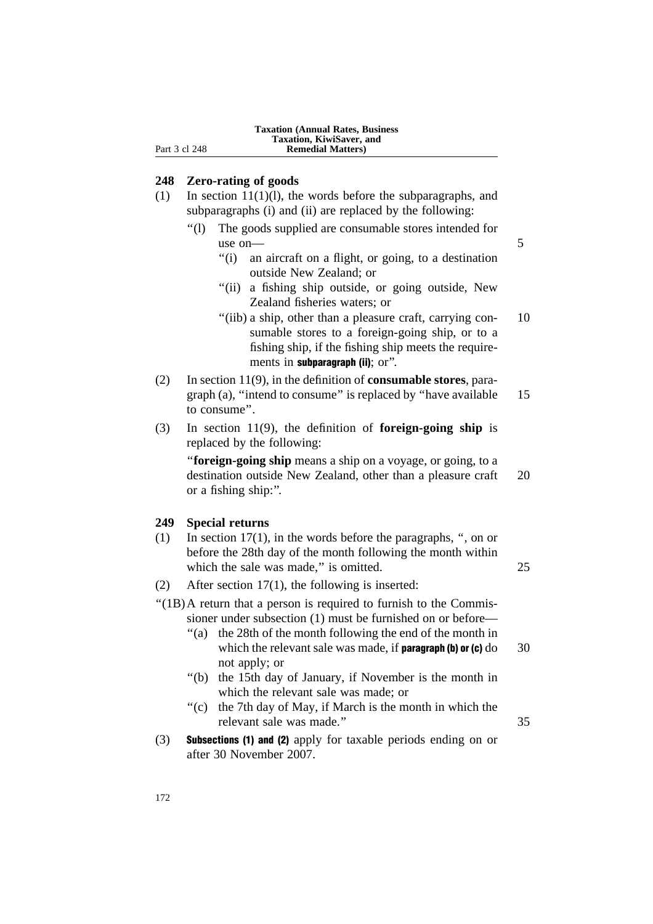### **248 Zero-rating of goods**

- (1) In section 11(1)(l), the words before the subparagraphs, and subparagraphs (i) and (ii) are replaced by the following:
	- ''(l) The goods supplied are consumable stores intended for use on  $-$  5
		- ''(i) an aircraft on a flight, or going, to a destination outside New Zealand; or
		- "(ii) a fishing ship outside, or going outside, New Zealand fisheries waters; or
		- "(iib) a ship, other than a pleasure craft, carrying con- 10 sumable stores to a foreign-going ship, or to a fishing ship, if the fishing ship meets the requirements in **subparagraph** (ii); or".
- (2) In section 11(9), in the definition of **consumable stores**, paragraph (a), "intend to consume" is replaced by "have available 15 to consume''.
- (3) In section 11(9), the definition of **foreign-going ship** is replaced by the following:

''**foreign-going ship** means a ship on a voyage, or going, to a destination outside New Zealand, other than a pleasure craft 20 or a fishing ship:''.

### **249 Special returns**

- (1) In section 17(1), in the words before the paragraphs, '', on or before the 28th day of the month following the month within which the sale was made," is omitted. 25
- (2) After section 17(1), the following is inserted:

 $''(1B)$ A return that a person is required to furnish to the Commissioner under subsection (1) must be furnished on or before—

- ''(a) the 28th of the month following the end of the month in which the relevant sale was made, if **paragraph (b) or (c)**  $d$ o  $30$ not apply; or
- ''(b) the 15th day of January, if November is the month in which the relevant sale was made; or
- ''(c) the 7th day of May, if March is the month in which the relevant sale was made.'' 35
- (3) Subsections (1) and (2) apply for taxable periods ending on or after 30 November 2007.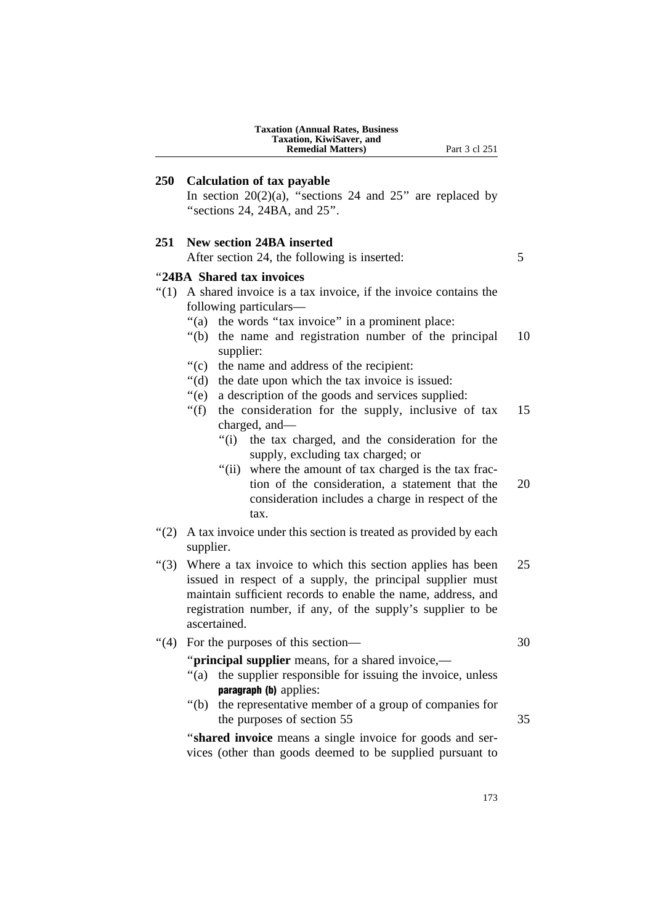|                 | <b>Taxation (Annual Rates, Business</b><br>Taxation, KiwiSaver, and<br><b>Remedial Matters</b> )<br>Part 3 cl 251                                                                                                                                                                                                                                                                                                                                                                                                                                                                                                                                                                                                                                                                                                                     |                |
|-----------------|---------------------------------------------------------------------------------------------------------------------------------------------------------------------------------------------------------------------------------------------------------------------------------------------------------------------------------------------------------------------------------------------------------------------------------------------------------------------------------------------------------------------------------------------------------------------------------------------------------------------------------------------------------------------------------------------------------------------------------------------------------------------------------------------------------------------------------------|----------------|
| <b>250</b>      | <b>Calculation of tax payable</b><br>In section $20(2)(a)$ , "sections 24 and 25" are replaced by<br>"sections 24, 24BA, and 25".                                                                                                                                                                                                                                                                                                                                                                                                                                                                                                                                                                                                                                                                                                     |                |
| 251             | <b>New section 24BA inserted</b><br>After section 24, the following is inserted:                                                                                                                                                                                                                                                                                                                                                                                                                                                                                                                                                                                                                                                                                                                                                      | 5              |
|                 | "24BA Shared tax invoices<br>"(1) A shared invoice is a tax invoice, if the invoice contains the<br>following particulars—<br>the words "tax invoice" in a prominent place:<br>$\degree$ (a)<br>the name and registration number of the principal<br>" $(b)$<br>supplier:<br>$\degree$ (c)<br>the name and address of the recipient:<br>" $(d)$ "<br>the date upon which the tax invoice is issued:<br>a description of the goods and services supplied:<br>$\degree$ (e)<br>" $(f)$<br>the consideration for the supply, inclusive of tax<br>charged, and-<br>" $(i)$<br>the tax charged, and the consideration for the<br>supply, excluding tax charged; or<br>where the amount of tax charged is the tax frac-<br>" $(ii)$<br>tion of the consideration, a statement that the<br>consideration includes a charge in respect of the | 10<br>15<br>20 |
| (2)             | tax.<br>A tax invoice under this section is treated as provided by each<br>supplier.                                                                                                                                                                                                                                                                                                                                                                                                                                                                                                                                                                                                                                                                                                                                                  |                |
| $\cdot\cdot(3)$ | Where a tax invoice to which this section applies has been<br>issued in respect of a supply, the principal supplier must<br>maintain sufficient records to enable the name, address, and<br>registration number, if any, of the supply's supplier to be<br>ascertained.                                                                                                                                                                                                                                                                                                                                                                                                                                                                                                                                                               | 25             |
| " $(4)$         | For the purposes of this section—<br>" <b>principal supplier</b> means, for a shared invoice,—                                                                                                                                                                                                                                                                                                                                                                                                                                                                                                                                                                                                                                                                                                                                        | 30             |

- "(a) the supplier responsible for issuing the invoice, unless paragraph (b) applies:
- ''(b) the representative member of a group of companies for the purposes of section 55 35

''**shared invoice** means a single invoice for goods and services (other than goods deemed to be supplied pursuant to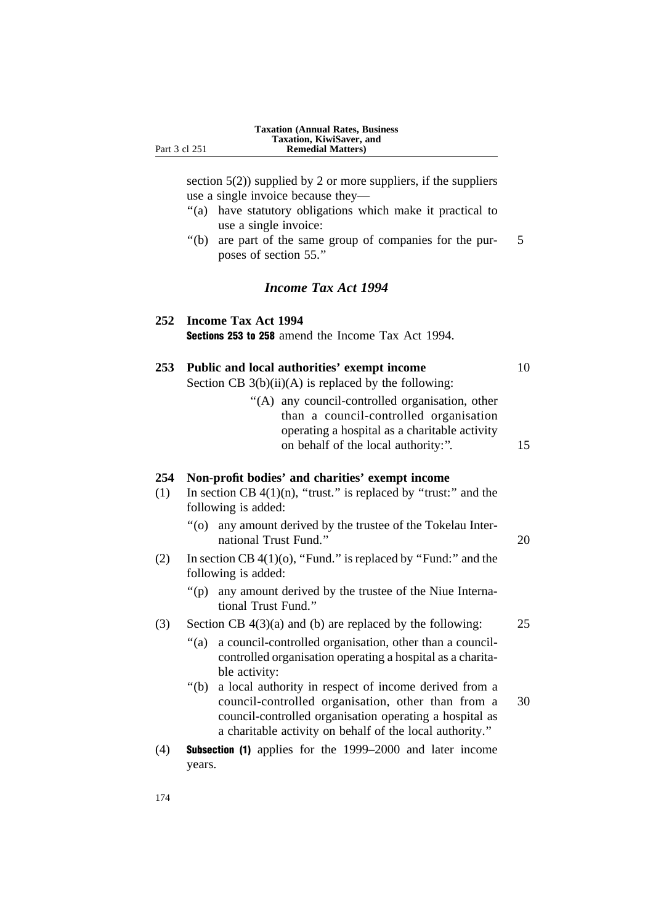section  $5(2)$ ) supplied by 2 or more suppliers, if the suppliers use a single invoice because they—

- ''(a) have statutory obligations which make it practical to use a single invoice:
- ''(b) are part of the same group of companies for the pur- 5 poses of section 55.''

### *Income Tax Act 1994*

| 252 Income Tax Act 1994                                   |  |  |  |  |
|-----------------------------------------------------------|--|--|--|--|
| <b>Sections 253 to 258</b> amend the Income Tax Act 1994. |  |  |  |  |

|  | 253 Public and local authorities' exempt income |  |  |
|--|-------------------------------------------------|--|--|
|--|-------------------------------------------------|--|--|

Section CB  $3(b)(ii)(A)$  is replaced by the following:

''(A) any council-controlled organisation, other than a council-controlled organisation operating a hospital as a charitable activity on behalf of the local authority:". 15

### **254 Non-profit bodies' and charities' exempt income**

- (1) In section CB  $4(1)(n)$ , "trust." is replaced by "trust:" and the following is added:
	- ''(o) any amount derived by the trustee of the Tokelau International Trust Fund." 20
- (2) In section CB  $4(1)(0)$ , "Fund." is replaced by "Fund:" and the following is added:
	- ''(p) any amount derived by the trustee of the Niue International Trust Fund.''

### (3) Section CB  $4(3)(a)$  and (b) are replaced by the following: 25

- ''(a) a council-controlled organisation, other than a councilcontrolled organisation operating a hospital as a charitable activity:
- ''(b) a local authority in respect of income derived from a council-controlled organisation, other than from a 30 council-controlled organisation operating a hospital as a charitable activity on behalf of the local authority.''
- (4) Subsection (1) applies for the 1999–2000 and later income years.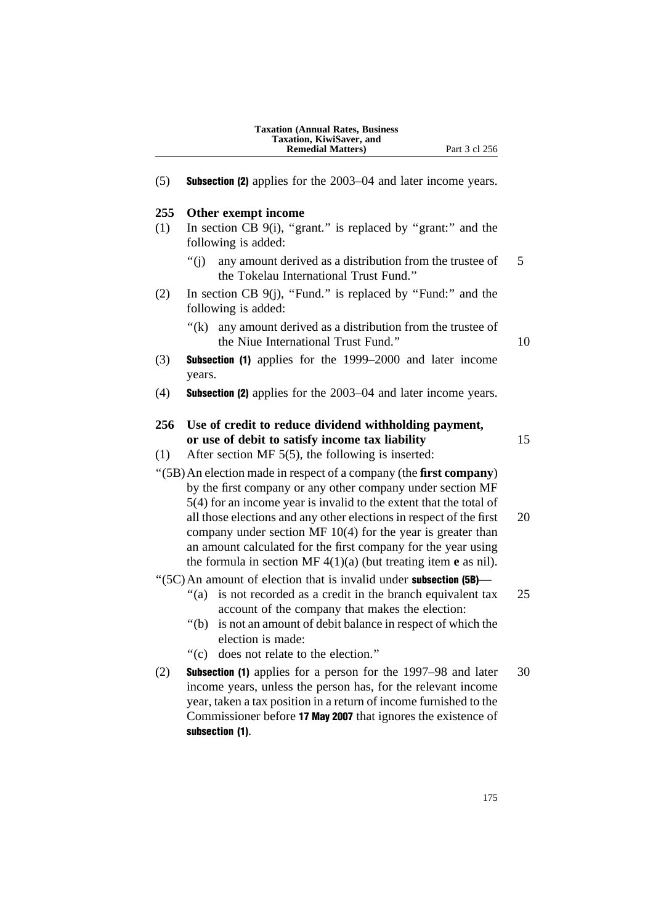| <b>Taxation (Annual Rates, Business)</b> |
|------------------------------------------|
| Taxation, KiwiSaver, and                 |
| <b>Remedial Matters</b> )                |

(5) Subsection (2) applies for the 2003–04 and later income years.

### **255 Other exempt income**

- (1) In section CB 9(i), ''grant.'' is replaced by ''grant:'' and the following is added:
	- $''(i)$  any amount derived as a distribution from the trustee of 5 the Tokelau International Trust Fund.''
- (2) In section CB  $9(i)$ , "Fund." is replaced by "Fund:" and the following is added:
	- $f(k)$  any amount derived as a distribution from the trustee of the Niue International Trust Fund." 10

- (3) Subsection (1) applies for the 1999–2000 and later income years.
- (4) Subsection (2) applies for the 2003–04 and later income years.

| 256 | Use of credit to reduce dividend withholding payment, |    |
|-----|-------------------------------------------------------|----|
|     | or use of debit to satisfy income tax liability       | 15 |

(1) After section MF 5(5), the following is inserted:

''(5B)An election made in respect of a company (the **first company**) by the first company or any other company under section MF 5(4) for an income year is invalid to the extent that the total of all those elections and any other elections in respect of the first 20 company under section MF 10(4) for the year is greater than an amount calculated for the first company for the year using the formula in section MF 4(1)(a) (but treating item **e** as nil).

 $\cdot$ (5C) An amount of election that is invalid under **subsection** (5B)—

- "(a) is not recorded as a credit in the branch equivalent tax 25 account of the company that makes the election:
- ''(b) is not an amount of debit balance in respect of which the election is made:
- ''(c) does not relate to the election.''
- (2) Subsection (1) applies for a person for the 1997–98 and later 30 income years, unless the person has, for the relevant income year, taken a tax position in a return of income furnished to the Commissioner before 17 May 2007 that ignores the existence of subsection (1).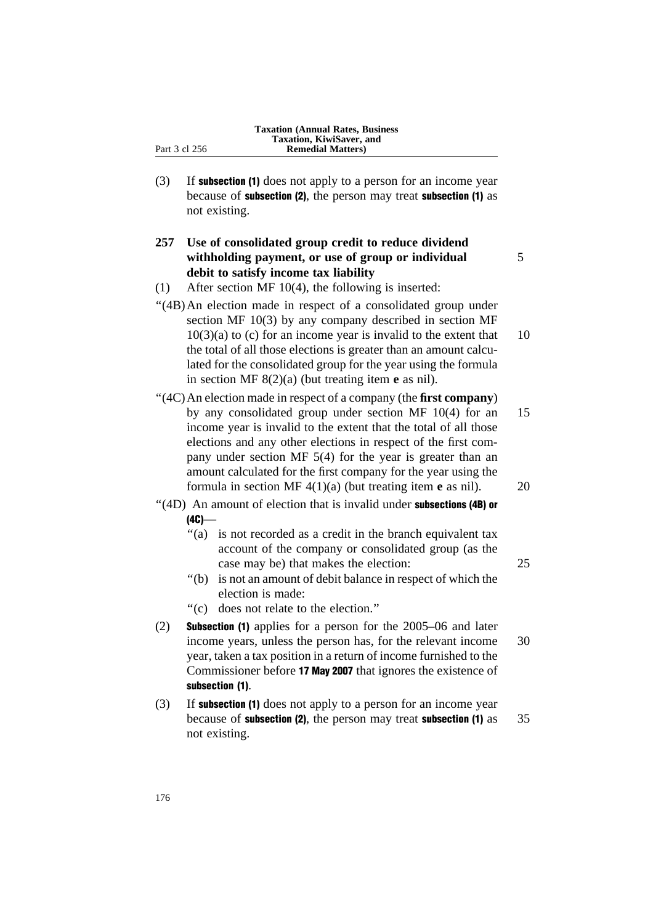(3) If subsection (1) does not apply to a person for an income year because of subsection (2), the person may treat subsection (1) as not existing.

### **257 Use of consolidated group credit to reduce dividend withholding payment, or use of group or individual** 5 **debit to satisfy income tax liability**

- (1) After section MF 10(4), the following is inserted:
- "(4B) An election made in respect of a consolidated group under section MF 10(3) by any company described in section MF  $10(3)(a)$  to (c) for an income year is invalid to the extent that  $10$ the total of all those elections is greater than an amount calculated for the consolidated group for the year using the formula in section MF 8(2)(a) (but treating item **e** as nil).
- ''(4C)An election made in respect of a company (the **first company**) by any consolidated group under section MF 10(4) for an 15 income year is invalid to the extent that the total of all those elections and any other elections in respect of the first company under section MF 5(4) for the year is greater than an amount calculated for the first company for the year using the formula in section MF 4(1)(a) (but treating item **e** as nil). 20

### $"$ (4D) An amount of election that is invalid under subsections (4B) or  $(4C)$ —

- "(a) is not recorded as a credit in the branch equivalent tax account of the company or consolidated group (as the case may be) that makes the election: 25
- ''(b) is not an amount of debit balance in respect of which the election is made:
- ''(c) does not relate to the election.''
- (2) Subsection (1) applies for a person for the 2005–06 and later income years, unless the person has, for the relevant income 30 year, taken a tax position in a return of income furnished to the Commissioner before 17 May 2007 that ignores the existence of subsection (1).
- (3) If subsection (1) does not apply to a person for an income year because of **subsection (2)**, the person may treat **subsection (1)** as  $35$ not existing.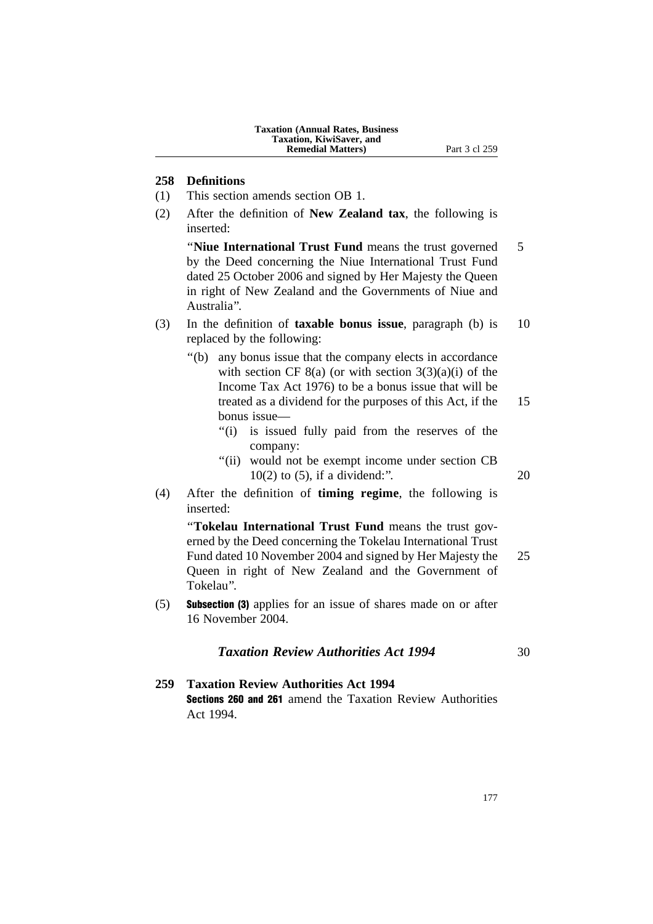### **258 Definitions**

- (1) This section amends section OB 1.
- (2) After the definition of **New Zealand tax**, the following is inserted:

''**Niue International Trust Fund** means the trust governed 5 by the Deed concerning the Niue International Trust Fund dated 25 October 2006 and signed by Her Majesty the Queen in right of New Zealand and the Governments of Niue and Australia''.

- (3) In the definition of **taxable bonus issue**, paragraph (b) is 10 replaced by the following:
	- ''(b) any bonus issue that the company elects in accordance with section CF  $8(a)$  (or with section  $3(3)(a)(i)$  of the Income Tax Act 1976) to be a bonus issue that will be treated as a dividend for the purposes of this Act, if the 15 bonus issue—
		- "(i) is issued fully paid from the reserves of the company:
		- "(ii) would not be exempt income under section CB 10(2) to (5), if a dividend:''. 20
- (4) After the definition of **timing regime**, the following is inserted:

''**Tokelau International Trust Fund** means the trust governed by the Deed concerning the Tokelau International Trust Fund dated 10 November 2004 and signed by Her Majesty the 25 Queen in right of New Zealand and the Government of Tokelau''.

(5) Subsection (3) applies for an issue of shares made on or after 16 November 2004.

### **Taxation Review Authorities Act 1994** 30

**259 Taxation Review Authorities Act 1994** Sections 260 and 261 amend the Taxation Review Authorities Act 1994.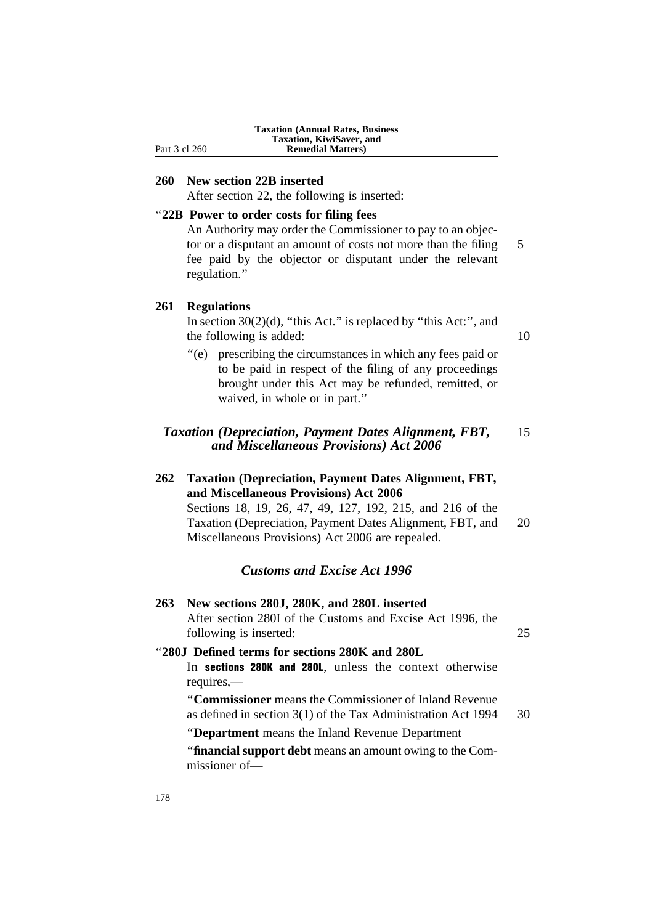| <b>Taxation (Annual Rates, Business)</b> |
|------------------------------------------|
| Taxation, KiwiSaver, and                 |
| <b>Remedial Matters</b> )                |

**260 New section 22B inserted**

After section 22, the following is inserted:

### ''**22B Power to order costs for filing fees**

An Authority may order the Commissioner to pay to an objector or a disputant an amount of costs not more than the filing 5 fee paid by the objector or disputant under the relevant regulation.''

### **261 Regulations**

Part 3 cl 260

In section  $30(2)(d)$ , "this Act." is replaced by "this Act:", and the following is added: 10

''(e) prescribing the circumstances in which any fees paid or to be paid in respect of the filing of any proceedings brought under this Act may be refunded, remitted, or waived, in whole or in part.''

### *Taxation (Depreciation, Payment Dates Alignment, FBT,* 15 *and Miscellaneous Provisions) Act 2006*

### **262 Taxation (Depreciation, Payment Dates Alignment, FBT, and Miscellaneous Provisions) Act 2006** Sections 18, 19, 26, 47, 49, 127, 192, 215, and 216 of the

Taxation (Depreciation, Payment Dates Alignment, FBT, and 20 Miscellaneous Provisions) Act 2006 are repealed.

### *Customs and Excise Act 1996*

**263 New sections 280J, 280K, and 280L inserted** After section 280I of the Customs and Excise Act 1996, the following is inserted: 25

### ''**280J Defined terms for sections 280K and 280L**

In sections 280K and 280L, unless the context otherwise requires,—

''**Commissioner** means the Commissioner of Inland Revenue as defined in section 3(1) of the Tax Administration Act 1994 30

''**Department** means the Inland Revenue Department

''**financial support debt** means an amount owing to the Commissioner of—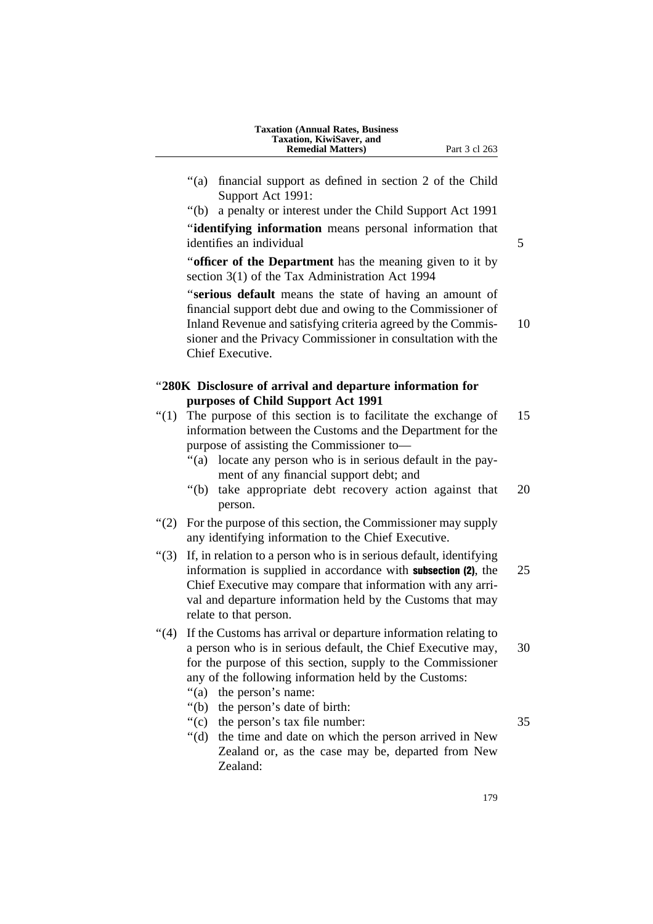- 
- ''(a) financial support as defined in section 2 of the Child Support Act 1991:
- ''(b) a penalty or interest under the Child Support Act 1991

''**identifying information** means personal information that identifies an individual 5

''**officer of the Department** has the meaning given to it by section 3(1) of the Tax Administration Act 1994

''**serious default** means the state of having an amount of financial support debt due and owing to the Commissioner of Inland Revenue and satisfying criteria agreed by the Commis- 10 sioner and the Privacy Commissioner in consultation with the Chief Executive.

### ''**280K Disclosure of arrival and departure information for purposes of Child Support Act 1991**

- $(1)$  The purpose of this section is to facilitate the exchange of 15 information between the Customs and the Department for the purpose of assisting the Commissioner to—
	- "(a) locate any person who is in serious default in the payment of any financial support debt; and
	- ''(b) take appropriate debt recovery action against that 20 person.
- ''(2) For the purpose of this section, the Commissioner may supply any identifying information to the Chief Executive.
- ''(3) If, in relation to a person who is in serious default, identifying information is supplied in accordance with **subsection (2)**, the 25 Chief Executive may compare that information with any arrival and departure information held by the Customs that may relate to that person.
- ''(4) If the Customs has arrival or departure information relating to a person who is in serious default, the Chief Executive may, 30 for the purpose of this section, supply to the Commissioner any of the following information held by the Customs:
	- "(a) the person's name:
	- ''(b) the person's date of birth:
	- "(c) the person's tax file number: 35

''(d) the time and date on which the person arrived in New Zealand or, as the case may be, departed from New Zealand: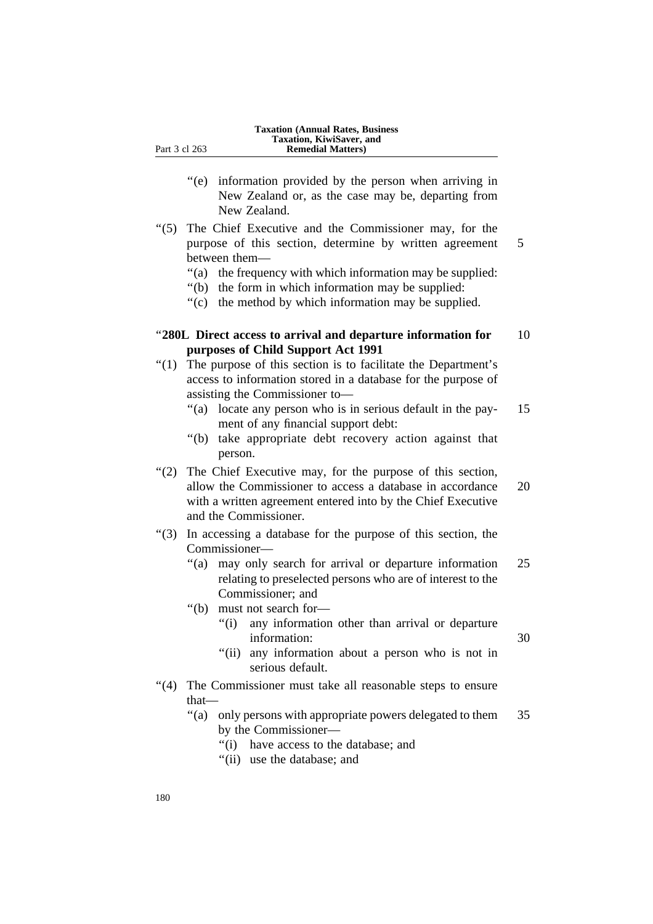- ''(e) information provided by the person when arriving in New Zealand or, as the case may be, departing from New Zealand.
- ''(5) The Chief Executive and the Commissioner may, for the purpose of this section, determine by written agreement 5 between them—
	- ''(a) the frequency with which information may be supplied:
	- ''(b) the form in which information may be supplied:
	- ''(c) the method by which information may be supplied.

### ''**280L Direct access to arrival and departure information for** 10 **purposes of Child Support Act 1991**

- ''(1) The purpose of this section is to facilitate the Department's access to information stored in a database for the purpose of assisting the Commissioner to—
	- ''(a) locate any person who is in serious default in the pay- 15 ment of any financial support debt:
	- ''(b) take appropriate debt recovery action against that person.
- "(2) The Chief Executive may, for the purpose of this section, allow the Commissioner to access a database in accordance 20 with a written agreement entered into by the Chief Executive and the Commissioner.
- ''(3) In accessing a database for the purpose of this section, the Commissioner—
	- "(a) may only search for arrival or departure information 25 relating to preselected persons who are of interest to the Commissioner; and
	- ''(b) must not search for—
		- ''(i) any information other than arrival or departure information: 30
			-
		- "(ii) any information about a person who is not in serious default.
- "(4) The Commissioner must take all reasonable steps to ensure that—
	- ''(a) only persons with appropriate powers delegated to them 35 by the Commissioner—
		- ''(i) have access to the database; and
		- ''(ii) use the database; and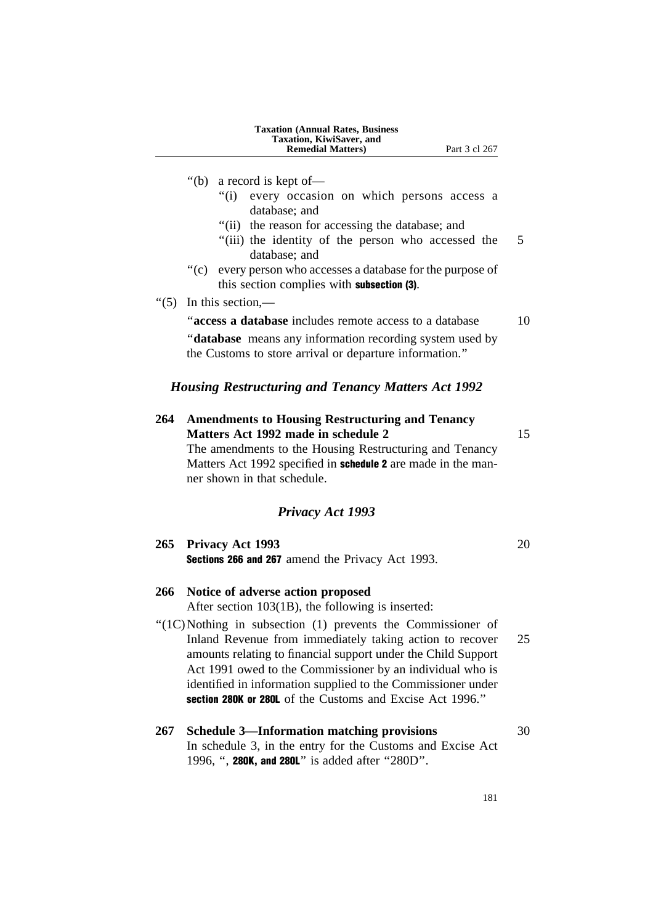|         | <b>Taxation (Annual Rates, Business)</b><br>Taxation, KiwiSaver, and<br><b>Remedial Matters</b> )<br>Part 3 cl 267                                                                                                                                                                                                                                                                 |    |
|---------|------------------------------------------------------------------------------------------------------------------------------------------------------------------------------------------------------------------------------------------------------------------------------------------------------------------------------------------------------------------------------------|----|
|         | " $(b)$<br>a record is kept of-<br>every occasion on which persons access a<br>" $(i)$<br>database; and<br>"(ii) the reason for accessing the database; and<br>"(iii) the identity of the person who accessed the<br>database; and                                                                                                                                                 | 5  |
|         | $\degree$ (c)<br>every person who accesses a database for the purpose of<br>this section complies with <b>subsection (3)</b> .                                                                                                                                                                                                                                                     |    |
| " $(5)$ | In this section,—                                                                                                                                                                                                                                                                                                                                                                  |    |
|         | "access a database includes remote access to a database                                                                                                                                                                                                                                                                                                                            | 10 |
|         | " <b>database</b> means any information recording system used by<br>the Customs to store arrival or departure information."                                                                                                                                                                                                                                                        |    |
|         | <b>Housing Restructuring and Tenancy Matters Act 1992</b>                                                                                                                                                                                                                                                                                                                          |    |
| 264     | <b>Amendments to Housing Restructuring and Tenancy</b><br>Matters Act 1992 made in schedule 2<br>The amendments to the Housing Restructuring and Tenancy<br>Matters Act 1992 specified in schedule 2 are made in the man-<br>ner shown in that schedule.                                                                                                                           | 15 |
|         | <b>Privacy Act 1993</b>                                                                                                                                                                                                                                                                                                                                                            |    |
| 265     | <b>Privacy Act 1993</b><br>Sections 266 and 267 amend the Privacy Act 1993.                                                                                                                                                                                                                                                                                                        | 20 |
| 266     | Notice of adverse action proposed<br>After section 103(1B), the following is inserted:                                                                                                                                                                                                                                                                                             |    |
|         | "(1C)Nothing in subsection (1) prevents the Commissioner of<br>Inland Revenue from immediately taking action to recover<br>amounts relating to financial support under the Child Support<br>Act 1991 owed to the Commissioner by an individual who is<br>identified in information supplied to the Commissioner under<br>section 280K or 280L of the Customs and Excise Act 1996." | 25 |
| 267     | <b>Schedule 3—Information matching provisions</b><br>In schedule 3, in the entry for the Customs and Excise Act<br>1996, ", 280K, and 280L" is added after "280D".                                                                                                                                                                                                                 | 30 |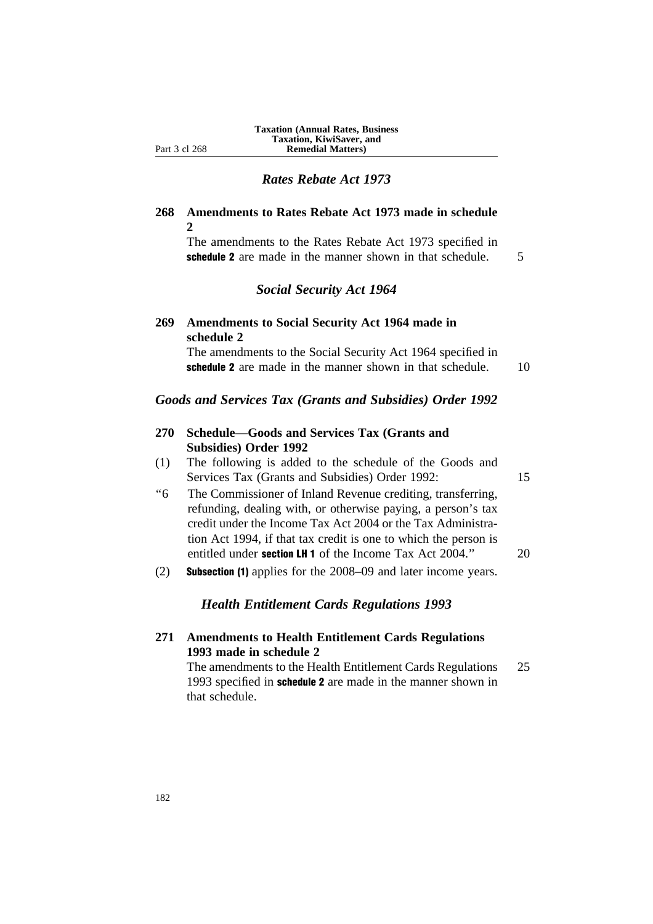### *Rates Rebate Act 1973*

### **268 Amendments to Rates Rebate Act 1973 made in schedule 2**

The amendments to the Rates Rebate Act 1973 specified in schedule 2 are made in the manner shown in that schedule. 5

### *Social Security Act 1964*

### **269 Amendments to Social Security Act 1964 made in schedule 2**

The amendments to the Social Security Act 1964 specified in schedule 2 are made in the manner shown in that schedule. 10

### *Goods and Services Tax (Grants and Subsidies) Order 1992*

### **270 Schedule—Goods and Services Tax (Grants and Subsidies) Order 1992**

(1) The following is added to the schedule of the Goods and Services Tax (Grants and Subsidies) Order 1992: 15

- ''6 The Commissioner of Inland Revenue crediting, transferring, refunding, dealing with, or otherwise paying, a person's tax credit under the Income Tax Act 2004 or the Tax Administration Act 1994, if that tax credit is one to which the person is entitled under **section LH 1** of the Income Tax Act 2004." 20
- (2) Subsection (1) applies for the 2008–09 and later income years.

### *Health Entitlement Cards Regulations 1993*

**271 Amendments to Health Entitlement Cards Regulations 1993 made in schedule 2**

The amendments to the Health Entitlement Cards Regulations 25 1993 specified in schedule 2 are made in the manner shown in that schedule.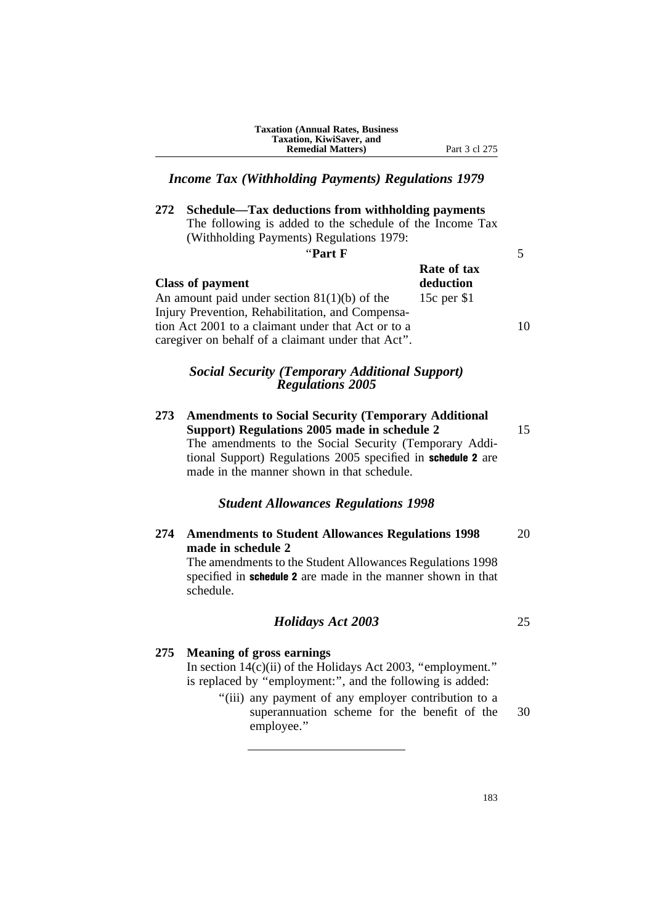**Taxation (Annual Rates, Business Taxation, KiwiSaver, and Remedial Matters)** Part 3 cl 275

# *Income Tax (Withholding Payments) Regulations 1979*

**272 Schedule—Tax deductions from withholding payments** The following is added to the schedule of the Income Tax (Withholding Payments) Regulations 1979:

| "Part F                                                                                                                                                                                                        |                          |    |
|----------------------------------------------------------------------------------------------------------------------------------------------------------------------------------------------------------------|--------------------------|----|
| <b>Class of payment</b>                                                                                                                                                                                        | Rate of tax<br>deduction |    |
| An amount paid under section $81(1)(b)$ of the<br>Injury Prevention, Rehabilitation, and Compensa-<br>tion Act 2001 to a claimant under that Act or to a<br>caregiver on behalf of a claimant under that Act". | 15c per \$1              | 10 |

## *Social Security (Temporary Additional Support) Regulations 2005*

**273 Amendments to Social Security (Temporary Additional Support) Regulations 2005 made in schedule 2** 15 The amendments to the Social Security (Temporary Additional Support) Regulations 2005 specified in schedule 2 are made in the manner shown in that schedule.

## *Student Allowances Regulations 1998*

# **274 Amendments to Student Allowances Regulations 1998** 20 **made in schedule 2**

The amendments to the Student Allowances Regulations 1998 specified in **schedule 2** are made in the manner shown in that schedule.

## *Holidays Act 2003* 25

# **275 Meaning of gross earnings**

In section  $14(c)$ (ii) of the Holidays Act 2003, "employment." is replaced by "employment:", and the following is added:

> ''(iii) any payment of any employer contribution to a superannuation scheme for the benefit of the 30 employee.''

> > 183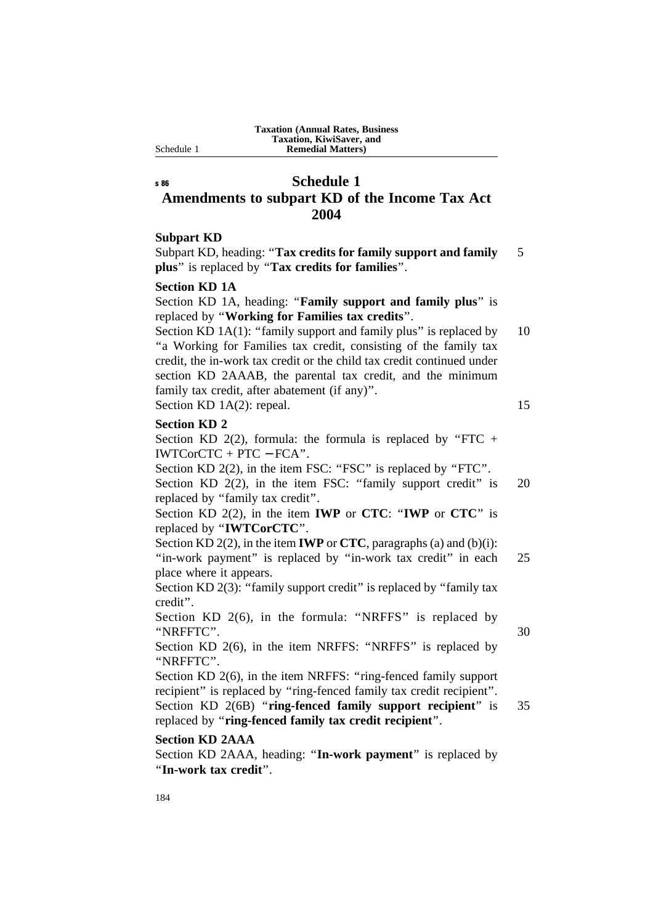# s 86 **Schedule 1 Amendments to subpart KD of the Income Tax Act 2004**

## **Subpart KD**

Subpart KD, heading: "**Tax credits for family support and family** 5 **plus**'' is replaced by ''**Tax credits for families**''.

## **Section KD 1A**

Section KD 1A, heading: "**Family support and family plus**" is replaced by ''**Working for Families tax credits**''.

Section KD 1A(1): "family support and family plus" is replaced by  $10$ ''a Working for Families tax credit, consisting of the family tax credit, the in-work tax credit or the child tax credit continued under section KD 2AAAB, the parental tax credit, and the minimum family tax credit, after abatement (if any)''. Section KD 1A(2): repeal. 15

#### **Section KD 2**

Section KD 2(2), formula: the formula is replaced by "FTC + IWTCorCTC + PTC − FCA''.

Section KD 2(2), in the item FSC: "FSC" is replaced by "FTC".

Section KD 2(2), in the item FSC: "family support credit" is 20 replaced by ''family tax credit''.

# Section KD 2(2), in the item **IWP** or **CTC**: ''**IWP** or **CTC**'' is replaced by ''**IWTCorCTC**''.

Section KD 2(2), in the item **IWP** or **CTC**, paragraphs (a) and (b)(i):

"in-work payment" is replaced by "in-work tax credit" in each 25 place where it appears.

Section KD 2(3): "family support credit" is replaced by "family tax credit''.

Section KD 2(6), in the formula: "NRFFS" is replaced by ''NRFFTC''. 30

Section KD 2(6), in the item NRFFS: "NRFFS" is replaced by ''NRFFTC''.

Section KD 2(6), in the item NRFFS: "ring-fenced family support recipient" is replaced by "ring-fenced family tax credit recipient". Section KD 2(6B) "**ring-fenced family support recipient**" is 35 replaced by ''**ring-fenced family tax credit recipient**''.

# **Section KD 2AAA**

Section KD 2AAA, heading: ''**In-work payment**'' is replaced by ''**In-work tax credit**''.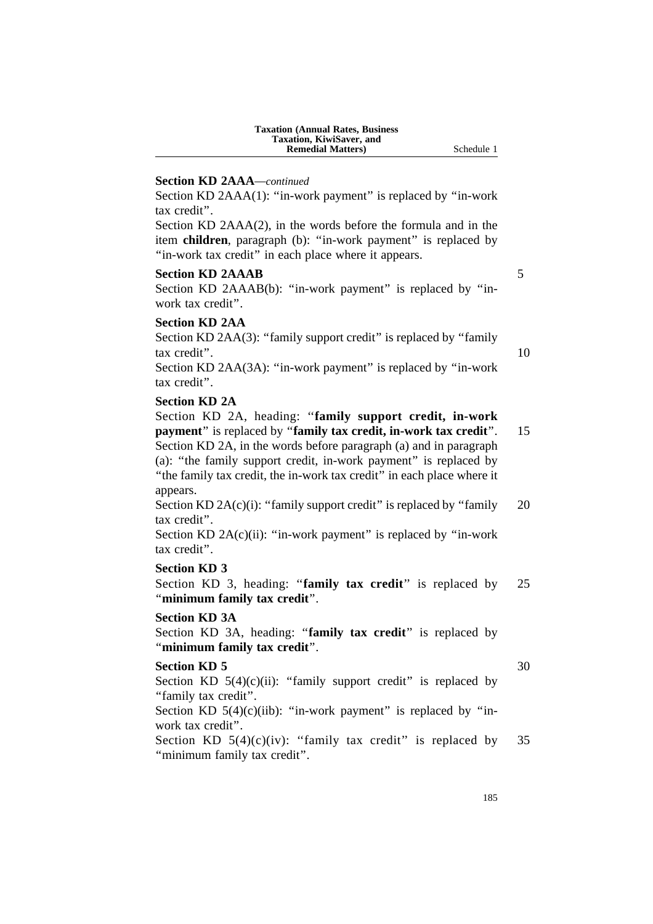| <b>Taxation (Annual Rates, Business)</b> |
|------------------------------------------|
| Taxation, KiwiSaver, and                 |
| <b>Remedial Matters</b> )                |

### **Section KD 2AAA***—continued*

Section KD 2AAA(1): "in-work payment" is replaced by "in-work tax credit''.

Section KD 2AAA(2), in the words before the formula and in the item **children**, paragraph (b): "in-work payment" is replaced by "in-work tax credit" in each place where it appears.

#### **Section KD 2AAAB** 5

Section KD 2AAAB(b): "in-work payment" is replaced by "inwork tax credit''.

#### **Section KD 2AA**

Section KD 2AA(3): "family support credit" is replaced by "family tax credit". 10

Section KD 2AA(3A): "in-work payment" is replaced by "in-work" tax credit''.

#### **Section KD 2A**

Section KD 2A, heading: ''**family support credit, in-work payment**'' is replaced by ''**family tax credit, in-work tax credit**''. 15 Section KD 2A, in the words before paragraph (a) and in paragraph (a): ''the family support credit, in-work payment'' is replaced by ''the family tax credit, the in-work tax credit'' in each place where it appears.

Section KD  $2A(c)(i)$ : "family support credit" is replaced by "family 20 tax credit''.

Section KD  $2A(c)(ii)$ : "in-work payment" is replaced by "in-work tax credit''.

## **Section KD 3**

Section KD 3, heading: "**family tax credit**" is replaced by 25 ''**minimum family tax credit**''.

#### **Section KD 3A**

Section KD 3A, heading: "family tax credit" is replaced by ''**minimum family tax credit**''.

## **Section KD 5** 30

Section KD  $5(4)(c)(ii)$ : "family support credit" is replaced by "family tax credit".

Section KD  $5(4)(c)(iib)$ : "in-work payment" is replaced by "inwork tax credit''.

Section KD  $5(4)(c)(iv)$ : "family tax credit" is replaced by 35 "minimum family tax credit".

**Schedule 1** 

185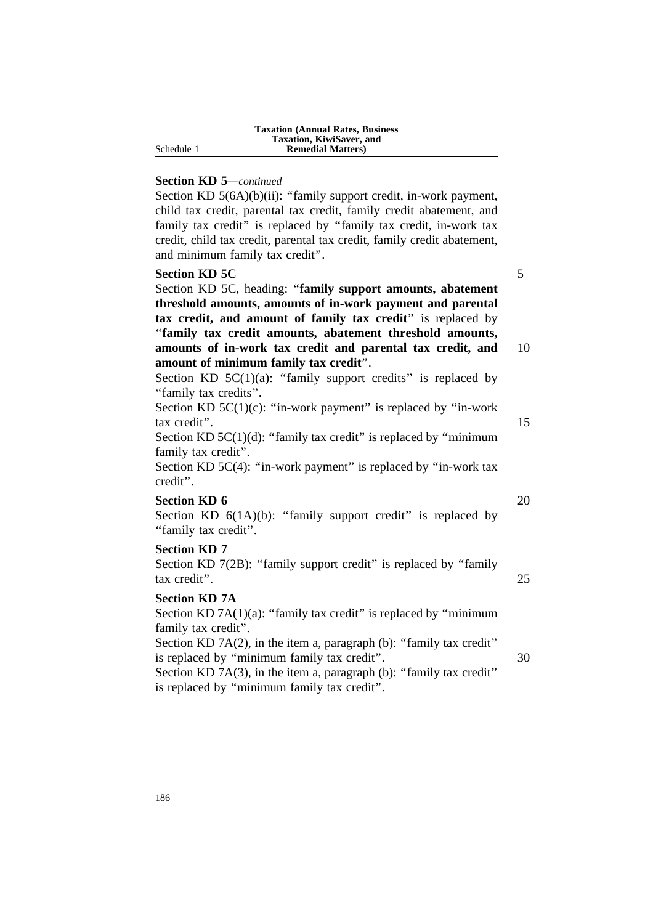| <b>Taxation (Annual Rates, Business)</b> |
|------------------------------------------|
| Taxation, KiwiSaver, and                 |
| <b>Remedial Matters</b> )                |

Schedule 1

### **Section KD 5***—continued*

Section KD 5(6A)(b)(ii): "family support credit, in-work payment, child tax credit, parental tax credit, family credit abatement, and family tax credit" is replaced by "family tax credit, in-work tax credit, child tax credit, parental tax credit, family credit abatement, and minimum family tax credit''.

# **Section KD 5C** 5

Section KD 5C, heading: ''**family support amounts, abatement threshold amounts, amounts of in-work payment and parental tax credit, and amount of family tax credit**'' is replaced by ''**family tax credit amounts, abatement threshold amounts, amounts of in-work tax credit and parental tax credit, and** 10 **amount of minimum family tax credit**''.

Section KD  $5C(1)(a)$ : "family support credits" is replaced by ''family tax credits''.

Section KD  $5C(1)(c)$ : "in-work payment" is replaced by "in-work tax credit''. 15

Section KD  $5C(1)(d)$ : "family tax credit" is replaced by "minimum family tax credit''.

Section KD 5C(4): "in-work payment" is replaced by "in-work tax credit''.

## **Section KD 6** 20

Section KD  $6(1A)(b)$ : "family support credit" is replaced by ''family tax credit''.

## **Section KD 7**

Section KD 7(2B): "family support credit" is replaced by "family tax credit''. 25

# **Section KD 7A**

Section KD  $7A(1)(a)$ : "family tax credit" is replaced by "minimum family tax credit''.

Section KD 7A(2), in the item a, paragraph (b): "family tax credit" is replaced by "minimum family tax credit". 30 Section KD 7A(3), in the item a, paragraph (b): "family tax credit" is replaced by ''minimum family tax credit''.

186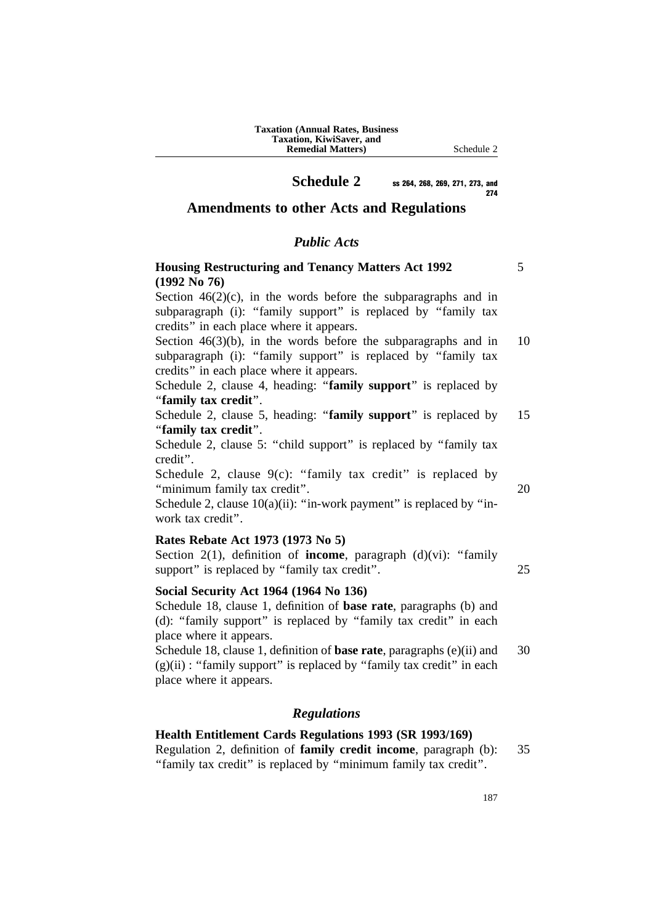**Schedule 2** ss 264, 268, 269, 271, 273, and 274

**Amendments to other Acts and Regulations**

# *Public Acts*

# **Housing Restructuring and Tenancy Matters Act 1992** 5 **(1992 No 76)**

Section  $46(2)(c)$ , in the words before the subparagraphs and in subparagraph (i): "family support" is replaced by "family tax credits'' in each place where it appears.

Section  $46(3)(b)$ , in the words before the subparagraphs and in 10 subparagraph (i): "family support" is replaced by "family tax credits'' in each place where it appears.

Schedule 2, clause 4, heading: "**family support**" is replaced by ''**family tax credit**''.

Schedule 2, clause 5, heading: "**family support**" is replaced by 15 ''**family tax credit**''.

Schedule 2, clause 5: "child support" is replaced by "family tax credit''.

Schedule 2, clause  $9(c)$ : "family tax credit" is replaced by ''minimum family tax credit''. 20

Schedule 2, clause  $10(a)(ii)$ : "in-work payment" is replaced by "inwork tax credit''.

# **Rates Rebate Act 1973 (1973 No 5)**

Section 2(1), definition of **income**, paragraph (d)(vi): "family support" is replaced by "family tax credit". 25

### **Social Security Act 1964 (1964 No 136)**

Schedule 18, clause 1, definition of **base rate**, paragraphs (b) and (d): ''family support'' is replaced by ''family tax credit'' in each place where it appears.

Schedule 18, clause 1, definition of **base rate**, paragraphs (e)(ii) and 30  $(g)(ii)$ : "family support" is replaced by "family tax credit" in each place where it appears.

# *Regulations*

## **Health Entitlement Cards Regulations 1993 (SR 1993/169)**

Regulation 2, definition of **family credit income**, paragraph (b): 35 ''family tax credit'' is replaced by ''minimum family tax credit''.